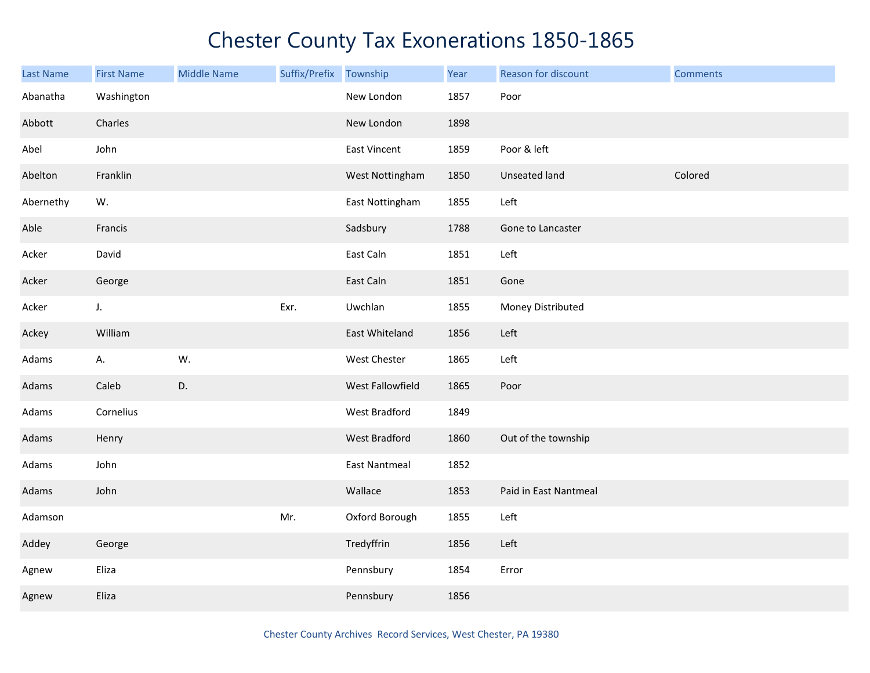| Last Name | <b>First Name</b> | <b>Middle Name</b> | Suffix/Prefix | Township             | Year | Reason for discount   | <b>Comments</b> |
|-----------|-------------------|--------------------|---------------|----------------------|------|-----------------------|-----------------|
| Abanatha  | Washington        |                    |               | New London           | 1857 | Poor                  |                 |
| Abbott    | Charles           |                    |               | New London           | 1898 |                       |                 |
| Abel      | John              |                    |               | East Vincent         | 1859 | Poor & left           |                 |
| Abelton   | Franklin          |                    |               | West Nottingham      | 1850 | Unseated land         | Colored         |
| Abernethy | W.                |                    |               | East Nottingham      | 1855 | Left                  |                 |
| Able      | Francis           |                    |               | Sadsbury             | 1788 | Gone to Lancaster     |                 |
| Acker     | David             |                    |               | East Caln            | 1851 | Left                  |                 |
| Acker     | George            |                    |               | East Caln            | 1851 | Gone                  |                 |
| Acker     | $J_{\star}$       |                    | Exr.          | Uwchlan              | 1855 | Money Distributed     |                 |
| Ackey     | William           |                    |               | East Whiteland       | 1856 | Left                  |                 |
| Adams     | Α.                | W.                 |               | West Chester         | 1865 | Left                  |                 |
| Adams     | Caleb             | D.                 |               | West Fallowfield     | 1865 | Poor                  |                 |
| Adams     | Cornelius         |                    |               | West Bradford        | 1849 |                       |                 |
| Adams     | Henry             |                    |               | West Bradford        | 1860 | Out of the township   |                 |
| Adams     | John              |                    |               | <b>East Nantmeal</b> | 1852 |                       |                 |
| Adams     | John              |                    |               | Wallace              | 1853 | Paid in East Nantmeal |                 |
| Adamson   |                   |                    | Mr.           | Oxford Borough       | 1855 | Left                  |                 |
| Addey     | George            |                    |               | Tredyffrin           | 1856 | Left                  |                 |
| Agnew     | Eliza             |                    |               | Pennsbury            | 1854 | Error                 |                 |
| Agnew     | Eliza             |                    |               | Pennsbury            | 1856 |                       |                 |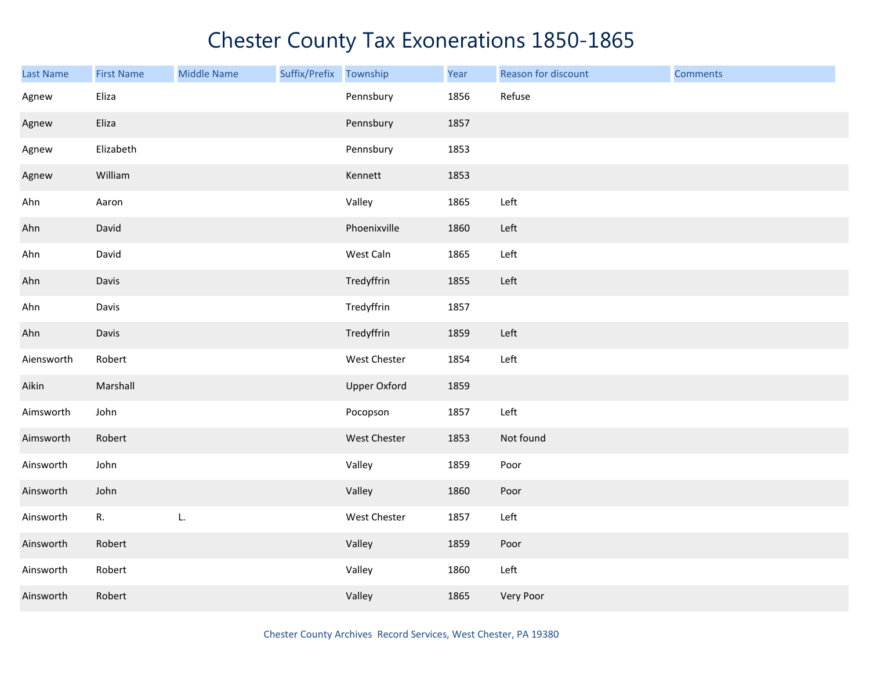| Last Name  | <b>First Name</b> | <b>Middle Name</b> | Suffix/Prefix Township |                     | Year | Reason for discount | <b>Comments</b> |
|------------|-------------------|--------------------|------------------------|---------------------|------|---------------------|-----------------|
| Agnew      | Eliza             |                    |                        | Pennsbury           | 1856 | Refuse              |                 |
| Agnew      | Eliza             |                    |                        | Pennsbury           | 1857 |                     |                 |
| Agnew      | Elizabeth         |                    |                        | Pennsbury           | 1853 |                     |                 |
| Agnew      | William           |                    |                        | Kennett             | 1853 |                     |                 |
| Ahn        | Aaron             |                    |                        | Valley              | 1865 | Left                |                 |
| Ahn        | David             |                    |                        | Phoenixville        | 1860 | Left                |                 |
| Ahn        | David             |                    |                        | West Caln           | 1865 | Left                |                 |
| Ahn        | Davis             |                    |                        | Tredyffrin          | 1855 | Left                |                 |
| Ahn        | Davis             |                    |                        | Tredyffrin          | 1857 |                     |                 |
| Ahn        | Davis             |                    |                        | Tredyffrin          | 1859 | Left                |                 |
| Aiensworth | Robert            |                    |                        | West Chester        | 1854 | Left                |                 |
| Aikin      | Marshall          |                    |                        | <b>Upper Oxford</b> | 1859 |                     |                 |
| Aimsworth  | John              |                    |                        | Pocopson            | 1857 | Left                |                 |
| Aimsworth  | Robert            |                    |                        | West Chester        | 1853 | Not found           |                 |
| Ainsworth  | John              |                    |                        | Valley              | 1859 | Poor                |                 |
| Ainsworth  | John              |                    |                        | Valley              | 1860 | Poor                |                 |
| Ainsworth  | R.                | L.                 |                        | West Chester        | 1857 | Left                |                 |
| Ainsworth  | Robert            |                    |                        | Valley              | 1859 | Poor                |                 |
| Ainsworth  | Robert            |                    |                        | Valley              | 1860 | Left                |                 |
| Ainsworth  | Robert            |                    |                        | Valley              | 1865 | Very Poor           |                 |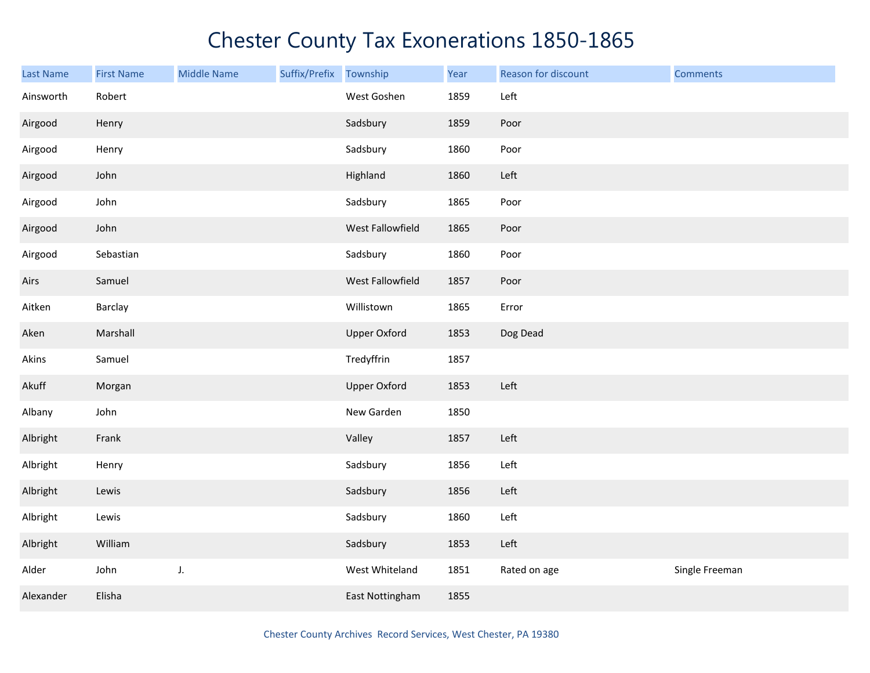| Last Name | <b>First Name</b> | <b>Middle Name</b> | Suffix/Prefix Township |                     | Year | Reason for discount | <b>Comments</b> |
|-----------|-------------------|--------------------|------------------------|---------------------|------|---------------------|-----------------|
| Ainsworth | Robert            |                    |                        | West Goshen         | 1859 | Left                |                 |
| Airgood   | Henry             |                    |                        | Sadsbury            | 1859 | Poor                |                 |
| Airgood   | Henry             |                    |                        | Sadsbury            | 1860 | Poor                |                 |
| Airgood   | John              |                    |                        | Highland            | 1860 | Left                |                 |
| Airgood   | John              |                    |                        | Sadsbury            | 1865 | Poor                |                 |
| Airgood   | John              |                    |                        | West Fallowfield    | 1865 | Poor                |                 |
| Airgood   | Sebastian         |                    |                        | Sadsbury            | 1860 | Poor                |                 |
| Airs      | Samuel            |                    |                        | West Fallowfield    | 1857 | Poor                |                 |
| Aitken    | Barclay           |                    |                        | Willistown          | 1865 | Error               |                 |
| Aken      | Marshall          |                    |                        | <b>Upper Oxford</b> | 1853 | Dog Dead            |                 |
| Akins     | Samuel            |                    |                        | Tredyffrin          | 1857 |                     |                 |
| Akuff     | Morgan            |                    |                        | <b>Upper Oxford</b> | 1853 | Left                |                 |
| Albany    | John              |                    |                        | New Garden          | 1850 |                     |                 |
| Albright  | Frank             |                    |                        | Valley              | 1857 | Left                |                 |
| Albright  | Henry             |                    |                        | Sadsbury            | 1856 | Left                |                 |
| Albright  | Lewis             |                    |                        | Sadsbury            | 1856 | Left                |                 |
| Albright  | Lewis             |                    |                        | Sadsbury            | 1860 | Left                |                 |
| Albright  | William           |                    |                        | Sadsbury            | 1853 | Left                |                 |
| Alder     | John              | J.                 |                        | West Whiteland      | 1851 | Rated on age        | Single Freeman  |
| Alexander | Elisha            |                    |                        | East Nottingham     | 1855 |                     |                 |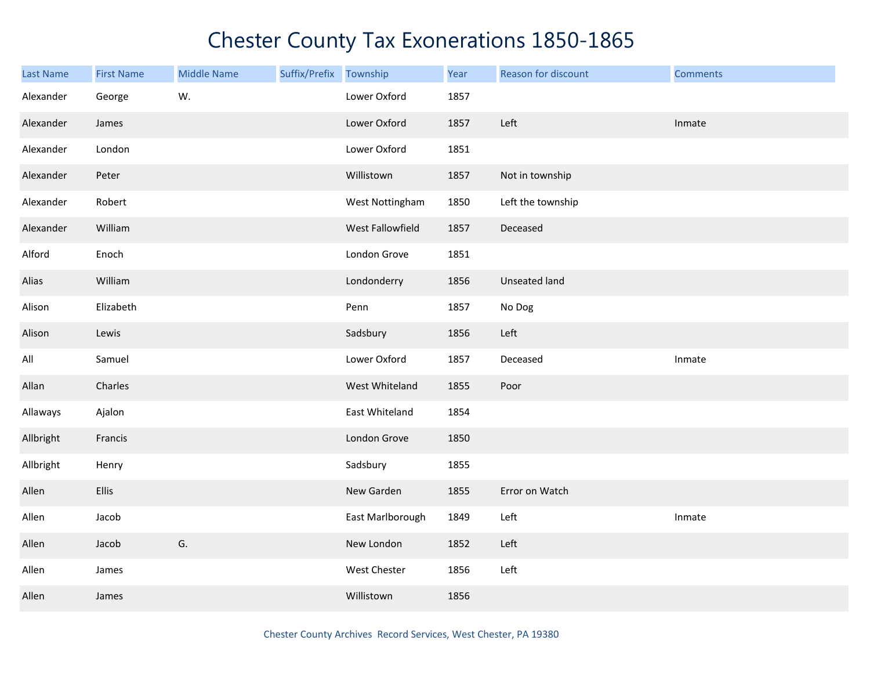| <b>Last Name</b> | <b>First Name</b> | <b>Middle Name</b> | Suffix/Prefix Township |                  | Year | Reason for discount | <b>Comments</b> |
|------------------|-------------------|--------------------|------------------------|------------------|------|---------------------|-----------------|
| Alexander        | George            | W.                 |                        | Lower Oxford     | 1857 |                     |                 |
| Alexander        | James             |                    |                        | Lower Oxford     | 1857 | Left                | Inmate          |
| Alexander        | London            |                    |                        | Lower Oxford     | 1851 |                     |                 |
| Alexander        | Peter             |                    |                        | Willistown       | 1857 | Not in township     |                 |
| Alexander        | Robert            |                    |                        | West Nottingham  | 1850 | Left the township   |                 |
| Alexander        | William           |                    |                        | West Fallowfield | 1857 | Deceased            |                 |
| Alford           | Enoch             |                    |                        | London Grove     | 1851 |                     |                 |
| Alias            | William           |                    |                        | Londonderry      | 1856 | Unseated land       |                 |
| Alison           | Elizabeth         |                    |                        | Penn             | 1857 | No Dog              |                 |
| Alison           | Lewis             |                    |                        | Sadsbury         | 1856 | Left                |                 |
| All              | Samuel            |                    |                        | Lower Oxford     | 1857 | Deceased            | Inmate          |
| Allan            | Charles           |                    |                        | West Whiteland   | 1855 | Poor                |                 |
| Allaways         | Ajalon            |                    |                        | East Whiteland   | 1854 |                     |                 |
| Allbright        | Francis           |                    |                        | London Grove     | 1850 |                     |                 |
| Allbright        | Henry             |                    |                        | Sadsbury         | 1855 |                     |                 |
| Allen            | Ellis             |                    |                        | New Garden       | 1855 | Error on Watch      |                 |
| Allen            | Jacob             |                    |                        | East Marlborough | 1849 | Left                | Inmate          |
| Allen            | Jacob             | G.                 |                        | New London       | 1852 | Left                |                 |
| Allen            | James             |                    |                        | West Chester     | 1856 | Left                |                 |
| Allen            | James             |                    |                        | Willistown       | 1856 |                     |                 |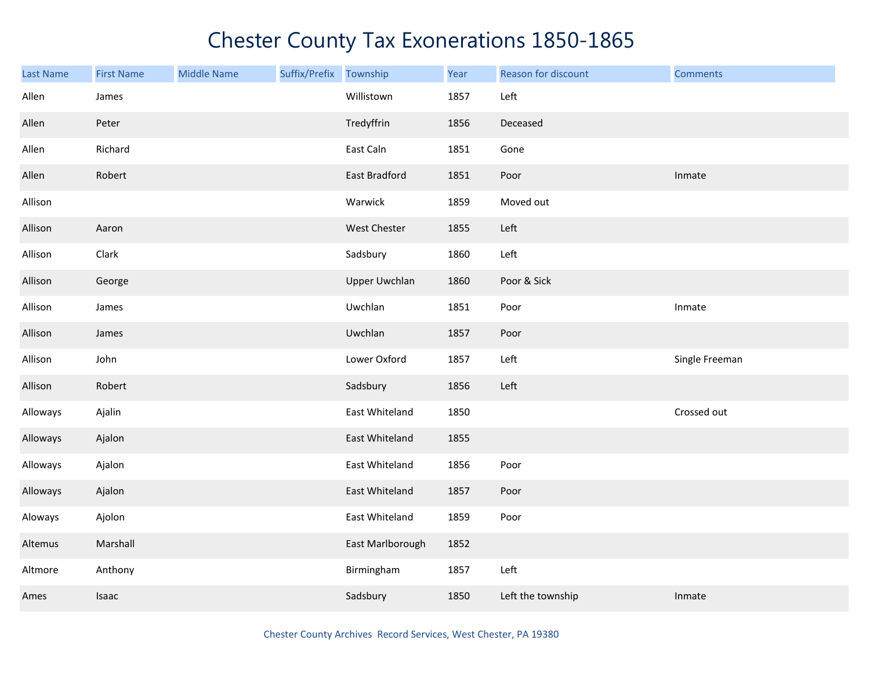| Last Name | <b>First Name</b> | <b>Middle Name</b> | Suffix/Prefix | Township             | Year | Reason for discount | <b>Comments</b> |
|-----------|-------------------|--------------------|---------------|----------------------|------|---------------------|-----------------|
| Allen     | James             |                    |               | Willistown           | 1857 | Left                |                 |
| Allen     | Peter             |                    |               | Tredyffrin           | 1856 | Deceased            |                 |
| Allen     | Richard           |                    |               | East Caln            | 1851 | Gone                |                 |
| Allen     | Robert            |                    |               | <b>East Bradford</b> | 1851 | Poor                | Inmate          |
| Allison   |                   |                    |               | Warwick              | 1859 | Moved out           |                 |
| Allison   | Aaron             |                    |               | West Chester         | 1855 | Left                |                 |
| Allison   | Clark             |                    |               | Sadsbury             | 1860 | Left                |                 |
| Allison   | George            |                    |               | <b>Upper Uwchlan</b> | 1860 | Poor & Sick         |                 |
| Allison   | James             |                    |               | Uwchlan              | 1851 | Poor                | Inmate          |
| Allison   | James             |                    |               | Uwchlan              | 1857 | Poor                |                 |
| Allison   | John              |                    |               | Lower Oxford         | 1857 | Left                | Single Freeman  |
| Allison   | Robert            |                    |               | Sadsbury             | 1856 | Left                |                 |
| Alloways  | Ajalin            |                    |               | East Whiteland       | 1850 |                     | Crossed out     |
| Alloways  | Ajalon            |                    |               | East Whiteland       | 1855 |                     |                 |
| Alloways  | Ajalon            |                    |               | East Whiteland       | 1856 | Poor                |                 |
| Alloways  | Ajalon            |                    |               | East Whiteland       | 1857 | Poor                |                 |
| Aloways   | Ajolon            |                    |               | East Whiteland       | 1859 | Poor                |                 |
| Altemus   | Marshall          |                    |               | East Marlborough     | 1852 |                     |                 |
| Altmore   | Anthony           |                    |               | Birmingham           | 1857 | Left                |                 |
| Ames      | Isaac             |                    |               | Sadsbury             | 1850 | Left the township   | Inmate          |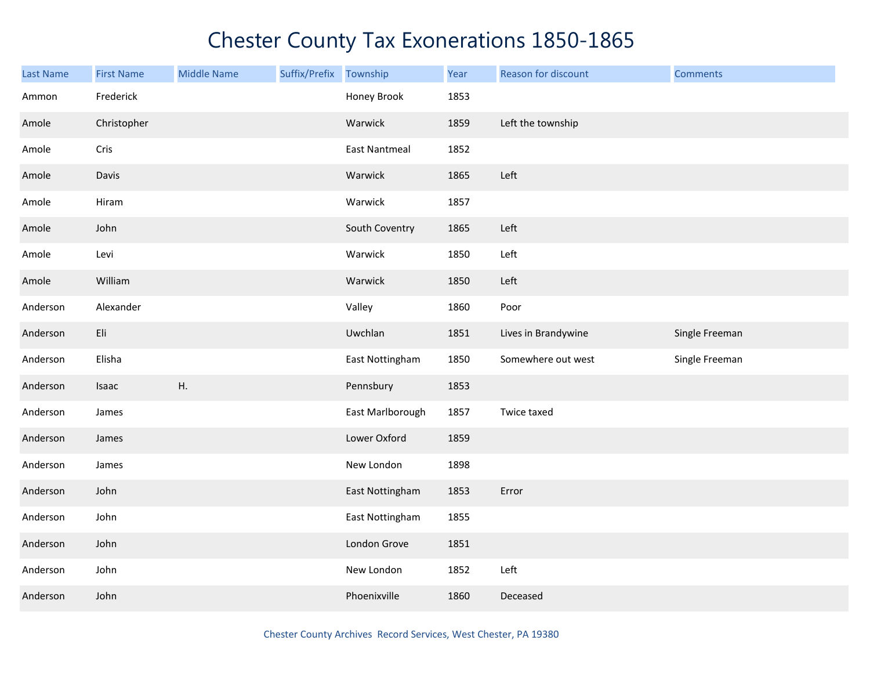| <b>Last Name</b> | <b>First Name</b> | <b>Middle Name</b> | Suffix/Prefix Township |                      | Year | Reason for discount | <b>Comments</b> |
|------------------|-------------------|--------------------|------------------------|----------------------|------|---------------------|-----------------|
| Ammon            | Frederick         |                    |                        | Honey Brook          | 1853 |                     |                 |
| Amole            | Christopher       |                    |                        | Warwick              | 1859 | Left the township   |                 |
| Amole            | Cris              |                    |                        | <b>East Nantmeal</b> | 1852 |                     |                 |
| Amole            | Davis             |                    |                        | Warwick              | 1865 | Left                |                 |
| Amole            | Hiram             |                    |                        | Warwick              | 1857 |                     |                 |
| Amole            | John              |                    |                        | South Coventry       | 1865 | Left                |                 |
| Amole            | Levi              |                    |                        | Warwick              | 1850 | Left                |                 |
| Amole            | William           |                    |                        | Warwick              | 1850 | Left                |                 |
| Anderson         | Alexander         |                    |                        | Valley               | 1860 | Poor                |                 |
| Anderson         | Eli               |                    |                        | Uwchlan              | 1851 | Lives in Brandywine | Single Freeman  |
| Anderson         | Elisha            |                    |                        | East Nottingham      | 1850 | Somewhere out west  | Single Freeman  |
| Anderson         | Isaac             | Η.                 |                        | Pennsbury            | 1853 |                     |                 |
| Anderson         | James             |                    |                        | East Marlborough     | 1857 | Twice taxed         |                 |
| Anderson         | James             |                    |                        | Lower Oxford         | 1859 |                     |                 |
| Anderson         | James             |                    |                        | New London           | 1898 |                     |                 |
| Anderson         | John              |                    |                        | East Nottingham      | 1853 | Error               |                 |
| Anderson         | John              |                    |                        | East Nottingham      | 1855 |                     |                 |
| Anderson         | John              |                    |                        | London Grove         | 1851 |                     |                 |
| Anderson         | John              |                    |                        | New London           | 1852 | Left                |                 |
| Anderson         | John              |                    |                        | Phoenixville         | 1860 | Deceased            |                 |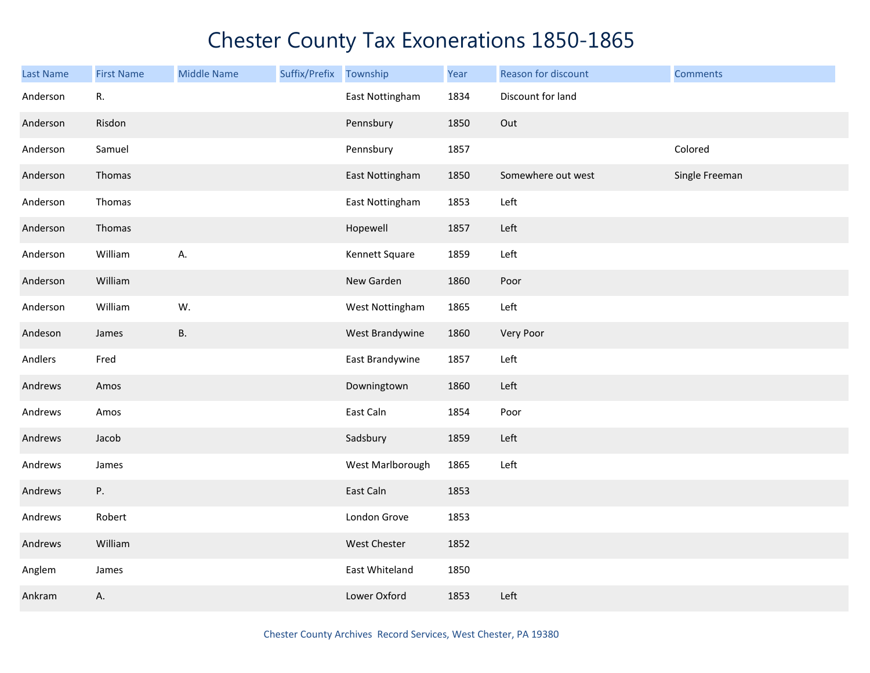| <b>Last Name</b> | <b>First Name</b> | <b>Middle Name</b> | Suffix/Prefix Township |                  | Year | Reason for discount | <b>Comments</b> |
|------------------|-------------------|--------------------|------------------------|------------------|------|---------------------|-----------------|
| Anderson         | R.                |                    |                        | East Nottingham  | 1834 | Discount for land   |                 |
| Anderson         | Risdon            |                    |                        | Pennsbury        | 1850 | Out                 |                 |
| Anderson         | Samuel            |                    |                        | Pennsbury        | 1857 |                     | Colored         |
| Anderson         | Thomas            |                    |                        | East Nottingham  | 1850 | Somewhere out west  | Single Freeman  |
| Anderson         | Thomas            |                    |                        | East Nottingham  | 1853 | Left                |                 |
| Anderson         | Thomas            |                    |                        | Hopewell         | 1857 | Left                |                 |
| Anderson         | William           | А.                 |                        | Kennett Square   | 1859 | Left                |                 |
| Anderson         | William           |                    |                        | New Garden       | 1860 | Poor                |                 |
| Anderson         | William           | W.                 |                        | West Nottingham  | 1865 | Left                |                 |
| Andeson          | James             | <b>B.</b>          |                        | West Brandywine  | 1860 | Very Poor           |                 |
| Andlers          | Fred              |                    |                        | East Brandywine  | 1857 | Left                |                 |
| Andrews          | Amos              |                    |                        | Downingtown      | 1860 | Left                |                 |
| Andrews          | Amos              |                    |                        | East Caln        | 1854 | Poor                |                 |
| Andrews          | Jacob             |                    |                        | Sadsbury         | 1859 | Left                |                 |
| Andrews          | James             |                    |                        | West Marlborough | 1865 | Left                |                 |
| Andrews          | P.                |                    |                        | East Caln        | 1853 |                     |                 |
| Andrews          | Robert            |                    |                        | London Grove     | 1853 |                     |                 |
| Andrews          | William           |                    |                        | West Chester     | 1852 |                     |                 |
| Anglem           | James             |                    |                        | East Whiteland   | 1850 |                     |                 |
| Ankram           | Α.                |                    |                        | Lower Oxford     | 1853 | Left                |                 |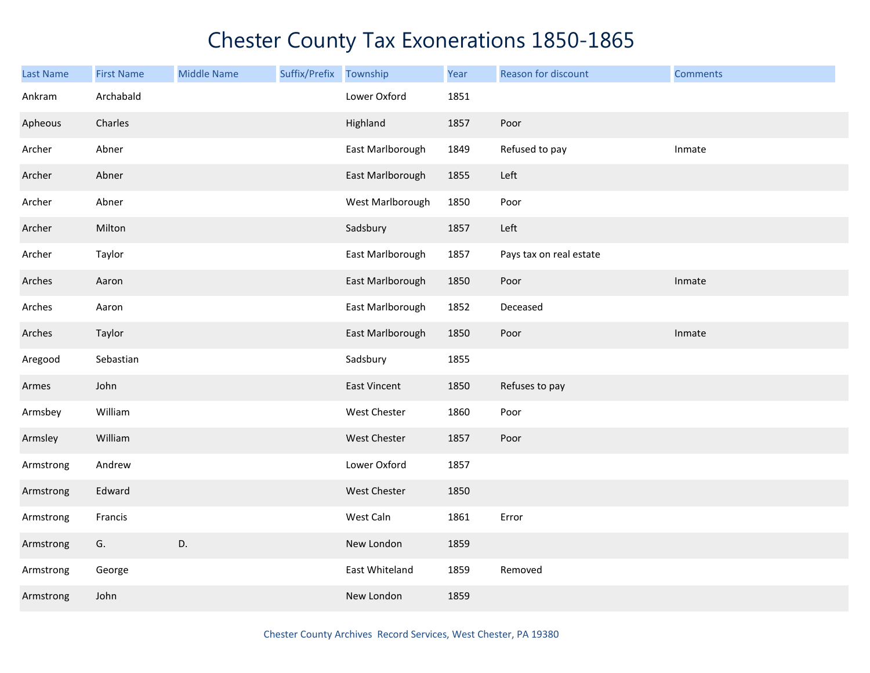| Last Name | <b>First Name</b> | <b>Middle Name</b> | Suffix/Prefix | Township            | Year | Reason for discount     | <b>Comments</b> |
|-----------|-------------------|--------------------|---------------|---------------------|------|-------------------------|-----------------|
| Ankram    | Archabald         |                    |               | Lower Oxford        | 1851 |                         |                 |
| Apheous   | Charles           |                    |               | Highland            | 1857 | Poor                    |                 |
| Archer    | Abner             |                    |               | East Marlborough    | 1849 | Refused to pay          | Inmate          |
| Archer    | Abner             |                    |               | East Marlborough    | 1855 | Left                    |                 |
| Archer    | Abner             |                    |               | West Marlborough    | 1850 | Poor                    |                 |
| Archer    | Milton            |                    |               | Sadsbury            | 1857 | Left                    |                 |
| Archer    | Taylor            |                    |               | East Marlborough    | 1857 | Pays tax on real estate |                 |
| Arches    | Aaron             |                    |               | East Marlborough    | 1850 | Poor                    | Inmate          |
| Arches    | Aaron             |                    |               | East Marlborough    | 1852 | Deceased                |                 |
| Arches    | Taylor            |                    |               | East Marlborough    | 1850 | Poor                    | Inmate          |
| Aregood   | Sebastian         |                    |               | Sadsbury            | 1855 |                         |                 |
| Armes     | John              |                    |               | <b>East Vincent</b> | 1850 | Refuses to pay          |                 |
| Armsbey   | William           |                    |               | West Chester        | 1860 | Poor                    |                 |
| Armsley   | William           |                    |               | West Chester        | 1857 | Poor                    |                 |
| Armstrong | Andrew            |                    |               | Lower Oxford        | 1857 |                         |                 |
| Armstrong | Edward            |                    |               | West Chester        | 1850 |                         |                 |
| Armstrong | Francis           |                    |               | West Caln           | 1861 | Error                   |                 |
| Armstrong | G.                | D.                 |               | New London          | 1859 |                         |                 |
| Armstrong | George            |                    |               | East Whiteland      | 1859 | Removed                 |                 |
| Armstrong | John              |                    |               | New London          | 1859 |                         |                 |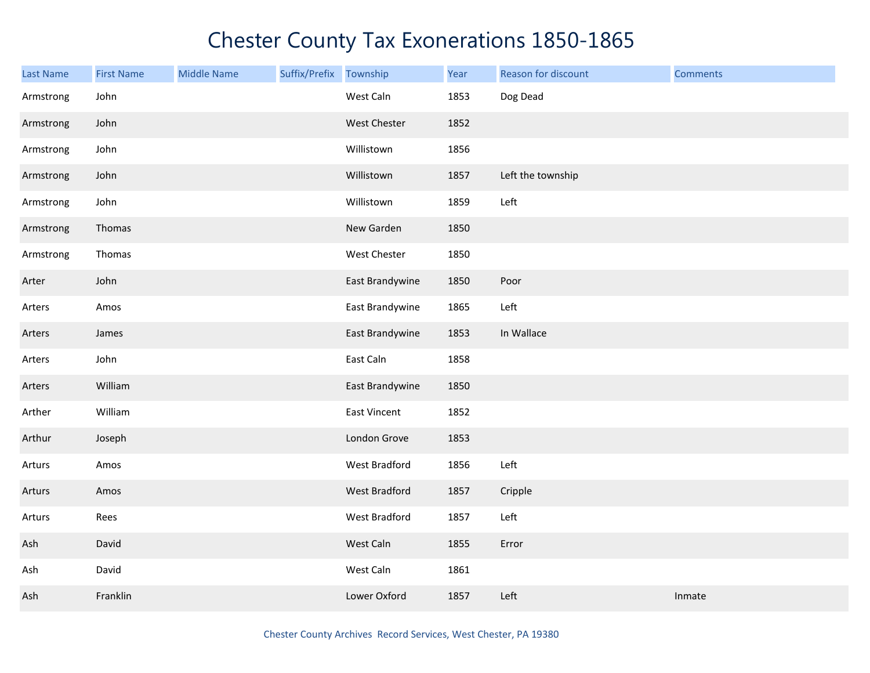| <b>Last Name</b> | <b>First Name</b> | <b>Middle Name</b> | Suffix/Prefix Township |                 | Year | Reason for discount | <b>Comments</b> |
|------------------|-------------------|--------------------|------------------------|-----------------|------|---------------------|-----------------|
| Armstrong        | John              |                    |                        | West Caln       | 1853 | Dog Dead            |                 |
| Armstrong        | John              |                    |                        | West Chester    | 1852 |                     |                 |
| Armstrong        | John              |                    |                        | Willistown      | 1856 |                     |                 |
| Armstrong        | John              |                    |                        | Willistown      | 1857 | Left the township   |                 |
| Armstrong        | John              |                    |                        | Willistown      | 1859 | Left                |                 |
| Armstrong        | Thomas            |                    |                        | New Garden      | 1850 |                     |                 |
| Armstrong        | Thomas            |                    |                        | West Chester    | 1850 |                     |                 |
| Arter            | John              |                    |                        | East Brandywine | 1850 | Poor                |                 |
| Arters           | Amos              |                    |                        | East Brandywine | 1865 | Left                |                 |
| Arters           | James             |                    |                        | East Brandywine | 1853 | In Wallace          |                 |
| Arters           | John              |                    |                        | East Caln       | 1858 |                     |                 |
| Arters           | William           |                    |                        | East Brandywine | 1850 |                     |                 |
| Arther           | William           |                    |                        | East Vincent    | 1852 |                     |                 |
| Arthur           | Joseph            |                    |                        | London Grove    | 1853 |                     |                 |
| Arturs           | Amos              |                    |                        | West Bradford   | 1856 | Left                |                 |
| Arturs           | Amos              |                    |                        | West Bradford   | 1857 | Cripple             |                 |
| Arturs           | Rees              |                    |                        | West Bradford   | 1857 | Left                |                 |
| Ash              | David             |                    |                        | West Caln       | 1855 | Error               |                 |
| Ash              | David             |                    |                        | West Caln       | 1861 |                     |                 |
| Ash              | Franklin          |                    |                        | Lower Oxford    | 1857 | Left                | Inmate          |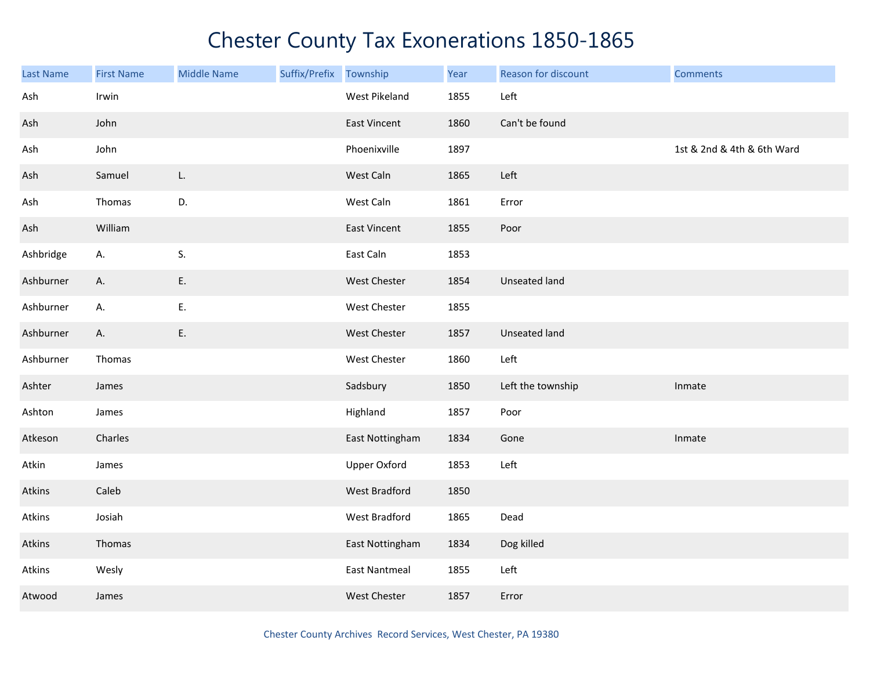| <b>Last Name</b> | <b>First Name</b> | <b>Middle Name</b> | Suffix/Prefix | Township             | Year | Reason for discount  | <b>Comments</b>            |
|------------------|-------------------|--------------------|---------------|----------------------|------|----------------------|----------------------------|
| Ash              | Irwin             |                    |               | West Pikeland        | 1855 | Left                 |                            |
| Ash              | John              |                    |               | <b>East Vincent</b>  | 1860 | Can't be found       |                            |
| Ash              | John              |                    |               | Phoenixville         | 1897 |                      | 1st & 2nd & 4th & 6th Ward |
| Ash              | Samuel            | L.                 |               | West Caln            | 1865 | Left                 |                            |
| Ash              | Thomas            | D.                 |               | West Caln            | 1861 | Error                |                            |
| Ash              | William           |                    |               | East Vincent         | 1855 | Poor                 |                            |
| Ashbridge        | Α.                | S.                 |               | East Caln            | 1853 |                      |                            |
| Ashburner        | А.                | Ε.                 |               | West Chester         | 1854 | Unseated land        |                            |
| Ashburner        | А.                | Ε.                 |               | West Chester         | 1855 |                      |                            |
| Ashburner        | А.                | E.                 |               | West Chester         | 1857 | <b>Unseated land</b> |                            |
| Ashburner        | Thomas            |                    |               | West Chester         | 1860 | Left                 |                            |
| Ashter           | James             |                    |               | Sadsbury             | 1850 | Left the township    | Inmate                     |
| Ashton           | James             |                    |               | Highland             | 1857 | Poor                 |                            |
| Atkeson          | Charles           |                    |               | East Nottingham      | 1834 | Gone                 | Inmate                     |
| Atkin            | James             |                    |               | <b>Upper Oxford</b>  | 1853 | Left                 |                            |
| Atkins           | Caleb             |                    |               | <b>West Bradford</b> | 1850 |                      |                            |
| Atkins           | Josiah            |                    |               | West Bradford        | 1865 | Dead                 |                            |
| Atkins           | Thomas            |                    |               | East Nottingham      | 1834 | Dog killed           |                            |
| Atkins           | Wesly             |                    |               | <b>East Nantmeal</b> | 1855 | Left                 |                            |
| Atwood           | James             |                    |               | <b>West Chester</b>  | 1857 | Error                |                            |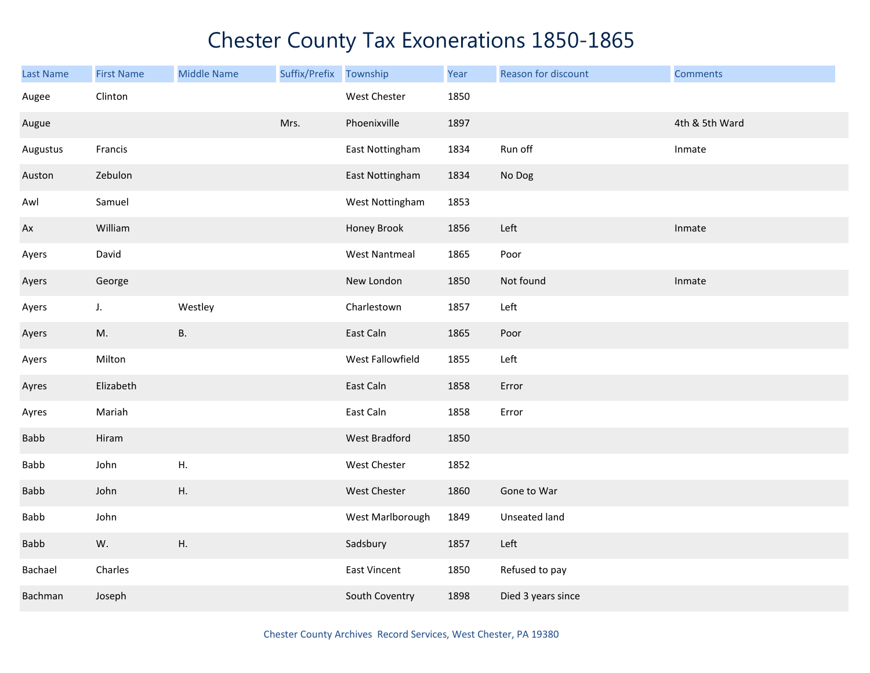| <b>Last Name</b> | <b>First Name</b> | <b>Middle Name</b> | Suffix/Prefix | Township             | Year | Reason for discount | <b>Comments</b> |
|------------------|-------------------|--------------------|---------------|----------------------|------|---------------------|-----------------|
| Augee            | Clinton           |                    |               | West Chester         | 1850 |                     |                 |
| Augue            |                   |                    | Mrs.          | Phoenixville         | 1897 |                     | 4th & 5th Ward  |
| Augustus         | Francis           |                    |               | East Nottingham      | 1834 | Run off             | Inmate          |
| Auston           | Zebulon           |                    |               | East Nottingham      | 1834 | No Dog              |                 |
| Awl              | Samuel            |                    |               | West Nottingham      | 1853 |                     |                 |
| Ax               | William           |                    |               | Honey Brook          | 1856 | Left                | Inmate          |
| Ayers            | David             |                    |               | <b>West Nantmeal</b> | 1865 | Poor                |                 |
| Ayers            | George            |                    |               | New London           | 1850 | Not found           | Inmate          |
| Ayers            | $J_{\star}$       | Westley            |               | Charlestown          | 1857 | Left                |                 |
| Ayers            | M.                | <b>B.</b>          |               | East Caln            | 1865 | Poor                |                 |
| Ayers            | Milton            |                    |               | West Fallowfield     | 1855 | Left                |                 |
| Ayres            | Elizabeth         |                    |               | East Caln            | 1858 | Error               |                 |
| Ayres            | Mariah            |                    |               | East Caln            | 1858 | Error               |                 |
| Babb             | Hiram             |                    |               | <b>West Bradford</b> | 1850 |                     |                 |
| <b>Babb</b>      | John              | Η.                 |               | West Chester         | 1852 |                     |                 |
| Babb             | John              | ${\sf H}.$         |               | West Chester         | 1860 | Gone to War         |                 |
| Babb             | John              |                    |               | West Marlborough     | 1849 | Unseated land       |                 |
| Babb             | W.                | Η.                 |               | Sadsbury             | 1857 | Left                |                 |
| Bachael          | Charles           |                    |               | <b>East Vincent</b>  | 1850 | Refused to pay      |                 |
| Bachman          | Joseph            |                    |               | South Coventry       | 1898 | Died 3 years since  |                 |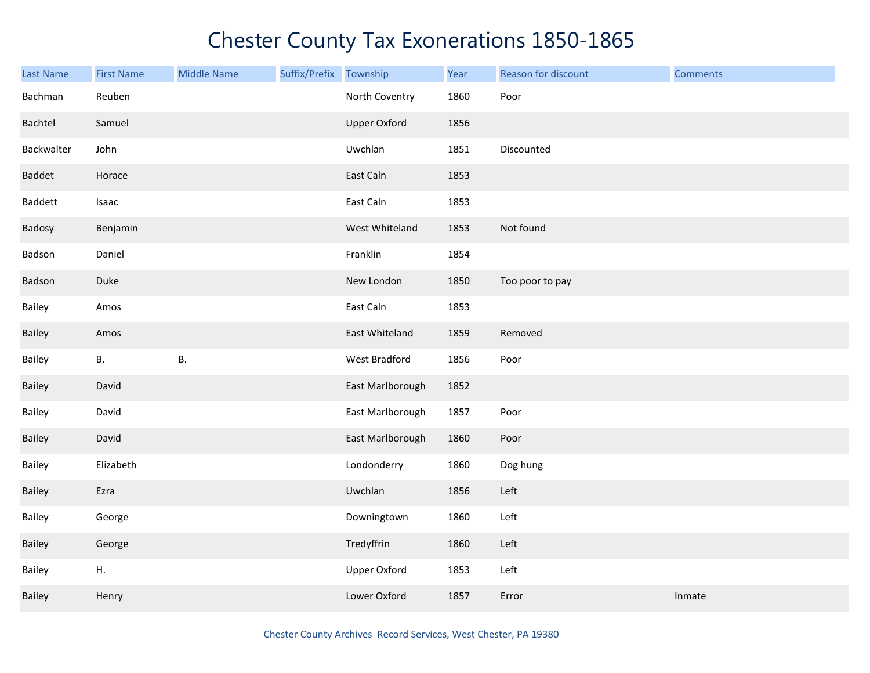| <b>Last Name</b> | <b>First Name</b> | <b>Middle Name</b> | Suffix/Prefix | Township            | Year | Reason for discount | <b>Comments</b> |
|------------------|-------------------|--------------------|---------------|---------------------|------|---------------------|-----------------|
| Bachman          | Reuben            |                    |               | North Coventry      | 1860 | Poor                |                 |
| Bachtel          | Samuel            |                    |               | <b>Upper Oxford</b> | 1856 |                     |                 |
| Backwalter       | John              |                    |               | Uwchlan             | 1851 | Discounted          |                 |
| Baddet           | Horace            |                    |               | East Caln           | 1853 |                     |                 |
| Baddett          | Isaac             |                    |               | East Caln           | 1853 |                     |                 |
| Badosy           | Benjamin          |                    |               | West Whiteland      | 1853 | Not found           |                 |
| Badson           | Daniel            |                    |               | Franklin            | 1854 |                     |                 |
| Badson           | Duke              |                    |               | New London          | 1850 | Too poor to pay     |                 |
| Bailey           | Amos              |                    |               | East Caln           | 1853 |                     |                 |
| Bailey           | Amos              |                    |               | East Whiteland      | 1859 | Removed             |                 |
| Bailey           | <b>B.</b>         | Β.                 |               | West Bradford       | 1856 | Poor                |                 |
| Bailey           | David             |                    |               | East Marlborough    | 1852 |                     |                 |
| Bailey           | David             |                    |               | East Marlborough    | 1857 | Poor                |                 |
| Bailey           | David             |                    |               | East Marlborough    | 1860 | Poor                |                 |
| Bailey           | Elizabeth         |                    |               | Londonderry         | 1860 | Dog hung            |                 |
| Bailey           | Ezra              |                    |               | Uwchlan             | 1856 | Left                |                 |
| Bailey           | George            |                    |               | Downingtown         | 1860 | Left                |                 |
| Bailey           | George            |                    |               | Tredyffrin          | 1860 | Left                |                 |
| Bailey           | Η.                |                    |               | <b>Upper Oxford</b> | 1853 | Left                |                 |
| Bailey           | Henry             |                    |               | Lower Oxford        | 1857 | Error               | Inmate          |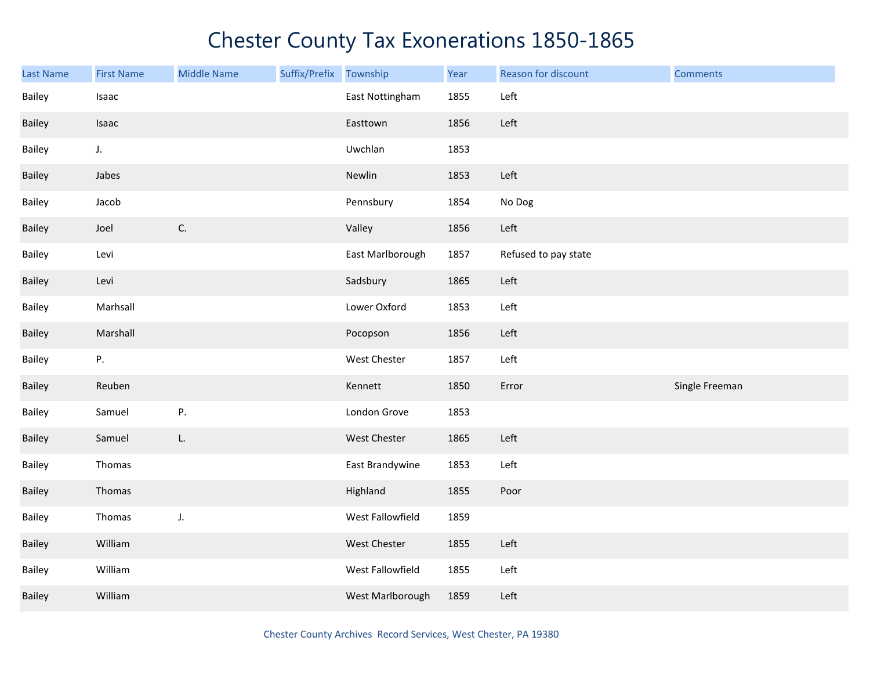| <b>Last Name</b> | <b>First Name</b> | <b>Middle Name</b> | Suffix/Prefix | Township         | Year | Reason for discount  | <b>Comments</b> |
|------------------|-------------------|--------------------|---------------|------------------|------|----------------------|-----------------|
| Bailey           | Isaac             |                    |               | East Nottingham  | 1855 | Left                 |                 |
| Bailey           | Isaac             |                    |               | Easttown         | 1856 | Left                 |                 |
| Bailey           | $J_{\star}$       |                    |               | Uwchlan          | 1853 |                      |                 |
| Bailey           | Jabes             |                    |               | Newlin           | 1853 | Left                 |                 |
| Bailey           | Jacob             |                    |               | Pennsbury        | 1854 | No Dog               |                 |
| Bailey           | Joel              | C.                 |               | Valley           | 1856 | Left                 |                 |
| Bailey           | Levi              |                    |               | East Marlborough | 1857 | Refused to pay state |                 |
| Bailey           | Levi              |                    |               | Sadsbury         | 1865 | Left                 |                 |
| Bailey           | Marhsall          |                    |               | Lower Oxford     | 1853 | Left                 |                 |
| Bailey           | Marshall          |                    |               | Pocopson         | 1856 | Left                 |                 |
| Bailey           | Ρ.                |                    |               | West Chester     | 1857 | Left                 |                 |
| Bailey           | Reuben            |                    |               | Kennett          | 1850 | Error                | Single Freeman  |
| Bailey           | Samuel            | Ρ.                 |               | London Grove     | 1853 |                      |                 |
| Bailey           | Samuel            | L.                 |               | West Chester     | 1865 | Left                 |                 |
| Bailey           | Thomas            |                    |               | East Brandywine  | 1853 | Left                 |                 |
| Bailey           | Thomas            |                    |               | Highland         | 1855 | Poor                 |                 |
| Bailey           | Thomas            | J.                 |               | West Fallowfield | 1859 |                      |                 |
| Bailey           | William           |                    |               | West Chester     | 1855 | Left                 |                 |
| Bailey           | William           |                    |               | West Fallowfield | 1855 | Left                 |                 |
| Bailey           | William           |                    |               | West Marlborough | 1859 | Left                 |                 |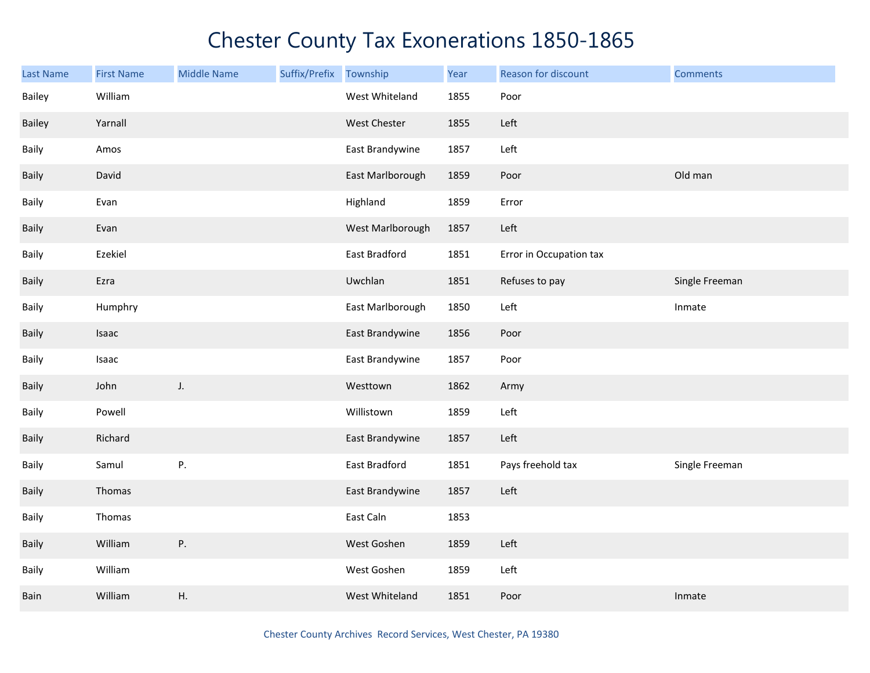| <b>Last Name</b> | <b>First Name</b> | <b>Middle Name</b> | Suffix/Prefix | Township         | Year | Reason for discount     | <b>Comments</b> |
|------------------|-------------------|--------------------|---------------|------------------|------|-------------------------|-----------------|
| Bailey           | William           |                    |               | West Whiteland   | 1855 | Poor                    |                 |
| Bailey           | Yarnall           |                    |               | West Chester     | 1855 | Left                    |                 |
| Baily            | Amos              |                    |               | East Brandywine  | 1857 | Left                    |                 |
| Baily            | David             |                    |               | East Marlborough | 1859 | Poor                    | Old man         |
| Baily            | Evan              |                    |               | Highland         | 1859 | Error                   |                 |
| Baily            | Evan              |                    |               | West Marlborough | 1857 | Left                    |                 |
| Baily            | Ezekiel           |                    |               | East Bradford    | 1851 | Error in Occupation tax |                 |
| Baily            | Ezra              |                    |               | Uwchlan          | 1851 | Refuses to pay          | Single Freeman  |
| Baily            | Humphry           |                    |               | East Marlborough | 1850 | Left                    | Inmate          |
| Baily            | Isaac             |                    |               | East Brandywine  | 1856 | Poor                    |                 |
| Baily            | Isaac             |                    |               | East Brandywine  | 1857 | Poor                    |                 |
| Baily            | John              | J.                 |               | Westtown         | 1862 | Army                    |                 |
| Baily            | Powell            |                    |               | Willistown       | 1859 | Left                    |                 |
| Baily            | Richard           |                    |               | East Brandywine  | 1857 | Left                    |                 |
| Baily            | Samul             | P.                 |               | East Bradford    | 1851 | Pays freehold tax       | Single Freeman  |
| Baily            | Thomas            |                    |               | East Brandywine  | 1857 | Left                    |                 |
| Baily            | Thomas            |                    |               | East Caln        | 1853 |                         |                 |
| Baily            | William           | ${\sf P}.$         |               | West Goshen      | 1859 | Left                    |                 |
| Baily            | William           |                    |               | West Goshen      | 1859 | Left                    |                 |
| Bain             | William           | Η.                 |               | West Whiteland   | 1851 | Poor                    | Inmate          |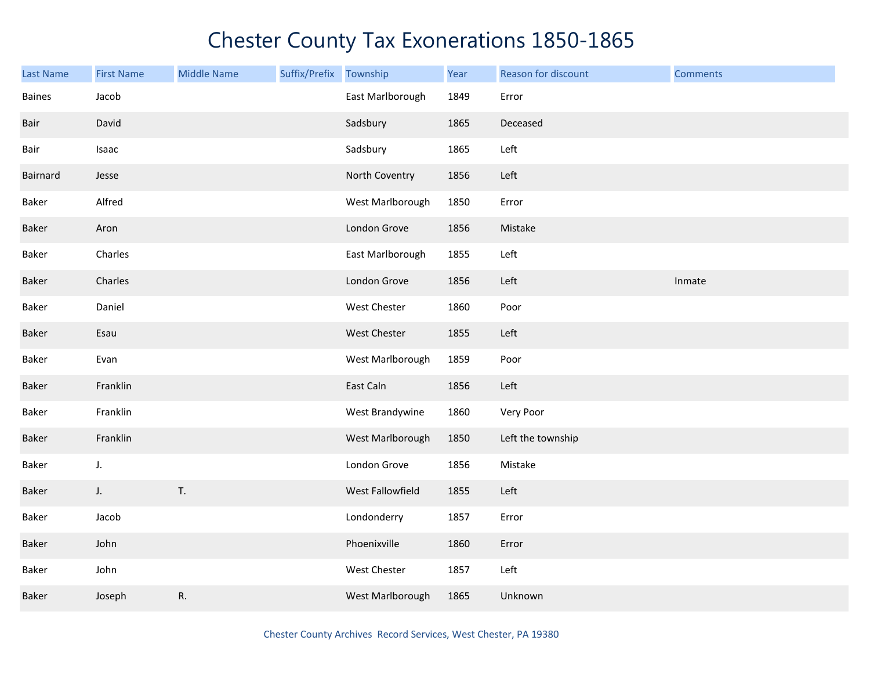| <b>Last Name</b> | <b>First Name</b> | <b>Middle Name</b> | Suffix/Prefix | Township         | Year | Reason for discount | <b>Comments</b> |
|------------------|-------------------|--------------------|---------------|------------------|------|---------------------|-----------------|
| <b>Baines</b>    | Jacob             |                    |               | East Marlborough | 1849 | Error               |                 |
| Bair             | David             |                    |               | Sadsbury         | 1865 | Deceased            |                 |
| Bair             | Isaac             |                    |               | Sadsbury         | 1865 | Left                |                 |
| Bairnard         | Jesse             |                    |               | North Coventry   | 1856 | Left                |                 |
| Baker            | Alfred            |                    |               | West Marlborough | 1850 | Error               |                 |
| Baker            | Aron              |                    |               | London Grove     | 1856 | Mistake             |                 |
| Baker            | Charles           |                    |               | East Marlborough | 1855 | Left                |                 |
| Baker            | Charles           |                    |               | London Grove     | 1856 | Left                | Inmate          |
| Baker            | Daniel            |                    |               | West Chester     | 1860 | Poor                |                 |
| Baker            | Esau              |                    |               | West Chester     | 1855 | Left                |                 |
| Baker            | Evan              |                    |               | West Marlborough | 1859 | Poor                |                 |
| Baker            | Franklin          |                    |               | East Caln        | 1856 | Left                |                 |
| Baker            | Franklin          |                    |               | West Brandywine  | 1860 | Very Poor           |                 |
| Baker            | Franklin          |                    |               | West Marlborough | 1850 | Left the township   |                 |
| Baker            | $J_{\star}$       |                    |               | London Grove     | 1856 | Mistake             |                 |
| Baker            | J.                | T.                 |               | West Fallowfield | 1855 | Left                |                 |
| Baker            | Jacob             |                    |               | Londonderry      | 1857 | Error               |                 |
| Baker            | John              |                    |               | Phoenixville     | 1860 | Error               |                 |
| Baker            | John              |                    |               | West Chester     | 1857 | Left                |                 |
| Baker            | Joseph            | R.                 |               | West Marlborough | 1865 | Unknown             |                 |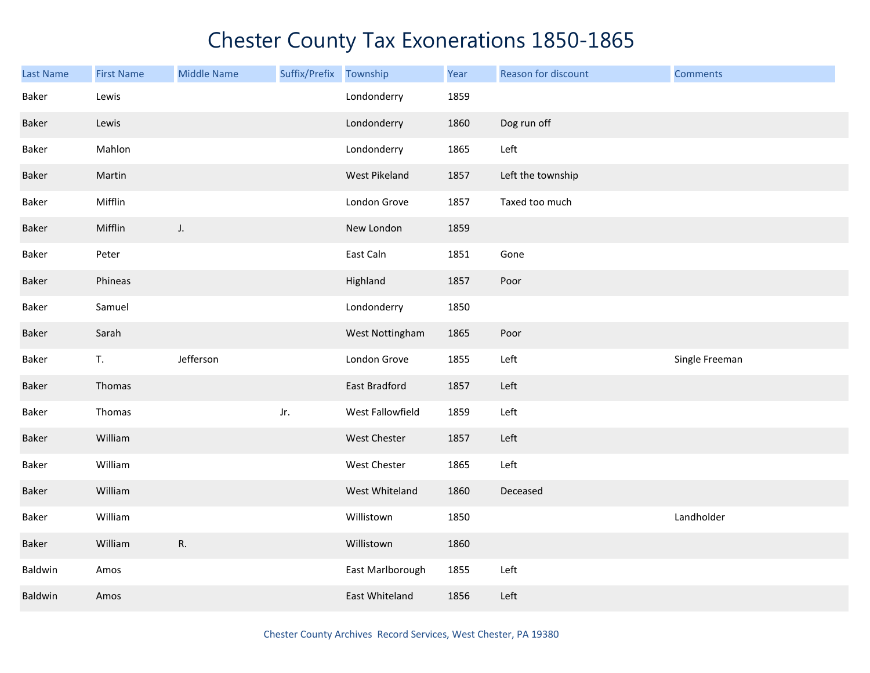| <b>Last Name</b> | <b>First Name</b> | <b>Middle Name</b> | Suffix/Prefix | Township             | Year | Reason for discount | <b>Comments</b> |
|------------------|-------------------|--------------------|---------------|----------------------|------|---------------------|-----------------|
| Baker            | Lewis             |                    |               | Londonderry          | 1859 |                     |                 |
| Baker            | Lewis             |                    |               | Londonderry          | 1860 | Dog run off         |                 |
| Baker            | Mahlon            |                    |               | Londonderry          | 1865 | Left                |                 |
| Baker            | Martin            |                    |               | West Pikeland        | 1857 | Left the township   |                 |
| Baker            | Mifflin           |                    |               | London Grove         | 1857 | Taxed too much      |                 |
| Baker            | Mifflin           | J.                 |               | New London           | 1859 |                     |                 |
| Baker            | Peter             |                    |               | East Caln            | 1851 | Gone                |                 |
| Baker            | Phineas           |                    |               | Highland             | 1857 | Poor                |                 |
| Baker            | Samuel            |                    |               | Londonderry          | 1850 |                     |                 |
| Baker            | Sarah             |                    |               | West Nottingham      | 1865 | Poor                |                 |
| Baker            | T.                | Jefferson          |               | London Grove         | 1855 | Left                | Single Freeman  |
| Baker            | Thomas            |                    |               | <b>East Bradford</b> | 1857 | Left                |                 |
| Baker            | Thomas            |                    | Jr.           | West Fallowfield     | 1859 | Left                |                 |
| Baker            | William           |                    |               | <b>West Chester</b>  | 1857 | Left                |                 |
| Baker            | William           |                    |               | West Chester         | 1865 | Left                |                 |
| Baker            | William           |                    |               | West Whiteland       | 1860 | Deceased            |                 |
| Baker            | William           |                    |               | Willistown           | 1850 |                     | Landholder      |
| Baker            | William           | R.                 |               | Willistown           | 1860 |                     |                 |
| Baldwin          | Amos              |                    |               | East Marlborough     | 1855 | Left                |                 |
| Baldwin          | Amos              |                    |               | East Whiteland       | 1856 | Left                |                 |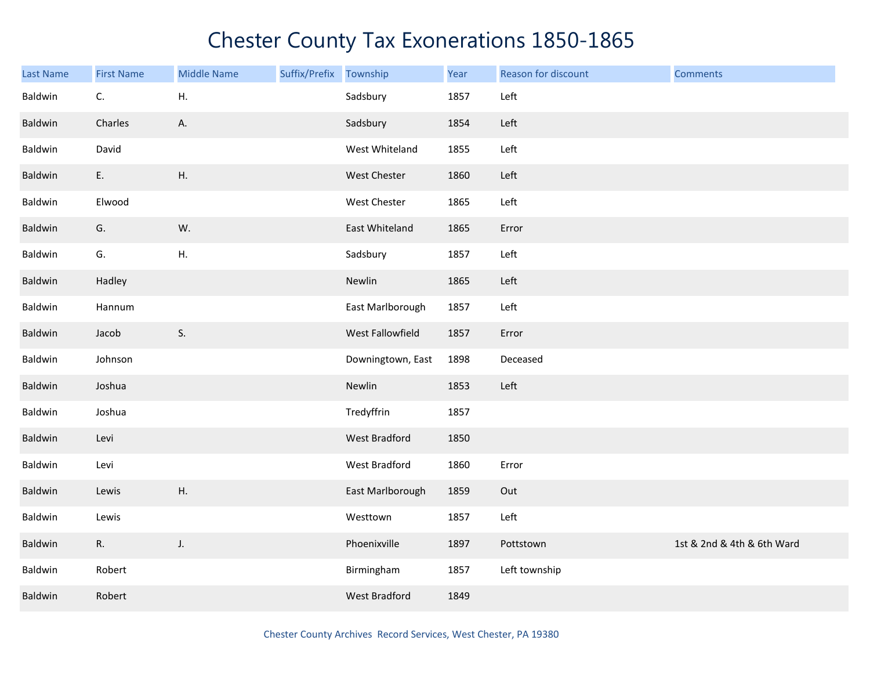| Last Name | <b>First Name</b> | <b>Middle Name</b> | Suffix/Prefix | Township             | Year | Reason for discount | <b>Comments</b>            |
|-----------|-------------------|--------------------|---------------|----------------------|------|---------------------|----------------------------|
| Baldwin   | C.                | Η.                 |               | Sadsbury             | 1857 | Left                |                            |
| Baldwin   | Charles           | Α.                 |               | Sadsbury             | 1854 | Left                |                            |
| Baldwin   | David             |                    |               | West Whiteland       | 1855 | Left                |                            |
| Baldwin   | E.                | Η.                 |               | West Chester         | 1860 | Left                |                            |
| Baldwin   | Elwood            |                    |               | West Chester         | 1865 | Left                |                            |
| Baldwin   | G.                | W.                 |               | East Whiteland       | 1865 | Error               |                            |
| Baldwin   | G.                | Η.                 |               | Sadsbury             | 1857 | Left                |                            |
| Baldwin   | Hadley            |                    |               | Newlin               | 1865 | Left                |                            |
| Baldwin   | Hannum            |                    |               | East Marlborough     | 1857 | Left                |                            |
| Baldwin   | Jacob             | S.                 |               | West Fallowfield     | 1857 | Error               |                            |
| Baldwin   | Johnson           |                    |               | Downingtown, East    | 1898 | Deceased            |                            |
| Baldwin   | Joshua            |                    |               | Newlin               | 1853 | Left                |                            |
| Baldwin   | Joshua            |                    |               | Tredyffrin           | 1857 |                     |                            |
| Baldwin   | Levi              |                    |               | West Bradford        | 1850 |                     |                            |
| Baldwin   | Levi              |                    |               | West Bradford        | 1860 | Error               |                            |
| Baldwin   | Lewis             | Η.                 |               | East Marlborough     | 1859 | Out                 |                            |
| Baldwin   | Lewis             |                    |               | Westtown             | 1857 | Left                |                            |
| Baldwin   | R.                | J.                 |               | Phoenixville         | 1897 | Pottstown           | 1st & 2nd & 4th & 6th Ward |
| Baldwin   | Robert            |                    |               | Birmingham           | 1857 | Left township       |                            |
| Baldwin   | Robert            |                    |               | <b>West Bradford</b> | 1849 |                     |                            |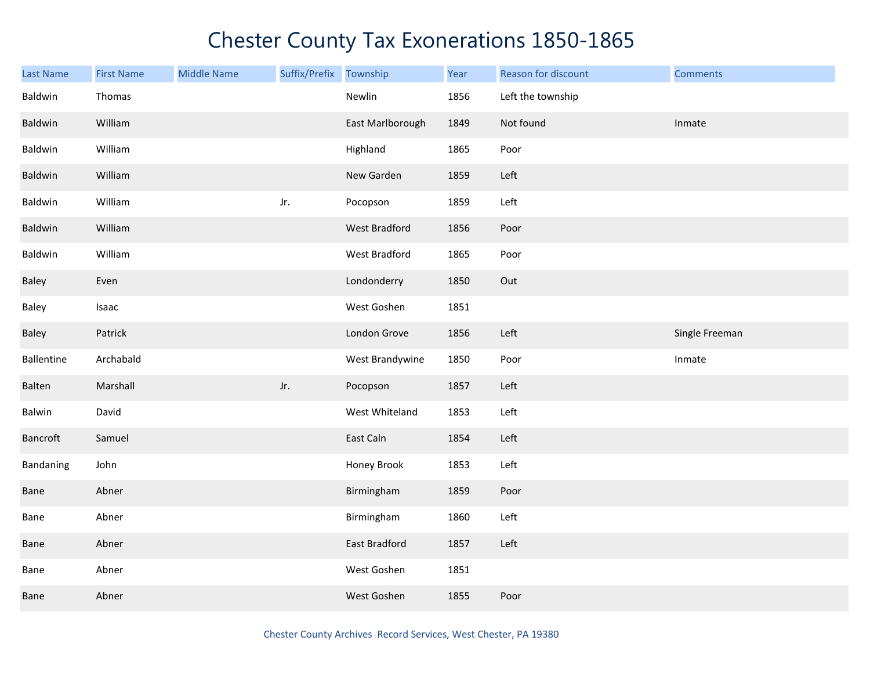| <b>Last Name</b> | <b>First Name</b> | <b>Middle Name</b> | Suffix/Prefix | Township         | Year | Reason for discount | <b>Comments</b> |
|------------------|-------------------|--------------------|---------------|------------------|------|---------------------|-----------------|
| Baldwin          | Thomas            |                    |               | Newlin           | 1856 | Left the township   |                 |
| Baldwin          | William           |                    |               | East Marlborough | 1849 | Not found           | Inmate          |
| Baldwin          | William           |                    |               | Highland         | 1865 | Poor                |                 |
| Baldwin          | William           |                    |               | New Garden       | 1859 | Left                |                 |
| Baldwin          | William           |                    | Jr.           | Pocopson         | 1859 | Left                |                 |
| Baldwin          | William           |                    |               | West Bradford    | 1856 | Poor                |                 |
| Baldwin          | William           |                    |               | West Bradford    | 1865 | Poor                |                 |
| Baley            | Even              |                    |               | Londonderry      | 1850 | Out                 |                 |
| Baley            | Isaac             |                    |               | West Goshen      | 1851 |                     |                 |
| Baley            | Patrick           |                    |               | London Grove     | 1856 | Left                | Single Freeman  |
| Ballentine       | Archabald         |                    |               | West Brandywine  | 1850 | Poor                | Inmate          |
| Balten           | Marshall          |                    | Jr.           | Pocopson         | 1857 | Left                |                 |
| Balwin           | David             |                    |               | West Whiteland   | 1853 | Left                |                 |
| Bancroft         | Samuel            |                    |               | East Caln        | 1854 | Left                |                 |
| Bandaning        | John              |                    |               | Honey Brook      | 1853 | Left                |                 |
| Bane             | Abner             |                    |               | Birmingham       | 1859 | Poor                |                 |
| Bane             | Abner             |                    |               | Birmingham       | 1860 | Left                |                 |
| Bane             | Abner             |                    |               | East Bradford    | 1857 | Left                |                 |
| Bane             | Abner             |                    |               | West Goshen      | 1851 |                     |                 |
| Bane             | Abner             |                    |               | West Goshen      | 1855 | Poor                |                 |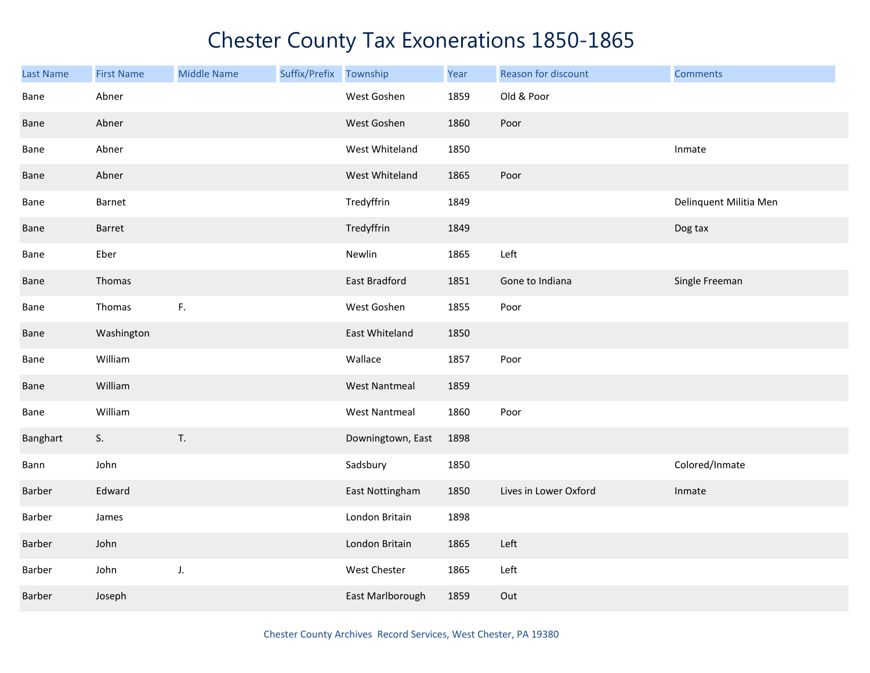| <b>Last Name</b> | <b>First Name</b> | <b>Middle Name</b> | Suffix/Prefix Township |                      | Year | Reason for discount   | <b>Comments</b>        |
|------------------|-------------------|--------------------|------------------------|----------------------|------|-----------------------|------------------------|
| Bane             | Abner             |                    |                        | West Goshen          | 1859 | Old & Poor            |                        |
| Bane             | Abner             |                    |                        | West Goshen          | 1860 | Poor                  |                        |
| Bane             | Abner             |                    |                        | West Whiteland       | 1850 |                       | Inmate                 |
| Bane             | Abner             |                    |                        | West Whiteland       | 1865 | Poor                  |                        |
| Bane             | Barnet            |                    |                        | Tredyffrin           | 1849 |                       | Delinquent Militia Men |
| Bane             | Barret            |                    |                        | Tredyffrin           | 1849 |                       | Dog tax                |
| Bane             | Eber              |                    |                        | Newlin               | 1865 | Left                  |                        |
| Bane             | Thomas            |                    |                        | East Bradford        | 1851 | Gone to Indiana       | Single Freeman         |
| Bane             | Thomas            | F.                 |                        | West Goshen          | 1855 | Poor                  |                        |
| Bane             | Washington        |                    |                        | East Whiteland       | 1850 |                       |                        |
| Bane             | William           |                    |                        | Wallace              | 1857 | Poor                  |                        |
| Bane             | William           |                    |                        | <b>West Nantmeal</b> | 1859 |                       |                        |
| Bane             | William           |                    |                        | <b>West Nantmeal</b> | 1860 | Poor                  |                        |
| Banghart         | S.                | T.                 |                        | Downingtown, East    | 1898 |                       |                        |
| Bann             | John              |                    |                        | Sadsbury             | 1850 |                       | Colored/Inmate         |
| Barber           | Edward            |                    |                        | East Nottingham      | 1850 | Lives in Lower Oxford | Inmate                 |
| Barber           | James             |                    |                        | London Britain       | 1898 |                       |                        |
| Barber           | John              |                    |                        | London Britain       | 1865 | Left                  |                        |
| Barber           | John              | J.                 |                        | West Chester         | 1865 | Left                  |                        |
| Barber           | Joseph            |                    |                        | East Marlborough     | 1859 | Out                   |                        |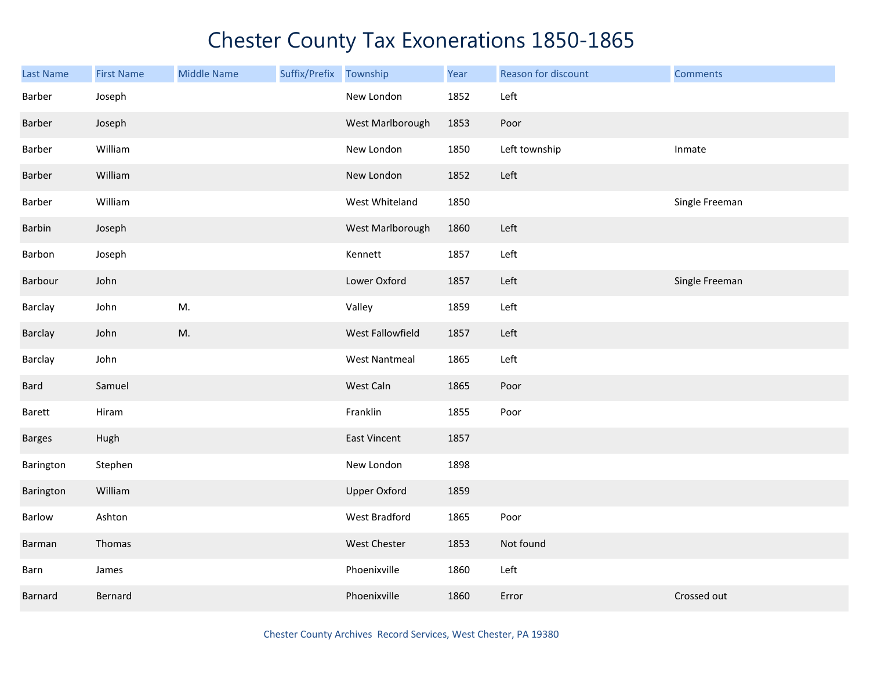| Last Name     | <b>First Name</b> | <b>Middle Name</b> | Suffix/Prefix Township |                      | Year | Reason for discount | <b>Comments</b> |
|---------------|-------------------|--------------------|------------------------|----------------------|------|---------------------|-----------------|
| Barber        | Joseph            |                    |                        | New London           | 1852 | Left                |                 |
| Barber        | Joseph            |                    |                        | West Marlborough     | 1853 | Poor                |                 |
| Barber        | William           |                    |                        | New London           | 1850 | Left township       | Inmate          |
| Barber        | William           |                    |                        | New London           | 1852 | Left                |                 |
| Barber        | William           |                    |                        | West Whiteland       | 1850 |                     | Single Freeman  |
| Barbin        | Joseph            |                    |                        | West Marlborough     | 1860 | Left                |                 |
| Barbon        | Joseph            |                    |                        | Kennett              | 1857 | Left                |                 |
| Barbour       | John              |                    |                        | Lower Oxford         | 1857 | Left                | Single Freeman  |
| Barclay       | John              | M.                 |                        | Valley               | 1859 | Left                |                 |
| Barclay       | John              | M.                 |                        | West Fallowfield     | 1857 | Left                |                 |
| Barclay       | John              |                    |                        | <b>West Nantmeal</b> | 1865 | Left                |                 |
| Bard          | Samuel            |                    |                        | West Caln            | 1865 | Poor                |                 |
| Barett        | Hiram             |                    |                        | Franklin             | 1855 | Poor                |                 |
| <b>Barges</b> | Hugh              |                    |                        | <b>East Vincent</b>  | 1857 |                     |                 |
| Barington     | Stephen           |                    |                        | New London           | 1898 |                     |                 |
| Barington     | William           |                    |                        | <b>Upper Oxford</b>  | 1859 |                     |                 |
| Barlow        | Ashton            |                    |                        | West Bradford        | 1865 | Poor                |                 |
| Barman        | Thomas            |                    |                        | <b>West Chester</b>  | 1853 | Not found           |                 |
| Barn          | James             |                    |                        | Phoenixville         | 1860 | Left                |                 |
| Barnard       | Bernard           |                    |                        | Phoenixville         | 1860 | Error               | Crossed out     |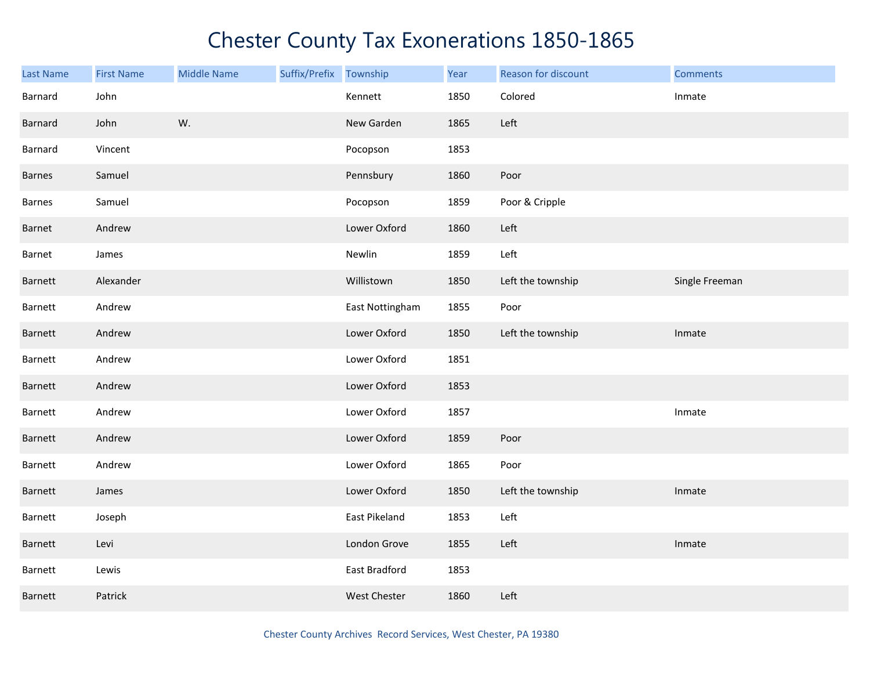| <b>Last Name</b> | <b>First Name</b> | <b>Middle Name</b> | Suffix/Prefix Township |                     | Year | Reason for discount | <b>Comments</b> |
|------------------|-------------------|--------------------|------------------------|---------------------|------|---------------------|-----------------|
| Barnard          | John              |                    |                        | Kennett             | 1850 | Colored             | Inmate          |
| Barnard          | John              | W.                 |                        | New Garden          | 1865 | Left                |                 |
| Barnard          | Vincent           |                    |                        | Pocopson            | 1853 |                     |                 |
| <b>Barnes</b>    | Samuel            |                    |                        | Pennsbury           | 1860 | Poor                |                 |
| Barnes           | Samuel            |                    |                        | Pocopson            | 1859 | Poor & Cripple      |                 |
| Barnet           | Andrew            |                    |                        | Lower Oxford        | 1860 | Left                |                 |
| Barnet           | James             |                    |                        | Newlin              | 1859 | Left                |                 |
| Barnett          | Alexander         |                    |                        | Willistown          | 1850 | Left the township   | Single Freeman  |
| Barnett          | Andrew            |                    |                        | East Nottingham     | 1855 | Poor                |                 |
| Barnett          | Andrew            |                    |                        | Lower Oxford        | 1850 | Left the township   | Inmate          |
| Barnett          | Andrew            |                    |                        | Lower Oxford        | 1851 |                     |                 |
| Barnett          | Andrew            |                    |                        | Lower Oxford        | 1853 |                     |                 |
| Barnett          | Andrew            |                    |                        | Lower Oxford        | 1857 |                     | Inmate          |
| Barnett          | Andrew            |                    |                        | Lower Oxford        | 1859 | Poor                |                 |
| Barnett          | Andrew            |                    |                        | Lower Oxford        | 1865 | Poor                |                 |
| Barnett          | James             |                    |                        | Lower Oxford        | 1850 | Left the township   | Inmate          |
| Barnett          | Joseph            |                    |                        | East Pikeland       | 1853 | Left                |                 |
| Barnett          | Levi              |                    |                        | London Grove        | 1855 | Left                | Inmate          |
| Barnett          | Lewis             |                    |                        | East Bradford       | 1853 |                     |                 |
| Barnett          | Patrick           |                    |                        | <b>West Chester</b> | 1860 | Left                |                 |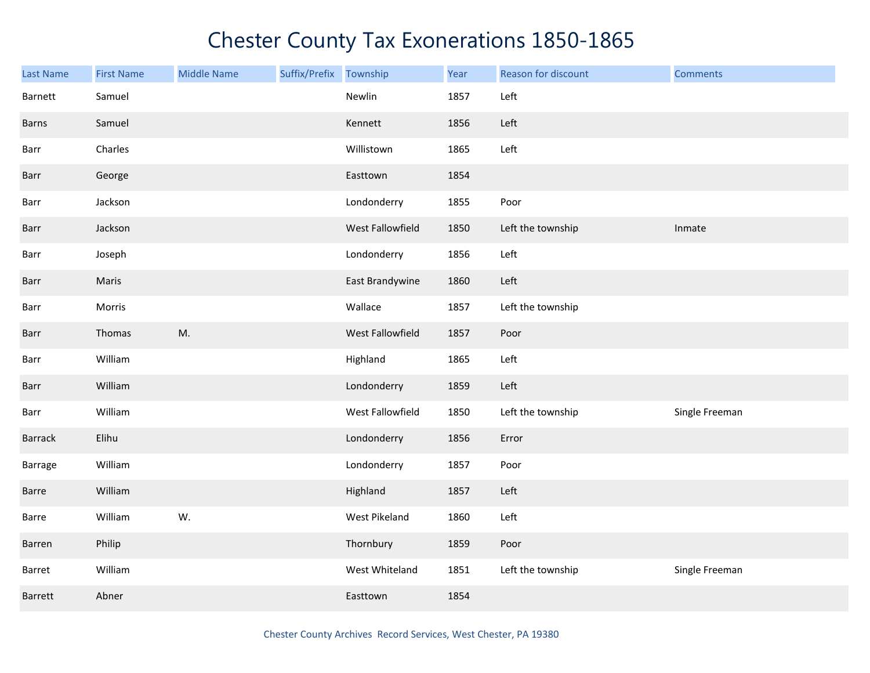| <b>Last Name</b> | <b>First Name</b> | <b>Middle Name</b> | Suffix/Prefix | Township         | Year | Reason for discount | <b>Comments</b> |
|------------------|-------------------|--------------------|---------------|------------------|------|---------------------|-----------------|
| Barnett          | Samuel            |                    |               | Newlin           | 1857 | Left                |                 |
| Barns            | Samuel            |                    |               | Kennett          | 1856 | Left                |                 |
| Barr             | Charles           |                    |               | Willistown       | 1865 | Left                |                 |
| Barr             | George            |                    |               | Easttown         | 1854 |                     |                 |
| Barr             | Jackson           |                    |               | Londonderry      | 1855 | Poor                |                 |
| Barr             | Jackson           |                    |               | West Fallowfield | 1850 | Left the township   | Inmate          |
| Barr             | Joseph            |                    |               | Londonderry      | 1856 | Left                |                 |
| Barr             | Maris             |                    |               | East Brandywine  | 1860 | Left                |                 |
| Barr             | Morris            |                    |               | Wallace          | 1857 | Left the township   |                 |
| Barr             | Thomas            | M.                 |               | West Fallowfield | 1857 | Poor                |                 |
| Barr             | William           |                    |               | Highland         | 1865 | Left                |                 |
| Barr             | William           |                    |               | Londonderry      | 1859 | Left                |                 |
| Barr             | William           |                    |               | West Fallowfield | 1850 | Left the township   | Single Freeman  |
| Barrack          | Elihu             |                    |               | Londonderry      | 1856 | Error               |                 |
| Barrage          | William           |                    |               | Londonderry      | 1857 | Poor                |                 |
| Barre            | William           |                    |               | Highland         | 1857 | Left                |                 |
| Barre            | William           | W.                 |               | West Pikeland    | 1860 | Left                |                 |
| Barren           | Philip            |                    |               | Thornbury        | 1859 | Poor                |                 |
| Barret           | William           |                    |               | West Whiteland   | 1851 | Left the township   | Single Freeman  |
| Barrett          | Abner             |                    |               | Easttown         | 1854 |                     |                 |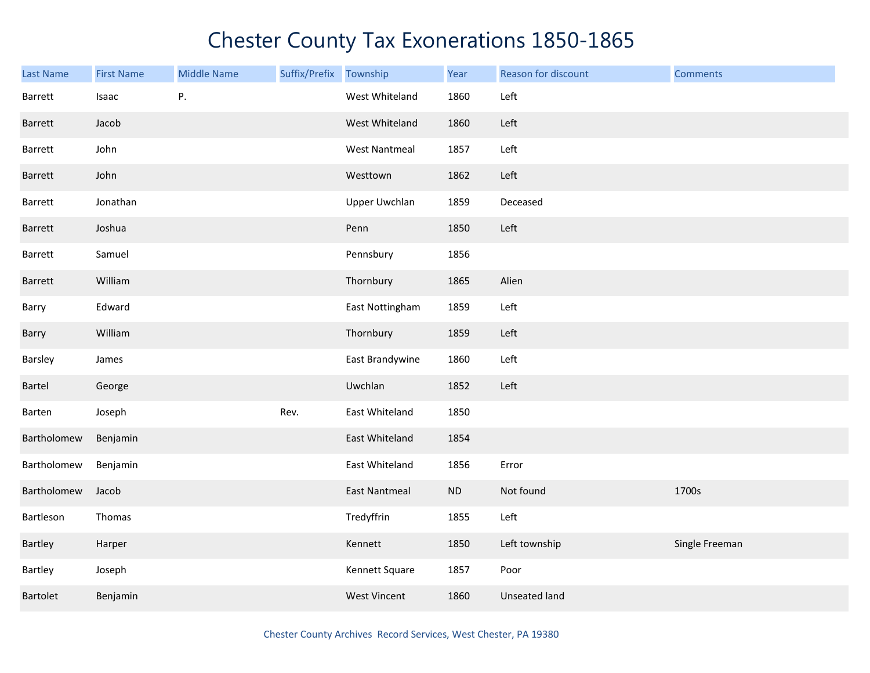| Last Name   | <b>First Name</b> | <b>Middle Name</b> | Suffix/Prefix | Township             | Year     | Reason for discount | <b>Comments</b> |
|-------------|-------------------|--------------------|---------------|----------------------|----------|---------------------|-----------------|
| Barrett     | Isaac             | Ρ.                 |               | West Whiteland       | 1860     | Left                |                 |
| Barrett     | Jacob             |                    |               | West Whiteland       | 1860     | Left                |                 |
| Barrett     | John              |                    |               | <b>West Nantmeal</b> | 1857     | Left                |                 |
| Barrett     | John              |                    |               | Westtown             | 1862     | Left                |                 |
| Barrett     | Jonathan          |                    |               | Upper Uwchlan        | 1859     | Deceased            |                 |
| Barrett     | Joshua            |                    |               | Penn                 | 1850     | Left                |                 |
| Barrett     | Samuel            |                    |               | Pennsbury            | 1856     |                     |                 |
| Barrett     | William           |                    |               | Thornbury            | 1865     | Alien               |                 |
| Barry       | Edward            |                    |               | East Nottingham      | 1859     | Left                |                 |
| Barry       | William           |                    |               | Thornbury            | 1859     | Left                |                 |
| Barsley     | James             |                    |               | East Brandywine      | 1860     | Left                |                 |
| Bartel      | George            |                    |               | Uwchlan              | 1852     | Left                |                 |
| Barten      | Joseph            |                    | Rev.          | East Whiteland       | 1850     |                     |                 |
| Bartholomew | Benjamin          |                    |               | East Whiteland       | 1854     |                     |                 |
| Bartholomew | Benjamin          |                    |               | East Whiteland       | 1856     | Error               |                 |
| Bartholomew | Jacob             |                    |               | <b>East Nantmeal</b> | $\sf ND$ | Not found           | 1700s           |
| Bartleson   | Thomas            |                    |               | Tredyffrin           | 1855     | Left                |                 |
| Bartley     | Harper            |                    |               | Kennett              | 1850     | Left township       | Single Freeman  |
| Bartley     | Joseph            |                    |               | Kennett Square       | 1857     | Poor                |                 |
| Bartolet    | Benjamin          |                    |               | <b>West Vincent</b>  | 1860     | Unseated land       |                 |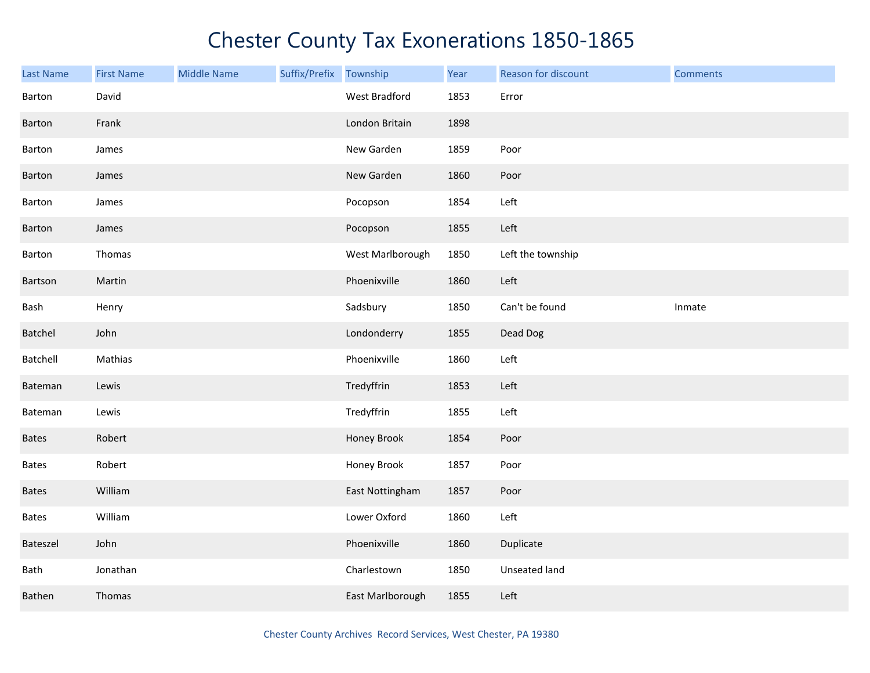| <b>Last Name</b> | <b>First Name</b> | <b>Middle Name</b> | Suffix/Prefix | Township         | Year | Reason for discount | <b>Comments</b> |
|------------------|-------------------|--------------------|---------------|------------------|------|---------------------|-----------------|
| Barton           | David             |                    |               | West Bradford    | 1853 | Error               |                 |
| Barton           | Frank             |                    |               | London Britain   | 1898 |                     |                 |
| Barton           | James             |                    |               | New Garden       | 1859 | Poor                |                 |
| Barton           | James             |                    |               | New Garden       | 1860 | Poor                |                 |
| Barton           | James             |                    |               | Pocopson         | 1854 | Left                |                 |
| Barton           | James             |                    |               | Pocopson         | 1855 | Left                |                 |
| Barton           | Thomas            |                    |               | West Marlborough | 1850 | Left the township   |                 |
| Bartson          | Martin            |                    |               | Phoenixville     | 1860 | Left                |                 |
| Bash             | Henry             |                    |               | Sadsbury         | 1850 | Can't be found      | Inmate          |
| Batchel          | John              |                    |               | Londonderry      | 1855 | Dead Dog            |                 |
| Batchell         | Mathias           |                    |               | Phoenixville     | 1860 | Left                |                 |
| Bateman          | Lewis             |                    |               | Tredyffrin       | 1853 | Left                |                 |
| Bateman          | Lewis             |                    |               | Tredyffrin       | 1855 | Left                |                 |
| <b>Bates</b>     | Robert            |                    |               | Honey Brook      | 1854 | Poor                |                 |
| Bates            | Robert            |                    |               | Honey Brook      | 1857 | Poor                |                 |
| <b>Bates</b>     | William           |                    |               | East Nottingham  | 1857 | Poor                |                 |
| <b>Bates</b>     | William           |                    |               | Lower Oxford     | 1860 | Left                |                 |
| Bateszel         | John              |                    |               | Phoenixville     | 1860 | Duplicate           |                 |
| Bath             | Jonathan          |                    |               | Charlestown      | 1850 | Unseated land       |                 |
| Bathen           | Thomas            |                    |               | East Marlborough | 1855 | Left                |                 |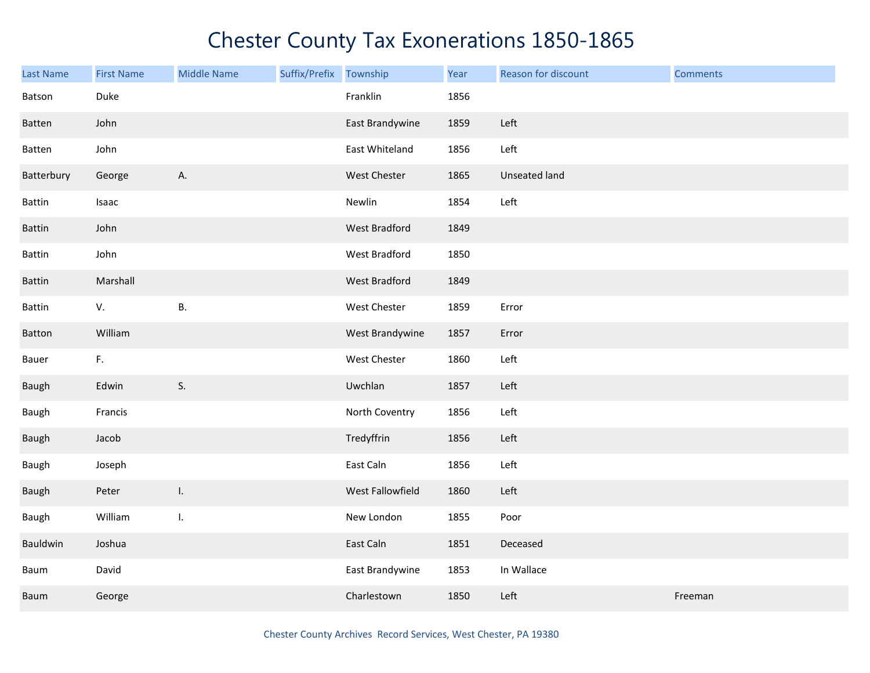| Last Name     | <b>First Name</b> | <b>Middle Name</b> | Suffix/Prefix Township |                      | Year | Reason for discount | <b>Comments</b> |
|---------------|-------------------|--------------------|------------------------|----------------------|------|---------------------|-----------------|
| Batson        | Duke              |                    |                        | Franklin             | 1856 |                     |                 |
| Batten        | John              |                    |                        | East Brandywine      | 1859 | Left                |                 |
| Batten        | John              |                    |                        | East Whiteland       | 1856 | Left                |                 |
| Batterbury    | George            | Α.                 |                        | West Chester         | 1865 | Unseated land       |                 |
| <b>Battin</b> | Isaac             |                    |                        | Newlin               | 1854 | Left                |                 |
| Battin        | John              |                    |                        | <b>West Bradford</b> | 1849 |                     |                 |
| Battin        | John              |                    |                        | West Bradford        | 1850 |                     |                 |
| Battin        | Marshall          |                    |                        | <b>West Bradford</b> | 1849 |                     |                 |
| Battin        | V.                | <b>B.</b>          |                        | West Chester         | 1859 | Error               |                 |
| Batton        | William           |                    |                        | West Brandywine      | 1857 | Error               |                 |
| Bauer         | F.                |                    |                        | West Chester         | 1860 | Left                |                 |
| Baugh         | Edwin             | S.                 |                        | Uwchlan              | 1857 | Left                |                 |
| Baugh         | Francis           |                    |                        | North Coventry       | 1856 | Left                |                 |
| Baugh         | Jacob             |                    |                        | Tredyffrin           | 1856 | Left                |                 |
| Baugh         | Joseph            |                    |                        | East Caln            | 1856 | Left                |                 |
| Baugh         | Peter             | Τ.                 |                        | West Fallowfield     | 1860 | Left                |                 |
| Baugh         | William           | I.                 |                        | New London           | 1855 | Poor                |                 |
| Bauldwin      | Joshua            |                    |                        | East Caln            | 1851 | Deceased            |                 |
| Baum          | David             |                    |                        | East Brandywine      | 1853 | In Wallace          |                 |
| Baum          | George            |                    |                        | Charlestown          | 1850 | Left                | Freeman         |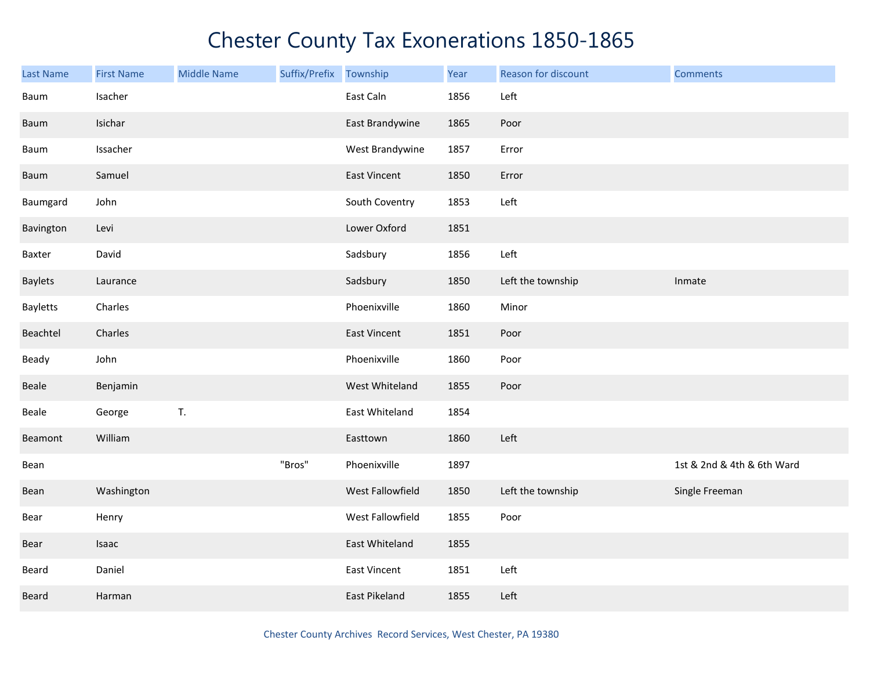| <b>Last Name</b> | <b>First Name</b> | <b>Middle Name</b> | Suffix/Prefix Township |                     | Year | Reason for discount | <b>Comments</b>            |
|------------------|-------------------|--------------------|------------------------|---------------------|------|---------------------|----------------------------|
| Baum             | Isacher           |                    |                        | East Caln           | 1856 | Left                |                            |
| Baum             | Isichar           |                    |                        | East Brandywine     | 1865 | Poor                |                            |
| Baum             | Issacher          |                    |                        | West Brandywine     | 1857 | Error               |                            |
| Baum             | Samuel            |                    |                        | <b>East Vincent</b> | 1850 | Error               |                            |
| Baumgard         | John              |                    |                        | South Coventry      | 1853 | Left                |                            |
| Bavington        | Levi              |                    |                        | Lower Oxford        | 1851 |                     |                            |
| Baxter           | David             |                    |                        | Sadsbury            | 1856 | Left                |                            |
| <b>Baylets</b>   | Laurance          |                    |                        | Sadsbury            | 1850 | Left the township   | Inmate                     |
| Bayletts         | Charles           |                    |                        | Phoenixville        | 1860 | Minor               |                            |
| Beachtel         | Charles           |                    |                        | East Vincent        | 1851 | Poor                |                            |
| Beady            | John              |                    |                        | Phoenixville        | 1860 | Poor                |                            |
| Beale            | Benjamin          |                    |                        | West Whiteland      | 1855 | Poor                |                            |
| Beale            | George            | T.                 |                        | East Whiteland      | 1854 |                     |                            |
| Beamont          | William           |                    |                        | Easttown            | 1860 | Left                |                            |
| Bean             |                   |                    | "Bros"                 | Phoenixville        | 1897 |                     | 1st & 2nd & 4th & 6th Ward |
| Bean             | Washington        |                    |                        | West Fallowfield    | 1850 | Left the township   | Single Freeman             |
| Bear             | Henry             |                    |                        | West Fallowfield    | 1855 | Poor                |                            |
| Bear             | Isaac             |                    |                        | East Whiteland      | 1855 |                     |                            |
| Beard            | Daniel            |                    |                        | <b>East Vincent</b> | 1851 | Left                |                            |
| Beard            | Harman            |                    |                        | East Pikeland       | 1855 | Left                |                            |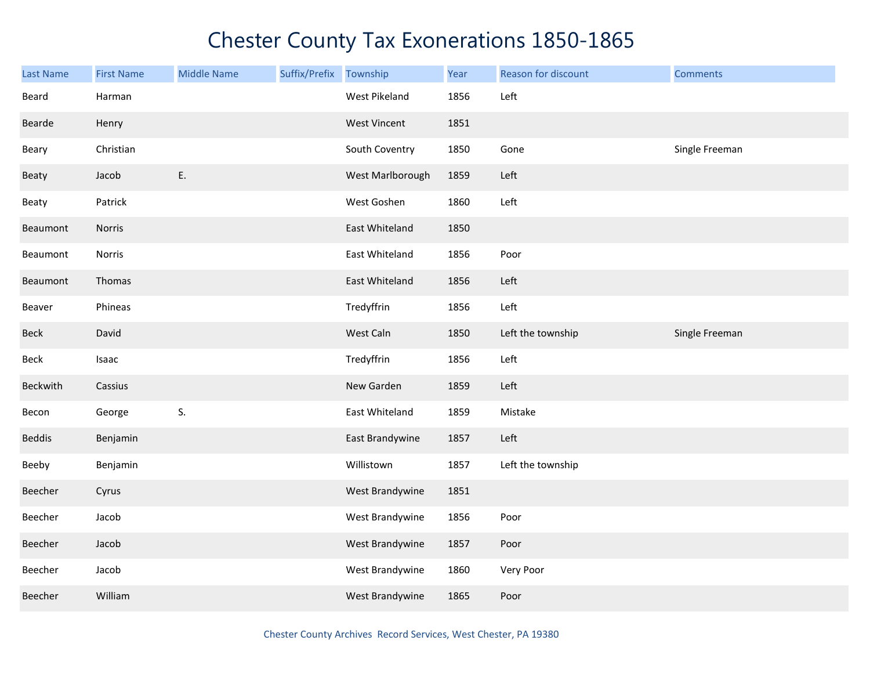| <b>Last Name</b> | <b>First Name</b> | <b>Middle Name</b> | Suffix/Prefix | Township            | Year | Reason for discount | <b>Comments</b> |
|------------------|-------------------|--------------------|---------------|---------------------|------|---------------------|-----------------|
| Beard            | Harman            |                    |               | West Pikeland       | 1856 | Left                |                 |
| Bearde           | Henry             |                    |               | <b>West Vincent</b> | 1851 |                     |                 |
| Beary            | Christian         |                    |               | South Coventry      | 1850 | Gone                | Single Freeman  |
| Beaty            | Jacob             | E.                 |               | West Marlborough    | 1859 | Left                |                 |
| Beaty            | Patrick           |                    |               | West Goshen         | 1860 | Left                |                 |
| Beaumont         | Norris            |                    |               | East Whiteland      | 1850 |                     |                 |
| Beaumont         | Norris            |                    |               | East Whiteland      | 1856 | Poor                |                 |
| Beaumont         | Thomas            |                    |               | East Whiteland      | 1856 | Left                |                 |
| Beaver           | Phineas           |                    |               | Tredyffrin          | 1856 | Left                |                 |
| Beck             | David             |                    |               | West Caln           | 1850 | Left the township   | Single Freeman  |
| Beck             | Isaac             |                    |               | Tredyffrin          | 1856 | Left                |                 |
| Beckwith         | Cassius           |                    |               | New Garden          | 1859 | Left                |                 |
| Becon            | George            | S.                 |               | East Whiteland      | 1859 | Mistake             |                 |
| <b>Beddis</b>    | Benjamin          |                    |               | East Brandywine     | 1857 | Left                |                 |
| Beeby            | Benjamin          |                    |               | Willistown          | 1857 | Left the township   |                 |
| Beecher          | Cyrus             |                    |               | West Brandywine     | 1851 |                     |                 |
| Beecher          | Jacob             |                    |               | West Brandywine     | 1856 | Poor                |                 |
| Beecher          | Jacob             |                    |               | West Brandywine     | 1857 | Poor                |                 |
| Beecher          | Jacob             |                    |               | West Brandywine     | 1860 | Very Poor           |                 |
| Beecher          | William           |                    |               | West Brandywine     | 1865 | Poor                |                 |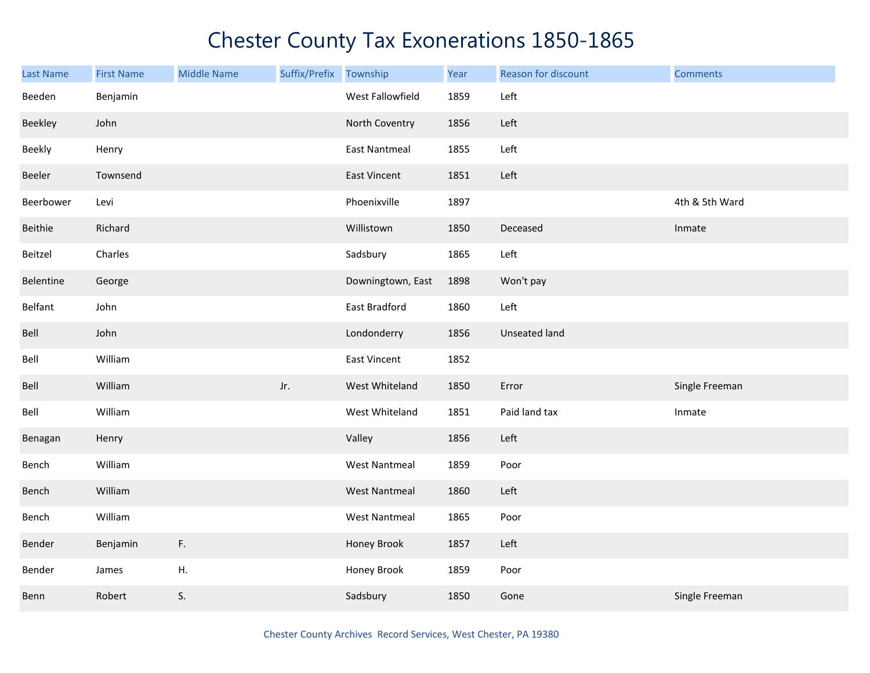| Last Name | <b>First Name</b> | <b>Middle Name</b> | Suffix/Prefix | Township             | Year | Reason for discount  | <b>Comments</b> |
|-----------|-------------------|--------------------|---------------|----------------------|------|----------------------|-----------------|
| Beeden    | Benjamin          |                    |               | West Fallowfield     | 1859 | Left                 |                 |
| Beekley   | John              |                    |               | North Coventry       | 1856 | Left                 |                 |
| Beekly    | Henry             |                    |               | <b>East Nantmeal</b> | 1855 | Left                 |                 |
| Beeler    | Townsend          |                    |               | <b>East Vincent</b>  | 1851 | Left                 |                 |
| Beerbower | Levi              |                    |               | Phoenixville         | 1897 |                      | 4th & 5th Ward  |
| Beithie   | Richard           |                    |               | Willistown           | 1850 | Deceased             | Inmate          |
| Beitzel   | Charles           |                    |               | Sadsbury             | 1865 | Left                 |                 |
| Belentine | George            |                    |               | Downingtown, East    | 1898 | Won't pay            |                 |
| Belfant   | John              |                    |               | East Bradford        | 1860 | Left                 |                 |
| Bell      | John              |                    |               | Londonderry          | 1856 | <b>Unseated land</b> |                 |
| Bell      | William           |                    |               | East Vincent         | 1852 |                      |                 |
| Bell      | William           |                    | Jr.           | West Whiteland       | 1850 | Error                | Single Freeman  |
| Bell      | William           |                    |               | West Whiteland       | 1851 | Paid land tax        | Inmate          |
| Benagan   | Henry             |                    |               | Valley               | 1856 | Left                 |                 |
| Bench     | William           |                    |               | <b>West Nantmeal</b> | 1859 | Poor                 |                 |
| Bench     | William           |                    |               | <b>West Nantmeal</b> | 1860 | Left                 |                 |
| Bench     | William           |                    |               | <b>West Nantmeal</b> | 1865 | Poor                 |                 |
| Bender    | Benjamin          | F.                 |               | Honey Brook          | 1857 | Left                 |                 |
| Bender    | James             | H.                 |               | Honey Brook          | 1859 | Poor                 |                 |
| Benn      | Robert            | S.                 |               | Sadsbury             | 1850 | Gone                 | Single Freeman  |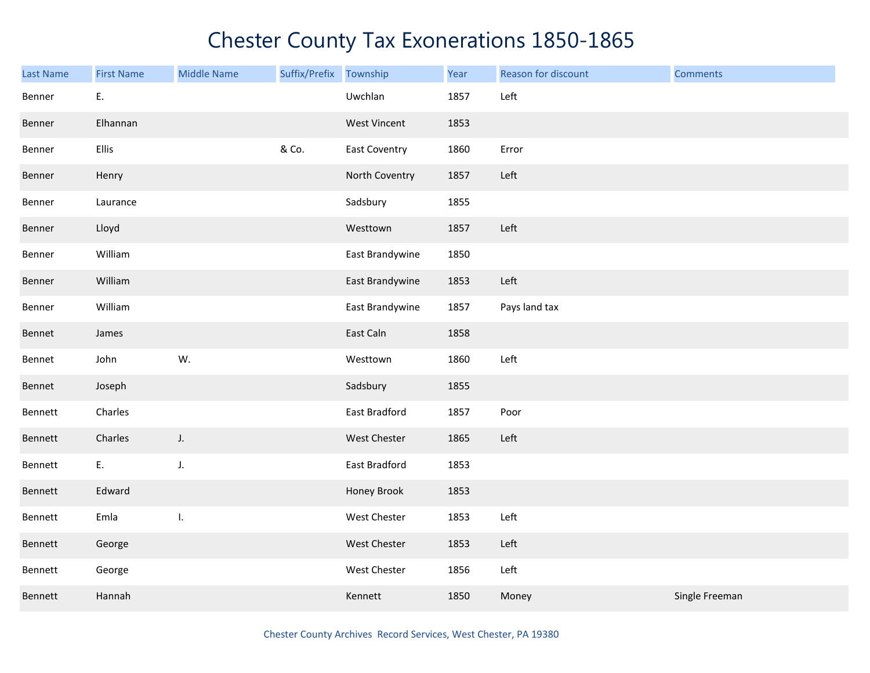| <b>Last Name</b> | <b>First Name</b> | <b>Middle Name</b> | Suffix/Prefix | Township            | Year | Reason for discount | <b>Comments</b> |
|------------------|-------------------|--------------------|---------------|---------------------|------|---------------------|-----------------|
| Benner           | E.                |                    |               | Uwchlan             | 1857 | Left                |                 |
| Benner           | Elhannan          |                    |               | <b>West Vincent</b> | 1853 |                     |                 |
| Benner           | Ellis             |                    | & Co.         | East Coventry       | 1860 | Error               |                 |
| Benner           | Henry             |                    |               | North Coventry      | 1857 | Left                |                 |
| Benner           | Laurance          |                    |               | Sadsbury            | 1855 |                     |                 |
| Benner           | Lloyd             |                    |               | Westtown            | 1857 | Left                |                 |
| Benner           | William           |                    |               | East Brandywine     | 1850 |                     |                 |
| Benner           | William           |                    |               | East Brandywine     | 1853 | Left                |                 |
| Benner           | William           |                    |               | East Brandywine     | 1857 | Pays land tax       |                 |
| Bennet           | James             |                    |               | East Caln           | 1858 |                     |                 |
| Bennet           | John              | W.                 |               | Westtown            | 1860 | Left                |                 |
| Bennet           | Joseph            |                    |               | Sadsbury            | 1855 |                     |                 |
| Bennett          | Charles           |                    |               | East Bradford       | 1857 | Poor                |                 |
| Bennett          | Charles           | J.                 |               | West Chester        | 1865 | Left                |                 |
| Bennett          | E.                | J.                 |               | East Bradford       | 1853 |                     |                 |
| Bennett          | Edward            |                    |               | Honey Brook         | 1853 |                     |                 |
| Bennett          | Emla              | I.                 |               | West Chester        | 1853 | Left                |                 |
| Bennett          | George            |                    |               | West Chester        | 1853 | Left                |                 |
| Bennett          | George            |                    |               | West Chester        | 1856 | Left                |                 |
| Bennett          | Hannah            |                    |               | Kennett             | 1850 | Money               | Single Freeman  |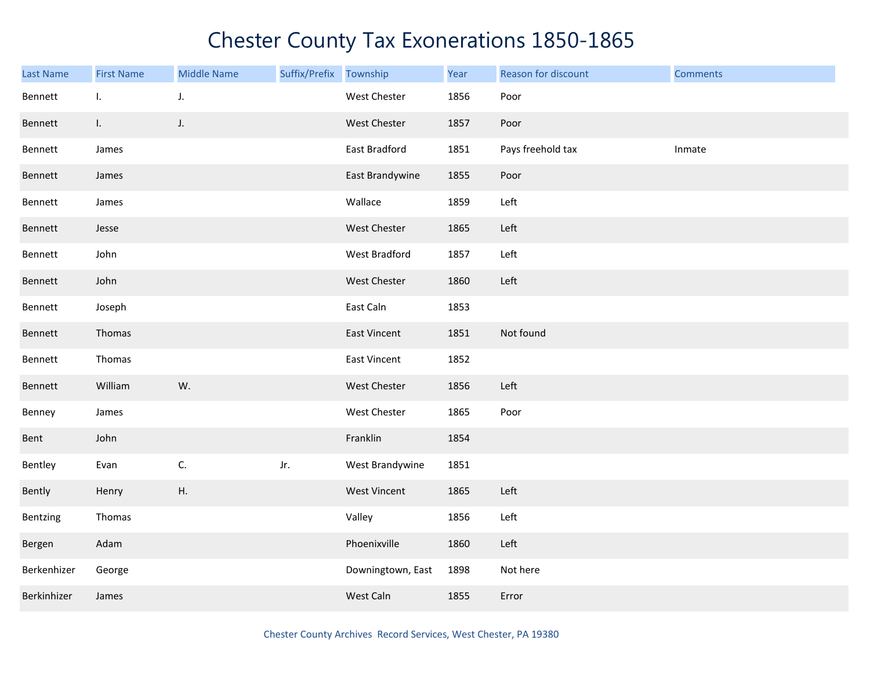| Last Name   | <b>First Name</b> | <b>Middle Name</b> | Suffix/Prefix Township |                     | Year | Reason for discount | <b>Comments</b> |
|-------------|-------------------|--------------------|------------------------|---------------------|------|---------------------|-----------------|
| Bennett     | L.                | J.                 |                        | West Chester        | 1856 | Poor                |                 |
| Bennett     | $\mathbf{L}$      | J.                 |                        | West Chester        | 1857 | Poor                |                 |
| Bennett     | James             |                    |                        | East Bradford       | 1851 | Pays freehold tax   | Inmate          |
| Bennett     | James             |                    |                        | East Brandywine     | 1855 | Poor                |                 |
| Bennett     | James             |                    |                        | Wallace             | 1859 | Left                |                 |
| Bennett     | Jesse             |                    |                        | <b>West Chester</b> | 1865 | Left                |                 |
| Bennett     | John              |                    |                        | West Bradford       | 1857 | Left                |                 |
| Bennett     | John              |                    |                        | West Chester        | 1860 | Left                |                 |
| Bennett     | Joseph            |                    |                        | East Caln           | 1853 |                     |                 |
| Bennett     | Thomas            |                    |                        | East Vincent        | 1851 | Not found           |                 |
| Bennett     | Thomas            |                    |                        | East Vincent        | 1852 |                     |                 |
| Bennett     | William           | W.                 |                        | West Chester        | 1856 | Left                |                 |
| Benney      | James             |                    |                        | West Chester        | 1865 | Poor                |                 |
| Bent        | John              |                    |                        | Franklin            | 1854 |                     |                 |
| Bentley     | Evan              | C.                 | Jr.                    | West Brandywine     | 1851 |                     |                 |
| Bently      | Henry             | Η.                 |                        | <b>West Vincent</b> | 1865 | Left                |                 |
| Bentzing    | Thomas            |                    |                        | Valley              | 1856 | Left                |                 |
| Bergen      | Adam              |                    |                        | Phoenixville        | 1860 | Left                |                 |
| Berkenhizer | George            |                    |                        | Downingtown, East   | 1898 | Not here            |                 |
| Berkinhizer | James             |                    |                        | West Caln           | 1855 | Error               |                 |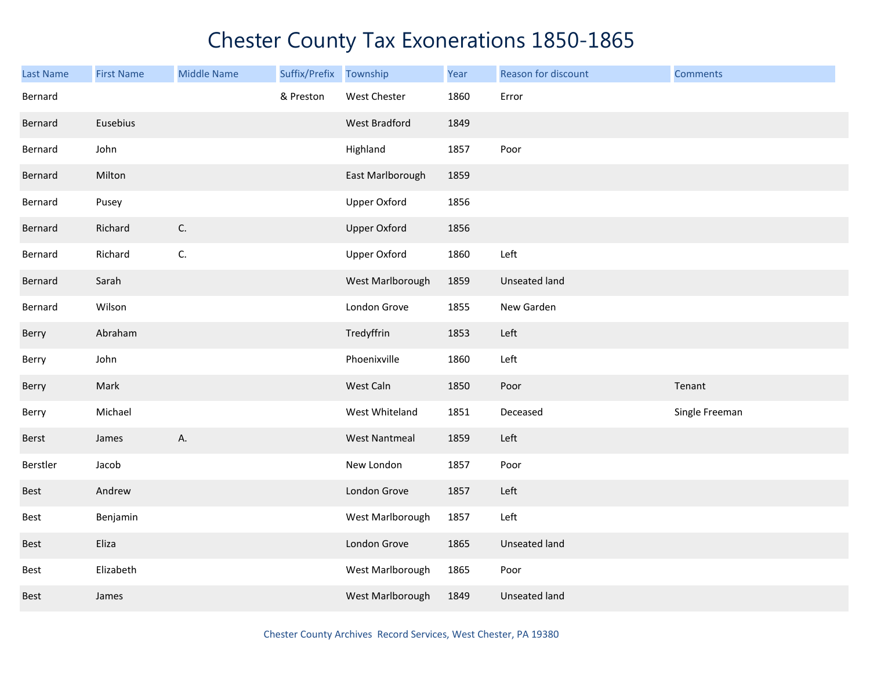| Last Name   | <b>First Name</b> | <b>Middle Name</b> | Suffix/Prefix | Township             | Year | Reason for discount  | <b>Comments</b> |
|-------------|-------------------|--------------------|---------------|----------------------|------|----------------------|-----------------|
| Bernard     |                   |                    | & Preston     | West Chester         | 1860 | Error                |                 |
| Bernard     | Eusebius          |                    |               | West Bradford        | 1849 |                      |                 |
| Bernard     | John              |                    |               | Highland             | 1857 | Poor                 |                 |
| Bernard     | Milton            |                    |               | East Marlborough     | 1859 |                      |                 |
| Bernard     | Pusey             |                    |               | <b>Upper Oxford</b>  | 1856 |                      |                 |
| Bernard     | Richard           | C.                 |               | <b>Upper Oxford</b>  | 1856 |                      |                 |
| Bernard     | Richard           | C.                 |               | <b>Upper Oxford</b>  | 1860 | Left                 |                 |
| Bernard     | Sarah             |                    |               | West Marlborough     | 1859 | Unseated land        |                 |
| Bernard     | Wilson            |                    |               | London Grove         | 1855 | New Garden           |                 |
| Berry       | Abraham           |                    |               | Tredyffrin           | 1853 | Left                 |                 |
| Berry       | John              |                    |               | Phoenixville         | 1860 | Left                 |                 |
| Berry       | Mark              |                    |               | West Caln            | 1850 | Poor                 | Tenant          |
| Berry       | Michael           |                    |               | West Whiteland       | 1851 | Deceased             | Single Freeman  |
| Berst       | James             | A.                 |               | <b>West Nantmeal</b> | 1859 | Left                 |                 |
| Berstler    | Jacob             |                    |               | New London           | 1857 | Poor                 |                 |
| Best        | Andrew            |                    |               | London Grove         | 1857 | Left                 |                 |
| Best        | Benjamin          |                    |               | West Marlborough     | 1857 | Left                 |                 |
| <b>Best</b> | Eliza             |                    |               | London Grove         | 1865 | Unseated land        |                 |
| Best        | Elizabeth         |                    |               | West Marlborough     | 1865 | Poor                 |                 |
| Best        | James             |                    |               | West Marlborough     | 1849 | <b>Unseated land</b> |                 |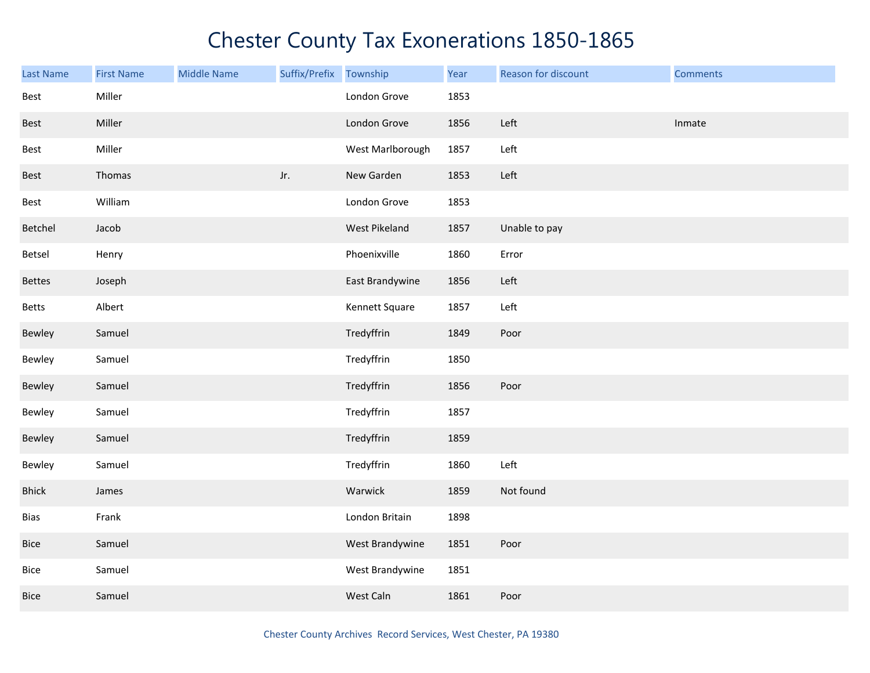| Last Name     | <b>First Name</b> | <b>Middle Name</b> | Suffix/Prefix | Township         | Year | Reason for discount | <b>Comments</b> |
|---------------|-------------------|--------------------|---------------|------------------|------|---------------------|-----------------|
| Best          | Miller            |                    |               | London Grove     | 1853 |                     |                 |
| Best          | Miller            |                    |               | London Grove     | 1856 | Left                | Inmate          |
| Best          | Miller            |                    |               | West Marlborough | 1857 | Left                |                 |
| <b>Best</b>   | Thomas            |                    | Jr.           | New Garden       | 1853 | Left                |                 |
| Best          | William           |                    |               | London Grove     | 1853 |                     |                 |
| Betchel       | Jacob             |                    |               | West Pikeland    | 1857 | Unable to pay       |                 |
| Betsel        | Henry             |                    |               | Phoenixville     | 1860 | Error               |                 |
| <b>Bettes</b> | Joseph            |                    |               | East Brandywine  | 1856 | Left                |                 |
| <b>Betts</b>  | Albert            |                    |               | Kennett Square   | 1857 | Left                |                 |
| Bewley        | Samuel            |                    |               | Tredyffrin       | 1849 | Poor                |                 |
| Bewley        | Samuel            |                    |               | Tredyffrin       | 1850 |                     |                 |
| Bewley        | Samuel            |                    |               | Tredyffrin       | 1856 | Poor                |                 |
| Bewley        | Samuel            |                    |               | Tredyffrin       | 1857 |                     |                 |
| Bewley        | Samuel            |                    |               | Tredyffrin       | 1859 |                     |                 |
| Bewley        | Samuel            |                    |               | Tredyffrin       | 1860 | Left                |                 |
| <b>Bhick</b>  | James             |                    |               | Warwick          | 1859 | Not found           |                 |
| <b>Bias</b>   | Frank             |                    |               | London Britain   | 1898 |                     |                 |
| Bice          | Samuel            |                    |               | West Brandywine  | 1851 | Poor                |                 |
| Bice          | Samuel            |                    |               | West Brandywine  | 1851 |                     |                 |
| <b>Bice</b>   | Samuel            |                    |               | West Caln        | 1861 | Poor                |                 |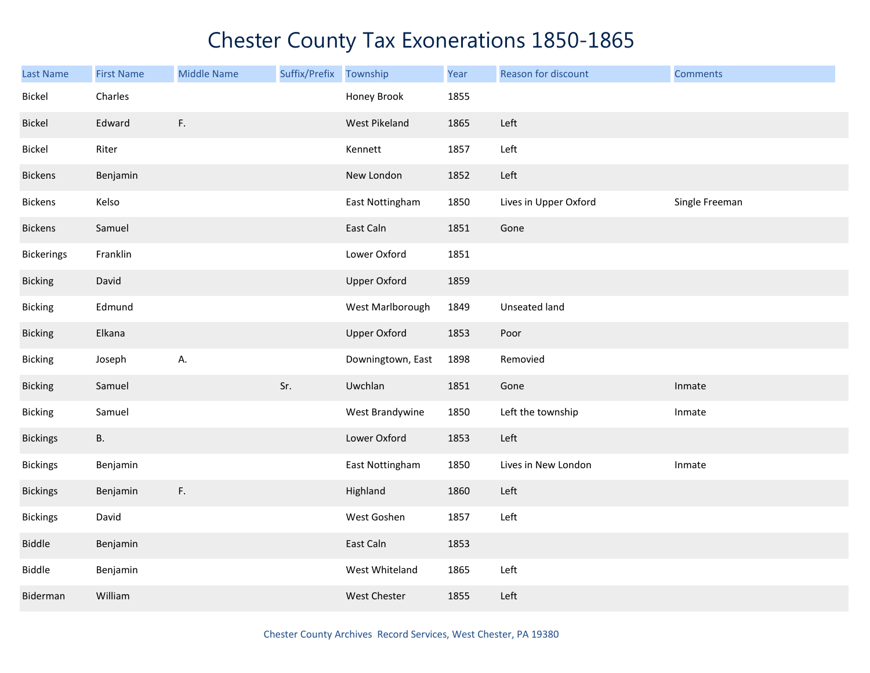| Last Name         | <b>First Name</b> | <b>Middle Name</b> | Suffix/Prefix | Township            | Year | Reason for discount   | <b>Comments</b> |
|-------------------|-------------------|--------------------|---------------|---------------------|------|-----------------------|-----------------|
| Bickel            | Charles           |                    |               | Honey Brook         | 1855 |                       |                 |
| Bickel            | Edward            | F.                 |               | West Pikeland       | 1865 | Left                  |                 |
| Bickel            | Riter             |                    |               | Kennett             | 1857 | Left                  |                 |
| <b>Bickens</b>    | Benjamin          |                    |               | New London          | 1852 | Left                  |                 |
| <b>Bickens</b>    | Kelso             |                    |               | East Nottingham     | 1850 | Lives in Upper Oxford | Single Freeman  |
| <b>Bickens</b>    | Samuel            |                    |               | East Caln           | 1851 | Gone                  |                 |
| <b>Bickerings</b> | Franklin          |                    |               | Lower Oxford        | 1851 |                       |                 |
| <b>Bicking</b>    | David             |                    |               | <b>Upper Oxford</b> | 1859 |                       |                 |
| <b>Bicking</b>    | Edmund            |                    |               | West Marlborough    | 1849 | Unseated land         |                 |
| <b>Bicking</b>    | Elkana            |                    |               | <b>Upper Oxford</b> | 1853 | Poor                  |                 |
| <b>Bicking</b>    | Joseph            | А.                 |               | Downingtown, East   | 1898 | Removied              |                 |
| <b>Bicking</b>    | Samuel            |                    | Sr.           | Uwchlan             | 1851 | Gone                  | Inmate          |
| <b>Bicking</b>    | Samuel            |                    |               | West Brandywine     | 1850 | Left the township     | Inmate          |
| <b>Bickings</b>   | <b>B.</b>         |                    |               | Lower Oxford        | 1853 | Left                  |                 |
| <b>Bickings</b>   | Benjamin          |                    |               | East Nottingham     | 1850 | Lives in New London   | Inmate          |
| <b>Bickings</b>   | Benjamin          | $\mathsf F.$       |               | Highland            | 1860 | Left                  |                 |
| <b>Bickings</b>   | David             |                    |               | West Goshen         | 1857 | Left                  |                 |
| Biddle            | Benjamin          |                    |               | East Caln           | 1853 |                       |                 |
| Biddle            | Benjamin          |                    |               | West Whiteland      | 1865 | Left                  |                 |
| Biderman          | William           |                    |               | <b>West Chester</b> | 1855 | Left                  |                 |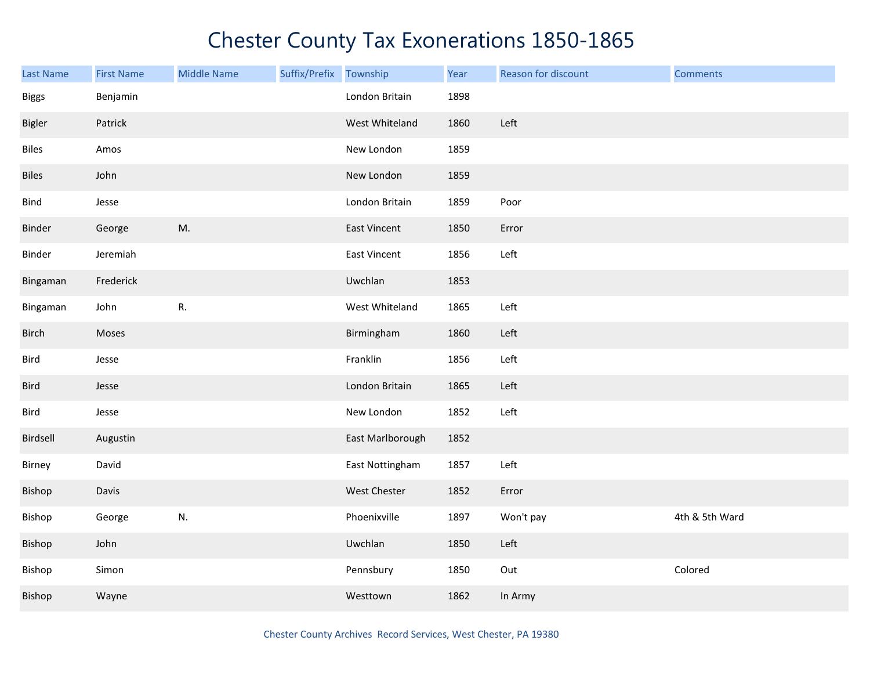| Last Name     | <b>First Name</b> | <b>Middle Name</b> | Suffix/Prefix Township |                  | Year | Reason for discount | <b>Comments</b> |
|---------------|-------------------|--------------------|------------------------|------------------|------|---------------------|-----------------|
| <b>Biggs</b>  | Benjamin          |                    |                        | London Britain   | 1898 |                     |                 |
| <b>Bigler</b> | Patrick           |                    |                        | West Whiteland   | 1860 | Left                |                 |
| <b>Biles</b>  | Amos              |                    |                        | New London       | 1859 |                     |                 |
| <b>Biles</b>  | John              |                    |                        | New London       | 1859 |                     |                 |
| Bind          | Jesse             |                    |                        | London Britain   | 1859 | Poor                |                 |
| Binder        | George            | M.                 |                        | East Vincent     | 1850 | Error               |                 |
| Binder        | Jeremiah          |                    |                        | East Vincent     | 1856 | Left                |                 |
| Bingaman      | Frederick         |                    |                        | Uwchlan          | 1853 |                     |                 |
| Bingaman      | John              | ${\sf R}.$         |                        | West Whiteland   | 1865 | Left                |                 |
| Birch         | Moses             |                    |                        | Birmingham       | 1860 | Left                |                 |
| Bird          | Jesse             |                    |                        | Franklin         | 1856 | Left                |                 |
| <b>Bird</b>   | Jesse             |                    |                        | London Britain   | 1865 | Left                |                 |
| Bird          | Jesse             |                    |                        | New London       | 1852 | Left                |                 |
| Birdsell      | Augustin          |                    |                        | East Marlborough | 1852 |                     |                 |
| Birney        | David             |                    |                        | East Nottingham  | 1857 | Left                |                 |
| Bishop        | Davis             |                    |                        | West Chester     | 1852 | Error               |                 |
| Bishop        | George            | N.                 |                        | Phoenixville     | 1897 | Won't pay           | 4th & 5th Ward  |
| Bishop        | John              |                    |                        | Uwchlan          | 1850 | Left                |                 |
| Bishop        | Simon             |                    |                        | Pennsbury        | 1850 | Out                 | Colored         |
| Bishop        | Wayne             |                    |                        | Westtown         | 1862 | In Army             |                 |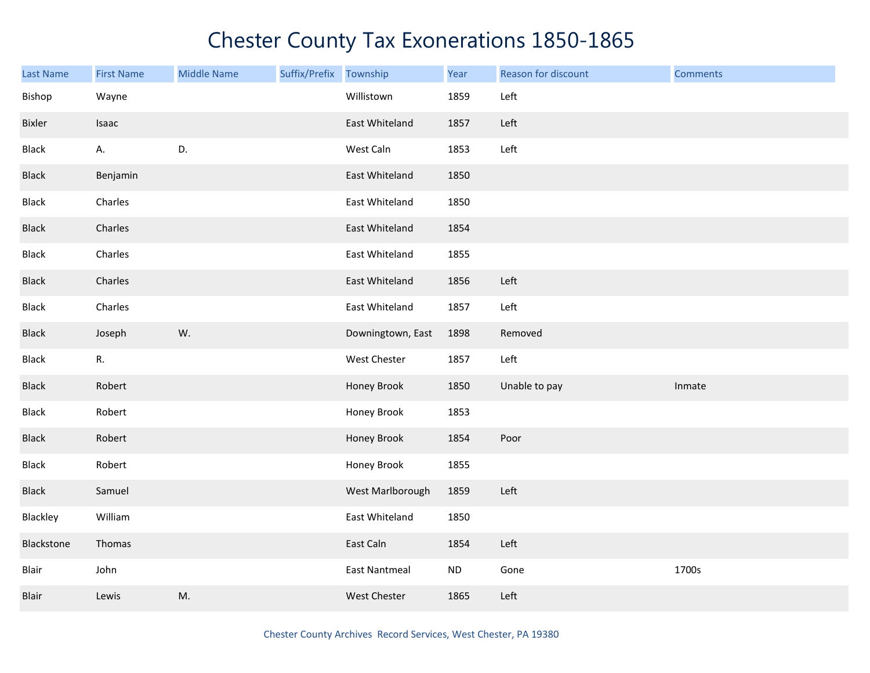| Last Name    | <b>First Name</b> | <b>Middle Name</b> | Suffix/Prefix | Township             | Year      | Reason for discount | <b>Comments</b> |
|--------------|-------------------|--------------------|---------------|----------------------|-----------|---------------------|-----------------|
| Bishop       | Wayne             |                    |               | Willistown           | 1859      | Left                |                 |
| Bixler       | Isaac             |                    |               | East Whiteland       | 1857      | Left                |                 |
| <b>Black</b> | А.                | D.                 |               | West Caln            | 1853      | Left                |                 |
| <b>Black</b> | Benjamin          |                    |               | East Whiteland       | 1850      |                     |                 |
| <b>Black</b> | Charles           |                    |               | East Whiteland       | 1850      |                     |                 |
| Black        | Charles           |                    |               | East Whiteland       | 1854      |                     |                 |
| Black        | Charles           |                    |               | East Whiteland       | 1855      |                     |                 |
| <b>Black</b> | Charles           |                    |               | East Whiteland       | 1856      | Left                |                 |
| Black        | Charles           |                    |               | East Whiteland       | 1857      | Left                |                 |
| <b>Black</b> | Joseph            | W.                 |               | Downingtown, East    | 1898      | Removed             |                 |
| Black        | R.                |                    |               | West Chester         | 1857      | Left                |                 |
| <b>Black</b> | Robert            |                    |               | Honey Brook          | 1850      | Unable to pay       | Inmate          |
| Black        | Robert            |                    |               | Honey Brook          | 1853      |                     |                 |
| <b>Black</b> | Robert            |                    |               | Honey Brook          | 1854      | Poor                |                 |
| Black        | Robert            |                    |               | Honey Brook          | 1855      |                     |                 |
| <b>Black</b> | Samuel            |                    |               | West Marlborough     | 1859      | Left                |                 |
| Blackley     | William           |                    |               | East Whiteland       | 1850      |                     |                 |
| Blackstone   | Thomas            |                    |               | East Caln            | 1854      | Left                |                 |
| Blair        | John              |                    |               | <b>East Nantmeal</b> | <b>ND</b> | Gone                | 1700s           |
| Blair        | Lewis             | M.                 |               | West Chester         | 1865      | Left                |                 |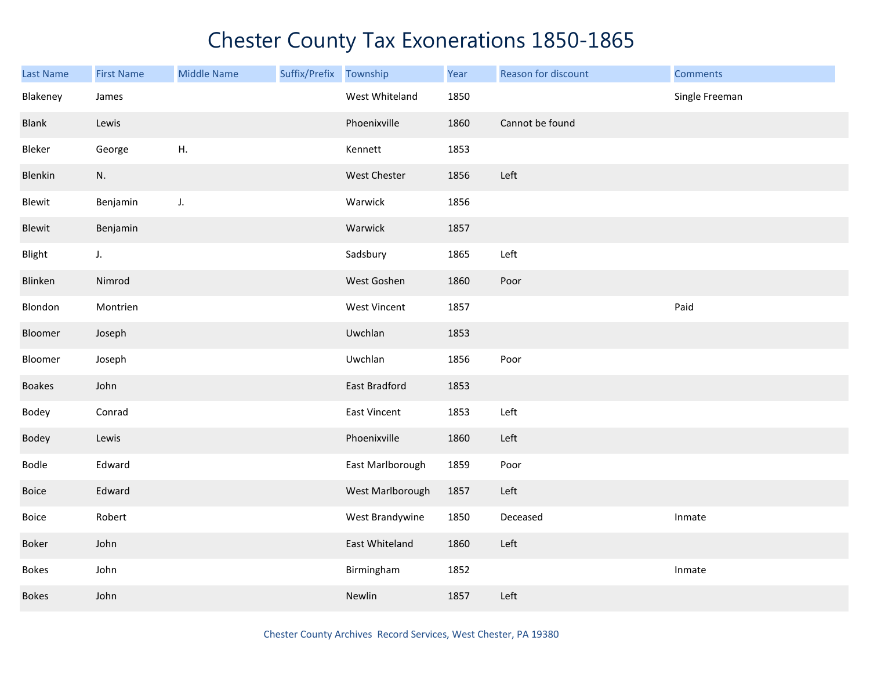| <b>Last Name</b> | <b>First Name</b> | <b>Middle Name</b> | Suffix/Prefix | Township         | Year | Reason for discount | <b>Comments</b> |
|------------------|-------------------|--------------------|---------------|------------------|------|---------------------|-----------------|
| Blakeney         | James             |                    |               | West Whiteland   | 1850 |                     | Single Freeman  |
| Blank            | Lewis             |                    |               | Phoenixville     | 1860 | Cannot be found     |                 |
| Bleker           | George            | H.                 |               | Kennett          | 1853 |                     |                 |
| Blenkin          | N.                |                    |               | West Chester     | 1856 | Left                |                 |
| Blewit           | Benjamin          | J.                 |               | Warwick          | 1856 |                     |                 |
| Blewit           | Benjamin          |                    |               | Warwick          | 1857 |                     |                 |
| Blight           | J.                |                    |               | Sadsbury         | 1865 | Left                |                 |
| Blinken          | Nimrod            |                    |               | West Goshen      | 1860 | Poor                |                 |
| Blondon          | Montrien          |                    |               | West Vincent     | 1857 |                     | Paid            |
| Bloomer          | Joseph            |                    |               | Uwchlan          | 1853 |                     |                 |
| Bloomer          | Joseph            |                    |               | Uwchlan          | 1856 | Poor                |                 |
| <b>Boakes</b>    | John              |                    |               | East Bradford    | 1853 |                     |                 |
| Bodey            | Conrad            |                    |               | East Vincent     | 1853 | Left                |                 |
| Bodey            | Lewis             |                    |               | Phoenixville     | 1860 | Left                |                 |
| Bodle            | Edward            |                    |               | East Marlborough | 1859 | Poor                |                 |
| Boice            | Edward            |                    |               | West Marlborough | 1857 | Left                |                 |
| Boice            | Robert            |                    |               | West Brandywine  | 1850 | Deceased            | Inmate          |
| Boker            | John              |                    |               | East Whiteland   | 1860 | Left                |                 |
| <b>Bokes</b>     | John              |                    |               | Birmingham       | 1852 |                     | Inmate          |
| <b>Bokes</b>     | John              |                    |               | Newlin           | 1857 | Left                |                 |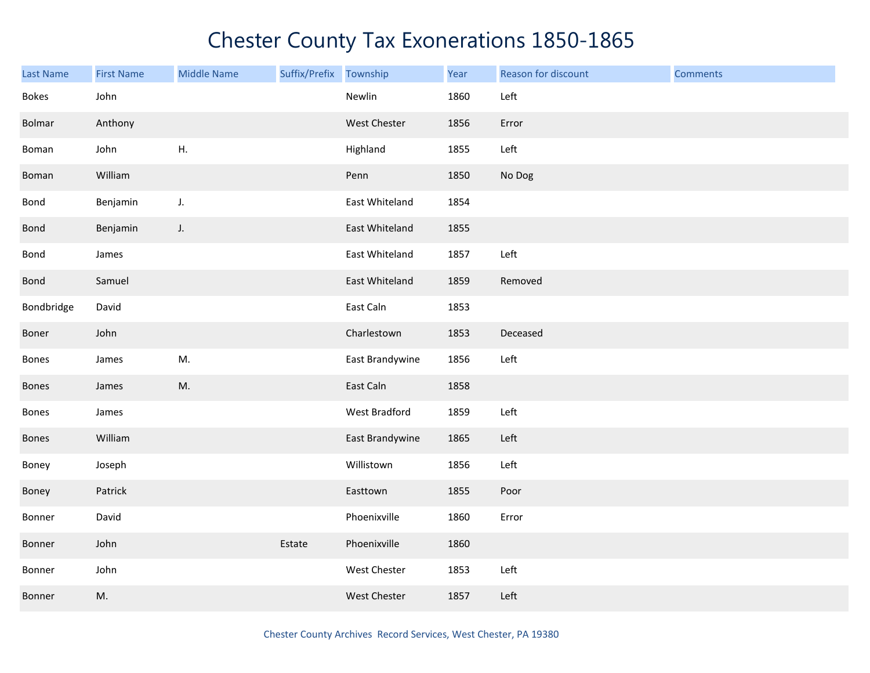| Last Name    | <b>First Name</b> | <b>Middle Name</b> | Suffix/Prefix Township |                 | Year | Reason for discount | <b>Comments</b> |
|--------------|-------------------|--------------------|------------------------|-----------------|------|---------------------|-----------------|
| <b>Bokes</b> | John              |                    |                        | Newlin          | 1860 | Left                |                 |
| Bolmar       | Anthony           |                    |                        | West Chester    | 1856 | Error               |                 |
| Boman        | John              | ${\sf H}.$         |                        | Highland        | 1855 | Left                |                 |
| Boman        | William           |                    |                        | Penn            | 1850 | No Dog              |                 |
| Bond         | Benjamin          | J.                 |                        | East Whiteland  | 1854 |                     |                 |
| Bond         | Benjamin          | J.                 |                        | East Whiteland  | 1855 |                     |                 |
| Bond         | James             |                    |                        | East Whiteland  | 1857 | Left                |                 |
| Bond         | Samuel            |                    |                        | East Whiteland  | 1859 | Removed             |                 |
| Bondbridge   | David             |                    |                        | East Caln       | 1853 |                     |                 |
| Boner        | John              |                    |                        | Charlestown     | 1853 | Deceased            |                 |
| Bones        | James             | M.                 |                        | East Brandywine | 1856 | Left                |                 |
| Bones        | James             | M.                 |                        | East Caln       | 1858 |                     |                 |
| Bones        | James             |                    |                        | West Bradford   | 1859 | Left                |                 |
| Bones        | William           |                    |                        | East Brandywine | 1865 | Left                |                 |
| Boney        | Joseph            |                    |                        | Willistown      | 1856 | Left                |                 |
| Boney        | Patrick           |                    |                        | Easttown        | 1855 | Poor                |                 |
| Bonner       | David             |                    |                        | Phoenixville    | 1860 | Error               |                 |
| Bonner       | John              |                    | Estate                 | Phoenixville    | 1860 |                     |                 |
| Bonner       | John              |                    |                        | West Chester    | 1853 | Left                |                 |
| Bonner       | M.                |                    |                        | West Chester    | 1857 | Left                |                 |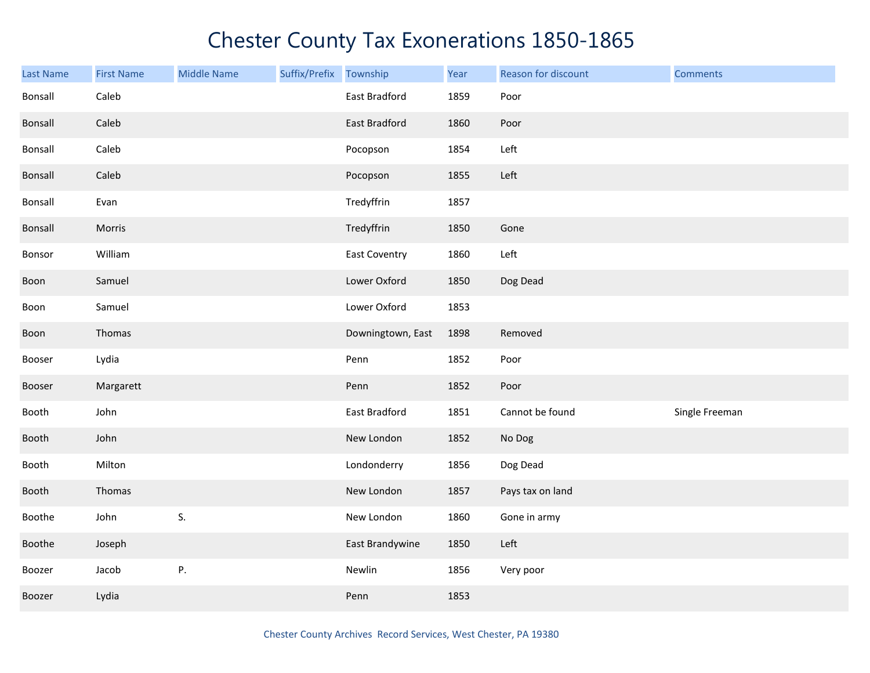| <b>Last Name</b> | <b>First Name</b> | <b>Middle Name</b> | Suffix/Prefix | Township             | Year | Reason for discount | <b>Comments</b> |
|------------------|-------------------|--------------------|---------------|----------------------|------|---------------------|-----------------|
| Bonsall          | Caleb             |                    |               | East Bradford        | 1859 | Poor                |                 |
| Bonsall          | Caleb             |                    |               | East Bradford        | 1860 | Poor                |                 |
| Bonsall          | Caleb             |                    |               | Pocopson             | 1854 | Left                |                 |
| Bonsall          | Caleb             |                    |               | Pocopson             | 1855 | Left                |                 |
| Bonsall          | Evan              |                    |               | Tredyffrin           | 1857 |                     |                 |
| Bonsall          | Morris            |                    |               | Tredyffrin           | 1850 | Gone                |                 |
| Bonsor           | William           |                    |               | <b>East Coventry</b> | 1860 | Left                |                 |
| Boon             | Samuel            |                    |               | Lower Oxford         | 1850 | Dog Dead            |                 |
| Boon             | Samuel            |                    |               | Lower Oxford         | 1853 |                     |                 |
| Boon             | Thomas            |                    |               | Downingtown, East    | 1898 | Removed             |                 |
| Booser           | Lydia             |                    |               | Penn                 | 1852 | Poor                |                 |
| Booser           | Margarett         |                    |               | Penn                 | 1852 | Poor                |                 |
| Booth            | John              |                    |               | East Bradford        | 1851 | Cannot be found     | Single Freeman  |
| Booth            | John              |                    |               | New London           | 1852 | No Dog              |                 |
| Booth            | Milton            |                    |               | Londonderry          | 1856 | Dog Dead            |                 |
| Booth            | Thomas            |                    |               | New London           | 1857 | Pays tax on land    |                 |
| Boothe           | John              | S.                 |               | New London           | 1860 | Gone in army        |                 |
| Boothe           | Joseph            |                    |               | East Brandywine      | 1850 | Left                |                 |
| Boozer           | Jacob             | Ρ.                 |               | Newlin               | 1856 | Very poor           |                 |
| Boozer           | Lydia             |                    |               | Penn                 | 1853 |                     |                 |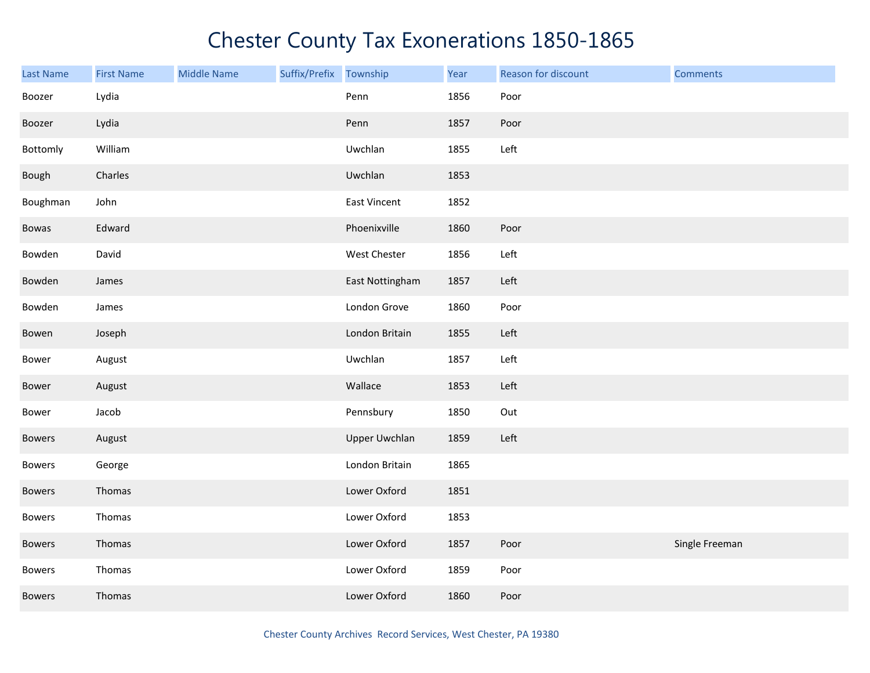| <b>Last Name</b> | <b>First Name</b> | <b>Middle Name</b> | Suffix/Prefix Township |                      | Year | Reason for discount | <b>Comments</b> |
|------------------|-------------------|--------------------|------------------------|----------------------|------|---------------------|-----------------|
| Boozer           | Lydia             |                    |                        | Penn                 | 1856 | Poor                |                 |
| Boozer           | Lydia             |                    |                        | Penn                 | 1857 | Poor                |                 |
| Bottomly         | William           |                    |                        | Uwchlan              | 1855 | Left                |                 |
| Bough            | Charles           |                    |                        | Uwchlan              | 1853 |                     |                 |
| Boughman         | John              |                    |                        | <b>East Vincent</b>  | 1852 |                     |                 |
| Bowas            | Edward            |                    |                        | Phoenixville         | 1860 | Poor                |                 |
| Bowden           | David             |                    |                        | West Chester         | 1856 | Left                |                 |
| Bowden           | James             |                    |                        | East Nottingham      | 1857 | Left                |                 |
| Bowden           | James             |                    |                        | London Grove         | 1860 | Poor                |                 |
| Bowen            | Joseph            |                    |                        | London Britain       | 1855 | Left                |                 |
| Bower            | August            |                    |                        | Uwchlan              | 1857 | Left                |                 |
| Bower            | August            |                    |                        | Wallace              | 1853 | Left                |                 |
| Bower            | Jacob             |                    |                        | Pennsbury            | 1850 | Out                 |                 |
| <b>Bowers</b>    | August            |                    |                        | <b>Upper Uwchlan</b> | 1859 | Left                |                 |
| <b>Bowers</b>    | George            |                    |                        | London Britain       | 1865 |                     |                 |
| <b>Bowers</b>    | Thomas            |                    |                        | Lower Oxford         | 1851 |                     |                 |
| <b>Bowers</b>    | Thomas            |                    |                        | Lower Oxford         | 1853 |                     |                 |
| <b>Bowers</b>    | Thomas            |                    |                        | Lower Oxford         | 1857 | Poor                | Single Freeman  |
| Bowers           | Thomas            |                    |                        | Lower Oxford         | 1859 | Poor                |                 |
| <b>Bowers</b>    | Thomas            |                    |                        | Lower Oxford         | 1860 | Poor                |                 |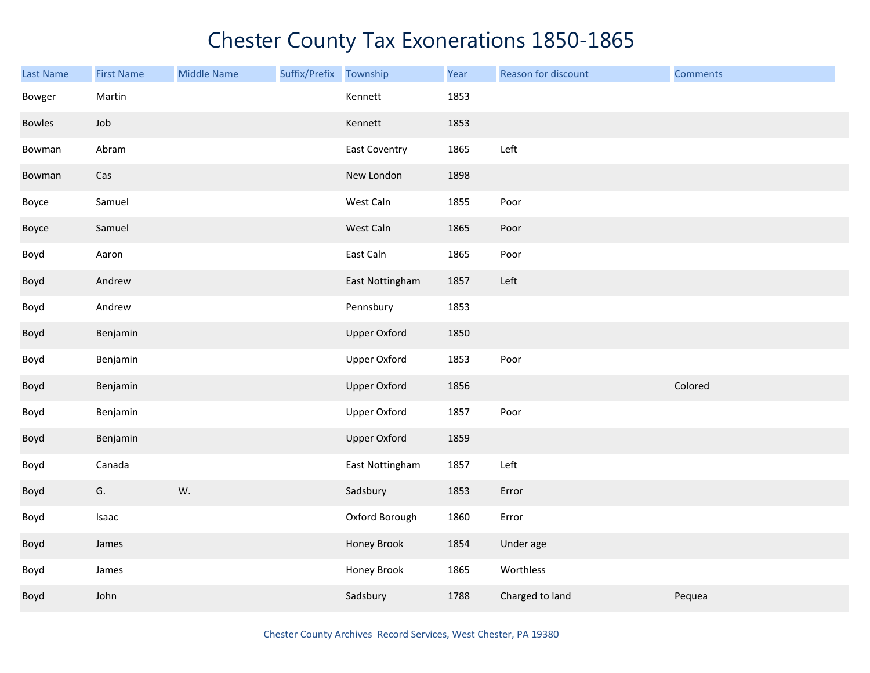| Last Name | <b>First Name</b> | <b>Middle Name</b> | Suffix/Prefix | Township            | Year | Reason for discount | <b>Comments</b> |
|-----------|-------------------|--------------------|---------------|---------------------|------|---------------------|-----------------|
| Bowger    | Martin            |                    |               | Kennett             | 1853 |                     |                 |
| Bowles    | Job               |                    |               | Kennett             | 1853 |                     |                 |
| Bowman    | Abram             |                    |               | East Coventry       | 1865 | Left                |                 |
| Bowman    | Cas               |                    |               | New London          | 1898 |                     |                 |
| Boyce     | Samuel            |                    |               | West Caln           | 1855 | Poor                |                 |
| Boyce     | Samuel            |                    |               | West Caln           | 1865 | Poor                |                 |
| Boyd      | Aaron             |                    |               | East Caln           | 1865 | Poor                |                 |
| Boyd      | Andrew            |                    |               | East Nottingham     | 1857 | Left                |                 |
| Boyd      | Andrew            |                    |               | Pennsbury           | 1853 |                     |                 |
| Boyd      | Benjamin          |                    |               | <b>Upper Oxford</b> | 1850 |                     |                 |
| Boyd      | Benjamin          |                    |               | <b>Upper Oxford</b> | 1853 | Poor                |                 |
| Boyd      | Benjamin          |                    |               | <b>Upper Oxford</b> | 1856 |                     | Colored         |
| Boyd      | Benjamin          |                    |               | <b>Upper Oxford</b> | 1857 | Poor                |                 |
| Boyd      | Benjamin          |                    |               | <b>Upper Oxford</b> | 1859 |                     |                 |
| Boyd      | Canada            |                    |               | East Nottingham     | 1857 | Left                |                 |
| Boyd      | G.                | W.                 |               | Sadsbury            | 1853 | Error               |                 |
| Boyd      | Isaac             |                    |               | Oxford Borough      | 1860 | Error               |                 |
| Boyd      | James             |                    |               | Honey Brook         | 1854 | Under age           |                 |
| Boyd      | James             |                    |               | Honey Brook         | 1865 | Worthless           |                 |
| Boyd      | John              |                    |               | Sadsbury            | 1788 | Charged to land     | Pequea          |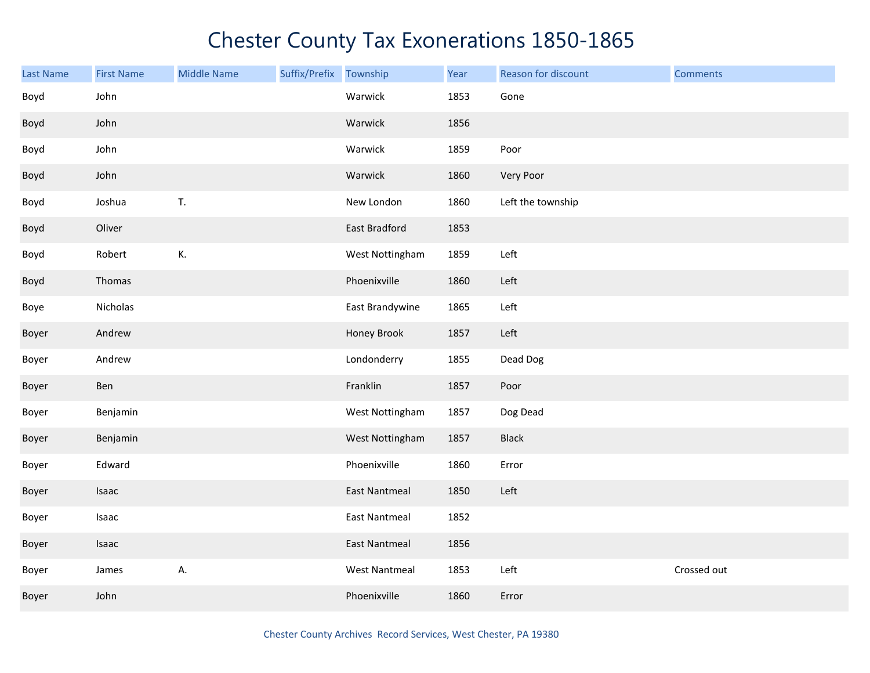| Last Name | <b>First Name</b> | <b>Middle Name</b> | Suffix/Prefix | Township             | Year | Reason for discount | <b>Comments</b> |
|-----------|-------------------|--------------------|---------------|----------------------|------|---------------------|-----------------|
| Boyd      | John              |                    |               | Warwick              | 1853 | Gone                |                 |
| Boyd      | John              |                    |               | Warwick              | 1856 |                     |                 |
| Boyd      | John              |                    |               | Warwick              | 1859 | Poor                |                 |
| Boyd      | John              |                    |               | Warwick              | 1860 | Very Poor           |                 |
| Boyd      | Joshua            | T.                 |               | New London           | 1860 | Left the township   |                 |
| Boyd      | Oliver            |                    |               | East Bradford        | 1853 |                     |                 |
| Boyd      | Robert            | К.                 |               | West Nottingham      | 1859 | Left                |                 |
| Boyd      | Thomas            |                    |               | Phoenixville         | 1860 | Left                |                 |
| Boye      | Nicholas          |                    |               | East Brandywine      | 1865 | Left                |                 |
| Boyer     | Andrew            |                    |               | Honey Brook          | 1857 | Left                |                 |
| Boyer     | Andrew            |                    |               | Londonderry          | 1855 | Dead Dog            |                 |
| Boyer     | Ben               |                    |               | Franklin             | 1857 | Poor                |                 |
| Boyer     | Benjamin          |                    |               | West Nottingham      | 1857 | Dog Dead            |                 |
| Boyer     | Benjamin          |                    |               | West Nottingham      | 1857 | <b>Black</b>        |                 |
| Boyer     | Edward            |                    |               | Phoenixville         | 1860 | Error               |                 |
| Boyer     | Isaac             |                    |               | <b>East Nantmeal</b> | 1850 | Left                |                 |
| Boyer     | Isaac             |                    |               | <b>East Nantmeal</b> | 1852 |                     |                 |
| Boyer     | Isaac             |                    |               | <b>East Nantmeal</b> | 1856 |                     |                 |
| Boyer     | James             | А.                 |               | <b>West Nantmeal</b> | 1853 | Left                | Crossed out     |
| Boyer     | John              |                    |               | Phoenixville         | 1860 | Error               |                 |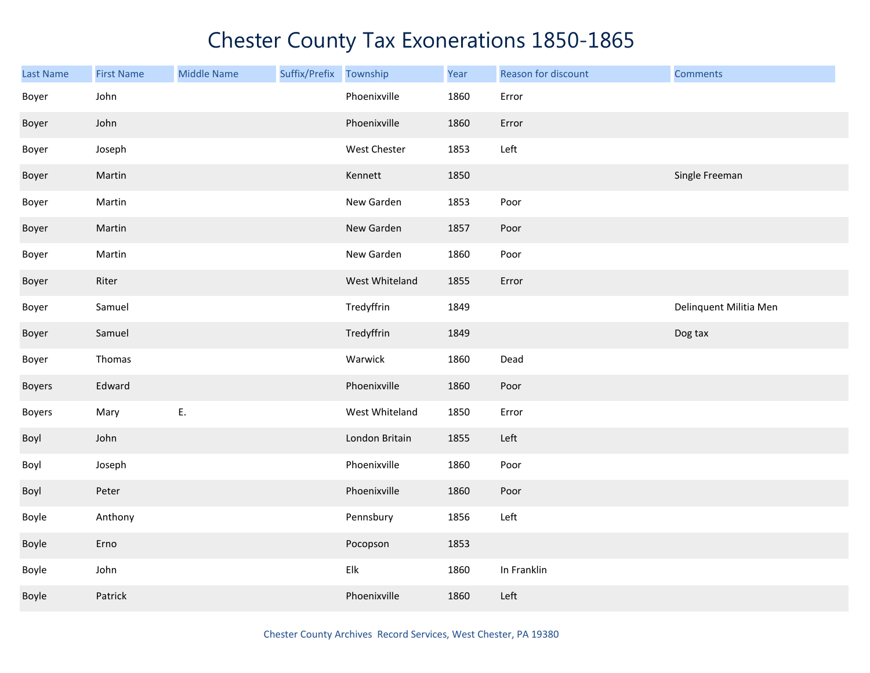| <b>Last Name</b> | <b>First Name</b> | <b>Middle Name</b> | Suffix/Prefix | Township       | Year | Reason for discount | <b>Comments</b>        |
|------------------|-------------------|--------------------|---------------|----------------|------|---------------------|------------------------|
| Boyer            | John              |                    |               | Phoenixville   | 1860 | Error               |                        |
| Boyer            | John              |                    |               | Phoenixville   | 1860 | Error               |                        |
| Boyer            | Joseph            |                    |               | West Chester   | 1853 | Left                |                        |
| Boyer            | Martin            |                    |               | Kennett        | 1850 |                     | Single Freeman         |
| Boyer            | Martin            |                    |               | New Garden     | 1853 | Poor                |                        |
| Boyer            | Martin            |                    |               | New Garden     | 1857 | Poor                |                        |
| Boyer            | Martin            |                    |               | New Garden     | 1860 | Poor                |                        |
| Boyer            | Riter             |                    |               | West Whiteland | 1855 | Error               |                        |
| Boyer            | Samuel            |                    |               | Tredyffrin     | 1849 |                     | Delinquent Militia Men |
| Boyer            | Samuel            |                    |               | Tredyffrin     | 1849 |                     | Dog tax                |
| Boyer            | Thomas            |                    |               | Warwick        | 1860 | Dead                |                        |
| Boyers           | Edward            |                    |               | Phoenixville   | 1860 | Poor                |                        |
| <b>Boyers</b>    | Mary              | Ε.                 |               | West Whiteland | 1850 | Error               |                        |
| Boyl             | John              |                    |               | London Britain | 1855 | Left                |                        |
| Boyl             | Joseph            |                    |               | Phoenixville   | 1860 | Poor                |                        |
| Boyl             | Peter             |                    |               | Phoenixville   | 1860 | Poor                |                        |
| Boyle            | Anthony           |                    |               | Pennsbury      | 1856 | Left                |                        |
| Boyle            | Erno              |                    |               | Pocopson       | 1853 |                     |                        |
| Boyle            | John              |                    |               | Elk            | 1860 | In Franklin         |                        |
| Boyle            | Patrick           |                    |               | Phoenixville   | 1860 | Left                |                        |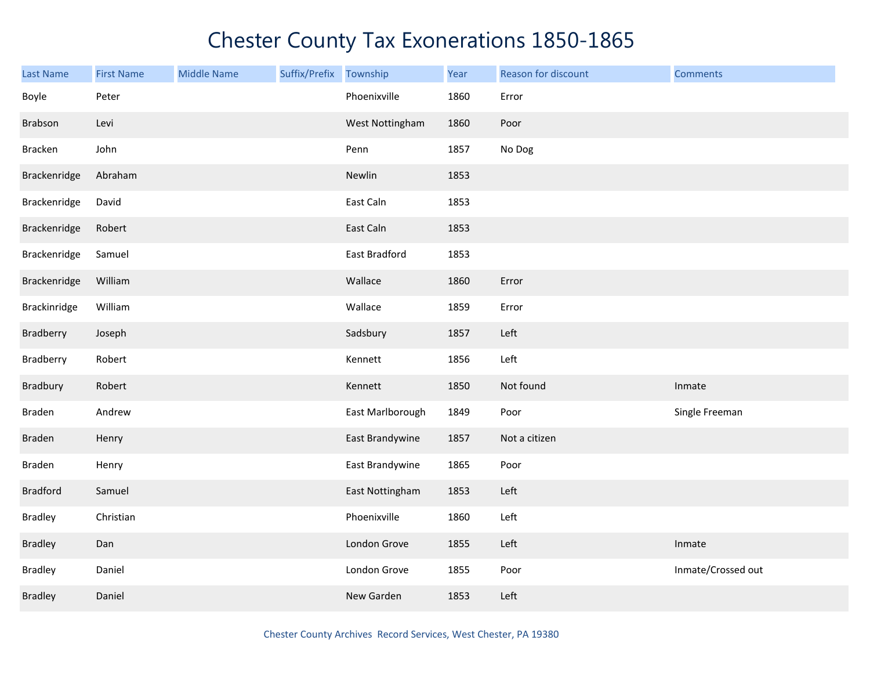| <b>Last Name</b> | <b>First Name</b> | <b>Middle Name</b> | Suffix/Prefix Township |                  | Year | Reason for discount | <b>Comments</b>    |
|------------------|-------------------|--------------------|------------------------|------------------|------|---------------------|--------------------|
| Boyle            | Peter             |                    |                        | Phoenixville     | 1860 | Error               |                    |
| Brabson          | Levi              |                    |                        | West Nottingham  | 1860 | Poor                |                    |
| Bracken          | John              |                    |                        | Penn             | 1857 | No Dog              |                    |
| Brackenridge     | Abraham           |                    |                        | Newlin           | 1853 |                     |                    |
| Brackenridge     | David             |                    |                        | East Caln        | 1853 |                     |                    |
| Brackenridge     | Robert            |                    |                        | East Caln        | 1853 |                     |                    |
| Brackenridge     | Samuel            |                    |                        | East Bradford    | 1853 |                     |                    |
| Brackenridge     | William           |                    |                        | Wallace          | 1860 | Error               |                    |
| Brackinridge     | William           |                    |                        | Wallace          | 1859 | Error               |                    |
| Bradberry        | Joseph            |                    |                        | Sadsbury         | 1857 | Left                |                    |
| Bradberry        | Robert            |                    |                        | Kennett          | 1856 | Left                |                    |
| Bradbury         | Robert            |                    |                        | Kennett          | 1850 | Not found           | Inmate             |
| Braden           | Andrew            |                    |                        | East Marlborough | 1849 | Poor                | Single Freeman     |
| Braden           | Henry             |                    |                        | East Brandywine  | 1857 | Not a citizen       |                    |
| Braden           | Henry             |                    |                        | East Brandywine  | 1865 | Poor                |                    |
| <b>Bradford</b>  | Samuel            |                    |                        | East Nottingham  | 1853 | Left                |                    |
| <b>Bradley</b>   | Christian         |                    |                        | Phoenixville     | 1860 | Left                |                    |
| <b>Bradley</b>   | Dan               |                    |                        | London Grove     | 1855 | Left                | Inmate             |
| <b>Bradley</b>   | Daniel            |                    |                        | London Grove     | 1855 | Poor                | Inmate/Crossed out |
| <b>Bradley</b>   | Daniel            |                    |                        | New Garden       | 1853 | Left                |                    |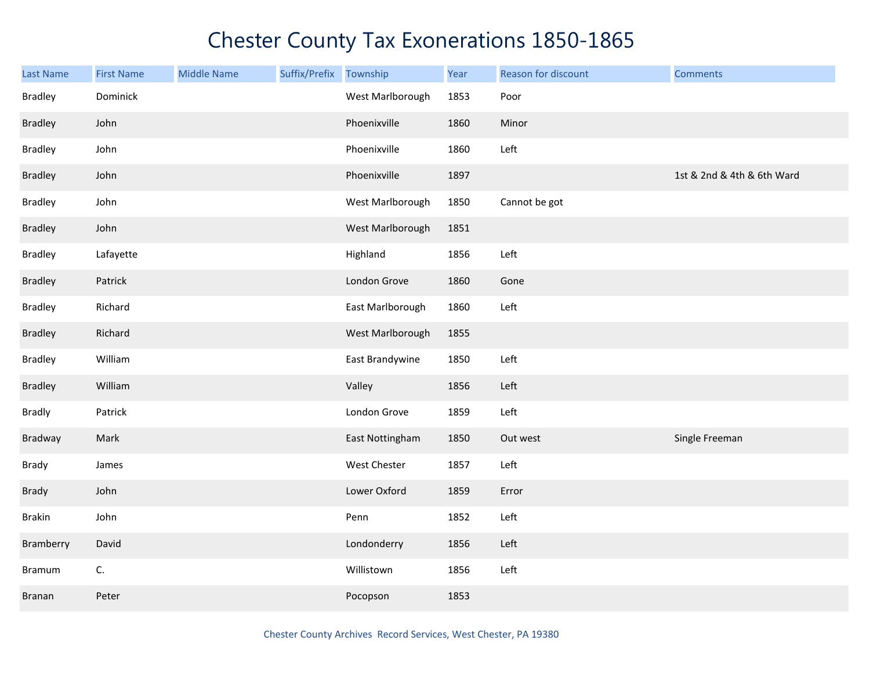| <b>Last Name</b> | <b>First Name</b> | <b>Middle Name</b> | Suffix/Prefix | Township         | Year | Reason for discount | <b>Comments</b>            |
|------------------|-------------------|--------------------|---------------|------------------|------|---------------------|----------------------------|
| <b>Bradley</b>   | Dominick          |                    |               | West Marlborough | 1853 | Poor                |                            |
| <b>Bradley</b>   | John              |                    |               | Phoenixville     | 1860 | Minor               |                            |
| <b>Bradley</b>   | John              |                    |               | Phoenixville     | 1860 | Left                |                            |
| <b>Bradley</b>   | John              |                    |               | Phoenixville     | 1897 |                     | 1st & 2nd & 4th & 6th Ward |
| <b>Bradley</b>   | John              |                    |               | West Marlborough | 1850 | Cannot be got       |                            |
| <b>Bradley</b>   | John              |                    |               | West Marlborough | 1851 |                     |                            |
| <b>Bradley</b>   | Lafayette         |                    |               | Highland         | 1856 | Left                |                            |
| <b>Bradley</b>   | Patrick           |                    |               | London Grove     | 1860 | Gone                |                            |
| <b>Bradley</b>   | Richard           |                    |               | East Marlborough | 1860 | Left                |                            |
| <b>Bradley</b>   | Richard           |                    |               | West Marlborough | 1855 |                     |                            |
| <b>Bradley</b>   | William           |                    |               | East Brandywine  | 1850 | Left                |                            |
| <b>Bradley</b>   | William           |                    |               | Valley           | 1856 | Left                |                            |
| <b>Bradly</b>    | Patrick           |                    |               | London Grove     | 1859 | Left                |                            |
| Bradway          | Mark              |                    |               | East Nottingham  | 1850 | Out west            | Single Freeman             |
| Brady            | James             |                    |               | West Chester     | 1857 | Left                |                            |
| Brady            | John              |                    |               | Lower Oxford     | 1859 | Error               |                            |
| <b>Brakin</b>    | John              |                    |               | Penn             | 1852 | Left                |                            |
| Bramberry        | David             |                    |               | Londonderry      | 1856 | Left                |                            |
| <b>Bramum</b>    | C.                |                    |               | Willistown       | 1856 | Left                |                            |
| <b>Branan</b>    | Peter             |                    |               | Pocopson         | 1853 |                     |                            |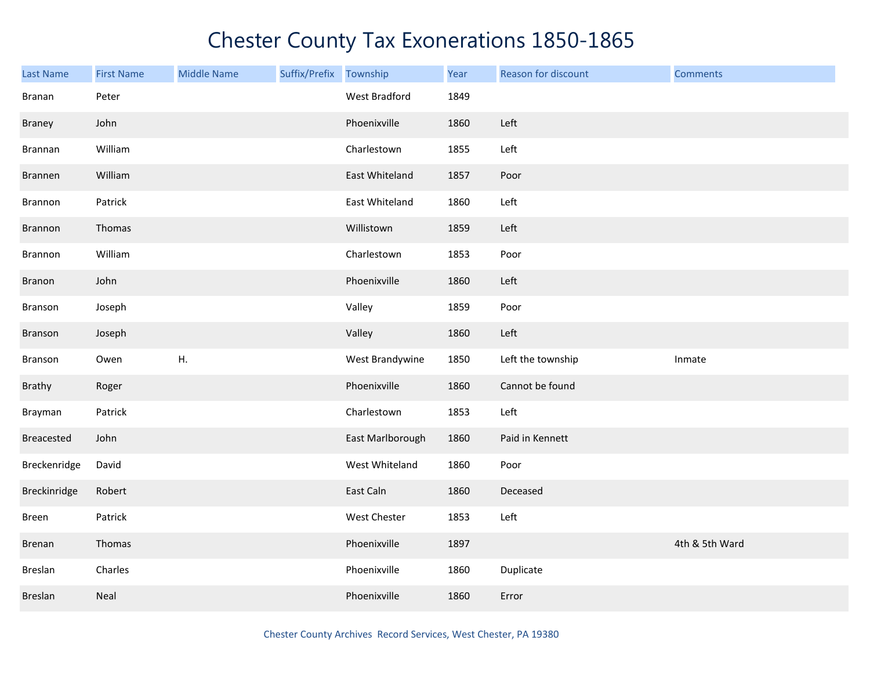| Last Name     | <b>First Name</b> | <b>Middle Name</b> | Suffix/Prefix | Township         | Year | Reason for discount | <b>Comments</b> |
|---------------|-------------------|--------------------|---------------|------------------|------|---------------------|-----------------|
| Branan        | Peter             |                    |               | West Bradford    | 1849 |                     |                 |
| Braney        | John              |                    |               | Phoenixville     | 1860 | Left                |                 |
| Brannan       | William           |                    |               | Charlestown      | 1855 | Left                |                 |
| Brannen       | William           |                    |               | East Whiteland   | 1857 | Poor                |                 |
| Brannon       | Patrick           |                    |               | East Whiteland   | 1860 | Left                |                 |
| Brannon       | Thomas            |                    |               | Willistown       | 1859 | Left                |                 |
| Brannon       | William           |                    |               | Charlestown      | 1853 | Poor                |                 |
| Branon        | John              |                    |               | Phoenixville     | 1860 | Left                |                 |
| Branson       | Joseph            |                    |               | Valley           | 1859 | Poor                |                 |
| Branson       | Joseph            |                    |               | Valley           | 1860 | Left                |                 |
| Branson       | Owen              | Η.                 |               | West Brandywine  | 1850 | Left the township   | Inmate          |
| Brathy        | Roger             |                    |               | Phoenixville     | 1860 | Cannot be found     |                 |
| Brayman       | Patrick           |                    |               | Charlestown      | 1853 | Left                |                 |
| Breacested    | John              |                    |               | East Marlborough | 1860 | Paid in Kennett     |                 |
| Breckenridge  | David             |                    |               | West Whiteland   | 1860 | Poor                |                 |
| Breckinridge  | Robert            |                    |               | East Caln        | 1860 | Deceased            |                 |
| Breen         | Patrick           |                    |               | West Chester     | 1853 | Left                |                 |
| <b>Brenan</b> | Thomas            |                    |               | Phoenixville     | 1897 |                     | 4th & 5th Ward  |
| Breslan       | Charles           |                    |               | Phoenixville     | 1860 | Duplicate           |                 |
| Breslan       | Neal              |                    |               | Phoenixville     | 1860 | Error               |                 |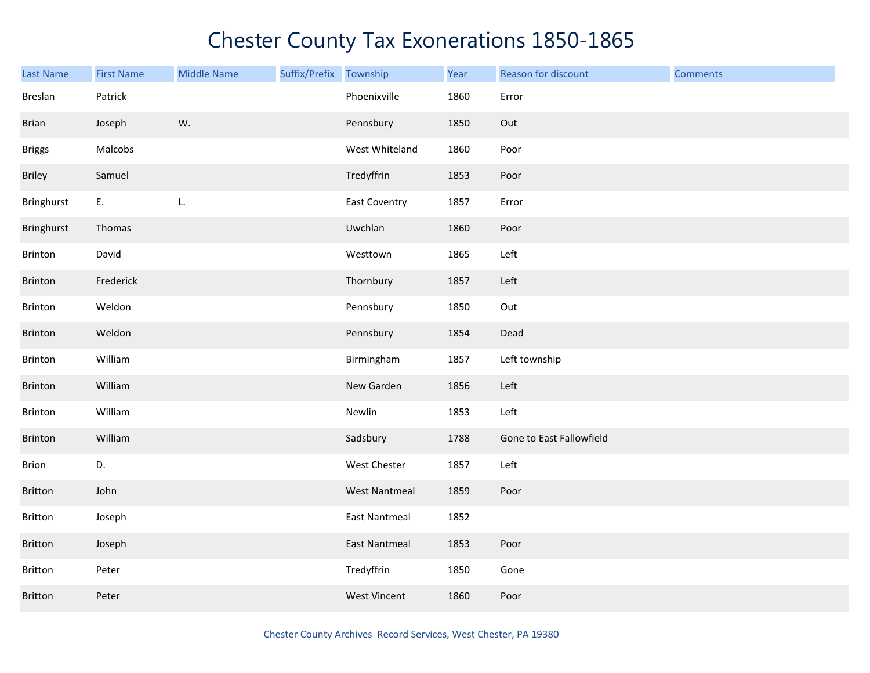| <b>Last Name</b> | <b>First Name</b> | <b>Middle Name</b> | Suffix/Prefix Township |                      | Year | Reason for discount      | <b>Comments</b> |
|------------------|-------------------|--------------------|------------------------|----------------------|------|--------------------------|-----------------|
| Breslan          | Patrick           |                    |                        | Phoenixville         | 1860 | Error                    |                 |
| <b>Brian</b>     | Joseph            | W.                 |                        | Pennsbury            | 1850 | Out                      |                 |
| <b>Briggs</b>    | Malcobs           |                    |                        | West Whiteland       | 1860 | Poor                     |                 |
| <b>Briley</b>    | Samuel            |                    |                        | Tredyffrin           | 1853 | Poor                     |                 |
| Bringhurst       | E.                | L.                 |                        | <b>East Coventry</b> | 1857 | Error                    |                 |
| Bringhurst       | Thomas            |                    |                        | Uwchlan              | 1860 | Poor                     |                 |
| Brinton          | David             |                    |                        | Westtown             | 1865 | Left                     |                 |
| Brinton          | Frederick         |                    |                        | Thornbury            | 1857 | Left                     |                 |
| Brinton          | Weldon            |                    |                        | Pennsbury            | 1850 | Out                      |                 |
| Brinton          | Weldon            |                    |                        | Pennsbury            | 1854 | Dead                     |                 |
| Brinton          | William           |                    |                        | Birmingham           | 1857 | Left township            |                 |
| Brinton          | William           |                    |                        | New Garden           | 1856 | Left                     |                 |
| Brinton          | William           |                    |                        | Newlin               | 1853 | Left                     |                 |
| Brinton          | William           |                    |                        | Sadsbury             | 1788 | Gone to East Fallowfield |                 |
| Brion            | D.                |                    |                        | West Chester         | 1857 | Left                     |                 |
| Britton          | John              |                    |                        | <b>West Nantmeal</b> | 1859 | Poor                     |                 |
| Britton          | Joseph            |                    |                        | <b>East Nantmeal</b> | 1852 |                          |                 |
| <b>Britton</b>   | Joseph            |                    |                        | <b>East Nantmeal</b> | 1853 | Poor                     |                 |
| Britton          | Peter             |                    |                        | Tredyffrin           | 1850 | Gone                     |                 |
| <b>Britton</b>   | Peter             |                    |                        | <b>West Vincent</b>  | 1860 | Poor                     |                 |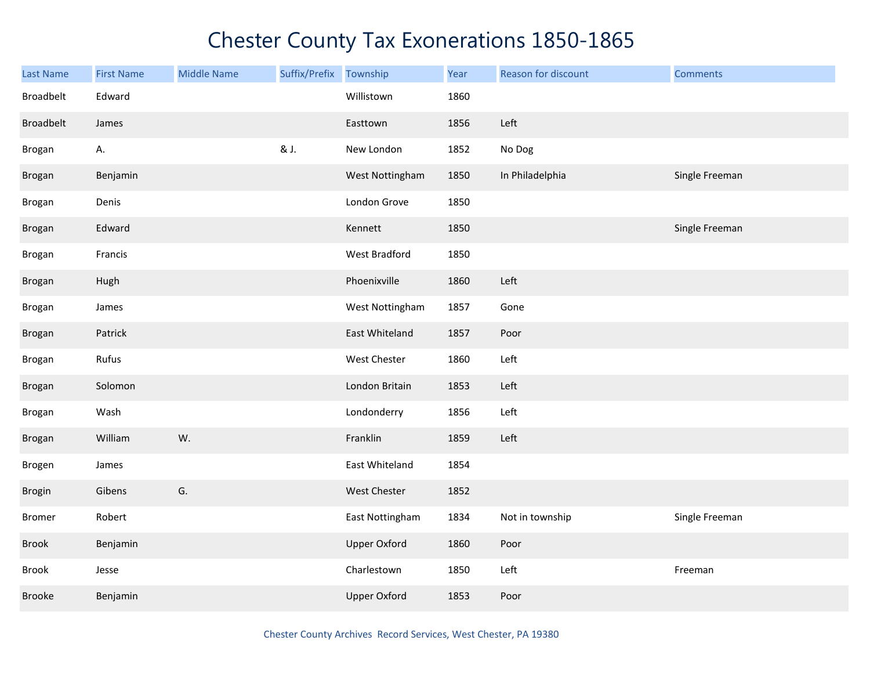| Last Name        | <b>First Name</b> | <b>Middle Name</b> | Suffix/Prefix | Township            | Year | Reason for discount | <b>Comments</b> |
|------------------|-------------------|--------------------|---------------|---------------------|------|---------------------|-----------------|
| Broadbelt        | Edward            |                    |               | Willistown          | 1860 |                     |                 |
| <b>Broadbelt</b> | James             |                    |               | Easttown            | 1856 | Left                |                 |
| <b>Brogan</b>    | А.                |                    | & J.          | New London          | 1852 | No Dog              |                 |
| Brogan           | Benjamin          |                    |               | West Nottingham     | 1850 | In Philadelphia     | Single Freeman  |
| Brogan           | Denis             |                    |               | London Grove        | 1850 |                     |                 |
| Brogan           | Edward            |                    |               | Kennett             | 1850 |                     | Single Freeman  |
| Brogan           | Francis           |                    |               | West Bradford       | 1850 |                     |                 |
| Brogan           | Hugh              |                    |               | Phoenixville        | 1860 | Left                |                 |
| Brogan           | James             |                    |               | West Nottingham     | 1857 | Gone                |                 |
| Brogan           | Patrick           |                    |               | East Whiteland      | 1857 | Poor                |                 |
| Brogan           | Rufus             |                    |               | West Chester        | 1860 | Left                |                 |
| Brogan           | Solomon           |                    |               | London Britain      | 1853 | Left                |                 |
| Brogan           | Wash              |                    |               | Londonderry         | 1856 | Left                |                 |
| <b>Brogan</b>    | William           | W.                 |               | Franklin            | 1859 | Left                |                 |
| Brogen           | James             |                    |               | East Whiteland      | 1854 |                     |                 |
| Brogin           | Gibens            | G.                 |               | West Chester        | 1852 |                     |                 |
| <b>Bromer</b>    | Robert            |                    |               | East Nottingham     | 1834 | Not in township     | Single Freeman  |
| Brook            | Benjamin          |                    |               | <b>Upper Oxford</b> | 1860 | Poor                |                 |
| Brook            | Jesse             |                    |               | Charlestown         | 1850 | Left                | Freeman         |
| <b>Brooke</b>    | Benjamin          |                    |               | <b>Upper Oxford</b> | 1853 | Poor                |                 |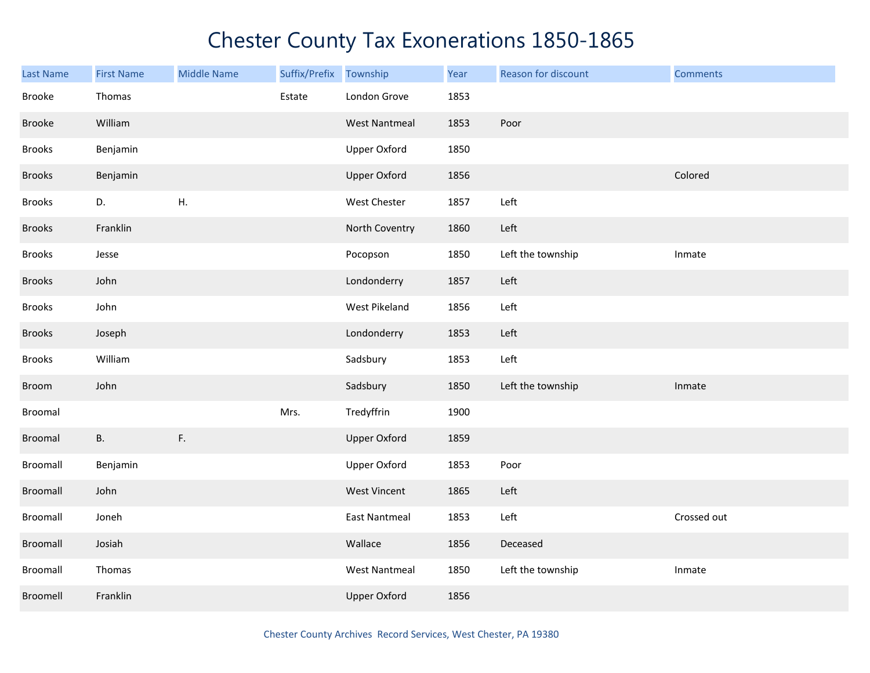| <b>Last Name</b> | <b>First Name</b> | <b>Middle Name</b> | Suffix/Prefix | Township             | Year | Reason for discount | <b>Comments</b> |
|------------------|-------------------|--------------------|---------------|----------------------|------|---------------------|-----------------|
| Brooke           | Thomas            |                    | Estate        | London Grove         | 1853 |                     |                 |
| Brooke           | William           |                    |               | <b>West Nantmeal</b> | 1853 | Poor                |                 |
| <b>Brooks</b>    | Benjamin          |                    |               | <b>Upper Oxford</b>  | 1850 |                     |                 |
| <b>Brooks</b>    | Benjamin          |                    |               | <b>Upper Oxford</b>  | 1856 |                     | Colored         |
| <b>Brooks</b>    | D.                | H.                 |               | West Chester         | 1857 | Left                |                 |
| <b>Brooks</b>    | Franklin          |                    |               | North Coventry       | 1860 | Left                |                 |
| <b>Brooks</b>    | Jesse             |                    |               | Pocopson             | 1850 | Left the township   | Inmate          |
| <b>Brooks</b>    | John              |                    |               | Londonderry          | 1857 | Left                |                 |
| <b>Brooks</b>    | John              |                    |               | West Pikeland        | 1856 | Left                |                 |
| <b>Brooks</b>    | Joseph            |                    |               | Londonderry          | 1853 | Left                |                 |
| <b>Brooks</b>    | William           |                    |               | Sadsbury             | 1853 | Left                |                 |
| Broom            | John              |                    |               | Sadsbury             | 1850 | Left the township   | Inmate          |
| <b>Broomal</b>   |                   |                    | Mrs.          | Tredyffrin           | 1900 |                     |                 |
| Broomal          | <b>B.</b>         | F.                 |               | <b>Upper Oxford</b>  | 1859 |                     |                 |
| Broomall         | Benjamin          |                    |               | Upper Oxford         | 1853 | Poor                |                 |
| Broomall         | John              |                    |               | <b>West Vincent</b>  | 1865 | Left                |                 |
| Broomall         | Joneh             |                    |               | <b>East Nantmeal</b> | 1853 | Left                | Crossed out     |
| Broomall         | Josiah            |                    |               | Wallace              | 1856 | Deceased            |                 |
| Broomall         | Thomas            |                    |               | <b>West Nantmeal</b> | 1850 | Left the township   | Inmate          |
| Broomell         | Franklin          |                    |               | <b>Upper Oxford</b>  | 1856 |                     |                 |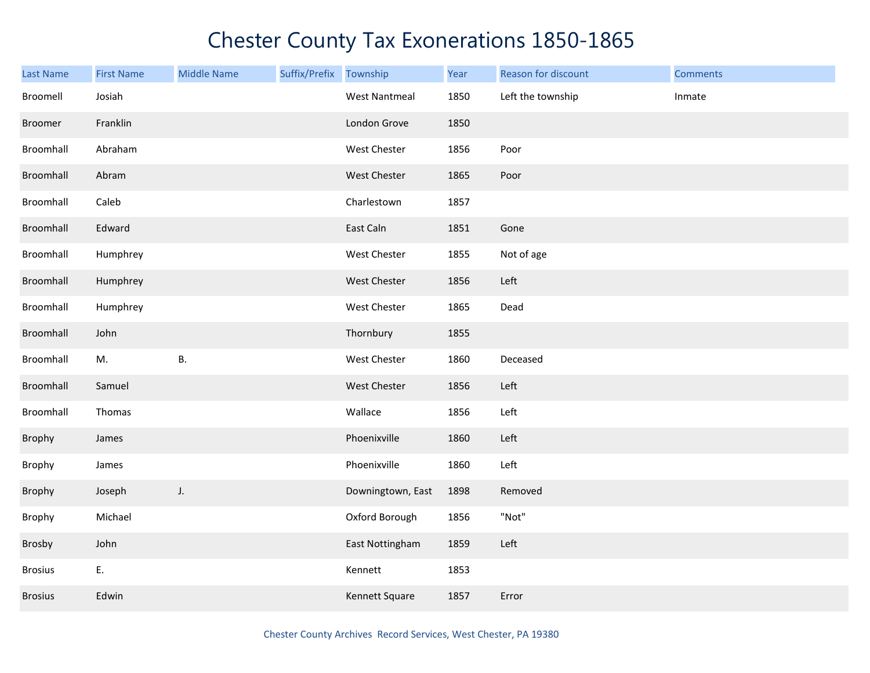| <b>Last Name</b> | <b>First Name</b> | <b>Middle Name</b> | Suffix/Prefix Township |                      | Year | Reason for discount | <b>Comments</b> |
|------------------|-------------------|--------------------|------------------------|----------------------|------|---------------------|-----------------|
| Broomell         | Josiah            |                    |                        | <b>West Nantmeal</b> | 1850 | Left the township   | Inmate          |
| Broomer          | Franklin          |                    |                        | London Grove         | 1850 |                     |                 |
| Broomhall        | Abraham           |                    |                        | West Chester         | 1856 | Poor                |                 |
| Broomhall        | Abram             |                    |                        | West Chester         | 1865 | Poor                |                 |
| Broomhall        | Caleb             |                    |                        | Charlestown          | 1857 |                     |                 |
| Broomhall        | Edward            |                    |                        | East Caln            | 1851 | Gone                |                 |
| Broomhall        | Humphrey          |                    |                        | West Chester         | 1855 | Not of age          |                 |
| Broomhall        | Humphrey          |                    |                        | West Chester         | 1856 | Left                |                 |
| Broomhall        | Humphrey          |                    |                        | West Chester         | 1865 | Dead                |                 |
| Broomhall        | John              |                    |                        | Thornbury            | 1855 |                     |                 |
| Broomhall        | M.                | <b>B.</b>          |                        | West Chester         | 1860 | Deceased            |                 |
| Broomhall        | Samuel            |                    |                        | West Chester         | 1856 | Left                |                 |
| Broomhall        | Thomas            |                    |                        | Wallace              | 1856 | Left                |                 |
| Brophy           | James             |                    |                        | Phoenixville         | 1860 | Left                |                 |
| Brophy           | James             |                    |                        | Phoenixville         | 1860 | Left                |                 |
| Brophy           | Joseph            | J.                 |                        | Downingtown, East    | 1898 | Removed             |                 |
| Brophy           | Michael           |                    |                        | Oxford Borough       | 1856 | "Not"               |                 |
| Brosby           | John              |                    |                        | East Nottingham      | 1859 | Left                |                 |
| <b>Brosius</b>   | E.                |                    |                        | Kennett              | 1853 |                     |                 |
| <b>Brosius</b>   | Edwin             |                    |                        | Kennett Square       | 1857 | Error               |                 |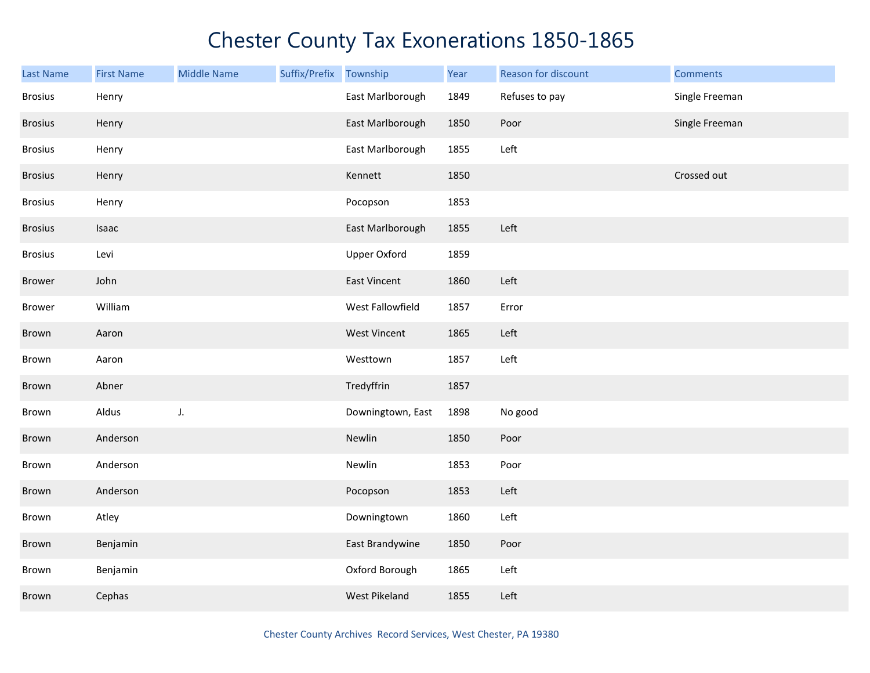| Last Name      | <b>First Name</b> | <b>Middle Name</b> | Suffix/Prefix Township |                     | Year | Reason for discount | <b>Comments</b> |
|----------------|-------------------|--------------------|------------------------|---------------------|------|---------------------|-----------------|
| <b>Brosius</b> | Henry             |                    |                        | East Marlborough    | 1849 | Refuses to pay      | Single Freeman  |
| <b>Brosius</b> | Henry             |                    |                        | East Marlborough    | 1850 | Poor                | Single Freeman  |
| <b>Brosius</b> | Henry             |                    |                        | East Marlborough    | 1855 | Left                |                 |
| <b>Brosius</b> | Henry             |                    |                        | Kennett             | 1850 |                     | Crossed out     |
| <b>Brosius</b> | Henry             |                    |                        | Pocopson            | 1853 |                     |                 |
| <b>Brosius</b> | Isaac             |                    |                        | East Marlborough    | 1855 | Left                |                 |
| <b>Brosius</b> | Levi              |                    |                        | <b>Upper Oxford</b> | 1859 |                     |                 |
| <b>Brower</b>  | John              |                    |                        | <b>East Vincent</b> | 1860 | Left                |                 |
| <b>Brower</b>  | William           |                    |                        | West Fallowfield    | 1857 | Error               |                 |
| Brown          | Aaron             |                    |                        | West Vincent        | 1865 | Left                |                 |
| Brown          | Aaron             |                    |                        | Westtown            | 1857 | Left                |                 |
| Brown          | Abner             |                    |                        | Tredyffrin          | 1857 |                     |                 |
| Brown          | Aldus             | J.                 |                        | Downingtown, East   | 1898 | No good             |                 |
| Brown          | Anderson          |                    |                        | Newlin              | 1850 | Poor                |                 |
| Brown          | Anderson          |                    |                        | Newlin              | 1853 | Poor                |                 |
| Brown          | Anderson          |                    |                        | Pocopson            | 1853 | Left                |                 |
| Brown          | Atley             |                    |                        | Downingtown         | 1860 | Left                |                 |
| Brown          | Benjamin          |                    |                        | East Brandywine     | 1850 | Poor                |                 |
| Brown          | Benjamin          |                    |                        | Oxford Borough      | 1865 | Left                |                 |
| Brown          | Cephas            |                    |                        | West Pikeland       | 1855 | Left                |                 |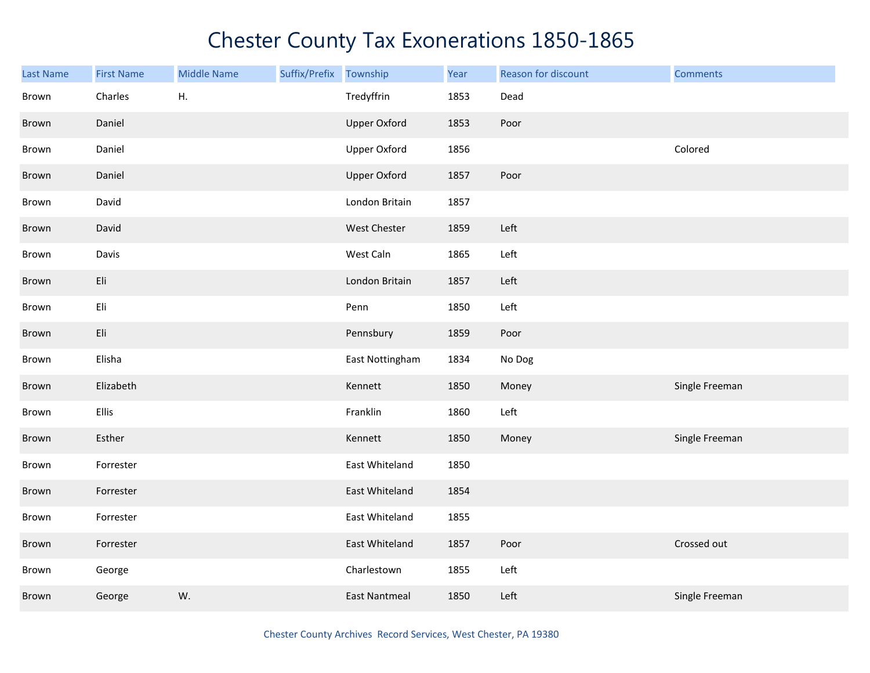| <b>Last Name</b> | <b>First Name</b> | <b>Middle Name</b> | Suffix/Prefix Township |                      | Year | Reason for discount | <b>Comments</b> |
|------------------|-------------------|--------------------|------------------------|----------------------|------|---------------------|-----------------|
| Brown            | Charles           | Η.                 |                        | Tredyffrin           | 1853 | Dead                |                 |
| Brown            | Daniel            |                    |                        | <b>Upper Oxford</b>  | 1853 | Poor                |                 |
| Brown            | Daniel            |                    |                        | <b>Upper Oxford</b>  | 1856 |                     | Colored         |
| Brown            | Daniel            |                    |                        | <b>Upper Oxford</b>  | 1857 | Poor                |                 |
| Brown            | David             |                    |                        | London Britain       | 1857 |                     |                 |
| Brown            | David             |                    |                        | West Chester         | 1859 | Left                |                 |
| Brown            | Davis             |                    |                        | West Caln            | 1865 | Left                |                 |
| Brown            | Eli               |                    |                        | London Britain       | 1857 | Left                |                 |
| Brown            | Eli               |                    |                        | Penn                 | 1850 | Left                |                 |
| Brown            | Eli               |                    |                        | Pennsbury            | 1859 | Poor                |                 |
| Brown            | Elisha            |                    |                        | East Nottingham      | 1834 | No Dog              |                 |
| Brown            | Elizabeth         |                    |                        | Kennett              | 1850 | Money               | Single Freeman  |
| Brown            | Ellis             |                    |                        | Franklin             | 1860 | Left                |                 |
| Brown            | Esther            |                    |                        | Kennett              | 1850 | Money               | Single Freeman  |
| Brown            | Forrester         |                    |                        | East Whiteland       | 1850 |                     |                 |
| Brown            | Forrester         |                    |                        | East Whiteland       | 1854 |                     |                 |
| Brown            | Forrester         |                    |                        | East Whiteland       | 1855 |                     |                 |
| Brown            | Forrester         |                    |                        | East Whiteland       | 1857 | Poor                | Crossed out     |
| Brown            | George            |                    |                        | Charlestown          | 1855 | Left                |                 |
| Brown            | George            | W.                 |                        | <b>East Nantmeal</b> | 1850 | Left                | Single Freeman  |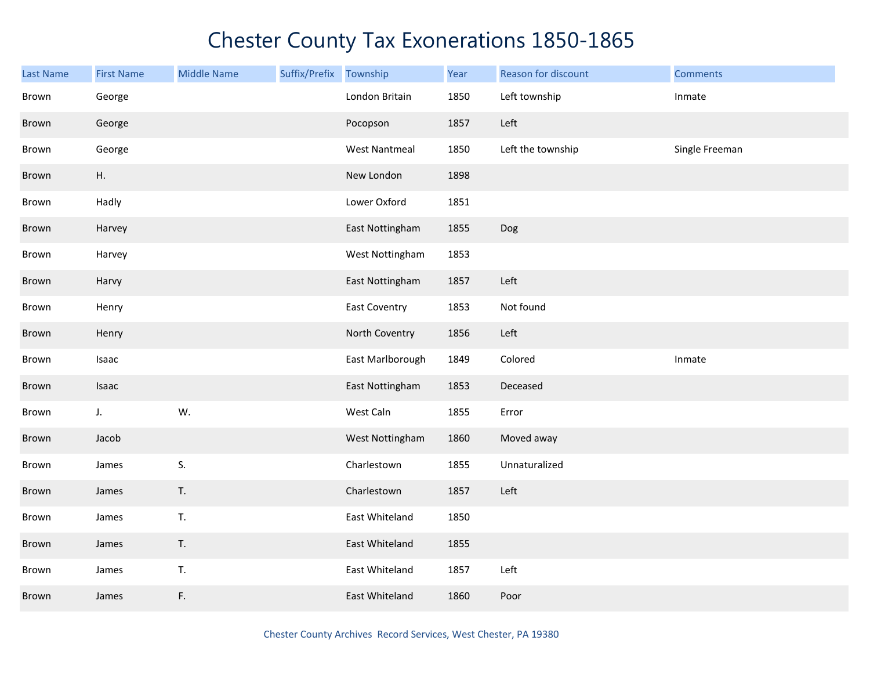| <b>Last Name</b> | <b>First Name</b> | <b>Middle Name</b> | Suffix/Prefix | Township             | Year | Reason for discount | <b>Comments</b> |
|------------------|-------------------|--------------------|---------------|----------------------|------|---------------------|-----------------|
| Brown            | George            |                    |               | London Britain       | 1850 | Left township       | Inmate          |
| Brown            | George            |                    |               | Pocopson             | 1857 | Left                |                 |
| Brown            | George            |                    |               | <b>West Nantmeal</b> | 1850 | Left the township   | Single Freeman  |
| Brown            | H.                |                    |               | New London           | 1898 |                     |                 |
| Brown            | Hadly             |                    |               | Lower Oxford         | 1851 |                     |                 |
| Brown            | Harvey            |                    |               | East Nottingham      | 1855 | Dog                 |                 |
| Brown            | Harvey            |                    |               | West Nottingham      | 1853 |                     |                 |
| Brown            | Harvy             |                    |               | East Nottingham      | 1857 | Left                |                 |
| Brown            | Henry             |                    |               | East Coventry        | 1853 | Not found           |                 |
| Brown            | Henry             |                    |               | North Coventry       | 1856 | Left                |                 |
| Brown            | Isaac             |                    |               | East Marlborough     | 1849 | Colored             | Inmate          |
| Brown            | Isaac             |                    |               | East Nottingham      | 1853 | Deceased            |                 |
| Brown            | J.                | W.                 |               | West Caln            | 1855 | Error               |                 |
| Brown            | Jacob             |                    |               | West Nottingham      | 1860 | Moved away          |                 |
| Brown            | James             | S.                 |               | Charlestown          | 1855 | Unnaturalized       |                 |
| Brown            | James             | T.                 |               | Charlestown          | 1857 | Left                |                 |
| Brown            | James             | T.                 |               | East Whiteland       | 1850 |                     |                 |
| Brown            | James             | T.                 |               | East Whiteland       | 1855 |                     |                 |
| Brown            | James             | T.                 |               | East Whiteland       | 1857 | Left                |                 |
| Brown            | James             | F.                 |               | East Whiteland       | 1860 | Poor                |                 |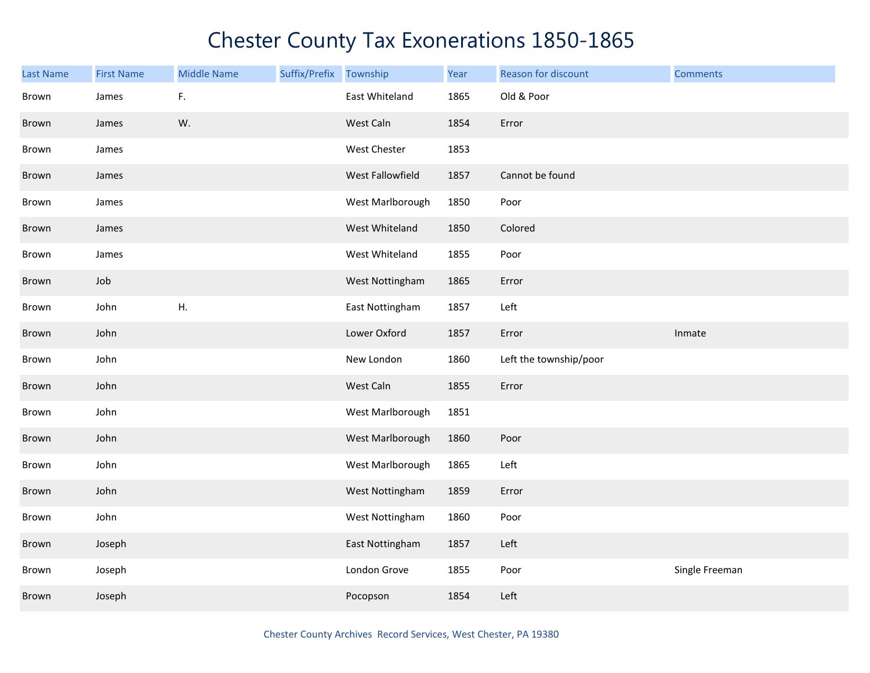| <b>Last Name</b> | <b>First Name</b> | <b>Middle Name</b> | Suffix/Prefix | Township         | Year | Reason for discount    | <b>Comments</b> |
|------------------|-------------------|--------------------|---------------|------------------|------|------------------------|-----------------|
| Brown            | James             | F.                 |               | East Whiteland   | 1865 | Old & Poor             |                 |
| Brown            | James             | W.                 |               | West Caln        | 1854 | Error                  |                 |
| Brown            | James             |                    |               | West Chester     | 1853 |                        |                 |
| Brown            | James             |                    |               | West Fallowfield | 1857 | Cannot be found        |                 |
| Brown            | James             |                    |               | West Marlborough | 1850 | Poor                   |                 |
| Brown            | James             |                    |               | West Whiteland   | 1850 | Colored                |                 |
| Brown            | James             |                    |               | West Whiteland   | 1855 | Poor                   |                 |
| Brown            | Job               |                    |               | West Nottingham  | 1865 | Error                  |                 |
| Brown            | John              | Η.                 |               | East Nottingham  | 1857 | Left                   |                 |
| Brown            | John              |                    |               | Lower Oxford     | 1857 | Error                  | Inmate          |
| Brown            | John              |                    |               | New London       | 1860 | Left the township/poor |                 |
| Brown            | John              |                    |               | West Caln        | 1855 | Error                  |                 |
| Brown            | John              |                    |               | West Marlborough | 1851 |                        |                 |
| Brown            | John              |                    |               | West Marlborough | 1860 | Poor                   |                 |
| Brown            | John              |                    |               | West Marlborough | 1865 | Left                   |                 |
| Brown            | John              |                    |               | West Nottingham  | 1859 | Error                  |                 |
| Brown            | John              |                    |               | West Nottingham  | 1860 | Poor                   |                 |
| Brown            | Joseph            |                    |               | East Nottingham  | 1857 | Left                   |                 |
| Brown            | Joseph            |                    |               | London Grove     | 1855 | Poor                   | Single Freeman  |
| Brown            | Joseph            |                    |               | Pocopson         | 1854 | Left                   |                 |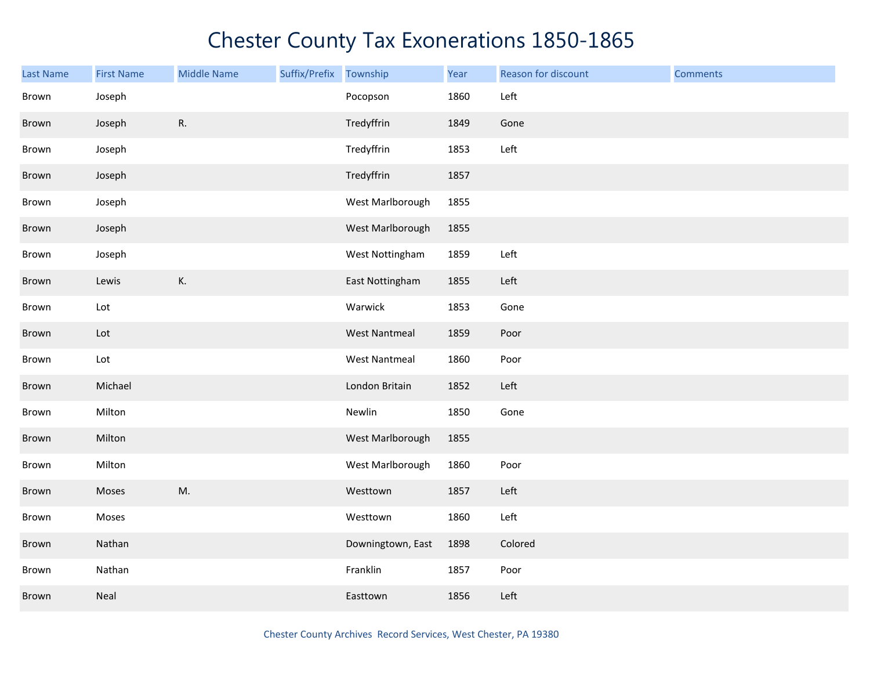| <b>Last Name</b> | <b>First Name</b>           | <b>Middle Name</b> | Suffix/Prefix | Township             | Year | Reason for discount | <b>Comments</b> |
|------------------|-----------------------------|--------------------|---------------|----------------------|------|---------------------|-----------------|
| Brown            | Joseph                      |                    |               | Pocopson             | 1860 | Left                |                 |
| Brown            | Joseph                      | ${\sf R}.$         |               | Tredyffrin           | 1849 | Gone                |                 |
| Brown            | Joseph                      |                    |               | Tredyffrin           | 1853 | Left                |                 |
| Brown            | Joseph                      |                    |               | Tredyffrin           | 1857 |                     |                 |
| Brown            | Joseph                      |                    |               | West Marlborough     | 1855 |                     |                 |
| Brown            | Joseph                      |                    |               | West Marlborough     | 1855 |                     |                 |
| Brown            | Joseph                      |                    |               | West Nottingham      | 1859 | Left                |                 |
| Brown            | Lewis                       | K.                 |               | East Nottingham      | 1855 | Left                |                 |
| Brown            | $\mathsf{Lot}$              |                    |               | Warwick              | 1853 | Gone                |                 |
| Brown            | $\ensuremath{\mathsf{Lot}}$ |                    |               | <b>West Nantmeal</b> | 1859 | Poor                |                 |
| Brown            | Lot                         |                    |               | <b>West Nantmeal</b> | 1860 | Poor                |                 |
| Brown            | Michael                     |                    |               | London Britain       | 1852 | Left                |                 |
| Brown            | Milton                      |                    |               | Newlin               | 1850 | Gone                |                 |
| Brown            | Milton                      |                    |               | West Marlborough     | 1855 |                     |                 |
| Brown            | Milton                      |                    |               | West Marlborough     | 1860 | Poor                |                 |
| Brown            | Moses                       | M.                 |               | Westtown             | 1857 | Left                |                 |
| Brown            | Moses                       |                    |               | Westtown             | 1860 | Left                |                 |
| Brown            | Nathan                      |                    |               | Downingtown, East    | 1898 | Colored             |                 |
| Brown            | Nathan                      |                    |               | Franklin             | 1857 | Poor                |                 |
| Brown            | Neal                        |                    |               | Easttown             | 1856 | Left                |                 |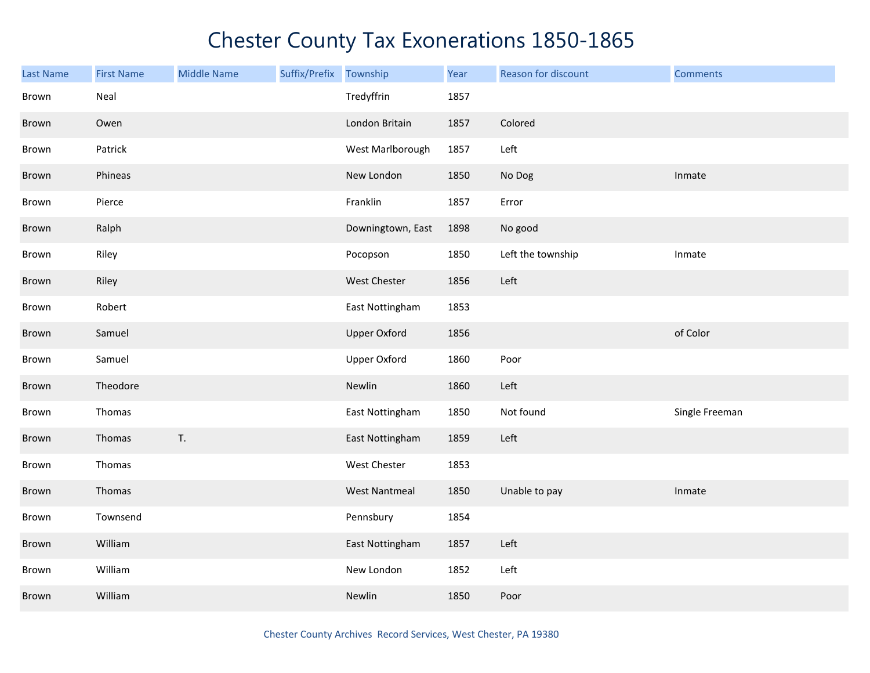| Last Name | <b>First Name</b> | <b>Middle Name</b> | Suffix/Prefix | Township             | Year | Reason for discount | <b>Comments</b> |
|-----------|-------------------|--------------------|---------------|----------------------|------|---------------------|-----------------|
| Brown     | Neal              |                    |               | Tredyffrin           | 1857 |                     |                 |
| Brown     | Owen              |                    |               | London Britain       | 1857 | Colored             |                 |
| Brown     | Patrick           |                    |               | West Marlborough     | 1857 | Left                |                 |
| Brown     | Phineas           |                    |               | New London           | 1850 | No Dog              | Inmate          |
| Brown     | Pierce            |                    |               | Franklin             | 1857 | Error               |                 |
| Brown     | Ralph             |                    |               | Downingtown, East    | 1898 | No good             |                 |
| Brown     | Riley             |                    |               | Pocopson             | 1850 | Left the township   | Inmate          |
| Brown     | Riley             |                    |               | West Chester         | 1856 | Left                |                 |
| Brown     | Robert            |                    |               | East Nottingham      | 1853 |                     |                 |
| Brown     | Samuel            |                    |               | <b>Upper Oxford</b>  | 1856 |                     | of Color        |
| Brown     | Samuel            |                    |               | Upper Oxford         | 1860 | Poor                |                 |
| Brown     | Theodore          |                    |               | Newlin               | 1860 | Left                |                 |
| Brown     | Thomas            |                    |               | East Nottingham      | 1850 | Not found           | Single Freeman  |
| Brown     | Thomas            | T.                 |               | East Nottingham      | 1859 | Left                |                 |
| Brown     | Thomas            |                    |               | <b>West Chester</b>  | 1853 |                     |                 |
| Brown     | Thomas            |                    |               | <b>West Nantmeal</b> | 1850 | Unable to pay       | Inmate          |
| Brown     | Townsend          |                    |               | Pennsbury            | 1854 |                     |                 |
| Brown     | William           |                    |               | East Nottingham      | 1857 | Left                |                 |
| Brown     | William           |                    |               | New London           | 1852 | Left                |                 |
| Brown     | William           |                    |               | Newlin               | 1850 | Poor                |                 |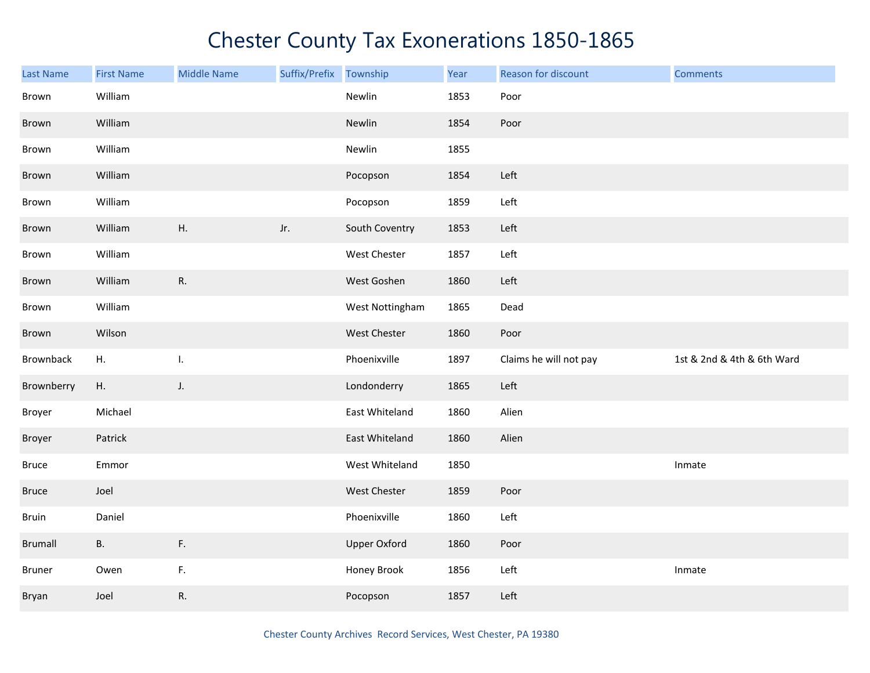| Last Name      | <b>First Name</b> | <b>Middle Name</b> | Suffix/Prefix | Township            | Year | Reason for discount    | <b>Comments</b>            |
|----------------|-------------------|--------------------|---------------|---------------------|------|------------------------|----------------------------|
| Brown          | William           |                    |               | Newlin              | 1853 | Poor                   |                            |
| Brown          | William           |                    |               | Newlin              | 1854 | Poor                   |                            |
| Brown          | William           |                    |               | Newlin              | 1855 |                        |                            |
| Brown          | William           |                    |               | Pocopson            | 1854 | Left                   |                            |
| Brown          | William           |                    |               | Pocopson            | 1859 | Left                   |                            |
| Brown          | William           | Η.                 | Jr.           | South Coventry      | 1853 | Left                   |                            |
| Brown          | William           |                    |               | West Chester        | 1857 | Left                   |                            |
| Brown          | William           | R.                 |               | West Goshen         | 1860 | Left                   |                            |
| Brown          | William           |                    |               | West Nottingham     | 1865 | Dead                   |                            |
| Brown          | Wilson            |                    |               | West Chester        | 1860 | Poor                   |                            |
| Brownback      | Η.                | I.                 |               | Phoenixville        | 1897 | Claims he will not pay | 1st & 2nd & 4th & 6th Ward |
| Brownberry     | Η.                | J.                 |               | Londonderry         | 1865 | Left                   |                            |
| Broyer         | Michael           |                    |               | East Whiteland      | 1860 | Alien                  |                            |
| Broyer         | Patrick           |                    |               | East Whiteland      | 1860 | Alien                  |                            |
| <b>Bruce</b>   | Emmor             |                    |               | West Whiteland      | 1850 |                        | Inmate                     |
| Bruce          | Joel              |                    |               | West Chester        | 1859 | Poor                   |                            |
| Bruin          | Daniel            |                    |               | Phoenixville        | 1860 | Left                   |                            |
| <b>Brumall</b> | <b>B.</b>         | F.                 |               | <b>Upper Oxford</b> | 1860 | Poor                   |                            |
| Bruner         | Owen              | F.                 |               | Honey Brook         | 1856 | Left                   | Inmate                     |
| Bryan          | Joel              | R.                 |               | Pocopson            | 1857 | Left                   |                            |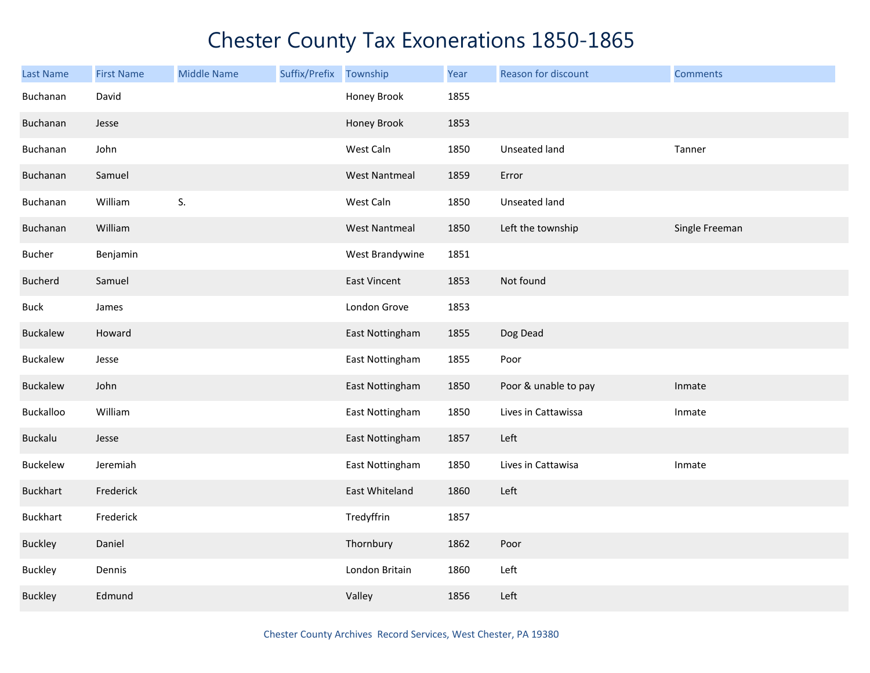| <b>Last Name</b> | <b>First Name</b> | <b>Middle Name</b> | Suffix/Prefix Township |                      | Year | Reason for discount  | <b>Comments</b> |
|------------------|-------------------|--------------------|------------------------|----------------------|------|----------------------|-----------------|
| Buchanan         | David             |                    |                        | Honey Brook          | 1855 |                      |                 |
| Buchanan         | Jesse             |                    |                        | Honey Brook          | 1853 |                      |                 |
| Buchanan         | John              |                    |                        | West Caln            | 1850 | Unseated land        | Tanner          |
| Buchanan         | Samuel            |                    |                        | <b>West Nantmeal</b> | 1859 | Error                |                 |
| Buchanan         | William           | S.                 |                        | West Caln            | 1850 | Unseated land        |                 |
| Buchanan         | William           |                    |                        | <b>West Nantmeal</b> | 1850 | Left the township    | Single Freeman  |
| Bucher           | Benjamin          |                    |                        | West Brandywine      | 1851 |                      |                 |
| <b>Bucherd</b>   | Samuel            |                    |                        | <b>East Vincent</b>  | 1853 | Not found            |                 |
| <b>Buck</b>      | James             |                    |                        | London Grove         | 1853 |                      |                 |
| Buckalew         | Howard            |                    |                        | East Nottingham      | 1855 | Dog Dead             |                 |
| Buckalew         | Jesse             |                    |                        | East Nottingham      | 1855 | Poor                 |                 |
| <b>Buckalew</b>  | John              |                    |                        | East Nottingham      | 1850 | Poor & unable to pay | Inmate          |
| Buckalloo        | William           |                    |                        | East Nottingham      | 1850 | Lives in Cattawissa  | Inmate          |
| <b>Buckalu</b>   | Jesse             |                    |                        | East Nottingham      | 1857 | Left                 |                 |
| Buckelew         | Jeremiah          |                    |                        | East Nottingham      | 1850 | Lives in Cattawisa   | Inmate          |
| <b>Buckhart</b>  | Frederick         |                    |                        | East Whiteland       | 1860 | Left                 |                 |
| <b>Buckhart</b>  | Frederick         |                    |                        | Tredyffrin           | 1857 |                      |                 |
| <b>Buckley</b>   | Daniel            |                    |                        | Thornbury            | 1862 | Poor                 |                 |
| <b>Buckley</b>   | Dennis            |                    |                        | London Britain       | 1860 | Left                 |                 |
| <b>Buckley</b>   | Edmund            |                    |                        | Valley               | 1856 | Left                 |                 |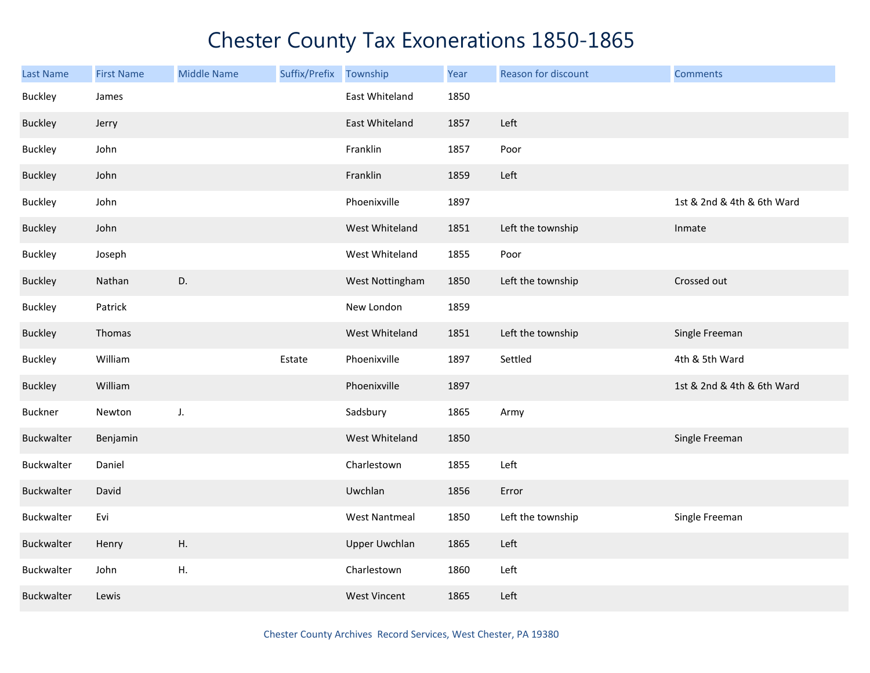| <b>Last Name</b> | <b>First Name</b> | <b>Middle Name</b> | Suffix/Prefix | Township             | Year | Reason for discount | <b>Comments</b>            |
|------------------|-------------------|--------------------|---------------|----------------------|------|---------------------|----------------------------|
| <b>Buckley</b>   | James             |                    |               | East Whiteland       | 1850 |                     |                            |
| <b>Buckley</b>   | Jerry             |                    |               | East Whiteland       | 1857 | Left                |                            |
| <b>Buckley</b>   | John              |                    |               | Franklin             | 1857 | Poor                |                            |
| <b>Buckley</b>   | John              |                    |               | Franklin             | 1859 | Left                |                            |
| <b>Buckley</b>   | John              |                    |               | Phoenixville         | 1897 |                     | 1st & 2nd & 4th & 6th Ward |
| <b>Buckley</b>   | John              |                    |               | West Whiteland       | 1851 | Left the township   | Inmate                     |
| <b>Buckley</b>   | Joseph            |                    |               | West Whiteland       | 1855 | Poor                |                            |
| <b>Buckley</b>   | Nathan            | D.                 |               | West Nottingham      | 1850 | Left the township   | Crossed out                |
| Buckley          | Patrick           |                    |               | New London           | 1859 |                     |                            |
| <b>Buckley</b>   | Thomas            |                    |               | West Whiteland       | 1851 | Left the township   | Single Freeman             |
| <b>Buckley</b>   | William           |                    | Estate        | Phoenixville         | 1897 | Settled             | 4th & 5th Ward             |
| <b>Buckley</b>   | William           |                    |               | Phoenixville         | 1897 |                     | 1st & 2nd & 4th & 6th Ward |
| <b>Buckner</b>   | Newton            | J.                 |               | Sadsbury             | 1865 | Army                |                            |
| Buckwalter       | Benjamin          |                    |               | West Whiteland       | 1850 |                     | Single Freeman             |
| Buckwalter       | Daniel            |                    |               | Charlestown          | 1855 | Left                |                            |
| Buckwalter       | David             |                    |               | Uwchlan              | 1856 | Error               |                            |
| Buckwalter       | Evi               |                    |               | <b>West Nantmeal</b> | 1850 | Left the township   | Single Freeman             |
| Buckwalter       | Henry             | Η.                 |               | <b>Upper Uwchlan</b> | 1865 | Left                |                            |
| Buckwalter       | John              | Η.                 |               | Charlestown          | 1860 | Left                |                            |
| Buckwalter       | Lewis             |                    |               | <b>West Vincent</b>  | 1865 | Left                |                            |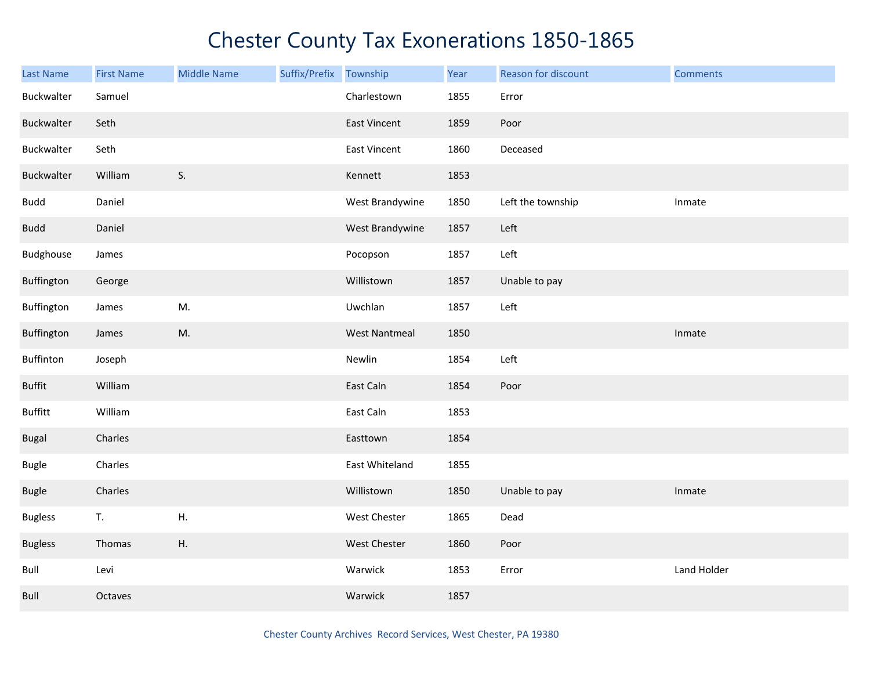| Last Name      | <b>First Name</b> | <b>Middle Name</b> | Suffix/Prefix Township |                      | Year | Reason for discount | <b>Comments</b> |
|----------------|-------------------|--------------------|------------------------|----------------------|------|---------------------|-----------------|
| Buckwalter     | Samuel            |                    |                        | Charlestown          | 1855 | Error               |                 |
| Buckwalter     | Seth              |                    |                        | <b>East Vincent</b>  | 1859 | Poor                |                 |
| Buckwalter     | Seth              |                    |                        | <b>East Vincent</b>  | 1860 | Deceased            |                 |
| Buckwalter     | William           | S.                 |                        | Kennett              | 1853 |                     |                 |
| <b>Budd</b>    | Daniel            |                    |                        | West Brandywine      | 1850 | Left the township   | Inmate          |
| <b>Budd</b>    | Daniel            |                    |                        | West Brandywine      | 1857 | Left                |                 |
| Budghouse      | James             |                    |                        | Pocopson             | 1857 | Left                |                 |
| Buffington     | George            |                    |                        | Willistown           | 1857 | Unable to pay       |                 |
| Buffington     | James             | M.                 |                        | Uwchlan              | 1857 | Left                |                 |
| Buffington     | James             | M.                 |                        | <b>West Nantmeal</b> | 1850 |                     | Inmate          |
| Buffinton      | Joseph            |                    |                        | Newlin               | 1854 | Left                |                 |
| <b>Buffit</b>  | William           |                    |                        | East Caln            | 1854 | Poor                |                 |
| <b>Buffitt</b> | William           |                    |                        | East Caln            | 1853 |                     |                 |
| Bugal          | Charles           |                    |                        | Easttown             | 1854 |                     |                 |
| Bugle          | Charles           |                    |                        | East Whiteland       | 1855 |                     |                 |
| <b>Bugle</b>   | Charles           |                    |                        | Willistown           | 1850 | Unable to pay       | Inmate          |
| <b>Bugless</b> | T.                | Η.                 |                        | West Chester         | 1865 | Dead                |                 |
| <b>Bugless</b> | Thomas            | Η.                 |                        | West Chester         | 1860 | Poor                |                 |
| Bull           | Levi              |                    |                        | Warwick              | 1853 | Error               | Land Holder     |
| Bull           | Octaves           |                    |                        | Warwick              | 1857 |                     |                 |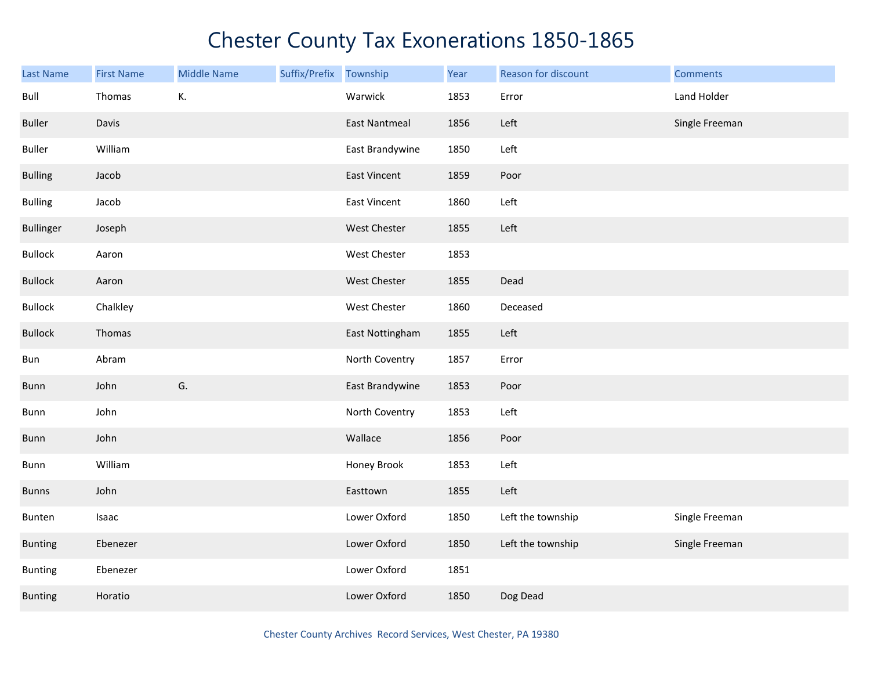| <b>Last Name</b> | <b>First Name</b> | <b>Middle Name</b> | Suffix/Prefix | Township             | Year | Reason for discount | <b>Comments</b> |
|------------------|-------------------|--------------------|---------------|----------------------|------|---------------------|-----------------|
| Bull             | Thomas            | К.                 |               | Warwick              | 1853 | Error               | Land Holder     |
| <b>Buller</b>    | Davis             |                    |               | <b>East Nantmeal</b> | 1856 | Left                | Single Freeman  |
| <b>Buller</b>    | William           |                    |               | East Brandywine      | 1850 | Left                |                 |
| <b>Bulling</b>   | Jacob             |                    |               | <b>East Vincent</b>  | 1859 | Poor                |                 |
| <b>Bulling</b>   | Jacob             |                    |               | <b>East Vincent</b>  | 1860 | Left                |                 |
| <b>Bullinger</b> | Joseph            |                    |               | West Chester         | 1855 | Left                |                 |
| <b>Bullock</b>   | Aaron             |                    |               | West Chester         | 1853 |                     |                 |
| <b>Bullock</b>   | Aaron             |                    |               | West Chester         | 1855 | Dead                |                 |
| <b>Bullock</b>   | Chalkley          |                    |               | West Chester         | 1860 | Deceased            |                 |
| <b>Bullock</b>   | Thomas            |                    |               | East Nottingham      | 1855 | Left                |                 |
| Bun              | Abram             |                    |               | North Coventry       | 1857 | Error               |                 |
| <b>Bunn</b>      | John              | G.                 |               | East Brandywine      | 1853 | Poor                |                 |
| Bunn             | John              |                    |               | North Coventry       | 1853 | Left                |                 |
| Bunn             | John              |                    |               | Wallace              | 1856 | Poor                |                 |
| Bunn             | William           |                    |               | Honey Brook          | 1853 | Left                |                 |
| <b>Bunns</b>     | John              |                    |               | Easttown             | 1855 | Left                |                 |
| Bunten           | Isaac             |                    |               | Lower Oxford         | 1850 | Left the township   | Single Freeman  |
| <b>Bunting</b>   | Ebenezer          |                    |               | Lower Oxford         | 1850 | Left the township   | Single Freeman  |
| <b>Bunting</b>   | Ebenezer          |                    |               | Lower Oxford         | 1851 |                     |                 |
| <b>Bunting</b>   | Horatio           |                    |               | Lower Oxford         | 1850 | Dog Dead            |                 |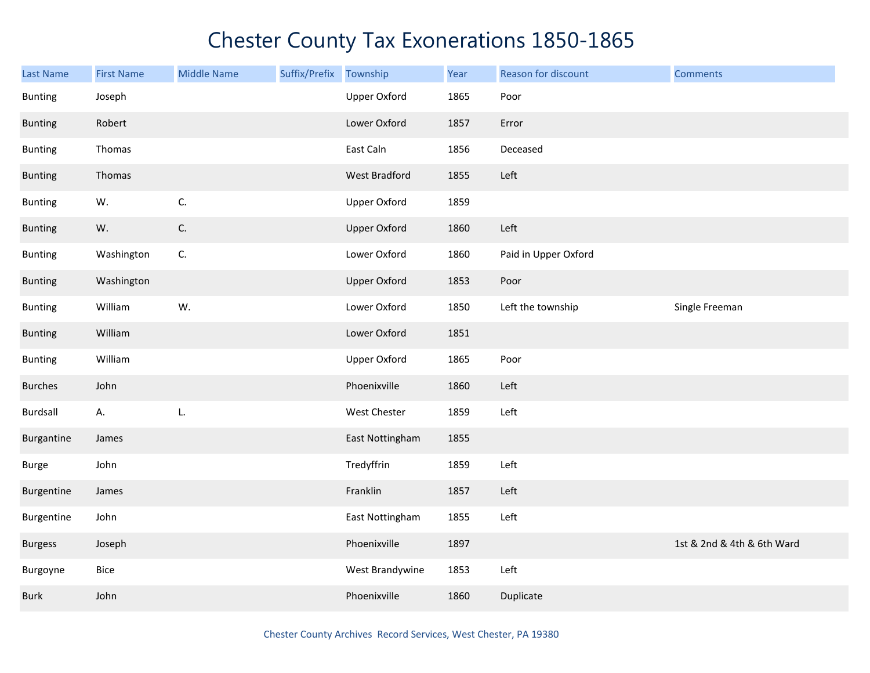| Last Name      | <b>First Name</b> | <b>Middle Name</b> | Suffix/Prefix | Township            | Year | Reason for discount  | <b>Comments</b>            |
|----------------|-------------------|--------------------|---------------|---------------------|------|----------------------|----------------------------|
| <b>Bunting</b> | Joseph            |                    |               | <b>Upper Oxford</b> | 1865 | Poor                 |                            |
| <b>Bunting</b> | Robert            |                    |               | Lower Oxford        | 1857 | Error                |                            |
| <b>Bunting</b> | Thomas            |                    |               | East Caln           | 1856 | Deceased             |                            |
| <b>Bunting</b> | Thomas            |                    |               | West Bradford       | 1855 | Left                 |                            |
| <b>Bunting</b> | W.                | C.                 |               | <b>Upper Oxford</b> | 1859 |                      |                            |
| <b>Bunting</b> | W.                | $\mathsf{C}.$      |               | <b>Upper Oxford</b> | 1860 | Left                 |                            |
| <b>Bunting</b> | Washington        | C.                 |               | Lower Oxford        | 1860 | Paid in Upper Oxford |                            |
| <b>Bunting</b> | Washington        |                    |               | <b>Upper Oxford</b> | 1853 | Poor                 |                            |
| <b>Bunting</b> | William           | W.                 |               | Lower Oxford        | 1850 | Left the township    | Single Freeman             |
| <b>Bunting</b> | William           |                    |               | Lower Oxford        | 1851 |                      |                            |
| <b>Bunting</b> | William           |                    |               | <b>Upper Oxford</b> | 1865 | Poor                 |                            |
| <b>Burches</b> | John              |                    |               | Phoenixville        | 1860 | Left                 |                            |
| Burdsall       | А.                | L.                 |               | West Chester        | 1859 | Left                 |                            |
| Burgantine     | James             |                    |               | East Nottingham     | 1855 |                      |                            |
| <b>Burge</b>   | John              |                    |               | Tredyffrin          | 1859 | Left                 |                            |
| Burgentine     | James             |                    |               | Franklin            | 1857 | Left                 |                            |
| Burgentine     | John              |                    |               | East Nottingham     | 1855 | Left                 |                            |
| <b>Burgess</b> | Joseph            |                    |               | Phoenixville        | 1897 |                      | 1st & 2nd & 4th & 6th Ward |
| Burgoyne       | Bice              |                    |               | West Brandywine     | 1853 | Left                 |                            |
| <b>Burk</b>    | John              |                    |               | Phoenixville        | 1860 | Duplicate            |                            |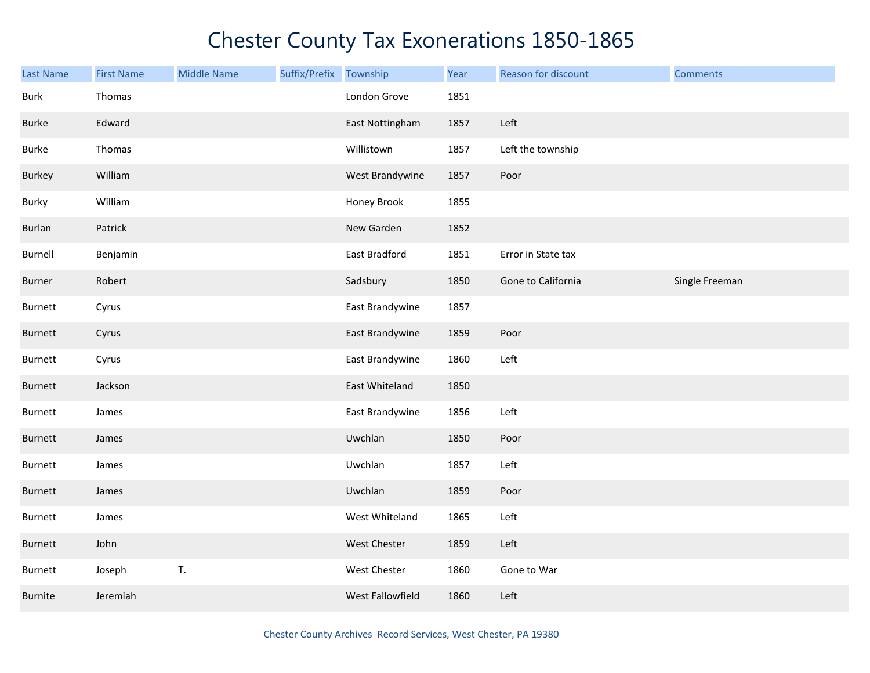| Last Name   | <b>First Name</b> | <b>Middle Name</b> | Suffix/Prefix Township |                  | Year | Reason for discount | <b>Comments</b> |
|-------------|-------------------|--------------------|------------------------|------------------|------|---------------------|-----------------|
| <b>Burk</b> | Thomas            |                    |                        | London Grove     | 1851 |                     |                 |
| Burke       | Edward            |                    |                        | East Nottingham  | 1857 | Left                |                 |
| Burke       | Thomas            |                    |                        | Willistown       | 1857 | Left the township   |                 |
| Burkey      | William           |                    |                        | West Brandywine  | 1857 | Poor                |                 |
| Burky       | William           |                    |                        | Honey Brook      | 1855 |                     |                 |
| Burlan      | Patrick           |                    |                        | New Garden       | 1852 |                     |                 |
| Burnell     | Benjamin          |                    |                        | East Bradford    | 1851 | Error in State tax  |                 |
| Burner      | Robert            |                    |                        | Sadsbury         | 1850 | Gone to California  | Single Freeman  |
| Burnett     | Cyrus             |                    |                        | East Brandywine  | 1857 |                     |                 |
| Burnett     | Cyrus             |                    |                        | East Brandywine  | 1859 | Poor                |                 |
| Burnett     | Cyrus             |                    |                        | East Brandywine  | 1860 | Left                |                 |
| Burnett     | Jackson           |                    |                        | East Whiteland   | 1850 |                     |                 |
| Burnett     | James             |                    |                        | East Brandywine  | 1856 | Left                |                 |
| Burnett     | James             |                    |                        | Uwchlan          | 1850 | Poor                |                 |
| Burnett     | James             |                    |                        | Uwchlan          | 1857 | Left                |                 |
| Burnett     | James             |                    |                        | Uwchlan          | 1859 | Poor                |                 |
| Burnett     | James             |                    |                        | West Whiteland   | 1865 | Left                |                 |
| Burnett     | John              |                    |                        | West Chester     | 1859 | Left                |                 |
| Burnett     | Joseph            | T.                 |                        | West Chester     | 1860 | Gone to War         |                 |
| Burnite     | Jeremiah          |                    |                        | West Fallowfield | 1860 | Left                |                 |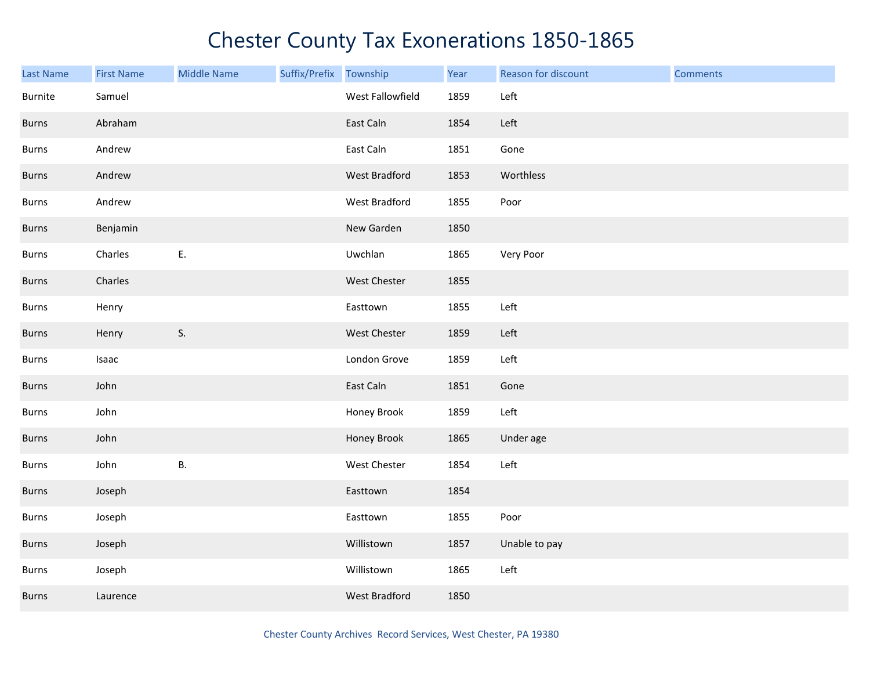| <b>Last Name</b> | <b>First Name</b> | <b>Middle Name</b> | Suffix/Prefix | Township         | Year | Reason for discount | <b>Comments</b> |
|------------------|-------------------|--------------------|---------------|------------------|------|---------------------|-----------------|
| Burnite          | Samuel            |                    |               | West Fallowfield | 1859 | Left                |                 |
| <b>Burns</b>     | Abraham           |                    |               | East Caln        | 1854 | Left                |                 |
| Burns            | Andrew            |                    |               | East Caln        | 1851 | Gone                |                 |
| Burns            | Andrew            |                    |               | West Bradford    | 1853 | Worthless           |                 |
| Burns            | Andrew            |                    |               | West Bradford    | 1855 | Poor                |                 |
| Burns            | Benjamin          |                    |               | New Garden       | 1850 |                     |                 |
| Burns            | Charles           | Ε.                 |               | Uwchlan          | 1865 | Very Poor           |                 |
| Burns            | Charles           |                    |               | West Chester     | 1855 |                     |                 |
| Burns            | Henry             |                    |               | Easttown         | 1855 | Left                |                 |
| <b>Burns</b>     | Henry             | S.                 |               | West Chester     | 1859 | Left                |                 |
| Burns            | Isaac             |                    |               | London Grove     | 1859 | Left                |                 |
| Burns            | John              |                    |               | East Caln        | 1851 | Gone                |                 |
| <b>Burns</b>     | John              |                    |               | Honey Brook      | 1859 | Left                |                 |
| Burns            | John              |                    |               | Honey Brook      | 1865 | Under age           |                 |
| Burns            | John              | В.                 |               | West Chester     | 1854 | Left                |                 |
| Burns            | Joseph            |                    |               | Easttown         | 1854 |                     |                 |
| Burns            | Joseph            |                    |               | Easttown         | 1855 | Poor                |                 |
| Burns            | Joseph            |                    |               | Willistown       | 1857 | Unable to pay       |                 |
| <b>Burns</b>     | Joseph            |                    |               | Willistown       | 1865 | Left                |                 |
| <b>Burns</b>     | Laurence          |                    |               | West Bradford    | 1850 |                     |                 |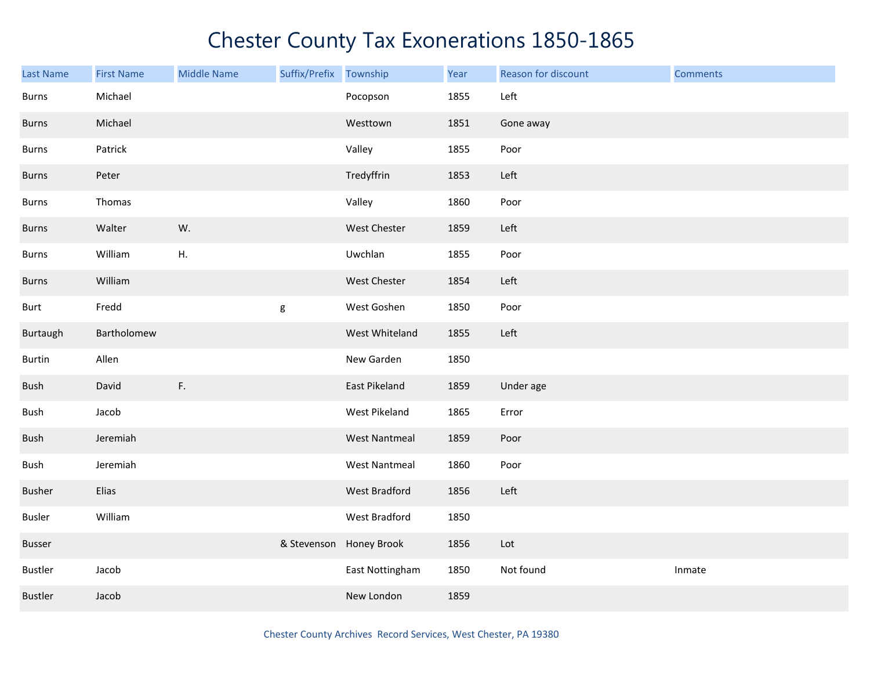| Last Name      | <b>First Name</b> | <b>Middle Name</b> | Suffix/Prefix | Township             | Year | Reason for discount | <b>Comments</b> |
|----------------|-------------------|--------------------|---------------|----------------------|------|---------------------|-----------------|
| <b>Burns</b>   | Michael           |                    |               | Pocopson             | 1855 | Left                |                 |
| Burns          | Michael           |                    |               | Westtown             | 1851 | Gone away           |                 |
| Burns          | Patrick           |                    |               | Valley               | 1855 | Poor                |                 |
| <b>Burns</b>   | Peter             |                    |               | Tredyffrin           | 1853 | Left                |                 |
| <b>Burns</b>   | Thomas            |                    |               | Valley               | 1860 | Poor                |                 |
| Burns          | Walter            | W.                 |               | West Chester         | 1859 | Left                |                 |
| Burns          | William           | Η.                 |               | Uwchlan              | 1855 | Poor                |                 |
| Burns          | William           |                    |               | West Chester         | 1854 | Left                |                 |
| <b>Burt</b>    | Fredd             |                    | g             | West Goshen          | 1850 | Poor                |                 |
| Burtaugh       | Bartholomew       |                    |               | West Whiteland       | 1855 | Left                |                 |
| Burtin         | Allen             |                    |               | New Garden           | 1850 |                     |                 |
| Bush           | David             | $\mathsf F.$       |               | East Pikeland        | 1859 | Under age           |                 |
| Bush           | Jacob             |                    |               | West Pikeland        | 1865 | Error               |                 |
| Bush           | Jeremiah          |                    |               | <b>West Nantmeal</b> | 1859 | Poor                |                 |
| Bush           | Jeremiah          |                    |               | <b>West Nantmeal</b> | 1860 | Poor                |                 |
| Busher         | Elias             |                    |               | West Bradford        | 1856 | Left                |                 |
| Busler         | William           |                    |               | West Bradford        | 1850 |                     |                 |
| Busser         |                   |                    | & Stevenson   | Honey Brook          | 1856 | Lot                 |                 |
| Bustler        | Jacob             |                    |               | East Nottingham      | 1850 | Not found           | Inmate          |
| <b>Bustler</b> | Jacob             |                    |               | New London           | 1859 |                     |                 |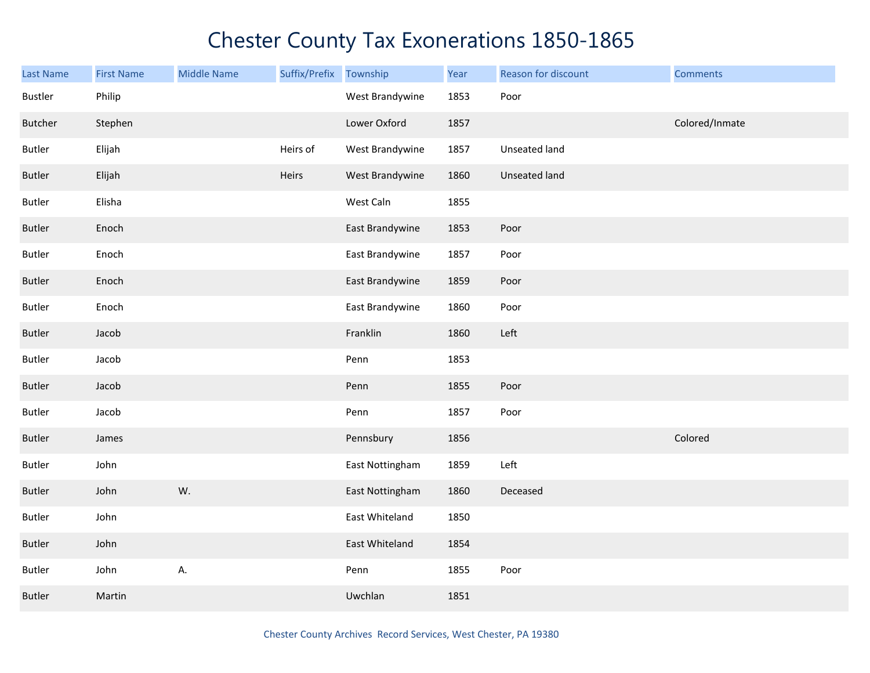| <b>Last Name</b> | <b>First Name</b> | <b>Middle Name</b> | Suffix/Prefix Township |                 | Year | Reason for discount | <b>Comments</b> |
|------------------|-------------------|--------------------|------------------------|-----------------|------|---------------------|-----------------|
| <b>Bustler</b>   | Philip            |                    |                        | West Brandywine | 1853 | Poor                |                 |
| Butcher          | Stephen           |                    |                        | Lower Oxford    | 1857 |                     | Colored/Inmate  |
| Butler           | Elijah            |                    | Heirs of               | West Brandywine | 1857 | Unseated land       |                 |
| <b>Butler</b>    | Elijah            |                    | Heirs                  | West Brandywine | 1860 | Unseated land       |                 |
| <b>Butler</b>    | Elisha            |                    |                        | West Caln       | 1855 |                     |                 |
| Butler           | Enoch             |                    |                        | East Brandywine | 1853 | Poor                |                 |
| Butler           | Enoch             |                    |                        | East Brandywine | 1857 | Poor                |                 |
| <b>Butler</b>    | Enoch             |                    |                        | East Brandywine | 1859 | Poor                |                 |
| Butler           | Enoch             |                    |                        | East Brandywine | 1860 | Poor                |                 |
| <b>Butler</b>    | Jacob             |                    |                        | Franklin        | 1860 | Left                |                 |
| Butler           | Jacob             |                    |                        | Penn            | 1853 |                     |                 |
| <b>Butler</b>    | Jacob             |                    |                        | Penn            | 1855 | Poor                |                 |
| Butler           | Jacob             |                    |                        | Penn            | 1857 | Poor                |                 |
| <b>Butler</b>    | James             |                    |                        | Pennsbury       | 1856 |                     | Colored         |
| <b>Butler</b>    | John              |                    |                        | East Nottingham | 1859 | Left                |                 |
| Butler           | John              | W.                 |                        | East Nottingham | 1860 | Deceased            |                 |
| Butler           | John              |                    |                        | East Whiteland  | 1850 |                     |                 |
| <b>Butler</b>    | John              |                    |                        | East Whiteland  | 1854 |                     |                 |
| Butler           | John              | А.                 |                        | Penn            | 1855 | Poor                |                 |
| <b>Butler</b>    | Martin            |                    |                        | Uwchlan         | 1851 |                     |                 |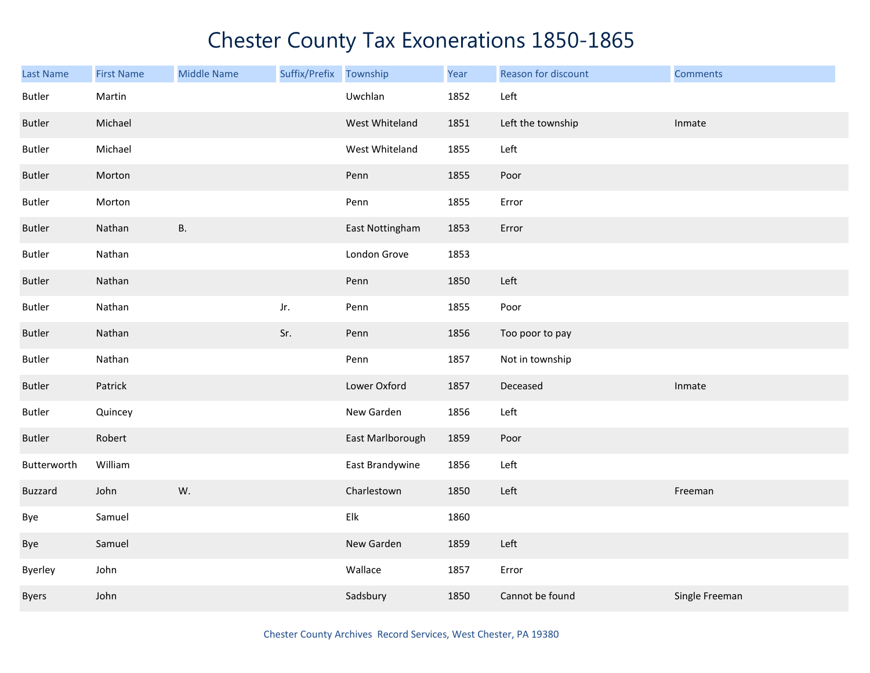| <b>Last Name</b> | <b>First Name</b> | <b>Middle Name</b> | Suffix/Prefix | Township         | Year | Reason for discount | <b>Comments</b> |
|------------------|-------------------|--------------------|---------------|------------------|------|---------------------|-----------------|
| Butler           | Martin            |                    |               | Uwchlan          | 1852 | Left                |                 |
| <b>Butler</b>    | Michael           |                    |               | West Whiteland   | 1851 | Left the township   | Inmate          |
| <b>Butler</b>    | Michael           |                    |               | West Whiteland   | 1855 | Left                |                 |
| <b>Butler</b>    | Morton            |                    |               | Penn             | 1855 | Poor                |                 |
| Butler           | Morton            |                    |               | Penn             | 1855 | Error               |                 |
| <b>Butler</b>    | Nathan            | <b>B.</b>          |               | East Nottingham  | 1853 | Error               |                 |
| Butler           | Nathan            |                    |               | London Grove     | 1853 |                     |                 |
| <b>Butler</b>    | Nathan            |                    |               | Penn             | 1850 | Left                |                 |
| Butler           | Nathan            |                    | Jr.           | Penn             | 1855 | Poor                |                 |
| <b>Butler</b>    | Nathan            |                    | Sr.           | Penn             | 1856 | Too poor to pay     |                 |
| Butler           | Nathan            |                    |               | Penn             | 1857 | Not in township     |                 |
| <b>Butler</b>    | Patrick           |                    |               | Lower Oxford     | 1857 | Deceased            | Inmate          |
| Butler           | Quincey           |                    |               | New Garden       | 1856 | Left                |                 |
| <b>Butler</b>    | Robert            |                    |               | East Marlborough | 1859 | Poor                |                 |
| Butterworth      | William           |                    |               | East Brandywine  | 1856 | Left                |                 |
| <b>Buzzard</b>   | John              | W.                 |               | Charlestown      | 1850 | Left                | Freeman         |
| Bye              | Samuel            |                    |               | Elk              | 1860 |                     |                 |
| Bye              | Samuel            |                    |               | New Garden       | 1859 | Left                |                 |
| Byerley          | John              |                    |               | Wallace          | 1857 | Error               |                 |
| Byers            | John              |                    |               | Sadsbury         | 1850 | Cannot be found     | Single Freeman  |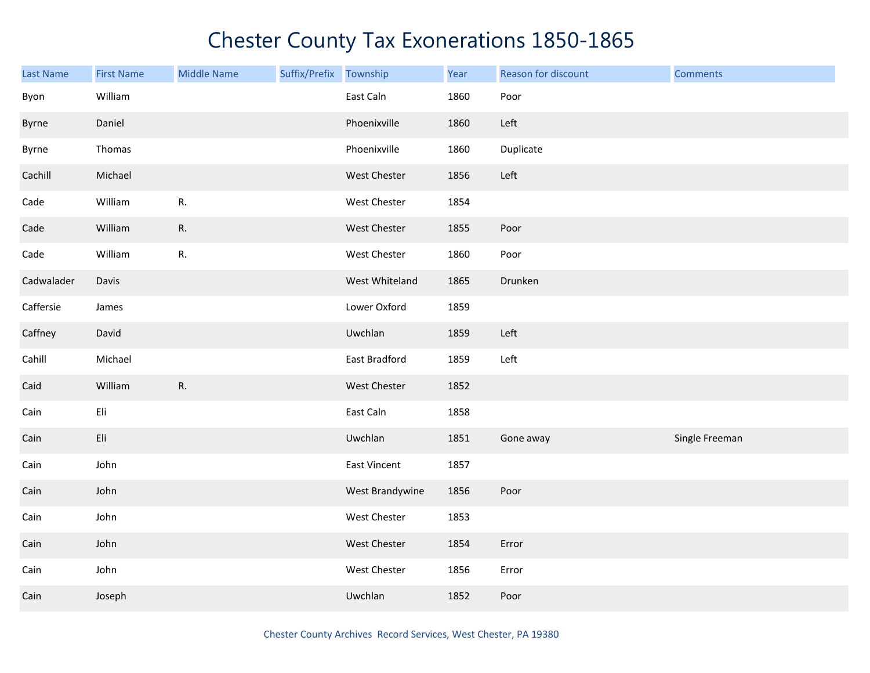| <b>Last Name</b> | <b>First Name</b> | <b>Middle Name</b> | Suffix/Prefix Township |                 | Year | Reason for discount | <b>Comments</b> |
|------------------|-------------------|--------------------|------------------------|-----------------|------|---------------------|-----------------|
| Byon             | William           |                    |                        | East Caln       | 1860 | Poor                |                 |
| Byrne            | Daniel            |                    |                        | Phoenixville    | 1860 | Left                |                 |
| Byrne            | Thomas            |                    |                        | Phoenixville    | 1860 | Duplicate           |                 |
| Cachill          | Michael           |                    |                        | West Chester    | 1856 | Left                |                 |
| Cade             | William           | R.                 |                        | West Chester    | 1854 |                     |                 |
| Cade             | William           | R.                 |                        | West Chester    | 1855 | Poor                |                 |
| Cade             | William           | R.                 |                        | West Chester    | 1860 | Poor                |                 |
| Cadwalader       | Davis             |                    |                        | West Whiteland  | 1865 | Drunken             |                 |
| Caffersie        | James             |                    |                        | Lower Oxford    | 1859 |                     |                 |
| Caffney          | David             |                    |                        | Uwchlan         | 1859 | Left                |                 |
| Cahill           | Michael           |                    |                        | East Bradford   | 1859 | Left                |                 |
| Caid             | William           | R.                 |                        | West Chester    | 1852 |                     |                 |
| Cain             | Eli               |                    |                        | East Caln       | 1858 |                     |                 |
| Cain             | Eli               |                    |                        | Uwchlan         | 1851 | Gone away           | Single Freeman  |
| Cain             | John              |                    |                        | East Vincent    | 1857 |                     |                 |
| Cain             | John              |                    |                        | West Brandywine | 1856 | Poor                |                 |
| Cain             | John              |                    |                        | West Chester    | 1853 |                     |                 |
| Cain             | John              |                    |                        | West Chester    | 1854 | Error               |                 |
| Cain             | John              |                    |                        | West Chester    | 1856 | Error               |                 |
| Cain             | Joseph            |                    |                        | Uwchlan         | 1852 | Poor                |                 |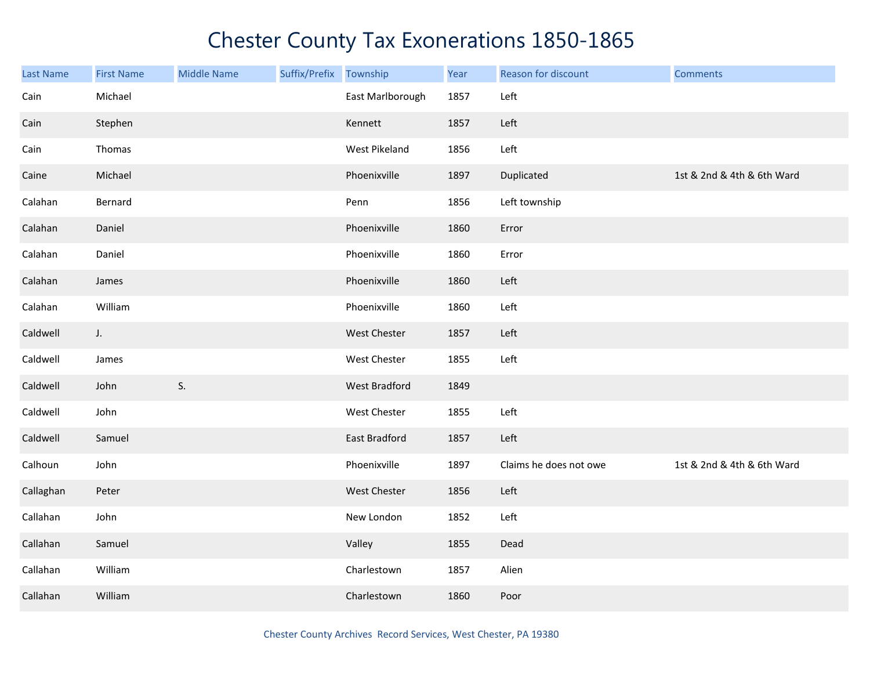| <b>Last Name</b> | <b>First Name</b> | <b>Middle Name</b> | Suffix/Prefix | Township            | Year | Reason for discount    | <b>Comments</b>            |
|------------------|-------------------|--------------------|---------------|---------------------|------|------------------------|----------------------------|
| Cain             | Michael           |                    |               | East Marlborough    | 1857 | Left                   |                            |
| Cain             | Stephen           |                    |               | Kennett             | 1857 | Left                   |                            |
| Cain             | Thomas            |                    |               | West Pikeland       | 1856 | Left                   |                            |
| Caine            | Michael           |                    |               | Phoenixville        | 1897 | Duplicated             | 1st & 2nd & 4th & 6th Ward |
| Calahan          | Bernard           |                    |               | Penn                | 1856 | Left township          |                            |
| Calahan          | Daniel            |                    |               | Phoenixville        | 1860 | Error                  |                            |
| Calahan          | Daniel            |                    |               | Phoenixville        | 1860 | Error                  |                            |
| Calahan          | James             |                    |               | Phoenixville        | 1860 | Left                   |                            |
| Calahan          | William           |                    |               | Phoenixville        | 1860 | Left                   |                            |
| Caldwell         | J.                |                    |               | <b>West Chester</b> | 1857 | Left                   |                            |
| Caldwell         | James             |                    |               | West Chester        | 1855 | Left                   |                            |
| Caldwell         | John              | S.                 |               | West Bradford       | 1849 |                        |                            |
| Caldwell         | John              |                    |               | West Chester        | 1855 | Left                   |                            |
| Caldwell         | Samuel            |                    |               | East Bradford       | 1857 | Left                   |                            |
| Calhoun          | John              |                    |               | Phoenixville        | 1897 | Claims he does not owe | 1st & 2nd & 4th & 6th Ward |
| Callaghan        | Peter             |                    |               | West Chester        | 1856 | Left                   |                            |
| Callahan         | John              |                    |               | New London          | 1852 | Left                   |                            |
| Callahan         | Samuel            |                    |               | Valley              | 1855 | Dead                   |                            |
| Callahan         | William           |                    |               | Charlestown         | 1857 | Alien                  |                            |
| Callahan         | William           |                    |               | Charlestown         | 1860 | Poor                   |                            |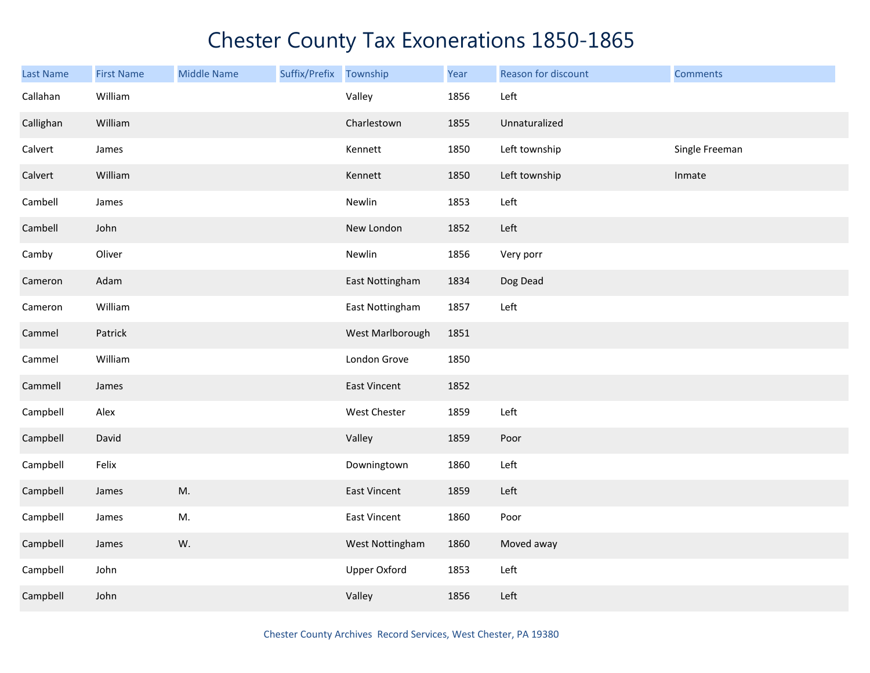| <b>Last Name</b> | <b>First Name</b> | <b>Middle Name</b> | Suffix/Prefix | Township            | Year | Reason for discount | <b>Comments</b> |
|------------------|-------------------|--------------------|---------------|---------------------|------|---------------------|-----------------|
| Callahan         | William           |                    |               | Valley              | 1856 | Left                |                 |
| Callighan        | William           |                    |               | Charlestown         | 1855 | Unnaturalized       |                 |
| Calvert          | James             |                    |               | Kennett             | 1850 | Left township       | Single Freeman  |
| Calvert          | William           |                    |               | Kennett             | 1850 | Left township       | Inmate          |
| Cambell          | James             |                    |               | Newlin              | 1853 | Left                |                 |
| Cambell          | John              |                    |               | New London          | 1852 | Left                |                 |
| Camby            | Oliver            |                    |               | Newlin              | 1856 | Very porr           |                 |
| Cameron          | Adam              |                    |               | East Nottingham     | 1834 | Dog Dead            |                 |
| Cameron          | William           |                    |               | East Nottingham     | 1857 | Left                |                 |
| Cammel           | Patrick           |                    |               | West Marlborough    | 1851 |                     |                 |
| Cammel           | William           |                    |               | London Grove        | 1850 |                     |                 |
| Cammell          | James             |                    |               | East Vincent        | 1852 |                     |                 |
| Campbell         | Alex              |                    |               | West Chester        | 1859 | Left                |                 |
| Campbell         | David             |                    |               | Valley              | 1859 | Poor                |                 |
| Campbell         | Felix             |                    |               | Downingtown         | 1860 | Left                |                 |
| Campbell         | James             | M.                 |               | East Vincent        | 1859 | Left                |                 |
| Campbell         | James             | M.                 |               | East Vincent        | 1860 | Poor                |                 |
| Campbell         | James             | W.                 |               | West Nottingham     | 1860 | Moved away          |                 |
| Campbell         | John              |                    |               | <b>Upper Oxford</b> | 1853 | Left                |                 |
| Campbell         | John              |                    |               | Valley              | 1856 | Left                |                 |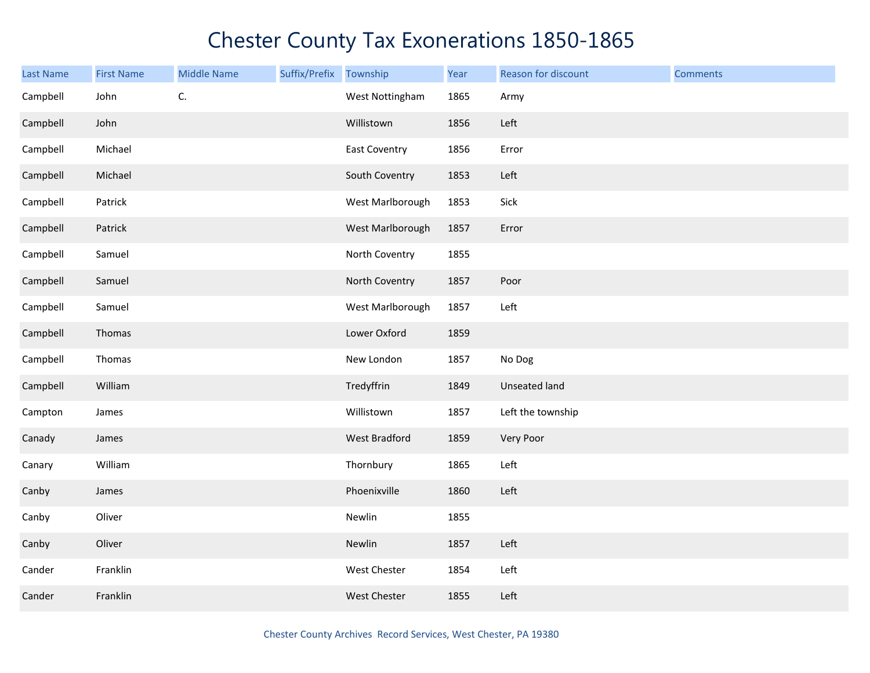| <b>Last Name</b> | <b>First Name</b> | <b>Middle Name</b> | Suffix/Prefix Township |                  | Year | Reason for discount  | <b>Comments</b> |
|------------------|-------------------|--------------------|------------------------|------------------|------|----------------------|-----------------|
| Campbell         | John              | C.                 |                        | West Nottingham  | 1865 | Army                 |                 |
| Campbell         | John              |                    |                        | Willistown       | 1856 | Left                 |                 |
| Campbell         | Michael           |                    |                        | East Coventry    | 1856 | Error                |                 |
| Campbell         | Michael           |                    |                        | South Coventry   | 1853 | Left                 |                 |
| Campbell         | Patrick           |                    |                        | West Marlborough | 1853 | Sick                 |                 |
| Campbell         | Patrick           |                    |                        | West Marlborough | 1857 | Error                |                 |
| Campbell         | Samuel            |                    |                        | North Coventry   | 1855 |                      |                 |
| Campbell         | Samuel            |                    |                        | North Coventry   | 1857 | Poor                 |                 |
| Campbell         | Samuel            |                    |                        | West Marlborough | 1857 | Left                 |                 |
| Campbell         | Thomas            |                    |                        | Lower Oxford     | 1859 |                      |                 |
| Campbell         | Thomas            |                    |                        | New London       | 1857 | No Dog               |                 |
| Campbell         | William           |                    |                        | Tredyffrin       | 1849 | <b>Unseated land</b> |                 |
| Campton          | James             |                    |                        | Willistown       | 1857 | Left the township    |                 |
| Canady           | James             |                    |                        | West Bradford    | 1859 | Very Poor            |                 |
| Canary           | William           |                    |                        | Thornbury        | 1865 | Left                 |                 |
| Canby            | James             |                    |                        | Phoenixville     | 1860 | Left                 |                 |
| Canby            | Oliver            |                    |                        | Newlin           | 1855 |                      |                 |
| Canby            | Oliver            |                    |                        | Newlin           | 1857 | Left                 |                 |
| Cander           | Franklin          |                    |                        | West Chester     | 1854 | Left                 |                 |
| Cander           | Franklin          |                    |                        | West Chester     | 1855 | Left                 |                 |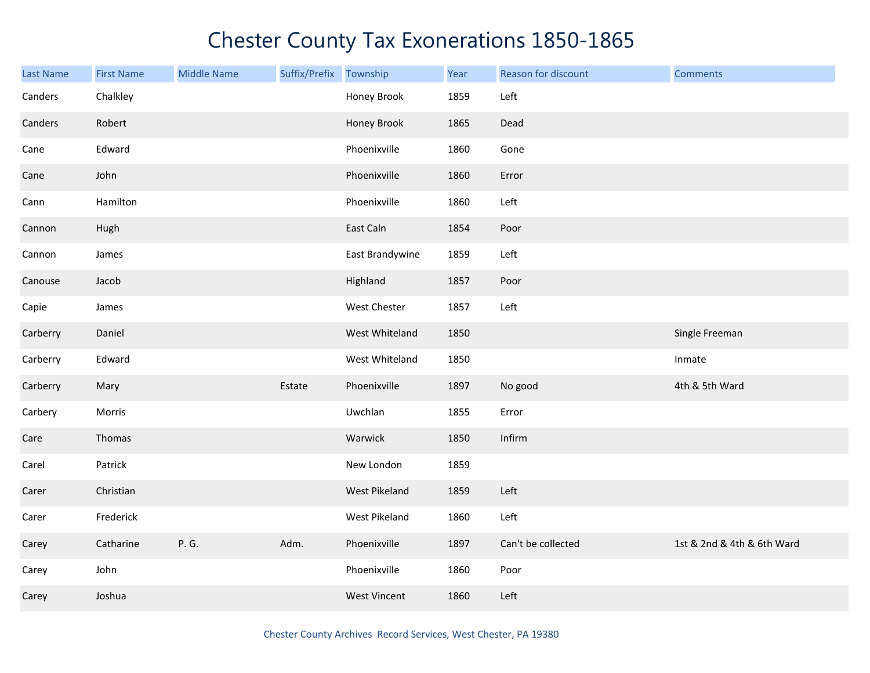| <b>Last Name</b> | <b>First Name</b> | <b>Middle Name</b> | Suffix/Prefix | Township            | Year | Reason for discount | <b>Comments</b>            |
|------------------|-------------------|--------------------|---------------|---------------------|------|---------------------|----------------------------|
| Canders          | Chalkley          |                    |               | Honey Brook         | 1859 | Left                |                            |
| Canders          | Robert            |                    |               | Honey Brook         | 1865 | Dead                |                            |
| Cane             | Edward            |                    |               | Phoenixville        | 1860 | Gone                |                            |
| Cane             | John              |                    |               | Phoenixville        | 1860 | Error               |                            |
| Cann             | Hamilton          |                    |               | Phoenixville        | 1860 | Left                |                            |
| Cannon           | Hugh              |                    |               | East Caln           | 1854 | Poor                |                            |
| Cannon           | James             |                    |               | East Brandywine     | 1859 | Left                |                            |
| Canouse          | Jacob             |                    |               | Highland            | 1857 | Poor                |                            |
| Capie            | James             |                    |               | West Chester        | 1857 | Left                |                            |
| Carberry         | Daniel            |                    |               | West Whiteland      | 1850 |                     | Single Freeman             |
| Carberry         | Edward            |                    |               | West Whiteland      | 1850 |                     | Inmate                     |
| Carberry         | Mary              |                    | Estate        | Phoenixville        | 1897 | No good             | 4th & 5th Ward             |
| Carbery          | Morris            |                    |               | Uwchlan             | 1855 | Error               |                            |
| Care             | Thomas            |                    |               | Warwick             | 1850 | Infirm              |                            |
| Carel            | Patrick           |                    |               | New London          | 1859 |                     |                            |
| Carer            | Christian         |                    |               | West Pikeland       | 1859 | Left                |                            |
| Carer            | Frederick         |                    |               | West Pikeland       | 1860 | Left                |                            |
| Carey            | Catharine         | P. G.              | Adm.          | Phoenixville        | 1897 | Can't be collected  | 1st & 2nd & 4th & 6th Ward |
| Carey            | John              |                    |               | Phoenixville        | 1860 | Poor                |                            |
| Carey            | Joshua            |                    |               | <b>West Vincent</b> | 1860 | Left                |                            |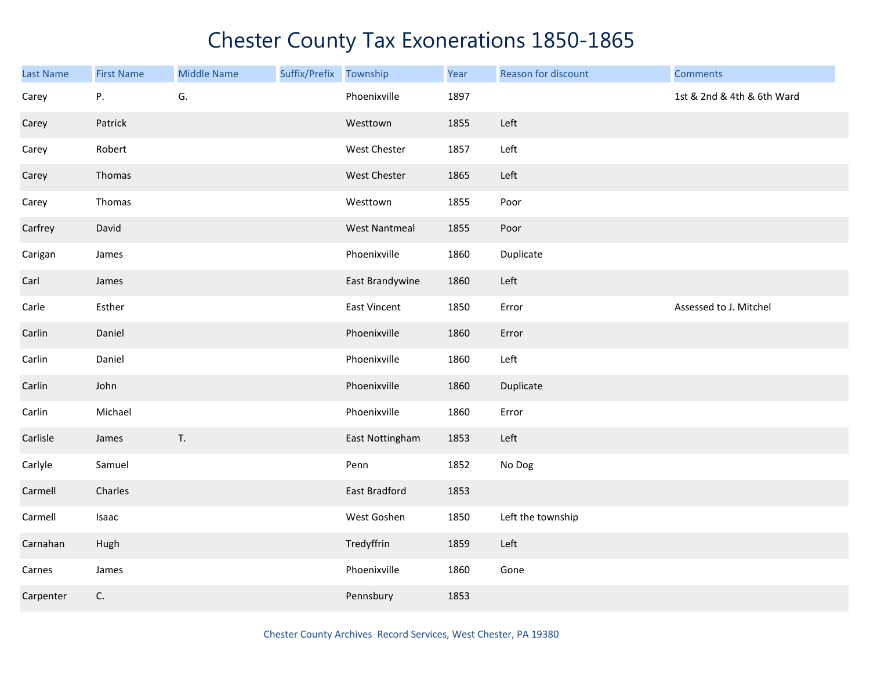| Last Name | <b>First Name</b> | <b>Middle Name</b> | Suffix/Prefix Township |                      | Year | Reason for discount | <b>Comments</b>            |
|-----------|-------------------|--------------------|------------------------|----------------------|------|---------------------|----------------------------|
| Carey     | Ρ.                | G.                 |                        | Phoenixville         | 1897 |                     | 1st & 2nd & 4th & 6th Ward |
| Carey     | Patrick           |                    |                        | Westtown             | 1855 | Left                |                            |
| Carey     | Robert            |                    |                        | West Chester         | 1857 | Left                |                            |
| Carey     | Thomas            |                    |                        | West Chester         | 1865 | Left                |                            |
| Carey     | Thomas            |                    |                        | Westtown             | 1855 | Poor                |                            |
| Carfrey   | David             |                    |                        | <b>West Nantmeal</b> | 1855 | Poor                |                            |
| Carigan   | James             |                    |                        | Phoenixville         | 1860 | Duplicate           |                            |
| Carl      | James             |                    |                        | East Brandywine      | 1860 | Left                |                            |
| Carle     | Esther            |                    |                        | East Vincent         | 1850 | Error               | Assessed to J. Mitchel     |
| Carlin    | Daniel            |                    |                        | Phoenixville         | 1860 | Error               |                            |
| Carlin    | Daniel            |                    |                        | Phoenixville         | 1860 | Left                |                            |
| Carlin    | John              |                    |                        | Phoenixville         | 1860 | Duplicate           |                            |
| Carlin    | Michael           |                    |                        | Phoenixville         | 1860 | Error               |                            |
| Carlisle  | James             | T.                 |                        | East Nottingham      | 1853 | Left                |                            |
| Carlyle   | Samuel            |                    |                        | Penn                 | 1852 | No Dog              |                            |
| Carmell   | Charles           |                    |                        | East Bradford        | 1853 |                     |                            |
| Carmell   | Isaac             |                    |                        | West Goshen          | 1850 | Left the township   |                            |
| Carnahan  | Hugh              |                    |                        | Tredyffrin           | 1859 | Left                |                            |
| Carnes    | James             |                    |                        | Phoenixville         | 1860 | Gone                |                            |
| Carpenter | C.                |                    |                        | Pennsbury            | 1853 |                     |                            |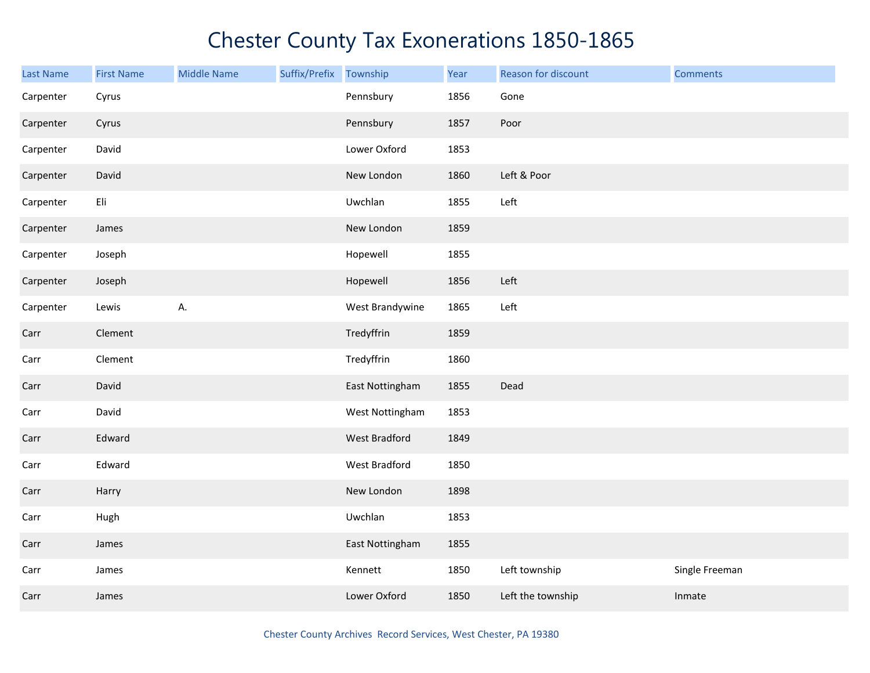| <b>Last Name</b> | <b>First Name</b> | <b>Middle Name</b> | Suffix/Prefix | Township        | Year | Reason for discount | <b>Comments</b> |
|------------------|-------------------|--------------------|---------------|-----------------|------|---------------------|-----------------|
| Carpenter        | Cyrus             |                    |               | Pennsbury       | 1856 | Gone                |                 |
| Carpenter        | Cyrus             |                    |               | Pennsbury       | 1857 | Poor                |                 |
| Carpenter        | David             |                    |               | Lower Oxford    | 1853 |                     |                 |
| Carpenter        | David             |                    |               | New London      | 1860 | Left & Poor         |                 |
| Carpenter        | Eli               |                    |               | Uwchlan         | 1855 | Left                |                 |
| Carpenter        | James             |                    |               | New London      | 1859 |                     |                 |
| Carpenter        | Joseph            |                    |               | Hopewell        | 1855 |                     |                 |
| Carpenter        | Joseph            |                    |               | Hopewell        | 1856 | Left                |                 |
| Carpenter        | Lewis             | А.                 |               | West Brandywine | 1865 | Left                |                 |
| Carr             | Clement           |                    |               | Tredyffrin      | 1859 |                     |                 |
| Carr             | Clement           |                    |               | Tredyffrin      | 1860 |                     |                 |
| Carr             | David             |                    |               | East Nottingham | 1855 | Dead                |                 |
| Carr             | David             |                    |               | West Nottingham | 1853 |                     |                 |
| Carr             | Edward            |                    |               | West Bradford   | 1849 |                     |                 |
| Carr             | Edward            |                    |               | West Bradford   | 1850 |                     |                 |
| Carr             | Harry             |                    |               | New London      | 1898 |                     |                 |
| Carr             | Hugh              |                    |               | Uwchlan         | 1853 |                     |                 |
| Carr             | James             |                    |               | East Nottingham | 1855 |                     |                 |
| Carr             | James             |                    |               | Kennett         | 1850 | Left township       | Single Freeman  |
| Carr             | James             |                    |               | Lower Oxford    | 1850 | Left the township   | Inmate          |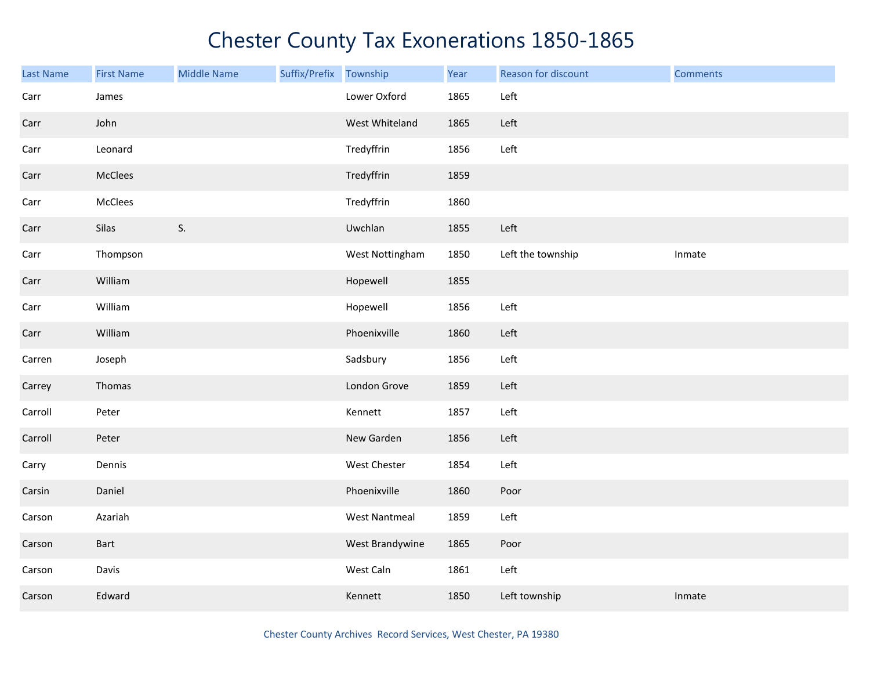| <b>Last Name</b> | <b>First Name</b> | <b>Middle Name</b> | Suffix/Prefix | Township             | Year | Reason for discount | <b>Comments</b> |
|------------------|-------------------|--------------------|---------------|----------------------|------|---------------------|-----------------|
| Carr             | James             |                    |               | Lower Oxford         | 1865 | Left                |                 |
| Carr             | John              |                    |               | West Whiteland       | 1865 | Left                |                 |
| Carr             | Leonard           |                    |               | Tredyffrin           | 1856 | Left                |                 |
| Carr             | McClees           |                    |               | Tredyffrin           | 1859 |                     |                 |
| Carr             | McClees           |                    |               | Tredyffrin           | 1860 |                     |                 |
| Carr             | Silas             | S.                 |               | Uwchlan              | 1855 | Left                |                 |
| Carr             | Thompson          |                    |               | West Nottingham      | 1850 | Left the township   | Inmate          |
| Carr             | William           |                    |               | Hopewell             | 1855 |                     |                 |
| Carr             | William           |                    |               | Hopewell             | 1856 | Left                |                 |
| Carr             | William           |                    |               | Phoenixville         | 1860 | Left                |                 |
| Carren           | Joseph            |                    |               | Sadsbury             | 1856 | Left                |                 |
| Carrey           | Thomas            |                    |               | London Grove         | 1859 | Left                |                 |
| Carroll          | Peter             |                    |               | Kennett              | 1857 | Left                |                 |
| Carroll          | Peter             |                    |               | New Garden           | 1856 | Left                |                 |
| Carry            | Dennis            |                    |               | West Chester         | 1854 | Left                |                 |
| Carsin           | Daniel            |                    |               | Phoenixville         | 1860 | Poor                |                 |
| Carson           | Azariah           |                    |               | <b>West Nantmeal</b> | 1859 | Left                |                 |
| Carson           | Bart              |                    |               | West Brandywine      | 1865 | Poor                |                 |
| Carson           | Davis             |                    |               | West Caln            | 1861 | Left                |                 |
| Carson           | Edward            |                    |               | Kennett              | 1850 | Left township       | Inmate          |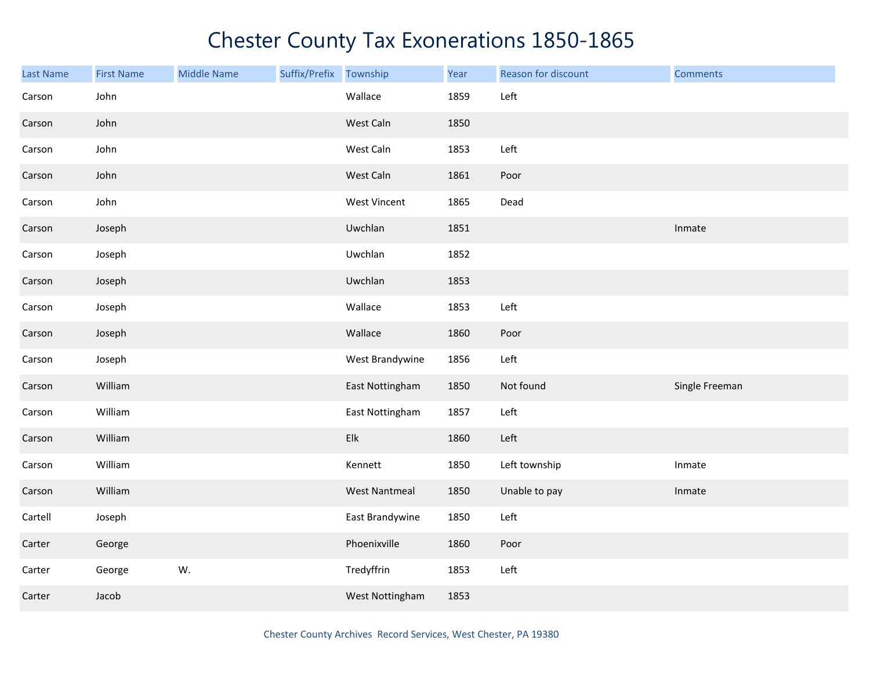| Last Name | <b>First Name</b> | <b>Middle Name</b> | Suffix/Prefix | Township             | Year | Reason for discount | <b>Comments</b> |
|-----------|-------------------|--------------------|---------------|----------------------|------|---------------------|-----------------|
| Carson    | John              |                    |               | Wallace              | 1859 | Left                |                 |
| Carson    | John              |                    |               | West Caln            | 1850 |                     |                 |
| Carson    | John              |                    |               | West Caln            | 1853 | Left                |                 |
| Carson    | John              |                    |               | West Caln            | 1861 | Poor                |                 |
| Carson    | John              |                    |               | <b>West Vincent</b>  | 1865 | Dead                |                 |
| Carson    | Joseph            |                    |               | Uwchlan              | 1851 |                     | Inmate          |
| Carson    | Joseph            |                    |               | Uwchlan              | 1852 |                     |                 |
| Carson    | Joseph            |                    |               | Uwchlan              | 1853 |                     |                 |
| Carson    | Joseph            |                    |               | Wallace              | 1853 | Left                |                 |
| Carson    | Joseph            |                    |               | Wallace              | 1860 | Poor                |                 |
| Carson    | Joseph            |                    |               | West Brandywine      | 1856 | Left                |                 |
| Carson    | William           |                    |               | East Nottingham      | 1850 | Not found           | Single Freeman  |
| Carson    | William           |                    |               | East Nottingham      | 1857 | Left                |                 |
| Carson    | William           |                    |               | Elk                  | 1860 | Left                |                 |
| Carson    | William           |                    |               | Kennett              | 1850 | Left township       | Inmate          |
| Carson    | William           |                    |               | <b>West Nantmeal</b> | 1850 | Unable to pay       | Inmate          |
| Cartell   | Joseph            |                    |               | East Brandywine      | 1850 | Left                |                 |
| Carter    | George            |                    |               | Phoenixville         | 1860 | Poor                |                 |
| Carter    | George            | W.                 |               | Tredyffrin           | 1853 | Left                |                 |
| Carter    | Jacob             |                    |               | West Nottingham      | 1853 |                     |                 |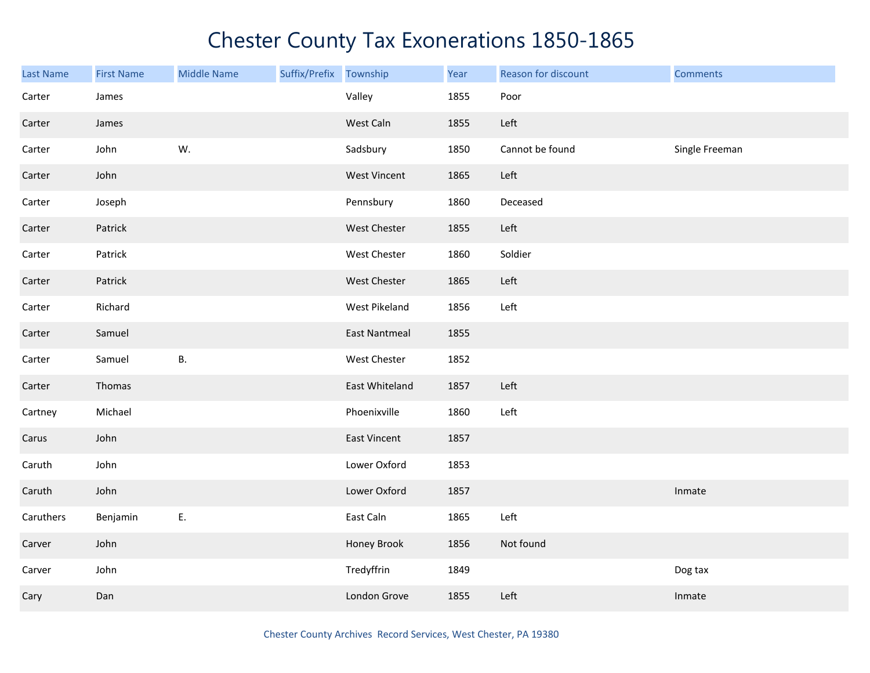| <b>Last Name</b> | <b>First Name</b> | <b>Middle Name</b> | Suffix/Prefix | Township             | Year | Reason for discount | <b>Comments</b> |
|------------------|-------------------|--------------------|---------------|----------------------|------|---------------------|-----------------|
| Carter           | James             |                    |               | Valley               | 1855 | Poor                |                 |
| Carter           | James             |                    |               | West Caln            | 1855 | Left                |                 |
| Carter           | John              | W.                 |               | Sadsbury             | 1850 | Cannot be found     | Single Freeman  |
| Carter           | John              |                    |               | West Vincent         | 1865 | Left                |                 |
| Carter           | Joseph            |                    |               | Pennsbury            | 1860 | Deceased            |                 |
| Carter           | Patrick           |                    |               | West Chester         | 1855 | Left                |                 |
| Carter           | Patrick           |                    |               | West Chester         | 1860 | Soldier             |                 |
| Carter           | Patrick           |                    |               | West Chester         | 1865 | Left                |                 |
| Carter           | Richard           |                    |               | West Pikeland        | 1856 | Left                |                 |
| Carter           | Samuel            |                    |               | <b>East Nantmeal</b> | 1855 |                     |                 |
| Carter           | Samuel            | В.                 |               | West Chester         | 1852 |                     |                 |
| Carter           | Thomas            |                    |               | East Whiteland       | 1857 | Left                |                 |
| Cartney          | Michael           |                    |               | Phoenixville         | 1860 | Left                |                 |
| Carus            | John              |                    |               | <b>East Vincent</b>  | 1857 |                     |                 |
| Caruth           | John              |                    |               | Lower Oxford         | 1853 |                     |                 |
| Caruth           | John              |                    |               | Lower Oxford         | 1857 |                     | Inmate          |
| Caruthers        | Benjamin          | Ε.                 |               | East Caln            | 1865 | Left                |                 |
| Carver           | John              |                    |               | Honey Brook          | 1856 | Not found           |                 |
| Carver           | John              |                    |               | Tredyffrin           | 1849 |                     | Dog tax         |
| Cary             | Dan               |                    |               | London Grove         | 1855 | Left                | Inmate          |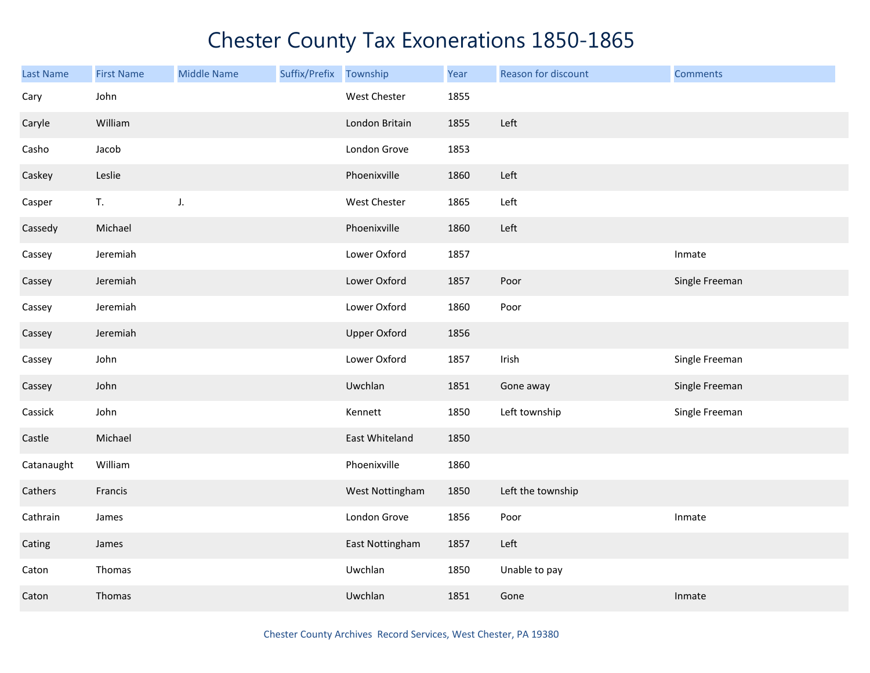| <b>Last Name</b> | <b>First Name</b> | <b>Middle Name</b> | Suffix/Prefix | Township            | Year | Reason for discount | <b>Comments</b> |
|------------------|-------------------|--------------------|---------------|---------------------|------|---------------------|-----------------|
| Cary             | John              |                    |               | West Chester        | 1855 |                     |                 |
| Caryle           | William           |                    |               | London Britain      | 1855 | Left                |                 |
| Casho            | Jacob             |                    |               | London Grove        | 1853 |                     |                 |
| Caskey           | Leslie            |                    |               | Phoenixville        | 1860 | Left                |                 |
| Casper           | T.                | J.                 |               | West Chester        | 1865 | Left                |                 |
| Cassedy          | Michael           |                    |               | Phoenixville        | 1860 | Left                |                 |
| Cassey           | Jeremiah          |                    |               | Lower Oxford        | 1857 |                     | Inmate          |
| Cassey           | Jeremiah          |                    |               | Lower Oxford        | 1857 | Poor                | Single Freeman  |
| Cassey           | Jeremiah          |                    |               | Lower Oxford        | 1860 | Poor                |                 |
| Cassey           | Jeremiah          |                    |               | <b>Upper Oxford</b> | 1856 |                     |                 |
| Cassey           | John              |                    |               | Lower Oxford        | 1857 | Irish               | Single Freeman  |
| Cassey           | John              |                    |               | Uwchlan             | 1851 | Gone away           | Single Freeman  |
| Cassick          | John              |                    |               | Kennett             | 1850 | Left township       | Single Freeman  |
| Castle           | Michael           |                    |               | East Whiteland      | 1850 |                     |                 |
| Catanaught       | William           |                    |               | Phoenixville        | 1860 |                     |                 |
| Cathers          | Francis           |                    |               | West Nottingham     | 1850 | Left the township   |                 |
| Cathrain         | James             |                    |               | London Grove        | 1856 | Poor                | Inmate          |
| Cating           | James             |                    |               | East Nottingham     | 1857 | Left                |                 |
| Caton            | Thomas            |                    |               | Uwchlan             | 1850 | Unable to pay       |                 |
| Caton            | Thomas            |                    |               | Uwchlan             | 1851 | Gone                | Inmate          |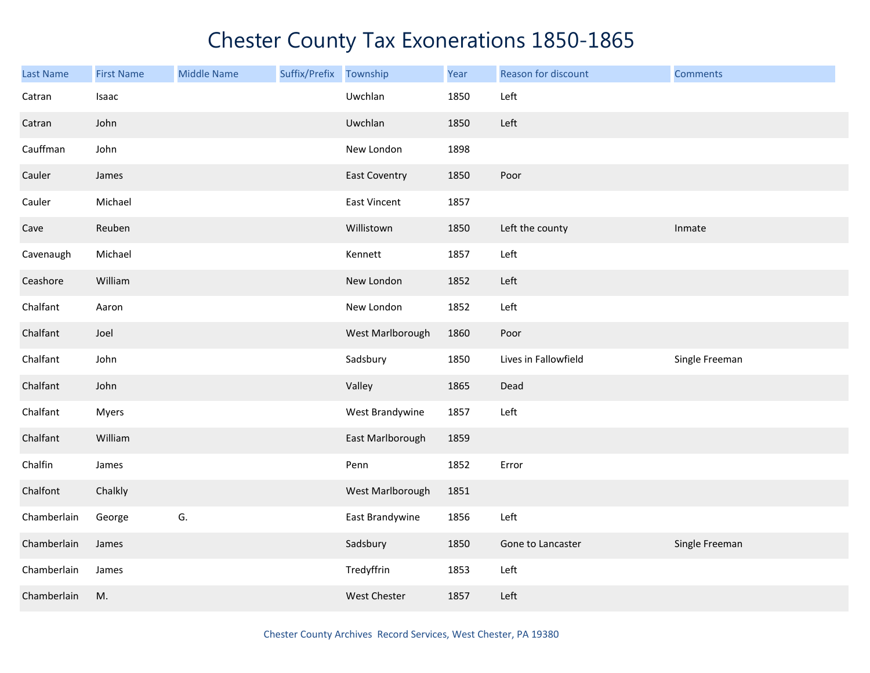| Last Name   | <b>First Name</b> | <b>Middle Name</b> | Suffix/Prefix Township |                      | Year | Reason for discount  | <b>Comments</b> |
|-------------|-------------------|--------------------|------------------------|----------------------|------|----------------------|-----------------|
| Catran      | Isaac             |                    |                        | Uwchlan              | 1850 | Left                 |                 |
| Catran      | John              |                    |                        | Uwchlan              | 1850 | Left                 |                 |
| Cauffman    | John              |                    |                        | New London           | 1898 |                      |                 |
| Cauler      | James             |                    |                        | <b>East Coventry</b> | 1850 | Poor                 |                 |
| Cauler      | Michael           |                    |                        | East Vincent         | 1857 |                      |                 |
| Cave        | Reuben            |                    |                        | Willistown           | 1850 | Left the county      | Inmate          |
| Cavenaugh   | Michael           |                    |                        | Kennett              | 1857 | Left                 |                 |
| Ceashore    | William           |                    |                        | New London           | 1852 | Left                 |                 |
| Chalfant    | Aaron             |                    |                        | New London           | 1852 | Left                 |                 |
| Chalfant    | Joel              |                    |                        | West Marlborough     | 1860 | Poor                 |                 |
| Chalfant    | John              |                    |                        | Sadsbury             | 1850 | Lives in Fallowfield | Single Freeman  |
| Chalfant    | John              |                    |                        | Valley               | 1865 | Dead                 |                 |
| Chalfant    | <b>Myers</b>      |                    |                        | West Brandywine      | 1857 | Left                 |                 |
| Chalfant    | William           |                    |                        | East Marlborough     | 1859 |                      |                 |
| Chalfin     | James             |                    |                        | Penn                 | 1852 | Error                |                 |
| Chalfont    | Chalkly           |                    |                        | West Marlborough     | 1851 |                      |                 |
| Chamberlain | George            | G.                 |                        | East Brandywine      | 1856 | Left                 |                 |
| Chamberlain | James             |                    |                        | Sadsbury             | 1850 | Gone to Lancaster    | Single Freeman  |
| Chamberlain | James             |                    |                        | Tredyffrin           | 1853 | Left                 |                 |
| Chamberlain | M.                |                    |                        | West Chester         | 1857 | Left                 |                 |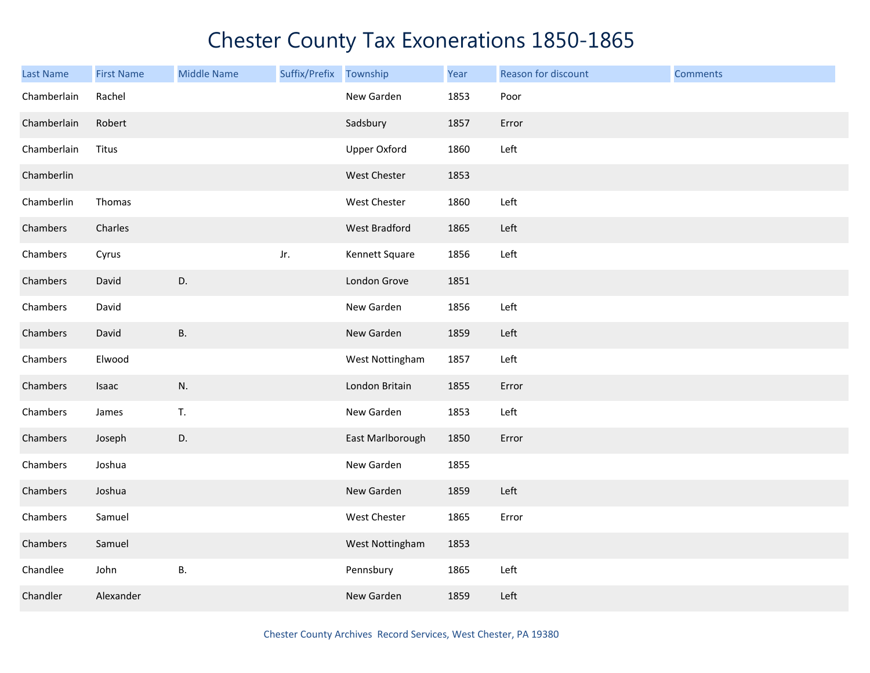| <b>Last Name</b> | <b>First Name</b> | <b>Middle Name</b> | Suffix/Prefix Township |                     | Year | Reason for discount | <b>Comments</b> |
|------------------|-------------------|--------------------|------------------------|---------------------|------|---------------------|-----------------|
| Chamberlain      | Rachel            |                    |                        | New Garden          | 1853 | Poor                |                 |
| Chamberlain      | Robert            |                    |                        | Sadsbury            | 1857 | Error               |                 |
| Chamberlain      | Titus             |                    |                        | <b>Upper Oxford</b> | 1860 | Left                |                 |
| Chamberlin       |                   |                    |                        | West Chester        | 1853 |                     |                 |
| Chamberlin       | Thomas            |                    |                        | West Chester        | 1860 | Left                |                 |
| Chambers         | Charles           |                    |                        | West Bradford       | 1865 | Left                |                 |
| Chambers         | Cyrus             |                    | Jr.                    | Kennett Square      | 1856 | Left                |                 |
| Chambers         | David             | D.                 |                        | London Grove        | 1851 |                     |                 |
| Chambers         | David             |                    |                        | New Garden          | 1856 | Left                |                 |
| Chambers         | David             | <b>B.</b>          |                        | New Garden          | 1859 | Left                |                 |
| Chambers         | Elwood            |                    |                        | West Nottingham     | 1857 | Left                |                 |
| Chambers         | Isaac             | N.                 |                        | London Britain      | 1855 | Error               |                 |
| Chambers         | James             | T.                 |                        | New Garden          | 1853 | Left                |                 |
| Chambers         | Joseph            | D.                 |                        | East Marlborough    | 1850 | Error               |                 |
| Chambers         | Joshua            |                    |                        | New Garden          | 1855 |                     |                 |
| Chambers         | Joshua            |                    |                        | New Garden          | 1859 | Left                |                 |
| Chambers         | Samuel            |                    |                        | West Chester        | 1865 | Error               |                 |
| Chambers         | Samuel            |                    |                        | West Nottingham     | 1853 |                     |                 |
| Chandlee         | John              | <b>B.</b>          |                        | Pennsbury           | 1865 | Left                |                 |
| Chandler         | Alexander         |                    |                        | New Garden          | 1859 | Left                |                 |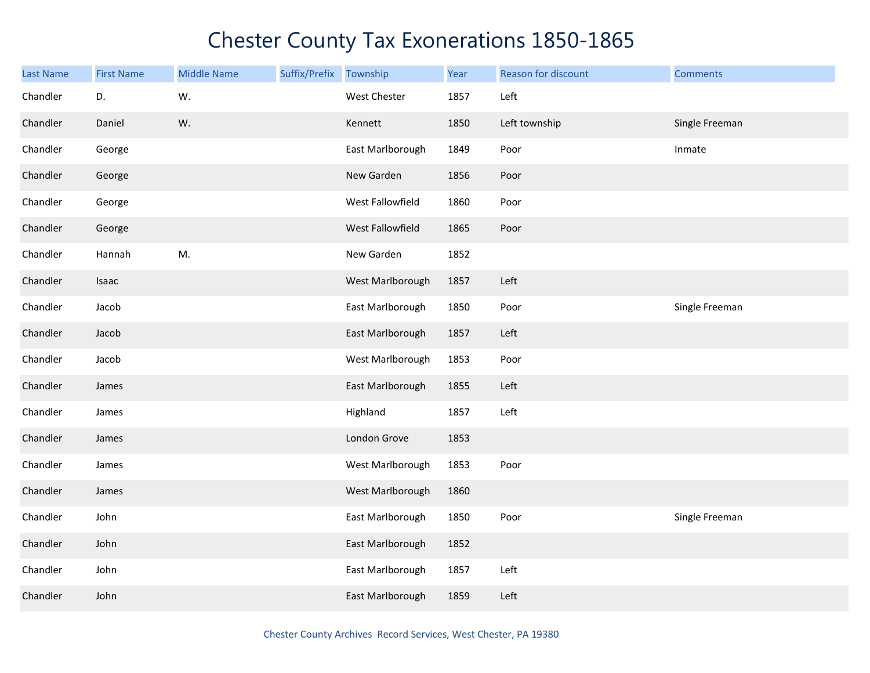| <b>Last Name</b> | <b>First Name</b> | <b>Middle Name</b> | Suffix/Prefix Township |                  | Year | Reason for discount | <b>Comments</b> |
|------------------|-------------------|--------------------|------------------------|------------------|------|---------------------|-----------------|
| Chandler         | D.                | W.                 |                        | West Chester     | 1857 | Left                |                 |
| Chandler         | Daniel            | W.                 |                        | Kennett          | 1850 | Left township       | Single Freeman  |
| Chandler         | George            |                    |                        | East Marlborough | 1849 | Poor                | Inmate          |
| Chandler         | George            |                    |                        | New Garden       | 1856 | Poor                |                 |
| Chandler         | George            |                    |                        | West Fallowfield | 1860 | Poor                |                 |
| Chandler         | George            |                    |                        | West Fallowfield | 1865 | Poor                |                 |
| Chandler         | Hannah            | M.                 |                        | New Garden       | 1852 |                     |                 |
| Chandler         | Isaac             |                    |                        | West Marlborough | 1857 | Left                |                 |
| Chandler         | Jacob             |                    |                        | East Marlborough | 1850 | Poor                | Single Freeman  |
| Chandler         | Jacob             |                    |                        | East Marlborough | 1857 | Left                |                 |
| Chandler         | Jacob             |                    |                        | West Marlborough | 1853 | Poor                |                 |
| Chandler         | James             |                    |                        | East Marlborough | 1855 | Left                |                 |
| Chandler         | James             |                    |                        | Highland         | 1857 | Left                |                 |
| Chandler         | James             |                    |                        | London Grove     | 1853 |                     |                 |
| Chandler         | James             |                    |                        | West Marlborough | 1853 | Poor                |                 |
| Chandler         | James             |                    |                        | West Marlborough | 1860 |                     |                 |
| Chandler         | John              |                    |                        | East Marlborough | 1850 | Poor                | Single Freeman  |
| Chandler         | John              |                    |                        | East Marlborough | 1852 |                     |                 |
| Chandler         | John              |                    |                        | East Marlborough | 1857 | Left                |                 |
| Chandler         | John              |                    |                        | East Marlborough | 1859 | Left                |                 |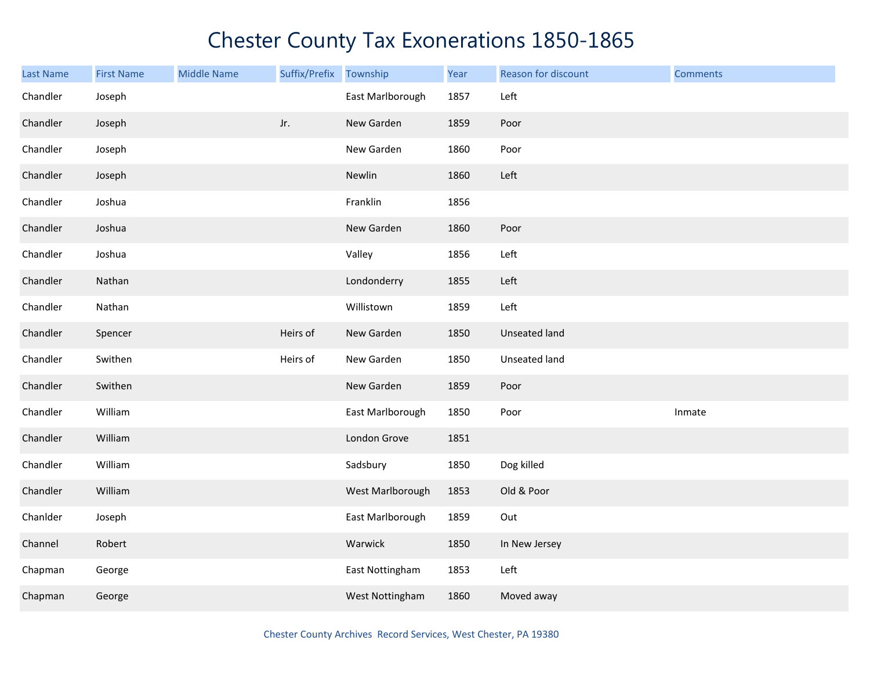| Last Name | <b>First Name</b> | <b>Middle Name</b> | Suffix/Prefix | Township         | Year | Reason for discount | <b>Comments</b> |
|-----------|-------------------|--------------------|---------------|------------------|------|---------------------|-----------------|
| Chandler  | Joseph            |                    |               | East Marlborough | 1857 | Left                |                 |
| Chandler  | Joseph            |                    | Jr.           | New Garden       | 1859 | Poor                |                 |
| Chandler  | Joseph            |                    |               | New Garden       | 1860 | Poor                |                 |
| Chandler  | Joseph            |                    |               | Newlin           | 1860 | Left                |                 |
| Chandler  | Joshua            |                    |               | Franklin         | 1856 |                     |                 |
| Chandler  | Joshua            |                    |               | New Garden       | 1860 | Poor                |                 |
| Chandler  | Joshua            |                    |               | Valley           | 1856 | Left                |                 |
| Chandler  | Nathan            |                    |               | Londonderry      | 1855 | Left                |                 |
| Chandler  | Nathan            |                    |               | Willistown       | 1859 | Left                |                 |
| Chandler  | Spencer           |                    | Heirs of      | New Garden       | 1850 | Unseated land       |                 |
| Chandler  | Swithen           |                    | Heirs of      | New Garden       | 1850 | Unseated land       |                 |
| Chandler  | Swithen           |                    |               | New Garden       | 1859 | Poor                |                 |
| Chandler  | William           |                    |               | East Marlborough | 1850 | Poor                | Inmate          |
| Chandler  | William           |                    |               | London Grove     | 1851 |                     |                 |
| Chandler  | William           |                    |               | Sadsbury         | 1850 | Dog killed          |                 |
| Chandler  | William           |                    |               | West Marlborough | 1853 | Old & Poor          |                 |
| Chanlder  | Joseph            |                    |               | East Marlborough | 1859 | Out                 |                 |
| Channel   | Robert            |                    |               | Warwick          | 1850 | In New Jersey       |                 |
| Chapman   | George            |                    |               | East Nottingham  | 1853 | Left                |                 |
| Chapman   | George            |                    |               | West Nottingham  | 1860 | Moved away          |                 |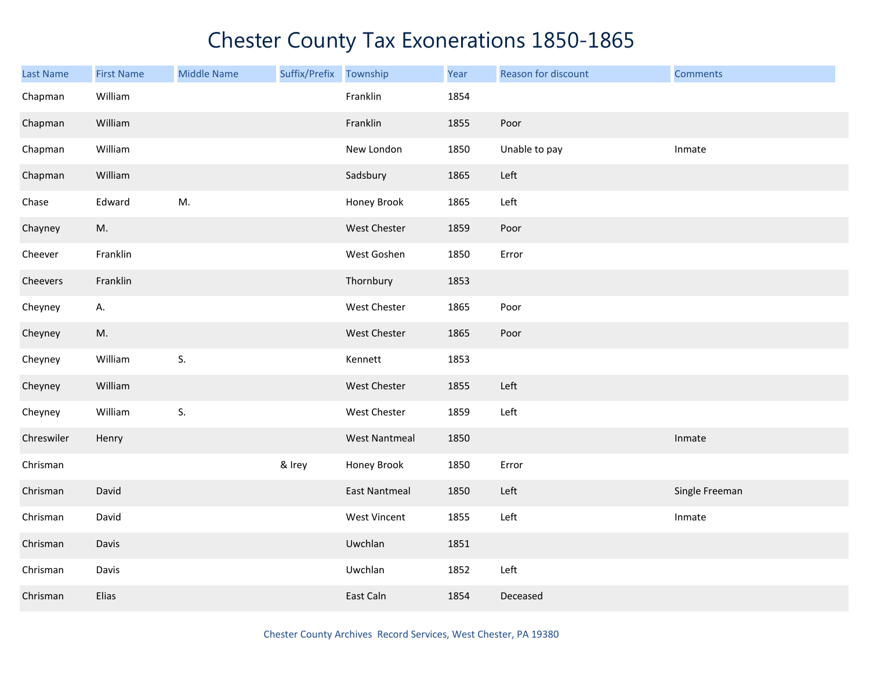| <b>Last Name</b> | <b>First Name</b> | <b>Middle Name</b> | Suffix/Prefix Township |                      | Year | Reason for discount | <b>Comments</b> |
|------------------|-------------------|--------------------|------------------------|----------------------|------|---------------------|-----------------|
| Chapman          | William           |                    |                        | Franklin             | 1854 |                     |                 |
| Chapman          | William           |                    |                        | Franklin             | 1855 | Poor                |                 |
| Chapman          | William           |                    |                        | New London           | 1850 | Unable to pay       | Inmate          |
| Chapman          | William           |                    |                        | Sadsbury             | 1865 | Left                |                 |
| Chase            | Edward            | M.                 |                        | Honey Brook          | 1865 | Left                |                 |
| Chayney          | M.                |                    |                        | West Chester         | 1859 | Poor                |                 |
| Cheever          | Franklin          |                    |                        | West Goshen          | 1850 | Error               |                 |
| Cheevers         | Franklin          |                    |                        | Thornbury            | 1853 |                     |                 |
| Cheyney          | А.                |                    |                        | West Chester         | 1865 | Poor                |                 |
| Cheyney          | M.                |                    |                        | West Chester         | 1865 | Poor                |                 |
| Cheyney          | William           | S.                 |                        | Kennett              | 1853 |                     |                 |
| Cheyney          | William           |                    |                        | West Chester         | 1855 | Left                |                 |
| Cheyney          | William           | S.                 |                        | West Chester         | 1859 | Left                |                 |
| Chreswiler       | Henry             |                    |                        | <b>West Nantmeal</b> | 1850 |                     | Inmate          |
| Chrisman         |                   |                    | & Irey                 | Honey Brook          | 1850 | Error               |                 |
| Chrisman         | David             |                    |                        | <b>East Nantmeal</b> | 1850 | Left                | Single Freeman  |
| Chrisman         | David             |                    |                        | West Vincent         | 1855 | Left                | Inmate          |
| Chrisman         | Davis             |                    |                        | Uwchlan              | 1851 |                     |                 |
| Chrisman         | Davis             |                    |                        | Uwchlan              | 1852 | Left                |                 |
| Chrisman         | Elias             |                    |                        | East Caln            | 1854 | Deceased            |                 |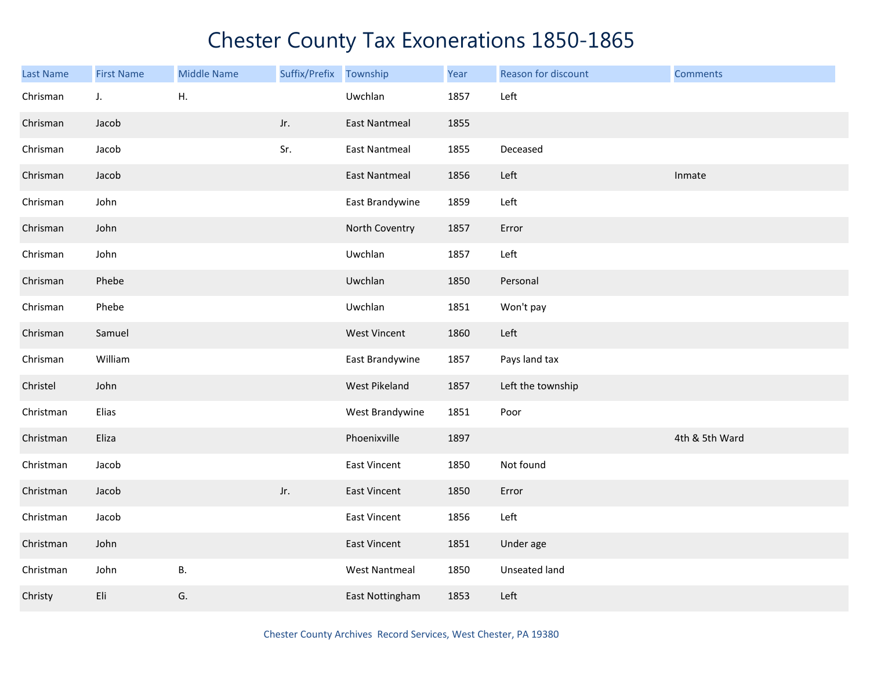| <b>Last Name</b> | <b>First Name</b> | <b>Middle Name</b> | Suffix/Prefix Township |                      | Year | Reason for discount | <b>Comments</b> |
|------------------|-------------------|--------------------|------------------------|----------------------|------|---------------------|-----------------|
| Chrisman         | J.                | Η.                 |                        | Uwchlan              | 1857 | Left                |                 |
| Chrisman         | Jacob             |                    | Jr.                    | <b>East Nantmeal</b> | 1855 |                     |                 |
| Chrisman         | Jacob             |                    | Sr.                    | <b>East Nantmeal</b> | 1855 | Deceased            |                 |
| Chrisman         | Jacob             |                    |                        | <b>East Nantmeal</b> | 1856 | Left                | Inmate          |
| Chrisman         | John              |                    |                        | East Brandywine      | 1859 | Left                |                 |
| Chrisman         | John              |                    |                        | North Coventry       | 1857 | Error               |                 |
| Chrisman         | John              |                    |                        | Uwchlan              | 1857 | Left                |                 |
| Chrisman         | Phebe             |                    |                        | Uwchlan              | 1850 | Personal            |                 |
| Chrisman         | Phebe             |                    |                        | Uwchlan              | 1851 | Won't pay           |                 |
| Chrisman         | Samuel            |                    |                        | <b>West Vincent</b>  | 1860 | Left                |                 |
| Chrisman         | William           |                    |                        | East Brandywine      | 1857 | Pays land tax       |                 |
| Christel         | John              |                    |                        | West Pikeland        | 1857 | Left the township   |                 |
| Christman        | Elias             |                    |                        | West Brandywine      | 1851 | Poor                |                 |
| Christman        | Eliza             |                    |                        | Phoenixville         | 1897 |                     | 4th & 5th Ward  |
| Christman        | Jacob             |                    |                        | East Vincent         | 1850 | Not found           |                 |
| Christman        | Jacob             |                    | Jr.                    | East Vincent         | 1850 | Error               |                 |
| Christman        | Jacob             |                    |                        | East Vincent         | 1856 | Left                |                 |
| Christman        | John              |                    |                        | East Vincent         | 1851 | Under age           |                 |
| Christman        | John              | <b>B.</b>          |                        | <b>West Nantmeal</b> | 1850 | Unseated land       |                 |
| Christy          | Eli               | G.                 |                        | East Nottingham      | 1853 | Left                |                 |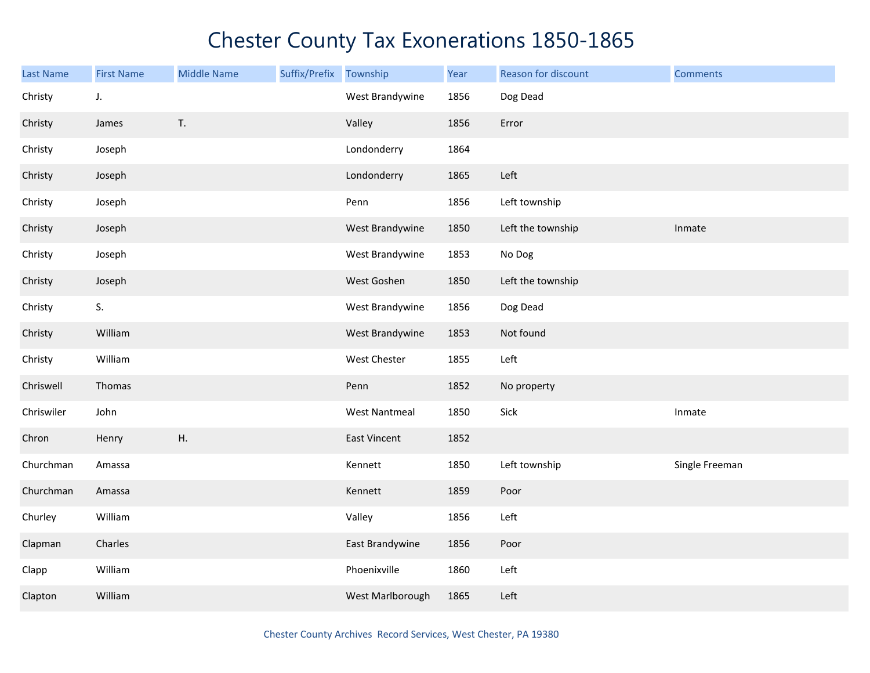| <b>Last Name</b> | <b>First Name</b> | <b>Middle Name</b> | Suffix/Prefix | Township             | Year | Reason for discount | <b>Comments</b> |
|------------------|-------------------|--------------------|---------------|----------------------|------|---------------------|-----------------|
| Christy          | J.                |                    |               | West Brandywine      | 1856 | Dog Dead            |                 |
| Christy          | James             | T.                 |               | Valley               | 1856 | Error               |                 |
| Christy          | Joseph            |                    |               | Londonderry          | 1864 |                     |                 |
| Christy          | Joseph            |                    |               | Londonderry          | 1865 | Left                |                 |
| Christy          | Joseph            |                    |               | Penn                 | 1856 | Left township       |                 |
| Christy          | Joseph            |                    |               | West Brandywine      | 1850 | Left the township   | Inmate          |
| Christy          | Joseph            |                    |               | West Brandywine      | 1853 | No Dog              |                 |
| Christy          | Joseph            |                    |               | West Goshen          | 1850 | Left the township   |                 |
| Christy          | S.                |                    |               | West Brandywine      | 1856 | Dog Dead            |                 |
| Christy          | William           |                    |               | West Brandywine      | 1853 | Not found           |                 |
| Christy          | William           |                    |               | West Chester         | 1855 | Left                |                 |
| Chriswell        | Thomas            |                    |               | Penn                 | 1852 | No property         |                 |
| Chriswiler       | John              |                    |               | <b>West Nantmeal</b> | 1850 | Sick                | Inmate          |
| Chron            | Henry             | Η.                 |               | <b>East Vincent</b>  | 1852 |                     |                 |
| Churchman        | Amassa            |                    |               | Kennett              | 1850 | Left township       | Single Freeman  |
| Churchman        | Amassa            |                    |               | Kennett              | 1859 | Poor                |                 |
| Churley          | William           |                    |               | Valley               | 1856 | Left                |                 |
| Clapman          | Charles           |                    |               | East Brandywine      | 1856 | Poor                |                 |
| Clapp            | William           |                    |               | Phoenixville         | 1860 | Left                |                 |
| Clapton          | William           |                    |               | West Marlborough     | 1865 | Left                |                 |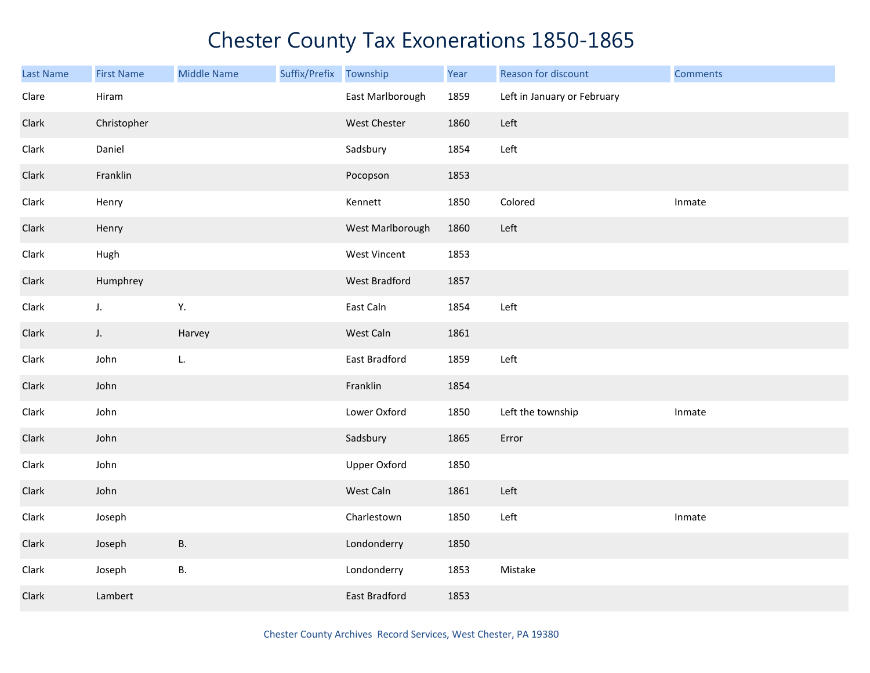| Last Name | <b>First Name</b> | <b>Middle Name</b> | Suffix/Prefix | Township            | Year | Reason for discount         | <b>Comments</b> |
|-----------|-------------------|--------------------|---------------|---------------------|------|-----------------------------|-----------------|
| Clare     | Hiram             |                    |               | East Marlborough    | 1859 | Left in January or February |                 |
| Clark     | Christopher       |                    |               | West Chester        | 1860 | Left                        |                 |
| Clark     | Daniel            |                    |               | Sadsbury            | 1854 | Left                        |                 |
| Clark     | Franklin          |                    |               | Pocopson            | 1853 |                             |                 |
| Clark     | Henry             |                    |               | Kennett             | 1850 | Colored                     | Inmate          |
| Clark     | Henry             |                    |               | West Marlborough    | 1860 | Left                        |                 |
| Clark     | Hugh              |                    |               | West Vincent        | 1853 |                             |                 |
| Clark     | Humphrey          |                    |               | West Bradford       | 1857 |                             |                 |
| Clark     | J.                | Υ.                 |               | East Caln           | 1854 | Left                        |                 |
| Clark     | $J_{\star}$       | Harvey             |               | West Caln           | 1861 |                             |                 |
| Clark     | John              | L.                 |               | East Bradford       | 1859 | Left                        |                 |
| Clark     | John              |                    |               | Franklin            | 1854 |                             |                 |
| Clark     | John              |                    |               | Lower Oxford        | 1850 | Left the township           | Inmate          |
| Clark     | John              |                    |               | Sadsbury            | 1865 | Error                       |                 |
| Clark     | John              |                    |               | <b>Upper Oxford</b> | 1850 |                             |                 |
| Clark     | John              |                    |               | West Caln           | 1861 | Left                        |                 |
| Clark     | Joseph            |                    |               | Charlestown         | 1850 | Left                        | Inmate          |
| Clark     | Joseph            | <b>B.</b>          |               | Londonderry         | 1850 |                             |                 |
| Clark     | Joseph            | В.                 |               | Londonderry         | 1853 | Mistake                     |                 |
| Clark     | Lambert           |                    |               | East Bradford       | 1853 |                             |                 |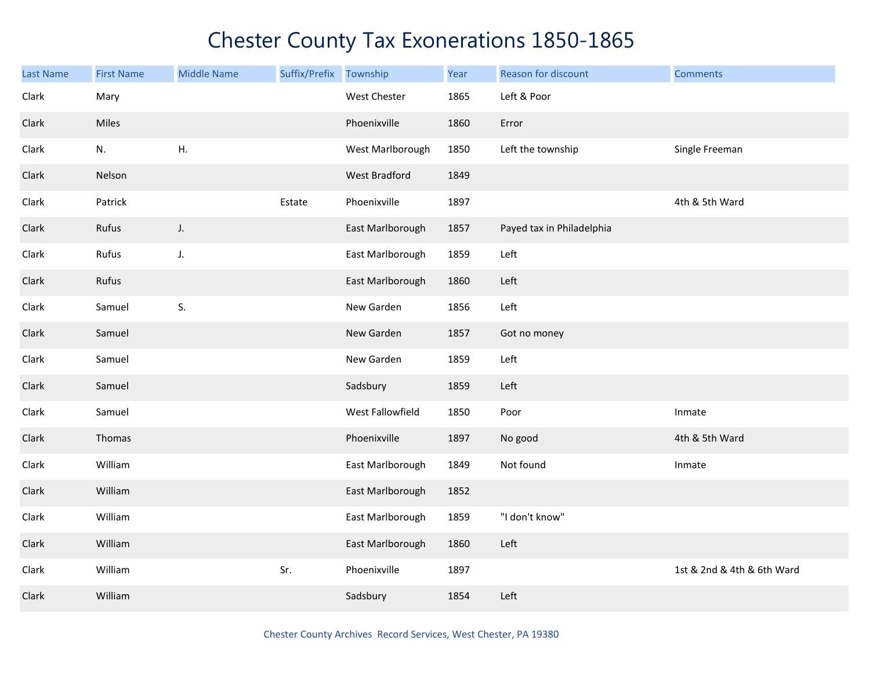| <b>Last Name</b> | <b>First Name</b> | <b>Middle Name</b> | Suffix/Prefix | Township         | Year | Reason for discount       | <b>Comments</b>            |
|------------------|-------------------|--------------------|---------------|------------------|------|---------------------------|----------------------------|
| Clark            | Mary              |                    |               | West Chester     | 1865 | Left & Poor               |                            |
| Clark            | Miles             |                    |               | Phoenixville     | 1860 | Error                     |                            |
| Clark            | N.                | Η.                 |               | West Marlborough | 1850 | Left the township         | Single Freeman             |
| Clark            | Nelson            |                    |               | West Bradford    | 1849 |                           |                            |
| Clark            | Patrick           |                    | Estate        | Phoenixville     | 1897 |                           | 4th & 5th Ward             |
| Clark            | Rufus             | J.                 |               | East Marlborough | 1857 | Payed tax in Philadelphia |                            |
| Clark            | Rufus             | J.                 |               | East Marlborough | 1859 | Left                      |                            |
| Clark            | Rufus             |                    |               | East Marlborough | 1860 | Left                      |                            |
| Clark            | Samuel            | S.                 |               | New Garden       | 1856 | Left                      |                            |
| Clark            | Samuel            |                    |               | New Garden       | 1857 | Got no money              |                            |
| Clark            | Samuel            |                    |               | New Garden       | 1859 | Left                      |                            |
| Clark            | Samuel            |                    |               | Sadsbury         | 1859 | Left                      |                            |
| Clark            | Samuel            |                    |               | West Fallowfield | 1850 | Poor                      | Inmate                     |
| Clark            | Thomas            |                    |               | Phoenixville     | 1897 | No good                   | 4th & 5th Ward             |
| Clark            | William           |                    |               | East Marlborough | 1849 | Not found                 | Inmate                     |
| Clark            | William           |                    |               | East Marlborough | 1852 |                           |                            |
| Clark            | William           |                    |               | East Marlborough | 1859 | "I don't know"            |                            |
| Clark            | William           |                    |               | East Marlborough | 1860 | Left                      |                            |
| Clark            | William           |                    | Sr.           | Phoenixville     | 1897 |                           | 1st & 2nd & 4th & 6th Ward |
| Clark            | William           |                    |               | Sadsbury         | 1854 | Left                      |                            |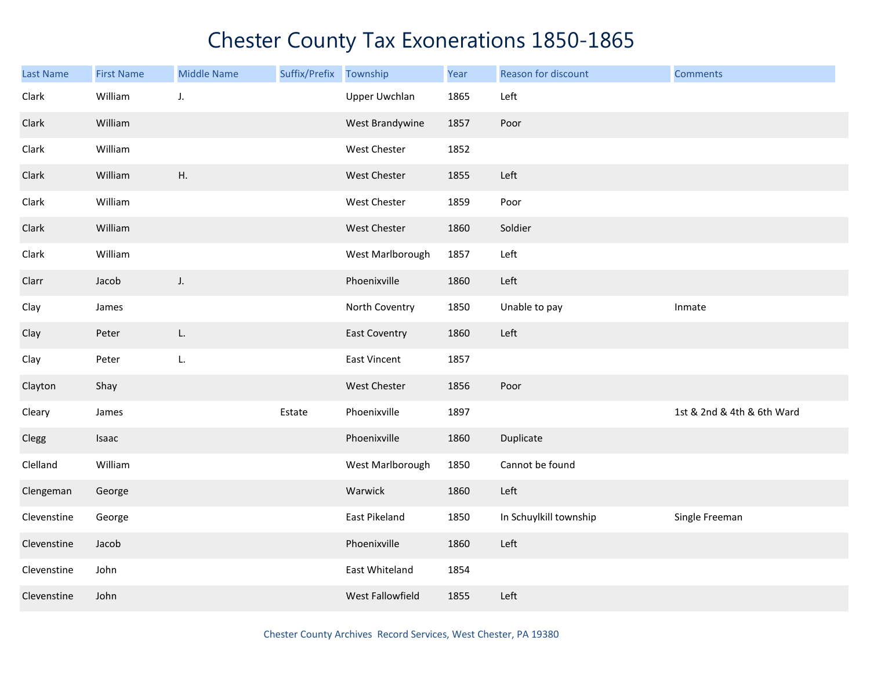| Last Name   | <b>First Name</b> | <b>Middle Name</b> | Suffix/Prefix | Township             | Year | Reason for discount    | <b>Comments</b>            |
|-------------|-------------------|--------------------|---------------|----------------------|------|------------------------|----------------------------|
| Clark       | William           | J.                 |               | <b>Upper Uwchlan</b> | 1865 | Left                   |                            |
| Clark       | William           |                    |               | West Brandywine      | 1857 | Poor                   |                            |
| Clark       | William           |                    |               | West Chester         | 1852 |                        |                            |
| Clark       | William           | H.                 |               | West Chester         | 1855 | Left                   |                            |
| Clark       | William           |                    |               | West Chester         | 1859 | Poor                   |                            |
| Clark       | William           |                    |               | West Chester         | 1860 | Soldier                |                            |
| Clark       | William           |                    |               | West Marlborough     | 1857 | Left                   |                            |
| Clarr       | Jacob             | J.                 |               | Phoenixville         | 1860 | Left                   |                            |
| Clay        | James             |                    |               | North Coventry       | 1850 | Unable to pay          | Inmate                     |
| Clay        | Peter             | L.                 |               | <b>East Coventry</b> | 1860 | Left                   |                            |
| Clay        | Peter             | L.                 |               | East Vincent         | 1857 |                        |                            |
| Clayton     | Shay              |                    |               | <b>West Chester</b>  | 1856 | Poor                   |                            |
| Cleary      | James             |                    | Estate        | Phoenixville         | 1897 |                        | 1st & 2nd & 4th & 6th Ward |
| Clegg       | Isaac             |                    |               | Phoenixville         | 1860 | Duplicate              |                            |
| Clelland    | William           |                    |               | West Marlborough     | 1850 | Cannot be found        |                            |
| Clengeman   | George            |                    |               | Warwick              | 1860 | Left                   |                            |
| Clevenstine | George            |                    |               | East Pikeland        | 1850 | In Schuylkill township | Single Freeman             |
| Clevenstine | Jacob             |                    |               | Phoenixville         | 1860 | Left                   |                            |
| Clevenstine | John              |                    |               | East Whiteland       | 1854 |                        |                            |
| Clevenstine | John              |                    |               | West Fallowfield     | 1855 | Left                   |                            |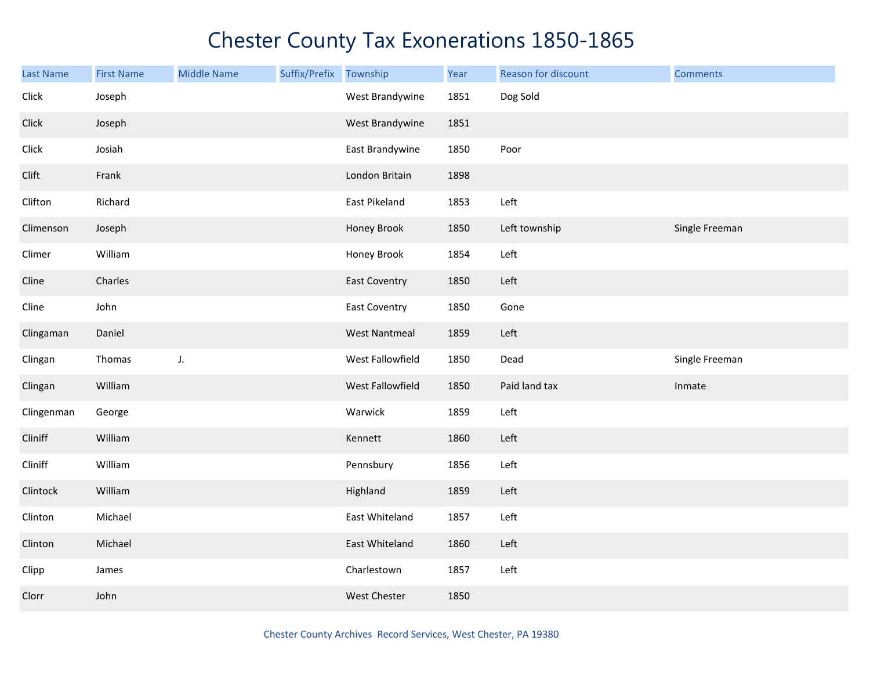| <b>Last Name</b> | <b>First Name</b> | <b>Middle Name</b> | Suffix/Prefix | Township             | Year | Reason for discount | <b>Comments</b> |
|------------------|-------------------|--------------------|---------------|----------------------|------|---------------------|-----------------|
| Click            | Joseph            |                    |               | West Brandywine      | 1851 | Dog Sold            |                 |
| Click            | Joseph            |                    |               | West Brandywine      | 1851 |                     |                 |
| Click            | Josiah            |                    |               | East Brandywine      | 1850 | Poor                |                 |
| Clift            | Frank             |                    |               | London Britain       | 1898 |                     |                 |
| Clifton          | Richard           |                    |               | East Pikeland        | 1853 | Left                |                 |
| Climenson        | Joseph            |                    |               | Honey Brook          | 1850 | Left township       | Single Freeman  |
| Climer           | William           |                    |               | Honey Brook          | 1854 | Left                |                 |
| Cline            | Charles           |                    |               | <b>East Coventry</b> | 1850 | Left                |                 |
| Cline            | John              |                    |               | <b>East Coventry</b> | 1850 | Gone                |                 |
| Clingaman        | Daniel            |                    |               | <b>West Nantmeal</b> | 1859 | Left                |                 |
| Clingan          | Thomas            | J.                 |               | West Fallowfield     | 1850 | Dead                | Single Freeman  |
| Clingan          | William           |                    |               | West Fallowfield     | 1850 | Paid land tax       | Inmate          |
| Clingenman       | George            |                    |               | Warwick              | 1859 | Left                |                 |
| Cliniff          | William           |                    |               | Kennett              | 1860 | Left                |                 |
| Cliniff          | William           |                    |               | Pennsbury            | 1856 | Left                |                 |
| Clintock         | William           |                    |               | Highland             | 1859 | Left                |                 |
| Clinton          | Michael           |                    |               | East Whiteland       | 1857 | Left                |                 |
| Clinton          | Michael           |                    |               | East Whiteland       | 1860 | Left                |                 |
| Clipp            | James             |                    |               | Charlestown          | 1857 | Left                |                 |
| Clorr            | John              |                    |               | West Chester         | 1850 |                     |                 |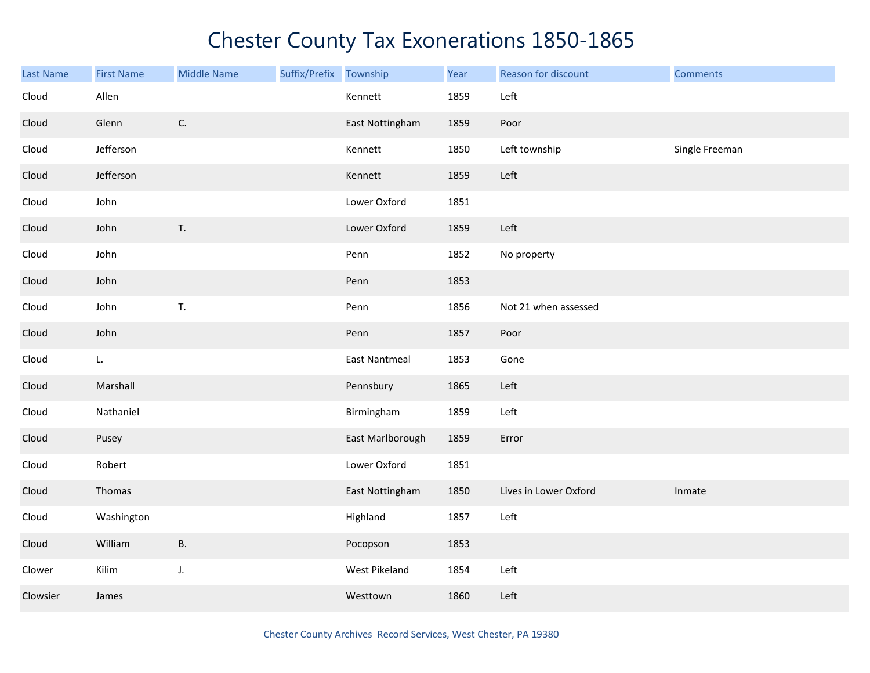| Last Name | <b>First Name</b> | <b>Middle Name</b> | Suffix/Prefix | Township             | Year | Reason for discount   | <b>Comments</b> |
|-----------|-------------------|--------------------|---------------|----------------------|------|-----------------------|-----------------|
| Cloud     | Allen             |                    |               | Kennett              | 1859 | Left                  |                 |
| Cloud     | Glenn             | $\mathsf{C}.$      |               | East Nottingham      | 1859 | Poor                  |                 |
| Cloud     | Jefferson         |                    |               | Kennett              | 1850 | Left township         | Single Freeman  |
| Cloud     | Jefferson         |                    |               | Kennett              | 1859 | Left                  |                 |
| Cloud     | John              |                    |               | Lower Oxford         | 1851 |                       |                 |
| Cloud     | John              | T.                 |               | Lower Oxford         | 1859 | Left                  |                 |
| Cloud     | John              |                    |               | Penn                 | 1852 | No property           |                 |
| Cloud     | John              |                    |               | Penn                 | 1853 |                       |                 |
| Cloud     | John              | T.                 |               | Penn                 | 1856 | Not 21 when assessed  |                 |
| Cloud     | John              |                    |               | Penn                 | 1857 | Poor                  |                 |
| Cloud     | L.                |                    |               | <b>East Nantmeal</b> | 1853 | Gone                  |                 |
| Cloud     | Marshall          |                    |               | Pennsbury            | 1865 | Left                  |                 |
| Cloud     | Nathaniel         |                    |               | Birmingham           | 1859 | Left                  |                 |
| Cloud     | Pusey             |                    |               | East Marlborough     | 1859 | Error                 |                 |
| Cloud     | Robert            |                    |               | Lower Oxford         | 1851 |                       |                 |
| Cloud     | Thomas            |                    |               | East Nottingham      | 1850 | Lives in Lower Oxford | Inmate          |
| Cloud     | Washington        |                    |               | Highland             | 1857 | Left                  |                 |
| Cloud     | William           | <b>B.</b>          |               | Pocopson             | 1853 |                       |                 |
| Clower    | Kilim             | J.                 |               | West Pikeland        | 1854 | Left                  |                 |
| Clowsier  | James             |                    |               | Westtown             | 1860 | Left                  |                 |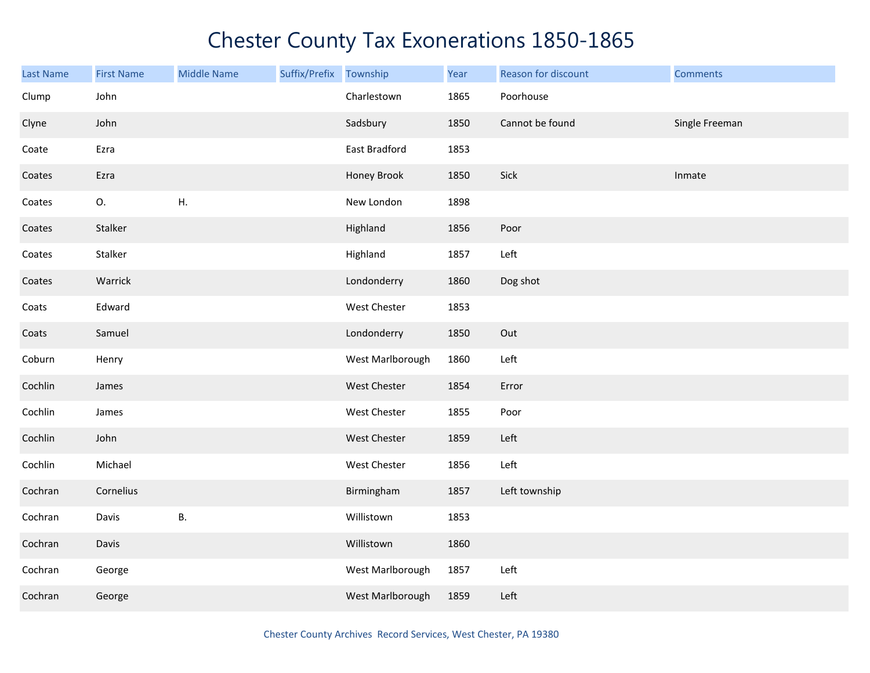| <b>Last Name</b> | <b>First Name</b> | <b>Middle Name</b> | Suffix/Prefix | Township            | Year | Reason for discount | <b>Comments</b> |
|------------------|-------------------|--------------------|---------------|---------------------|------|---------------------|-----------------|
| Clump            | John              |                    |               | Charlestown         | 1865 | Poorhouse           |                 |
| Clyne            | John              |                    |               | Sadsbury            | 1850 | Cannot be found     | Single Freeman  |
| Coate            | Ezra              |                    |               | East Bradford       | 1853 |                     |                 |
| Coates           | Ezra              |                    |               | Honey Brook         | 1850 | Sick                | Inmate          |
| Coates           | О.                | Η.                 |               | New London          | 1898 |                     |                 |
| Coates           | Stalker           |                    |               | Highland            | 1856 | Poor                |                 |
| Coates           | Stalker           |                    |               | Highland            | 1857 | Left                |                 |
| Coates           | Warrick           |                    |               | Londonderry         | 1860 | Dog shot            |                 |
| Coats            | Edward            |                    |               | West Chester        | 1853 |                     |                 |
| Coats            | Samuel            |                    |               | Londonderry         | 1850 | Out                 |                 |
| Coburn           | Henry             |                    |               | West Marlborough    | 1860 | Left                |                 |
| Cochlin          | James             |                    |               | West Chester        | 1854 | Error               |                 |
| Cochlin          | James             |                    |               | West Chester        | 1855 | Poor                |                 |
| Cochlin          | John              |                    |               | <b>West Chester</b> | 1859 | Left                |                 |
| Cochlin          | Michael           |                    |               | <b>West Chester</b> | 1856 | Left                |                 |
| Cochran          | Cornelius         |                    |               | Birmingham          | 1857 | Left township       |                 |
| Cochran          | Davis             | Β.                 |               | Willistown          | 1853 |                     |                 |
| Cochran          | Davis             |                    |               | Willistown          | 1860 |                     |                 |
| Cochran          | George            |                    |               | West Marlborough    | 1857 | Left                |                 |
| Cochran          | George            |                    |               | West Marlborough    | 1859 | Left                |                 |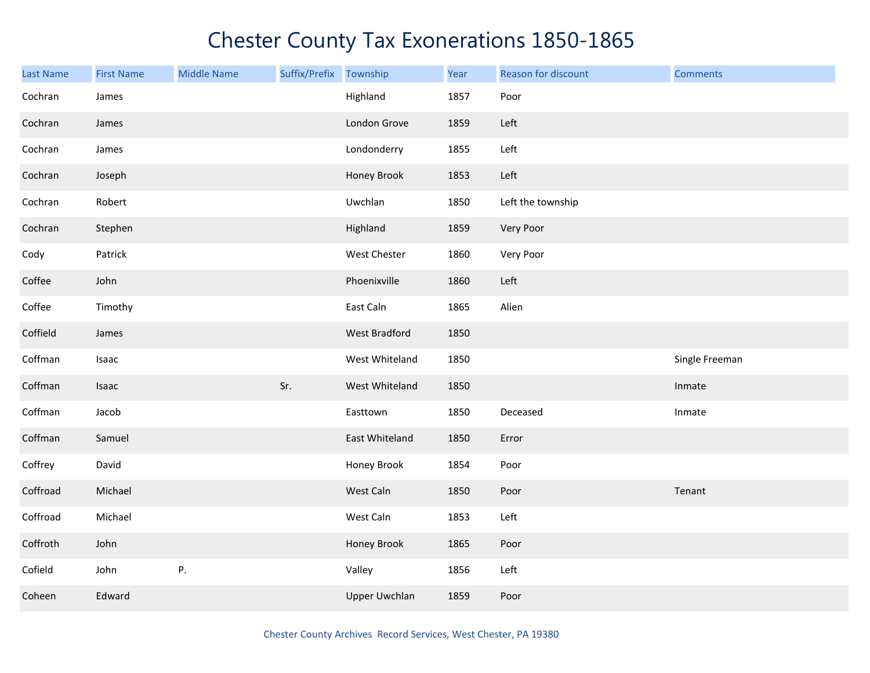| <b>Last Name</b> | <b>First Name</b> | <b>Middle Name</b> | Suffix/Prefix Township |                      | Year | Reason for discount | <b>Comments</b> |
|------------------|-------------------|--------------------|------------------------|----------------------|------|---------------------|-----------------|
| Cochran          | James             |                    |                        | Highland             | 1857 | Poor                |                 |
| Cochran          | James             |                    |                        | London Grove         | 1859 | Left                |                 |
| Cochran          | James             |                    |                        | Londonderry          | 1855 | Left                |                 |
| Cochran          | Joseph            |                    |                        | Honey Brook          | 1853 | Left                |                 |
| Cochran          | Robert            |                    |                        | Uwchlan              | 1850 | Left the township   |                 |
| Cochran          | Stephen           |                    |                        | Highland             | 1859 | Very Poor           |                 |
| Cody             | Patrick           |                    |                        | West Chester         | 1860 | Very Poor           |                 |
| Coffee           | John              |                    |                        | Phoenixville         | 1860 | Left                |                 |
| Coffee           | Timothy           |                    |                        | East Caln            | 1865 | Alien               |                 |
| Coffield         | James             |                    |                        | <b>West Bradford</b> | 1850 |                     |                 |
| Coffman          | Isaac             |                    |                        | West Whiteland       | 1850 |                     | Single Freeman  |
| Coffman          | Isaac             |                    | Sr.                    | West Whiteland       | 1850 |                     | Inmate          |
| Coffman          | Jacob             |                    |                        | Easttown             | 1850 | Deceased            | Inmate          |
| Coffman          | Samuel            |                    |                        | East Whiteland       | 1850 | Error               |                 |
| Coffrey          | David             |                    |                        | Honey Brook          | 1854 | Poor                |                 |
| Coffroad         | Michael           |                    |                        | West Caln            | 1850 | Poor                | Tenant          |
| Coffroad         | Michael           |                    |                        | West Caln            | 1853 | Left                |                 |
| Coffroth         | John              |                    |                        | Honey Brook          | 1865 | Poor                |                 |
| Cofield          | John              | Ρ.                 |                        | Valley               | 1856 | Left                |                 |
| Coheen           | Edward            |                    |                        | <b>Upper Uwchlan</b> | 1859 | Poor                |                 |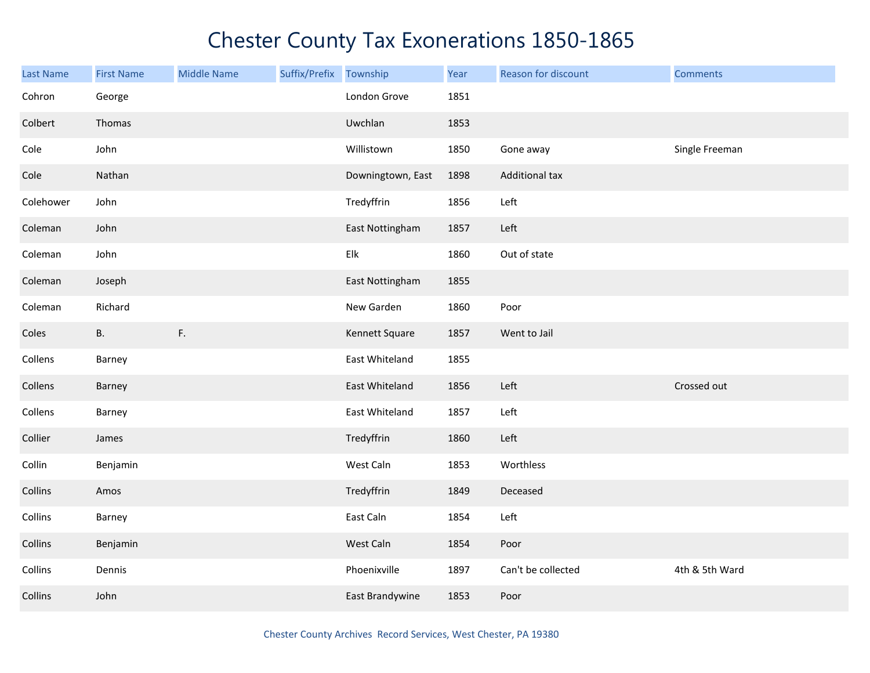| <b>Last Name</b> | <b>First Name</b> | <b>Middle Name</b> | Suffix/Prefix | Township          | Year | Reason for discount   | <b>Comments</b> |
|------------------|-------------------|--------------------|---------------|-------------------|------|-----------------------|-----------------|
| Cohron           | George            |                    |               | London Grove      | 1851 |                       |                 |
| Colbert          | Thomas            |                    |               | Uwchlan           | 1853 |                       |                 |
| Cole             | John              |                    |               | Willistown        | 1850 | Gone away             | Single Freeman  |
| Cole             | Nathan            |                    |               | Downingtown, East | 1898 | <b>Additional tax</b> |                 |
| Colehower        | John              |                    |               | Tredyffrin        | 1856 | Left                  |                 |
| Coleman          | John              |                    |               | East Nottingham   | 1857 | Left                  |                 |
| Coleman          | John              |                    |               | Elk               | 1860 | Out of state          |                 |
| Coleman          | Joseph            |                    |               | East Nottingham   | 1855 |                       |                 |
| Coleman          | Richard           |                    |               | New Garden        | 1860 | Poor                  |                 |
| Coles            | <b>B.</b>         | F.                 |               | Kennett Square    | 1857 | Went to Jail          |                 |
| Collens          | Barney            |                    |               | East Whiteland    | 1855 |                       |                 |
| Collens          | Barney            |                    |               | East Whiteland    | 1856 | Left                  | Crossed out     |
| Collens          | Barney            |                    |               | East Whiteland    | 1857 | Left                  |                 |
| Collier          | James             |                    |               | Tredyffrin        | 1860 | Left                  |                 |
| Collin           | Benjamin          |                    |               | West Caln         | 1853 | Worthless             |                 |
| Collins          | Amos              |                    |               | Tredyffrin        | 1849 | Deceased              |                 |
| Collins          | Barney            |                    |               | East Caln         | 1854 | Left                  |                 |
| Collins          | Benjamin          |                    |               | West Caln         | 1854 | Poor                  |                 |
| Collins          | Dennis            |                    |               | Phoenixville      | 1897 | Can't be collected    | 4th & 5th Ward  |
| Collins          | John              |                    |               | East Brandywine   | 1853 | Poor                  |                 |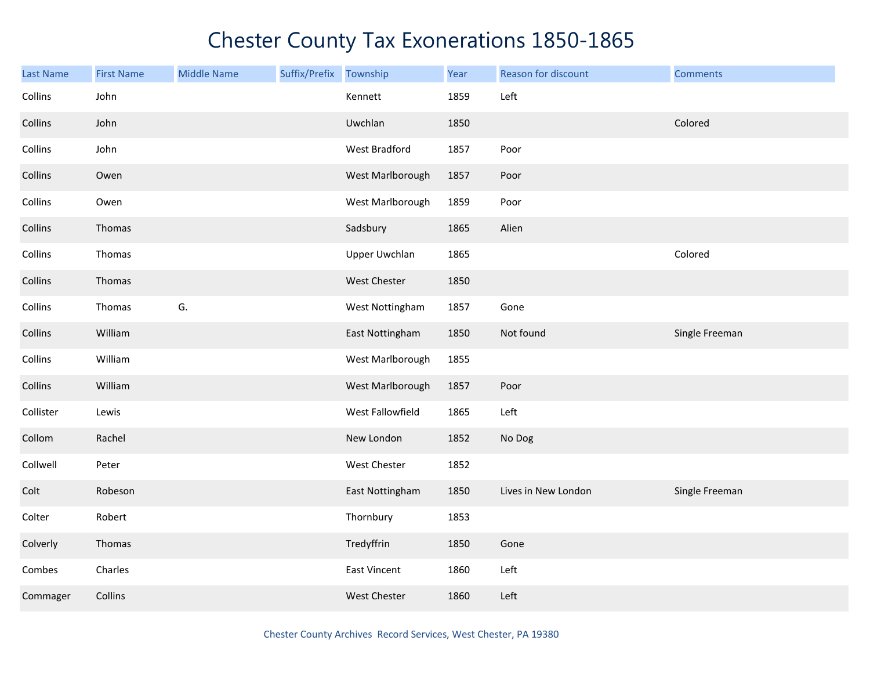| <b>Last Name</b> | <b>First Name</b> | <b>Middle Name</b> | Suffix/Prefix | Township             | Year | Reason for discount | <b>Comments</b> |
|------------------|-------------------|--------------------|---------------|----------------------|------|---------------------|-----------------|
| Collins          | John              |                    |               | Kennett              | 1859 | Left                |                 |
| Collins          | John              |                    |               | Uwchlan              | 1850 |                     | Colored         |
| Collins          | John              |                    |               | West Bradford        | 1857 | Poor                |                 |
| Collins          | Owen              |                    |               | West Marlborough     | 1857 | Poor                |                 |
| Collins          | Owen              |                    |               | West Marlborough     | 1859 | Poor                |                 |
| Collins          | Thomas            |                    |               | Sadsbury             | 1865 | Alien               |                 |
| Collins          | Thomas            |                    |               | <b>Upper Uwchlan</b> | 1865 |                     | Colored         |
| Collins          | Thomas            |                    |               | West Chester         | 1850 |                     |                 |
| Collins          | Thomas            | G.                 |               | West Nottingham      | 1857 | Gone                |                 |
| Collins          | William           |                    |               | East Nottingham      | 1850 | Not found           | Single Freeman  |
| Collins          | William           |                    |               | West Marlborough     | 1855 |                     |                 |
| Collins          | William           |                    |               | West Marlborough     | 1857 | Poor                |                 |
| Collister        | Lewis             |                    |               | West Fallowfield     | 1865 | Left                |                 |
| Collom           | Rachel            |                    |               | New London           | 1852 | No Dog              |                 |
| Collwell         | Peter             |                    |               | West Chester         | 1852 |                     |                 |
| Colt             | Robeson           |                    |               | East Nottingham      | 1850 | Lives in New London | Single Freeman  |
| Colter           | Robert            |                    |               | Thornbury            | 1853 |                     |                 |
| Colverly         | Thomas            |                    |               | Tredyffrin           | 1850 | Gone                |                 |
| Combes           | Charles           |                    |               | <b>East Vincent</b>  | 1860 | Left                |                 |
| Commager         | Collins           |                    |               | West Chester         | 1860 | Left                |                 |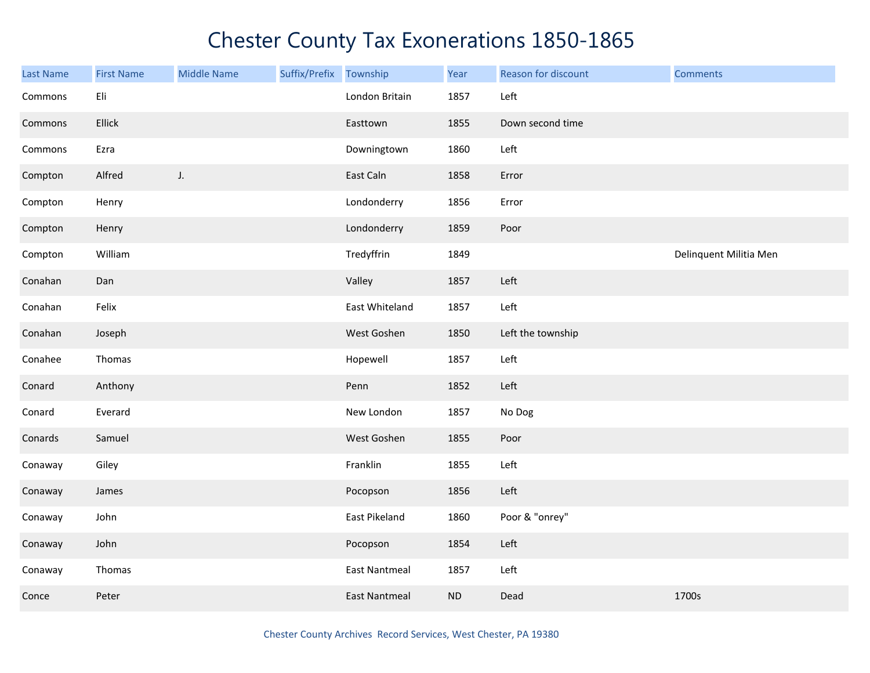| <b>Last Name</b> | <b>First Name</b> | <b>Middle Name</b> | Suffix/Prefix Township |                      | Year | Reason for discount | <b>Comments</b>        |
|------------------|-------------------|--------------------|------------------------|----------------------|------|---------------------|------------------------|
| Commons          | Eli               |                    |                        | London Britain       | 1857 | Left                |                        |
| Commons          | Ellick            |                    |                        | Easttown             | 1855 | Down second time    |                        |
| Commons          | Ezra              |                    |                        | Downingtown          | 1860 | Left                |                        |
| Compton          | Alfred            | J.                 |                        | East Caln            | 1858 | Error               |                        |
| Compton          | Henry             |                    |                        | Londonderry          | 1856 | Error               |                        |
| Compton          | Henry             |                    |                        | Londonderry          | 1859 | Poor                |                        |
| Compton          | William           |                    |                        | Tredyffrin           | 1849 |                     | Delinquent Militia Men |
| Conahan          | Dan               |                    |                        | Valley               | 1857 | Left                |                        |
| Conahan          | Felix             |                    |                        | East Whiteland       | 1857 | Left                |                        |
| Conahan          | Joseph            |                    |                        | West Goshen          | 1850 | Left the township   |                        |
| Conahee          | Thomas            |                    |                        | Hopewell             | 1857 | Left                |                        |
| Conard           | Anthony           |                    |                        | Penn                 | 1852 | Left                |                        |
| Conard           | Everard           |                    |                        | New London           | 1857 | No Dog              |                        |
| Conards          | Samuel            |                    |                        | West Goshen          | 1855 | Poor                |                        |
| Conaway          | Giley             |                    |                        | Franklin             | 1855 | Left                |                        |
| Conaway          | James             |                    |                        | Pocopson             | 1856 | Left                |                        |
| Conaway          | John              |                    |                        | East Pikeland        | 1860 | Poor & "onrey"      |                        |
| Conaway          | John              |                    |                        | Pocopson             | 1854 | Left                |                        |
| Conaway          | Thomas            |                    |                        | <b>East Nantmeal</b> | 1857 | Left                |                        |
| Conce            | Peter             |                    |                        | <b>East Nantmeal</b> | ND   | Dead                | 1700s                  |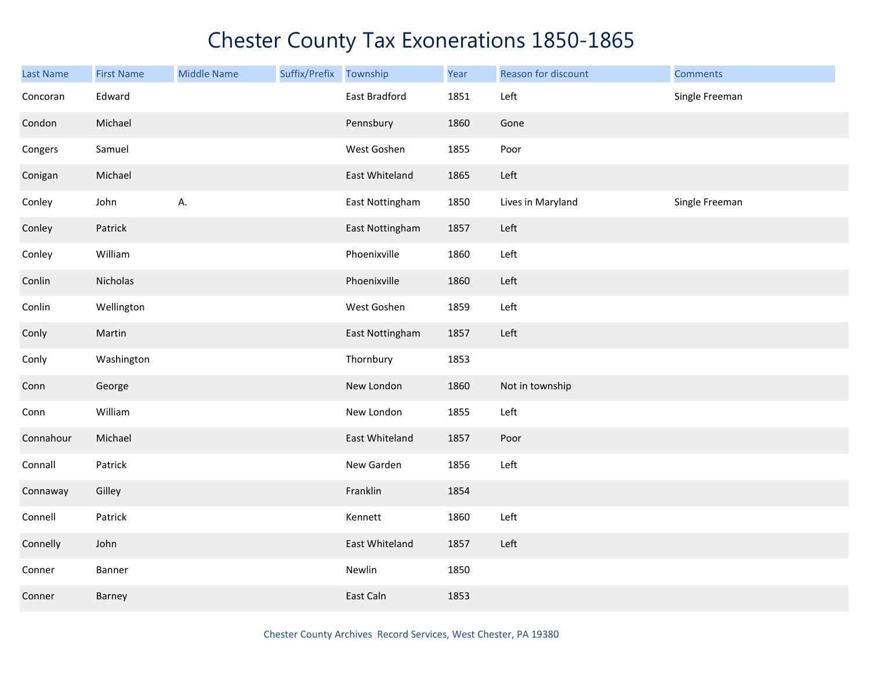| <b>Last Name</b> | <b>First Name</b> | <b>Middle Name</b> | Suffix/Prefix Township |                 | Year | Reason for discount | <b>Comments</b> |
|------------------|-------------------|--------------------|------------------------|-----------------|------|---------------------|-----------------|
| Concoran         | Edward            |                    |                        | East Bradford   | 1851 | Left                | Single Freeman  |
| Condon           | Michael           |                    |                        | Pennsbury       | 1860 | Gone                |                 |
| Congers          | Samuel            |                    |                        | West Goshen     | 1855 | Poor                |                 |
| Conigan          | Michael           |                    |                        | East Whiteland  | 1865 | Left                |                 |
| Conley           | John              | А.                 |                        | East Nottingham | 1850 | Lives in Maryland   | Single Freeman  |
| Conley           | Patrick           |                    |                        | East Nottingham | 1857 | Left                |                 |
| Conley           | William           |                    |                        | Phoenixville    | 1860 | Left                |                 |
| Conlin           | Nicholas          |                    |                        | Phoenixville    | 1860 | Left                |                 |
| Conlin           | Wellington        |                    |                        | West Goshen     | 1859 | Left                |                 |
| Conly            | Martin            |                    |                        | East Nottingham | 1857 | Left                |                 |
| Conly            | Washington        |                    |                        | Thornbury       | 1853 |                     |                 |
| Conn             | George            |                    |                        | New London      | 1860 | Not in township     |                 |
| Conn             | William           |                    |                        | New London      | 1855 | Left                |                 |
| Connahour        | Michael           |                    |                        | East Whiteland  | 1857 | Poor                |                 |
| Connall          | Patrick           |                    |                        | New Garden      | 1856 | Left                |                 |
| Connaway         | Gilley            |                    |                        | Franklin        | 1854 |                     |                 |
| Connell          | Patrick           |                    |                        | Kennett         | 1860 | Left                |                 |
| Connelly         | John              |                    |                        | East Whiteland  | 1857 | Left                |                 |
| Conner           | Banner            |                    |                        | Newlin          | 1850 |                     |                 |
| Conner           | Barney            |                    |                        | East Caln       | 1853 |                     |                 |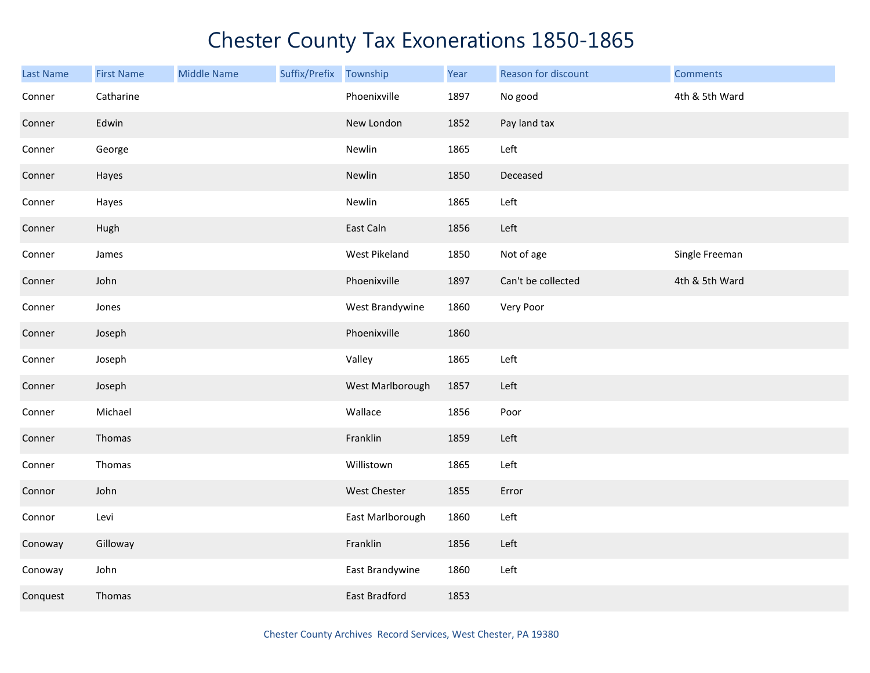| <b>Last Name</b> | <b>First Name</b> | <b>Middle Name</b> | Suffix/Prefix | Township             | Year | Reason for discount | <b>Comments</b> |
|------------------|-------------------|--------------------|---------------|----------------------|------|---------------------|-----------------|
| Conner           | Catharine         |                    |               | Phoenixville         | 1897 | No good             | 4th & 5th Ward  |
| Conner           | Edwin             |                    |               | New London           | 1852 | Pay land tax        |                 |
| Conner           | George            |                    |               | Newlin               | 1865 | Left                |                 |
| Conner           | Hayes             |                    |               | Newlin               | 1850 | Deceased            |                 |
| Conner           | Hayes             |                    |               | Newlin               | 1865 | Left                |                 |
| Conner           | Hugh              |                    |               | East Caln            | 1856 | Left                |                 |
| Conner           | James             |                    |               | West Pikeland        | 1850 | Not of age          | Single Freeman  |
| Conner           | John              |                    |               | Phoenixville         | 1897 | Can't be collected  | 4th & 5th Ward  |
| Conner           | Jones             |                    |               | West Brandywine      | 1860 | Very Poor           |                 |
| Conner           | Joseph            |                    |               | Phoenixville         | 1860 |                     |                 |
| Conner           | Joseph            |                    |               | Valley               | 1865 | Left                |                 |
| Conner           | Joseph            |                    |               | West Marlborough     | 1857 | Left                |                 |
| Conner           | Michael           |                    |               | Wallace              | 1856 | Poor                |                 |
| Conner           | Thomas            |                    |               | Franklin             | 1859 | Left                |                 |
| Conner           | Thomas            |                    |               | Willistown           | 1865 | Left                |                 |
| Connor           | John              |                    |               | West Chester         | 1855 | Error               |                 |
| Connor           | Levi              |                    |               | East Marlborough     | 1860 | Left                |                 |
| Conoway          | Gilloway          |                    |               | Franklin             | 1856 | Left                |                 |
| Conoway          | John              |                    |               | East Brandywine      | 1860 | Left                |                 |
| Conquest         | Thomas            |                    |               | <b>East Bradford</b> | 1853 |                     |                 |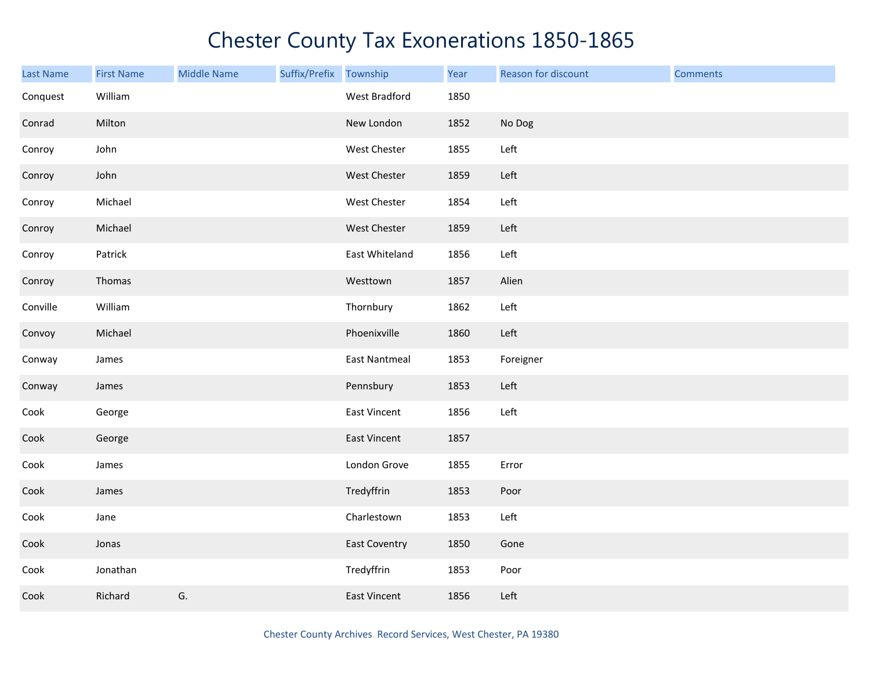| <b>Last Name</b> | <b>First Name</b> | <b>Middle Name</b> | Suffix/Prefix Township |                      | Year | Reason for discount | <b>Comments</b> |
|------------------|-------------------|--------------------|------------------------|----------------------|------|---------------------|-----------------|
| Conquest         | William           |                    |                        | West Bradford        | 1850 |                     |                 |
| Conrad           | Milton            |                    |                        | New London           | 1852 | No Dog              |                 |
| Conroy           | John              |                    |                        | West Chester         | 1855 | Left                |                 |
| Conroy           | John              |                    |                        | West Chester         | 1859 | Left                |                 |
| Conroy           | Michael           |                    |                        | West Chester         | 1854 | Left                |                 |
| Conroy           | Michael           |                    |                        | West Chester         | 1859 | Left                |                 |
| Conroy           | Patrick           |                    |                        | East Whiteland       | 1856 | Left                |                 |
| Conroy           | Thomas            |                    |                        | Westtown             | 1857 | Alien               |                 |
| Conville         | William           |                    |                        | Thornbury            | 1862 | Left                |                 |
| Convoy           | Michael           |                    |                        | Phoenixville         | 1860 | Left                |                 |
| Conway           | James             |                    |                        | <b>East Nantmeal</b> | 1853 | Foreigner           |                 |
| Conway           | James             |                    |                        | Pennsbury            | 1853 | Left                |                 |
| Cook             | George            |                    |                        | <b>East Vincent</b>  | 1856 | Left                |                 |
| Cook             | George            |                    |                        | East Vincent         | 1857 |                     |                 |
| Cook             | James             |                    |                        | London Grove         | 1855 | Error               |                 |
| Cook             | James             |                    |                        | Tredyffrin           | 1853 | Poor                |                 |
| Cook             | Jane              |                    |                        | Charlestown          | 1853 | Left                |                 |
| Cook             | Jonas             |                    |                        | <b>East Coventry</b> | 1850 | Gone                |                 |
| Cook             | Jonathan          |                    |                        | Tredyffrin           | 1853 | Poor                |                 |
| Cook             | Richard           | G.                 |                        | <b>East Vincent</b>  | 1856 | Left                |                 |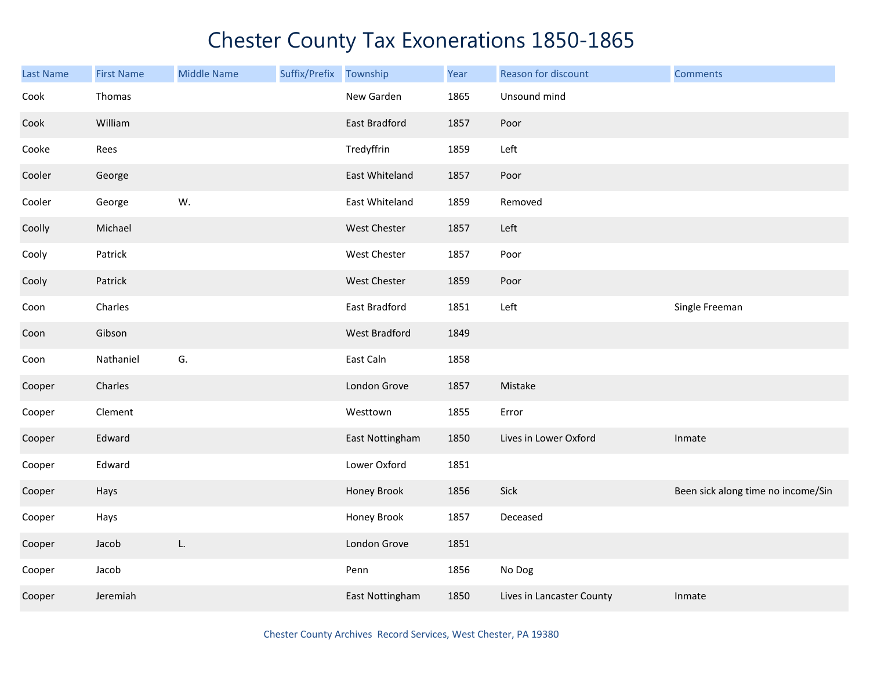| <b>Last Name</b> | <b>First Name</b> | <b>Middle Name</b> | Suffix/Prefix | Township             | Year | Reason for discount       | <b>Comments</b>                    |
|------------------|-------------------|--------------------|---------------|----------------------|------|---------------------------|------------------------------------|
| Cook             | Thomas            |                    |               | New Garden           | 1865 | Unsound mind              |                                    |
| Cook             | William           |                    |               | East Bradford        | 1857 | Poor                      |                                    |
| Cooke            | Rees              |                    |               | Tredyffrin           | 1859 | Left                      |                                    |
| Cooler           | George            |                    |               | East Whiteland       | 1857 | Poor                      |                                    |
| Cooler           | George            | W.                 |               | East Whiteland       | 1859 | Removed                   |                                    |
| Coolly           | Michael           |                    |               | West Chester         | 1857 | Left                      |                                    |
| Cooly            | Patrick           |                    |               | West Chester         | 1857 | Poor                      |                                    |
| Cooly            | Patrick           |                    |               | West Chester         | 1859 | Poor                      |                                    |
| Coon             | Charles           |                    |               | East Bradford        | 1851 | Left                      | Single Freeman                     |
| Coon             | Gibson            |                    |               | <b>West Bradford</b> | 1849 |                           |                                    |
| Coon             | Nathaniel         | G.                 |               | East Caln            | 1858 |                           |                                    |
| Cooper           | Charles           |                    |               | London Grove         | 1857 | Mistake                   |                                    |
| Cooper           | Clement           |                    |               | Westtown             | 1855 | Error                     |                                    |
| Cooper           | Edward            |                    |               | East Nottingham      | 1850 | Lives in Lower Oxford     | Inmate                             |
| Cooper           | Edward            |                    |               | Lower Oxford         | 1851 |                           |                                    |
| Cooper           | Hays              |                    |               | Honey Brook          | 1856 | Sick                      | Been sick along time no income/Sin |
| Cooper           | Hays              |                    |               | Honey Brook          | 1857 | Deceased                  |                                    |
| Cooper           | Jacob             | L.                 |               | London Grove         | 1851 |                           |                                    |
| Cooper           | Jacob             |                    |               | Penn                 | 1856 | No Dog                    |                                    |
| Cooper           | Jeremiah          |                    |               | East Nottingham      | 1850 | Lives in Lancaster County | Inmate                             |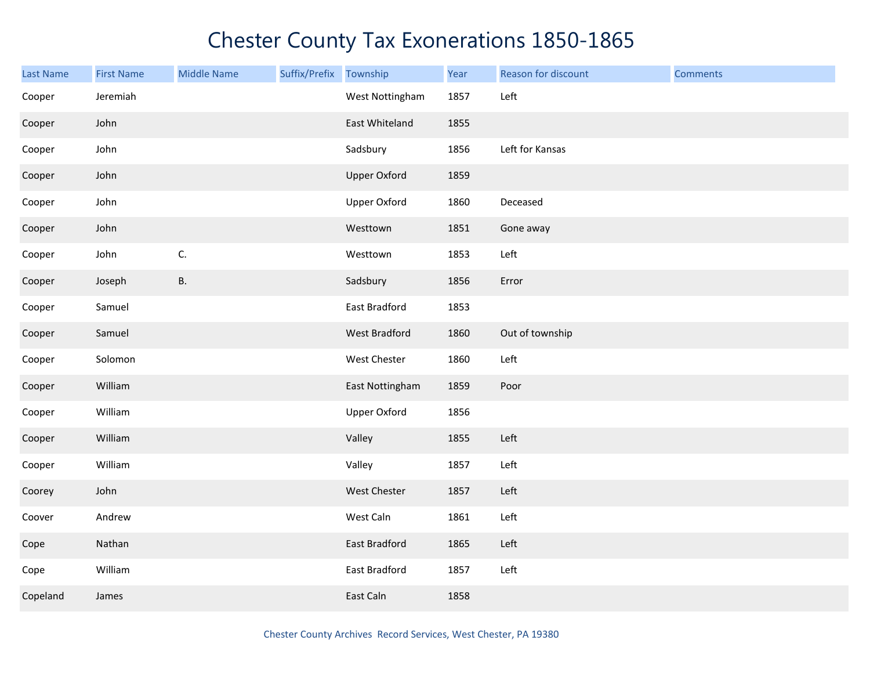| Last Name | <b>First Name</b> | <b>Middle Name</b> | Suffix/Prefix | Township            | Year | Reason for discount | <b>Comments</b> |
|-----------|-------------------|--------------------|---------------|---------------------|------|---------------------|-----------------|
| Cooper    | Jeremiah          |                    |               | West Nottingham     | 1857 | Left                |                 |
| Cooper    | John              |                    |               | East Whiteland      | 1855 |                     |                 |
| Cooper    | John              |                    |               | Sadsbury            | 1856 | Left for Kansas     |                 |
| Cooper    | John              |                    |               | <b>Upper Oxford</b> | 1859 |                     |                 |
| Cooper    | John              |                    |               | <b>Upper Oxford</b> | 1860 | Deceased            |                 |
| Cooper    | John              |                    |               | Westtown            | 1851 | Gone away           |                 |
| Cooper    | John              | $\mathsf{C}.$      |               | Westtown            | 1853 | Left                |                 |
| Cooper    | Joseph            | <b>B.</b>          |               | Sadsbury            | 1856 | Error               |                 |
| Cooper    | Samuel            |                    |               | East Bradford       | 1853 |                     |                 |
| Cooper    | Samuel            |                    |               | West Bradford       | 1860 | Out of township     |                 |
| Cooper    | Solomon           |                    |               | West Chester        | 1860 | Left                |                 |
| Cooper    | William           |                    |               | East Nottingham     | 1859 | Poor                |                 |
| Cooper    | William           |                    |               | <b>Upper Oxford</b> | 1856 |                     |                 |
| Cooper    | William           |                    |               | Valley              | 1855 | Left                |                 |
| Cooper    | William           |                    |               | Valley              | 1857 | Left                |                 |
| Coorey    | John              |                    |               | West Chester        | 1857 | Left                |                 |
| Coover    | Andrew            |                    |               | West Caln           | 1861 | Left                |                 |
| Cope      | Nathan            |                    |               | East Bradford       | 1865 | Left                |                 |
| Cope      | William           |                    |               | East Bradford       | 1857 | Left                |                 |
| Copeland  | James             |                    |               | East Caln           | 1858 |                     |                 |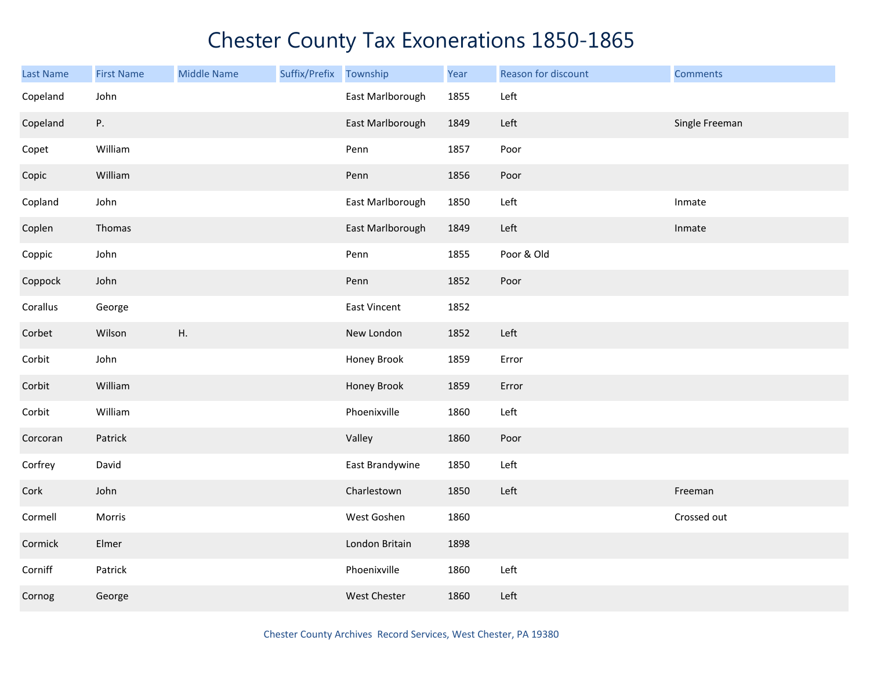| Last Name | <b>First Name</b> | <b>Middle Name</b> | Suffix/Prefix Township |                     | Year | Reason for discount | <b>Comments</b> |
|-----------|-------------------|--------------------|------------------------|---------------------|------|---------------------|-----------------|
| Copeland  | John              |                    |                        | East Marlborough    | 1855 | Left                |                 |
| Copeland  | Ρ.                |                    |                        | East Marlborough    | 1849 | Left                | Single Freeman  |
| Copet     | William           |                    |                        | Penn                | 1857 | Poor                |                 |
| Copic     | William           |                    |                        | Penn                | 1856 | Poor                |                 |
| Copland   | John              |                    |                        | East Marlborough    | 1850 | Left                | Inmate          |
| Coplen    | Thomas            |                    |                        | East Marlborough    | 1849 | Left                | Inmate          |
| Coppic    | John              |                    |                        | Penn                | 1855 | Poor & Old          |                 |
| Coppock   | John              |                    |                        | Penn                | 1852 | Poor                |                 |
| Corallus  | George            |                    |                        | East Vincent        | 1852 |                     |                 |
| Corbet    | Wilson            | Η.                 |                        | New London          | 1852 | Left                |                 |
| Corbit    | John              |                    |                        | Honey Brook         | 1859 | Error               |                 |
| Corbit    | William           |                    |                        | Honey Brook         | 1859 | Error               |                 |
| Corbit    | William           |                    |                        | Phoenixville        | 1860 | Left                |                 |
| Corcoran  | Patrick           |                    |                        | Valley              | 1860 | Poor                |                 |
| Corfrey   | David             |                    |                        | East Brandywine     | 1850 | Left                |                 |
| Cork      | John              |                    |                        | Charlestown         | 1850 | Left                | Freeman         |
| Cormell   | Morris            |                    |                        | West Goshen         | 1860 |                     | Crossed out     |
| Cormick   | Elmer             |                    |                        | London Britain      | 1898 |                     |                 |
| Corniff   | Patrick           |                    |                        | Phoenixville        | 1860 | Left                |                 |
| Cornog    | George            |                    |                        | <b>West Chester</b> | 1860 | Left                |                 |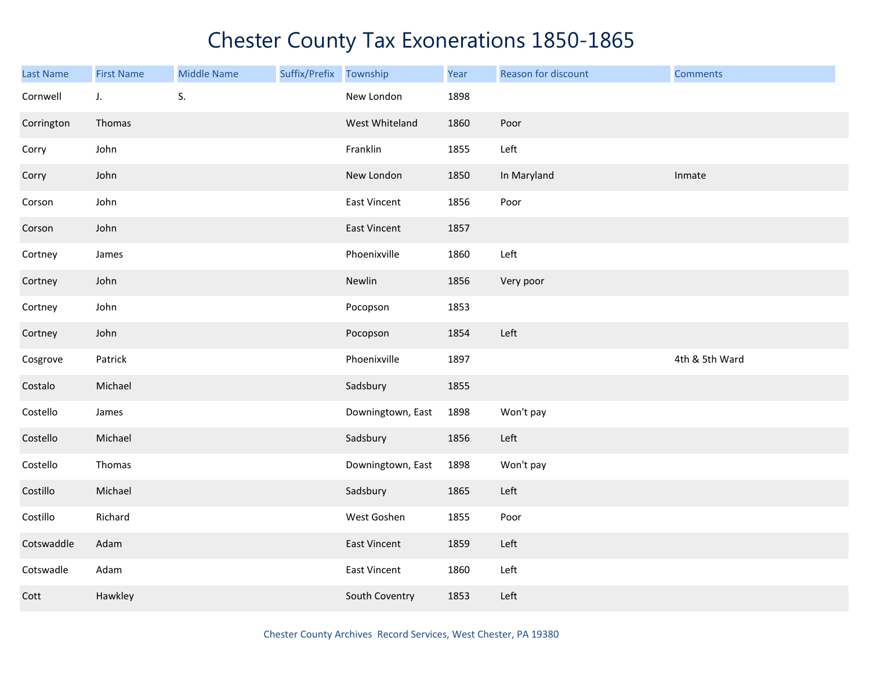| Last Name  | <b>First Name</b> | <b>Middle Name</b> | Suffix/Prefix Township |                     | Year | Reason for discount | <b>Comments</b> |
|------------|-------------------|--------------------|------------------------|---------------------|------|---------------------|-----------------|
| Cornwell   | J.                | S.                 |                        | New London          | 1898 |                     |                 |
| Corrington | Thomas            |                    |                        | West Whiteland      | 1860 | Poor                |                 |
| Corry      | John              |                    |                        | Franklin            | 1855 | Left                |                 |
| Corry      | John              |                    |                        | New London          | 1850 | In Maryland         | Inmate          |
| Corson     | John              |                    |                        | East Vincent        | 1856 | Poor                |                 |
| Corson     | John              |                    |                        | East Vincent        | 1857 |                     |                 |
| Cortney    | James             |                    |                        | Phoenixville        | 1860 | Left                |                 |
| Cortney    | John              |                    |                        | Newlin              | 1856 | Very poor           |                 |
| Cortney    | John              |                    |                        | Pocopson            | 1853 |                     |                 |
| Cortney    | John              |                    |                        | Pocopson            | 1854 | Left                |                 |
| Cosgrove   | Patrick           |                    |                        | Phoenixville        | 1897 |                     | 4th & 5th Ward  |
| Costalo    | Michael           |                    |                        | Sadsbury            | 1855 |                     |                 |
| Costello   | James             |                    |                        | Downingtown, East   | 1898 | Won't pay           |                 |
| Costello   | Michael           |                    |                        | Sadsbury            | 1856 | Left                |                 |
| Costello   | Thomas            |                    |                        | Downingtown, East   | 1898 | Won't pay           |                 |
| Costillo   | Michael           |                    |                        | Sadsbury            | 1865 | Left                |                 |
| Costillo   | Richard           |                    |                        | West Goshen         | 1855 | Poor                |                 |
| Cotswaddle | Adam              |                    |                        | <b>East Vincent</b> | 1859 | Left                |                 |
| Cotswadle  | Adam              |                    |                        | East Vincent        | 1860 | Left                |                 |
| Cott       | Hawkley           |                    |                        | South Coventry      | 1853 | Left                |                 |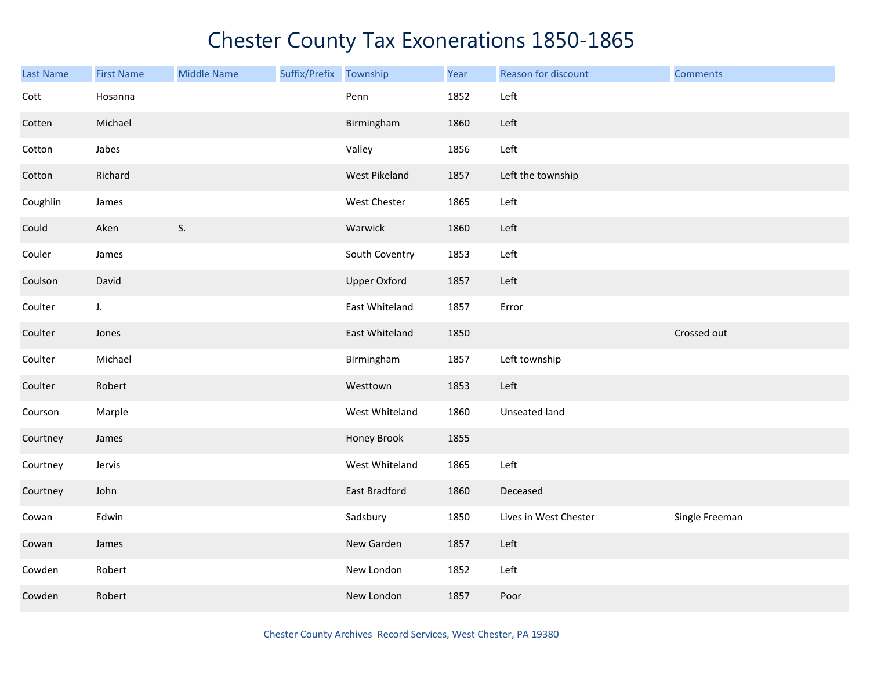| <b>Last Name</b> | <b>First Name</b> | <b>Middle Name</b> | Suffix/Prefix | Township            | Year | Reason for discount   | <b>Comments</b> |
|------------------|-------------------|--------------------|---------------|---------------------|------|-----------------------|-----------------|
| Cott             | Hosanna           |                    |               | Penn                | 1852 | Left                  |                 |
| Cotten           | Michael           |                    |               | Birmingham          | 1860 | Left                  |                 |
| Cotton           | Jabes             |                    |               | Valley              | 1856 | Left                  |                 |
| Cotton           | Richard           |                    |               | West Pikeland       | 1857 | Left the township     |                 |
| Coughlin         | James             |                    |               | West Chester        | 1865 | Left                  |                 |
| Could            | Aken              | S.                 |               | Warwick             | 1860 | Left                  |                 |
| Couler           | James             |                    |               | South Coventry      | 1853 | Left                  |                 |
| Coulson          | David             |                    |               | <b>Upper Oxford</b> | 1857 | Left                  |                 |
| Coulter          | $J_{\star}$       |                    |               | East Whiteland      | 1857 | Error                 |                 |
| Coulter          | Jones             |                    |               | East Whiteland      | 1850 |                       | Crossed out     |
| Coulter          | Michael           |                    |               | Birmingham          | 1857 | Left township         |                 |
| Coulter          | Robert            |                    |               | Westtown            | 1853 | Left                  |                 |
| Courson          | Marple            |                    |               | West Whiteland      | 1860 | Unseated land         |                 |
| Courtney         | James             |                    |               | Honey Brook         | 1855 |                       |                 |
| Courtney         | Jervis            |                    |               | West Whiteland      | 1865 | Left                  |                 |
| Courtney         | John              |                    |               | East Bradford       | 1860 | Deceased              |                 |
| Cowan            | Edwin             |                    |               | Sadsbury            | 1850 | Lives in West Chester | Single Freeman  |
| Cowan            | James             |                    |               | New Garden          | 1857 | Left                  |                 |
| Cowden           | Robert            |                    |               | New London          | 1852 | Left                  |                 |
| Cowden           | Robert            |                    |               | New London          | 1857 | Poor                  |                 |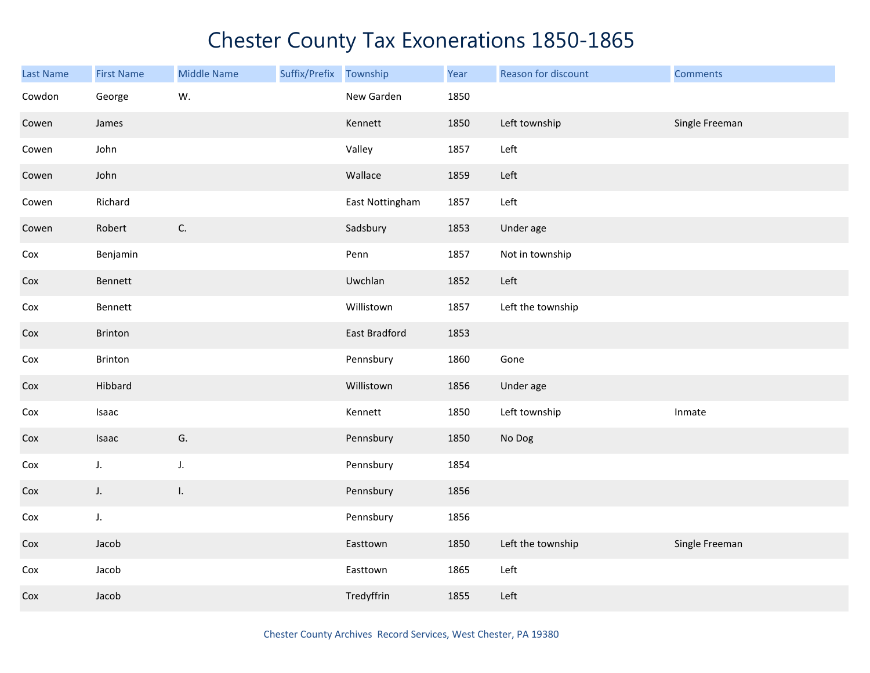| <b>Last Name</b> | <b>First Name</b> | <b>Middle Name</b> | Suffix/Prefix Township |                 | Year | Reason for discount | <b>Comments</b> |
|------------------|-------------------|--------------------|------------------------|-----------------|------|---------------------|-----------------|
| Cowdon           | George            | W.                 |                        | New Garden      | 1850 |                     |                 |
| Cowen            | James             |                    |                        | Kennett         | 1850 | Left township       | Single Freeman  |
| Cowen            | John              |                    |                        | Valley          | 1857 | Left                |                 |
| Cowen            | John              |                    |                        | Wallace         | 1859 | Left                |                 |
| Cowen            | Richard           |                    |                        | East Nottingham | 1857 | Left                |                 |
| Cowen            | Robert            | C.                 |                        | Sadsbury        | 1853 | Under age           |                 |
| Cox              | Benjamin          |                    |                        | Penn            | 1857 | Not in township     |                 |
| Cox              | Bennett           |                    |                        | Uwchlan         | 1852 | Left                |                 |
| Cox              | Bennett           |                    |                        | Willistown      | 1857 | Left the township   |                 |
| Cox              | Brinton           |                    |                        | East Bradford   | 1853 |                     |                 |
| Cox              | Brinton           |                    |                        | Pennsbury       | 1860 | Gone                |                 |
| Cox              | Hibbard           |                    |                        | Willistown      | 1856 | Under age           |                 |
| Cox              | Isaac             |                    |                        | Kennett         | 1850 | Left township       | Inmate          |
| Cox              | Isaac             | G.                 |                        | Pennsbury       | 1850 | No Dog              |                 |
| Cox              | $J_{\star}$       | J.                 |                        | Pennsbury       | 1854 |                     |                 |
| Cox              | $J_{\star}$       | I.                 |                        | Pennsbury       | 1856 |                     |                 |
| Cox              | $J_{\star}$       |                    |                        | Pennsbury       | 1856 |                     |                 |
| Cox              | Jacob             |                    |                        | Easttown        | 1850 | Left the township   | Single Freeman  |
| Cox              | Jacob             |                    |                        | Easttown        | 1865 | Left                |                 |
| Cox              | Jacob             |                    |                        | Tredyffrin      | 1855 | Left                |                 |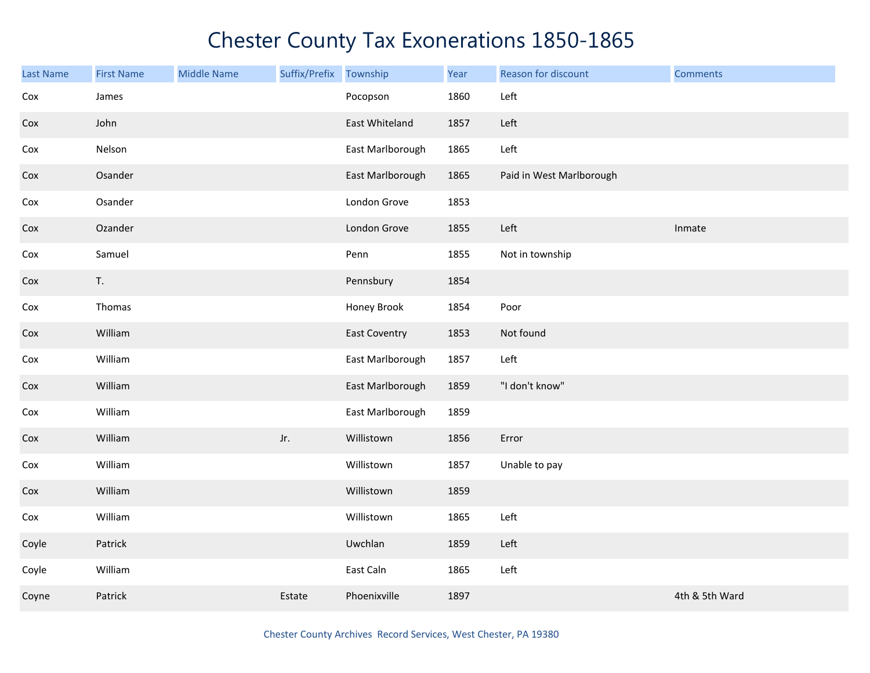| Last Name | <b>First Name</b> | <b>Middle Name</b> | Suffix/Prefix | Township             | Year | Reason for discount      | <b>Comments</b> |
|-----------|-------------------|--------------------|---------------|----------------------|------|--------------------------|-----------------|
| Cox       | James             |                    |               | Pocopson             | 1860 | Left                     |                 |
| Cox       | John              |                    |               | East Whiteland       | 1857 | Left                     |                 |
| Cox       | Nelson            |                    |               | East Marlborough     | 1865 | Left                     |                 |
| Cox       | Osander           |                    |               | East Marlborough     | 1865 | Paid in West Marlborough |                 |
| Cox       | Osander           |                    |               | London Grove         | 1853 |                          |                 |
| Cox       | Ozander           |                    |               | London Grove         | 1855 | Left                     | Inmate          |
| Cox       | Samuel            |                    |               | Penn                 | 1855 | Not in township          |                 |
| Cox       | T.                |                    |               | Pennsbury            | 1854 |                          |                 |
| Cox       | Thomas            |                    |               | Honey Brook          | 1854 | Poor                     |                 |
| Cox       | William           |                    |               | <b>East Coventry</b> | 1853 | Not found                |                 |
| Cox       | William           |                    |               | East Marlborough     | 1857 | Left                     |                 |
| Cox       | William           |                    |               | East Marlborough     | 1859 | "I don't know"           |                 |
| Cox       | William           |                    |               | East Marlborough     | 1859 |                          |                 |
| Cox       | William           |                    | Jr.           | Willistown           | 1856 | Error                    |                 |
| Cox       | William           |                    |               | Willistown           | 1857 | Unable to pay            |                 |
| Cox       | William           |                    |               | Willistown           | 1859 |                          |                 |
| Cox       | William           |                    |               | Willistown           | 1865 | Left                     |                 |
| Coyle     | Patrick           |                    |               | Uwchlan              | 1859 | Left                     |                 |
| Coyle     | William           |                    |               | East Caln            | 1865 | Left                     |                 |
| Coyne     | Patrick           |                    | Estate        | Phoenixville         | 1897 |                          | 4th & 5th Ward  |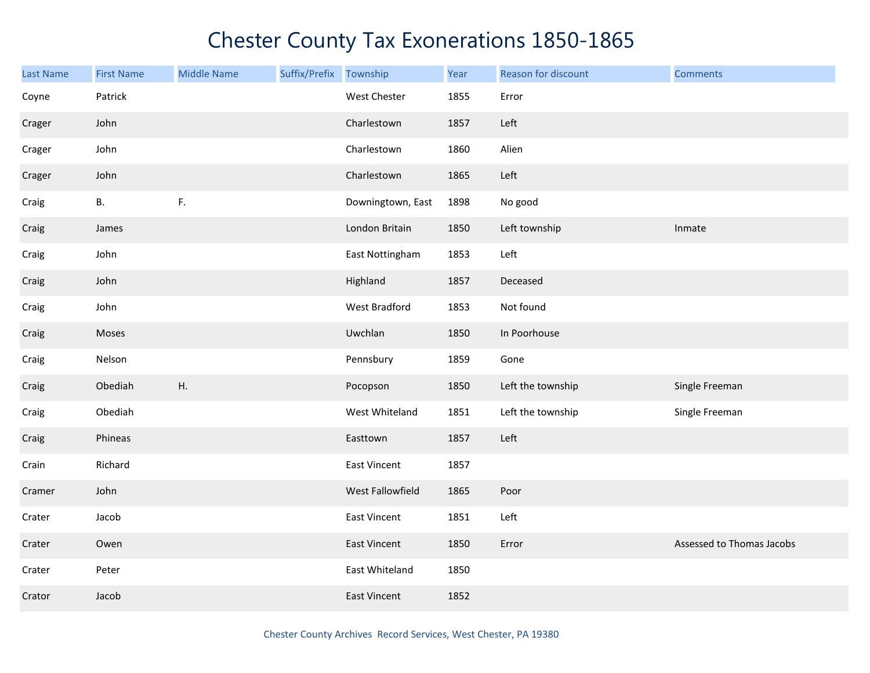| <b>Last Name</b> | <b>First Name</b> | <b>Middle Name</b> | Suffix/Prefix Township |                     | Year | Reason for discount | <b>Comments</b>           |
|------------------|-------------------|--------------------|------------------------|---------------------|------|---------------------|---------------------------|
| Coyne            | Patrick           |                    |                        | West Chester        | 1855 | Error               |                           |
| Crager           | John              |                    |                        | Charlestown         | 1857 | Left                |                           |
| Crager           | John              |                    |                        | Charlestown         | 1860 | Alien               |                           |
| Crager           | John              |                    |                        | Charlestown         | 1865 | Left                |                           |
| Craig            | В.                | $\mathsf F.$       |                        | Downingtown, East   | 1898 | No good             |                           |
| Craig            | James             |                    |                        | London Britain      | 1850 | Left township       | Inmate                    |
| Craig            | John              |                    |                        | East Nottingham     | 1853 | Left                |                           |
| Craig            | John              |                    |                        | Highland            | 1857 | Deceased            |                           |
| Craig            | John              |                    |                        | West Bradford       | 1853 | Not found           |                           |
| Craig            | Moses             |                    |                        | Uwchlan             | 1850 | In Poorhouse        |                           |
| Craig            | Nelson            |                    |                        | Pennsbury           | 1859 | Gone                |                           |
| Craig            | Obediah           | H.                 |                        | Pocopson            | 1850 | Left the township   | Single Freeman            |
| Craig            | Obediah           |                    |                        | West Whiteland      | 1851 | Left the township   | Single Freeman            |
| Craig            | Phineas           |                    |                        | Easttown            | 1857 | Left                |                           |
| Crain            | Richard           |                    |                        | East Vincent        | 1857 |                     |                           |
| Cramer           | John              |                    |                        | West Fallowfield    | 1865 | Poor                |                           |
| Crater           | Jacob             |                    |                        | East Vincent        | 1851 | Left                |                           |
| Crater           | Owen              |                    |                        | East Vincent        | 1850 | Error               | Assessed to Thomas Jacobs |
| Crater           | Peter             |                    |                        | East Whiteland      | 1850 |                     |                           |
| Crator           | Jacob             |                    |                        | <b>East Vincent</b> | 1852 |                     |                           |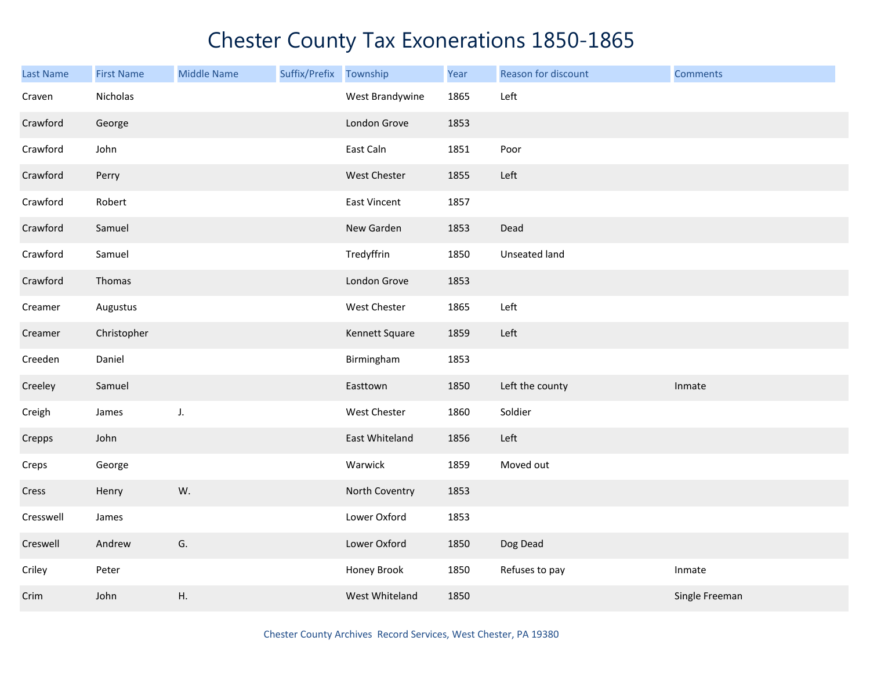| Last Name | <b>First Name</b> | <b>Middle Name</b> | Suffix/Prefix | Township        | Year | Reason for discount | <b>Comments</b> |
|-----------|-------------------|--------------------|---------------|-----------------|------|---------------------|-----------------|
| Craven    | Nicholas          |                    |               | West Brandywine | 1865 | Left                |                 |
| Crawford  | George            |                    |               | London Grove    | 1853 |                     |                 |
| Crawford  | John              |                    |               | East Caln       | 1851 | Poor                |                 |
| Crawford  | Perry             |                    |               | West Chester    | 1855 | Left                |                 |
| Crawford  | Robert            |                    |               | East Vincent    | 1857 |                     |                 |
| Crawford  | Samuel            |                    |               | New Garden      | 1853 | Dead                |                 |
| Crawford  | Samuel            |                    |               | Tredyffrin      | 1850 | Unseated land       |                 |
| Crawford  | Thomas            |                    |               | London Grove    | 1853 |                     |                 |
| Creamer   | Augustus          |                    |               | West Chester    | 1865 | Left                |                 |
| Creamer   | Christopher       |                    |               | Kennett Square  | 1859 | Left                |                 |
| Creeden   | Daniel            |                    |               | Birmingham      | 1853 |                     |                 |
| Creeley   | Samuel            |                    |               | Easttown        | 1850 | Left the county     | Inmate          |
| Creigh    | James             | J.                 |               | West Chester    | 1860 | Soldier             |                 |
| Crepps    | John              |                    |               | East Whiteland  | 1856 | Left                |                 |
| Creps     | George            |                    |               | Warwick         | 1859 | Moved out           |                 |
| Cress     | Henry             | W.                 |               | North Coventry  | 1853 |                     |                 |
| Cresswell | James             |                    |               | Lower Oxford    | 1853 |                     |                 |
| Creswell  | Andrew            | G.                 |               | Lower Oxford    | 1850 | Dog Dead            |                 |
| Criley    | Peter             |                    |               | Honey Brook     | 1850 | Refuses to pay      | Inmate          |
| Crim      | John              | Η.                 |               | West Whiteland  | 1850 |                     | Single Freeman  |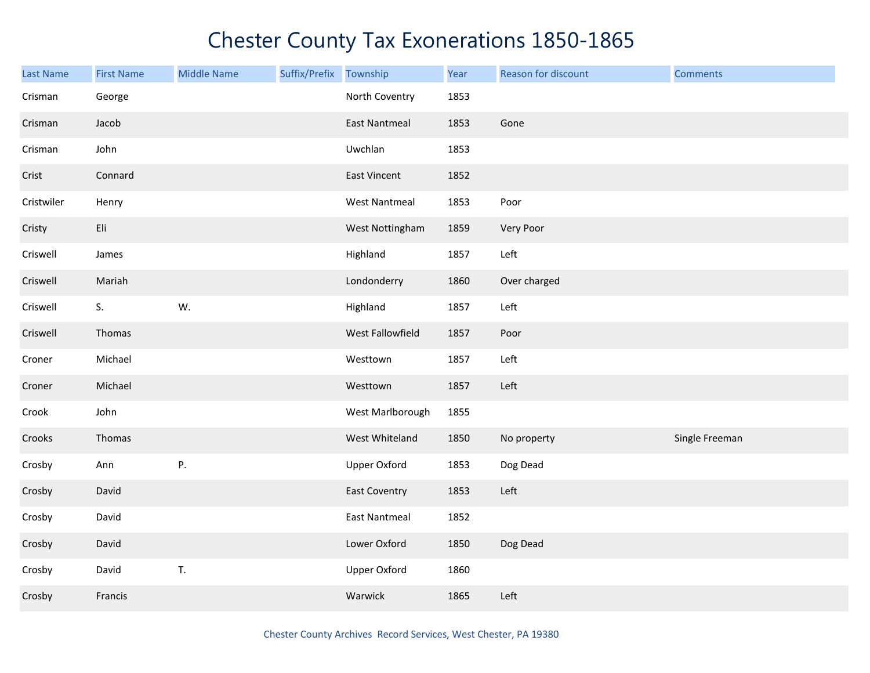| Last Name  | <b>First Name</b> | <b>Middle Name</b> | Suffix/Prefix | Township             | Year | Reason for discount | <b>Comments</b> |
|------------|-------------------|--------------------|---------------|----------------------|------|---------------------|-----------------|
| Crisman    | George            |                    |               | North Coventry       | 1853 |                     |                 |
| Crisman    | Jacob             |                    |               | <b>East Nantmeal</b> | 1853 | Gone                |                 |
| Crisman    | John              |                    |               | Uwchlan              | 1853 |                     |                 |
| Crist      | Connard           |                    |               | East Vincent         | 1852 |                     |                 |
| Cristwiler | Henry             |                    |               | <b>West Nantmeal</b> | 1853 | Poor                |                 |
| Cristy     | Eli               |                    |               | West Nottingham      | 1859 | Very Poor           |                 |
| Criswell   | James             |                    |               | Highland             | 1857 | Left                |                 |
| Criswell   | Mariah            |                    |               | Londonderry          | 1860 | Over charged        |                 |
| Criswell   | S.                | W.                 |               | Highland             | 1857 | Left                |                 |
| Criswell   | Thomas            |                    |               | West Fallowfield     | 1857 | Poor                |                 |
| Croner     | Michael           |                    |               | Westtown             | 1857 | Left                |                 |
| Croner     | Michael           |                    |               | Westtown             | 1857 | Left                |                 |
| Crook      | John              |                    |               | West Marlborough     | 1855 |                     |                 |
| Crooks     | Thomas            |                    |               | West Whiteland       | 1850 | No property         | Single Freeman  |
| Crosby     | Ann               | Ρ.                 |               | <b>Upper Oxford</b>  | 1853 | Dog Dead            |                 |
| Crosby     | David             |                    |               | <b>East Coventry</b> | 1853 | Left                |                 |
| Crosby     | David             |                    |               | <b>East Nantmeal</b> | 1852 |                     |                 |
| Crosby     | David             |                    |               | Lower Oxford         | 1850 | Dog Dead            |                 |
| Crosby     | David             | T.                 |               | <b>Upper Oxford</b>  | 1860 |                     |                 |
| Crosby     | Francis           |                    |               | Warwick              | 1865 | Left                |                 |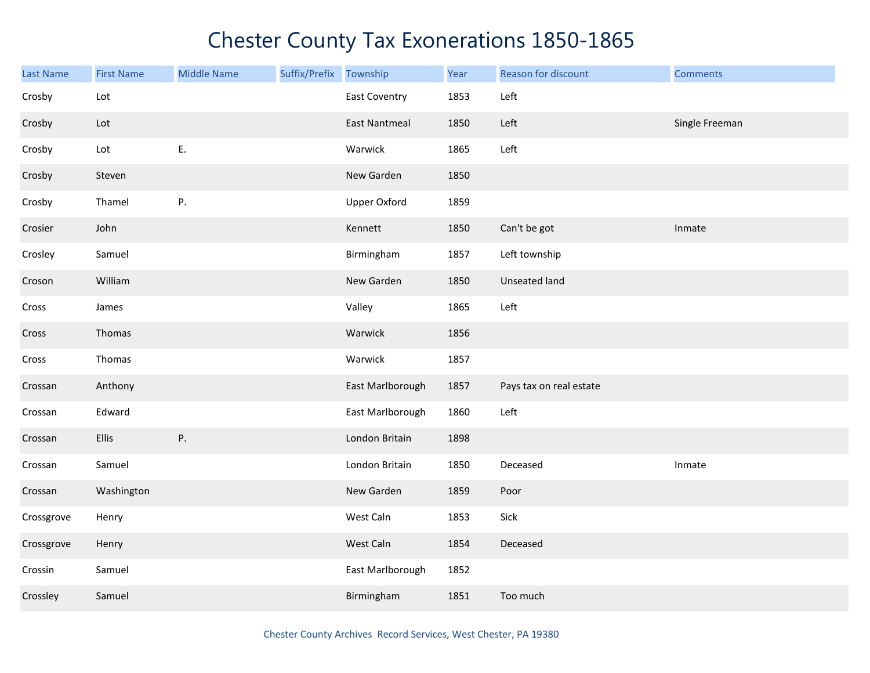| <b>Last Name</b> | <b>First Name</b>           | <b>Middle Name</b> | Suffix/Prefix Township |                      | Year | Reason for discount     | <b>Comments</b> |
|------------------|-----------------------------|--------------------|------------------------|----------------------|------|-------------------------|-----------------|
| Crosby           | Lot                         |                    |                        | <b>East Coventry</b> | 1853 | Left                    |                 |
| Crosby           | $\ensuremath{\mathsf{Lot}}$ |                    |                        | <b>East Nantmeal</b> | 1850 | Left                    | Single Freeman  |
| Crosby           | Lot                         | E.                 |                        | Warwick              | 1865 | Left                    |                 |
| Crosby           | Steven                      |                    |                        | New Garden           | 1850 |                         |                 |
| Crosby           | Thamel                      | P.                 |                        | <b>Upper Oxford</b>  | 1859 |                         |                 |
| Crosier          | John                        |                    |                        | Kennett              | 1850 | Can't be got            | Inmate          |
| Crosley          | Samuel                      |                    |                        | Birmingham           | 1857 | Left township           |                 |
| Croson           | William                     |                    |                        | New Garden           | 1850 | <b>Unseated land</b>    |                 |
| Cross            | James                       |                    |                        | Valley               | 1865 | Left                    |                 |
| Cross            | Thomas                      |                    |                        | Warwick              | 1856 |                         |                 |
| Cross            | Thomas                      |                    |                        | Warwick              | 1857 |                         |                 |
| Crossan          | Anthony                     |                    |                        | East Marlborough     | 1857 | Pays tax on real estate |                 |
| Crossan          | Edward                      |                    |                        | East Marlborough     | 1860 | Left                    |                 |
| Crossan          | <b>Ellis</b>                | Ρ.                 |                        | London Britain       | 1898 |                         |                 |
| Crossan          | Samuel                      |                    |                        | London Britain       | 1850 | Deceased                | Inmate          |
| Crossan          | Washington                  |                    |                        | New Garden           | 1859 | Poor                    |                 |
| Crossgrove       | Henry                       |                    |                        | West Caln            | 1853 | Sick                    |                 |
| Crossgrove       | Henry                       |                    |                        | West Caln            | 1854 | Deceased                |                 |
| Crossin          | Samuel                      |                    |                        | East Marlborough     | 1852 |                         |                 |
| Crossley         | Samuel                      |                    |                        | Birmingham           | 1851 | Too much                |                 |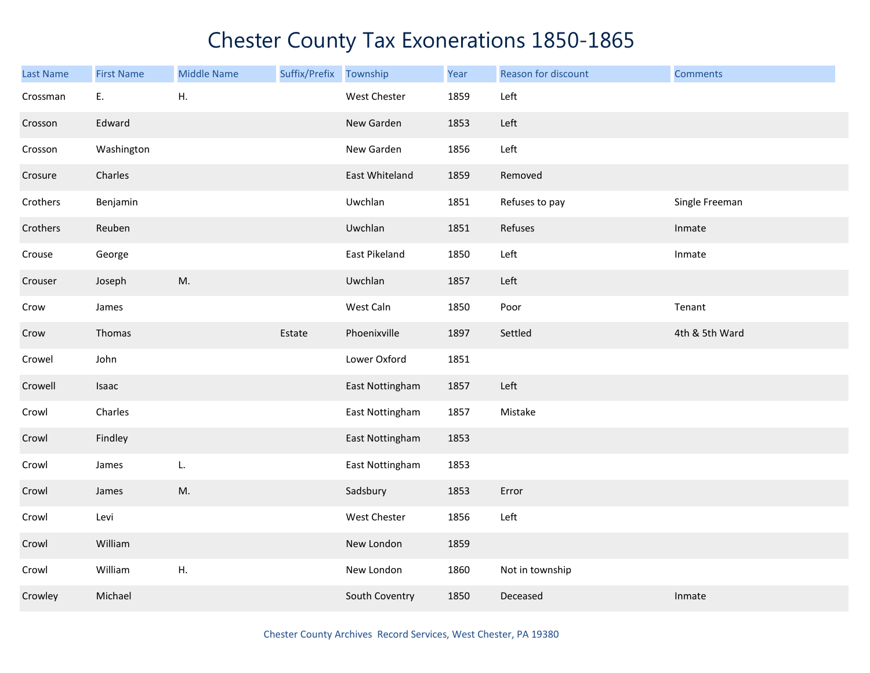| <b>Last Name</b> | <b>First Name</b> | <b>Middle Name</b> | Suffix/Prefix | Township        | Year | Reason for discount | <b>Comments</b> |
|------------------|-------------------|--------------------|---------------|-----------------|------|---------------------|-----------------|
| Crossman         | E.                | Η.                 |               | West Chester    | 1859 | Left                |                 |
| Crosson          | Edward            |                    |               | New Garden      | 1853 | Left                |                 |
| Crosson          | Washington        |                    |               | New Garden      | 1856 | Left                |                 |
| Crosure          | Charles           |                    |               | East Whiteland  | 1859 | Removed             |                 |
| Crothers         | Benjamin          |                    |               | Uwchlan         | 1851 | Refuses to pay      | Single Freeman  |
| Crothers         | Reuben            |                    |               | Uwchlan         | 1851 | Refuses             | Inmate          |
| Crouse           | George            |                    |               | East Pikeland   | 1850 | Left                | Inmate          |
| Crouser          | Joseph            | M.                 |               | Uwchlan         | 1857 | Left                |                 |
| Crow             | James             |                    |               | West Caln       | 1850 | Poor                | Tenant          |
| Crow             | Thomas            |                    | Estate        | Phoenixville    | 1897 | Settled             | 4th & 5th Ward  |
| Crowel           | John              |                    |               | Lower Oxford    | 1851 |                     |                 |
| Crowell          | Isaac             |                    |               | East Nottingham | 1857 | Left                |                 |
| Crowl            | Charles           |                    |               | East Nottingham | 1857 | Mistake             |                 |
| Crowl            | Findley           |                    |               | East Nottingham | 1853 |                     |                 |
| Crowl            | James             | L.                 |               | East Nottingham | 1853 |                     |                 |
| Crowl            | James             | M.                 |               | Sadsbury        | 1853 | Error               |                 |
| Crowl            | Levi              |                    |               | West Chester    | 1856 | Left                |                 |
| Crowl            | William           |                    |               | New London      | 1859 |                     |                 |
| Crowl            | William           | Η.                 |               | New London      | 1860 | Not in township     |                 |
| Crowley          | Michael           |                    |               | South Coventry  | 1850 | Deceased            | Inmate          |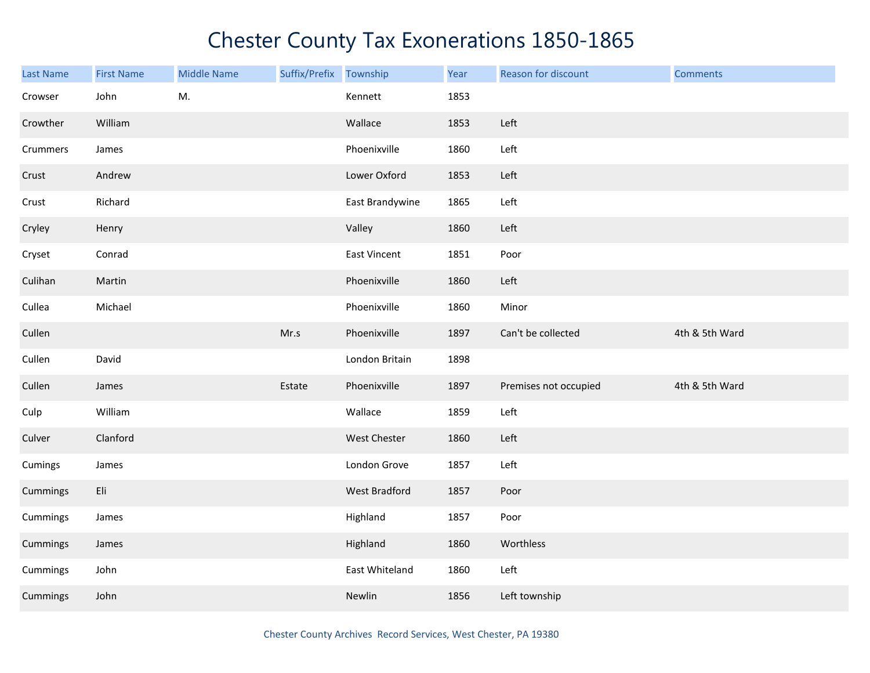| <b>Last Name</b> | <b>First Name</b> | <b>Middle Name</b> | Suffix/Prefix Township |                     | Year | Reason for discount   | <b>Comments</b> |
|------------------|-------------------|--------------------|------------------------|---------------------|------|-----------------------|-----------------|
| Crowser          | John              | M.                 |                        | Kennett             | 1853 |                       |                 |
| Crowther         | William           |                    |                        | Wallace             | 1853 | Left                  |                 |
| Crummers         | James             |                    |                        | Phoenixville        | 1860 | Left                  |                 |
| Crust            | Andrew            |                    |                        | Lower Oxford        | 1853 | Left                  |                 |
| Crust            | Richard           |                    |                        | East Brandywine     | 1865 | Left                  |                 |
| Cryley           | Henry             |                    |                        | Valley              | 1860 | Left                  |                 |
| Cryset           | Conrad            |                    |                        | <b>East Vincent</b> | 1851 | Poor                  |                 |
| Culihan          | Martin            |                    |                        | Phoenixville        | 1860 | Left                  |                 |
| Cullea           | Michael           |                    |                        | Phoenixville        | 1860 | Minor                 |                 |
| Cullen           |                   |                    | Mr.s                   | Phoenixville        | 1897 | Can't be collected    | 4th & 5th Ward  |
| Cullen           | David             |                    |                        | London Britain      | 1898 |                       |                 |
| Cullen           | James             |                    | Estate                 | Phoenixville        | 1897 | Premises not occupied | 4th & 5th Ward  |
| Culp             | William           |                    |                        | Wallace             | 1859 | Left                  |                 |
| Culver           | Clanford          |                    |                        | West Chester        | 1860 | Left                  |                 |
| Cumings          | James             |                    |                        | London Grove        | 1857 | Left                  |                 |
| Cummings         | Eli               |                    |                        | West Bradford       | 1857 | Poor                  |                 |
| Cummings         | James             |                    |                        | Highland            | 1857 | Poor                  |                 |
| Cummings         | James             |                    |                        | Highland            | 1860 | Worthless             |                 |
| Cummings         | John              |                    |                        | East Whiteland      | 1860 | Left                  |                 |
| Cummings         | John              |                    |                        | Newlin              | 1856 | Left township         |                 |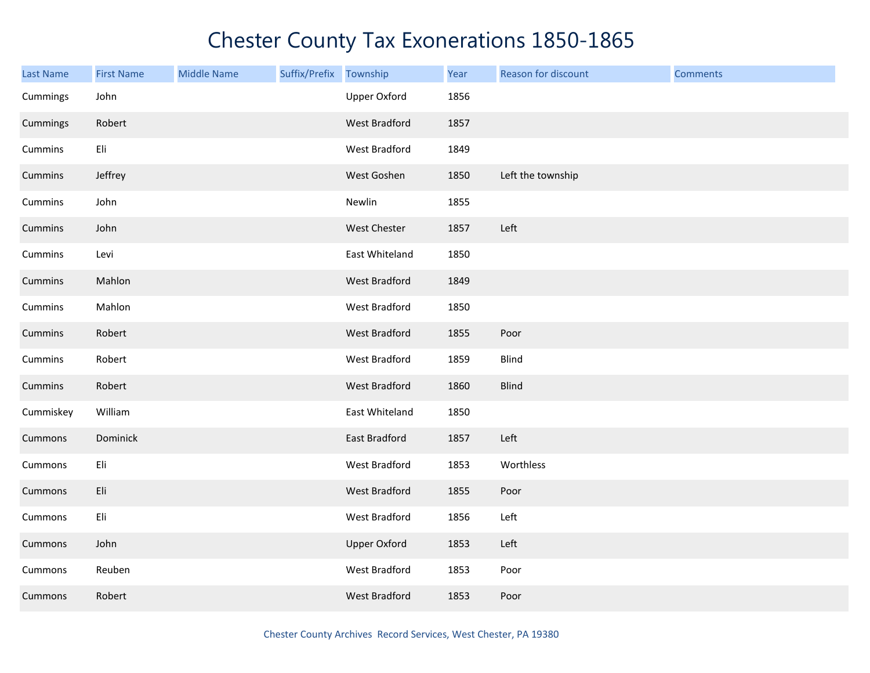| <b>Last Name</b> | <b>First Name</b> | <b>Middle Name</b> | Suffix/Prefix Township |                      | Year | Reason for discount | <b>Comments</b> |
|------------------|-------------------|--------------------|------------------------|----------------------|------|---------------------|-----------------|
| Cummings         | John              |                    |                        | <b>Upper Oxford</b>  | 1856 |                     |                 |
| Cummings         | Robert            |                    |                        | West Bradford        | 1857 |                     |                 |
| Cummins          | Eli               |                    |                        | West Bradford        | 1849 |                     |                 |
| Cummins          | Jeffrey           |                    |                        | West Goshen          | 1850 | Left the township   |                 |
| Cummins          | John              |                    |                        | Newlin               | 1855 |                     |                 |
| Cummins          | John              |                    |                        | West Chester         | 1857 | Left                |                 |
| Cummins          | Levi              |                    |                        | East Whiteland       | 1850 |                     |                 |
| Cummins          | Mahlon            |                    |                        | West Bradford        | 1849 |                     |                 |
| Cummins          | Mahlon            |                    |                        | West Bradford        | 1850 |                     |                 |
| Cummins          | Robert            |                    |                        | West Bradford        | 1855 | Poor                |                 |
| Cummins          | Robert            |                    |                        | West Bradford        | 1859 | Blind               |                 |
| Cummins          | Robert            |                    |                        | <b>West Bradford</b> | 1860 | <b>Blind</b>        |                 |
| Cummiskey        | William           |                    |                        | East Whiteland       | 1850 |                     |                 |
| Cummons          | Dominick          |                    |                        | East Bradford        | 1857 | Left                |                 |
| Cummons          | Eli               |                    |                        | West Bradford        | 1853 | Worthless           |                 |
| Cummons          | Eli               |                    |                        | West Bradford        | 1855 | Poor                |                 |
| Cummons          | Eli               |                    |                        | West Bradford        | 1856 | Left                |                 |
| Cummons          | John              |                    |                        | <b>Upper Oxford</b>  | 1853 | Left                |                 |
| Cummons          | Reuben            |                    |                        | West Bradford        | 1853 | Poor                |                 |
| Cummons          | Robert            |                    |                        | <b>West Bradford</b> | 1853 | Poor                |                 |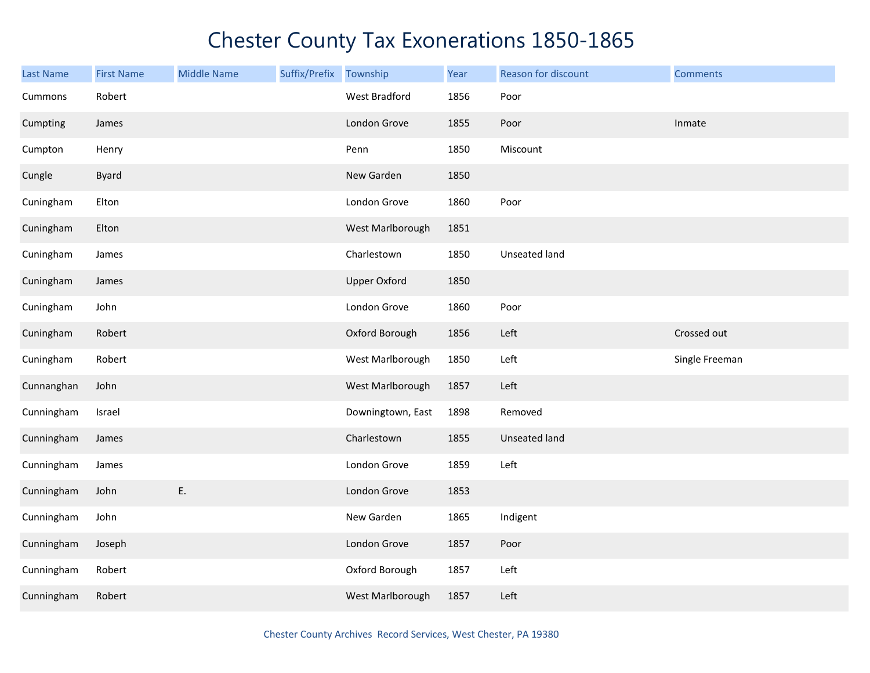| <b>Last Name</b> | <b>First Name</b> | <b>Middle Name</b> | Suffix/Prefix | Township            | Year | Reason for discount  | <b>Comments</b> |
|------------------|-------------------|--------------------|---------------|---------------------|------|----------------------|-----------------|
| Cummons          | Robert            |                    |               | West Bradford       | 1856 | Poor                 |                 |
| Cumpting         | James             |                    |               | London Grove        | 1855 | Poor                 | Inmate          |
| Cumpton          | Henry             |                    |               | Penn                | 1850 | Miscount             |                 |
| Cungle           | <b>Byard</b>      |                    |               | New Garden          | 1850 |                      |                 |
| Cuningham        | Elton             |                    |               | London Grove        | 1860 | Poor                 |                 |
| Cuningham        | Elton             |                    |               | West Marlborough    | 1851 |                      |                 |
| Cuningham        | James             |                    |               | Charlestown         | 1850 | Unseated land        |                 |
| Cuningham        | James             |                    |               | <b>Upper Oxford</b> | 1850 |                      |                 |
| Cuningham        | John              |                    |               | London Grove        | 1860 | Poor                 |                 |
| Cuningham        | Robert            |                    |               | Oxford Borough      | 1856 | Left                 | Crossed out     |
| Cuningham        | Robert            |                    |               | West Marlborough    | 1850 | Left                 | Single Freeman  |
| Cunnanghan       | John              |                    |               | West Marlborough    | 1857 | Left                 |                 |
| Cunningham       | Israel            |                    |               | Downingtown, East   | 1898 | Removed              |                 |
| Cunningham       | James             |                    |               | Charlestown         | 1855 | <b>Unseated land</b> |                 |
| Cunningham       | James             |                    |               | London Grove        | 1859 | Left                 |                 |
| Cunningham       | John              | E.                 |               | London Grove        | 1853 |                      |                 |
| Cunningham       | John              |                    |               | New Garden          | 1865 | Indigent             |                 |
| Cunningham       | Joseph            |                    |               | London Grove        | 1857 | Poor                 |                 |
| Cunningham       | Robert            |                    |               | Oxford Borough      | 1857 | Left                 |                 |
| Cunningham       | Robert            |                    |               | West Marlborough    | 1857 | Left                 |                 |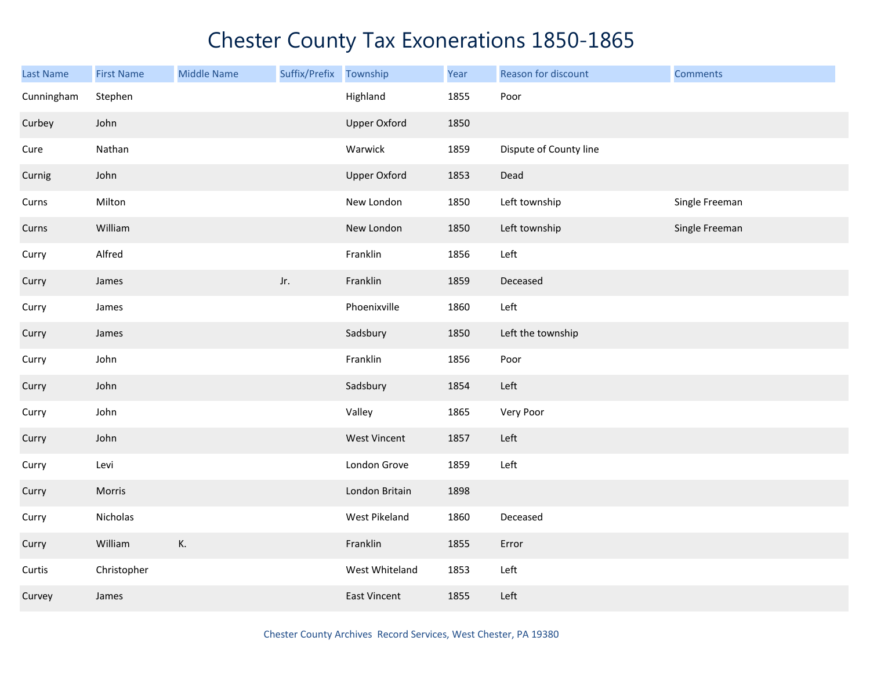| Last Name  | <b>First Name</b> | <b>Middle Name</b> | Suffix/Prefix Township |                     | Year | Reason for discount    | <b>Comments</b> |
|------------|-------------------|--------------------|------------------------|---------------------|------|------------------------|-----------------|
| Cunningham | Stephen           |                    |                        | Highland            | 1855 | Poor                   |                 |
| Curbey     | John              |                    |                        | <b>Upper Oxford</b> | 1850 |                        |                 |
| Cure       | Nathan            |                    |                        | Warwick             | 1859 | Dispute of County line |                 |
| Curnig     | John              |                    |                        | <b>Upper Oxford</b> | 1853 | Dead                   |                 |
| Curns      | Milton            |                    |                        | New London          | 1850 | Left township          | Single Freeman  |
| Curns      | William           |                    |                        | New London          | 1850 | Left township          | Single Freeman  |
| Curry      | Alfred            |                    |                        | Franklin            | 1856 | Left                   |                 |
| Curry      | James             |                    | Jr.                    | Franklin            | 1859 | Deceased               |                 |
| Curry      | James             |                    |                        | Phoenixville        | 1860 | Left                   |                 |
| Curry      | James             |                    |                        | Sadsbury            | 1850 | Left the township      |                 |
| Curry      | John              |                    |                        | Franklin            | 1856 | Poor                   |                 |
| Curry      | John              |                    |                        | Sadsbury            | 1854 | Left                   |                 |
| Curry      | John              |                    |                        | Valley              | 1865 | Very Poor              |                 |
| Curry      | John              |                    |                        | <b>West Vincent</b> | 1857 | Left                   |                 |
| Curry      | Levi              |                    |                        | London Grove        | 1859 | Left                   |                 |
| Curry      | Morris            |                    |                        | London Britain      | 1898 |                        |                 |
| Curry      | Nicholas          |                    |                        | West Pikeland       | 1860 | Deceased               |                 |
| Curry      | William           | К.                 |                        | Franklin            | 1855 | Error                  |                 |
| Curtis     | Christopher       |                    |                        | West Whiteland      | 1853 | Left                   |                 |
| Curvey     | James             |                    |                        | East Vincent        | 1855 | Left                   |                 |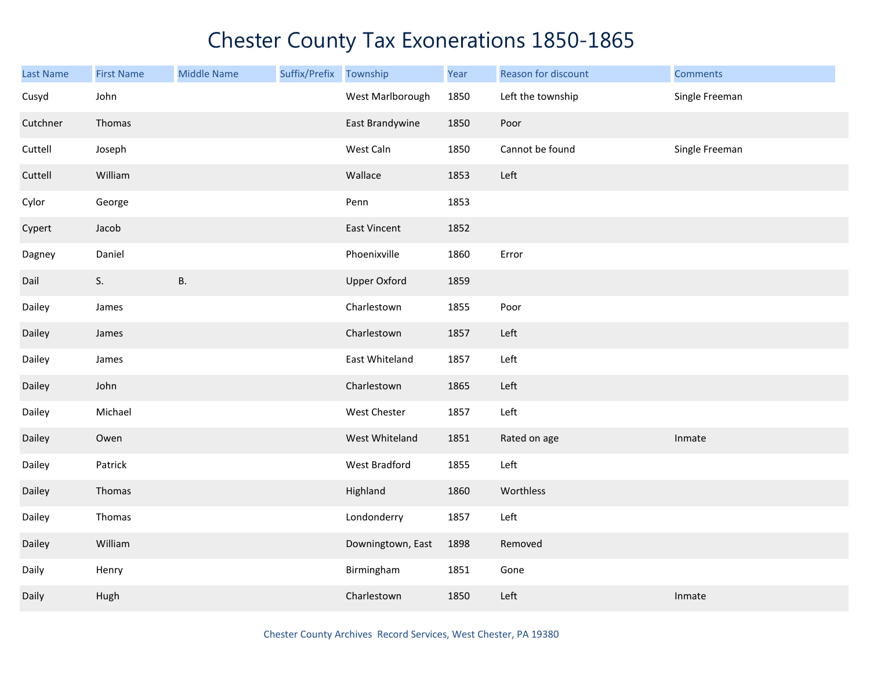| Last Name | <b>First Name</b> | <b>Middle Name</b> | Suffix/Prefix Township |                     | Year | Reason for discount | <b>Comments</b> |
|-----------|-------------------|--------------------|------------------------|---------------------|------|---------------------|-----------------|
| Cusyd     | John              |                    |                        | West Marlborough    | 1850 | Left the township   | Single Freeman  |
| Cutchner  | Thomas            |                    |                        | East Brandywine     | 1850 | Poor                |                 |
| Cuttell   | Joseph            |                    |                        | West Caln           | 1850 | Cannot be found     | Single Freeman  |
| Cuttell   | William           |                    |                        | Wallace             | 1853 | Left                |                 |
| Cylor     | George            |                    |                        | Penn                | 1853 |                     |                 |
| Cypert    | Jacob             |                    |                        | <b>East Vincent</b> | 1852 |                     |                 |
| Dagney    | Daniel            |                    |                        | Phoenixville        | 1860 | Error               |                 |
| Dail      | S.                | <b>B.</b>          |                        | <b>Upper Oxford</b> | 1859 |                     |                 |
| Dailey    | James             |                    |                        | Charlestown         | 1855 | Poor                |                 |
| Dailey    | James             |                    |                        | Charlestown         | 1857 | Left                |                 |
| Dailey    | James             |                    |                        | East Whiteland      | 1857 | Left                |                 |
| Dailey    | John              |                    |                        | Charlestown         | 1865 | Left                |                 |
| Dailey    | Michael           |                    |                        | West Chester        | 1857 | Left                |                 |
| Dailey    | Owen              |                    |                        | West Whiteland      | 1851 | Rated on age        | Inmate          |
| Dailey    | Patrick           |                    |                        | West Bradford       | 1855 | Left                |                 |
| Dailey    | Thomas            |                    |                        | Highland            | 1860 | Worthless           |                 |
| Dailey    | Thomas            |                    |                        | Londonderry         | 1857 | Left                |                 |
| Dailey    | William           |                    |                        | Downingtown, East   | 1898 | Removed             |                 |
| Daily     | Henry             |                    |                        | Birmingham          | 1851 | Gone                |                 |
| Daily     | Hugh              |                    |                        | Charlestown         | 1850 | Left                | Inmate          |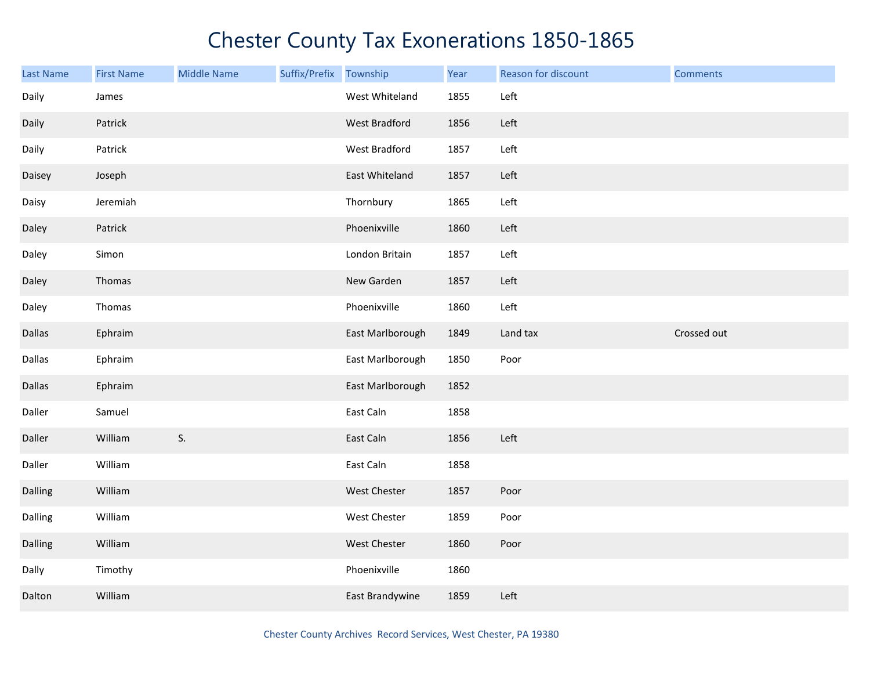| <b>Last Name</b> | <b>First Name</b> | <b>Middle Name</b> | Suffix/Prefix | Township            | Year | Reason for discount | <b>Comments</b> |
|------------------|-------------------|--------------------|---------------|---------------------|------|---------------------|-----------------|
| Daily            | James             |                    |               | West Whiteland      | 1855 | Left                |                 |
| Daily            | Patrick           |                    |               | West Bradford       | 1856 | Left                |                 |
| Daily            | Patrick           |                    |               | West Bradford       | 1857 | Left                |                 |
| Daisey           | Joseph            |                    |               | East Whiteland      | 1857 | Left                |                 |
| Daisy            | Jeremiah          |                    |               | Thornbury           | 1865 | Left                |                 |
| Daley            | Patrick           |                    |               | Phoenixville        | 1860 | Left                |                 |
| Daley            | Simon             |                    |               | London Britain      | 1857 | Left                |                 |
| Daley            | Thomas            |                    |               | New Garden          | 1857 | Left                |                 |
| Daley            | Thomas            |                    |               | Phoenixville        | 1860 | Left                |                 |
| Dallas           | Ephraim           |                    |               | East Marlborough    | 1849 | Land tax            | Crossed out     |
| Dallas           | Ephraim           |                    |               | East Marlborough    | 1850 | Poor                |                 |
| <b>Dallas</b>    | Ephraim           |                    |               | East Marlborough    | 1852 |                     |                 |
| Daller           | Samuel            |                    |               | East Caln           | 1858 |                     |                 |
| Daller           | William           | S.                 |               | East Caln           | 1856 | Left                |                 |
| Daller           | William           |                    |               | East Caln           | 1858 |                     |                 |
| Dalling          | William           |                    |               | West Chester        | 1857 | Poor                |                 |
| Dalling          | William           |                    |               | West Chester        | 1859 | Poor                |                 |
| Dalling          | William           |                    |               | <b>West Chester</b> | 1860 | Poor                |                 |
| Dally            | Timothy           |                    |               | Phoenixville        | 1860 |                     |                 |
| Dalton           | William           |                    |               | East Brandywine     | 1859 | Left                |                 |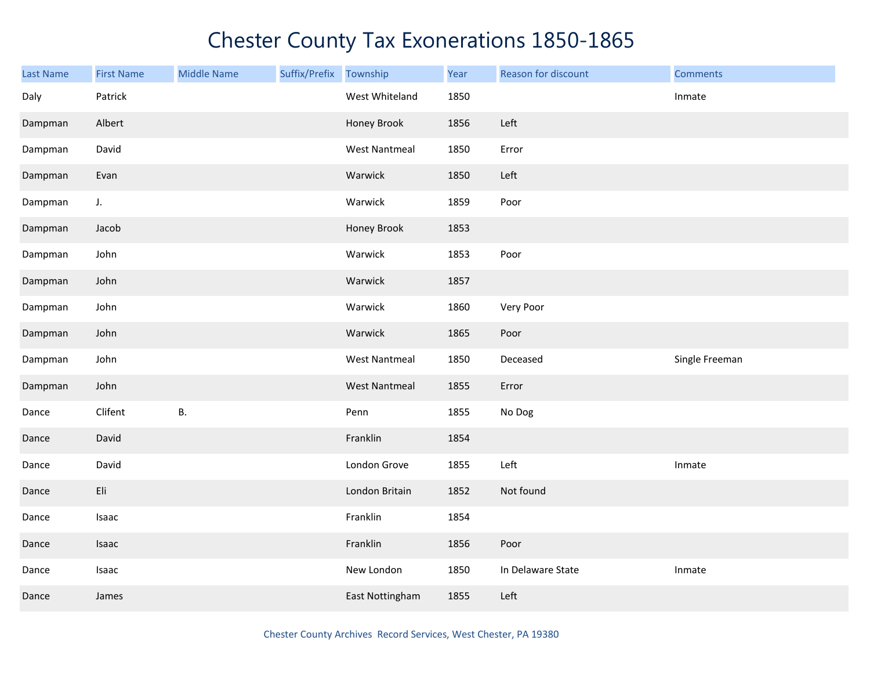| Last Name | <b>First Name</b> | <b>Middle Name</b> | Suffix/Prefix Township |                      | Year | Reason for discount | <b>Comments</b> |
|-----------|-------------------|--------------------|------------------------|----------------------|------|---------------------|-----------------|
| Daly      | Patrick           |                    |                        | West Whiteland       | 1850 |                     | Inmate          |
| Dampman   | Albert            |                    |                        | Honey Brook          | 1856 | Left                |                 |
| Dampman   | David             |                    |                        | <b>West Nantmeal</b> | 1850 | Error               |                 |
| Dampman   | Evan              |                    |                        | Warwick              | 1850 | Left                |                 |
| Dampman   | $J_{\star}$       |                    |                        | Warwick              | 1859 | Poor                |                 |
| Dampman   | Jacob             |                    |                        | Honey Brook          | 1853 |                     |                 |
| Dampman   | John              |                    |                        | Warwick              | 1853 | Poor                |                 |
| Dampman   | John              |                    |                        | Warwick              | 1857 |                     |                 |
| Dampman   | John              |                    |                        | Warwick              | 1860 | Very Poor           |                 |
| Dampman   | John              |                    |                        | Warwick              | 1865 | Poor                |                 |
| Dampman   | John              |                    |                        | <b>West Nantmeal</b> | 1850 | Deceased            | Single Freeman  |
| Dampman   | John              |                    |                        | <b>West Nantmeal</b> | 1855 | Error               |                 |
| Dance     | Clifent           | <b>B.</b>          |                        | Penn                 | 1855 | No Dog              |                 |
| Dance     | David             |                    |                        | Franklin             | 1854 |                     |                 |
| Dance     | David             |                    |                        | London Grove         | 1855 | Left                | Inmate          |
| Dance     | Eli               |                    |                        | London Britain       | 1852 | Not found           |                 |
| Dance     | Isaac             |                    |                        | Franklin             | 1854 |                     |                 |
| Dance     | Isaac             |                    |                        | Franklin             | 1856 | Poor                |                 |
| Dance     | Isaac             |                    |                        | New London           | 1850 | In Delaware State   | Inmate          |
| Dance     | James             |                    |                        | East Nottingham      | 1855 | Left                |                 |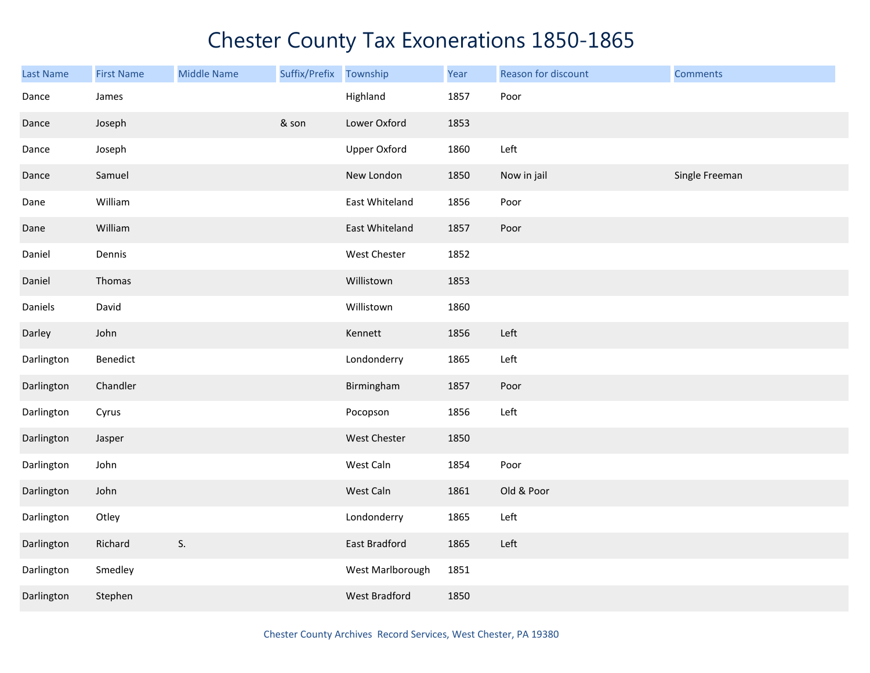| <b>Last Name</b> | <b>First Name</b> | <b>Middle Name</b> | Suffix/Prefix | Township            | Year | Reason for discount | <b>Comments</b> |
|------------------|-------------------|--------------------|---------------|---------------------|------|---------------------|-----------------|
| Dance            | James             |                    |               | Highland            | 1857 | Poor                |                 |
| Dance            | Joseph            |                    | & son         | Lower Oxford        | 1853 |                     |                 |
| Dance            | Joseph            |                    |               | <b>Upper Oxford</b> | 1860 | Left                |                 |
| Dance            | Samuel            |                    |               | New London          | 1850 | Now in jail         | Single Freeman  |
| Dane             | William           |                    |               | East Whiteland      | 1856 | Poor                |                 |
| Dane             | William           |                    |               | East Whiteland      | 1857 | Poor                |                 |
| Daniel           | Dennis            |                    |               | West Chester        | 1852 |                     |                 |
| Daniel           | Thomas            |                    |               | Willistown          | 1853 |                     |                 |
| Daniels          | David             |                    |               | Willistown          | 1860 |                     |                 |
| Darley           | John              |                    |               | Kennett             | 1856 | Left                |                 |
| Darlington       | Benedict          |                    |               | Londonderry         | 1865 | Left                |                 |
| Darlington       | Chandler          |                    |               | Birmingham          | 1857 | Poor                |                 |
| Darlington       | Cyrus             |                    |               | Pocopson            | 1856 | Left                |                 |
| Darlington       | Jasper            |                    |               | West Chester        | 1850 |                     |                 |
| Darlington       | John              |                    |               | West Caln           | 1854 | Poor                |                 |
| Darlington       | John              |                    |               | West Caln           | 1861 | Old & Poor          |                 |
| Darlington       | Otley             |                    |               | Londonderry         | 1865 | Left                |                 |
| Darlington       | Richard           | S.                 |               | East Bradford       | 1865 | Left                |                 |
| Darlington       | Smedley           |                    |               | West Marlborough    | 1851 |                     |                 |
| Darlington       | Stephen           |                    |               | West Bradford       | 1850 |                     |                 |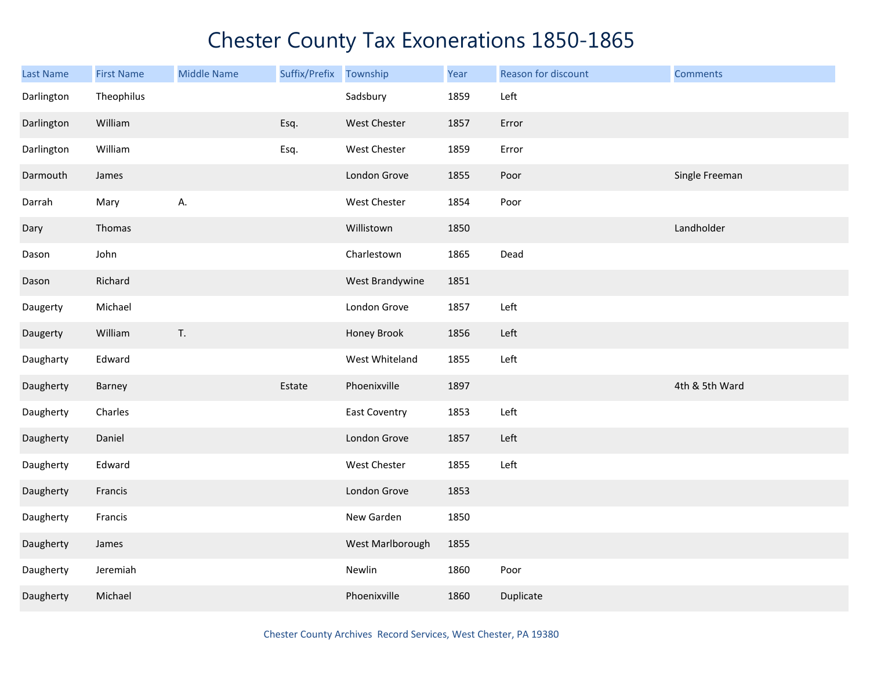| <b>Last Name</b> | <b>First Name</b> | <b>Middle Name</b> | Suffix/Prefix Township |                      | Year | Reason for discount | <b>Comments</b> |
|------------------|-------------------|--------------------|------------------------|----------------------|------|---------------------|-----------------|
| Darlington       | Theophilus        |                    |                        | Sadsbury             | 1859 | Left                |                 |
| Darlington       | William           |                    | Esq.                   | West Chester         | 1857 | Error               |                 |
| Darlington       | William           |                    | Esq.                   | West Chester         | 1859 | Error               |                 |
| Darmouth         | James             |                    |                        | London Grove         | 1855 | Poor                | Single Freeman  |
| Darrah           | Mary              | А.                 |                        | West Chester         | 1854 | Poor                |                 |
| Dary             | Thomas            |                    |                        | Willistown           | 1850 |                     | Landholder      |
| Dason            | John              |                    |                        | Charlestown          | 1865 | Dead                |                 |
| Dason            | Richard           |                    |                        | West Brandywine      | 1851 |                     |                 |
| Daugerty         | Michael           |                    |                        | London Grove         | 1857 | Left                |                 |
| Daugerty         | William           | T.                 |                        | Honey Brook          | 1856 | Left                |                 |
| Daugharty        | Edward            |                    |                        | West Whiteland       | 1855 | Left                |                 |
| Daugherty        | Barney            |                    | Estate                 | Phoenixville         | 1897 |                     | 4th & 5th Ward  |
| Daugherty        | Charles           |                    |                        | <b>East Coventry</b> | 1853 | Left                |                 |
| Daugherty        | Daniel            |                    |                        | London Grove         | 1857 | Left                |                 |
| Daugherty        | Edward            |                    |                        | West Chester         | 1855 | Left                |                 |
| Daugherty        | Francis           |                    |                        | London Grove         | 1853 |                     |                 |
| Daugherty        | Francis           |                    |                        | New Garden           | 1850 |                     |                 |
| Daugherty        | James             |                    |                        | West Marlborough     | 1855 |                     |                 |
| Daugherty        | Jeremiah          |                    |                        | Newlin               | 1860 | Poor                |                 |
| Daugherty        | Michael           |                    |                        | Phoenixville         | 1860 | Duplicate           |                 |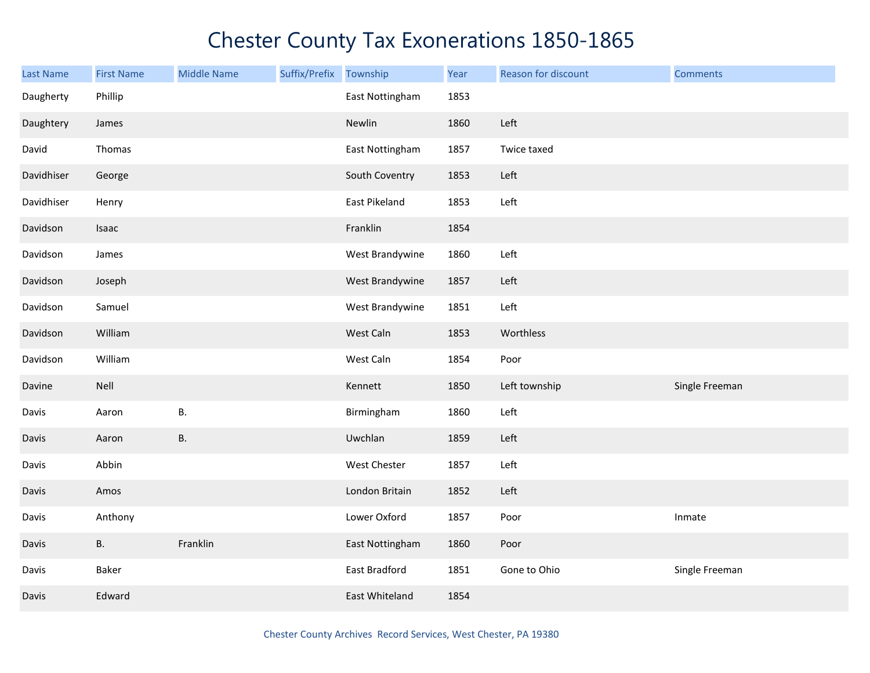| Last Name  | <b>First Name</b> | <b>Middle Name</b> | Suffix/Prefix | Township        | Year | Reason for discount | <b>Comments</b> |
|------------|-------------------|--------------------|---------------|-----------------|------|---------------------|-----------------|
| Daugherty  | Phillip           |                    |               | East Nottingham | 1853 |                     |                 |
| Daughtery  | James             |                    |               | Newlin          | 1860 | Left                |                 |
| David      | Thomas            |                    |               | East Nottingham | 1857 | Twice taxed         |                 |
| Davidhiser | George            |                    |               | South Coventry  | 1853 | Left                |                 |
| Davidhiser | Henry             |                    |               | East Pikeland   | 1853 | Left                |                 |
| Davidson   | Isaac             |                    |               | Franklin        | 1854 |                     |                 |
| Davidson   | James             |                    |               | West Brandywine | 1860 | Left                |                 |
| Davidson   | Joseph            |                    |               | West Brandywine | 1857 | Left                |                 |
| Davidson   | Samuel            |                    |               | West Brandywine | 1851 | Left                |                 |
| Davidson   | William           |                    |               | West Caln       | 1853 | Worthless           |                 |
| Davidson   | William           |                    |               | West Caln       | 1854 | Poor                |                 |
| Davine     | Nell              |                    |               | Kennett         | 1850 | Left township       | Single Freeman  |
| Davis      | Aaron             | В.                 |               | Birmingham      | 1860 | Left                |                 |
| Davis      | Aaron             | <b>B.</b>          |               | Uwchlan         | 1859 | Left                |                 |
| Davis      | Abbin             |                    |               | West Chester    | 1857 | Left                |                 |
| Davis      | Amos              |                    |               | London Britain  | 1852 | Left                |                 |
| Davis      | Anthony           |                    |               | Lower Oxford    | 1857 | Poor                | Inmate          |
| Davis      | <b>B.</b>         | Franklin           |               | East Nottingham | 1860 | Poor                |                 |
| Davis      | Baker             |                    |               | East Bradford   | 1851 | Gone to Ohio        | Single Freeman  |
| Davis      | Edward            |                    |               | East Whiteland  | 1854 |                     |                 |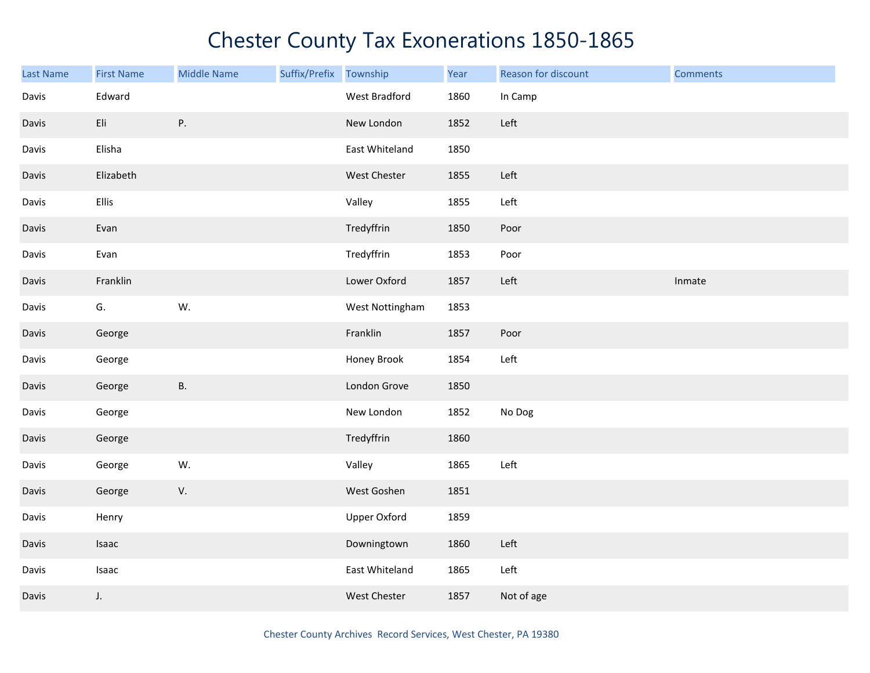| <b>Last Name</b> | <b>First Name</b> | <b>Middle Name</b> | Suffix/Prefix | Township            | Year | Reason for discount | <b>Comments</b> |
|------------------|-------------------|--------------------|---------------|---------------------|------|---------------------|-----------------|
| Davis            | Edward            |                    |               | West Bradford       | 1860 | In Camp             |                 |
| Davis            | Eli               | Ρ.                 |               | New London          | 1852 | Left                |                 |
| Davis            | Elisha            |                    |               | East Whiteland      | 1850 |                     |                 |
| Davis            | Elizabeth         |                    |               | West Chester        | 1855 | Left                |                 |
| Davis            | Ellis             |                    |               | Valley              | 1855 | Left                |                 |
| Davis            | Evan              |                    |               | Tredyffrin          | 1850 | Poor                |                 |
| Davis            | Evan              |                    |               | Tredyffrin          | 1853 | Poor                |                 |
| Davis            | Franklin          |                    |               | Lower Oxford        | 1857 | Left                | Inmate          |
| Davis            | G.                | W.                 |               | West Nottingham     | 1853 |                     |                 |
| Davis            | George            |                    |               | Franklin            | 1857 | Poor                |                 |
| Davis            | George            |                    |               | Honey Brook         | 1854 | Left                |                 |
| Davis            | George            | <b>B.</b>          |               | London Grove        | 1850 |                     |                 |
| Davis            | George            |                    |               | New London          | 1852 | No Dog              |                 |
| Davis            | George            |                    |               | Tredyffrin          | 1860 |                     |                 |
| Davis            | George            | W.                 |               | Valley              | 1865 | Left                |                 |
| Davis            | George            | V.                 |               | West Goshen         | 1851 |                     |                 |
| Davis            | Henry             |                    |               | <b>Upper Oxford</b> | 1859 |                     |                 |
| Davis            | Isaac             |                    |               | Downingtown         | 1860 | Left                |                 |
| Davis            | Isaac             |                    |               | East Whiteland      | 1865 | Left                |                 |
| Davis            | $J_{\star}$       |                    |               | <b>West Chester</b> | 1857 | Not of age          |                 |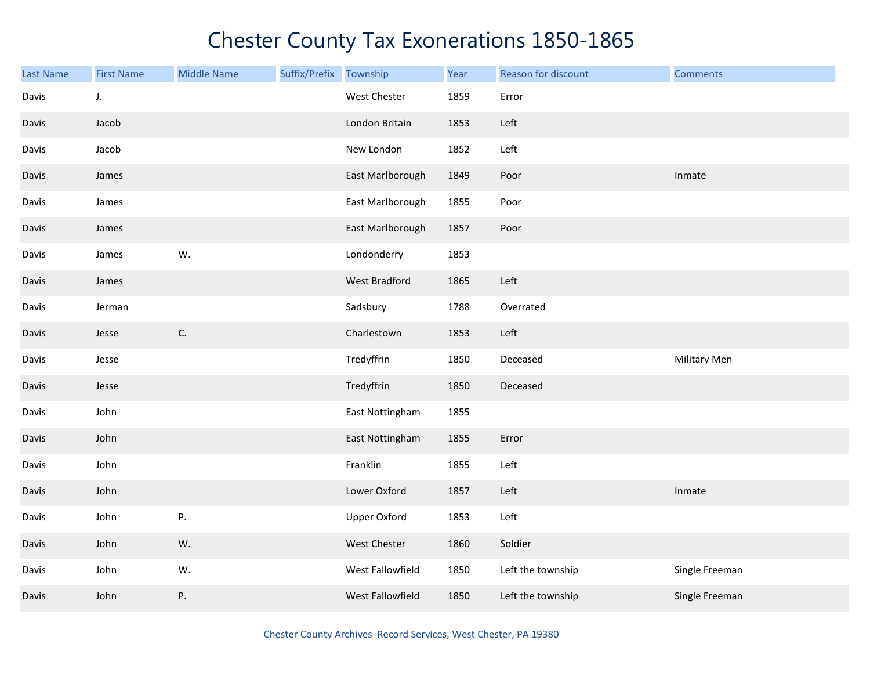| <b>Last Name</b> | <b>First Name</b> | <b>Middle Name</b> | Suffix/Prefix | Township            | Year | Reason for discount | <b>Comments</b>     |
|------------------|-------------------|--------------------|---------------|---------------------|------|---------------------|---------------------|
| Davis            | J.                |                    |               | West Chester        | 1859 | Error               |                     |
| Davis            | Jacob             |                    |               | London Britain      | 1853 | Left                |                     |
| Davis            | Jacob             |                    |               | New London          | 1852 | Left                |                     |
| Davis            | James             |                    |               | East Marlborough    | 1849 | Poor                | Inmate              |
| Davis            | James             |                    |               | East Marlborough    | 1855 | Poor                |                     |
| Davis            | James             |                    |               | East Marlborough    | 1857 | Poor                |                     |
| Davis            | James             | W.                 |               | Londonderry         | 1853 |                     |                     |
| Davis            | James             |                    |               | West Bradford       | 1865 | Left                |                     |
| Davis            | Jerman            |                    |               | Sadsbury            | 1788 | Overrated           |                     |
| Davis            | Jesse             | C.                 |               | Charlestown         | 1853 | Left                |                     |
| Davis            | Jesse             |                    |               | Tredyffrin          | 1850 | Deceased            | <b>Military Men</b> |
| Davis            | Jesse             |                    |               | Tredyffrin          | 1850 | Deceased            |                     |
| Davis            | John              |                    |               | East Nottingham     | 1855 |                     |                     |
| Davis            | John              |                    |               | East Nottingham     | 1855 | Error               |                     |
| Davis            | John              |                    |               | Franklin            | 1855 | Left                |                     |
| Davis            | John              |                    |               | Lower Oxford        | 1857 | Left                | Inmate              |
| Davis            | John              | Ρ.                 |               | <b>Upper Oxford</b> | 1853 | Left                |                     |
| Davis            | John              | W.                 |               | West Chester        | 1860 | Soldier             |                     |
| Davis            | John              | W.                 |               | West Fallowfield    | 1850 | Left the township   | Single Freeman      |
| Davis            | John              | Ρ.                 |               | West Fallowfield    | 1850 | Left the township   | Single Freeman      |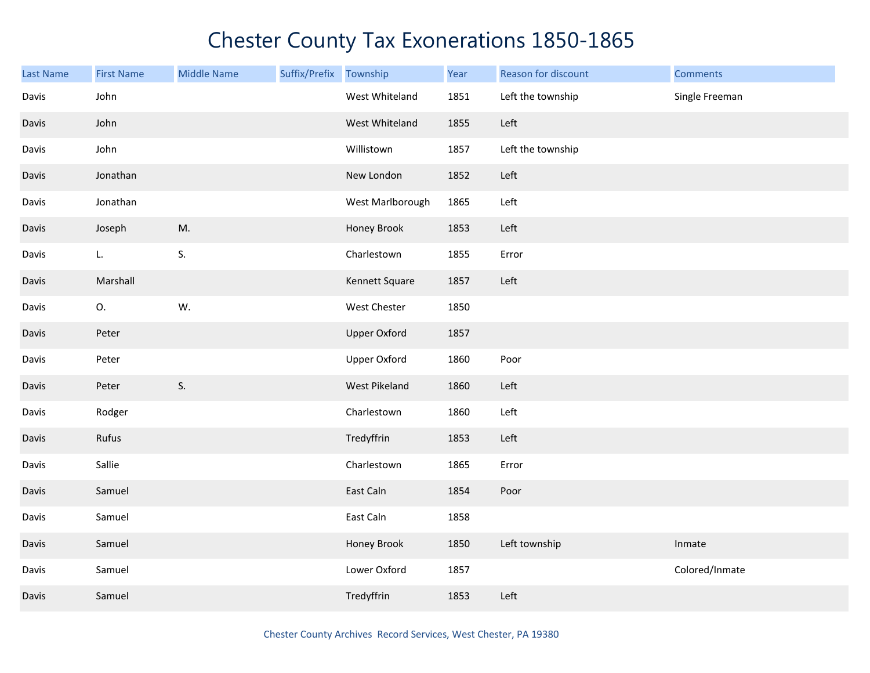| <b>Last Name</b> | <b>First Name</b> | <b>Middle Name</b> | Suffix/Prefix Township |                     | Year | Reason for discount | <b>Comments</b> |
|------------------|-------------------|--------------------|------------------------|---------------------|------|---------------------|-----------------|
| Davis            | John              |                    |                        | West Whiteland      | 1851 | Left the township   | Single Freeman  |
| Davis            | John              |                    |                        | West Whiteland      | 1855 | Left                |                 |
| Davis            | John              |                    |                        | Willistown          | 1857 | Left the township   |                 |
| Davis            | Jonathan          |                    |                        | New London          | 1852 | Left                |                 |
| Davis            | Jonathan          |                    |                        | West Marlborough    | 1865 | Left                |                 |
| Davis            | Joseph            | M.                 |                        | Honey Brook         | 1853 | Left                |                 |
| Davis            | L.                | S.                 |                        | Charlestown         | 1855 | Error               |                 |
| Davis            | Marshall          |                    |                        | Kennett Square      | 1857 | Left                |                 |
| Davis            | 0.                | W.                 |                        | West Chester        | 1850 |                     |                 |
| Davis            | Peter             |                    |                        | <b>Upper Oxford</b> | 1857 |                     |                 |
| Davis            | Peter             |                    |                        | <b>Upper Oxford</b> | 1860 | Poor                |                 |
| Davis            | Peter             | S.                 |                        | West Pikeland       | 1860 | Left                |                 |
| Davis            | Rodger            |                    |                        | Charlestown         | 1860 | Left                |                 |
| Davis            | Rufus             |                    |                        | Tredyffrin          | 1853 | Left                |                 |
| Davis            | Sallie            |                    |                        | Charlestown         | 1865 | Error               |                 |
| Davis            | Samuel            |                    |                        | East Caln           | 1854 | Poor                |                 |
| Davis            | Samuel            |                    |                        | East Caln           | 1858 |                     |                 |
| Davis            | Samuel            |                    |                        | Honey Brook         | 1850 | Left township       | Inmate          |
| Davis            | Samuel            |                    |                        | Lower Oxford        | 1857 |                     | Colored/Inmate  |
| Davis            | Samuel            |                    |                        | Tredyffrin          | 1853 | Left                |                 |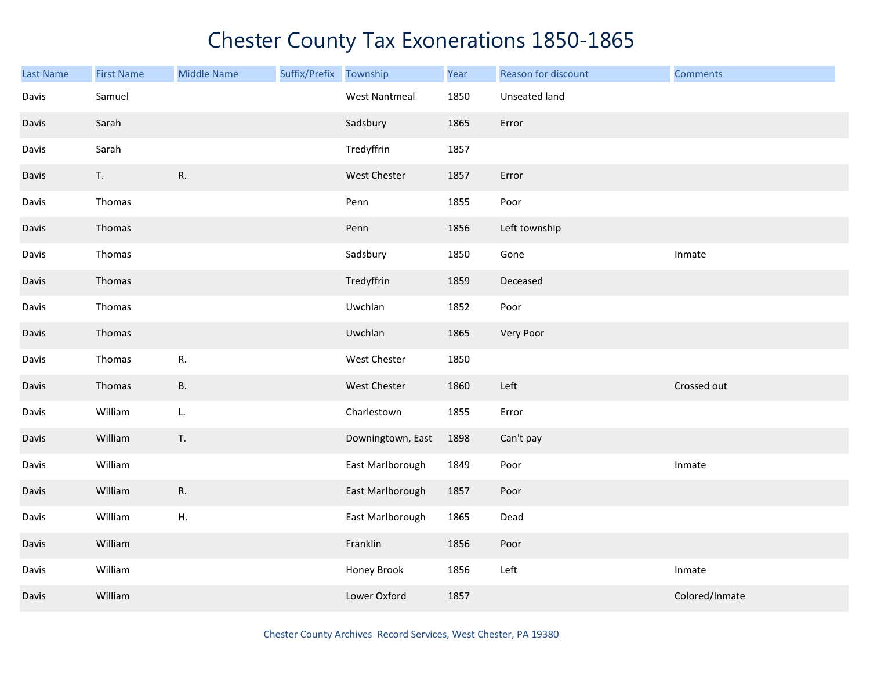| <b>Last Name</b> | <b>First Name</b> | <b>Middle Name</b> | Suffix/Prefix | Township             | Year | Reason for discount | <b>Comments</b> |
|------------------|-------------------|--------------------|---------------|----------------------|------|---------------------|-----------------|
| Davis            | Samuel            |                    |               | <b>West Nantmeal</b> | 1850 | Unseated land       |                 |
| Davis            | Sarah             |                    |               | Sadsbury             | 1865 | Error               |                 |
| Davis            | Sarah             |                    |               | Tredyffrin           | 1857 |                     |                 |
| Davis            | T.                | R.                 |               | West Chester         | 1857 | Error               |                 |
| Davis            | Thomas            |                    |               | Penn                 | 1855 | Poor                |                 |
| Davis            | Thomas            |                    |               | Penn                 | 1856 | Left township       |                 |
| Davis            | Thomas            |                    |               | Sadsbury             | 1850 | Gone                | Inmate          |
| Davis            | Thomas            |                    |               | Tredyffrin           | 1859 | Deceased            |                 |
| Davis            | Thomas            |                    |               | Uwchlan              | 1852 | Poor                |                 |
| Davis            | Thomas            |                    |               | Uwchlan              | 1865 | Very Poor           |                 |
| Davis            | Thomas            | R.                 |               | West Chester         | 1850 |                     |                 |
| Davis            | Thomas            | <b>B.</b>          |               | <b>West Chester</b>  | 1860 | Left                | Crossed out     |
| Davis            | William           | L.                 |               | Charlestown          | 1855 | Error               |                 |
| Davis            | William           | T.                 |               | Downingtown, East    | 1898 | Can't pay           |                 |
| Davis            | William           |                    |               | East Marlborough     | 1849 | Poor                | Inmate          |
| Davis            | William           | ${\sf R}.$         |               | East Marlborough     | 1857 | Poor                |                 |
| Davis            | William           | ${\sf H}.$         |               | East Marlborough     | 1865 | Dead                |                 |
| Davis            | William           |                    |               | Franklin             | 1856 | Poor                |                 |
| Davis            | William           |                    |               | Honey Brook          | 1856 | Left                | Inmate          |
| Davis            | William           |                    |               | Lower Oxford         | 1857 |                     | Colored/Inmate  |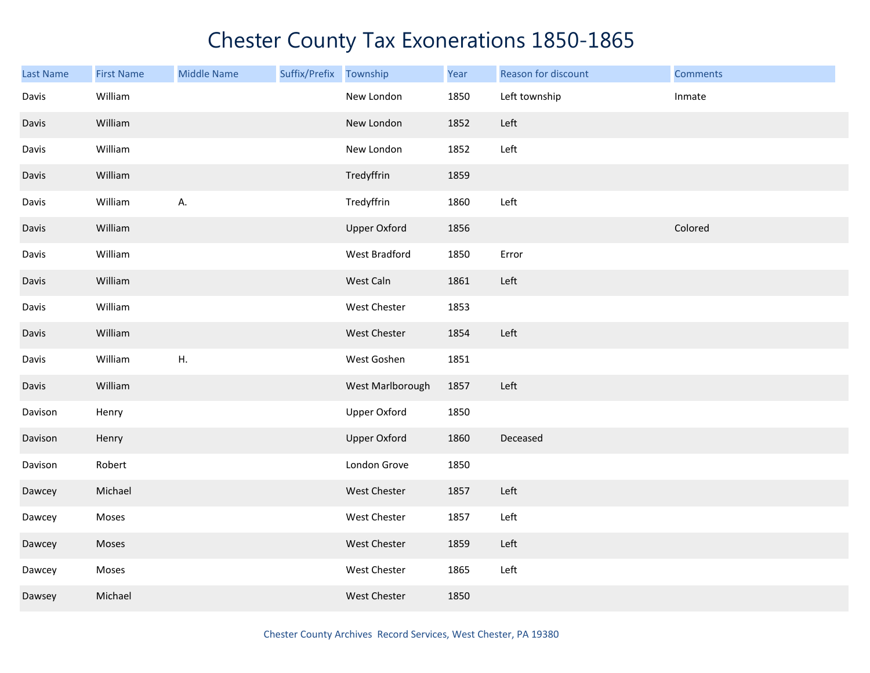| <b>Last Name</b> | <b>First Name</b> | <b>Middle Name</b> | Suffix/Prefix Township |                     | Year | Reason for discount | <b>Comments</b> |
|------------------|-------------------|--------------------|------------------------|---------------------|------|---------------------|-----------------|
| Davis            | William           |                    |                        | New London          | 1850 | Left township       | Inmate          |
| Davis            | William           |                    |                        | New London          | 1852 | Left                |                 |
| Davis            | William           |                    |                        | New London          | 1852 | Left                |                 |
| Davis            | William           |                    |                        | Tredyffrin          | 1859 |                     |                 |
| Davis            | William           | А.                 |                        | Tredyffrin          | 1860 | Left                |                 |
| Davis            | William           |                    |                        | <b>Upper Oxford</b> | 1856 |                     | Colored         |
| Davis            | William           |                    |                        | West Bradford       | 1850 | Error               |                 |
| Davis            | William           |                    |                        | West Caln           | 1861 | Left                |                 |
| Davis            | William           |                    |                        | West Chester        | 1853 |                     |                 |
| Davis            | William           |                    |                        | West Chester        | 1854 | Left                |                 |
| Davis            | William           | H.                 |                        | West Goshen         | 1851 |                     |                 |
| Davis            | William           |                    |                        | West Marlborough    | 1857 | Left                |                 |
| Davison          | Henry             |                    |                        | <b>Upper Oxford</b> | 1850 |                     |                 |
| Davison          | Henry             |                    |                        | Upper Oxford        | 1860 | Deceased            |                 |
| Davison          | Robert            |                    |                        | London Grove        | 1850 |                     |                 |
| Dawcey           | Michael           |                    |                        | West Chester        | 1857 | Left                |                 |
| Dawcey           | Moses             |                    |                        | West Chester        | 1857 | Left                |                 |
| Dawcey           | Moses             |                    |                        | <b>West Chester</b> | 1859 | Left                |                 |
| Dawcey           | Moses             |                    |                        | West Chester        | 1865 | Left                |                 |
| Dawsey           | Michael           |                    |                        | <b>West Chester</b> | 1850 |                     |                 |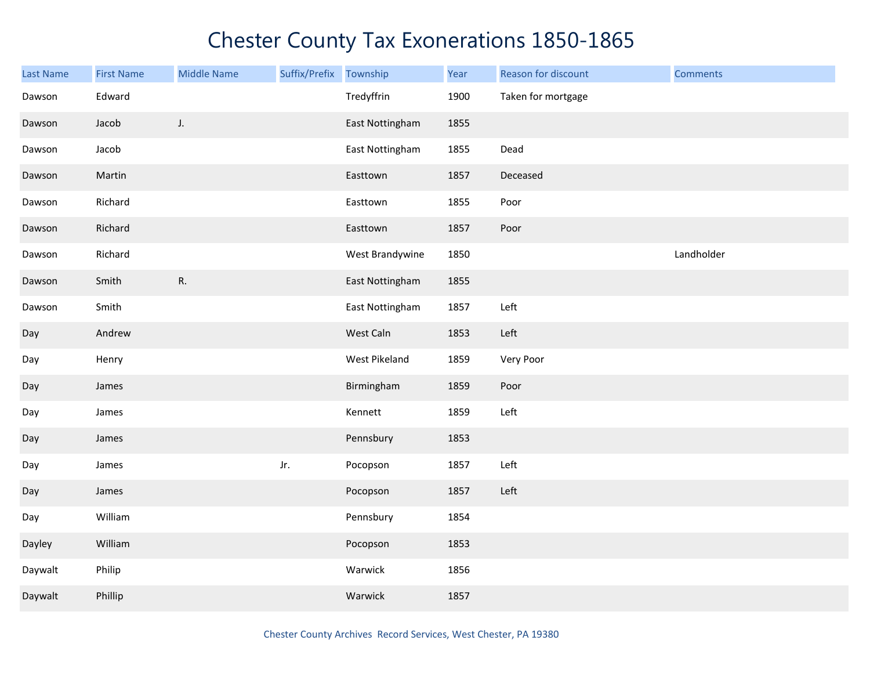| <b>Last Name</b> | <b>First Name</b> | <b>Middle Name</b> | Suffix/Prefix Township |                 | Year | Reason for discount | <b>Comments</b> |
|------------------|-------------------|--------------------|------------------------|-----------------|------|---------------------|-----------------|
| Dawson           | Edward            |                    |                        | Tredyffrin      | 1900 | Taken for mortgage  |                 |
| Dawson           | Jacob             | J.                 |                        | East Nottingham | 1855 |                     |                 |
| Dawson           | Jacob             |                    |                        | East Nottingham | 1855 | Dead                |                 |
| Dawson           | Martin            |                    |                        | Easttown        | 1857 | Deceased            |                 |
| Dawson           | Richard           |                    |                        | Easttown        | 1855 | Poor                |                 |
| Dawson           | Richard           |                    |                        | Easttown        | 1857 | Poor                |                 |
| Dawson           | Richard           |                    |                        | West Brandywine | 1850 |                     | Landholder      |
| Dawson           | Smith             | R.                 |                        | East Nottingham | 1855 |                     |                 |
| Dawson           | Smith             |                    |                        | East Nottingham | 1857 | Left                |                 |
| Day              | Andrew            |                    |                        | West Caln       | 1853 | Left                |                 |
| Day              | Henry             |                    |                        | West Pikeland   | 1859 | Very Poor           |                 |
| Day              | James             |                    |                        | Birmingham      | 1859 | Poor                |                 |
| Day              | James             |                    |                        | Kennett         | 1859 | Left                |                 |
| Day              | James             |                    |                        | Pennsbury       | 1853 |                     |                 |
| Day              | James             |                    | Jr.                    | Pocopson        | 1857 | Left                |                 |
| Day              | James             |                    |                        | Pocopson        | 1857 | Left                |                 |
| Day              | William           |                    |                        | Pennsbury       | 1854 |                     |                 |
| Dayley           | William           |                    |                        | Pocopson        | 1853 |                     |                 |
| Daywalt          | Philip            |                    |                        | Warwick         | 1856 |                     |                 |
| Daywalt          | Phillip           |                    |                        | Warwick         | 1857 |                     |                 |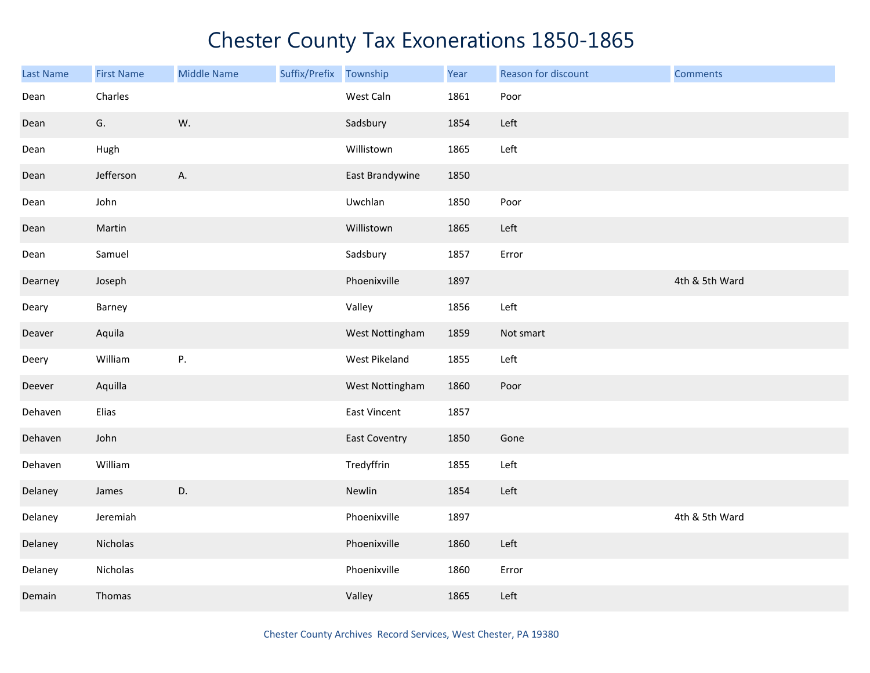| Last Name | <b>First Name</b> | <b>Middle Name</b> | Suffix/Prefix | Township             | Year | Reason for discount | <b>Comments</b> |
|-----------|-------------------|--------------------|---------------|----------------------|------|---------------------|-----------------|
| Dean      | Charles           |                    |               | West Caln            | 1861 | Poor                |                 |
| Dean      | G.                | W.                 |               | Sadsbury             | 1854 | Left                |                 |
| Dean      | Hugh              |                    |               | Willistown           | 1865 | Left                |                 |
| Dean      | Jefferson         | A.                 |               | East Brandywine      | 1850 |                     |                 |
| Dean      | John              |                    |               | Uwchlan              | 1850 | Poor                |                 |
| Dean      | Martin            |                    |               | Willistown           | 1865 | Left                |                 |
| Dean      | Samuel            |                    |               | Sadsbury             | 1857 | Error               |                 |
| Dearney   | Joseph            |                    |               | Phoenixville         | 1897 |                     | 4th & 5th Ward  |
| Deary     | Barney            |                    |               | Valley               | 1856 | Left                |                 |
| Deaver    | Aquila            |                    |               | West Nottingham      | 1859 | Not smart           |                 |
| Deery     | William           | P.                 |               | West Pikeland        | 1855 | Left                |                 |
| Deever    | Aquilla           |                    |               | West Nottingham      | 1860 | Poor                |                 |
| Dehaven   | Elias             |                    |               | East Vincent         | 1857 |                     |                 |
| Dehaven   | John              |                    |               | <b>East Coventry</b> | 1850 | Gone                |                 |
| Dehaven   | William           |                    |               | Tredyffrin           | 1855 | Left                |                 |
| Delaney   | James             | D.                 |               | Newlin               | 1854 | Left                |                 |
| Delaney   | Jeremiah          |                    |               | Phoenixville         | 1897 |                     | 4th & 5th Ward  |
| Delaney   | Nicholas          |                    |               | Phoenixville         | 1860 | Left                |                 |
| Delaney   | Nicholas          |                    |               | Phoenixville         | 1860 | Error               |                 |
| Demain    | Thomas            |                    |               | Valley               | 1865 | Left                |                 |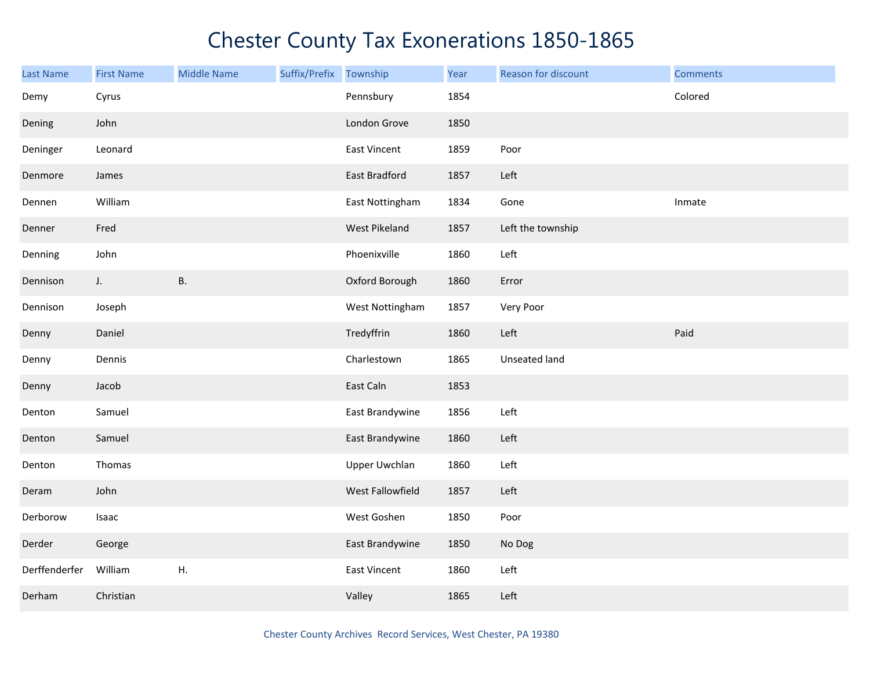| <b>Last Name</b> | <b>First Name</b> | <b>Middle Name</b> | Suffix/Prefix | Township             | Year | Reason for discount | <b>Comments</b> |
|------------------|-------------------|--------------------|---------------|----------------------|------|---------------------|-----------------|
| Demy             | Cyrus             |                    |               | Pennsbury            | 1854 |                     | Colored         |
| Dening           | John              |                    |               | London Grove         | 1850 |                     |                 |
| Deninger         | Leonard           |                    |               | <b>East Vincent</b>  | 1859 | Poor                |                 |
| Denmore          | James             |                    |               | East Bradford        | 1857 | Left                |                 |
| Dennen           | William           |                    |               | East Nottingham      | 1834 | Gone                | Inmate          |
| Denner           | Fred              |                    |               | West Pikeland        | 1857 | Left the township   |                 |
| Denning          | John              |                    |               | Phoenixville         | 1860 | Left                |                 |
| Dennison         | $J_{\star}$       | Β.                 |               | Oxford Borough       | 1860 | Error               |                 |
| Dennison         | Joseph            |                    |               | West Nottingham      | 1857 | Very Poor           |                 |
| Denny            | Daniel            |                    |               | Tredyffrin           | 1860 | Left                | Paid            |
| Denny            | Dennis            |                    |               | Charlestown          | 1865 | Unseated land       |                 |
| Denny            | Jacob             |                    |               | East Caln            | 1853 |                     |                 |
| Denton           | Samuel            |                    |               | East Brandywine      | 1856 | Left                |                 |
| Denton           | Samuel            |                    |               | East Brandywine      | 1860 | Left                |                 |
| Denton           | Thomas            |                    |               | <b>Upper Uwchlan</b> | 1860 | Left                |                 |
| Deram            | John              |                    |               | West Fallowfield     | 1857 | Left                |                 |
| Derborow         | Isaac             |                    |               | West Goshen          | 1850 | Poor                |                 |
| Derder           | George            |                    |               | East Brandywine      | 1850 | No Dog              |                 |
| Derffenderfer    | William           | Η.                 |               | East Vincent         | 1860 | Left                |                 |
| Derham           | Christian         |                    |               | Valley               | 1865 | Left                |                 |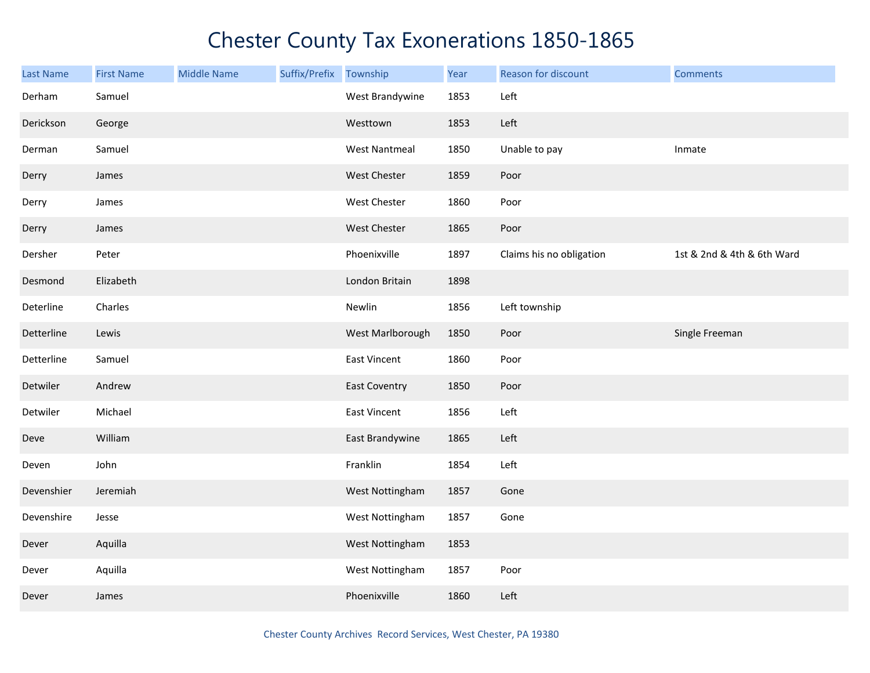| Last Name  | <b>First Name</b> | <b>Middle Name</b> | Suffix/Prefix | Township             | Year | Reason for discount      | <b>Comments</b>            |
|------------|-------------------|--------------------|---------------|----------------------|------|--------------------------|----------------------------|
| Derham     | Samuel            |                    |               | West Brandywine      | 1853 | Left                     |                            |
| Derickson  | George            |                    |               | Westtown             | 1853 | Left                     |                            |
| Derman     | Samuel            |                    |               | <b>West Nantmeal</b> | 1850 | Unable to pay            | Inmate                     |
| Derry      | James             |                    |               | West Chester         | 1859 | Poor                     |                            |
| Derry      | James             |                    |               | West Chester         | 1860 | Poor                     |                            |
| Derry      | James             |                    |               | West Chester         | 1865 | Poor                     |                            |
| Dersher    | Peter             |                    |               | Phoenixville         | 1897 | Claims his no obligation | 1st & 2nd & 4th & 6th Ward |
| Desmond    | Elizabeth         |                    |               | London Britain       | 1898 |                          |                            |
| Deterline  | Charles           |                    |               | Newlin               | 1856 | Left township            |                            |
| Detterline | Lewis             |                    |               | West Marlborough     | 1850 | Poor                     | Single Freeman             |
| Detterline | Samuel            |                    |               | East Vincent         | 1860 | Poor                     |                            |
| Detwiler   | Andrew            |                    |               | <b>East Coventry</b> | 1850 | Poor                     |                            |
| Detwiler   | Michael           |                    |               | <b>East Vincent</b>  | 1856 | Left                     |                            |
| Deve       | William           |                    |               | East Brandywine      | 1865 | Left                     |                            |
| Deven      | John              |                    |               | Franklin             | 1854 | Left                     |                            |
| Devenshier | Jeremiah          |                    |               | West Nottingham      | 1857 | Gone                     |                            |
| Devenshire | Jesse             |                    |               | West Nottingham      | 1857 | Gone                     |                            |
| Dever      | Aquilla           |                    |               | West Nottingham      | 1853 |                          |                            |
| Dever      | Aquilla           |                    |               | West Nottingham      | 1857 | Poor                     |                            |
| Dever      | James             |                    |               | Phoenixville         | 1860 | Left                     |                            |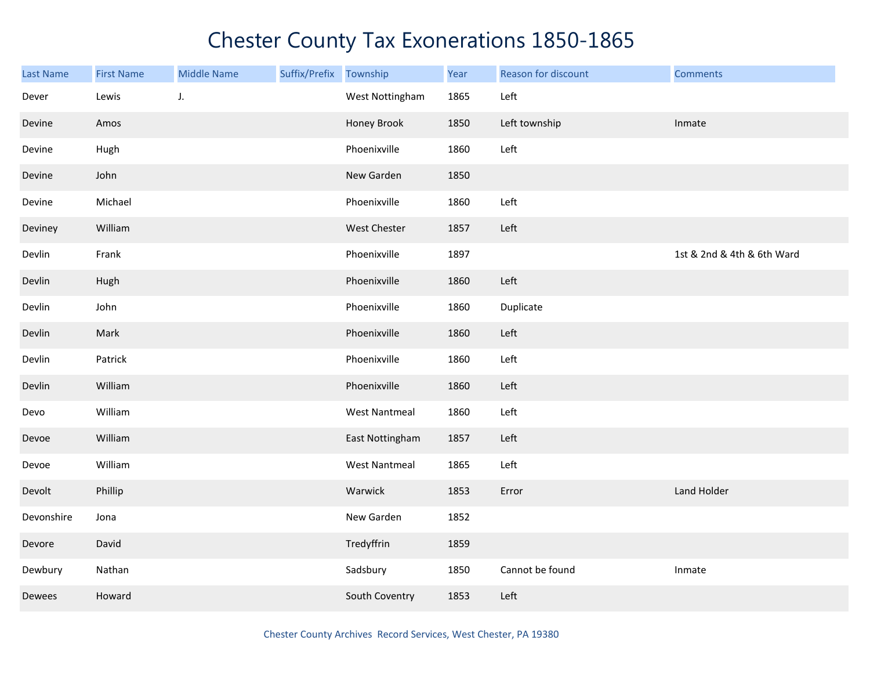| <b>Last Name</b> | <b>First Name</b> | <b>Middle Name</b> | Suffix/Prefix Township |                      | Year | Reason for discount | <b>Comments</b>            |
|------------------|-------------------|--------------------|------------------------|----------------------|------|---------------------|----------------------------|
| Dever            | Lewis             | J.                 |                        | West Nottingham      | 1865 | Left                |                            |
| Devine           | Amos              |                    |                        | Honey Brook          | 1850 | Left township       | Inmate                     |
| Devine           | Hugh              |                    |                        | Phoenixville         | 1860 | Left                |                            |
| Devine           | John              |                    |                        | New Garden           | 1850 |                     |                            |
| Devine           | Michael           |                    |                        | Phoenixville         | 1860 | Left                |                            |
| Deviney          | William           |                    |                        | West Chester         | 1857 | Left                |                            |
| Devlin           | Frank             |                    |                        | Phoenixville         | 1897 |                     | 1st & 2nd & 4th & 6th Ward |
| Devlin           | Hugh              |                    |                        | Phoenixville         | 1860 | Left                |                            |
| Devlin           | John              |                    |                        | Phoenixville         | 1860 | Duplicate           |                            |
| Devlin           | Mark              |                    |                        | Phoenixville         | 1860 | Left                |                            |
| Devlin           | Patrick           |                    |                        | Phoenixville         | 1860 | Left                |                            |
| Devlin           | William           |                    |                        | Phoenixville         | 1860 | Left                |                            |
| Devo             | William           |                    |                        | <b>West Nantmeal</b> | 1860 | Left                |                            |
| Devoe            | William           |                    |                        | East Nottingham      | 1857 | Left                |                            |
| Devoe            | William           |                    |                        | <b>West Nantmeal</b> | 1865 | Left                |                            |
| Devolt           | Phillip           |                    |                        | Warwick              | 1853 | Error               | Land Holder                |
| Devonshire       | Jona              |                    |                        | New Garden           | 1852 |                     |                            |
| Devore           | David             |                    |                        | Tredyffrin           | 1859 |                     |                            |
| Dewbury          | Nathan            |                    |                        | Sadsbury             | 1850 | Cannot be found     | Inmate                     |
| Dewees           | Howard            |                    |                        | South Coventry       | 1853 | Left                |                            |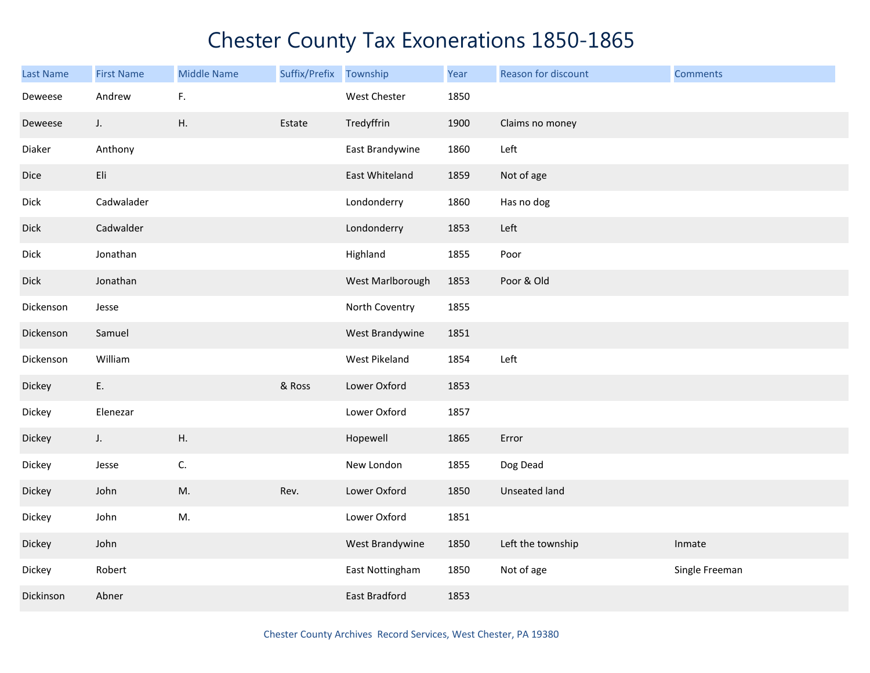| Last Name   | <b>First Name</b> | <b>Middle Name</b> | Suffix/Prefix | Township         | Year | Reason for discount  | <b>Comments</b> |
|-------------|-------------------|--------------------|---------------|------------------|------|----------------------|-----------------|
| Deweese     | Andrew            | F.                 |               | West Chester     | 1850 |                      |                 |
| Deweese     | J.                | Η.                 | Estate        | Tredyffrin       | 1900 | Claims no money      |                 |
| Diaker      | Anthony           |                    |               | East Brandywine  | 1860 | Left                 |                 |
| Dice        | Eli               |                    |               | East Whiteland   | 1859 | Not of age           |                 |
| <b>Dick</b> | Cadwalader        |                    |               | Londonderry      | 1860 | Has no dog           |                 |
| <b>Dick</b> | Cadwalder         |                    |               | Londonderry      | 1853 | Left                 |                 |
| Dick        | Jonathan          |                    |               | Highland         | 1855 | Poor                 |                 |
| Dick        | Jonathan          |                    |               | West Marlborough | 1853 | Poor & Old           |                 |
| Dickenson   | Jesse             |                    |               | North Coventry   | 1855 |                      |                 |
| Dickenson   | Samuel            |                    |               | West Brandywine  | 1851 |                      |                 |
| Dickenson   | William           |                    |               | West Pikeland    | 1854 | Left                 |                 |
| Dickey      | E.                |                    | & Ross        | Lower Oxford     | 1853 |                      |                 |
| Dickey      | Elenezar          |                    |               | Lower Oxford     | 1857 |                      |                 |
| Dickey      | J.                | Η.                 |               | Hopewell         | 1865 | Error                |                 |
| Dickey      | Jesse             | C.                 |               | New London       | 1855 | Dog Dead             |                 |
| Dickey      | John              | M.                 | Rev.          | Lower Oxford     | 1850 | <b>Unseated land</b> |                 |
| Dickey      | John              | M.                 |               | Lower Oxford     | 1851 |                      |                 |
| Dickey      | John              |                    |               | West Brandywine  | 1850 | Left the township    | Inmate          |
| Dickey      | Robert            |                    |               | East Nottingham  | 1850 | Not of age           | Single Freeman  |
| Dickinson   | Abner             |                    |               | East Bradford    | 1853 |                      |                 |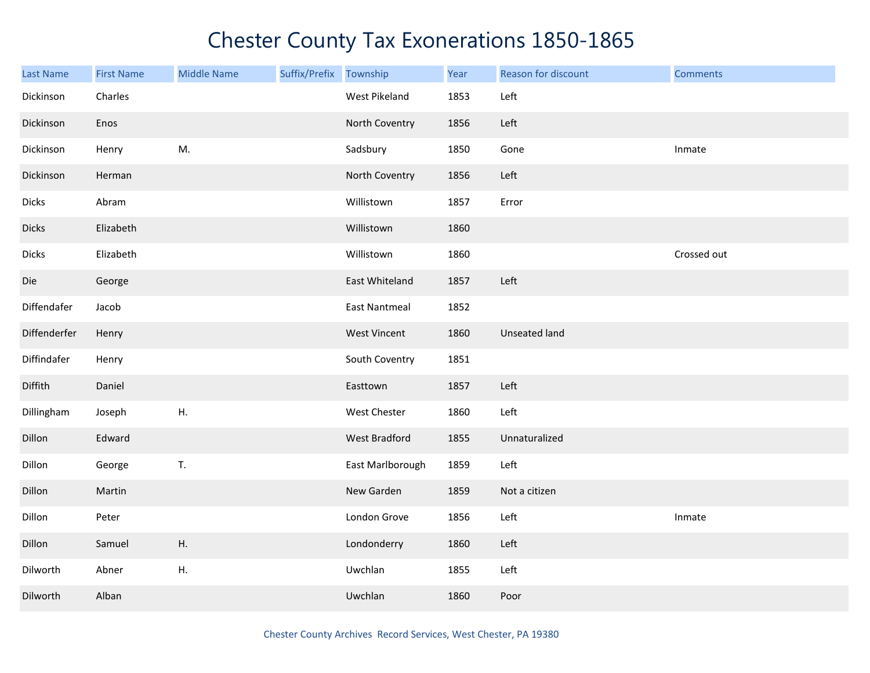| <b>Last Name</b> | <b>First Name</b> | <b>Middle Name</b> | Suffix/Prefix Township |                      | Year | Reason for discount  | <b>Comments</b> |
|------------------|-------------------|--------------------|------------------------|----------------------|------|----------------------|-----------------|
| Dickinson        | Charles           |                    |                        | West Pikeland        | 1853 | Left                 |                 |
| Dickinson        | Enos              |                    |                        | North Coventry       | 1856 | Left                 |                 |
| Dickinson        | Henry             | M.                 |                        | Sadsbury             | 1850 | Gone                 | Inmate          |
| Dickinson        | Herman            |                    |                        | North Coventry       | 1856 | Left                 |                 |
| <b>Dicks</b>     | Abram             |                    |                        | Willistown           | 1857 | Error                |                 |
| <b>Dicks</b>     | Elizabeth         |                    |                        | Willistown           | 1860 |                      |                 |
| <b>Dicks</b>     | Elizabeth         |                    |                        | Willistown           | 1860 |                      | Crossed out     |
| Die              | George            |                    |                        | East Whiteland       | 1857 | Left                 |                 |
| Diffendafer      | Jacob             |                    |                        | <b>East Nantmeal</b> | 1852 |                      |                 |
| Diffenderfer     | Henry             |                    |                        | <b>West Vincent</b>  | 1860 | <b>Unseated land</b> |                 |
| Diffindafer      | Henry             |                    |                        | South Coventry       | 1851 |                      |                 |
| Diffith          | Daniel            |                    |                        | Easttown             | 1857 | Left                 |                 |
| Dillingham       | Joseph            | Η.                 |                        | West Chester         | 1860 | Left                 |                 |
| Dillon           | Edward            |                    |                        | West Bradford        | 1855 | Unnaturalized        |                 |
| Dillon           | George            | T.                 |                        | East Marlborough     | 1859 | Left                 |                 |
| Dillon           | Martin            |                    |                        | New Garden           | 1859 | Not a citizen        |                 |
| Dillon           | Peter             |                    |                        | London Grove         | 1856 | Left                 | Inmate          |
| Dillon           | Samuel            | Η.                 |                        | Londonderry          | 1860 | Left                 |                 |
| Dilworth         | Abner             | Η.                 |                        | Uwchlan              | 1855 | Left                 |                 |
| Dilworth         | Alban             |                    |                        | Uwchlan              | 1860 | Poor                 |                 |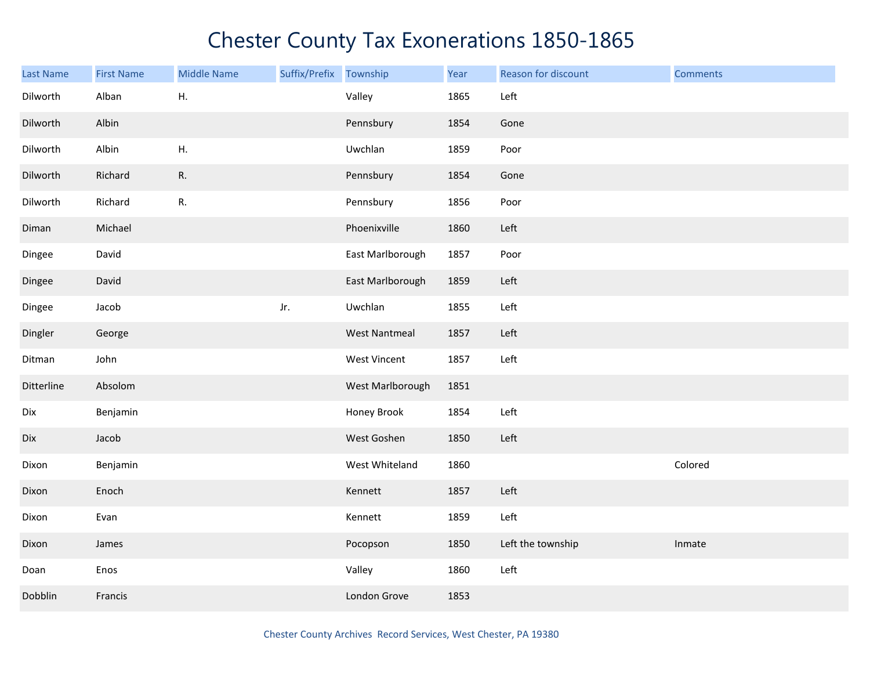| Last Name  | <b>First Name</b> | <b>Middle Name</b> | Suffix/Prefix Township |                      | Year | Reason for discount | <b>Comments</b> |
|------------|-------------------|--------------------|------------------------|----------------------|------|---------------------|-----------------|
| Dilworth   | Alban             | Η.                 |                        | Valley               | 1865 | Left                |                 |
| Dilworth   | Albin             |                    |                        | Pennsbury            | 1854 | Gone                |                 |
| Dilworth   | Albin             | Η.                 |                        | Uwchlan              | 1859 | Poor                |                 |
| Dilworth   | Richard           | R.                 |                        | Pennsbury            | 1854 | Gone                |                 |
| Dilworth   | Richard           | R.                 |                        | Pennsbury            | 1856 | Poor                |                 |
| Diman      | Michael           |                    |                        | Phoenixville         | 1860 | Left                |                 |
| Dingee     | David             |                    |                        | East Marlborough     | 1857 | Poor                |                 |
| Dingee     | David             |                    |                        | East Marlborough     | 1859 | Left                |                 |
| Dingee     | Jacob             |                    | Jr.                    | Uwchlan              | 1855 | Left                |                 |
| Dingler    | George            |                    |                        | <b>West Nantmeal</b> | 1857 | Left                |                 |
| Ditman     | John              |                    |                        | West Vincent         | 1857 | Left                |                 |
| Ditterline | Absolom           |                    |                        | West Marlborough     | 1851 |                     |                 |
| Dix        | Benjamin          |                    |                        | Honey Brook          | 1854 | Left                |                 |
| Dix        | Jacob             |                    |                        | West Goshen          | 1850 | Left                |                 |
| Dixon      | Benjamin          |                    |                        | West Whiteland       | 1860 |                     | Colored         |
| Dixon      | Enoch             |                    |                        | Kennett              | 1857 | Left                |                 |
| Dixon      | Evan              |                    |                        | Kennett              | 1859 | Left                |                 |
| Dixon      | James             |                    |                        | Pocopson             | 1850 | Left the township   | Inmate          |
| Doan       | Enos              |                    |                        | Valley               | 1860 | Left                |                 |
| Dobblin    | Francis           |                    |                        | London Grove         | 1853 |                     |                 |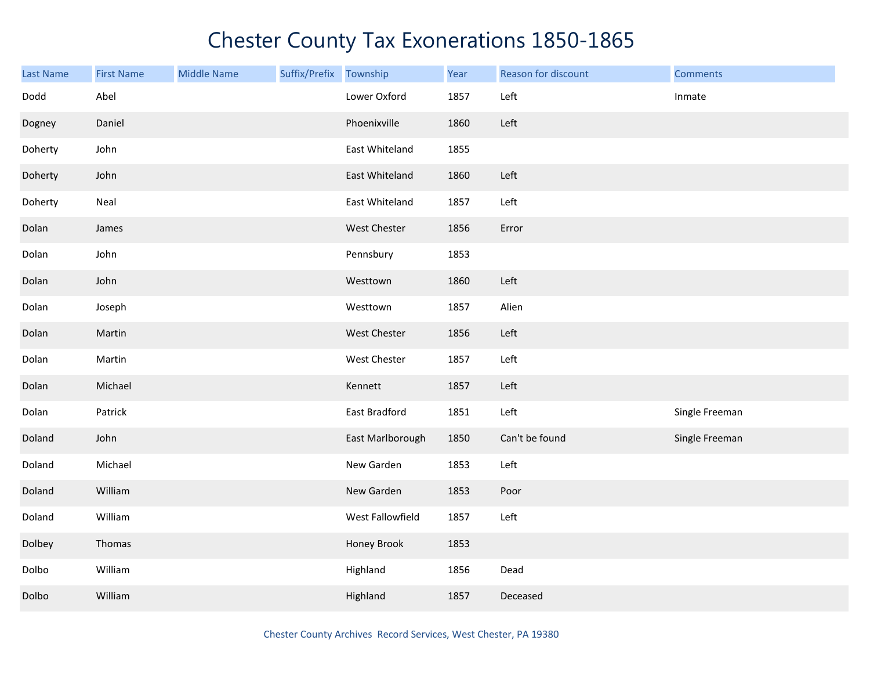| <b>Last Name</b> | <b>First Name</b> | <b>Middle Name</b> | Suffix/Prefix | Township         | Year | Reason for discount | <b>Comments</b> |
|------------------|-------------------|--------------------|---------------|------------------|------|---------------------|-----------------|
| Dodd             | Abel              |                    |               | Lower Oxford     | 1857 | Left                | Inmate          |
| Dogney           | Daniel            |                    |               | Phoenixville     | 1860 | Left                |                 |
| Doherty          | John              |                    |               | East Whiteland   | 1855 |                     |                 |
| Doherty          | John              |                    |               | East Whiteland   | 1860 | Left                |                 |
| Doherty          | Neal              |                    |               | East Whiteland   | 1857 | Left                |                 |
| Dolan            | James             |                    |               | West Chester     | 1856 | Error               |                 |
| Dolan            | John              |                    |               | Pennsbury        | 1853 |                     |                 |
| Dolan            | John              |                    |               | Westtown         | 1860 | Left                |                 |
| Dolan            | Joseph            |                    |               | Westtown         | 1857 | Alien               |                 |
| Dolan            | Martin            |                    |               | West Chester     | 1856 | Left                |                 |
| Dolan            | Martin            |                    |               | West Chester     | 1857 | Left                |                 |
| Dolan            | Michael           |                    |               | Kennett          | 1857 | Left                |                 |
| Dolan            | Patrick           |                    |               | East Bradford    | 1851 | Left                | Single Freeman  |
| Doland           | John              |                    |               | East Marlborough | 1850 | Can't be found      | Single Freeman  |
| Doland           | Michael           |                    |               | New Garden       | 1853 | Left                |                 |
| Doland           | William           |                    |               | New Garden       | 1853 | Poor                |                 |
| Doland           | William           |                    |               | West Fallowfield | 1857 | Left                |                 |
| Dolbey           | Thomas            |                    |               | Honey Brook      | 1853 |                     |                 |
| Dolbo            | William           |                    |               | Highland         | 1856 | Dead                |                 |
| Dolbo            | William           |                    |               | Highland         | 1857 | Deceased            |                 |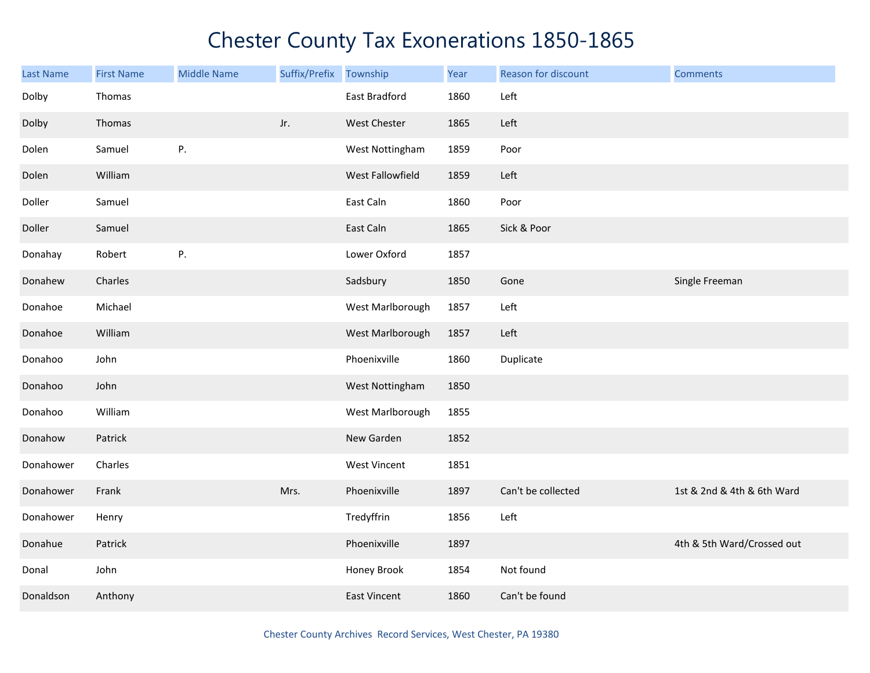| <b>Last Name</b> | <b>First Name</b> | <b>Middle Name</b> | Suffix/Prefix Township |                     | Year | Reason for discount | <b>Comments</b>            |
|------------------|-------------------|--------------------|------------------------|---------------------|------|---------------------|----------------------------|
| Dolby            | Thomas            |                    |                        | East Bradford       | 1860 | Left                |                            |
| Dolby            | Thomas            |                    | Jr.                    | <b>West Chester</b> | 1865 | Left                |                            |
| Dolen            | Samuel            | P.                 |                        | West Nottingham     | 1859 | Poor                |                            |
| Dolen            | William           |                    |                        | West Fallowfield    | 1859 | Left                |                            |
| Doller           | Samuel            |                    |                        | East Caln           | 1860 | Poor                |                            |
| Doller           | Samuel            |                    |                        | East Caln           | 1865 | Sick & Poor         |                            |
| Donahay          | Robert            | P.                 |                        | Lower Oxford        | 1857 |                     |                            |
| Donahew          | Charles           |                    |                        | Sadsbury            | 1850 | Gone                | Single Freeman             |
| Donahoe          | Michael           |                    |                        | West Marlborough    | 1857 | Left                |                            |
| Donahoe          | William           |                    |                        | West Marlborough    | 1857 | Left                |                            |
| Donahoo          | John              |                    |                        | Phoenixville        | 1860 | Duplicate           |                            |
| Donahoo          | John              |                    |                        | West Nottingham     | 1850 |                     |                            |
| Donahoo          | William           |                    |                        | West Marlborough    | 1855 |                     |                            |
| Donahow          | Patrick           |                    |                        | New Garden          | 1852 |                     |                            |
| Donahower        | Charles           |                    |                        | West Vincent        | 1851 |                     |                            |
| Donahower        | Frank             |                    | Mrs.                   | Phoenixville        | 1897 | Can't be collected  | 1st & 2nd & 4th & 6th Ward |
| Donahower        | Henry             |                    |                        | Tredyffrin          | 1856 | Left                |                            |
| Donahue          | Patrick           |                    |                        | Phoenixville        | 1897 |                     | 4th & 5th Ward/Crossed out |
| Donal            | John              |                    |                        | Honey Brook         | 1854 | Not found           |                            |
| Donaldson        | Anthony           |                    |                        | <b>East Vincent</b> | 1860 | Can't be found      |                            |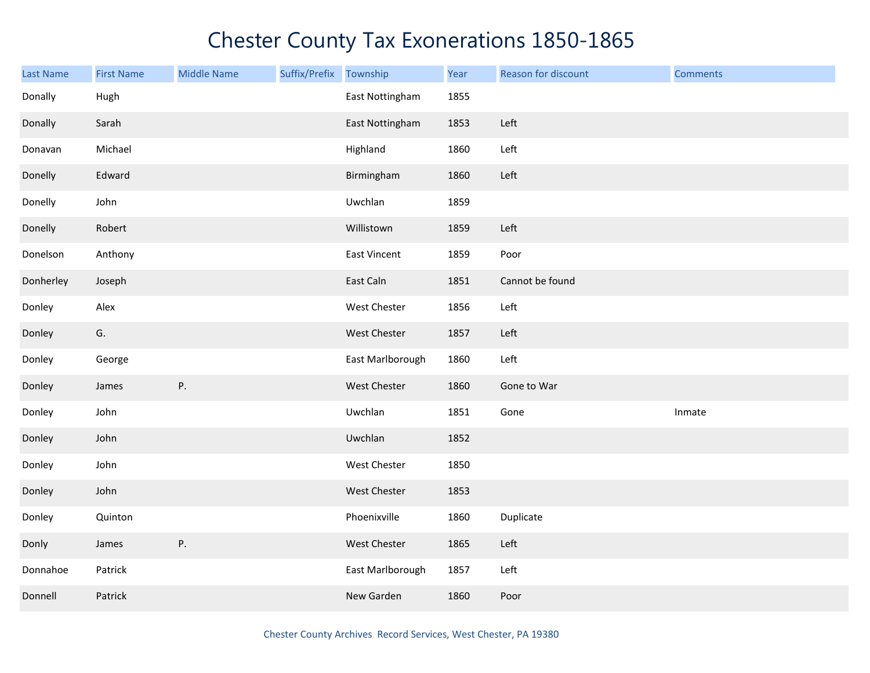| <b>Last Name</b> | <b>First Name</b> | <b>Middle Name</b> | Suffix/Prefix | Township         | Year | Reason for discount | <b>Comments</b> |
|------------------|-------------------|--------------------|---------------|------------------|------|---------------------|-----------------|
| Donally          | Hugh              |                    |               | East Nottingham  | 1855 |                     |                 |
| Donally          | Sarah             |                    |               | East Nottingham  | 1853 | Left                |                 |
| Donavan          | Michael           |                    |               | Highland         | 1860 | Left                |                 |
| Donelly          | Edward            |                    |               | Birmingham       | 1860 | Left                |                 |
| Donelly          | John              |                    |               | Uwchlan          | 1859 |                     |                 |
| Donelly          | Robert            |                    |               | Willistown       | 1859 | Left                |                 |
| Donelson         | Anthony           |                    |               | East Vincent     | 1859 | Poor                |                 |
| Donherley        | Joseph            |                    |               | East Caln        | 1851 | Cannot be found     |                 |
| Donley           | Alex              |                    |               | West Chester     | 1856 | Left                |                 |
| Donley           | G.                |                    |               | West Chester     | 1857 | Left                |                 |
| Donley           | George            |                    |               | East Marlborough | 1860 | Left                |                 |
| Donley           | James             | ${\sf P}.$         |               | West Chester     | 1860 | Gone to War         |                 |
| Donley           | John              |                    |               | Uwchlan          | 1851 | Gone                | Inmate          |
| Donley           | John              |                    |               | Uwchlan          | 1852 |                     |                 |
| Donley           | John              |                    |               | West Chester     | 1850 |                     |                 |
| Donley           | John              |                    |               | West Chester     | 1853 |                     |                 |
| Donley           | Quinton           |                    |               | Phoenixville     | 1860 | Duplicate           |                 |
| Donly            | James             | Ρ.                 |               | West Chester     | 1865 | Left                |                 |
| Donnahoe         | Patrick           |                    |               | East Marlborough | 1857 | Left                |                 |
| Donnell          | Patrick           |                    |               | New Garden       | 1860 | Poor                |                 |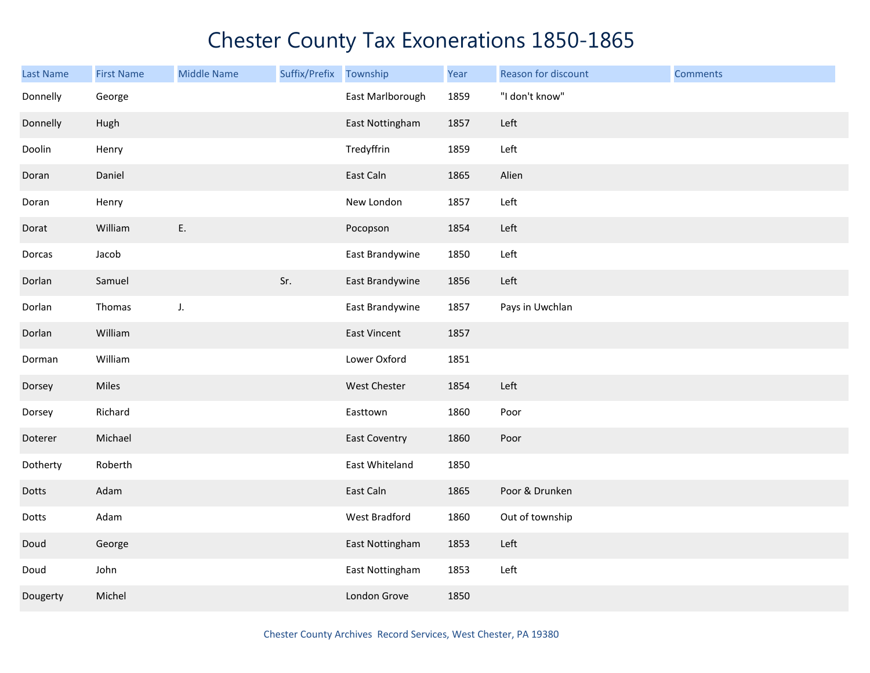| <b>Last Name</b> | <b>First Name</b> | <b>Middle Name</b> | Suffix/Prefix | Township             | Year | Reason for discount | <b>Comments</b> |
|------------------|-------------------|--------------------|---------------|----------------------|------|---------------------|-----------------|
| Donnelly         | George            |                    |               | East Marlborough     | 1859 | "I don't know"      |                 |
| Donnelly         | Hugh              |                    |               | East Nottingham      | 1857 | Left                |                 |
| Doolin           | Henry             |                    |               | Tredyffrin           | 1859 | Left                |                 |
| Doran            | Daniel            |                    |               | East Caln            | 1865 | Alien               |                 |
| Doran            | Henry             |                    |               | New London           | 1857 | Left                |                 |
| Dorat            | William           | Ε.                 |               | Pocopson             | 1854 | Left                |                 |
| Dorcas           | Jacob             |                    |               | East Brandywine      | 1850 | Left                |                 |
| Dorlan           | Samuel            |                    | Sr.           | East Brandywine      | 1856 | Left                |                 |
| Dorlan           | Thomas            | J.                 |               | East Brandywine      | 1857 | Pays in Uwchlan     |                 |
| Dorlan           | William           |                    |               | <b>East Vincent</b>  | 1857 |                     |                 |
| Dorman           | William           |                    |               | Lower Oxford         | 1851 |                     |                 |
| Dorsey           | Miles             |                    |               | West Chester         | 1854 | Left                |                 |
| Dorsey           | Richard           |                    |               | Easttown             | 1860 | Poor                |                 |
| Doterer          | Michael           |                    |               | <b>East Coventry</b> | 1860 | Poor                |                 |
| Dotherty         | Roberth           |                    |               | East Whiteland       | 1850 |                     |                 |
| Dotts            | Adam              |                    |               | East Caln            | 1865 | Poor & Drunken      |                 |
| Dotts            | Adam              |                    |               | West Bradford        | 1860 | Out of township     |                 |
| Doud             | George            |                    |               | East Nottingham      | 1853 | Left                |                 |
| Doud             | John              |                    |               | East Nottingham      | 1853 | Left                |                 |
| Dougerty         | Michel            |                    |               | London Grove         | 1850 |                     |                 |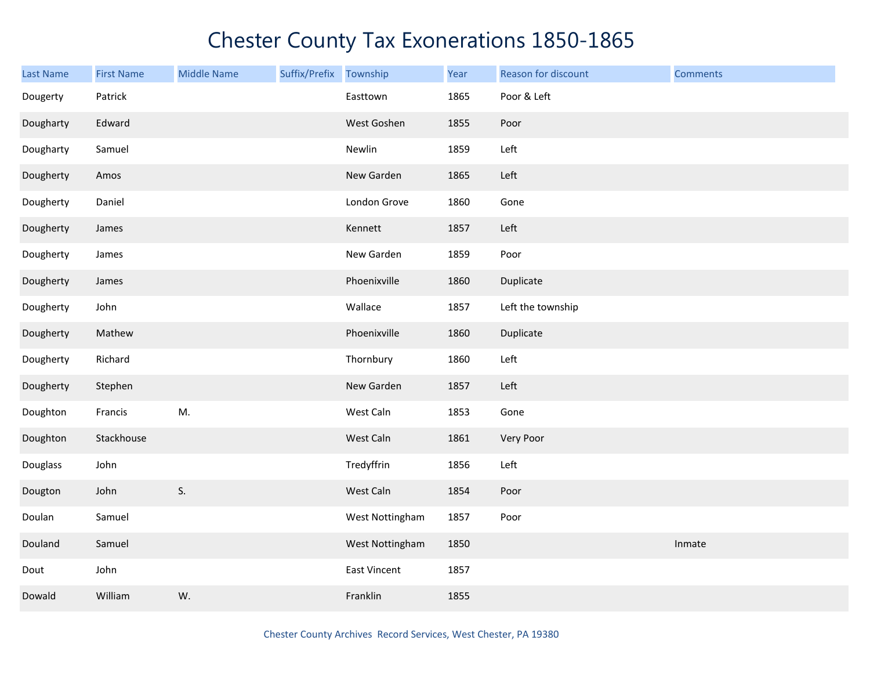| Last Name | <b>First Name</b> | <b>Middle Name</b> | Suffix/Prefix Township |                     | Year | Reason for discount | <b>Comments</b> |
|-----------|-------------------|--------------------|------------------------|---------------------|------|---------------------|-----------------|
| Dougerty  | Patrick           |                    |                        | Easttown            | 1865 | Poor & Left         |                 |
| Dougharty | Edward            |                    |                        | West Goshen         | 1855 | Poor                |                 |
| Dougharty | Samuel            |                    |                        | Newlin              | 1859 | Left                |                 |
| Dougherty | Amos              |                    |                        | New Garden          | 1865 | Left                |                 |
| Dougherty | Daniel            |                    |                        | London Grove        | 1860 | Gone                |                 |
| Dougherty | James             |                    |                        | Kennett             | 1857 | Left                |                 |
| Dougherty | James             |                    |                        | New Garden          | 1859 | Poor                |                 |
| Dougherty | James             |                    |                        | Phoenixville        | 1860 | Duplicate           |                 |
| Dougherty | John              |                    |                        | Wallace             | 1857 | Left the township   |                 |
| Dougherty | Mathew            |                    |                        | Phoenixville        | 1860 | Duplicate           |                 |
| Dougherty | Richard           |                    |                        | Thornbury           | 1860 | Left                |                 |
| Dougherty | Stephen           |                    |                        | New Garden          | 1857 | Left                |                 |
| Doughton  | Francis           | M.                 |                        | West Caln           | 1853 | Gone                |                 |
| Doughton  | Stackhouse        |                    |                        | West Caln           | 1861 | Very Poor           |                 |
| Douglass  | John              |                    |                        | Tredyffrin          | 1856 | Left                |                 |
| Dougton   | John              | S.                 |                        | West Caln           | 1854 | Poor                |                 |
| Doulan    | Samuel            |                    |                        | West Nottingham     | 1857 | Poor                |                 |
| Douland   | Samuel            |                    |                        | West Nottingham     | 1850 |                     | Inmate          |
| Dout      | John              |                    |                        | <b>East Vincent</b> | 1857 |                     |                 |
| Dowald    | William           | W.                 |                        | Franklin            | 1855 |                     |                 |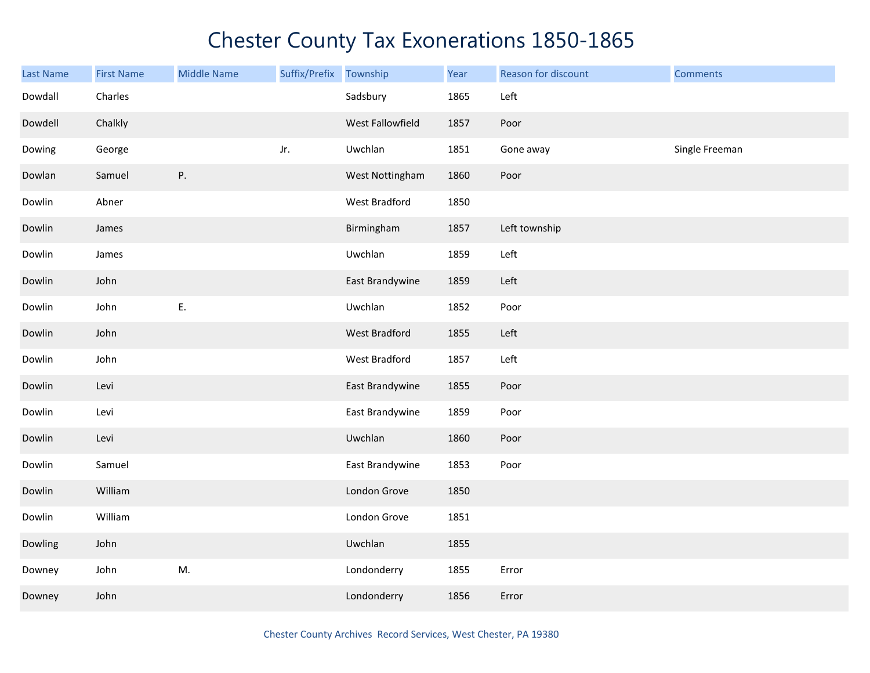| Last Name | <b>First Name</b> | <b>Middle Name</b> | Suffix/Prefix | Township             | Year | <b>Reason for discount</b> | <b>Comments</b> |
|-----------|-------------------|--------------------|---------------|----------------------|------|----------------------------|-----------------|
| Dowdall   | Charles           |                    |               | Sadsbury             | 1865 | Left                       |                 |
| Dowdell   | Chalkly           |                    |               | West Fallowfield     | 1857 | Poor                       |                 |
| Dowing    | George            |                    | Jr.           | Uwchlan              | 1851 | Gone away                  | Single Freeman  |
| Dowlan    | Samuel            | P.                 |               | West Nottingham      | 1860 | Poor                       |                 |
| Dowlin    | Abner             |                    |               | West Bradford        | 1850 |                            |                 |
| Dowlin    | James             |                    |               | Birmingham           | 1857 | Left township              |                 |
| Dowlin    | James             |                    |               | Uwchlan              | 1859 | Left                       |                 |
| Dowlin    | John              |                    |               | East Brandywine      | 1859 | Left                       |                 |
| Dowlin    | John              | Ε.                 |               | Uwchlan              | 1852 | Poor                       |                 |
| Dowlin    | John              |                    |               | <b>West Bradford</b> | 1855 | Left                       |                 |
| Dowlin    | John              |                    |               | West Bradford        | 1857 | Left                       |                 |
| Dowlin    | Levi              |                    |               | East Brandywine      | 1855 | Poor                       |                 |
| Dowlin    | Levi              |                    |               | East Brandywine      | 1859 | Poor                       |                 |
| Dowlin    | Levi              |                    |               | Uwchlan              | 1860 | Poor                       |                 |
| Dowlin    | Samuel            |                    |               | East Brandywine      | 1853 | Poor                       |                 |
| Dowlin    | William           |                    |               | London Grove         | 1850 |                            |                 |
| Dowlin    | William           |                    |               | London Grove         | 1851 |                            |                 |
| Dowling   | John              |                    |               | Uwchlan              | 1855 |                            |                 |
| Downey    | John              | M.                 |               | Londonderry          | 1855 | Error                      |                 |
| Downey    | John              |                    |               | Londonderry          | 1856 | Error                      |                 |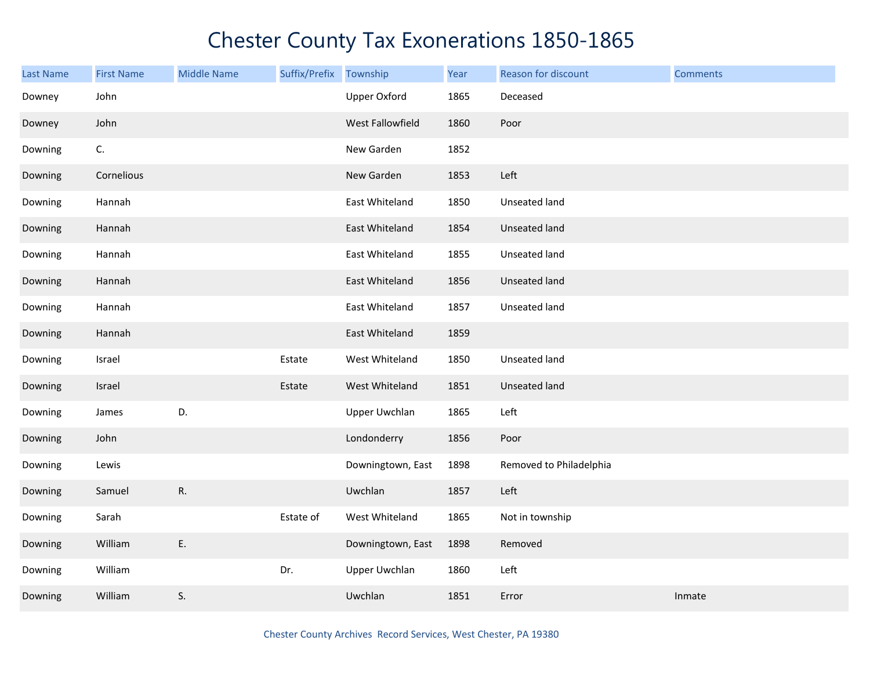| Last Name | <b>First Name</b> | <b>Middle Name</b> | Suffix/Prefix | Township             | Year | Reason for discount     | <b>Comments</b> |
|-----------|-------------------|--------------------|---------------|----------------------|------|-------------------------|-----------------|
| Downey    | John              |                    |               | <b>Upper Oxford</b>  | 1865 | Deceased                |                 |
| Downey    | John              |                    |               | West Fallowfield     | 1860 | Poor                    |                 |
| Downing   | C.                |                    |               | New Garden           | 1852 |                         |                 |
| Downing   | Cornelious        |                    |               | New Garden           | 1853 | Left                    |                 |
| Downing   | Hannah            |                    |               | East Whiteland       | 1850 | Unseated land           |                 |
| Downing   | Hannah            |                    |               | East Whiteland       | 1854 | Unseated land           |                 |
| Downing   | Hannah            |                    |               | East Whiteland       | 1855 | Unseated land           |                 |
| Downing   | Hannah            |                    |               | East Whiteland       | 1856 | Unseated land           |                 |
| Downing   | Hannah            |                    |               | East Whiteland       | 1857 | Unseated land           |                 |
| Downing   | Hannah            |                    |               | East Whiteland       | 1859 |                         |                 |
| Downing   | Israel            |                    | Estate        | West Whiteland       | 1850 | Unseated land           |                 |
| Downing   | Israel            |                    | Estate        | West Whiteland       | 1851 | Unseated land           |                 |
| Downing   | James             | D.                 |               | <b>Upper Uwchlan</b> | 1865 | Left                    |                 |
| Downing   | John              |                    |               | Londonderry          | 1856 | Poor                    |                 |
| Downing   | Lewis             |                    |               | Downingtown, East    | 1898 | Removed to Philadelphia |                 |
| Downing   | Samuel            | R.                 |               | Uwchlan              | 1857 | Left                    |                 |
| Downing   | Sarah             |                    | Estate of     | West Whiteland       | 1865 | Not in township         |                 |
| Downing   | William           | Ε.                 |               | Downingtown, East    | 1898 | Removed                 |                 |
| Downing   | William           |                    | Dr.           | <b>Upper Uwchlan</b> | 1860 | Left                    |                 |
| Downing   | William           | S.                 |               | Uwchlan              | 1851 | Error                   | Inmate          |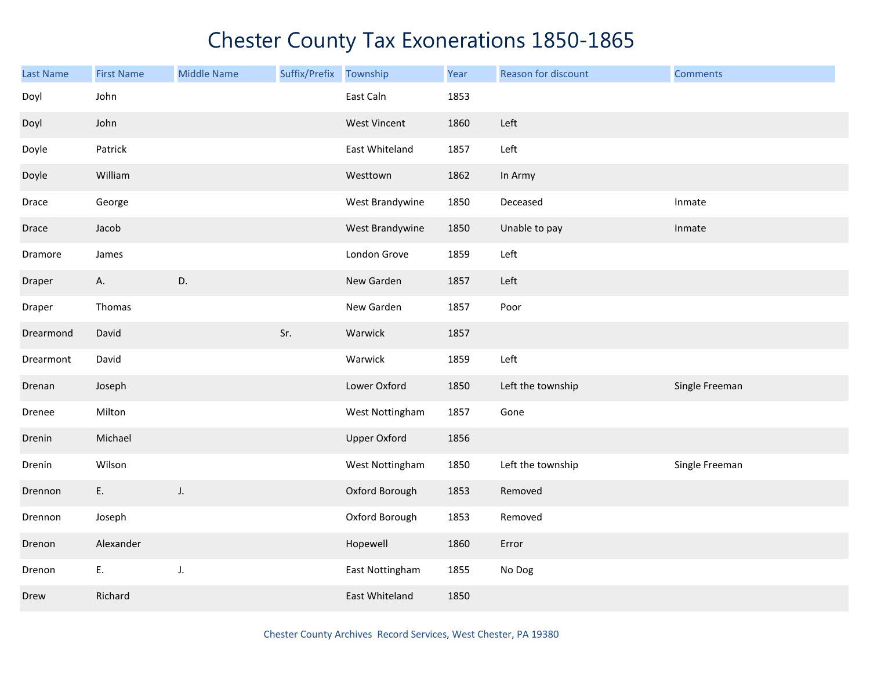| Last Name | <b>First Name</b> | <b>Middle Name</b> | Suffix/Prefix | Township            | Year | Reason for discount | <b>Comments</b> |
|-----------|-------------------|--------------------|---------------|---------------------|------|---------------------|-----------------|
| Doyl      | John              |                    |               | East Caln           | 1853 |                     |                 |
| Doyl      | John              |                    |               | <b>West Vincent</b> | 1860 | Left                |                 |
| Doyle     | Patrick           |                    |               | East Whiteland      | 1857 | Left                |                 |
| Doyle     | William           |                    |               | Westtown            | 1862 | In Army             |                 |
| Drace     | George            |                    |               | West Brandywine     | 1850 | Deceased            | Inmate          |
| Drace     | Jacob             |                    |               | West Brandywine     | 1850 | Unable to pay       | Inmate          |
| Dramore   | James             |                    |               | London Grove        | 1859 | Left                |                 |
| Draper    | A.                | D.                 |               | New Garden          | 1857 | Left                |                 |
| Draper    | Thomas            |                    |               | New Garden          | 1857 | Poor                |                 |
| Drearmond | David             |                    | Sr.           | Warwick             | 1857 |                     |                 |
| Drearmont | David             |                    |               | Warwick             | 1859 | Left                |                 |
| Drenan    | Joseph            |                    |               | Lower Oxford        | 1850 | Left the township   | Single Freeman  |
| Drenee    | Milton            |                    |               | West Nottingham     | 1857 | Gone                |                 |
| Drenin    | Michael           |                    |               | <b>Upper Oxford</b> | 1856 |                     |                 |
| Drenin    | Wilson            |                    |               | West Nottingham     | 1850 | Left the township   | Single Freeman  |
| Drennon   | E.                | J.                 |               | Oxford Borough      | 1853 | Removed             |                 |
| Drennon   | Joseph            |                    |               | Oxford Borough      | 1853 | Removed             |                 |
| Drenon    | Alexander         |                    |               | Hopewell            | 1860 | Error               |                 |
| Drenon    | E.                | J.                 |               | East Nottingham     | 1855 | No Dog              |                 |
| Drew      | Richard           |                    |               | East Whiteland      | 1850 |                     |                 |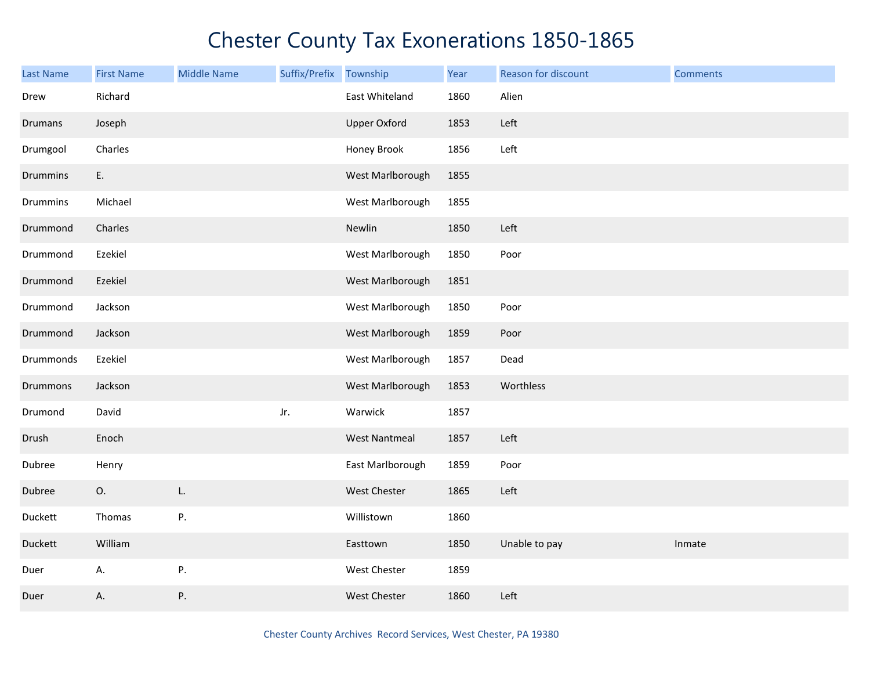| <b>Last Name</b> | <b>First Name</b> | <b>Middle Name</b> | Suffix/Prefix Township |                      | Year | Reason for discount | <b>Comments</b> |
|------------------|-------------------|--------------------|------------------------|----------------------|------|---------------------|-----------------|
| Drew             | Richard           |                    |                        | East Whiteland       | 1860 | Alien               |                 |
| Drumans          | Joseph            |                    |                        | <b>Upper Oxford</b>  | 1853 | Left                |                 |
| Drumgool         | Charles           |                    |                        | Honey Brook          | 1856 | Left                |                 |
| <b>Drummins</b>  | E.                |                    |                        | West Marlborough     | 1855 |                     |                 |
| Drummins         | Michael           |                    |                        | West Marlborough     | 1855 |                     |                 |
| Drummond         | Charles           |                    |                        | Newlin               | 1850 | Left                |                 |
| Drummond         | Ezekiel           |                    |                        | West Marlborough     | 1850 | Poor                |                 |
| Drummond         | Ezekiel           |                    |                        | West Marlborough     | 1851 |                     |                 |
| Drummond         | Jackson           |                    |                        | West Marlborough     | 1850 | Poor                |                 |
| Drummond         | Jackson           |                    |                        | West Marlborough     | 1859 | Poor                |                 |
| Drummonds        | Ezekiel           |                    |                        | West Marlborough     | 1857 | Dead                |                 |
| Drummons         | Jackson           |                    |                        | West Marlborough     | 1853 | Worthless           |                 |
| Drumond          | David             |                    | Jr.                    | Warwick              | 1857 |                     |                 |
| Drush            | Enoch             |                    |                        | <b>West Nantmeal</b> | 1857 | Left                |                 |
| Dubree           | Henry             |                    |                        | East Marlborough     | 1859 | Poor                |                 |
| Dubree           | 0.                | L.                 |                        | West Chester         | 1865 | Left                |                 |
| Duckett          | Thomas            | Ρ.                 |                        | Willistown           | 1860 |                     |                 |
| Duckett          | William           |                    |                        | Easttown             | 1850 | Unable to pay       | Inmate          |
| Duer             | А.                | Ρ.                 |                        | West Chester         | 1859 |                     |                 |
| Duer             | А.                | Ρ.                 |                        | West Chester         | 1860 | Left                |                 |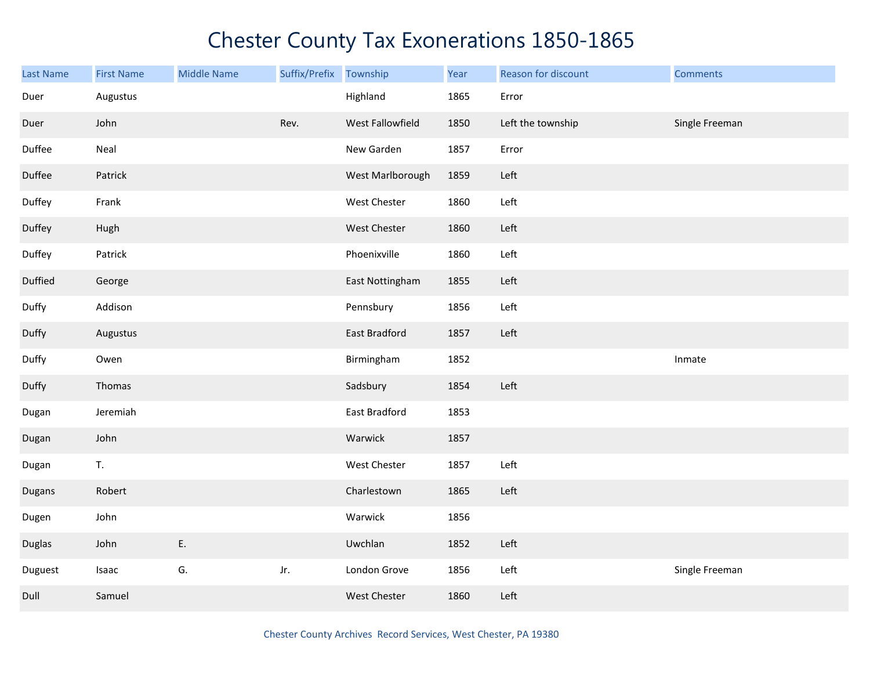| Last Name     | <b>First Name</b> | <b>Middle Name</b> | Suffix/Prefix | Township         | Year | Reason for discount | <b>Comments</b> |
|---------------|-------------------|--------------------|---------------|------------------|------|---------------------|-----------------|
| Duer          | Augustus          |                    |               | Highland         | 1865 | Error               |                 |
| Duer          | John              |                    | Rev.          | West Fallowfield | 1850 | Left the township   | Single Freeman  |
| Duffee        | Neal              |                    |               | New Garden       | 1857 | Error               |                 |
| Duffee        | Patrick           |                    |               | West Marlborough | 1859 | Left                |                 |
| Duffey        | Frank             |                    |               | West Chester     | 1860 | Left                |                 |
| Duffey        | Hugh              |                    |               | West Chester     | 1860 | Left                |                 |
| Duffey        | Patrick           |                    |               | Phoenixville     | 1860 | Left                |                 |
| Duffied       | George            |                    |               | East Nottingham  | 1855 | Left                |                 |
| Duffy         | Addison           |                    |               | Pennsbury        | 1856 | Left                |                 |
| Duffy         | Augustus          |                    |               | East Bradford    | 1857 | Left                |                 |
| Duffy         | Owen              |                    |               | Birmingham       | 1852 |                     | Inmate          |
| Duffy         | Thomas            |                    |               | Sadsbury         | 1854 | Left                |                 |
| Dugan         | Jeremiah          |                    |               | East Bradford    | 1853 |                     |                 |
| Dugan         | John              |                    |               | Warwick          | 1857 |                     |                 |
| Dugan         | T.                |                    |               | West Chester     | 1857 | Left                |                 |
| Dugans        | Robert            |                    |               | Charlestown      | 1865 | Left                |                 |
| Dugen         | John              |                    |               | Warwick          | 1856 |                     |                 |
| <b>Duglas</b> | John              | E.                 |               | Uwchlan          | 1852 | Left                |                 |
| Duguest       | Isaac             | G.                 | Jr.           | London Grove     | 1856 | Left                | Single Freeman  |
| Dull          | Samuel            |                    |               | West Chester     | 1860 | Left                |                 |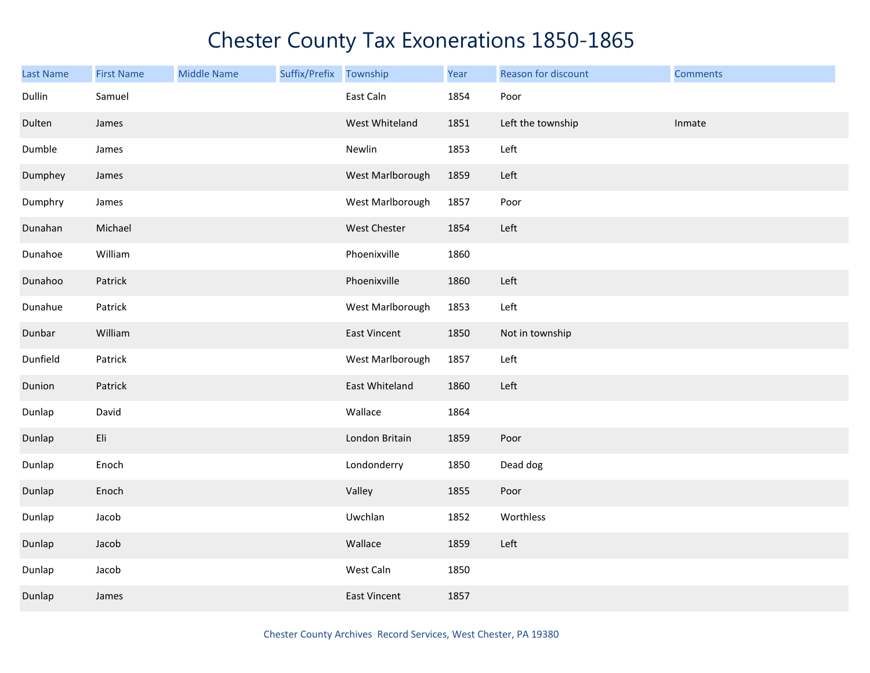| <b>Last Name</b> | <b>First Name</b> | <b>Middle Name</b> | Suffix/Prefix Township |                     | Year | Reason for discount | <b>Comments</b> |
|------------------|-------------------|--------------------|------------------------|---------------------|------|---------------------|-----------------|
| Dullin           | Samuel            |                    |                        | East Caln           | 1854 | Poor                |                 |
| Dulten           | James             |                    |                        | West Whiteland      | 1851 | Left the township   | Inmate          |
| Dumble           | James             |                    |                        | Newlin              | 1853 | Left                |                 |
| Dumphey          | James             |                    |                        | West Marlborough    | 1859 | Left                |                 |
| Dumphry          | James             |                    |                        | West Marlborough    | 1857 | Poor                |                 |
| Dunahan          | Michael           |                    |                        | West Chester        | 1854 | Left                |                 |
| Dunahoe          | William           |                    |                        | Phoenixville        | 1860 |                     |                 |
| Dunahoo          | Patrick           |                    |                        | Phoenixville        | 1860 | Left                |                 |
| Dunahue          | Patrick           |                    |                        | West Marlborough    | 1853 | Left                |                 |
| Dunbar           | William           |                    |                        | <b>East Vincent</b> | 1850 | Not in township     |                 |
| Dunfield         | Patrick           |                    |                        | West Marlborough    | 1857 | Left                |                 |
| Dunion           | Patrick           |                    |                        | East Whiteland      | 1860 | Left                |                 |
| Dunlap           | David             |                    |                        | Wallace             | 1864 |                     |                 |
| Dunlap           | Eli               |                    |                        | London Britain      | 1859 | Poor                |                 |
| Dunlap           | Enoch             |                    |                        | Londonderry         | 1850 | Dead dog            |                 |
| Dunlap           | Enoch             |                    |                        | Valley              | 1855 | Poor                |                 |
| Dunlap           | Jacob             |                    |                        | Uwchlan             | 1852 | Worthless           |                 |
| Dunlap           | Jacob             |                    |                        | Wallace             | 1859 | Left                |                 |
| Dunlap           | Jacob             |                    |                        | West Caln           | 1850 |                     |                 |
| Dunlap           | James             |                    |                        | <b>East Vincent</b> | 1857 |                     |                 |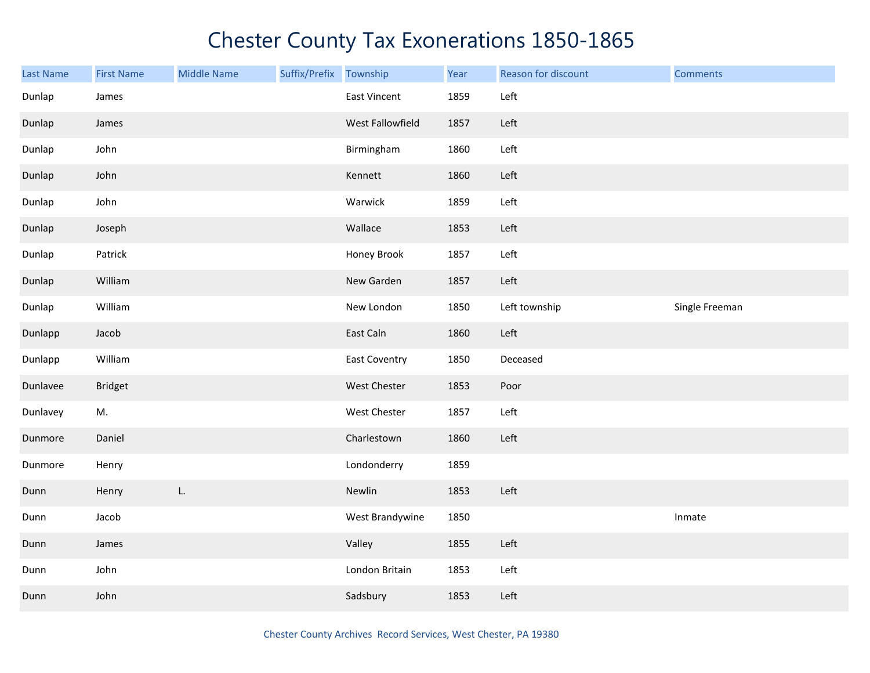| <b>Last Name</b> | <b>First Name</b> | <b>Middle Name</b> | Suffix/Prefix | Township             | Year | Reason for discount | <b>Comments</b> |
|------------------|-------------------|--------------------|---------------|----------------------|------|---------------------|-----------------|
| Dunlap           | James             |                    |               | East Vincent         | 1859 | Left                |                 |
| Dunlap           | James             |                    |               | West Fallowfield     | 1857 | Left                |                 |
| Dunlap           | John              |                    |               | Birmingham           | 1860 | Left                |                 |
| Dunlap           | John              |                    |               | Kennett              | 1860 | Left                |                 |
| Dunlap           | John              |                    |               | Warwick              | 1859 | Left                |                 |
| Dunlap           | Joseph            |                    |               | Wallace              | 1853 | Left                |                 |
| Dunlap           | Patrick           |                    |               | Honey Brook          | 1857 | Left                |                 |
| Dunlap           | William           |                    |               | New Garden           | 1857 | Left                |                 |
| Dunlap           | William           |                    |               | New London           | 1850 | Left township       | Single Freeman  |
| Dunlapp          | Jacob             |                    |               | East Caln            | 1860 | Left                |                 |
| Dunlapp          | William           |                    |               | <b>East Coventry</b> | 1850 | Deceased            |                 |
| Dunlavee         | <b>Bridget</b>    |                    |               | West Chester         | 1853 | Poor                |                 |
| Dunlavey         | M.                |                    |               | West Chester         | 1857 | Left                |                 |
| Dunmore          | Daniel            |                    |               | Charlestown          | 1860 | Left                |                 |
| Dunmore          | Henry             |                    |               | Londonderry          | 1859 |                     |                 |
| Dunn             | Henry             | L.                 |               | Newlin               | 1853 | Left                |                 |
| Dunn             | Jacob             |                    |               | West Brandywine      | 1850 |                     | Inmate          |
| Dunn             | James             |                    |               | Valley               | 1855 | Left                |                 |
| Dunn             | John              |                    |               | London Britain       | 1853 | Left                |                 |
| Dunn             | John              |                    |               | Sadsbury             | 1853 | Left                |                 |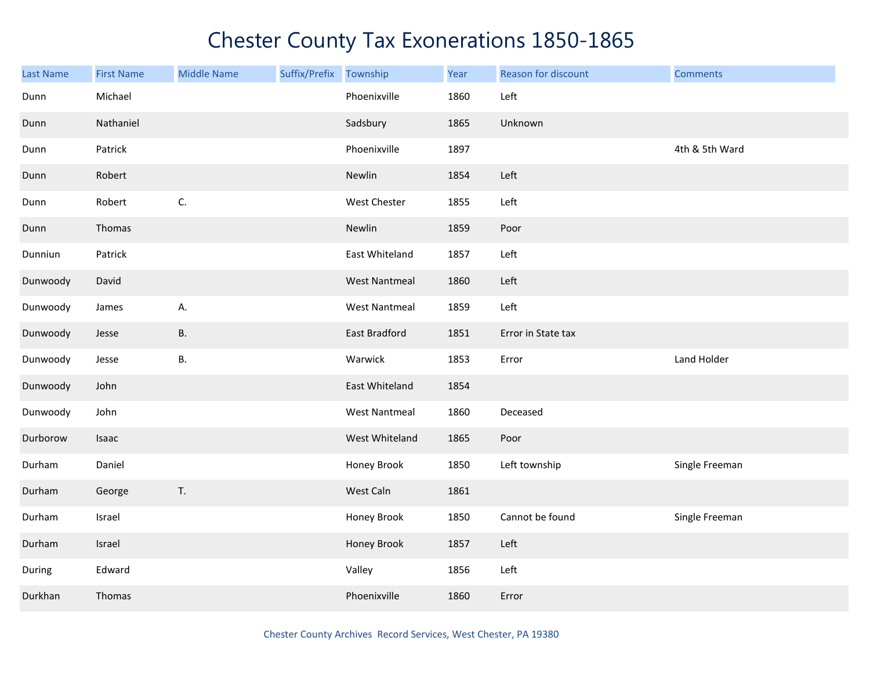| Last Name | <b>First Name</b> | <b>Middle Name</b> | Suffix/Prefix Township |                      | Year | Reason for discount | <b>Comments</b> |
|-----------|-------------------|--------------------|------------------------|----------------------|------|---------------------|-----------------|
| Dunn      | Michael           |                    |                        | Phoenixville         | 1860 | Left                |                 |
| Dunn      | Nathaniel         |                    |                        | Sadsbury             | 1865 | Unknown             |                 |
| Dunn      | Patrick           |                    |                        | Phoenixville         | 1897 |                     | 4th & 5th Ward  |
| Dunn      | Robert            |                    |                        | Newlin               | 1854 | Left                |                 |
| Dunn      | Robert            | $\mathsf{C}.$      |                        | West Chester         | 1855 | Left                |                 |
| Dunn      | Thomas            |                    |                        | Newlin               | 1859 | Poor                |                 |
| Dunniun   | Patrick           |                    |                        | East Whiteland       | 1857 | Left                |                 |
| Dunwoody  | David             |                    |                        | <b>West Nantmeal</b> | 1860 | Left                |                 |
| Dunwoody  | James             | А.                 |                        | West Nantmeal        | 1859 | Left                |                 |
| Dunwoody  | Jesse             | В.                 |                        | East Bradford        | 1851 | Error in State tax  |                 |
| Dunwoody  | Jesse             | В.                 |                        | Warwick              | 1853 | Error               | Land Holder     |
| Dunwoody  | John              |                    |                        | East Whiteland       | 1854 |                     |                 |
| Dunwoody  | John              |                    |                        | <b>West Nantmeal</b> | 1860 | Deceased            |                 |
| Durborow  | Isaac             |                    |                        | West Whiteland       | 1865 | Poor                |                 |
| Durham    | Daniel            |                    |                        | Honey Brook          | 1850 | Left township       | Single Freeman  |
| Durham    | George            | $\mathsf T.$       |                        | West Caln            | 1861 |                     |                 |
| Durham    | Israel            |                    |                        | Honey Brook          | 1850 | Cannot be found     | Single Freeman  |
| Durham    | Israel            |                    |                        | Honey Brook          | 1857 | Left                |                 |
| During    | Edward            |                    |                        | Valley               | 1856 | Left                |                 |
| Durkhan   | Thomas            |                    |                        | Phoenixville         | 1860 | Error               |                 |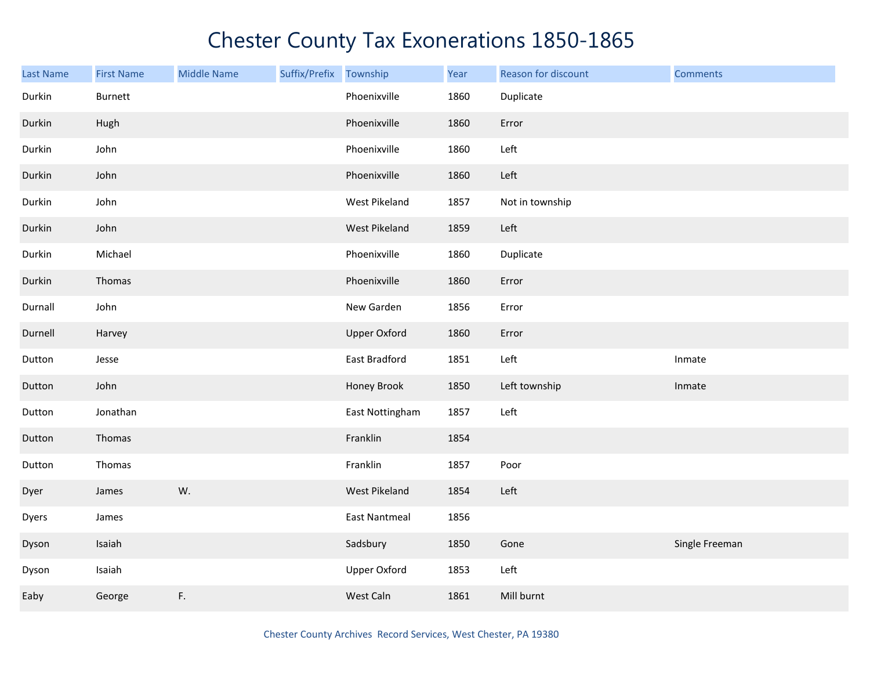| <b>Last Name</b> | <b>First Name</b> | <b>Middle Name</b> | Suffix/Prefix | Township             | Year | Reason for discount | <b>Comments</b> |
|------------------|-------------------|--------------------|---------------|----------------------|------|---------------------|-----------------|
| Durkin           | <b>Burnett</b>    |                    |               | Phoenixville         | 1860 | Duplicate           |                 |
| Durkin           | Hugh              |                    |               | Phoenixville         | 1860 | Error               |                 |
| Durkin           | John              |                    |               | Phoenixville         | 1860 | Left                |                 |
| Durkin           | John              |                    |               | Phoenixville         | 1860 | Left                |                 |
| Durkin           | John              |                    |               | West Pikeland        | 1857 | Not in township     |                 |
| Durkin           | John              |                    |               | West Pikeland        | 1859 | Left                |                 |
| Durkin           | Michael           |                    |               | Phoenixville         | 1860 | Duplicate           |                 |
| Durkin           | Thomas            |                    |               | Phoenixville         | 1860 | Error               |                 |
| Durnall          | John              |                    |               | New Garden           | 1856 | Error               |                 |
| Durnell          | Harvey            |                    |               | <b>Upper Oxford</b>  | 1860 | Error               |                 |
| Dutton           | Jesse             |                    |               | East Bradford        | 1851 | Left                | Inmate          |
| Dutton           | John              |                    |               | Honey Brook          | 1850 | Left township       | Inmate          |
| Dutton           | Jonathan          |                    |               | East Nottingham      | 1857 | Left                |                 |
| Dutton           | Thomas            |                    |               | Franklin             | 1854 |                     |                 |
| Dutton           | Thomas            |                    |               | Franklin             | 1857 | Poor                |                 |
| Dyer             | James             | W.                 |               | West Pikeland        | 1854 | Left                |                 |
| Dyers            | James             |                    |               | <b>East Nantmeal</b> | 1856 |                     |                 |
| Dyson            | Isaiah            |                    |               | Sadsbury             | 1850 | Gone                | Single Freeman  |
| Dyson            | Isaiah            |                    |               | <b>Upper Oxford</b>  | 1853 | Left                |                 |
| Eaby             | George            | F.                 |               | West Caln            | 1861 | Mill burnt          |                 |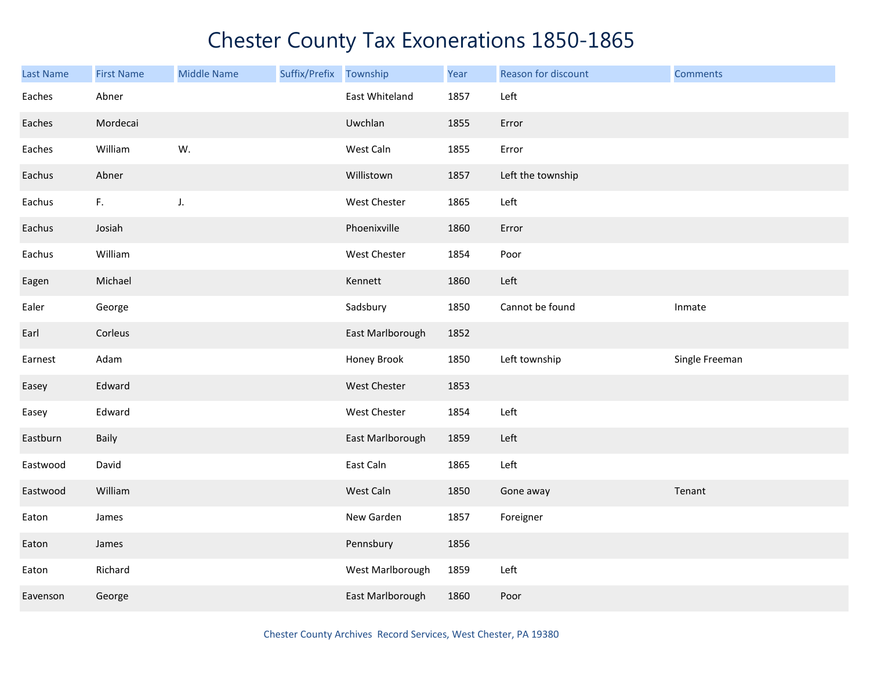| <b>Last Name</b> | <b>First Name</b> | <b>Middle Name</b> | Suffix/Prefix | Township         | Year | Reason for discount | <b>Comments</b> |
|------------------|-------------------|--------------------|---------------|------------------|------|---------------------|-----------------|
| Eaches           | Abner             |                    |               | East Whiteland   | 1857 | Left                |                 |
| Eaches           | Mordecai          |                    |               | Uwchlan          | 1855 | Error               |                 |
| Eaches           | William           | W.                 |               | West Caln        | 1855 | Error               |                 |
| Eachus           | Abner             |                    |               | Willistown       | 1857 | Left the township   |                 |
| Eachus           | F.                | J.                 |               | West Chester     | 1865 | Left                |                 |
| Eachus           | Josiah            |                    |               | Phoenixville     | 1860 | Error               |                 |
| Eachus           | William           |                    |               | West Chester     | 1854 | Poor                |                 |
| Eagen            | Michael           |                    |               | Kennett          | 1860 | Left                |                 |
| Ealer            | George            |                    |               | Sadsbury         | 1850 | Cannot be found     | Inmate          |
| Earl             | Corleus           |                    |               | East Marlborough | 1852 |                     |                 |
| Earnest          | Adam              |                    |               | Honey Brook      | 1850 | Left township       | Single Freeman  |
| Easey            | Edward            |                    |               | West Chester     | 1853 |                     |                 |
| Easey            | Edward            |                    |               | West Chester     | 1854 | Left                |                 |
| Eastburn         | Baily             |                    |               | East Marlborough | 1859 | Left                |                 |
| Eastwood         | David             |                    |               | East Caln        | 1865 | Left                |                 |
| Eastwood         | William           |                    |               | West Caln        | 1850 | Gone away           | Tenant          |
| Eaton            | James             |                    |               | New Garden       | 1857 | Foreigner           |                 |
| Eaton            | James             |                    |               | Pennsbury        | 1856 |                     |                 |
| Eaton            | Richard           |                    |               | West Marlborough | 1859 | Left                |                 |
| Eavenson         | George            |                    |               | East Marlborough | 1860 | Poor                |                 |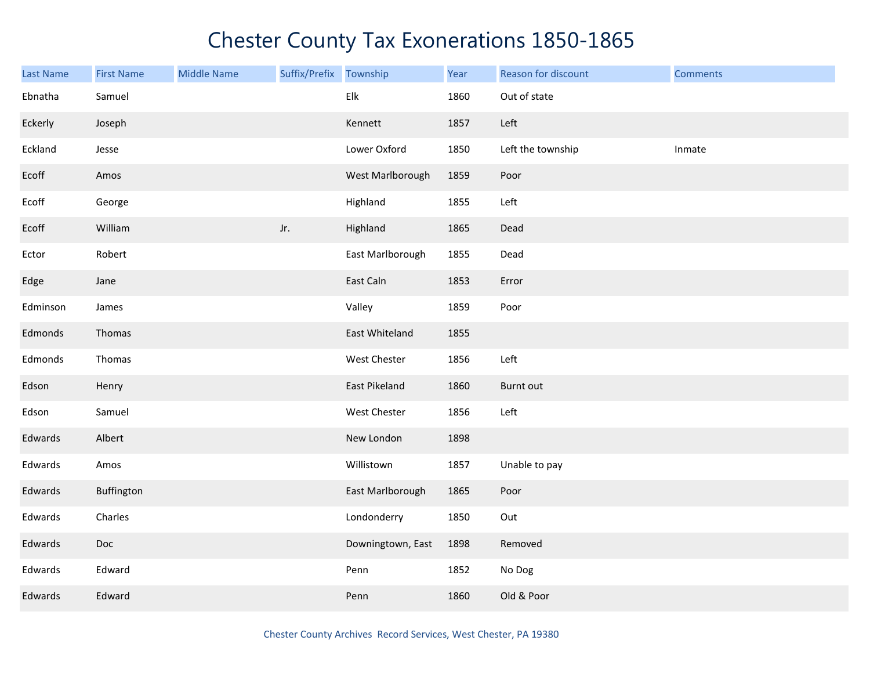| Last Name | <b>First Name</b> | <b>Middle Name</b> | Suffix/Prefix Township |                   | Year | Reason for discount | <b>Comments</b> |
|-----------|-------------------|--------------------|------------------------|-------------------|------|---------------------|-----------------|
| Ebnatha   | Samuel            |                    |                        | Elk               | 1860 | Out of state        |                 |
| Eckerly   | Joseph            |                    |                        | Kennett           | 1857 | Left                |                 |
| Eckland   | Jesse             |                    |                        | Lower Oxford      | 1850 | Left the township   | Inmate          |
| Ecoff     | Amos              |                    |                        | West Marlborough  | 1859 | Poor                |                 |
| Ecoff     | George            |                    |                        | Highland          | 1855 | Left                |                 |
| Ecoff     | William           |                    | Jr.                    | Highland          | 1865 | Dead                |                 |
| Ector     | Robert            |                    |                        | East Marlborough  | 1855 | Dead                |                 |
| Edge      | Jane              |                    |                        | East Caln         | 1853 | Error               |                 |
| Edminson  | James             |                    |                        | Valley            | 1859 | Poor                |                 |
| Edmonds   | Thomas            |                    |                        | East Whiteland    | 1855 |                     |                 |
| Edmonds   | Thomas            |                    |                        | West Chester      | 1856 | Left                |                 |
| Edson     | Henry             |                    |                        | East Pikeland     | 1860 | Burnt out           |                 |
| Edson     | Samuel            |                    |                        | West Chester      | 1856 | Left                |                 |
| Edwards   | Albert            |                    |                        | New London        | 1898 |                     |                 |
| Edwards   | Amos              |                    |                        | Willistown        | 1857 | Unable to pay       |                 |
| Edwards   | Buffington        |                    |                        | East Marlborough  | 1865 | Poor                |                 |
| Edwards   | Charles           |                    |                        | Londonderry       | 1850 | Out                 |                 |
| Edwards   | Doc               |                    |                        | Downingtown, East | 1898 | Removed             |                 |
| Edwards   | Edward            |                    |                        | Penn              | 1852 | No Dog              |                 |
| Edwards   | Edward            |                    |                        | Penn              | 1860 | Old & Poor          |                 |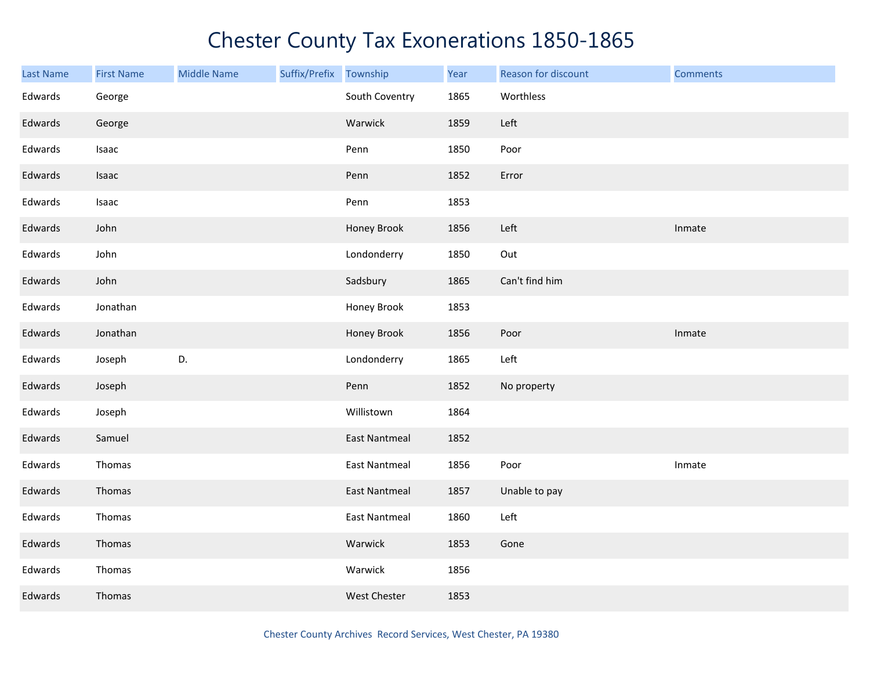| Last Name | <b>First Name</b> | <b>Middle Name</b> | Suffix/Prefix Township |                      | Year | Reason for discount | <b>Comments</b> |
|-----------|-------------------|--------------------|------------------------|----------------------|------|---------------------|-----------------|
| Edwards   | George            |                    |                        | South Coventry       | 1865 | Worthless           |                 |
| Edwards   | George            |                    |                        | Warwick              | 1859 | Left                |                 |
| Edwards   | Isaac             |                    |                        | Penn                 | 1850 | Poor                |                 |
| Edwards   | Isaac             |                    |                        | Penn                 | 1852 | Error               |                 |
| Edwards   | Isaac             |                    |                        | Penn                 | 1853 |                     |                 |
| Edwards   | John              |                    |                        | Honey Brook          | 1856 | Left                | Inmate          |
| Edwards   | John              |                    |                        | Londonderry          | 1850 | Out                 |                 |
| Edwards   | John              |                    |                        | Sadsbury             | 1865 | Can't find him      |                 |
| Edwards   | Jonathan          |                    |                        | Honey Brook          | 1853 |                     |                 |
| Edwards   | Jonathan          |                    |                        | Honey Brook          | 1856 | Poor                | Inmate          |
| Edwards   | Joseph            | D.                 |                        | Londonderry          | 1865 | Left                |                 |
| Edwards   | Joseph            |                    |                        | Penn                 | 1852 | No property         |                 |
| Edwards   | Joseph            |                    |                        | Willistown           | 1864 |                     |                 |
| Edwards   | Samuel            |                    |                        | <b>East Nantmeal</b> | 1852 |                     |                 |
| Edwards   | Thomas            |                    |                        | <b>East Nantmeal</b> | 1856 | Poor                | Inmate          |
| Edwards   | Thomas            |                    |                        | <b>East Nantmeal</b> | 1857 | Unable to pay       |                 |
| Edwards   | Thomas            |                    |                        | <b>East Nantmeal</b> | 1860 | Left                |                 |
| Edwards   | Thomas            |                    |                        | Warwick              | 1853 | Gone                |                 |
| Edwards   | Thomas            |                    |                        | Warwick              | 1856 |                     |                 |
| Edwards   | Thomas            |                    |                        | <b>West Chester</b>  | 1853 |                     |                 |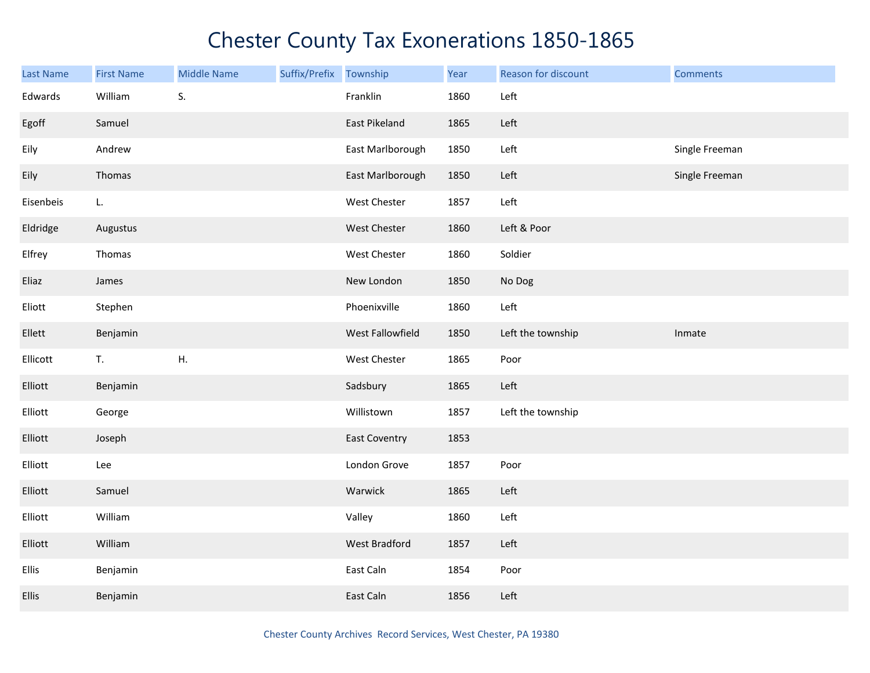| <b>Last Name</b> | <b>First Name</b> | <b>Middle Name</b> | Suffix/Prefix | Township             | Year | Reason for discount | <b>Comments</b> |
|------------------|-------------------|--------------------|---------------|----------------------|------|---------------------|-----------------|
| Edwards          | William           | S.                 |               | Franklin             | 1860 | Left                |                 |
| Egoff            | Samuel            |                    |               | East Pikeland        | 1865 | Left                |                 |
| Eily             | Andrew            |                    |               | East Marlborough     | 1850 | Left                | Single Freeman  |
| Eily             | Thomas            |                    |               | East Marlborough     | 1850 | Left                | Single Freeman  |
| Eisenbeis        | L.                |                    |               | West Chester         | 1857 | Left                |                 |
| Eldridge         | Augustus          |                    |               | West Chester         | 1860 | Left & Poor         |                 |
| Elfrey           | Thomas            |                    |               | West Chester         | 1860 | Soldier             |                 |
| Eliaz            | James             |                    |               | New London           | 1850 | No Dog              |                 |
| Eliott           | Stephen           |                    |               | Phoenixville         | 1860 | Left                |                 |
| Ellett           | Benjamin          |                    |               | West Fallowfield     | 1850 | Left the township   | Inmate          |
| Ellicott         | T.                | Η.                 |               | West Chester         | 1865 | Poor                |                 |
| Elliott          | Benjamin          |                    |               | Sadsbury             | 1865 | Left                |                 |
| Elliott          | George            |                    |               | Willistown           | 1857 | Left the township   |                 |
| Elliott          | Joseph            |                    |               | <b>East Coventry</b> | 1853 |                     |                 |
| Elliott          | Lee               |                    |               | London Grove         | 1857 | Poor                |                 |
| Elliott          | Samuel            |                    |               | Warwick              | 1865 | Left                |                 |
| Elliott          | William           |                    |               | Valley               | 1860 | Left                |                 |
| Elliott          | William           |                    |               | West Bradford        | 1857 | Left                |                 |
| <b>Ellis</b>     | Benjamin          |                    |               | East Caln            | 1854 | Poor                |                 |
| Ellis            | Benjamin          |                    |               | East Caln            | 1856 | Left                |                 |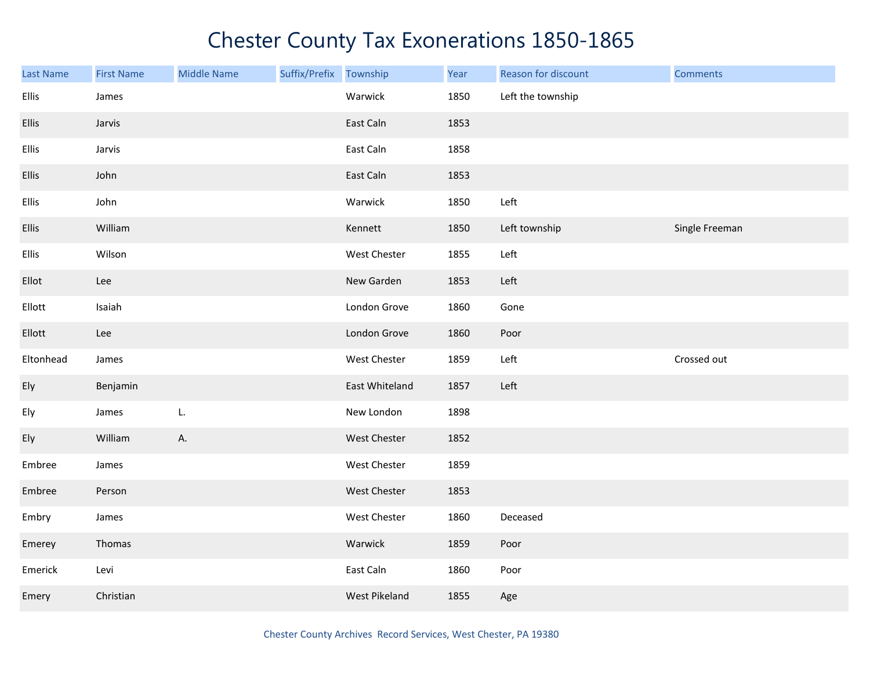| Last Name | <b>First Name</b> | <b>Middle Name</b> | Suffix/Prefix Township |                | Year | Reason for discount | <b>Comments</b> |
|-----------|-------------------|--------------------|------------------------|----------------|------|---------------------|-----------------|
| Ellis     | James             |                    |                        | Warwick        | 1850 | Left the township   |                 |
| Ellis     | Jarvis            |                    |                        | East Caln      | 1853 |                     |                 |
| Ellis     | Jarvis            |                    |                        | East Caln      | 1858 |                     |                 |
| Ellis     | John              |                    |                        | East Caln      | 1853 |                     |                 |
| Ellis     | John              |                    |                        | Warwick        | 1850 | Left                |                 |
| Ellis     | William           |                    |                        | Kennett        | 1850 | Left township       | Single Freeman  |
| Ellis     | Wilson            |                    |                        | West Chester   | 1855 | Left                |                 |
| Ellot     | Lee               |                    |                        | New Garden     | 1853 | Left                |                 |
| Ellott    | Isaiah            |                    |                        | London Grove   | 1860 | Gone                |                 |
| Ellott    | Lee               |                    |                        | London Grove   | 1860 | Poor                |                 |
| Eltonhead | James             |                    |                        | West Chester   | 1859 | Left                | Crossed out     |
| Ely       | Benjamin          |                    |                        | East Whiteland | 1857 | Left                |                 |
| Ely       | James             | L.                 |                        | New London     | 1898 |                     |                 |
| Ely       | William           | А.                 |                        | West Chester   | 1852 |                     |                 |
| Embree    | James             |                    |                        | West Chester   | 1859 |                     |                 |
| Embree    | Person            |                    |                        | West Chester   | 1853 |                     |                 |
| Embry     | James             |                    |                        | West Chester   | 1860 | Deceased            |                 |
| Emerey    | Thomas            |                    |                        | Warwick        | 1859 | Poor                |                 |
| Emerick   | Levi              |                    |                        | East Caln      | 1860 | Poor                |                 |
| Emery     | Christian         |                    |                        | West Pikeland  | 1855 | Age                 |                 |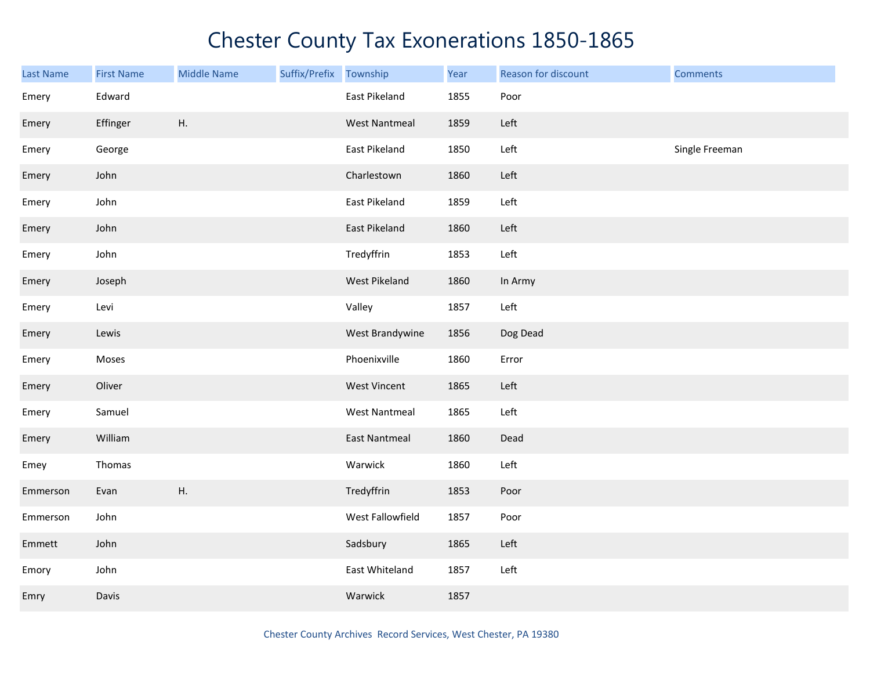| Last Name | <b>First Name</b> | <b>Middle Name</b> | Suffix/Prefix | Township             | Year | Reason for discount | <b>Comments</b> |
|-----------|-------------------|--------------------|---------------|----------------------|------|---------------------|-----------------|
| Emery     | Edward            |                    |               | East Pikeland        | 1855 | Poor                |                 |
| Emery     | Effinger          | Η.                 |               | <b>West Nantmeal</b> | 1859 | Left                |                 |
| Emery     | George            |                    |               | East Pikeland        | 1850 | Left                | Single Freeman  |
| Emery     | John              |                    |               | Charlestown          | 1860 | Left                |                 |
| Emery     | John              |                    |               | East Pikeland        | 1859 | Left                |                 |
| Emery     | John              |                    |               | East Pikeland        | 1860 | Left                |                 |
| Emery     | John              |                    |               | Tredyffrin           | 1853 | Left                |                 |
| Emery     | Joseph            |                    |               | West Pikeland        | 1860 | In Army             |                 |
| Emery     | Levi              |                    |               | Valley               | 1857 | Left                |                 |
| Emery     | Lewis             |                    |               | West Brandywine      | 1856 | Dog Dead            |                 |
| Emery     | Moses             |                    |               | Phoenixville         | 1860 | Error               |                 |
| Emery     | Oliver            |                    |               | <b>West Vincent</b>  | 1865 | Left                |                 |
| Emery     | Samuel            |                    |               | <b>West Nantmeal</b> | 1865 | Left                |                 |
| Emery     | William           |                    |               | <b>East Nantmeal</b> | 1860 | Dead                |                 |
| Emey      | Thomas            |                    |               | Warwick              | 1860 | Left                |                 |
| Emmerson  | Evan              | Η.                 |               | Tredyffrin           | 1853 | Poor                |                 |
| Emmerson  | John              |                    |               | West Fallowfield     | 1857 | Poor                |                 |
| Emmett    | John              |                    |               | Sadsbury             | 1865 | Left                |                 |
| Emory     | John              |                    |               | East Whiteland       | 1857 | Left                |                 |
| Emry      | Davis             |                    |               | Warwick              | 1857 |                     |                 |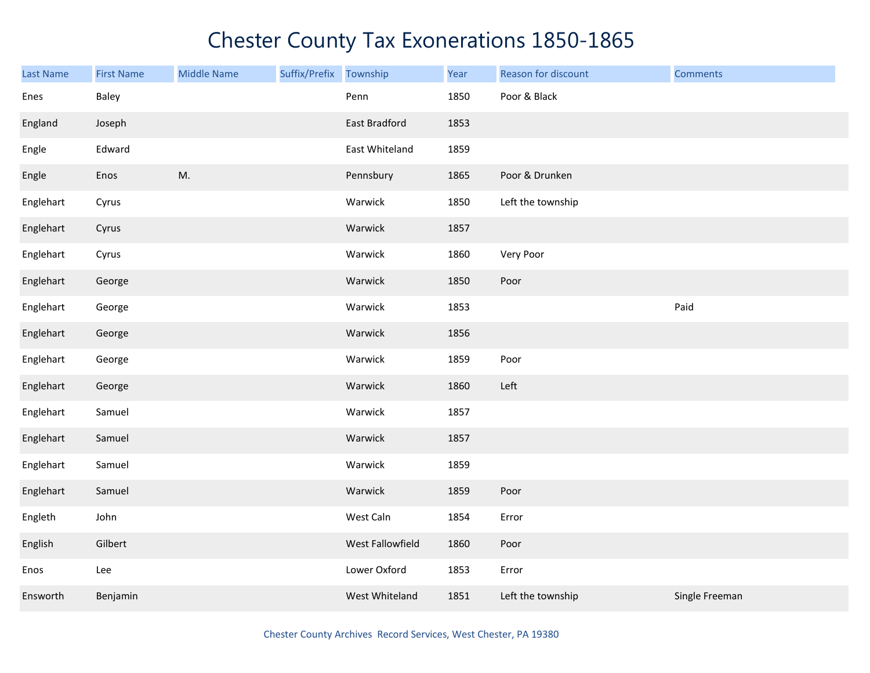| Last Name | <b>First Name</b> | <b>Middle Name</b> | Suffix/Prefix Township |                  | Year | Reason for discount | <b>Comments</b> |
|-----------|-------------------|--------------------|------------------------|------------------|------|---------------------|-----------------|
| Enes      | Baley             |                    |                        | Penn             | 1850 | Poor & Black        |                 |
| England   | Joseph            |                    |                        | East Bradford    | 1853 |                     |                 |
| Engle     | Edward            |                    |                        | East Whiteland   | 1859 |                     |                 |
| Engle     | Enos              | M.                 |                        | Pennsbury        | 1865 | Poor & Drunken      |                 |
| Englehart | Cyrus             |                    |                        | Warwick          | 1850 | Left the township   |                 |
| Englehart | Cyrus             |                    |                        | Warwick          | 1857 |                     |                 |
| Englehart | Cyrus             |                    |                        | Warwick          | 1860 | Very Poor           |                 |
| Englehart | George            |                    |                        | Warwick          | 1850 | Poor                |                 |
| Englehart | George            |                    |                        | Warwick          | 1853 |                     | Paid            |
| Englehart | George            |                    |                        | Warwick          | 1856 |                     |                 |
| Englehart | George            |                    |                        | Warwick          | 1859 | Poor                |                 |
| Englehart | George            |                    |                        | Warwick          | 1860 | Left                |                 |
| Englehart | Samuel            |                    |                        | Warwick          | 1857 |                     |                 |
| Englehart | Samuel            |                    |                        | Warwick          | 1857 |                     |                 |
| Englehart | Samuel            |                    |                        | Warwick          | 1859 |                     |                 |
| Englehart | Samuel            |                    |                        | Warwick          | 1859 | Poor                |                 |
| Engleth   | John              |                    |                        | West Caln        | 1854 | Error               |                 |
| English   | Gilbert           |                    |                        | West Fallowfield | 1860 | Poor                |                 |
| Enos      | Lee               |                    |                        | Lower Oxford     | 1853 | Error               |                 |
| Ensworth  | Benjamin          |                    |                        | West Whiteland   | 1851 | Left the township   | Single Freeman  |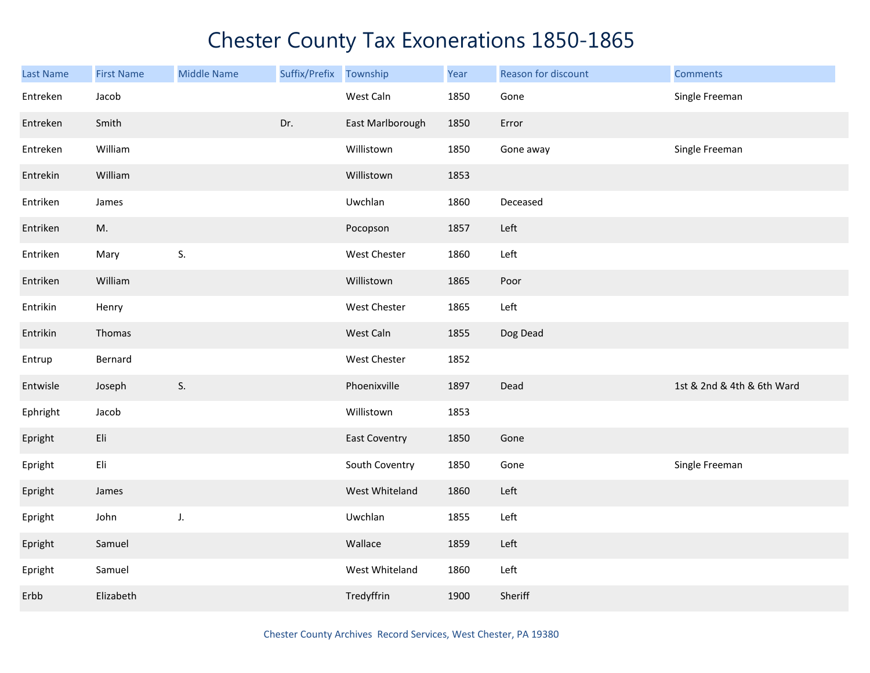| <b>Last Name</b> | <b>First Name</b> | <b>Middle Name</b> | Suffix/Prefix Township |                  | Year | Reason for discount | <b>Comments</b>            |
|------------------|-------------------|--------------------|------------------------|------------------|------|---------------------|----------------------------|
| Entreken         | Jacob             |                    |                        | West Caln        | 1850 | Gone                | Single Freeman             |
| Entreken         | Smith             |                    | Dr.                    | East Marlborough | 1850 | Error               |                            |
| Entreken         | William           |                    |                        | Willistown       | 1850 | Gone away           | Single Freeman             |
| Entrekin         | William           |                    |                        | Willistown       | 1853 |                     |                            |
| Entriken         | James             |                    |                        | Uwchlan          | 1860 | Deceased            |                            |
| Entriken         | M.                |                    |                        | Pocopson         | 1857 | Left                |                            |
| Entriken         | Mary              | S.                 |                        | West Chester     | 1860 | Left                |                            |
| Entriken         | William           |                    |                        | Willistown       | 1865 | Poor                |                            |
| Entrikin         | Henry             |                    |                        | West Chester     | 1865 | Left                |                            |
| Entrikin         | Thomas            |                    |                        | West Caln        | 1855 | Dog Dead            |                            |
| Entrup           | Bernard           |                    |                        | West Chester     | 1852 |                     |                            |
| Entwisle         | Joseph            | S.                 |                        | Phoenixville     | 1897 | Dead                | 1st & 2nd & 4th & 6th Ward |
| Ephright         | Jacob             |                    |                        | Willistown       | 1853 |                     |                            |
| Epright          | Eli               |                    |                        | East Coventry    | 1850 | Gone                |                            |
| Epright          | Eli               |                    |                        | South Coventry   | 1850 | Gone                | Single Freeman             |
| Epright          | James             |                    |                        | West Whiteland   | 1860 | Left                |                            |
| Epright          | John              | J.                 |                        | Uwchlan          | 1855 | Left                |                            |
| Epright          | Samuel            |                    |                        | Wallace          | 1859 | Left                |                            |
| Epright          | Samuel            |                    |                        | West Whiteland   | 1860 | Left                |                            |
| Erbb             | Elizabeth         |                    |                        | Tredyffrin       | 1900 | Sheriff             |                            |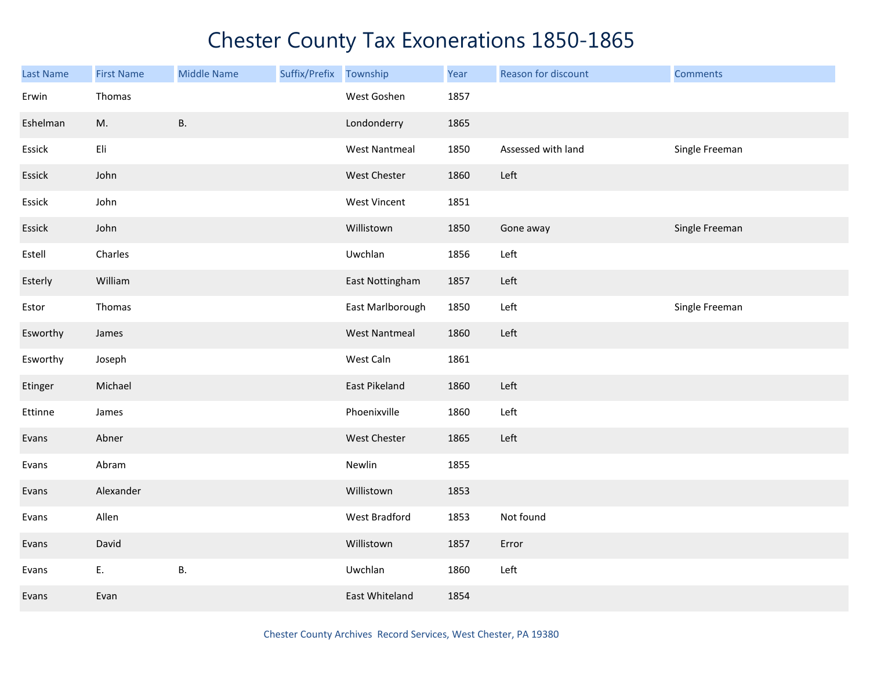| <b>Last Name</b> | <b>First Name</b> | <b>Middle Name</b> | Suffix/Prefix | Township             | Year | Reason for discount | <b>Comments</b> |
|------------------|-------------------|--------------------|---------------|----------------------|------|---------------------|-----------------|
| Erwin            | Thomas            |                    |               | West Goshen          | 1857 |                     |                 |
| Eshelman         | M.                | <b>B.</b>          |               | Londonderry          | 1865 |                     |                 |
| Essick           | Eli               |                    |               | <b>West Nantmeal</b> | 1850 | Assessed with land  | Single Freeman  |
| Essick           | John              |                    |               | West Chester         | 1860 | Left                |                 |
| Essick           | John              |                    |               | West Vincent         | 1851 |                     |                 |
| Essick           | John              |                    |               | Willistown           | 1850 | Gone away           | Single Freeman  |
| Estell           | Charles           |                    |               | Uwchlan              | 1856 | Left                |                 |
| Esterly          | William           |                    |               | East Nottingham      | 1857 | Left                |                 |
| Estor            | Thomas            |                    |               | East Marlborough     | 1850 | Left                | Single Freeman  |
| Esworthy         | James             |                    |               | <b>West Nantmeal</b> | 1860 | Left                |                 |
| Esworthy         | Joseph            |                    |               | West Caln            | 1861 |                     |                 |
| Etinger          | Michael           |                    |               | East Pikeland        | 1860 | Left                |                 |
| Ettinne          | James             |                    |               | Phoenixville         | 1860 | Left                |                 |
| Evans            | Abner             |                    |               | West Chester         | 1865 | Left                |                 |
| Evans            | Abram             |                    |               | Newlin               | 1855 |                     |                 |
| Evans            | Alexander         |                    |               | Willistown           | 1853 |                     |                 |
| Evans            | Allen             |                    |               | West Bradford        | 1853 | Not found           |                 |
| Evans            | David             |                    |               | Willistown           | 1857 | Error               |                 |
| Evans            | E.                | В.                 |               | Uwchlan              | 1860 | Left                |                 |
| Evans            | Evan              |                    |               | East Whiteland       | 1854 |                     |                 |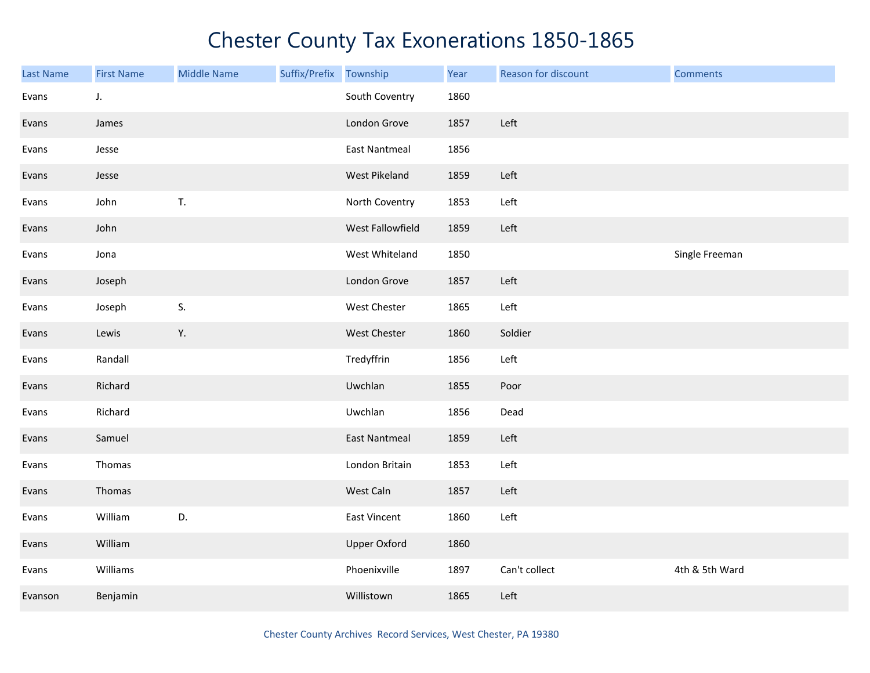| <b>Last Name</b> | <b>First Name</b> | <b>Middle Name</b> | Suffix/Prefix | Township             | Year | Reason for discount | <b>Comments</b> |
|------------------|-------------------|--------------------|---------------|----------------------|------|---------------------|-----------------|
| Evans            | J.                |                    |               | South Coventry       | 1860 |                     |                 |
| Evans            | James             |                    |               | London Grove         | 1857 | Left                |                 |
| Evans            | Jesse             |                    |               | <b>East Nantmeal</b> | 1856 |                     |                 |
| Evans            | Jesse             |                    |               | West Pikeland        | 1859 | Left                |                 |
| Evans            | John              | T.                 |               | North Coventry       | 1853 | Left                |                 |
| Evans            | John              |                    |               | West Fallowfield     | 1859 | Left                |                 |
| Evans            | Jona              |                    |               | West Whiteland       | 1850 |                     | Single Freeman  |
| Evans            | Joseph            |                    |               | London Grove         | 1857 | Left                |                 |
| Evans            | Joseph            | S.                 |               | West Chester         | 1865 | Left                |                 |
| Evans            | Lewis             | Υ.                 |               | <b>West Chester</b>  | 1860 | Soldier             |                 |
| Evans            | Randall           |                    |               | Tredyffrin           | 1856 | Left                |                 |
| Evans            | Richard           |                    |               | Uwchlan              | 1855 | Poor                |                 |
| Evans            | Richard           |                    |               | Uwchlan              | 1856 | Dead                |                 |
| Evans            | Samuel            |                    |               | <b>East Nantmeal</b> | 1859 | Left                |                 |
| Evans            | Thomas            |                    |               | London Britain       | 1853 | Left                |                 |
| Evans            | Thomas            |                    |               | West Caln            | 1857 | Left                |                 |
| Evans            | William           | D.                 |               | East Vincent         | 1860 | Left                |                 |
| Evans            | William           |                    |               | <b>Upper Oxford</b>  | 1860 |                     |                 |
| Evans            | Williams          |                    |               | Phoenixville         | 1897 | Can't collect       | 4th & 5th Ward  |
| Evanson          | Benjamin          |                    |               | Willistown           | 1865 | Left                |                 |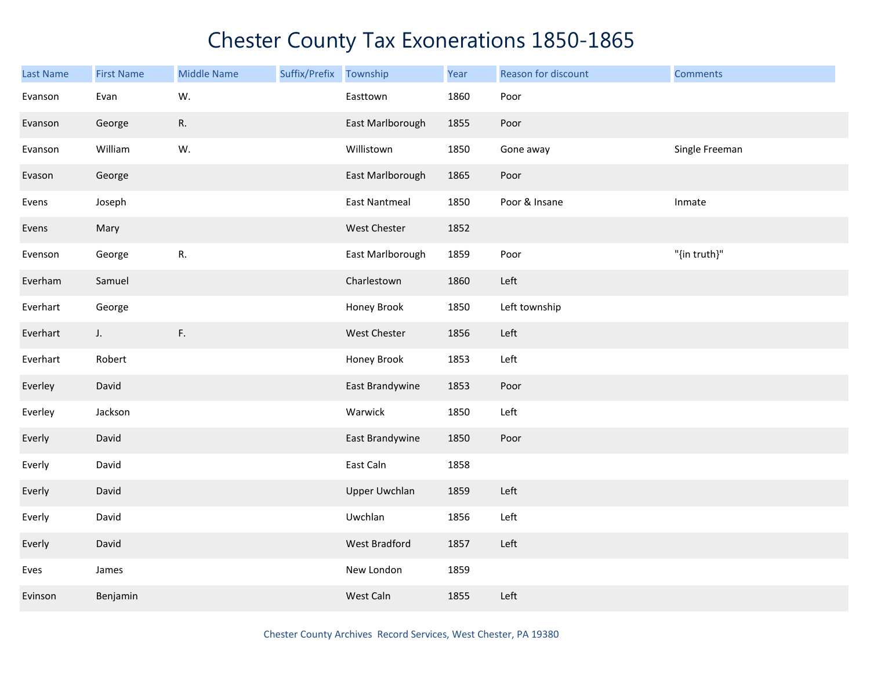| <b>Last Name</b> | <b>First Name</b> | <b>Middle Name</b> | Suffix/Prefix Township |                      | Year | Reason for discount | <b>Comments</b> |
|------------------|-------------------|--------------------|------------------------|----------------------|------|---------------------|-----------------|
| Evanson          | Evan              | W.                 |                        | Easttown             | 1860 | Poor                |                 |
| Evanson          | George            | R.                 |                        | East Marlborough     | 1855 | Poor                |                 |
| Evanson          | William           | W.                 |                        | Willistown           | 1850 | Gone away           | Single Freeman  |
| Evason           | George            |                    |                        | East Marlborough     | 1865 | Poor                |                 |
| Evens            | Joseph            |                    |                        | <b>East Nantmeal</b> | 1850 | Poor & Insane       | Inmate          |
| Evens            | Mary              |                    |                        | West Chester         | 1852 |                     |                 |
| Evenson          | George            | R.                 |                        | East Marlborough     | 1859 | Poor                | "{in truth}"    |
| Everham          | Samuel            |                    |                        | Charlestown          | 1860 | Left                |                 |
| Everhart         | George            |                    |                        | Honey Brook          | 1850 | Left township       |                 |
| Everhart         | $J_{\star}$       | F.                 |                        | West Chester         | 1856 | Left                |                 |
| Everhart         | Robert            |                    |                        | Honey Brook          | 1853 | Left                |                 |
| Everley          | David             |                    |                        | East Brandywine      | 1853 | Poor                |                 |
| Everley          | Jackson           |                    |                        | Warwick              | 1850 | Left                |                 |
| Everly           | David             |                    |                        | East Brandywine      | 1850 | Poor                |                 |
| Everly           | David             |                    |                        | East Caln            | 1858 |                     |                 |
| Everly           | David             |                    |                        | <b>Upper Uwchlan</b> | 1859 | Left                |                 |
| Everly           | David             |                    |                        | Uwchlan              | 1856 | Left                |                 |
| Everly           | David             |                    |                        | West Bradford        | 1857 | Left                |                 |
| Eves             | James             |                    |                        | New London           | 1859 |                     |                 |
| Evinson          | Benjamin          |                    |                        | West Caln            | 1855 | Left                |                 |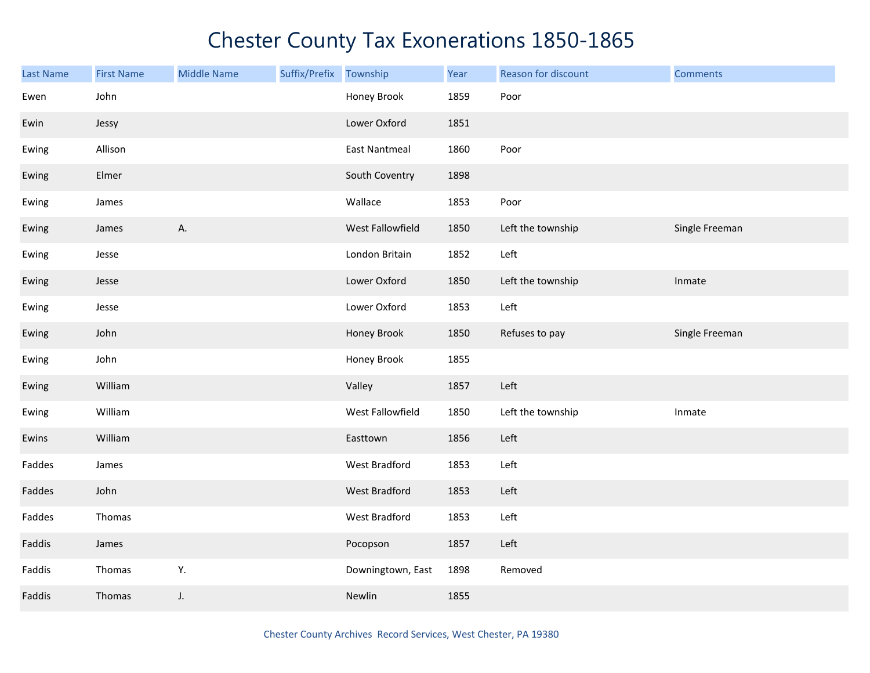| <b>Last Name</b> | <b>First Name</b> | <b>Middle Name</b> | Suffix/Prefix | Township             | Year | Reason for discount | <b>Comments</b> |
|------------------|-------------------|--------------------|---------------|----------------------|------|---------------------|-----------------|
| Ewen             | John              |                    |               | Honey Brook          | 1859 | Poor                |                 |
| Ewin             | Jessy             |                    |               | Lower Oxford         | 1851 |                     |                 |
| Ewing            | Allison           |                    |               | <b>East Nantmeal</b> | 1860 | Poor                |                 |
| Ewing            | Elmer             |                    |               | South Coventry       | 1898 |                     |                 |
| Ewing            | James             |                    |               | Wallace              | 1853 | Poor                |                 |
| Ewing            | James             | А.                 |               | West Fallowfield     | 1850 | Left the township   | Single Freeman  |
| Ewing            | Jesse             |                    |               | London Britain       | 1852 | Left                |                 |
| Ewing            | Jesse             |                    |               | Lower Oxford         | 1850 | Left the township   | Inmate          |
| Ewing            | Jesse             |                    |               | Lower Oxford         | 1853 | Left                |                 |
| Ewing            | John              |                    |               | Honey Brook          | 1850 | Refuses to pay      | Single Freeman  |
| Ewing            | John              |                    |               | Honey Brook          | 1855 |                     |                 |
| Ewing            | William           |                    |               | Valley               | 1857 | Left                |                 |
| Ewing            | William           |                    |               | West Fallowfield     | 1850 | Left the township   | Inmate          |
| Ewins            | William           |                    |               | Easttown             | 1856 | Left                |                 |
| Faddes           | James             |                    |               | West Bradford        | 1853 | Left                |                 |
| Faddes           | John              |                    |               | West Bradford        | 1853 | Left                |                 |
| Faddes           | Thomas            |                    |               | West Bradford        | 1853 | Left                |                 |
| Faddis           | James             |                    |               | Pocopson             | 1857 | Left                |                 |
| Faddis           | Thomas            | Y.                 |               | Downingtown, East    | 1898 | Removed             |                 |
| Faddis           | Thomas            | J.                 |               | Newlin               | 1855 |                     |                 |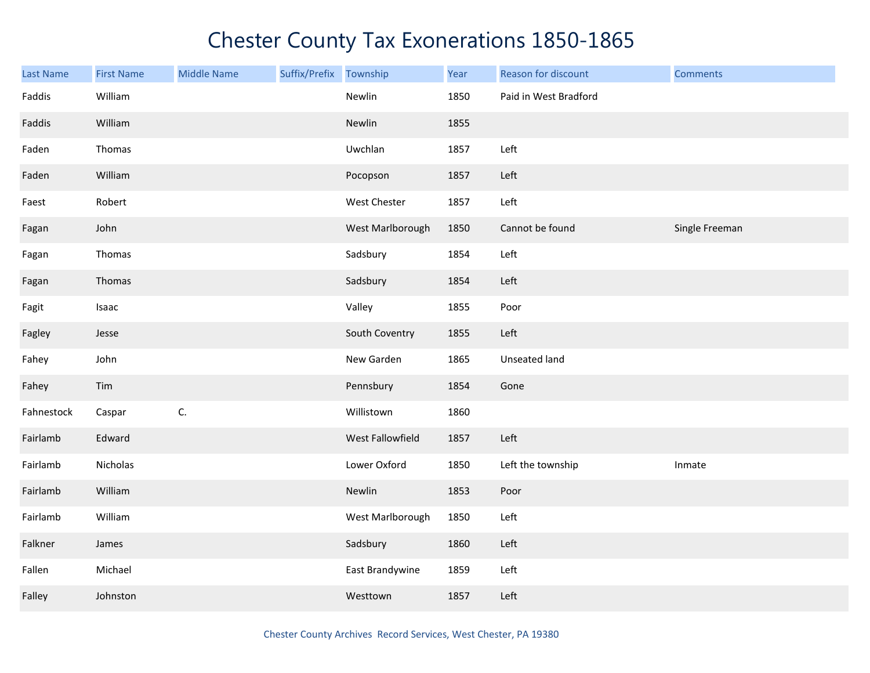| <b>Last Name</b> | <b>First Name</b> | <b>Middle Name</b> | Suffix/Prefix | Township         | Year | Reason for discount   | <b>Comments</b> |
|------------------|-------------------|--------------------|---------------|------------------|------|-----------------------|-----------------|
| Faddis           | William           |                    |               | Newlin           | 1850 | Paid in West Bradford |                 |
| Faddis           | William           |                    |               | Newlin           | 1855 |                       |                 |
| Faden            | Thomas            |                    |               | Uwchlan          | 1857 | Left                  |                 |
| Faden            | William           |                    |               | Pocopson         | 1857 | Left                  |                 |
| Faest            | Robert            |                    |               | West Chester     | 1857 | Left                  |                 |
| Fagan            | John              |                    |               | West Marlborough | 1850 | Cannot be found       | Single Freeman  |
| Fagan            | Thomas            |                    |               | Sadsbury         | 1854 | Left                  |                 |
| Fagan            | Thomas            |                    |               | Sadsbury         | 1854 | Left                  |                 |
| Fagit            | Isaac             |                    |               | Valley           | 1855 | Poor                  |                 |
| Fagley           | Jesse             |                    |               | South Coventry   | 1855 | Left                  |                 |
| Fahey            | John              |                    |               | New Garden       | 1865 | Unseated land         |                 |
| Fahey            | Tim               |                    |               | Pennsbury        | 1854 | Gone                  |                 |
| Fahnestock       | Caspar            | C.                 |               | Willistown       | 1860 |                       |                 |
| Fairlamb         | Edward            |                    |               | West Fallowfield | 1857 | Left                  |                 |
| Fairlamb         | Nicholas          |                    |               | Lower Oxford     | 1850 | Left the township     | Inmate          |
| Fairlamb         | William           |                    |               | Newlin           | 1853 | Poor                  |                 |
| Fairlamb         | William           |                    |               | West Marlborough | 1850 | Left                  |                 |
| Falkner          | James             |                    |               | Sadsbury         | 1860 | Left                  |                 |
| Fallen           | Michael           |                    |               | East Brandywine  | 1859 | Left                  |                 |
| Falley           | Johnston          |                    |               | Westtown         | 1857 | Left                  |                 |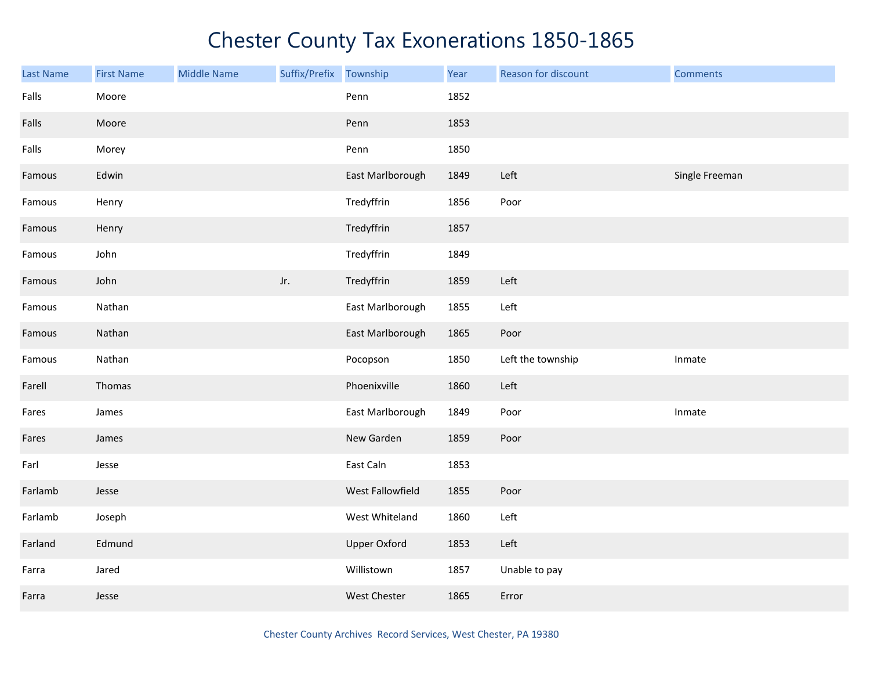| <b>Last Name</b> | <b>First Name</b> | <b>Middle Name</b> | Suffix/Prefix Township |                     | Year | Reason for discount | <b>Comments</b> |
|------------------|-------------------|--------------------|------------------------|---------------------|------|---------------------|-----------------|
| Falls            | Moore             |                    |                        | Penn                | 1852 |                     |                 |
| Falls            | Moore             |                    |                        | Penn                | 1853 |                     |                 |
| Falls            | Morey             |                    |                        | Penn                | 1850 |                     |                 |
| Famous           | Edwin             |                    |                        | East Marlborough    | 1849 | Left                | Single Freeman  |
| Famous           | Henry             |                    |                        | Tredyffrin          | 1856 | Poor                |                 |
| Famous           | Henry             |                    |                        | Tredyffrin          | 1857 |                     |                 |
| Famous           | John              |                    |                        | Tredyffrin          | 1849 |                     |                 |
| Famous           | John              |                    | Jr.                    | Tredyffrin          | 1859 | Left                |                 |
| Famous           | Nathan            |                    |                        | East Marlborough    | 1855 | Left                |                 |
| Famous           | Nathan            |                    |                        | East Marlborough    | 1865 | Poor                |                 |
| Famous           | Nathan            |                    |                        | Pocopson            | 1850 | Left the township   | Inmate          |
| Farell           | Thomas            |                    |                        | Phoenixville        | 1860 | Left                |                 |
| Fares            | James             |                    |                        | East Marlborough    | 1849 | Poor                | Inmate          |
| Fares            | James             |                    |                        | New Garden          | 1859 | Poor                |                 |
| Farl             | Jesse             |                    |                        | East Caln           | 1853 |                     |                 |
| Farlamb          | Jesse             |                    |                        | West Fallowfield    | 1855 | Poor                |                 |
| Farlamb          | Joseph            |                    |                        | West Whiteland      | 1860 | Left                |                 |
| Farland          | Edmund            |                    |                        | <b>Upper Oxford</b> | 1853 | Left                |                 |
| Farra            | Jared             |                    |                        | Willistown          | 1857 | Unable to pay       |                 |
| Farra            | Jesse             |                    |                        | West Chester        | 1865 | Error               |                 |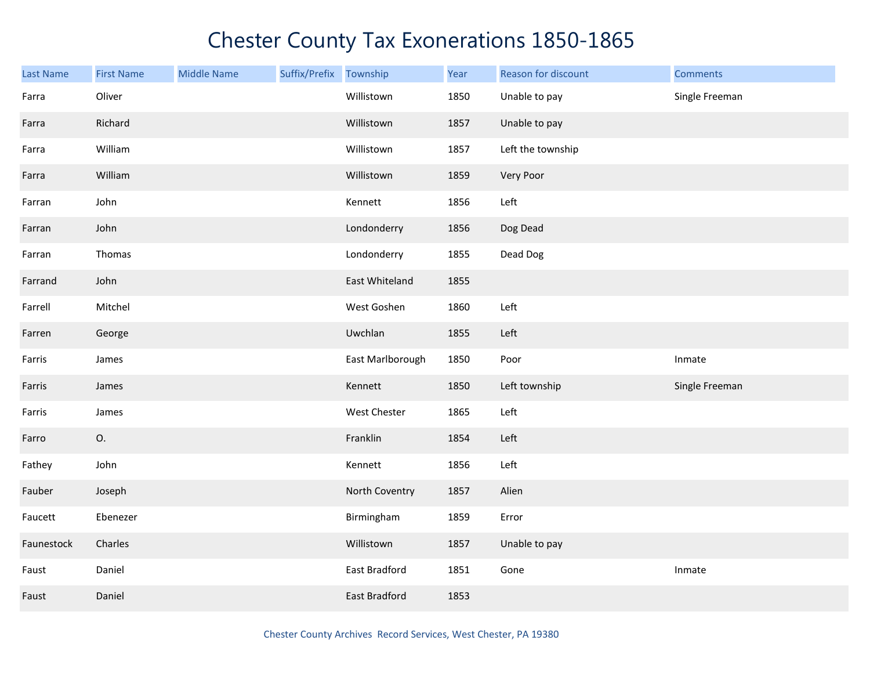| <b>Last Name</b> | <b>First Name</b> | <b>Middle Name</b> | Suffix/Prefix Township |                  | Year | Reason for discount | <b>Comments</b> |
|------------------|-------------------|--------------------|------------------------|------------------|------|---------------------|-----------------|
| Farra            | Oliver            |                    |                        | Willistown       | 1850 | Unable to pay       | Single Freeman  |
| Farra            | Richard           |                    |                        | Willistown       | 1857 | Unable to pay       |                 |
| Farra            | William           |                    |                        | Willistown       | 1857 | Left the township   |                 |
| Farra            | William           |                    |                        | Willistown       | 1859 | Very Poor           |                 |
| Farran           | John              |                    |                        | Kennett          | 1856 | Left                |                 |
| Farran           | John              |                    |                        | Londonderry      | 1856 | Dog Dead            |                 |
| Farran           | Thomas            |                    |                        | Londonderry      | 1855 | Dead Dog            |                 |
| Farrand          | John              |                    |                        | East Whiteland   | 1855 |                     |                 |
| Farrell          | Mitchel           |                    |                        | West Goshen      | 1860 | Left                |                 |
| Farren           | George            |                    |                        | Uwchlan          | 1855 | Left                |                 |
| Farris           | James             |                    |                        | East Marlborough | 1850 | Poor                | Inmate          |
| Farris           | James             |                    |                        | Kennett          | 1850 | Left township       | Single Freeman  |
| Farris           | James             |                    |                        | West Chester     | 1865 | Left                |                 |
| Farro            | О.                |                    |                        | Franklin         | 1854 | Left                |                 |
| Fathey           | John              |                    |                        | Kennett          | 1856 | Left                |                 |
| Fauber           | Joseph            |                    |                        | North Coventry   | 1857 | Alien               |                 |
| Faucett          | Ebenezer          |                    |                        | Birmingham       | 1859 | Error               |                 |
| Faunestock       | Charles           |                    |                        | Willistown       | 1857 | Unable to pay       |                 |
| Faust            | Daniel            |                    |                        | East Bradford    | 1851 | Gone                | Inmate          |
| Faust            | Daniel            |                    |                        | East Bradford    | 1853 |                     |                 |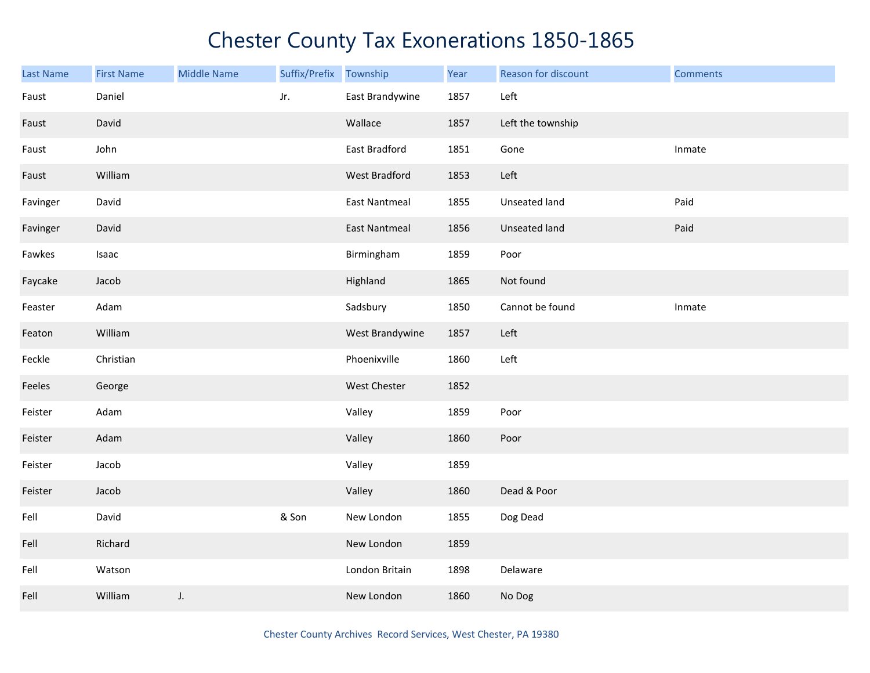| Last Name | <b>First Name</b> | <b>Middle Name</b> | Suffix/Prefix | Township             | Year | Reason for discount  | <b>Comments</b> |
|-----------|-------------------|--------------------|---------------|----------------------|------|----------------------|-----------------|
| Faust     | Daniel            |                    | Jr.           | East Brandywine      | 1857 | Left                 |                 |
| Faust     | David             |                    |               | Wallace              | 1857 | Left the township    |                 |
| Faust     | John              |                    |               | East Bradford        | 1851 | Gone                 | Inmate          |
| Faust     | William           |                    |               | West Bradford        | 1853 | Left                 |                 |
| Favinger  | David             |                    |               | <b>East Nantmeal</b> | 1855 | Unseated land        | Paid            |
| Favinger  | David             |                    |               | <b>East Nantmeal</b> | 1856 | <b>Unseated land</b> | Paid            |
| Fawkes    | Isaac             |                    |               | Birmingham           | 1859 | Poor                 |                 |
| Faycake   | Jacob             |                    |               | Highland             | 1865 | Not found            |                 |
| Feaster   | Adam              |                    |               | Sadsbury             | 1850 | Cannot be found      | Inmate          |
| Featon    | William           |                    |               | West Brandywine      | 1857 | Left                 |                 |
| Feckle    | Christian         |                    |               | Phoenixville         | 1860 | Left                 |                 |
| Feeles    | George            |                    |               | <b>West Chester</b>  | 1852 |                      |                 |
| Feister   | Adam              |                    |               | Valley               | 1859 | Poor                 |                 |
| Feister   | Adam              |                    |               | Valley               | 1860 | Poor                 |                 |
| Feister   | Jacob             |                    |               | Valley               | 1859 |                      |                 |
| Feister   | Jacob             |                    |               | Valley               | 1860 | Dead & Poor          |                 |
| Fell      | David             |                    | & Son         | New London           | 1855 | Dog Dead             |                 |
| Fell      | Richard           |                    |               | New London           | 1859 |                      |                 |
| Fell      | Watson            |                    |               | London Britain       | 1898 | Delaware             |                 |
| Fell      | William           | J.                 |               | New London           | 1860 | No Dog               |                 |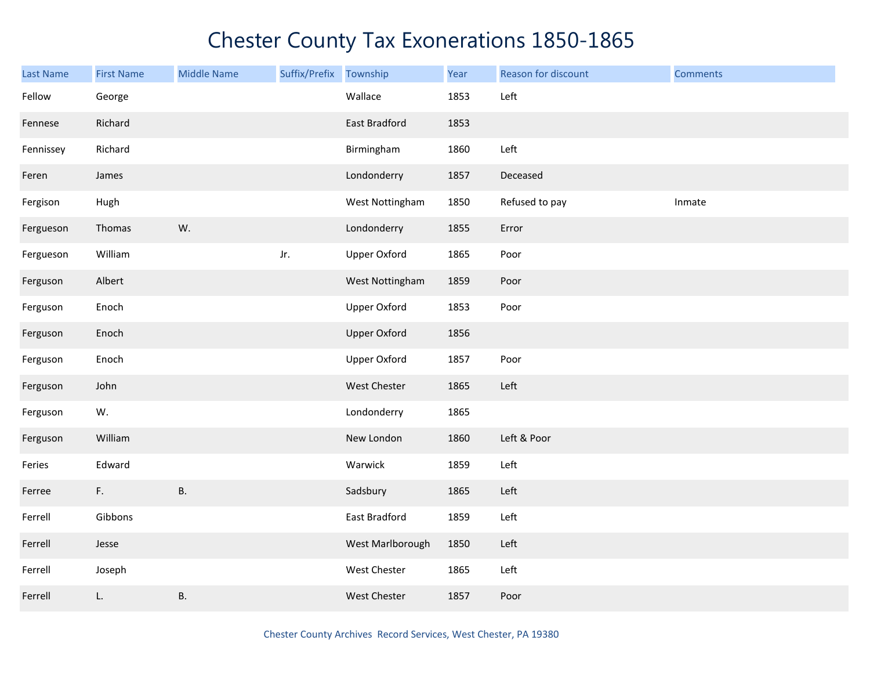| <b>Last Name</b> | <b>First Name</b> | <b>Middle Name</b> | Suffix/Prefix Township |                      | Year | Reason for discount | <b>Comments</b> |
|------------------|-------------------|--------------------|------------------------|----------------------|------|---------------------|-----------------|
| Fellow           | George            |                    |                        | Wallace              | 1853 | Left                |                 |
| Fennese          | Richard           |                    |                        | East Bradford        | 1853 |                     |                 |
| Fennissey        | Richard           |                    |                        | Birmingham           | 1860 | Left                |                 |
| Feren            | James             |                    |                        | Londonderry          | 1857 | Deceased            |                 |
| Fergison         | Hugh              |                    |                        | West Nottingham      | 1850 | Refused to pay      | Inmate          |
| Fergueson        | Thomas            | W.                 |                        | Londonderry          | 1855 | Error               |                 |
| Fergueson        | William           |                    | Jr.                    | <b>Upper Oxford</b>  | 1865 | Poor                |                 |
| Ferguson         | Albert            |                    |                        | West Nottingham      | 1859 | Poor                |                 |
| Ferguson         | Enoch             |                    |                        | <b>Upper Oxford</b>  | 1853 | Poor                |                 |
| Ferguson         | Enoch             |                    |                        | <b>Upper Oxford</b>  | 1856 |                     |                 |
| Ferguson         | Enoch             |                    |                        | <b>Upper Oxford</b>  | 1857 | Poor                |                 |
| Ferguson         | John              |                    |                        | West Chester         | 1865 | Left                |                 |
| Ferguson         | W.                |                    |                        | Londonderry          | 1865 |                     |                 |
| Ferguson         | William           |                    |                        | New London           | 1860 | Left & Poor         |                 |
| Feries           | Edward            |                    |                        | Warwick              | 1859 | Left                |                 |
| Ferree           | F.                | <b>B.</b>          |                        | Sadsbury             | 1865 | Left                |                 |
| Ferrell          | Gibbons           |                    |                        | <b>East Bradford</b> | 1859 | Left                |                 |
| Ferrell          | Jesse             |                    |                        | West Marlborough     | 1850 | Left                |                 |
| Ferrell          | Joseph            |                    |                        | West Chester         | 1865 | Left                |                 |
| Ferrell          | L.                | <b>B.</b>          |                        | West Chester         | 1857 | Poor                |                 |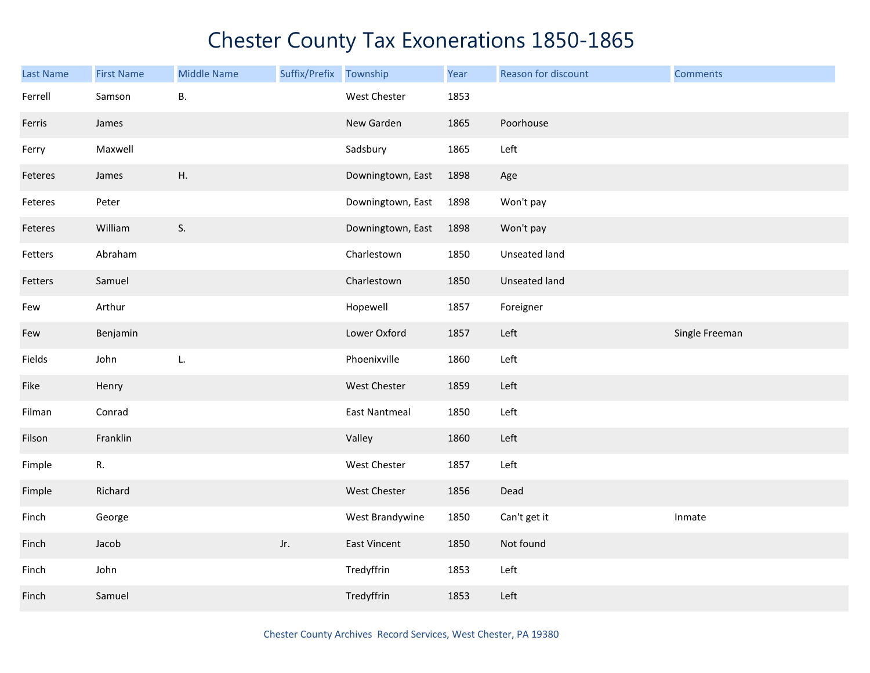| <b>Last Name</b> | <b>First Name</b> | <b>Middle Name</b> | Suffix/Prefix | Township             | Year | Reason for discount | <b>Comments</b> |
|------------------|-------------------|--------------------|---------------|----------------------|------|---------------------|-----------------|
| Ferrell          | Samson            | <b>B.</b>          |               | West Chester         | 1853 |                     |                 |
| Ferris           | James             |                    |               | New Garden           | 1865 | Poorhouse           |                 |
| Ferry            | Maxwell           |                    |               | Sadsbury             | 1865 | Left                |                 |
| Feteres          | James             | H.                 |               | Downingtown, East    | 1898 | Age                 |                 |
| Feteres          | Peter             |                    |               | Downingtown, East    | 1898 | Won't pay           |                 |
| Feteres          | William           | S.                 |               | Downingtown, East    | 1898 | Won't pay           |                 |
| Fetters          | Abraham           |                    |               | Charlestown          | 1850 | Unseated land       |                 |
| Fetters          | Samuel            |                    |               | Charlestown          | 1850 | Unseated land       |                 |
| Few              | Arthur            |                    |               | Hopewell             | 1857 | Foreigner           |                 |
| Few              | Benjamin          |                    |               | Lower Oxford         | 1857 | Left                | Single Freeman  |
| Fields           | John              | L.                 |               | Phoenixville         | 1860 | Left                |                 |
| Fike             | Henry             |                    |               | <b>West Chester</b>  | 1859 | Left                |                 |
| Filman           | Conrad            |                    |               | <b>East Nantmeal</b> | 1850 | Left                |                 |
| Filson           | Franklin          |                    |               | Valley               | 1860 | Left                |                 |
| Fimple           | R.                |                    |               | West Chester         | 1857 | Left                |                 |
| Fimple           | Richard           |                    |               | West Chester         | 1856 | Dead                |                 |
| Finch            | George            |                    |               | West Brandywine      | 1850 | Can't get it        | Inmate          |
| Finch            | Jacob             |                    | Jr.           | <b>East Vincent</b>  | 1850 | Not found           |                 |
| Finch            | John              |                    |               | Tredyffrin           | 1853 | Left                |                 |
| Finch            | Samuel            |                    |               | Tredyffrin           | 1853 | Left                |                 |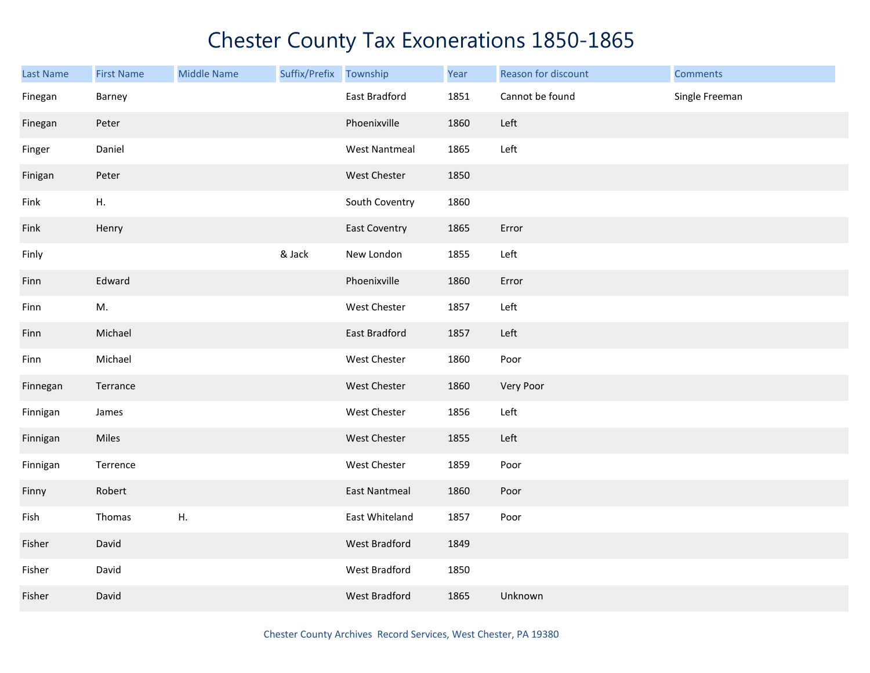| <b>Last Name</b> | <b>First Name</b> | <b>Middle Name</b> | Suffix/Prefix Township |                      | Year | Reason for discount | <b>Comments</b> |
|------------------|-------------------|--------------------|------------------------|----------------------|------|---------------------|-----------------|
| Finegan          | Barney            |                    |                        | East Bradford        | 1851 | Cannot be found     | Single Freeman  |
| Finegan          | Peter             |                    |                        | Phoenixville         | 1860 | Left                |                 |
| Finger           | Daniel            |                    |                        | <b>West Nantmeal</b> | 1865 | Left                |                 |
| Finigan          | Peter             |                    |                        | West Chester         | 1850 |                     |                 |
| Fink             | Η.                |                    |                        | South Coventry       | 1860 |                     |                 |
| Fink             | Henry             |                    |                        | East Coventry        | 1865 | Error               |                 |
| Finly            |                   |                    | & Jack                 | New London           | 1855 | Left                |                 |
| Finn             | Edward            |                    |                        | Phoenixville         | 1860 | Error               |                 |
| Finn             | M.                |                    |                        | West Chester         | 1857 | Left                |                 |
| Finn             | Michael           |                    |                        | East Bradford        | 1857 | Left                |                 |
| Finn             | Michael           |                    |                        | West Chester         | 1860 | Poor                |                 |
| Finnegan         | Terrance          |                    |                        | West Chester         | 1860 | Very Poor           |                 |
| Finnigan         | James             |                    |                        | West Chester         | 1856 | Left                |                 |
| Finnigan         | Miles             |                    |                        | West Chester         | 1855 | Left                |                 |
| Finnigan         | Terrence          |                    |                        | West Chester         | 1859 | Poor                |                 |
| Finny            | Robert            |                    |                        | <b>East Nantmeal</b> | 1860 | Poor                |                 |
| Fish             | Thomas            | Η.                 |                        | East Whiteland       | 1857 | Poor                |                 |
| Fisher           | David             |                    |                        | West Bradford        | 1849 |                     |                 |
| Fisher           | David             |                    |                        | West Bradford        | 1850 |                     |                 |
| Fisher           | David             |                    |                        | <b>West Bradford</b> | 1865 | Unknown             |                 |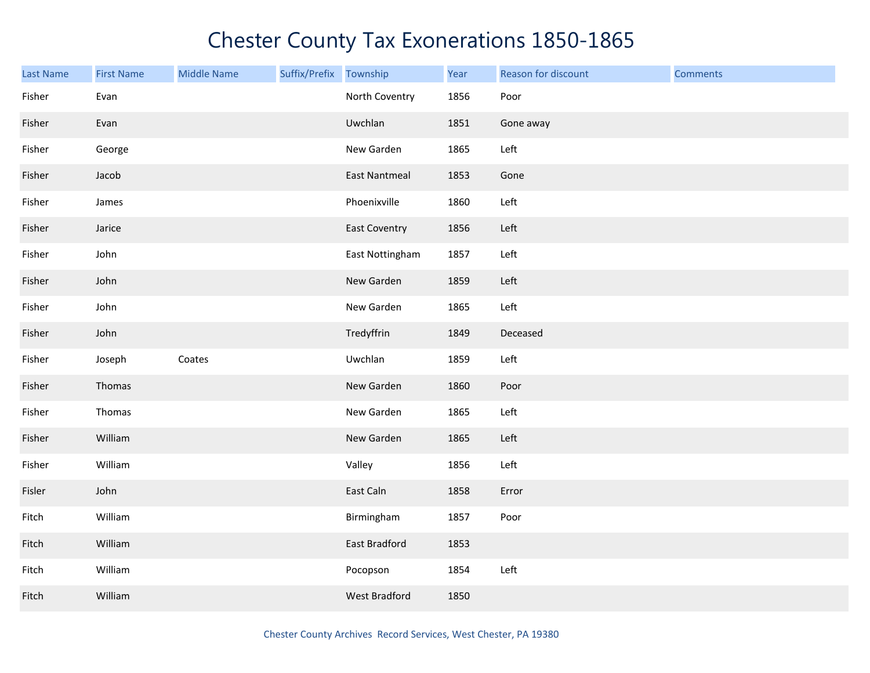| <b>Last Name</b> | <b>First Name</b> | <b>Middle Name</b> | Suffix/Prefix Township |                      | Year | Reason for discount | <b>Comments</b> |
|------------------|-------------------|--------------------|------------------------|----------------------|------|---------------------|-----------------|
| Fisher           | Evan              |                    |                        | North Coventry       | 1856 | Poor                |                 |
| Fisher           | Evan              |                    |                        | Uwchlan              | 1851 | Gone away           |                 |
| Fisher           | George            |                    |                        | New Garden           | 1865 | Left                |                 |
| Fisher           | Jacob             |                    |                        | <b>East Nantmeal</b> | 1853 | Gone                |                 |
| Fisher           | James             |                    |                        | Phoenixville         | 1860 | Left                |                 |
| Fisher           | Jarice            |                    |                        | <b>East Coventry</b> | 1856 | Left                |                 |
| Fisher           | John              |                    |                        | East Nottingham      | 1857 | Left                |                 |
| Fisher           | John              |                    |                        | New Garden           | 1859 | Left                |                 |
| Fisher           | John              |                    |                        | New Garden           | 1865 | Left                |                 |
| Fisher           | John              |                    |                        | Tredyffrin           | 1849 | Deceased            |                 |
| Fisher           | Joseph            | Coates             |                        | Uwchlan              | 1859 | Left                |                 |
| Fisher           | Thomas            |                    |                        | New Garden           | 1860 | Poor                |                 |
| Fisher           | Thomas            |                    |                        | New Garden           | 1865 | Left                |                 |
| Fisher           | William           |                    |                        | New Garden           | 1865 | Left                |                 |
| Fisher           | William           |                    |                        | Valley               | 1856 | Left                |                 |
| Fisler           | John              |                    |                        | East Caln            | 1858 | Error               |                 |
| Fitch            | William           |                    |                        | Birmingham           | 1857 | Poor                |                 |
| Fitch            | William           |                    |                        | <b>East Bradford</b> | 1853 |                     |                 |
| Fitch            | William           |                    |                        | Pocopson             | 1854 | Left                |                 |
| Fitch            | William           |                    |                        | <b>West Bradford</b> | 1850 |                     |                 |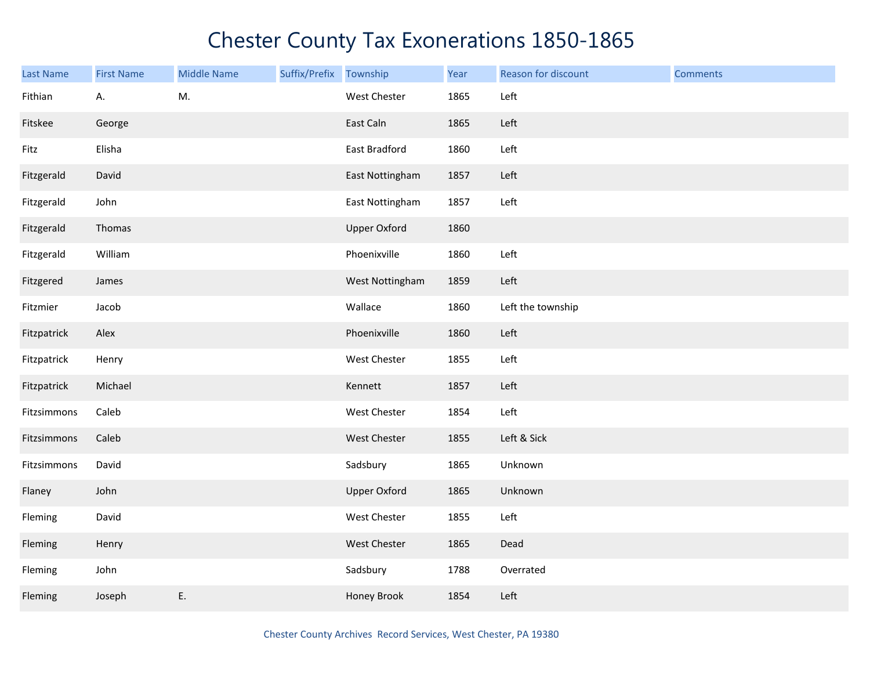| Last Name   | <b>First Name</b> | <b>Middle Name</b> | Suffix/Prefix | Township            | Year | Reason for discount | <b>Comments</b> |
|-------------|-------------------|--------------------|---------------|---------------------|------|---------------------|-----------------|
| Fithian     | А.                | M.                 |               | West Chester        | 1865 | Left                |                 |
| Fitskee     | George            |                    |               | East Caln           | 1865 | Left                |                 |
| Fitz        | Elisha            |                    |               | East Bradford       | 1860 | Left                |                 |
| Fitzgerald  | David             |                    |               | East Nottingham     | 1857 | Left                |                 |
| Fitzgerald  | John              |                    |               | East Nottingham     | 1857 | Left                |                 |
| Fitzgerald  | Thomas            |                    |               | <b>Upper Oxford</b> | 1860 |                     |                 |
| Fitzgerald  | William           |                    |               | Phoenixville        | 1860 | Left                |                 |
| Fitzgered   | James             |                    |               | West Nottingham     | 1859 | Left                |                 |
| Fitzmier    | Jacob             |                    |               | Wallace             | 1860 | Left the township   |                 |
| Fitzpatrick | Alex              |                    |               | Phoenixville        | 1860 | Left                |                 |
| Fitzpatrick | Henry             |                    |               | West Chester        | 1855 | Left                |                 |
| Fitzpatrick | Michael           |                    |               | Kennett             | 1857 | Left                |                 |
| Fitzsimmons | Caleb             |                    |               | West Chester        | 1854 | Left                |                 |
| Fitzsimmons | Caleb             |                    |               | West Chester        | 1855 | Left & Sick         |                 |
| Fitzsimmons | David             |                    |               | Sadsbury            | 1865 | Unknown             |                 |
| Flaney      | John              |                    |               | <b>Upper Oxford</b> | 1865 | Unknown             |                 |
| Fleming     | David             |                    |               | West Chester        | 1855 | Left                |                 |
| Fleming     | Henry             |                    |               | West Chester        | 1865 | Dead                |                 |
| Fleming     | John              |                    |               | Sadsbury            | 1788 | Overrated           |                 |
| Fleming     | Joseph            | E.                 |               | Honey Brook         | 1854 | Left                |                 |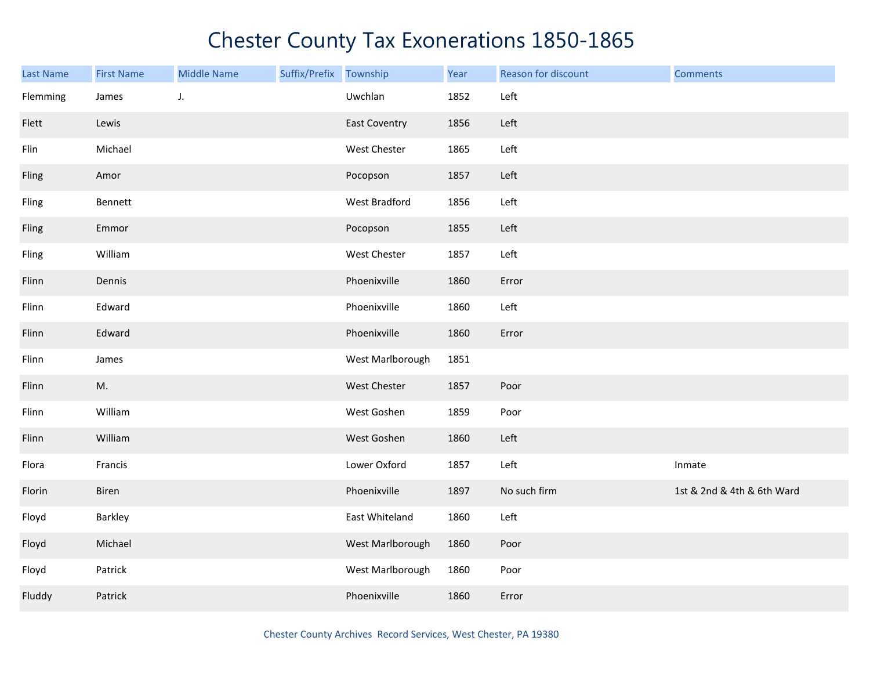| Last Name | <b>First Name</b> | <b>Middle Name</b> | Suffix/Prefix Township |                      | Year | Reason for discount | <b>Comments</b>            |
|-----------|-------------------|--------------------|------------------------|----------------------|------|---------------------|----------------------------|
| Flemming  | James             | J.                 |                        | Uwchlan              | 1852 | Left                |                            |
| Flett     | Lewis             |                    |                        | <b>East Coventry</b> | 1856 | Left                |                            |
| Flin      | Michael           |                    |                        | West Chester         | 1865 | Left                |                            |
| Fling     | Amor              |                    |                        | Pocopson             | 1857 | Left                |                            |
| Fling     | Bennett           |                    |                        | West Bradford        | 1856 | Left                |                            |
| Fling     | Emmor             |                    |                        | Pocopson             | 1855 | Left                |                            |
| Fling     | William           |                    |                        | West Chester         | 1857 | Left                |                            |
| Flinn     | Dennis            |                    |                        | Phoenixville         | 1860 | Error               |                            |
| Flinn     | Edward            |                    |                        | Phoenixville         | 1860 | Left                |                            |
| Flinn     | Edward            |                    |                        | Phoenixville         | 1860 | Error               |                            |
| Flinn     | James             |                    |                        | West Marlborough     | 1851 |                     |                            |
| Flinn     | M.                |                    |                        | West Chester         | 1857 | Poor                |                            |
| Flinn     | William           |                    |                        | West Goshen          | 1859 | Poor                |                            |
| Flinn     | William           |                    |                        | West Goshen          | 1860 | Left                |                            |
| Flora     | Francis           |                    |                        | Lower Oxford         | 1857 | Left                | Inmate                     |
| Florin    | Biren             |                    |                        | Phoenixville         | 1897 | No such firm        | 1st & 2nd & 4th & 6th Ward |
| Floyd     | Barkley           |                    |                        | East Whiteland       | 1860 | Left                |                            |
| Floyd     | Michael           |                    |                        | West Marlborough     | 1860 | Poor                |                            |
| Floyd     | Patrick           |                    |                        | West Marlborough     | 1860 | Poor                |                            |
| Fluddy    | Patrick           |                    |                        | Phoenixville         | 1860 | Error               |                            |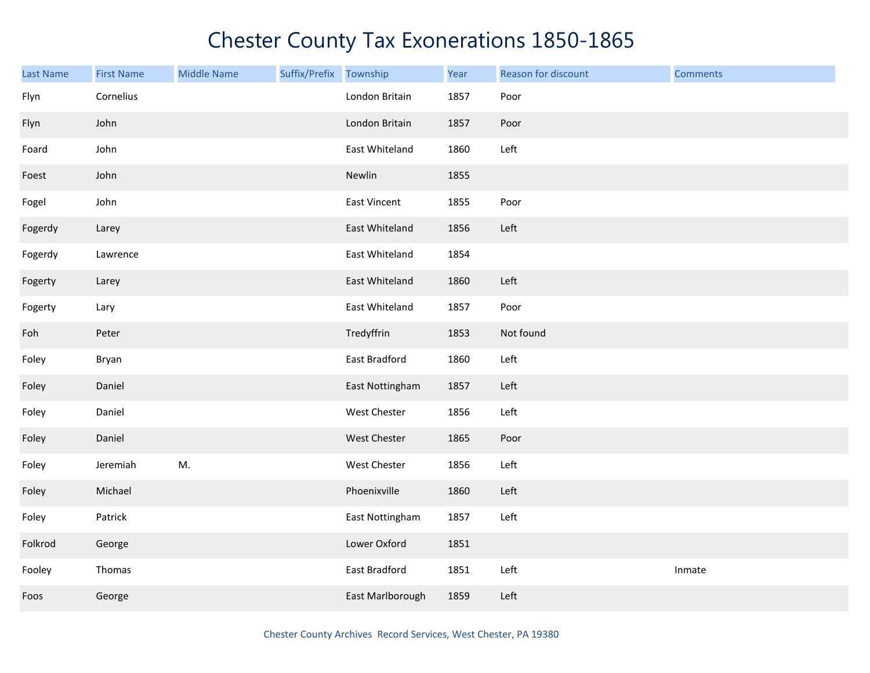| <b>Last Name</b> | <b>First Name</b> | <b>Middle Name</b> | Suffix/Prefix Township |                  | Year | Reason for discount | <b>Comments</b> |
|------------------|-------------------|--------------------|------------------------|------------------|------|---------------------|-----------------|
| Flyn             | Cornelius         |                    |                        | London Britain   | 1857 | Poor                |                 |
| Flyn             | John              |                    |                        | London Britain   | 1857 | Poor                |                 |
| Foard            | John              |                    |                        | East Whiteland   | 1860 | Left                |                 |
| Foest            | John              |                    |                        | Newlin           | 1855 |                     |                 |
| Fogel            | John              |                    |                        | East Vincent     | 1855 | Poor                |                 |
| Fogerdy          | Larey             |                    |                        | East Whiteland   | 1856 | Left                |                 |
| Fogerdy          | Lawrence          |                    |                        | East Whiteland   | 1854 |                     |                 |
| Fogerty          | Larey             |                    |                        | East Whiteland   | 1860 | Left                |                 |
| Fogerty          | Lary              |                    |                        | East Whiteland   | 1857 | Poor                |                 |
| Foh              | Peter             |                    |                        | Tredyffrin       | 1853 | Not found           |                 |
| Foley            | Bryan             |                    |                        | East Bradford    | 1860 | Left                |                 |
| Foley            | Daniel            |                    |                        | East Nottingham  | 1857 | Left                |                 |
| Foley            | Daniel            |                    |                        | West Chester     | 1856 | Left                |                 |
| Foley            | Daniel            |                    |                        | West Chester     | 1865 | Poor                |                 |
| Foley            | Jeremiah          | M.                 |                        | West Chester     | 1856 | Left                |                 |
| Foley            | Michael           |                    |                        | Phoenixville     | 1860 | Left                |                 |
| Foley            | Patrick           |                    |                        | East Nottingham  | 1857 | Left                |                 |
| Folkrod          | George            |                    |                        | Lower Oxford     | 1851 |                     |                 |
| Fooley           | Thomas            |                    |                        | East Bradford    | 1851 | Left                | Inmate          |
| Foos             | George            |                    |                        | East Marlborough | 1859 | Left                |                 |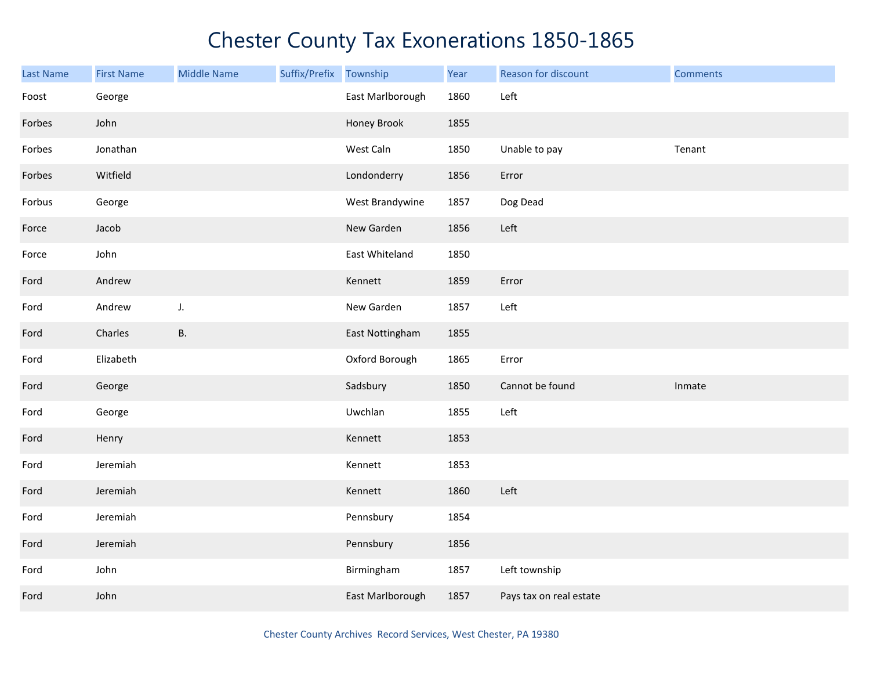| <b>Last Name</b> | <b>First Name</b> | <b>Middle Name</b> | Suffix/Prefix | Township         | Year | Reason for discount     | <b>Comments</b> |
|------------------|-------------------|--------------------|---------------|------------------|------|-------------------------|-----------------|
| Foost            | George            |                    |               | East Marlborough | 1860 | Left                    |                 |
| Forbes           | John              |                    |               | Honey Brook      | 1855 |                         |                 |
| Forbes           | Jonathan          |                    |               | West Caln        | 1850 | Unable to pay           | Tenant          |
| Forbes           | Witfield          |                    |               | Londonderry      | 1856 | Error                   |                 |
| Forbus           | George            |                    |               | West Brandywine  | 1857 | Dog Dead                |                 |
| Force            | Jacob             |                    |               | New Garden       | 1856 | Left                    |                 |
| Force            | John              |                    |               | East Whiteland   | 1850 |                         |                 |
| Ford             | Andrew            |                    |               | Kennett          | 1859 | Error                   |                 |
| Ford             | Andrew            | J.                 |               | New Garden       | 1857 | Left                    |                 |
| Ford             | Charles           | В.                 |               | East Nottingham  | 1855 |                         |                 |
| Ford             | Elizabeth         |                    |               | Oxford Borough   | 1865 | Error                   |                 |
| Ford             | George            |                    |               | Sadsbury         | 1850 | Cannot be found         | Inmate          |
| Ford             | George            |                    |               | Uwchlan          | 1855 | Left                    |                 |
| Ford             | Henry             |                    |               | Kennett          | 1853 |                         |                 |
| Ford             | Jeremiah          |                    |               | Kennett          | 1853 |                         |                 |
| Ford             | Jeremiah          |                    |               | Kennett          | 1860 | Left                    |                 |
| Ford             | Jeremiah          |                    |               | Pennsbury        | 1854 |                         |                 |
| Ford             | Jeremiah          |                    |               | Pennsbury        | 1856 |                         |                 |
| Ford             | John              |                    |               | Birmingham       | 1857 | Left township           |                 |
| Ford             | John              |                    |               | East Marlborough | 1857 | Pays tax on real estate |                 |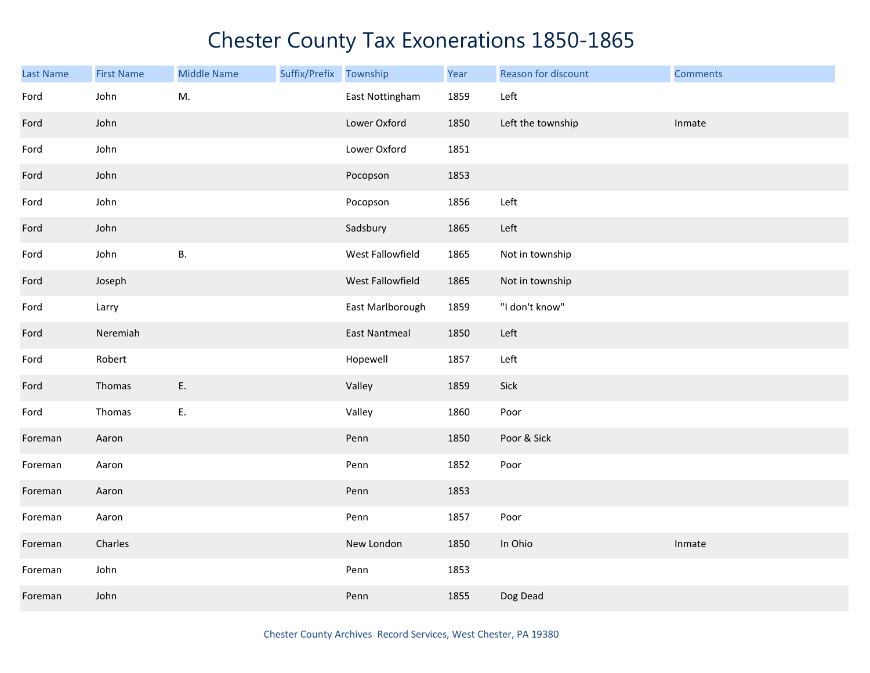| Last Name | <b>First Name</b> | <b>Middle Name</b> | Suffix/Prefix | Township             | Year | Reason for discount | <b>Comments</b> |
|-----------|-------------------|--------------------|---------------|----------------------|------|---------------------|-----------------|
| Ford      | John              | M.                 |               | East Nottingham      | 1859 | Left                |                 |
| Ford      | John              |                    |               | Lower Oxford         | 1850 | Left the township   | Inmate          |
| Ford      | John              |                    |               | Lower Oxford         | 1851 |                     |                 |
| Ford      | John              |                    |               | Pocopson             | 1853 |                     |                 |
| Ford      | John              |                    |               | Pocopson             | 1856 | Left                |                 |
| Ford      | John              |                    |               | Sadsbury             | 1865 | Left                |                 |
| Ford      | John              | В.                 |               | West Fallowfield     | 1865 | Not in township     |                 |
| Ford      | Joseph            |                    |               | West Fallowfield     | 1865 | Not in township     |                 |
| Ford      | Larry             |                    |               | East Marlborough     | 1859 | "I don't know"      |                 |
| Ford      | Neremiah          |                    |               | <b>East Nantmeal</b> | 1850 | Left                |                 |
| Ford      | Robert            |                    |               | Hopewell             | 1857 | Left                |                 |
| Ford      | Thomas            | Ε.                 |               | Valley               | 1859 | Sick                |                 |
| Ford      | Thomas            | Ε.                 |               | Valley               | 1860 | Poor                |                 |
| Foreman   | Aaron             |                    |               | Penn                 | 1850 | Poor & Sick         |                 |
| Foreman   | Aaron             |                    |               | Penn                 | 1852 | Poor                |                 |
| Foreman   | Aaron             |                    |               | Penn                 | 1853 |                     |                 |
| Foreman   | Aaron             |                    |               | Penn                 | 1857 | Poor                |                 |
| Foreman   | Charles           |                    |               | New London           | 1850 | In Ohio             | Inmate          |
| Foreman   | John              |                    |               | Penn                 | 1853 |                     |                 |
| Foreman   | John              |                    |               | Penn                 | 1855 | Dog Dead            |                 |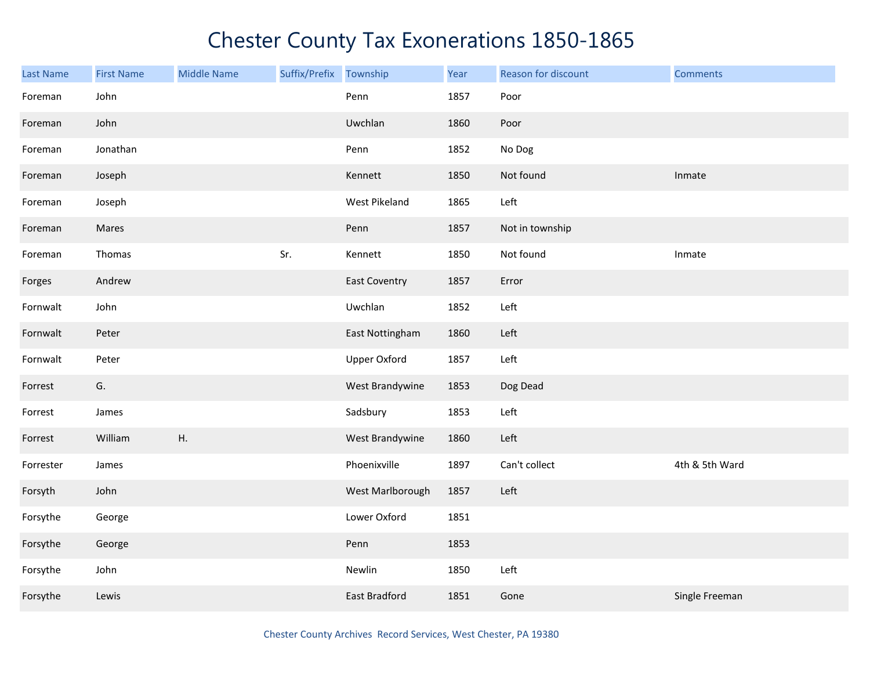| <b>Last Name</b> | <b>First Name</b> | <b>Middle Name</b> | Suffix/Prefix Township |                      | Year | Reason for discount | <b>Comments</b> |
|------------------|-------------------|--------------------|------------------------|----------------------|------|---------------------|-----------------|
| Foreman          | John              |                    |                        | Penn                 | 1857 | Poor                |                 |
| Foreman          | John              |                    |                        | Uwchlan              | 1860 | Poor                |                 |
| Foreman          | Jonathan          |                    |                        | Penn                 | 1852 | No Dog              |                 |
| Foreman          | Joseph            |                    |                        | Kennett              | 1850 | Not found           | Inmate          |
| Foreman          | Joseph            |                    |                        | West Pikeland        | 1865 | Left                |                 |
| Foreman          | Mares             |                    |                        | Penn                 | 1857 | Not in township     |                 |
| Foreman          | Thomas            |                    | Sr.                    | Kennett              | 1850 | Not found           | Inmate          |
| Forges           | Andrew            |                    |                        | <b>East Coventry</b> | 1857 | Error               |                 |
| Fornwalt         | John              |                    |                        | Uwchlan              | 1852 | Left                |                 |
| Fornwalt         | Peter             |                    |                        | East Nottingham      | 1860 | Left                |                 |
| Fornwalt         | Peter             |                    |                        | <b>Upper Oxford</b>  | 1857 | Left                |                 |
| Forrest          | G.                |                    |                        | West Brandywine      | 1853 | Dog Dead            |                 |
| Forrest          | James             |                    |                        | Sadsbury             | 1853 | Left                |                 |
| Forrest          | William           | Η.                 |                        | West Brandywine      | 1860 | Left                |                 |
| Forrester        | James             |                    |                        | Phoenixville         | 1897 | Can't collect       | 4th & 5th Ward  |
| Forsyth          | John              |                    |                        | West Marlborough     | 1857 | Left                |                 |
| Forsythe         | George            |                    |                        | Lower Oxford         | 1851 |                     |                 |
| Forsythe         | George            |                    |                        | Penn                 | 1853 |                     |                 |
| Forsythe         | John              |                    |                        | Newlin               | 1850 | Left                |                 |
| Forsythe         | Lewis             |                    |                        | <b>East Bradford</b> | 1851 | Gone                | Single Freeman  |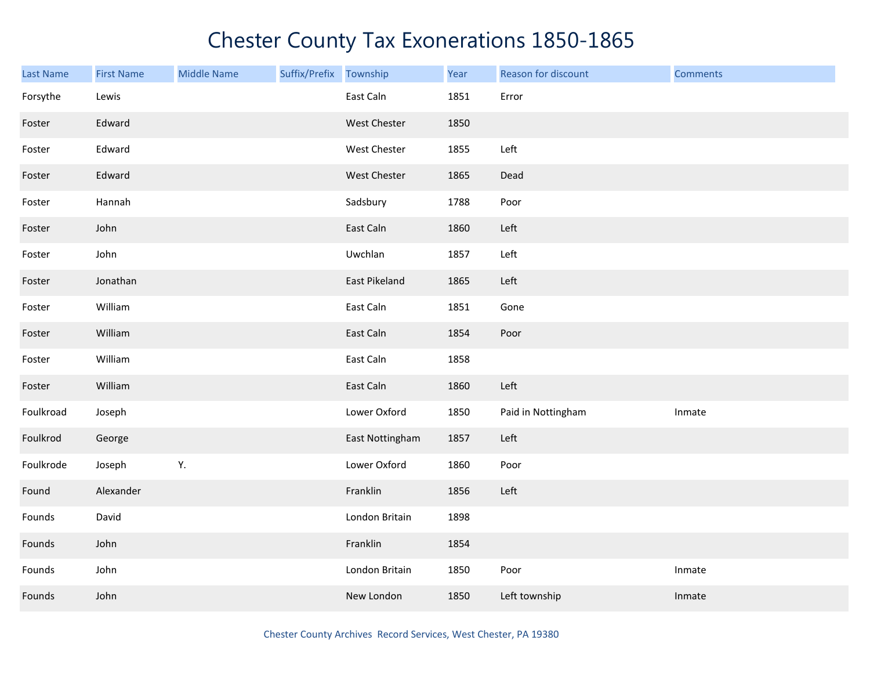| <b>Last Name</b> | <b>First Name</b> | <b>Middle Name</b> | Suffix/Prefix Township |                 | Year | Reason for discount | <b>Comments</b> |
|------------------|-------------------|--------------------|------------------------|-----------------|------|---------------------|-----------------|
| Forsythe         | Lewis             |                    |                        | East Caln       | 1851 | Error               |                 |
| Foster           | Edward            |                    |                        | West Chester    | 1850 |                     |                 |
| Foster           | Edward            |                    |                        | West Chester    | 1855 | Left                |                 |
| Foster           | Edward            |                    |                        | West Chester    | 1865 | Dead                |                 |
| Foster           | Hannah            |                    |                        | Sadsbury        | 1788 | Poor                |                 |
| Foster           | John              |                    |                        | East Caln       | 1860 | Left                |                 |
| Foster           | John              |                    |                        | Uwchlan         | 1857 | Left                |                 |
| Foster           | Jonathan          |                    |                        | East Pikeland   | 1865 | Left                |                 |
| Foster           | William           |                    |                        | East Caln       | 1851 | Gone                |                 |
| Foster           | William           |                    |                        | East Caln       | 1854 | Poor                |                 |
| Foster           | William           |                    |                        | East Caln       | 1858 |                     |                 |
| Foster           | William           |                    |                        | East Caln       | 1860 | Left                |                 |
| Foulkroad        | Joseph            |                    |                        | Lower Oxford    | 1850 | Paid in Nottingham  | Inmate          |
| Foulkrod         | George            |                    |                        | East Nottingham | 1857 | Left                |                 |
| Foulkrode        | Joseph            | Υ.                 |                        | Lower Oxford    | 1860 | Poor                |                 |
| Found            | Alexander         |                    |                        | Franklin        | 1856 | Left                |                 |
| Founds           | David             |                    |                        | London Britain  | 1898 |                     |                 |
| Founds           | John              |                    |                        | Franklin        | 1854 |                     |                 |
| Founds           | John              |                    |                        | London Britain  | 1850 | Poor                | Inmate          |
| Founds           | John              |                    |                        | New London      | 1850 | Left township       | Inmate          |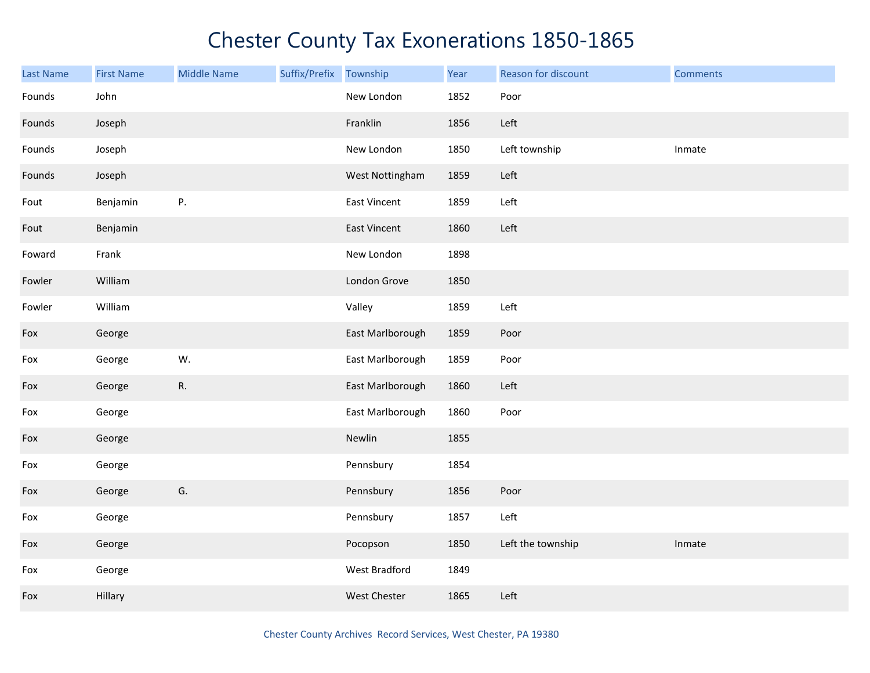| Last Name | <b>First Name</b> | <b>Middle Name</b> | Suffix/Prefix | Township         | Year | Reason for discount | <b>Comments</b> |
|-----------|-------------------|--------------------|---------------|------------------|------|---------------------|-----------------|
| Founds    | John              |                    |               | New London       | 1852 | Poor                |                 |
| Founds    | Joseph            |                    |               | Franklin         | 1856 | Left                |                 |
| Founds    | Joseph            |                    |               | New London       | 1850 | Left township       | Inmate          |
| Founds    | Joseph            |                    |               | West Nottingham  | 1859 | Left                |                 |
| Fout      | Benjamin          | P.                 |               | East Vincent     | 1859 | Left                |                 |
| Fout      | Benjamin          |                    |               | East Vincent     | 1860 | Left                |                 |
| Foward    | Frank             |                    |               | New London       | 1898 |                     |                 |
| Fowler    | William           |                    |               | London Grove     | 1850 |                     |                 |
| Fowler    | William           |                    |               | Valley           | 1859 | Left                |                 |
| Fox       | George            |                    |               | East Marlborough | 1859 | Poor                |                 |
| Fox       | George            | W.                 |               | East Marlborough | 1859 | Poor                |                 |
| Fox       | George            | R.                 |               | East Marlborough | 1860 | Left                |                 |
| Fox       | George            |                    |               | East Marlborough | 1860 | Poor                |                 |
| Fox       | George            |                    |               | Newlin           | 1855 |                     |                 |
| Fox       | George            |                    |               | Pennsbury        | 1854 |                     |                 |
| Fox       | George            | G.                 |               | Pennsbury        | 1856 | Poor                |                 |
| Fox       | George            |                    |               | Pennsbury        | 1857 | Left                |                 |
| Fox       | George            |                    |               | Pocopson         | 1850 | Left the township   | Inmate          |
| Fox       | George            |                    |               | West Bradford    | 1849 |                     |                 |
| Fox       | Hillary           |                    |               | West Chester     | 1865 | Left                |                 |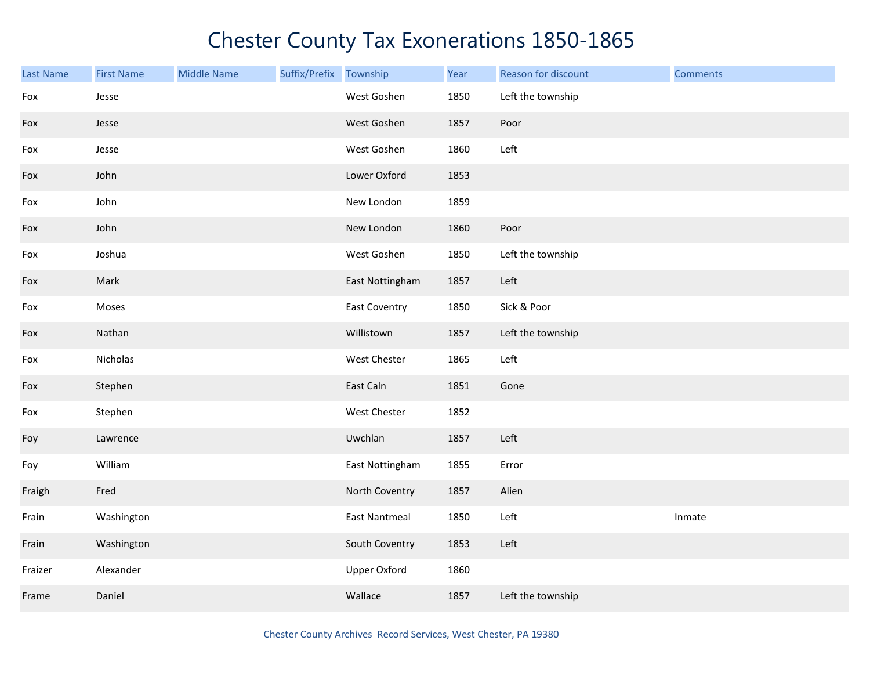| <b>Last Name</b> | <b>First Name</b> | <b>Middle Name</b> | Suffix/Prefix | Township             | Year | Reason for discount | <b>Comments</b> |
|------------------|-------------------|--------------------|---------------|----------------------|------|---------------------|-----------------|
| Fox              | Jesse             |                    |               | West Goshen          | 1850 | Left the township   |                 |
| Fox              | Jesse             |                    |               | West Goshen          | 1857 | Poor                |                 |
| Fox              | Jesse             |                    |               | West Goshen          | 1860 | Left                |                 |
| Fox              | John              |                    |               | Lower Oxford         | 1853 |                     |                 |
| Fox              | John              |                    |               | New London           | 1859 |                     |                 |
| Fox              | John              |                    |               | New London           | 1860 | Poor                |                 |
| Fox              | Joshua            |                    |               | West Goshen          | 1850 | Left the township   |                 |
| Fox              | Mark              |                    |               | East Nottingham      | 1857 | Left                |                 |
| Fox              | Moses             |                    |               | <b>East Coventry</b> | 1850 | Sick & Poor         |                 |
| Fox              | Nathan            |                    |               | Willistown           | 1857 | Left the township   |                 |
| Fox              | Nicholas          |                    |               | West Chester         | 1865 | Left                |                 |
| Fox              | Stephen           |                    |               | East Caln            | 1851 | Gone                |                 |
| Fox              | Stephen           |                    |               | West Chester         | 1852 |                     |                 |
| Foy              | Lawrence          |                    |               | Uwchlan              | 1857 | Left                |                 |
| Foy              | William           |                    |               | East Nottingham      | 1855 | Error               |                 |
| Fraigh           | Fred              |                    |               | North Coventry       | 1857 | Alien               |                 |
| Frain            | Washington        |                    |               | <b>East Nantmeal</b> | 1850 | Left                | Inmate          |
| Frain            | Washington        |                    |               | South Coventry       | 1853 | Left                |                 |
| Fraizer          | Alexander         |                    |               | Upper Oxford         | 1860 |                     |                 |
| Frame            | Daniel            |                    |               | Wallace              | 1857 | Left the township   |                 |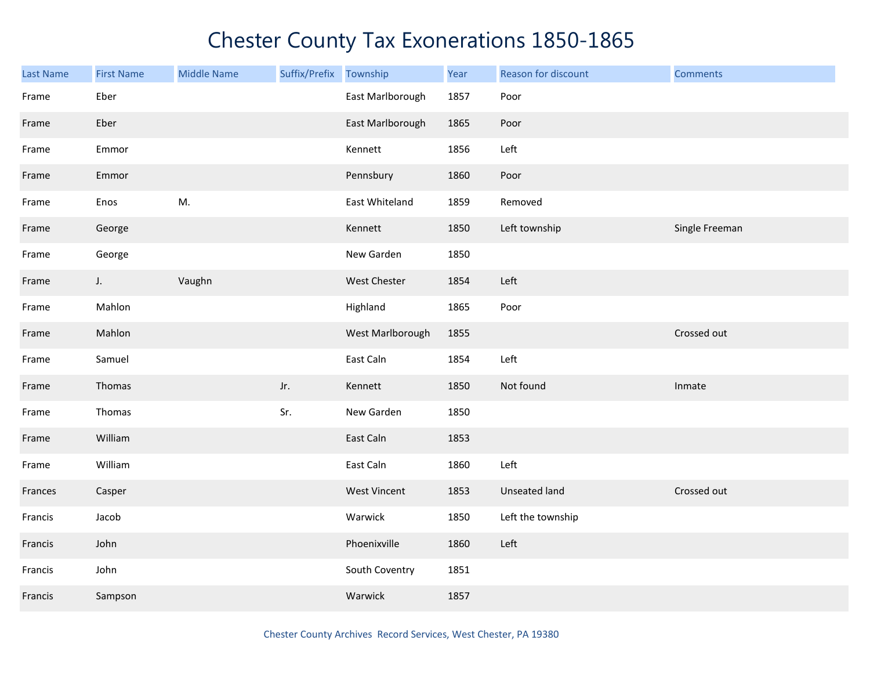| Last Name | <b>First Name</b> | <b>Middle Name</b> | Suffix/Prefix | Township            | Year | Reason for discount | <b>Comments</b> |
|-----------|-------------------|--------------------|---------------|---------------------|------|---------------------|-----------------|
| Frame     | Eber              |                    |               | East Marlborough    | 1857 | Poor                |                 |
| Frame     | Eber              |                    |               | East Marlborough    | 1865 | Poor                |                 |
| Frame     | Emmor             |                    |               | Kennett             | 1856 | Left                |                 |
| Frame     | Emmor             |                    |               | Pennsbury           | 1860 | Poor                |                 |
| Frame     | Enos              | M.                 |               | East Whiteland      | 1859 | Removed             |                 |
| Frame     | George            |                    |               | Kennett             | 1850 | Left township       | Single Freeman  |
| Frame     | George            |                    |               | New Garden          | 1850 |                     |                 |
| Frame     | $J_{\star}$       | Vaughn             |               | West Chester        | 1854 | Left                |                 |
| Frame     | Mahlon            |                    |               | Highland            | 1865 | Poor                |                 |
| Frame     | Mahlon            |                    |               | West Marlborough    | 1855 |                     | Crossed out     |
| Frame     | Samuel            |                    |               | East Caln           | 1854 | Left                |                 |
| Frame     | Thomas            |                    | Jr.           | Kennett             | 1850 | Not found           | Inmate          |
| Frame     | Thomas            |                    | Sr.           | New Garden          | 1850 |                     |                 |
| Frame     | William           |                    |               | East Caln           | 1853 |                     |                 |
| Frame     | William           |                    |               | East Caln           | 1860 | Left                |                 |
| Frances   | Casper            |                    |               | <b>West Vincent</b> | 1853 | Unseated land       | Crossed out     |
| Francis   | Jacob             |                    |               | Warwick             | 1850 | Left the township   |                 |
| Francis   | John              |                    |               | Phoenixville        | 1860 | Left                |                 |
| Francis   | John              |                    |               | South Coventry      | 1851 |                     |                 |
| Francis   | Sampson           |                    |               | Warwick             | 1857 |                     |                 |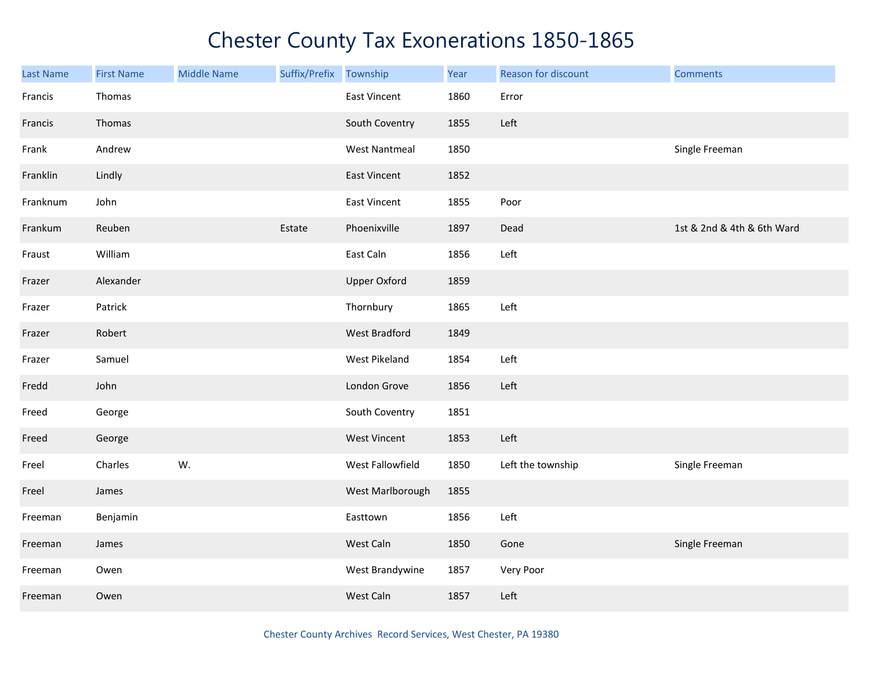| <b>Last Name</b> | <b>First Name</b> | <b>Middle Name</b> | Suffix/Prefix | Township             | Year | Reason for discount | <b>Comments</b>            |
|------------------|-------------------|--------------------|---------------|----------------------|------|---------------------|----------------------------|
| Francis          | Thomas            |                    |               | East Vincent         | 1860 | Error               |                            |
| Francis          | Thomas            |                    |               | South Coventry       | 1855 | Left                |                            |
| Frank            | Andrew            |                    |               | <b>West Nantmeal</b> | 1850 |                     | Single Freeman             |
| Franklin         | Lindly            |                    |               | <b>East Vincent</b>  | 1852 |                     |                            |
| Franknum         | John              |                    |               | <b>East Vincent</b>  | 1855 | Poor                |                            |
| Frankum          | Reuben            |                    | Estate        | Phoenixville         | 1897 | Dead                | 1st & 2nd & 4th & 6th Ward |
| Fraust           | William           |                    |               | East Caln            | 1856 | Left                |                            |
| Frazer           | Alexander         |                    |               | <b>Upper Oxford</b>  | 1859 |                     |                            |
| Frazer           | Patrick           |                    |               | Thornbury            | 1865 | Left                |                            |
| Frazer           | Robert            |                    |               | <b>West Bradford</b> | 1849 |                     |                            |
| Frazer           | Samuel            |                    |               | West Pikeland        | 1854 | Left                |                            |
| Fredd            | John              |                    |               | London Grove         | 1856 | Left                |                            |
| Freed            | George            |                    |               | South Coventry       | 1851 |                     |                            |
| Freed            | George            |                    |               | West Vincent         | 1853 | Left                |                            |
| Freel            | Charles           | W.                 |               | West Fallowfield     | 1850 | Left the township   | Single Freeman             |
| Freel            | James             |                    |               | West Marlborough     | 1855 |                     |                            |
| Freeman          | Benjamin          |                    |               | Easttown             | 1856 | Left                |                            |
| Freeman          | James             |                    |               | West Caln            | 1850 | Gone                | Single Freeman             |
| Freeman          | Owen              |                    |               | West Brandywine      | 1857 | Very Poor           |                            |
| Freeman          | Owen              |                    |               | West Caln            | 1857 | Left                |                            |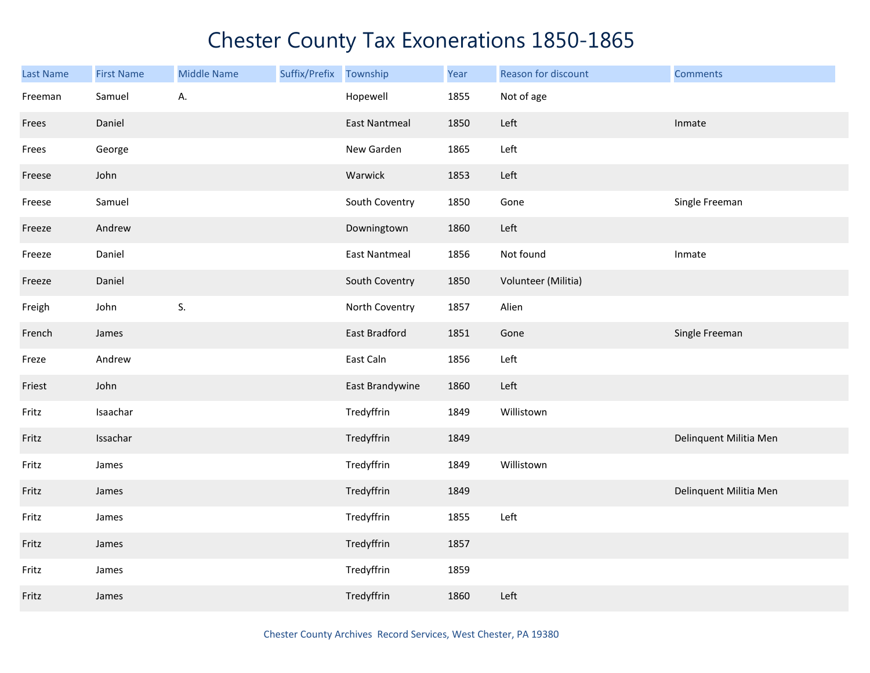| <b>Last Name</b> | <b>First Name</b> | <b>Middle Name</b> | Suffix/Prefix | Township             | Year | Reason for discount | <b>Comments</b>        |
|------------------|-------------------|--------------------|---------------|----------------------|------|---------------------|------------------------|
| Freeman          | Samuel            | А.                 |               | Hopewell             | 1855 | Not of age          |                        |
| Frees            | Daniel            |                    |               | <b>East Nantmeal</b> | 1850 | Left                | Inmate                 |
| Frees            | George            |                    |               | New Garden           | 1865 | Left                |                        |
| Freese           | John              |                    |               | Warwick              | 1853 | Left                |                        |
| Freese           | Samuel            |                    |               | South Coventry       | 1850 | Gone                | Single Freeman         |
| Freeze           | Andrew            |                    |               | Downingtown          | 1860 | Left                |                        |
| Freeze           | Daniel            |                    |               | <b>East Nantmeal</b> | 1856 | Not found           | Inmate                 |
| Freeze           | Daniel            |                    |               | South Coventry       | 1850 | Volunteer (Militia) |                        |
| Freigh           | John              | S.                 |               | North Coventry       | 1857 | Alien               |                        |
| French           | James             |                    |               | East Bradford        | 1851 | Gone                | Single Freeman         |
| Freze            | Andrew            |                    |               | East Caln            | 1856 | Left                |                        |
| Friest           | John              |                    |               | East Brandywine      | 1860 | Left                |                        |
| Fritz            | Isaachar          |                    |               | Tredyffrin           | 1849 | Willistown          |                        |
| Fritz            | Issachar          |                    |               | Tredyffrin           | 1849 |                     | Delinquent Militia Men |
| Fritz            | James             |                    |               | Tredyffrin           | 1849 | Willistown          |                        |
| Fritz            | James             |                    |               | Tredyffrin           | 1849 |                     | Delinquent Militia Men |
| Fritz            | James             |                    |               | Tredyffrin           | 1855 | Left                |                        |
| Fritz            | James             |                    |               | Tredyffrin           | 1857 |                     |                        |
| Fritz            | James             |                    |               | Tredyffrin           | 1859 |                     |                        |
| Fritz            | James             |                    |               | Tredyffrin           | 1860 | Left                |                        |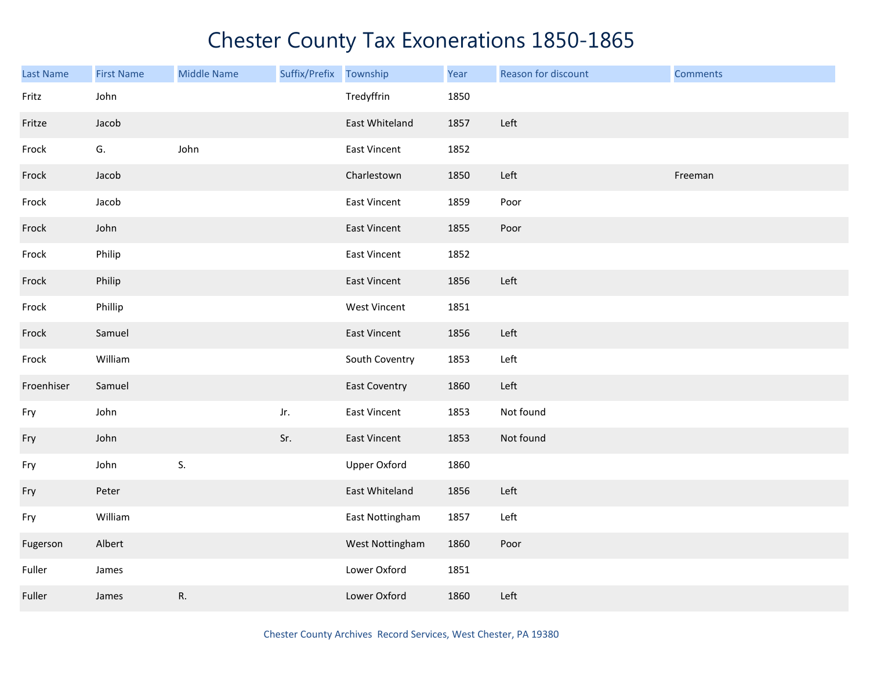| <b>Last Name</b> | <b>First Name</b> | <b>Middle Name</b> | Suffix/Prefix Township |                      | Year | Reason for discount | <b>Comments</b> |
|------------------|-------------------|--------------------|------------------------|----------------------|------|---------------------|-----------------|
| Fritz            | John              |                    |                        | Tredyffrin           | 1850 |                     |                 |
| Fritze           | Jacob             |                    |                        | East Whiteland       | 1857 | Left                |                 |
| Frock            | G.                | John               |                        | <b>East Vincent</b>  | 1852 |                     |                 |
| Frock            | Jacob             |                    |                        | Charlestown          | 1850 | Left                | Freeman         |
| Frock            | Jacob             |                    |                        | East Vincent         | 1859 | Poor                |                 |
| Frock            | John              |                    |                        | East Vincent         | 1855 | Poor                |                 |
| Frock            | Philip            |                    |                        | <b>East Vincent</b>  | 1852 |                     |                 |
| Frock            | Philip            |                    |                        | <b>East Vincent</b>  | 1856 | Left                |                 |
| Frock            | Phillip           |                    |                        | <b>West Vincent</b>  | 1851 |                     |                 |
| Frock            | Samuel            |                    |                        | <b>East Vincent</b>  | 1856 | Left                |                 |
| Frock            | William           |                    |                        | South Coventry       | 1853 | Left                |                 |
| Froenhiser       | Samuel            |                    |                        | <b>East Coventry</b> | 1860 | Left                |                 |
| Fry              | John              |                    | Jr.                    | East Vincent         | 1853 | Not found           |                 |
| Fry              | John              |                    | Sr.                    | East Vincent         | 1853 | Not found           |                 |
| Fry              | John              | S.                 |                        | <b>Upper Oxford</b>  | 1860 |                     |                 |
| Fry              | Peter             |                    |                        | East Whiteland       | 1856 | Left                |                 |
| Fry              | William           |                    |                        | East Nottingham      | 1857 | Left                |                 |
| Fugerson         | Albert            |                    |                        | West Nottingham      | 1860 | Poor                |                 |
| Fuller           | James             |                    |                        | Lower Oxford         | 1851 |                     |                 |
| Fuller           | James             | R.                 |                        | Lower Oxford         | 1860 | Left                |                 |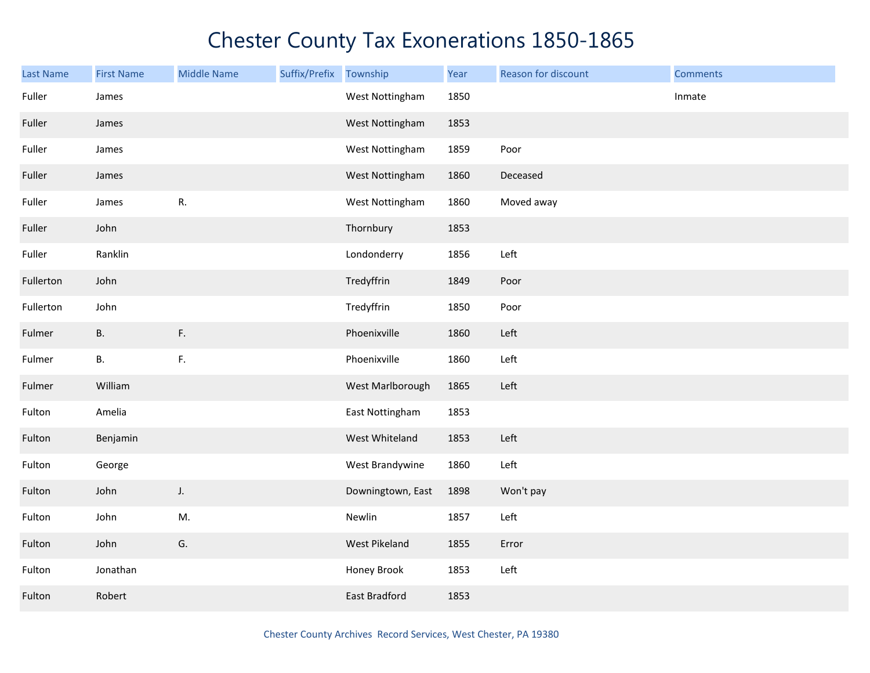| Last Name | <b>First Name</b> | <b>Middle Name</b> | Suffix/Prefix | Township          | Year | Reason for discount | <b>Comments</b> |
|-----------|-------------------|--------------------|---------------|-------------------|------|---------------------|-----------------|
| Fuller    | James             |                    |               | West Nottingham   | 1850 |                     | Inmate          |
| Fuller    | James             |                    |               | West Nottingham   | 1853 |                     |                 |
| Fuller    | James             |                    |               | West Nottingham   | 1859 | Poor                |                 |
| Fuller    | James             |                    |               | West Nottingham   | 1860 | Deceased            |                 |
| Fuller    | James             | R.                 |               | West Nottingham   | 1860 | Moved away          |                 |
| Fuller    | John              |                    |               | Thornbury         | 1853 |                     |                 |
| Fuller    | Ranklin           |                    |               | Londonderry       | 1856 | Left                |                 |
| Fullerton | John              |                    |               | Tredyffrin        | 1849 | Poor                |                 |
| Fullerton | John              |                    |               | Tredyffrin        | 1850 | Poor                |                 |
| Fulmer    | В.                | F.                 |               | Phoenixville      | 1860 | Left                |                 |
| Fulmer    | В.                | F.                 |               | Phoenixville      | 1860 | Left                |                 |
| Fulmer    | William           |                    |               | West Marlborough  | 1865 | Left                |                 |
| Fulton    | Amelia            |                    |               | East Nottingham   | 1853 |                     |                 |
| Fulton    | Benjamin          |                    |               | West Whiteland    | 1853 | Left                |                 |
| Fulton    | George            |                    |               | West Brandywine   | 1860 | Left                |                 |
| Fulton    | John              | J.                 |               | Downingtown, East | 1898 | Won't pay           |                 |
| Fulton    | John              | M.                 |               | Newlin            | 1857 | Left                |                 |
| Fulton    | John              | G.                 |               | West Pikeland     | 1855 | Error               |                 |
| Fulton    | Jonathan          |                    |               | Honey Brook       | 1853 | Left                |                 |
| Fulton    | Robert            |                    |               | East Bradford     | 1853 |                     |                 |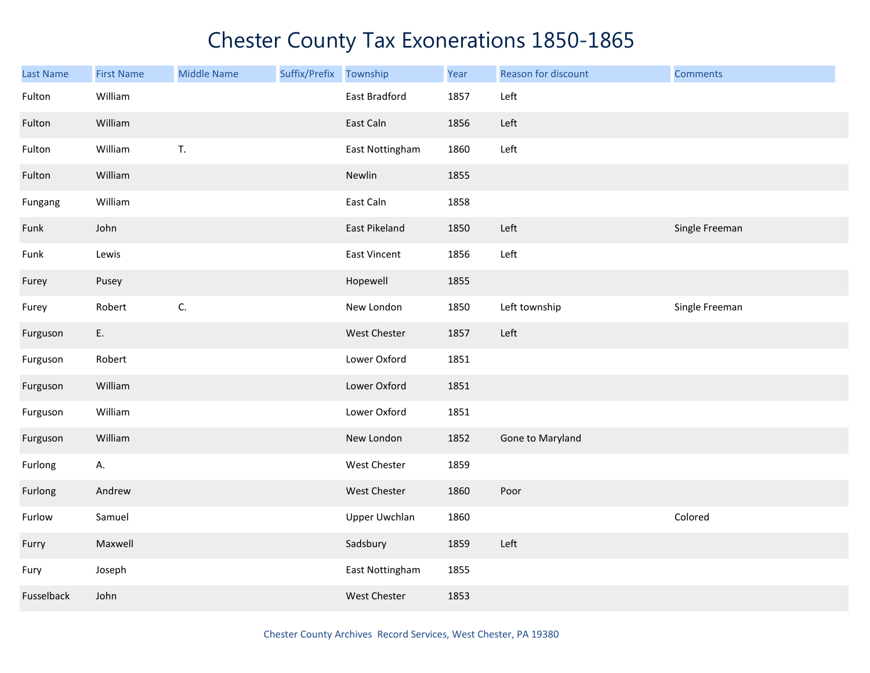| Last Name  | <b>First Name</b> | <b>Middle Name</b> | Suffix/Prefix Township |                     | Year | Reason for discount | <b>Comments</b> |
|------------|-------------------|--------------------|------------------------|---------------------|------|---------------------|-----------------|
| Fulton     | William           |                    |                        | East Bradford       | 1857 | Left                |                 |
| Fulton     | William           |                    |                        | East Caln           | 1856 | Left                |                 |
| Fulton     | William           | T.                 |                        | East Nottingham     | 1860 | Left                |                 |
| Fulton     | William           |                    |                        | Newlin              | 1855 |                     |                 |
| Fungang    | William           |                    |                        | East Caln           | 1858 |                     |                 |
| Funk       | John              |                    |                        | East Pikeland       | 1850 | Left                | Single Freeman  |
| Funk       | Lewis             |                    |                        | East Vincent        | 1856 | Left                |                 |
| Furey      | Pusey             |                    |                        | Hopewell            | 1855 |                     |                 |
| Furey      | Robert            | C.                 |                        | New London          | 1850 | Left township       | Single Freeman  |
| Furguson   | E.                |                    |                        | West Chester        | 1857 | Left                |                 |
| Furguson   | Robert            |                    |                        | Lower Oxford        | 1851 |                     |                 |
| Furguson   | William           |                    |                        | Lower Oxford        | 1851 |                     |                 |
| Furguson   | William           |                    |                        | Lower Oxford        | 1851 |                     |                 |
| Furguson   | William           |                    |                        | New London          | 1852 | Gone to Maryland    |                 |
| Furlong    | Α.                |                    |                        | <b>West Chester</b> | 1859 |                     |                 |
| Furlong    | Andrew            |                    |                        | West Chester        | 1860 | Poor                |                 |
| Furlow     | Samuel            |                    |                        | Upper Uwchlan       | 1860 |                     | Colored         |
| Furry      | Maxwell           |                    |                        | Sadsbury            | 1859 | Left                |                 |
| Fury       | Joseph            |                    |                        | East Nottingham     | 1855 |                     |                 |
| Fusselback | John              |                    |                        | West Chester        | 1853 |                     |                 |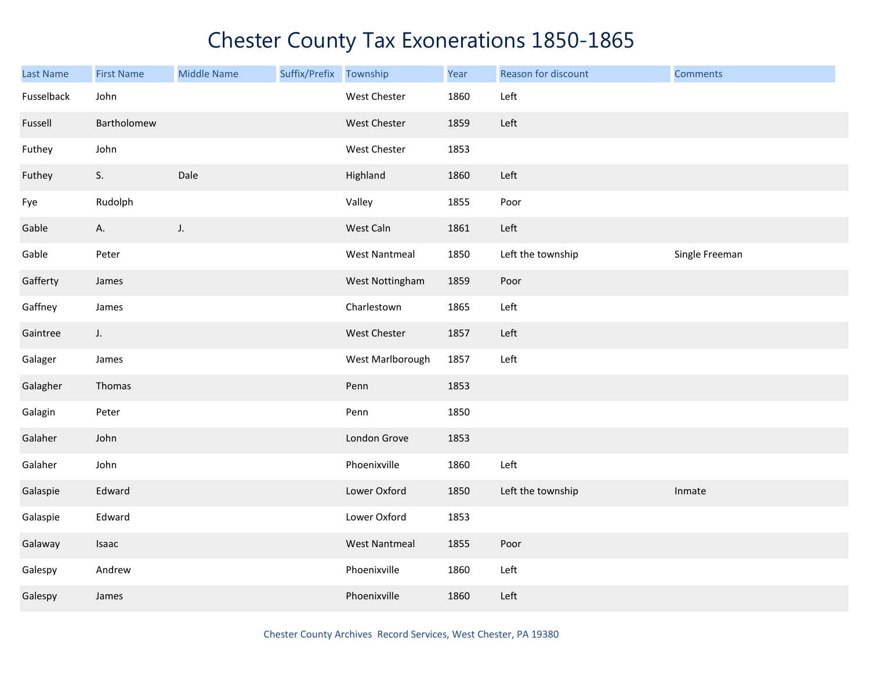| Last Name  | <b>First Name</b> | <b>Middle Name</b> | Suffix/Prefix Township |                      | Year | Reason for discount | <b>Comments</b> |
|------------|-------------------|--------------------|------------------------|----------------------|------|---------------------|-----------------|
| Fusselback | John              |                    |                        | West Chester         | 1860 | Left                |                 |
| Fussell    | Bartholomew       |                    |                        | West Chester         | 1859 | Left                |                 |
| Futhey     | John              |                    |                        | West Chester         | 1853 |                     |                 |
| Futhey     | S.                | Dale               |                        | Highland             | 1860 | Left                |                 |
| Fye        | Rudolph           |                    |                        | Valley               | 1855 | Poor                |                 |
| Gable      | Α.                | $J_{\star}$        |                        | West Caln            | 1861 | Left                |                 |
| Gable      | Peter             |                    |                        | <b>West Nantmeal</b> | 1850 | Left the township   | Single Freeman  |
| Gafferty   | James             |                    |                        | West Nottingham      | 1859 | Poor                |                 |
| Gaffney    | James             |                    |                        | Charlestown          | 1865 | Left                |                 |
| Gaintree   | J.                |                    |                        | West Chester         | 1857 | Left                |                 |
| Galager    | James             |                    |                        | West Marlborough     | 1857 | Left                |                 |
| Galagher   | Thomas            |                    |                        | Penn                 | 1853 |                     |                 |
| Galagin    | Peter             |                    |                        | Penn                 | 1850 |                     |                 |
| Galaher    | John              |                    |                        | London Grove         | 1853 |                     |                 |
| Galaher    | John              |                    |                        | Phoenixville         | 1860 | Left                |                 |
| Galaspie   | Edward            |                    |                        | Lower Oxford         | 1850 | Left the township   | Inmate          |
| Galaspie   | Edward            |                    |                        | Lower Oxford         | 1853 |                     |                 |
| Galaway    | Isaac             |                    |                        | <b>West Nantmeal</b> | 1855 | Poor                |                 |
| Galespy    | Andrew            |                    |                        | Phoenixville         | 1860 | Left                |                 |
| Galespy    | James             |                    |                        | Phoenixville         | 1860 | Left                |                 |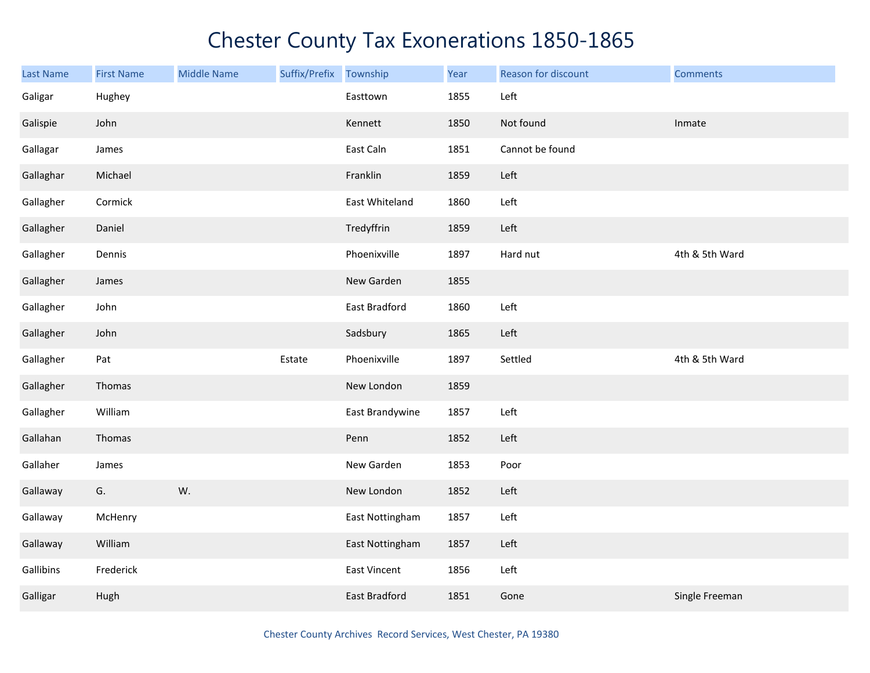| <b>Last Name</b> | <b>First Name</b> | <b>Middle Name</b> | Suffix/Prefix | Township        | Year | Reason for discount | <b>Comments</b> |
|------------------|-------------------|--------------------|---------------|-----------------|------|---------------------|-----------------|
| Galigar          | Hughey            |                    |               | Easttown        | 1855 | Left                |                 |
| Galispie         | John              |                    |               | Kennett         | 1850 | Not found           | Inmate          |
| Gallagar         | James             |                    |               | East Caln       | 1851 | Cannot be found     |                 |
| Gallaghar        | Michael           |                    |               | Franklin        | 1859 | Left                |                 |
| Gallagher        | Cormick           |                    |               | East Whiteland  | 1860 | Left                |                 |
| Gallagher        | Daniel            |                    |               | Tredyffrin      | 1859 | Left                |                 |
| Gallagher        | Dennis            |                    |               | Phoenixville    | 1897 | Hard nut            | 4th & 5th Ward  |
| Gallagher        | James             |                    |               | New Garden      | 1855 |                     |                 |
| Gallagher        | John              |                    |               | East Bradford   | 1860 | Left                |                 |
| Gallagher        | John              |                    |               | Sadsbury        | 1865 | Left                |                 |
| Gallagher        | Pat               |                    | Estate        | Phoenixville    | 1897 | Settled             | 4th & 5th Ward  |
| Gallagher        | Thomas            |                    |               | New London      | 1859 |                     |                 |
| Gallagher        | William           |                    |               | East Brandywine | 1857 | Left                |                 |
| Gallahan         | Thomas            |                    |               | Penn            | 1852 | Left                |                 |
| Gallaher         | James             |                    |               | New Garden      | 1853 | Poor                |                 |
| Gallaway         | G.                | W.                 |               | New London      | 1852 | Left                |                 |
| Gallaway         | McHenry           |                    |               | East Nottingham | 1857 | Left                |                 |
| Gallaway         | William           |                    |               | East Nottingham | 1857 | Left                |                 |
| Gallibins        | Frederick         |                    |               | East Vincent    | 1856 | Left                |                 |
| Galligar         | Hugh              |                    |               | East Bradford   | 1851 | Gone                | Single Freeman  |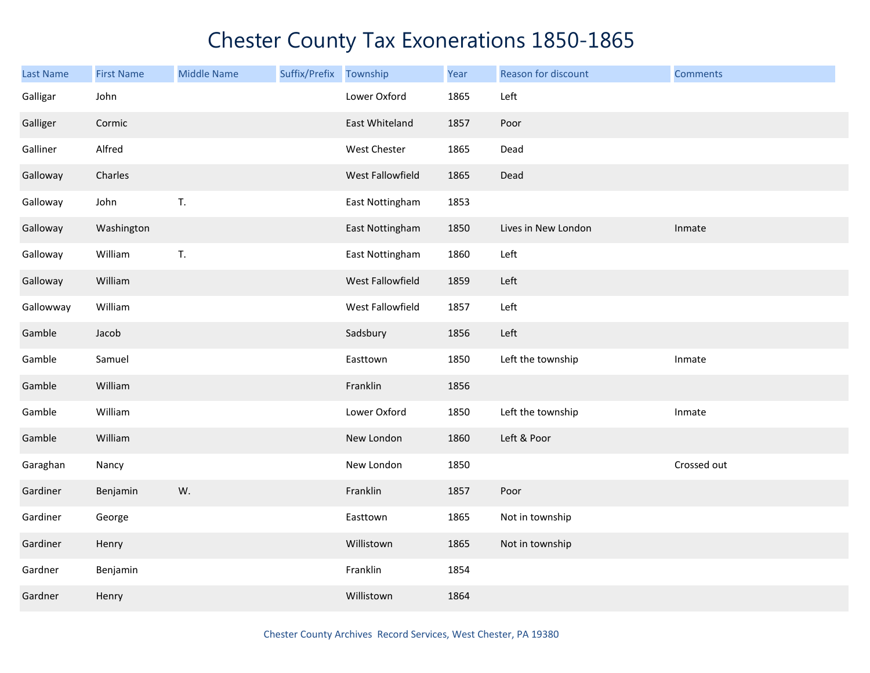| <b>Last Name</b> | <b>First Name</b> | <b>Middle Name</b> | Suffix/Prefix | Township         | Year | Reason for discount | <b>Comments</b> |
|------------------|-------------------|--------------------|---------------|------------------|------|---------------------|-----------------|
| Galligar         | John              |                    |               | Lower Oxford     | 1865 | Left                |                 |
| Galliger         | Cormic            |                    |               | East Whiteland   | 1857 | Poor                |                 |
| Galliner         | Alfred            |                    |               | West Chester     | 1865 | Dead                |                 |
| Galloway         | Charles           |                    |               | West Fallowfield | 1865 | Dead                |                 |
| Galloway         | John              | T.                 |               | East Nottingham  | 1853 |                     |                 |
| Galloway         | Washington        |                    |               | East Nottingham  | 1850 | Lives in New London | Inmate          |
| Galloway         | William           | T.                 |               | East Nottingham  | 1860 | Left                |                 |
| Galloway         | William           |                    |               | West Fallowfield | 1859 | Left                |                 |
| Gallowway        | William           |                    |               | West Fallowfield | 1857 | Left                |                 |
| Gamble           | Jacob             |                    |               | Sadsbury         | 1856 | Left                |                 |
| Gamble           | Samuel            |                    |               | Easttown         | 1850 | Left the township   | Inmate          |
| Gamble           | William           |                    |               | Franklin         | 1856 |                     |                 |
| Gamble           | William           |                    |               | Lower Oxford     | 1850 | Left the township   | Inmate          |
| Gamble           | William           |                    |               | New London       | 1860 | Left & Poor         |                 |
| Garaghan         | Nancy             |                    |               | New London       | 1850 |                     | Crossed out     |
| Gardiner         | Benjamin          | W.                 |               | Franklin         | 1857 | Poor                |                 |
| Gardiner         | George            |                    |               | Easttown         | 1865 | Not in township     |                 |
| Gardiner         | Henry             |                    |               | Willistown       | 1865 | Not in township     |                 |
| Gardner          | Benjamin          |                    |               | Franklin         | 1854 |                     |                 |
| Gardner          | Henry             |                    |               | Willistown       | 1864 |                     |                 |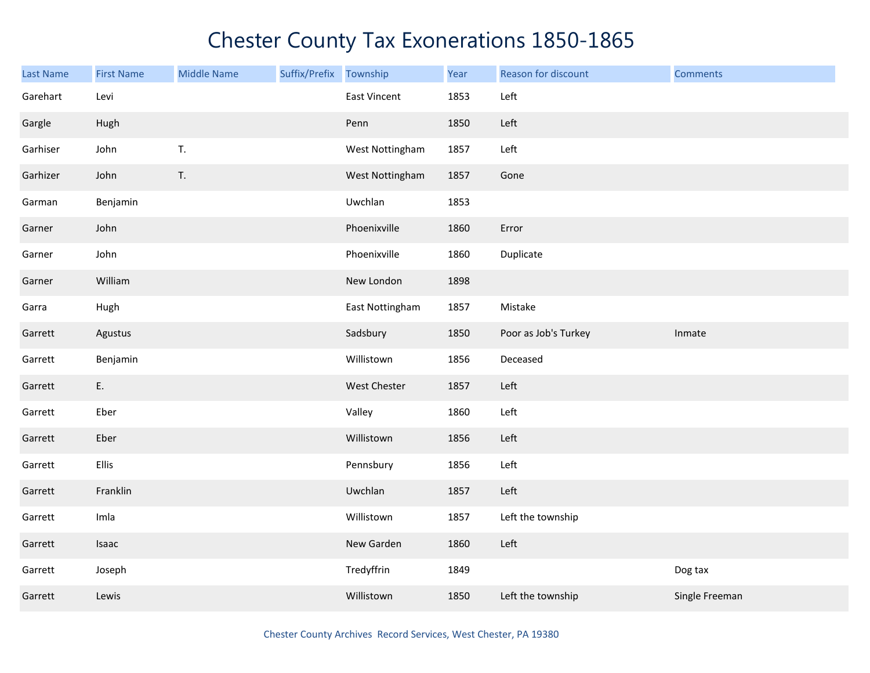| <b>Last Name</b> | <b>First Name</b> | <b>Middle Name</b> | Suffix/Prefix Township |                     | Year | Reason for discount  | <b>Comments</b> |
|------------------|-------------------|--------------------|------------------------|---------------------|------|----------------------|-----------------|
| Garehart         | Levi              |                    |                        | <b>East Vincent</b> | 1853 | Left                 |                 |
| Gargle           | Hugh              |                    |                        | Penn                | 1850 | Left                 |                 |
| Garhiser         | John              | T.                 |                        | West Nottingham     | 1857 | Left                 |                 |
| Garhizer         | John              | T.                 |                        | West Nottingham     | 1857 | Gone                 |                 |
| Garman           | Benjamin          |                    |                        | Uwchlan             | 1853 |                      |                 |
| Garner           | John              |                    |                        | Phoenixville        | 1860 | Error                |                 |
| Garner           | John              |                    |                        | Phoenixville        | 1860 | Duplicate            |                 |
| Garner           | William           |                    |                        | New London          | 1898 |                      |                 |
| Garra            | Hugh              |                    |                        | East Nottingham     | 1857 | Mistake              |                 |
| Garrett          | Agustus           |                    |                        | Sadsbury            | 1850 | Poor as Job's Turkey | Inmate          |
| Garrett          | Benjamin          |                    |                        | Willistown          | 1856 | Deceased             |                 |
| Garrett          | E.                |                    |                        | West Chester        | 1857 | Left                 |                 |
| Garrett          | Eber              |                    |                        | Valley              | 1860 | Left                 |                 |
| Garrett          | Eber              |                    |                        | Willistown          | 1856 | Left                 |                 |
| Garrett          | Ellis             |                    |                        | Pennsbury           | 1856 | Left                 |                 |
| Garrett          | Franklin          |                    |                        | Uwchlan             | 1857 | Left                 |                 |
| Garrett          | Imla              |                    |                        | Willistown          | 1857 | Left the township    |                 |
| Garrett          | Isaac             |                    |                        | New Garden          | 1860 | Left                 |                 |
| Garrett          | Joseph            |                    |                        | Tredyffrin          | 1849 |                      | Dog tax         |
| Garrett          | Lewis             |                    |                        | Willistown          | 1850 | Left the township    | Single Freeman  |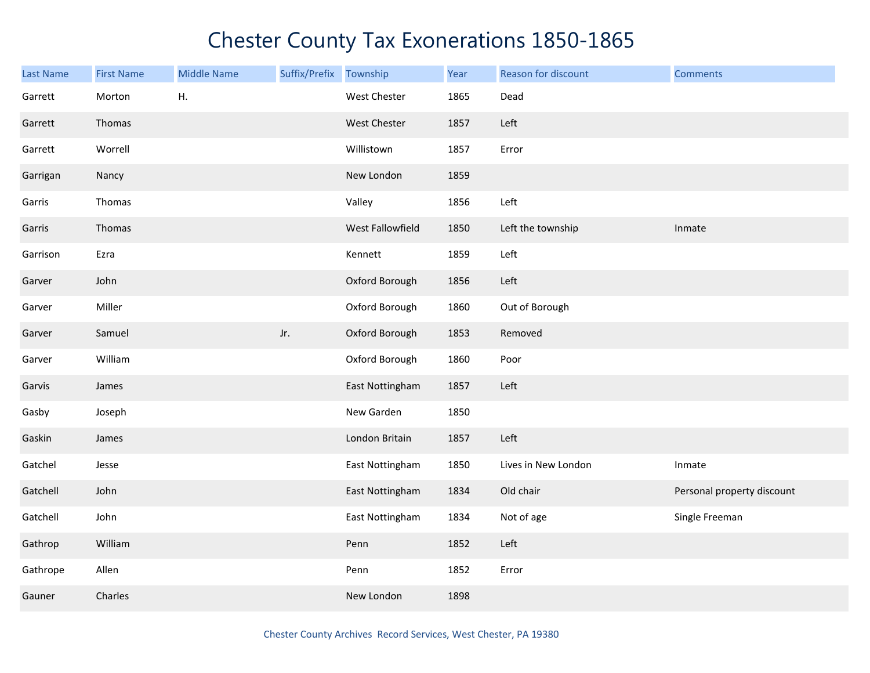| <b>Last Name</b> | <b>First Name</b> | <b>Middle Name</b> | Suffix/Prefix | Township            | Year | Reason for discount | <b>Comments</b>            |
|------------------|-------------------|--------------------|---------------|---------------------|------|---------------------|----------------------------|
| Garrett          | Morton            | Η.                 |               | <b>West Chester</b> | 1865 | Dead                |                            |
| Garrett          | Thomas            |                    |               | West Chester        | 1857 | Left                |                            |
| Garrett          | Worrell           |                    |               | Willistown          | 1857 | Error               |                            |
| Garrigan         | Nancy             |                    |               | New London          | 1859 |                     |                            |
| Garris           | Thomas            |                    |               | Valley              | 1856 | Left                |                            |
| Garris           | Thomas            |                    |               | West Fallowfield    | 1850 | Left the township   | Inmate                     |
| Garrison         | Ezra              |                    |               | Kennett             | 1859 | Left                |                            |
| Garver           | John              |                    |               | Oxford Borough      | 1856 | Left                |                            |
| Garver           | Miller            |                    |               | Oxford Borough      | 1860 | Out of Borough      |                            |
| Garver           | Samuel            |                    | Jr.           | Oxford Borough      | 1853 | Removed             |                            |
| Garver           | William           |                    |               | Oxford Borough      | 1860 | Poor                |                            |
| Garvis           | James             |                    |               | East Nottingham     | 1857 | Left                |                            |
| Gasby            | Joseph            |                    |               | New Garden          | 1850 |                     |                            |
| Gaskin           | James             |                    |               | London Britain      | 1857 | Left                |                            |
| Gatchel          | Jesse             |                    |               | East Nottingham     | 1850 | Lives in New London | Inmate                     |
| Gatchell         | John              |                    |               | East Nottingham     | 1834 | Old chair           | Personal property discount |
| Gatchell         | John              |                    |               | East Nottingham     | 1834 | Not of age          | Single Freeman             |
| Gathrop          | William           |                    |               | Penn                | 1852 | Left                |                            |
| Gathrope         | Allen             |                    |               | Penn                | 1852 | Error               |                            |
| Gauner           | Charles           |                    |               | New London          | 1898 |                     |                            |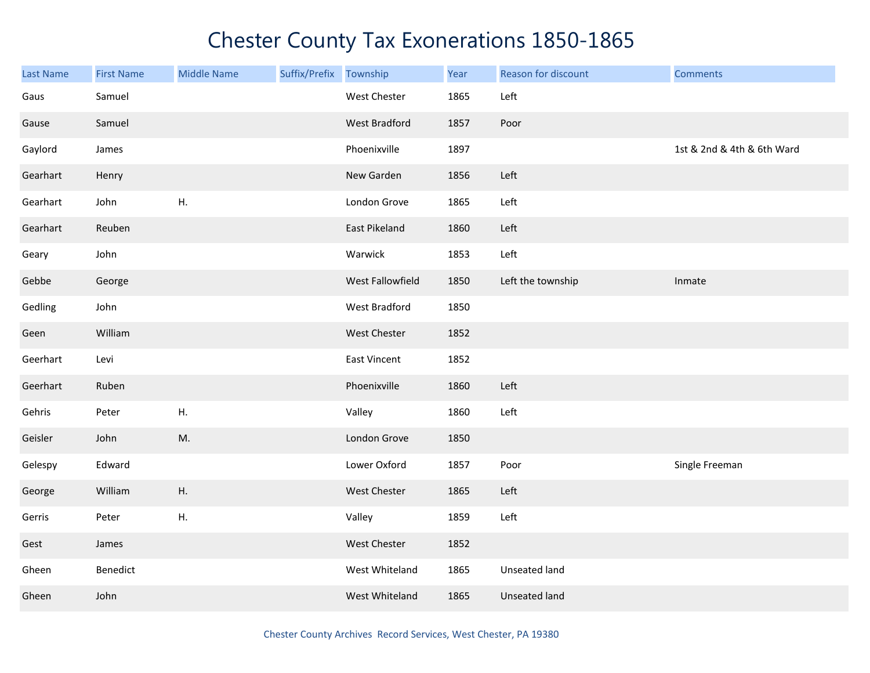| <b>Last Name</b> | <b>First Name</b> | <b>Middle Name</b> | Suffix/Prefix Township |                     | Year | Reason for discount  | <b>Comments</b>            |
|------------------|-------------------|--------------------|------------------------|---------------------|------|----------------------|----------------------------|
| Gaus             | Samuel            |                    |                        | West Chester        | 1865 | Left                 |                            |
| Gause            | Samuel            |                    |                        | West Bradford       | 1857 | Poor                 |                            |
| Gaylord          | James             |                    |                        | Phoenixville        | 1897 |                      | 1st & 2nd & 4th & 6th Ward |
| Gearhart         | Henry             |                    |                        | New Garden          | 1856 | Left                 |                            |
| Gearhart         | John              | Η.                 |                        | London Grove        | 1865 | Left                 |                            |
| Gearhart         | Reuben            |                    |                        | East Pikeland       | 1860 | Left                 |                            |
| Geary            | John              |                    |                        | Warwick             | 1853 | Left                 |                            |
| Gebbe            | George            |                    |                        | West Fallowfield    | 1850 | Left the township    | Inmate                     |
| Gedling          | John              |                    |                        | West Bradford       | 1850 |                      |                            |
| Geen             | William           |                    |                        | <b>West Chester</b> | 1852 |                      |                            |
| Geerhart         | Levi              |                    |                        | <b>East Vincent</b> | 1852 |                      |                            |
| Geerhart         | Ruben             |                    |                        | Phoenixville        | 1860 | Left                 |                            |
| Gehris           | Peter             | Η.                 |                        | Valley              | 1860 | Left                 |                            |
| Geisler          | John              | M.                 |                        | London Grove        | 1850 |                      |                            |
| Gelespy          | Edward            |                    |                        | Lower Oxford        | 1857 | Poor                 | Single Freeman             |
| George           | William           | ${\sf H}.$         |                        | West Chester        | 1865 | Left                 |                            |
| Gerris           | Peter             | ${\sf H}.$         |                        | Valley              | 1859 | Left                 |                            |
| Gest             | James             |                    |                        | West Chester        | 1852 |                      |                            |
| Gheen            | Benedict          |                    |                        | West Whiteland      | 1865 | Unseated land        |                            |
| Gheen            | John              |                    |                        | West Whiteland      | 1865 | <b>Unseated land</b> |                            |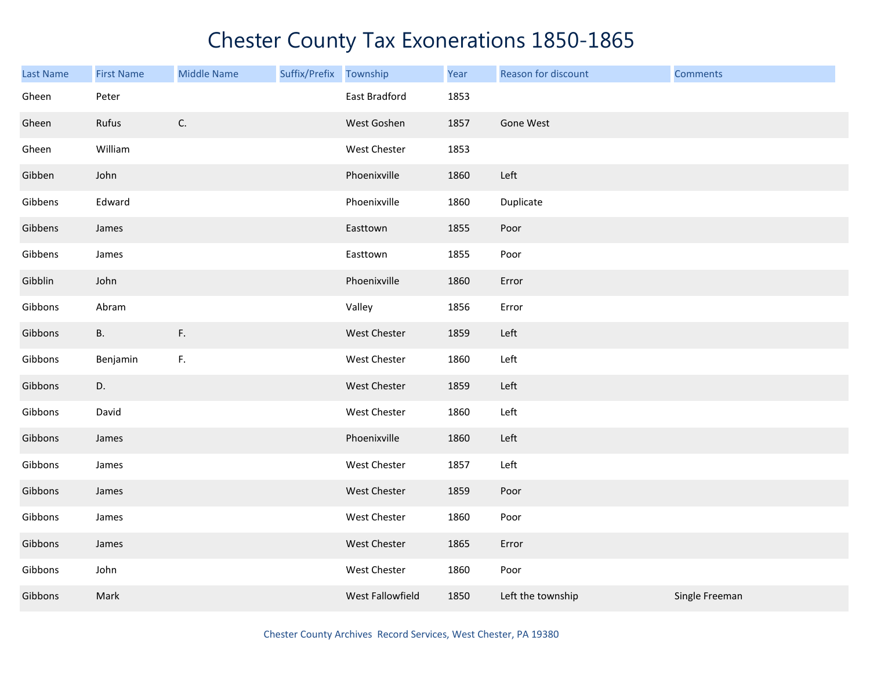| <b>Last Name</b> | <b>First Name</b> | <b>Middle Name</b> | Suffix/Prefix Township |                  | Year | Reason for discount | <b>Comments</b> |
|------------------|-------------------|--------------------|------------------------|------------------|------|---------------------|-----------------|
| Gheen            | Peter             |                    |                        | East Bradford    | 1853 |                     |                 |
| Gheen            | Rufus             | $\mathsf{C}.$      |                        | West Goshen      | 1857 | Gone West           |                 |
| Gheen            | William           |                    |                        | West Chester     | 1853 |                     |                 |
| Gibben           | John              |                    |                        | Phoenixville     | 1860 | Left                |                 |
| Gibbens          | Edward            |                    |                        | Phoenixville     | 1860 | Duplicate           |                 |
| Gibbens          | James             |                    |                        | Easttown         | 1855 | Poor                |                 |
| Gibbens          | James             |                    |                        | Easttown         | 1855 | Poor                |                 |
| Gibblin          | John              |                    |                        | Phoenixville     | 1860 | Error               |                 |
| Gibbons          | Abram             |                    |                        | Valley           | 1856 | Error               |                 |
| Gibbons          | <b>B.</b>         | $\mathsf{F}.$      |                        | West Chester     | 1859 | Left                |                 |
| Gibbons          | Benjamin          | $\mathsf F.$       |                        | West Chester     | 1860 | Left                |                 |
| Gibbons          | D.                |                    |                        | West Chester     | 1859 | Left                |                 |
| Gibbons          | David             |                    |                        | West Chester     | 1860 | Left                |                 |
| Gibbons          | James             |                    |                        | Phoenixville     | 1860 | Left                |                 |
| Gibbons          | James             |                    |                        | West Chester     | 1857 | Left                |                 |
| Gibbons          | James             |                    |                        | West Chester     | 1859 | Poor                |                 |
| Gibbons          | James             |                    |                        | West Chester     | 1860 | Poor                |                 |
| Gibbons          | James             |                    |                        | West Chester     | 1865 | Error               |                 |
| Gibbons          | John              |                    |                        | West Chester     | 1860 | Poor                |                 |
| Gibbons          | Mark              |                    |                        | West Fallowfield | 1850 | Left the township   | Single Freeman  |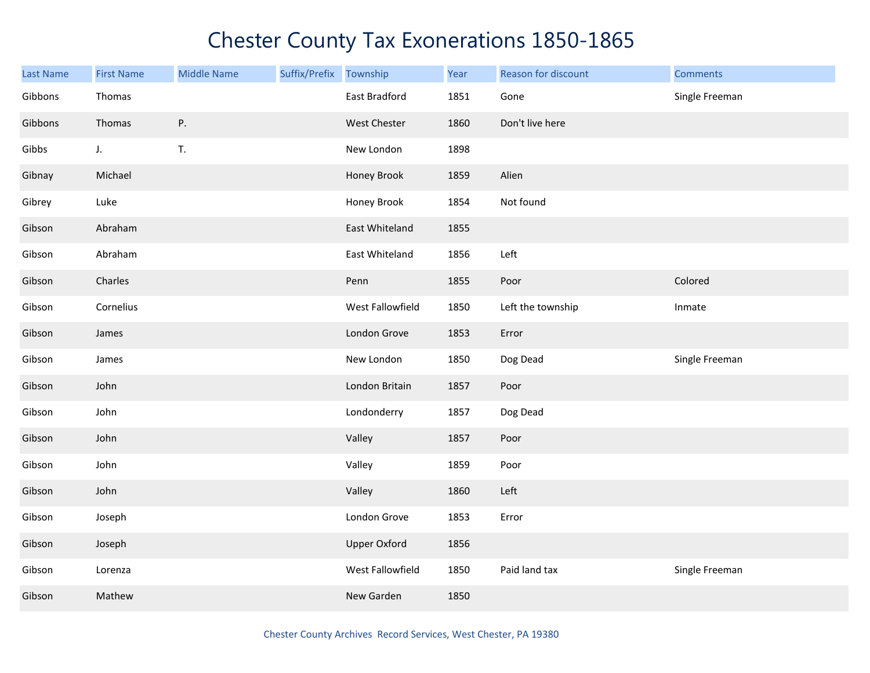| <b>Last Name</b> | <b>First Name</b> | <b>Middle Name</b> | Suffix/Prefix Township |                     | Year | Reason for discount | <b>Comments</b> |
|------------------|-------------------|--------------------|------------------------|---------------------|------|---------------------|-----------------|
| Gibbons          | Thomas            |                    |                        | East Bradford       | 1851 | Gone                | Single Freeman  |
| Gibbons          | Thomas            | Ρ.                 |                        | West Chester        | 1860 | Don't live here     |                 |
| Gibbs            | J.                | T.                 |                        | New London          | 1898 |                     |                 |
| Gibnay           | Michael           |                    |                        | Honey Brook         | 1859 | Alien               |                 |
| Gibrey           | Luke              |                    |                        | Honey Brook         | 1854 | Not found           |                 |
| Gibson           | Abraham           |                    |                        | East Whiteland      | 1855 |                     |                 |
| Gibson           | Abraham           |                    |                        | East Whiteland      | 1856 | Left                |                 |
| Gibson           | Charles           |                    |                        | Penn                | 1855 | Poor                | Colored         |
| Gibson           | Cornelius         |                    |                        | West Fallowfield    | 1850 | Left the township   | Inmate          |
| Gibson           | James             |                    |                        | London Grove        | 1853 | Error               |                 |
| Gibson           | James             |                    |                        | New London          | 1850 | Dog Dead            | Single Freeman  |
| Gibson           | John              |                    |                        | London Britain      | 1857 | Poor                |                 |
| Gibson           | John              |                    |                        | Londonderry         | 1857 | Dog Dead            |                 |
| Gibson           | John              |                    |                        | Valley              | 1857 | Poor                |                 |
| Gibson           | John              |                    |                        | Valley              | 1859 | Poor                |                 |
| Gibson           | John              |                    |                        | Valley              | 1860 | Left                |                 |
| Gibson           | Joseph            |                    |                        | London Grove        | 1853 | Error               |                 |
| Gibson           | Joseph            |                    |                        | <b>Upper Oxford</b> | 1856 |                     |                 |
| Gibson           | Lorenza           |                    |                        | West Fallowfield    | 1850 | Paid land tax       | Single Freeman  |
| Gibson           | Mathew            |                    |                        | New Garden          | 1850 |                     |                 |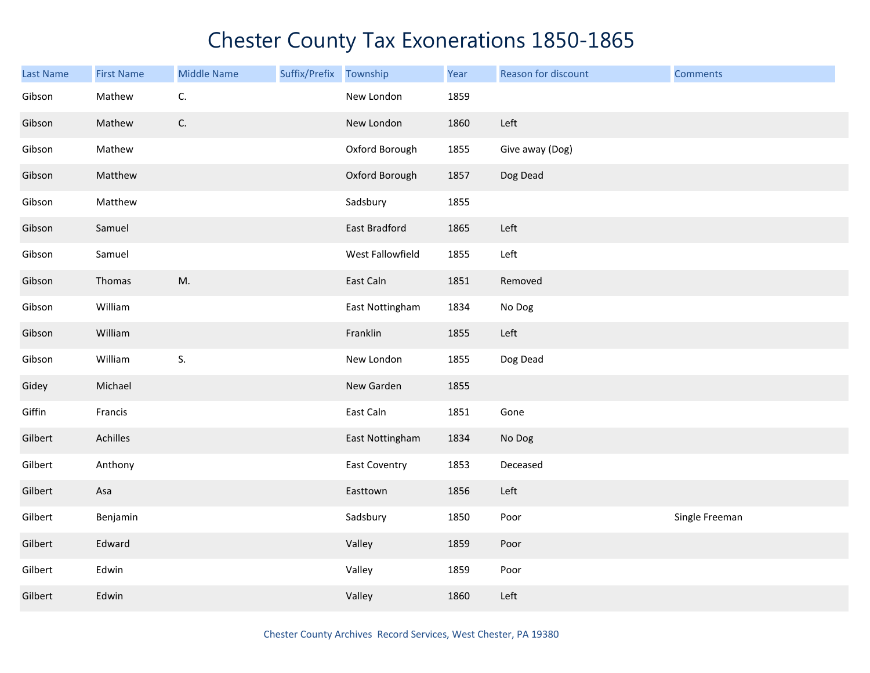| <b>Last Name</b> | <b>First Name</b> | <b>Middle Name</b> | Suffix/Prefix | Township             | Year | Reason for discount | <b>Comments</b> |
|------------------|-------------------|--------------------|---------------|----------------------|------|---------------------|-----------------|
| Gibson           | Mathew            | C.                 |               | New London           | 1859 |                     |                 |
| Gibson           | Mathew            | $\mathsf{C}.$      |               | New London           | 1860 | Left                |                 |
| Gibson           | Mathew            |                    |               | Oxford Borough       | 1855 | Give away (Dog)     |                 |
| Gibson           | Matthew           |                    |               | Oxford Borough       | 1857 | Dog Dead            |                 |
| Gibson           | Matthew           |                    |               | Sadsbury             | 1855 |                     |                 |
| Gibson           | Samuel            |                    |               | East Bradford        | 1865 | Left                |                 |
| Gibson           | Samuel            |                    |               | West Fallowfield     | 1855 | Left                |                 |
| Gibson           | Thomas            | M.                 |               | East Caln            | 1851 | Removed             |                 |
| Gibson           | William           |                    |               | East Nottingham      | 1834 | No Dog              |                 |
| Gibson           | William           |                    |               | Franklin             | 1855 | Left                |                 |
| Gibson           | William           | S.                 |               | New London           | 1855 | Dog Dead            |                 |
| Gidey            | Michael           |                    |               | New Garden           | 1855 |                     |                 |
| Giffin           | Francis           |                    |               | East Caln            | 1851 | Gone                |                 |
| Gilbert          | Achilles          |                    |               | East Nottingham      | 1834 | No Dog              |                 |
| Gilbert          | Anthony           |                    |               | <b>East Coventry</b> | 1853 | Deceased            |                 |
| Gilbert          | Asa               |                    |               | Easttown             | 1856 | Left                |                 |
| Gilbert          | Benjamin          |                    |               | Sadsbury             | 1850 | Poor                | Single Freeman  |
| Gilbert          | Edward            |                    |               | Valley               | 1859 | Poor                |                 |
| Gilbert          | Edwin             |                    |               | Valley               | 1859 | Poor                |                 |
| Gilbert          | Edwin             |                    |               | Valley               | 1860 | Left                |                 |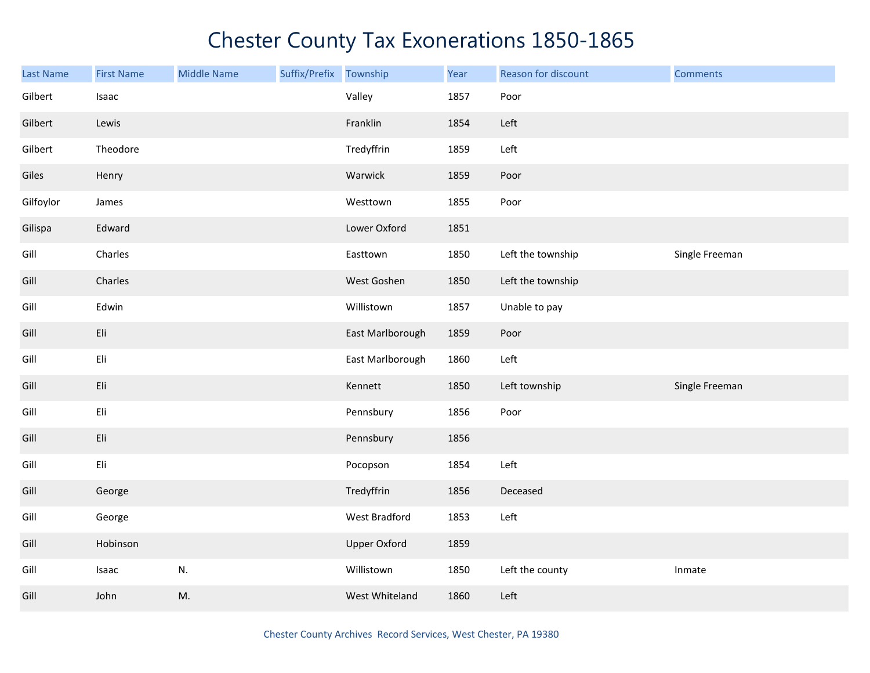| <b>Last Name</b> | <b>First Name</b> | <b>Middle Name</b> | Suffix/Prefix | Township            | Year | Reason for discount | <b>Comments</b> |
|------------------|-------------------|--------------------|---------------|---------------------|------|---------------------|-----------------|
| Gilbert          | Isaac             |                    |               | Valley              | 1857 | Poor                |                 |
| Gilbert          | Lewis             |                    |               | Franklin            | 1854 | Left                |                 |
| Gilbert          | Theodore          |                    |               | Tredyffrin          | 1859 | Left                |                 |
| Giles            | Henry             |                    |               | Warwick             | 1859 | Poor                |                 |
| Gilfoylor        | James             |                    |               | Westtown            | 1855 | Poor                |                 |
| Gilispa          | Edward            |                    |               | Lower Oxford        | 1851 |                     |                 |
| Gill             | Charles           |                    |               | Easttown            | 1850 | Left the township   | Single Freeman  |
| Gill             | Charles           |                    |               | West Goshen         | 1850 | Left the township   |                 |
| Gill             | Edwin             |                    |               | Willistown          | 1857 | Unable to pay       |                 |
| Gill             | Eli               |                    |               | East Marlborough    | 1859 | Poor                |                 |
| Gill             | Eli               |                    |               | East Marlborough    | 1860 | Left                |                 |
| Gill             | Eli               |                    |               | Kennett             | 1850 | Left township       | Single Freeman  |
| Gill             | Eli               |                    |               | Pennsbury           | 1856 | Poor                |                 |
| Gill             | Eli               |                    |               | Pennsbury           | 1856 |                     |                 |
| Gill             | Eli               |                    |               | Pocopson            | 1854 | Left                |                 |
| Gill             | George            |                    |               | Tredyffrin          | 1856 | Deceased            |                 |
| Gill             | George            |                    |               | West Bradford       | 1853 | Left                |                 |
| Gill             | Hobinson          |                    |               | <b>Upper Oxford</b> | 1859 |                     |                 |
| Gill             | Isaac             | N.                 |               | Willistown          | 1850 | Left the county     | Inmate          |
| Gill             | John              | M.                 |               | West Whiteland      | 1860 | Left                |                 |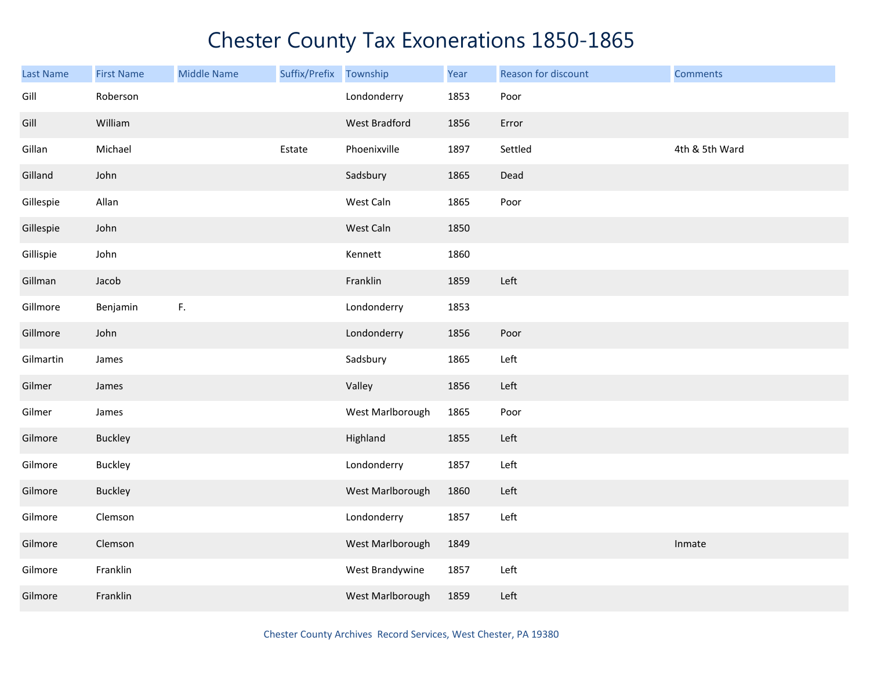| <b>Last Name</b> | <b>First Name</b> | <b>Middle Name</b> | Suffix/Prefix | Township         | Year | Reason for discount | <b>Comments</b> |
|------------------|-------------------|--------------------|---------------|------------------|------|---------------------|-----------------|
| Gill             | Roberson          |                    |               | Londonderry      | 1853 | Poor                |                 |
| Gill             | William           |                    |               | West Bradford    | 1856 | Error               |                 |
| Gillan           | Michael           |                    | Estate        | Phoenixville     | 1897 | Settled             | 4th & 5th Ward  |
| Gilland          | John              |                    |               | Sadsbury         | 1865 | Dead                |                 |
| Gillespie        | Allan             |                    |               | West Caln        | 1865 | Poor                |                 |
| Gillespie        | John              |                    |               | West Caln        | 1850 |                     |                 |
| Gillispie        | John              |                    |               | Kennett          | 1860 |                     |                 |
| Gillman          | Jacob             |                    |               | Franklin         | 1859 | Left                |                 |
| Gillmore         | Benjamin          | F.                 |               | Londonderry      | 1853 |                     |                 |
| Gillmore         | John              |                    |               | Londonderry      | 1856 | Poor                |                 |
| Gilmartin        | James             |                    |               | Sadsbury         | 1865 | Left                |                 |
| Gilmer           | James             |                    |               | Valley           | 1856 | Left                |                 |
| Gilmer           | James             |                    |               | West Marlborough | 1865 | Poor                |                 |
| Gilmore          | <b>Buckley</b>    |                    |               | Highland         | 1855 | Left                |                 |
| Gilmore          | <b>Buckley</b>    |                    |               | Londonderry      | 1857 | Left                |                 |
| Gilmore          | <b>Buckley</b>    |                    |               | West Marlborough | 1860 | Left                |                 |
| Gilmore          | Clemson           |                    |               | Londonderry      | 1857 | Left                |                 |
| Gilmore          | Clemson           |                    |               | West Marlborough | 1849 |                     | Inmate          |
| Gilmore          | Franklin          |                    |               | West Brandywine  | 1857 | Left                |                 |
| Gilmore          | Franklin          |                    |               | West Marlborough | 1859 | Left                |                 |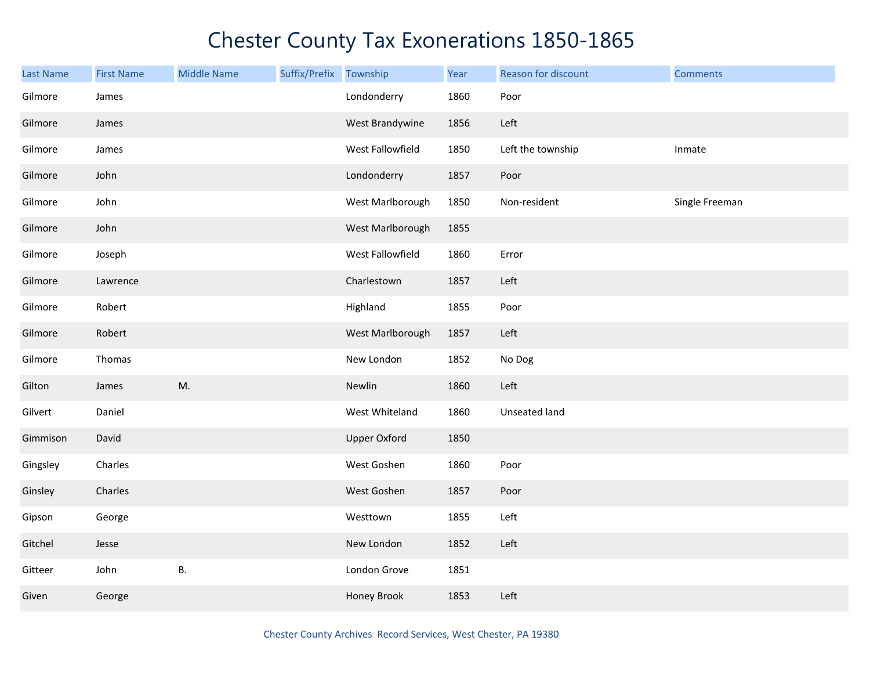| Last Name | <b>First Name</b> | <b>Middle Name</b> | Suffix/Prefix Township |                     | Year | Reason for discount | <b>Comments</b> |
|-----------|-------------------|--------------------|------------------------|---------------------|------|---------------------|-----------------|
| Gilmore   | James             |                    |                        | Londonderry         | 1860 | Poor                |                 |
| Gilmore   | James             |                    |                        | West Brandywine     | 1856 | Left                |                 |
| Gilmore   | James             |                    |                        | West Fallowfield    | 1850 | Left the township   | Inmate          |
| Gilmore   | John              |                    |                        | Londonderry         | 1857 | Poor                |                 |
| Gilmore   | John              |                    |                        | West Marlborough    | 1850 | Non-resident        | Single Freeman  |
| Gilmore   | John              |                    |                        | West Marlborough    | 1855 |                     |                 |
| Gilmore   | Joseph            |                    |                        | West Fallowfield    | 1860 | Error               |                 |
| Gilmore   | Lawrence          |                    |                        | Charlestown         | 1857 | Left                |                 |
| Gilmore   | Robert            |                    |                        | Highland            | 1855 | Poor                |                 |
| Gilmore   | Robert            |                    |                        | West Marlborough    | 1857 | Left                |                 |
| Gilmore   | Thomas            |                    |                        | New London          | 1852 | No Dog              |                 |
| Gilton    | James             | M.                 |                        | Newlin              | 1860 | Left                |                 |
| Gilvert   | Daniel            |                    |                        | West Whiteland      | 1860 | Unseated land       |                 |
| Gimmison  | David             |                    |                        | <b>Upper Oxford</b> | 1850 |                     |                 |
| Gingsley  | Charles           |                    |                        | West Goshen         | 1860 | Poor                |                 |
| Ginsley   | Charles           |                    |                        | West Goshen         | 1857 | Poor                |                 |
| Gipson    | George            |                    |                        | Westtown            | 1855 | Left                |                 |
| Gitchel   | Jesse             |                    |                        | New London          | 1852 | Left                |                 |
| Gitteer   | John              | В.                 |                        | London Grove        | 1851 |                     |                 |
| Given     | George            |                    |                        | Honey Brook         | 1853 | Left                |                 |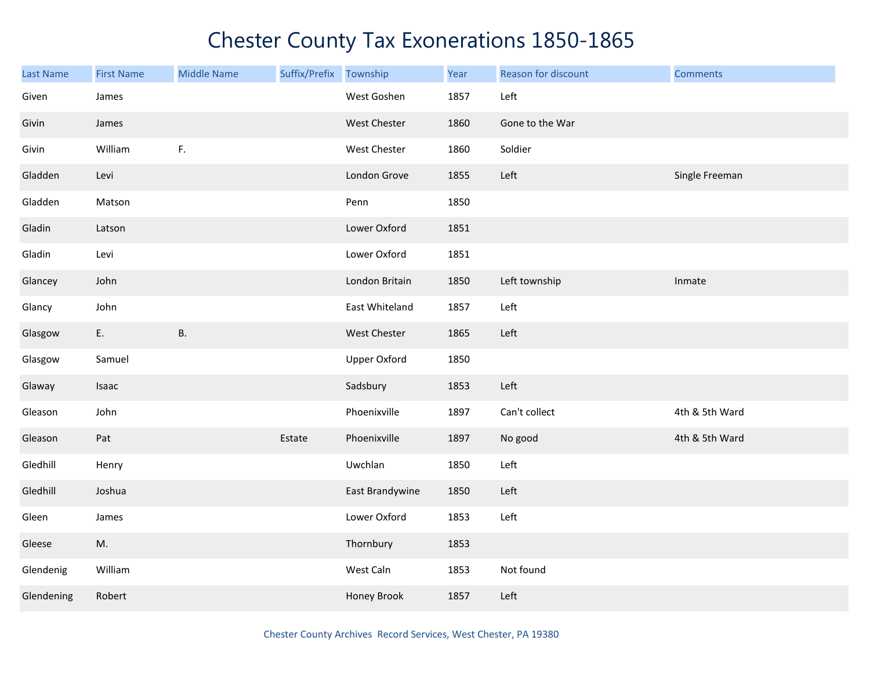| Last Name  | <b>First Name</b> | <b>Middle Name</b> | Suffix/Prefix Township |                     | Year | Reason for discount | <b>Comments</b> |
|------------|-------------------|--------------------|------------------------|---------------------|------|---------------------|-----------------|
| Given      | James             |                    |                        | West Goshen         | 1857 | Left                |                 |
| Givin      | James             |                    |                        | <b>West Chester</b> | 1860 | Gone to the War     |                 |
| Givin      | William           | $\mathsf F.$       |                        | West Chester        | 1860 | Soldier             |                 |
| Gladden    | Levi              |                    |                        | London Grove        | 1855 | Left                | Single Freeman  |
| Gladden    | Matson            |                    |                        | Penn                | 1850 |                     |                 |
| Gladin     | Latson            |                    |                        | Lower Oxford        | 1851 |                     |                 |
| Gladin     | Levi              |                    |                        | Lower Oxford        | 1851 |                     |                 |
| Glancey    | John              |                    |                        | London Britain      | 1850 | Left township       | Inmate          |
| Glancy     | John              |                    |                        | East Whiteland      | 1857 | Left                |                 |
| Glasgow    | E.                | <b>B.</b>          |                        | West Chester        | 1865 | Left                |                 |
| Glasgow    | Samuel            |                    |                        | <b>Upper Oxford</b> | 1850 |                     |                 |
| Glaway     | Isaac             |                    |                        | Sadsbury            | 1853 | Left                |                 |
| Gleason    | John              |                    |                        | Phoenixville        | 1897 | Can't collect       | 4th & 5th Ward  |
| Gleason    | Pat               |                    | Estate                 | Phoenixville        | 1897 | No good             | 4th & 5th Ward  |
| Gledhill   | Henry             |                    |                        | Uwchlan             | 1850 | Left                |                 |
| Gledhill   | Joshua            |                    |                        | East Brandywine     | 1850 | Left                |                 |
| Gleen      | James             |                    |                        | Lower Oxford        | 1853 | Left                |                 |
| Gleese     | M.                |                    |                        | Thornbury           | 1853 |                     |                 |
| Glendenig  | William           |                    |                        | West Caln           | 1853 | Not found           |                 |
| Glendening | Robert            |                    |                        | Honey Brook         | 1857 | Left                |                 |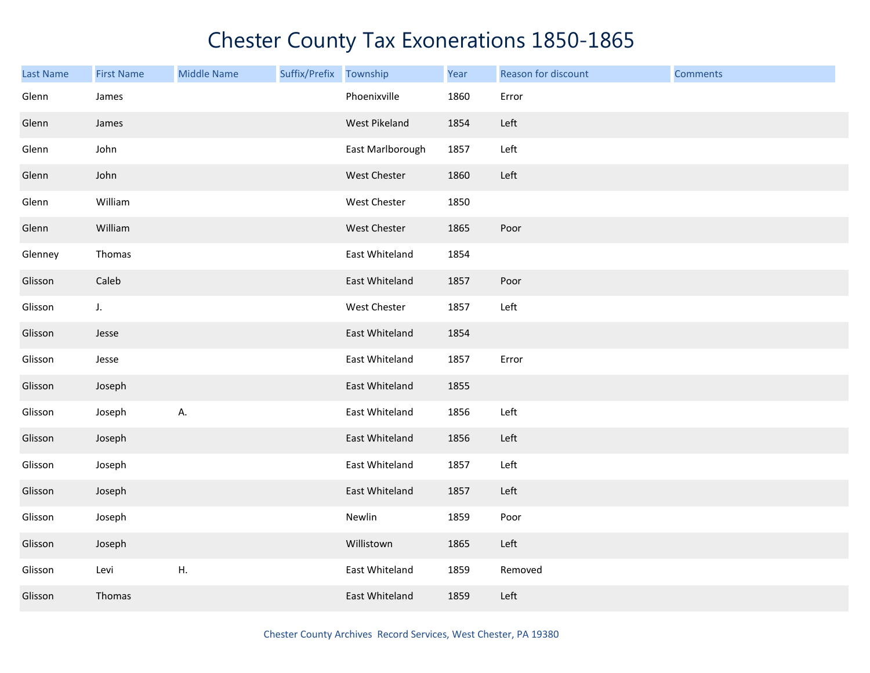| <b>Last Name</b> | <b>First Name</b> | <b>Middle Name</b> | Suffix/Prefix Township |                  | Year | Reason for discount | <b>Comments</b> |
|------------------|-------------------|--------------------|------------------------|------------------|------|---------------------|-----------------|
| Glenn            | James             |                    |                        | Phoenixville     | 1860 | Error               |                 |
| Glenn            | James             |                    |                        | West Pikeland    | 1854 | Left                |                 |
| Glenn            | John              |                    |                        | East Marlborough | 1857 | Left                |                 |
| Glenn            | John              |                    |                        | West Chester     | 1860 | Left                |                 |
| Glenn            | William           |                    |                        | West Chester     | 1850 |                     |                 |
| Glenn            | William           |                    |                        | West Chester     | 1865 | Poor                |                 |
| Glenney          | Thomas            |                    |                        | East Whiteland   | 1854 |                     |                 |
| Glisson          | Caleb             |                    |                        | East Whiteland   | 1857 | Poor                |                 |
| Glisson          | J.                |                    |                        | West Chester     | 1857 | Left                |                 |
| Glisson          | Jesse             |                    |                        | East Whiteland   | 1854 |                     |                 |
| Glisson          | Jesse             |                    |                        | East Whiteland   | 1857 | Error               |                 |
| Glisson          | Joseph            |                    |                        | East Whiteland   | 1855 |                     |                 |
| Glisson          | Joseph            | А.                 |                        | East Whiteland   | 1856 | Left                |                 |
| Glisson          | Joseph            |                    |                        | East Whiteland   | 1856 | Left                |                 |
| Glisson          | Joseph            |                    |                        | East Whiteland   | 1857 | Left                |                 |
| Glisson          | Joseph            |                    |                        | East Whiteland   | 1857 | Left                |                 |
| Glisson          | Joseph            |                    |                        | Newlin           | 1859 | Poor                |                 |
| Glisson          | Joseph            |                    |                        | Willistown       | 1865 | Left                |                 |
| Glisson          | Levi              | H.                 |                        | East Whiteland   | 1859 | Removed             |                 |
| Glisson          | Thomas            |                    |                        | East Whiteland   | 1859 | Left                |                 |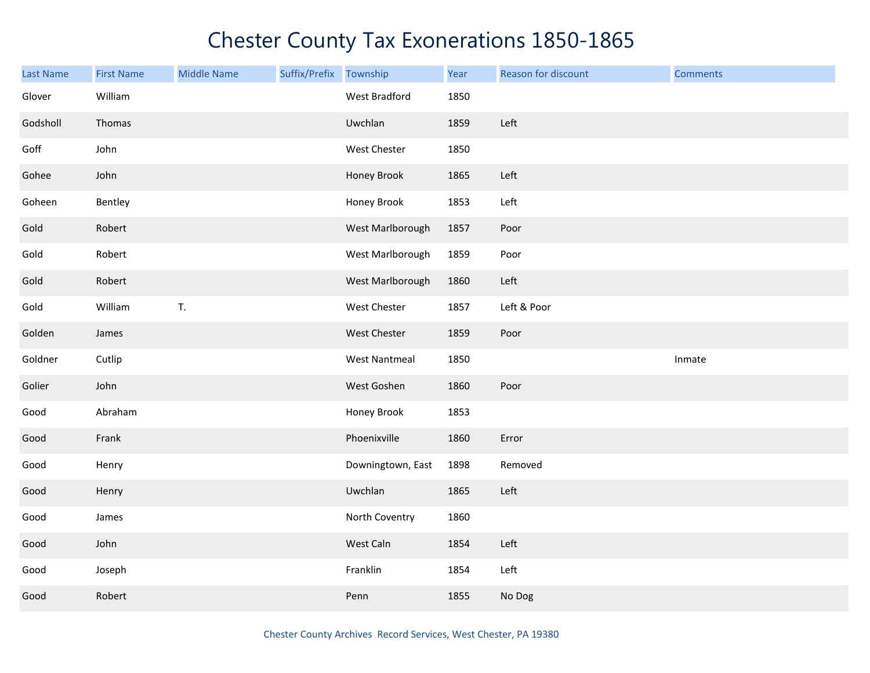| <b>Last Name</b> | <b>First Name</b> | <b>Middle Name</b> | Suffix/Prefix Township |                      | Year | Reason for discount | <b>Comments</b> |
|------------------|-------------------|--------------------|------------------------|----------------------|------|---------------------|-----------------|
| Glover           | William           |                    |                        | West Bradford        | 1850 |                     |                 |
| Godsholl         | Thomas            |                    |                        | Uwchlan              | 1859 | Left                |                 |
| Goff             | John              |                    |                        | West Chester         | 1850 |                     |                 |
| Gohee            | John              |                    |                        | Honey Brook          | 1865 | Left                |                 |
| Goheen           | Bentley           |                    |                        | Honey Brook          | 1853 | Left                |                 |
| Gold             | Robert            |                    |                        | West Marlborough     | 1857 | Poor                |                 |
| Gold             | Robert            |                    |                        | West Marlborough     | 1859 | Poor                |                 |
| Gold             | Robert            |                    |                        | West Marlborough     | 1860 | Left                |                 |
| Gold             | William           | $\mathsf T.$       |                        | West Chester         | 1857 | Left & Poor         |                 |
| Golden           | James             |                    |                        | West Chester         | 1859 | Poor                |                 |
| Goldner          | Cutlip            |                    |                        | <b>West Nantmeal</b> | 1850 |                     | Inmate          |
| Golier           | John              |                    |                        | West Goshen          | 1860 | Poor                |                 |
| Good             | Abraham           |                    |                        | Honey Brook          | 1853 |                     |                 |
| Good             | Frank             |                    |                        | Phoenixville         | 1860 | Error               |                 |
| Good             | Henry             |                    |                        | Downingtown, East    | 1898 | Removed             |                 |
| Good             | Henry             |                    |                        | Uwchlan              | 1865 | Left                |                 |
| Good             | James             |                    |                        | North Coventry       | 1860 |                     |                 |
| Good             | John              |                    |                        | West Caln            | 1854 | Left                |                 |
| Good             | Joseph            |                    |                        | Franklin             | 1854 | Left                |                 |
| Good             | Robert            |                    |                        | Penn                 | 1855 | No Dog              |                 |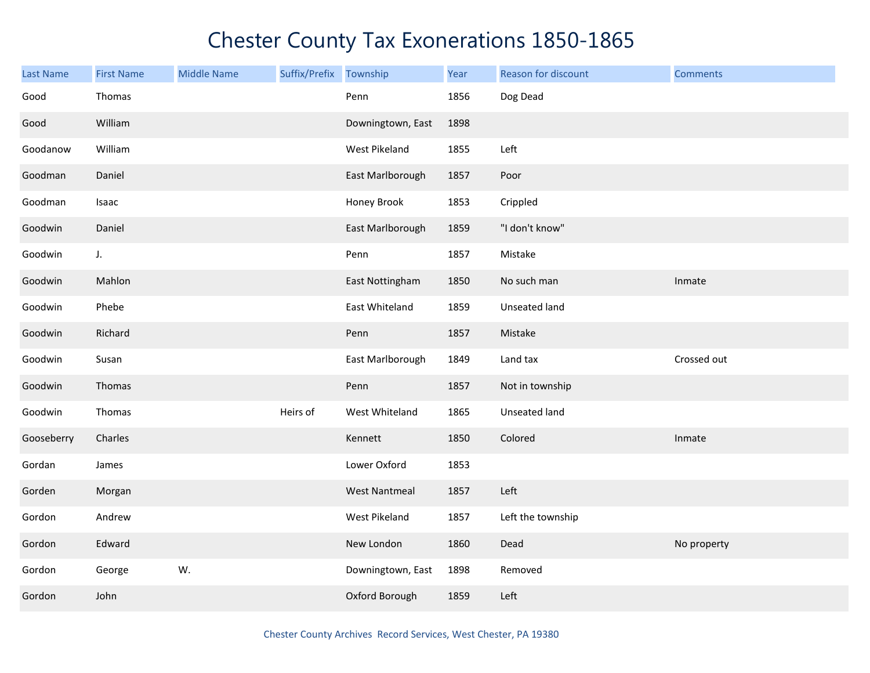| Last Name  | <b>First Name</b> | <b>Middle Name</b> | Suffix/Prefix Township |                      | Year | Reason for discount | <b>Comments</b> |
|------------|-------------------|--------------------|------------------------|----------------------|------|---------------------|-----------------|
| Good       | Thomas            |                    |                        | Penn                 | 1856 | Dog Dead            |                 |
| Good       | William           |                    |                        | Downingtown, East    | 1898 |                     |                 |
| Goodanow   | William           |                    |                        | West Pikeland        | 1855 | Left                |                 |
| Goodman    | Daniel            |                    |                        | East Marlborough     | 1857 | Poor                |                 |
| Goodman    | Isaac             |                    |                        | Honey Brook          | 1853 | Crippled            |                 |
| Goodwin    | Daniel            |                    |                        | East Marlborough     | 1859 | "I don't know"      |                 |
| Goodwin    | $J_{\star}$       |                    |                        | Penn                 | 1857 | Mistake             |                 |
| Goodwin    | Mahlon            |                    |                        | East Nottingham      | 1850 | No such man         | Inmate          |
| Goodwin    | Phebe             |                    |                        | East Whiteland       | 1859 | Unseated land       |                 |
| Goodwin    | Richard           |                    |                        | Penn                 | 1857 | Mistake             |                 |
| Goodwin    | Susan             |                    |                        | East Marlborough     | 1849 | Land tax            | Crossed out     |
| Goodwin    | Thomas            |                    |                        | Penn                 | 1857 | Not in township     |                 |
| Goodwin    | Thomas            |                    | Heirs of               | West Whiteland       | 1865 | Unseated land       |                 |
| Gooseberry | Charles           |                    |                        | Kennett              | 1850 | Colored             | Inmate          |
| Gordan     | James             |                    |                        | Lower Oxford         | 1853 |                     |                 |
| Gorden     | Morgan            |                    |                        | <b>West Nantmeal</b> | 1857 | Left                |                 |
| Gordon     | Andrew            |                    |                        | West Pikeland        | 1857 | Left the township   |                 |
| Gordon     | Edward            |                    |                        | New London           | 1860 | Dead                | No property     |
| Gordon     | George            | W.                 |                        | Downingtown, East    | 1898 | Removed             |                 |
| Gordon     | John              |                    |                        | Oxford Borough       | 1859 | Left                |                 |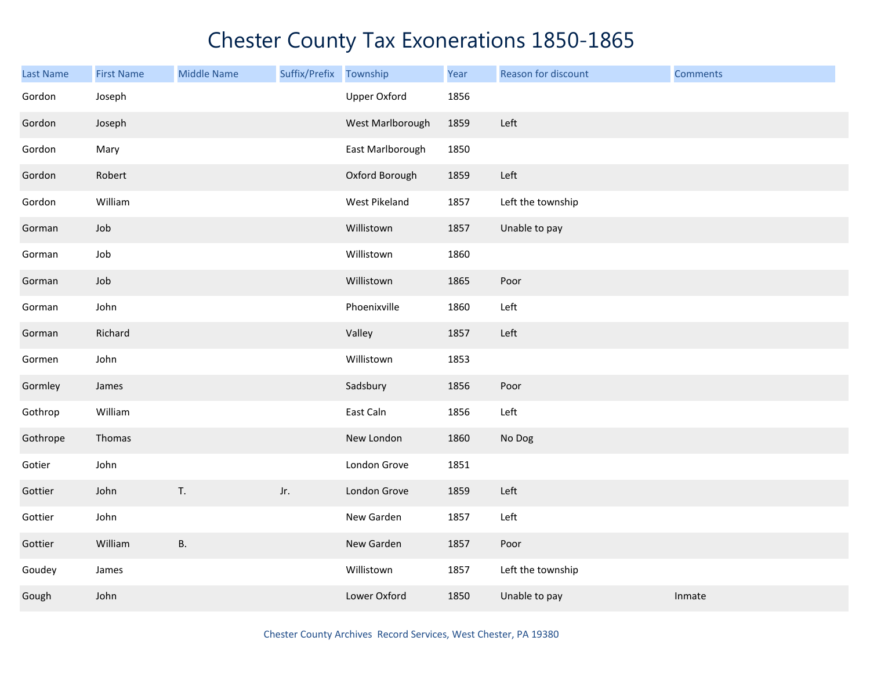| Last Name | <b>First Name</b> | <b>Middle Name</b> | Suffix/Prefix | Township            | Year | Reason for discount | <b>Comments</b> |
|-----------|-------------------|--------------------|---------------|---------------------|------|---------------------|-----------------|
| Gordon    | Joseph            |                    |               | <b>Upper Oxford</b> | 1856 |                     |                 |
| Gordon    | Joseph            |                    |               | West Marlborough    | 1859 | Left                |                 |
| Gordon    | Mary              |                    |               | East Marlborough    | 1850 |                     |                 |
| Gordon    | Robert            |                    |               | Oxford Borough      | 1859 | Left                |                 |
| Gordon    | William           |                    |               | West Pikeland       | 1857 | Left the township   |                 |
| Gorman    | Job               |                    |               | Willistown          | 1857 | Unable to pay       |                 |
| Gorman    | Job               |                    |               | Willistown          | 1860 |                     |                 |
| Gorman    | Job               |                    |               | Willistown          | 1865 | Poor                |                 |
| Gorman    | John              |                    |               | Phoenixville        | 1860 | Left                |                 |
| Gorman    | Richard           |                    |               | Valley              | 1857 | Left                |                 |
| Gormen    | John              |                    |               | Willistown          | 1853 |                     |                 |
| Gormley   | James             |                    |               | Sadsbury            | 1856 | Poor                |                 |
| Gothrop   | William           |                    |               | East Caln           | 1856 | Left                |                 |
| Gothrope  | Thomas            |                    |               | New London          | 1860 | No Dog              |                 |
| Gotier    | John              |                    |               | London Grove        | 1851 |                     |                 |
| Gottier   | John              | T.                 | Jr.           | London Grove        | 1859 | Left                |                 |
| Gottier   | John              |                    |               | New Garden          | 1857 | Left                |                 |
| Gottier   | William           | <b>B.</b>          |               | New Garden          | 1857 | Poor                |                 |
| Goudey    | James             |                    |               | Willistown          | 1857 | Left the township   |                 |
| Gough     | John              |                    |               | Lower Oxford        | 1850 | Unable to pay       | Inmate          |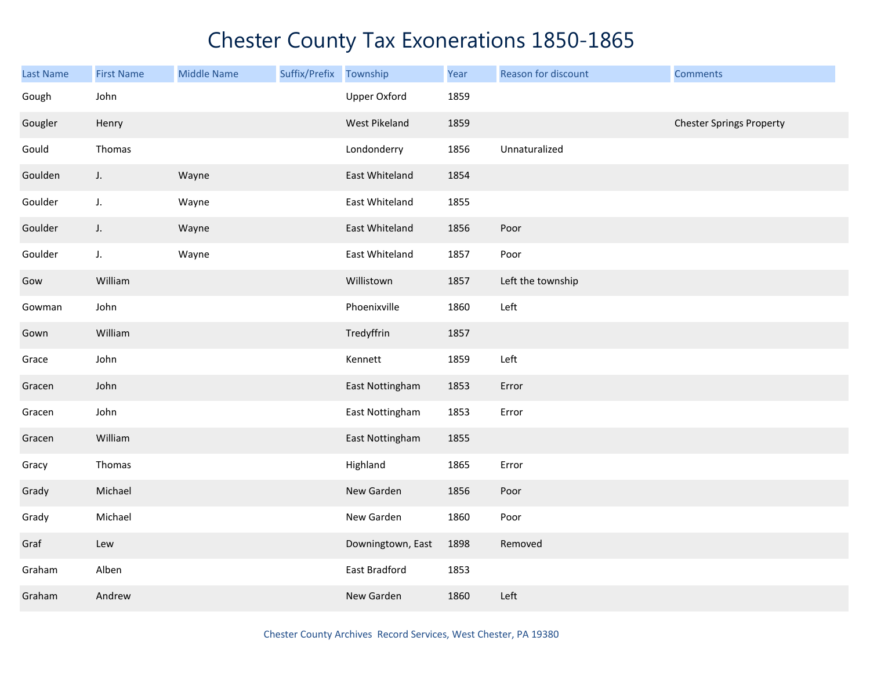| <b>Last Name</b> | <b>First Name</b> | <b>Middle Name</b> | Suffix/Prefix | Township          | Year | Reason for discount | <b>Comments</b>                 |
|------------------|-------------------|--------------------|---------------|-------------------|------|---------------------|---------------------------------|
| Gough            | John              |                    |               | Upper Oxford      | 1859 |                     |                                 |
| Gougler          | Henry             |                    |               | West Pikeland     | 1859 |                     | <b>Chester Springs Property</b> |
| Gould            | Thomas            |                    |               | Londonderry       | 1856 | Unnaturalized       |                                 |
| Goulden          | $J_{\star}$       | Wayne              |               | East Whiteland    | 1854 |                     |                                 |
| Goulder          | J.                | Wayne              |               | East Whiteland    | 1855 |                     |                                 |
| Goulder          | J.                | Wayne              |               | East Whiteland    | 1856 | Poor                |                                 |
| Goulder          | J.                | Wayne              |               | East Whiteland    | 1857 | Poor                |                                 |
| Gow              | William           |                    |               | Willistown        | 1857 | Left the township   |                                 |
| Gowman           | John              |                    |               | Phoenixville      | 1860 | Left                |                                 |
| Gown             | William           |                    |               | Tredyffrin        | 1857 |                     |                                 |
| Grace            | John              |                    |               | Kennett           | 1859 | Left                |                                 |
| Gracen           | John              |                    |               | East Nottingham   | 1853 | Error               |                                 |
| Gracen           | John              |                    |               | East Nottingham   | 1853 | Error               |                                 |
| Gracen           | William           |                    |               | East Nottingham   | 1855 |                     |                                 |
| Gracy            | Thomas            |                    |               | Highland          | 1865 | Error               |                                 |
| Grady            | Michael           |                    |               | New Garden        | 1856 | Poor                |                                 |
| Grady            | Michael           |                    |               | New Garden        | 1860 | Poor                |                                 |
| Graf             | Lew               |                    |               | Downingtown, East | 1898 | Removed             |                                 |
| Graham           | Alben             |                    |               | East Bradford     | 1853 |                     |                                 |
| Graham           | Andrew            |                    |               | New Garden        | 1860 | Left                |                                 |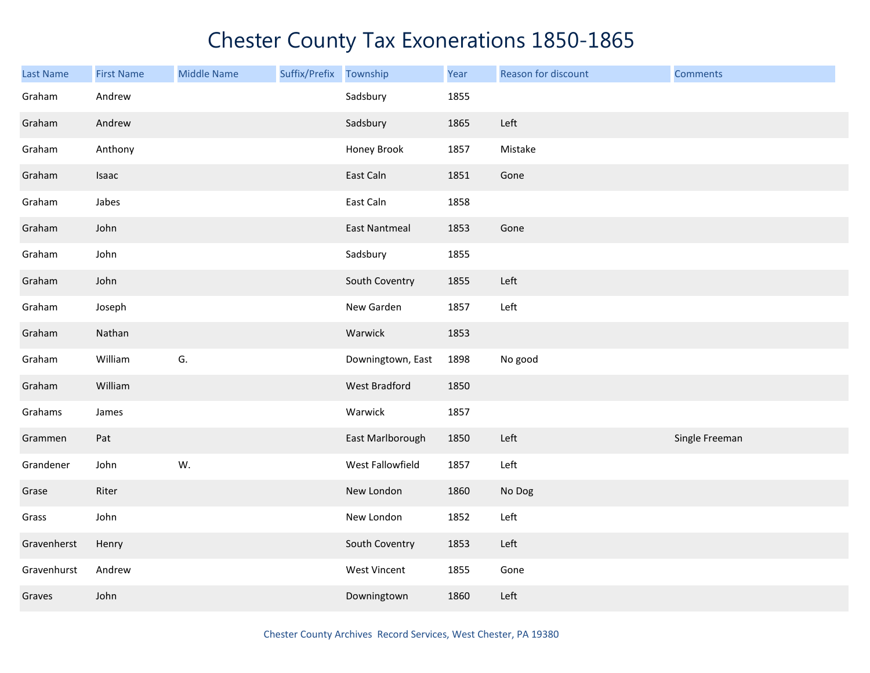| <b>Last Name</b> | <b>First Name</b> | <b>Middle Name</b> | Suffix/Prefix Township |                     | Year | Reason for discount | <b>Comments</b> |
|------------------|-------------------|--------------------|------------------------|---------------------|------|---------------------|-----------------|
| Graham           | Andrew            |                    |                        | Sadsbury            | 1855 |                     |                 |
| Graham           | Andrew            |                    |                        | Sadsbury            | 1865 | Left                |                 |
| Graham           | Anthony           |                    |                        | Honey Brook         | 1857 | Mistake             |                 |
| Graham           | Isaac             |                    |                        | East Caln           | 1851 | Gone                |                 |
| Graham           | Jabes             |                    |                        | East Caln           | 1858 |                     |                 |
| Graham           | John              |                    |                        | East Nantmeal       | 1853 | Gone                |                 |
| Graham           | John              |                    |                        | Sadsbury            | 1855 |                     |                 |
| Graham           | John              |                    |                        | South Coventry      | 1855 | Left                |                 |
| Graham           | Joseph            |                    |                        | New Garden          | 1857 | Left                |                 |
| Graham           | Nathan            |                    |                        | Warwick             | 1853 |                     |                 |
| Graham           | William           | G.                 |                        | Downingtown, East   | 1898 | No good             |                 |
| Graham           | William           |                    |                        | West Bradford       | 1850 |                     |                 |
| Grahams          | James             |                    |                        | Warwick             | 1857 |                     |                 |
| Grammen          | Pat               |                    |                        | East Marlborough    | 1850 | Left                | Single Freeman  |
| Grandener        | John              | W.                 |                        | West Fallowfield    | 1857 | Left                |                 |
| Grase            | Riter             |                    |                        | New London          | 1860 | No Dog              |                 |
| Grass            | John              |                    |                        | New London          | 1852 | Left                |                 |
| Gravenherst      | Henry             |                    |                        | South Coventry      | 1853 | Left                |                 |
| Gravenhurst      | Andrew            |                    |                        | <b>West Vincent</b> | 1855 | Gone                |                 |
| Graves           | John              |                    |                        | Downingtown         | 1860 | Left                |                 |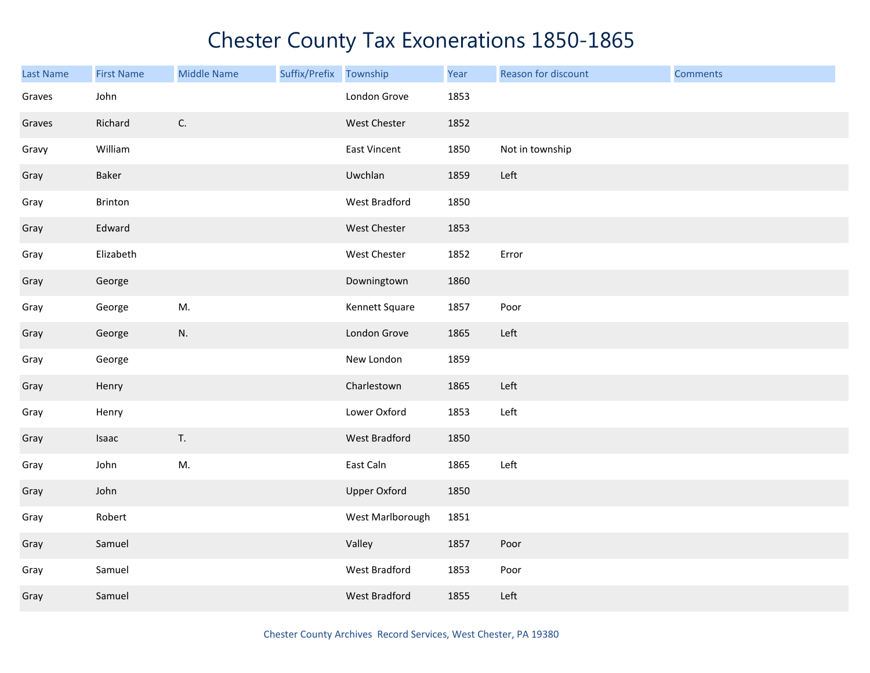| <b>Last Name</b> | <b>First Name</b> | <b>Middle Name</b> | Suffix/Prefix Township |                     | Year | Reason for discount | <b>Comments</b> |
|------------------|-------------------|--------------------|------------------------|---------------------|------|---------------------|-----------------|
| Graves           | John              |                    |                        | London Grove        | 1853 |                     |                 |
| Graves           | Richard           | $\mathsf{C}.$      |                        | West Chester        | 1852 |                     |                 |
| Gravy            | William           |                    |                        | East Vincent        | 1850 | Not in township     |                 |
| Gray             | Baker             |                    |                        | Uwchlan             | 1859 | Left                |                 |
| Gray             | Brinton           |                    |                        | West Bradford       | 1850 |                     |                 |
| Gray             | Edward            |                    |                        | West Chester        | 1853 |                     |                 |
| Gray             | Elizabeth         |                    |                        | West Chester        | 1852 | Error               |                 |
| Gray             | George            |                    |                        | Downingtown         | 1860 |                     |                 |
| Gray             | George            | M.                 |                        | Kennett Square      | 1857 | Poor                |                 |
| Gray             | George            | N.                 |                        | London Grove        | 1865 | Left                |                 |
| Gray             | George            |                    |                        | New London          | 1859 |                     |                 |
| Gray             | Henry             |                    |                        | Charlestown         | 1865 | Left                |                 |
| Gray             | Henry             |                    |                        | Lower Oxford        | 1853 | Left                |                 |
| Gray             | Isaac             | T.                 |                        | West Bradford       | 1850 |                     |                 |
| Gray             | John              | M.                 |                        | East Caln           | 1865 | Left                |                 |
| Gray             | John              |                    |                        | <b>Upper Oxford</b> | 1850 |                     |                 |
| Gray             | Robert            |                    |                        | West Marlborough    | 1851 |                     |                 |
| Gray             | Samuel            |                    |                        | Valley              | 1857 | Poor                |                 |
| Gray             | Samuel            |                    |                        | West Bradford       | 1853 | Poor                |                 |
| Gray             | Samuel            |                    |                        | West Bradford       | 1855 | Left                |                 |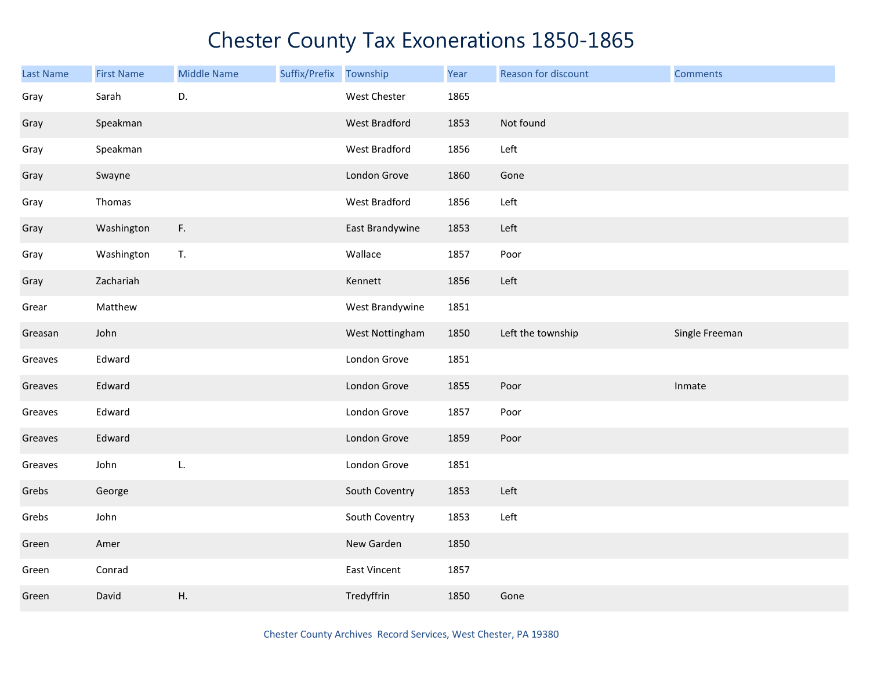| <b>Last Name</b> | <b>First Name</b> | <b>Middle Name</b> | Suffix/Prefix | Township            | Year | Reason for discount | <b>Comments</b> |
|------------------|-------------------|--------------------|---------------|---------------------|------|---------------------|-----------------|
| Gray             | Sarah             | D.                 |               | West Chester        | 1865 |                     |                 |
| Gray             | Speakman          |                    |               | West Bradford       | 1853 | Not found           |                 |
| Gray             | Speakman          |                    |               | West Bradford       | 1856 | Left                |                 |
| Gray             | Swayne            |                    |               | London Grove        | 1860 | Gone                |                 |
| Gray             | Thomas            |                    |               | West Bradford       | 1856 | Left                |                 |
| Gray             | Washington        | F.                 |               | East Brandywine     | 1853 | Left                |                 |
| Gray             | Washington        | T.                 |               | Wallace             | 1857 | Poor                |                 |
| Gray             | Zachariah         |                    |               | Kennett             | 1856 | Left                |                 |
| Grear            | Matthew           |                    |               | West Brandywine     | 1851 |                     |                 |
| Greasan          | John              |                    |               | West Nottingham     | 1850 | Left the township   | Single Freeman  |
| Greaves          | Edward            |                    |               | London Grove        | 1851 |                     |                 |
| Greaves          | Edward            |                    |               | London Grove        | 1855 | Poor                | Inmate          |
| Greaves          | Edward            |                    |               | London Grove        | 1857 | Poor                |                 |
| Greaves          | Edward            |                    |               | London Grove        | 1859 | Poor                |                 |
| Greaves          | John              | L.                 |               | London Grove        | 1851 |                     |                 |
| Grebs            | George            |                    |               | South Coventry      | 1853 | Left                |                 |
| Grebs            | John              |                    |               | South Coventry      | 1853 | Left                |                 |
| Green            | Amer              |                    |               | New Garden          | 1850 |                     |                 |
| Green            | Conrad            |                    |               | <b>East Vincent</b> | 1857 |                     |                 |
| Green            | David             | Η.                 |               | Tredyffrin          | 1850 | Gone                |                 |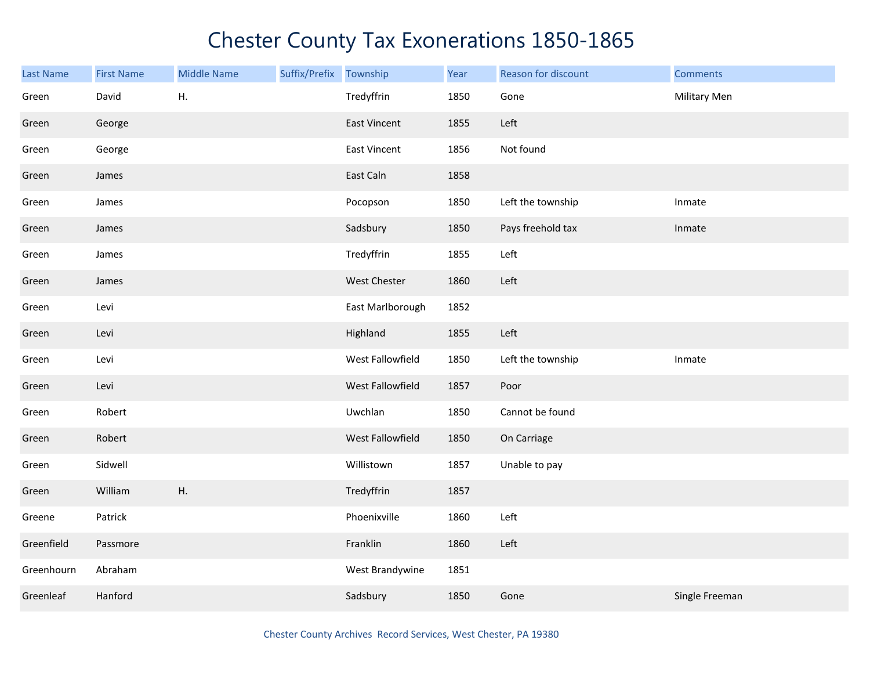| <b>Last Name</b> | <b>First Name</b> | <b>Middle Name</b> | Suffix/Prefix Township |                     | Year | Reason for discount | <b>Comments</b> |
|------------------|-------------------|--------------------|------------------------|---------------------|------|---------------------|-----------------|
| Green            | David             | Η.                 |                        | Tredyffrin          | 1850 | Gone                | Military Men    |
| Green            | George            |                    |                        | <b>East Vincent</b> | 1855 | Left                |                 |
| Green            | George            |                    |                        | <b>East Vincent</b> | 1856 | Not found           |                 |
| Green            | James             |                    |                        | East Caln           | 1858 |                     |                 |
| Green            | James             |                    |                        | Pocopson            | 1850 | Left the township   | Inmate          |
| Green            | James             |                    |                        | Sadsbury            | 1850 | Pays freehold tax   | Inmate          |
| Green            | James             |                    |                        | Tredyffrin          | 1855 | Left                |                 |
| Green            | James             |                    |                        | West Chester        | 1860 | Left                |                 |
| Green            | Levi              |                    |                        | East Marlborough    | 1852 |                     |                 |
| Green            | Levi              |                    |                        | Highland            | 1855 | Left                |                 |
| Green            | Levi              |                    |                        | West Fallowfield    | 1850 | Left the township   | Inmate          |
| Green            | Levi              |                    |                        | West Fallowfield    | 1857 | Poor                |                 |
| Green            | Robert            |                    |                        | Uwchlan             | 1850 | Cannot be found     |                 |
| Green            | Robert            |                    |                        | West Fallowfield    | 1850 | On Carriage         |                 |
| Green            | Sidwell           |                    |                        | Willistown          | 1857 | Unable to pay       |                 |
| Green            | William           | Η.                 |                        | Tredyffrin          | 1857 |                     |                 |
| Greene           | Patrick           |                    |                        | Phoenixville        | 1860 | Left                |                 |
| Greenfield       | Passmore          |                    |                        | Franklin            | 1860 | Left                |                 |
| Greenhourn       | Abraham           |                    |                        | West Brandywine     | 1851 |                     |                 |
| Greenleaf        | Hanford           |                    |                        | Sadsbury            | 1850 | Gone                | Single Freeman  |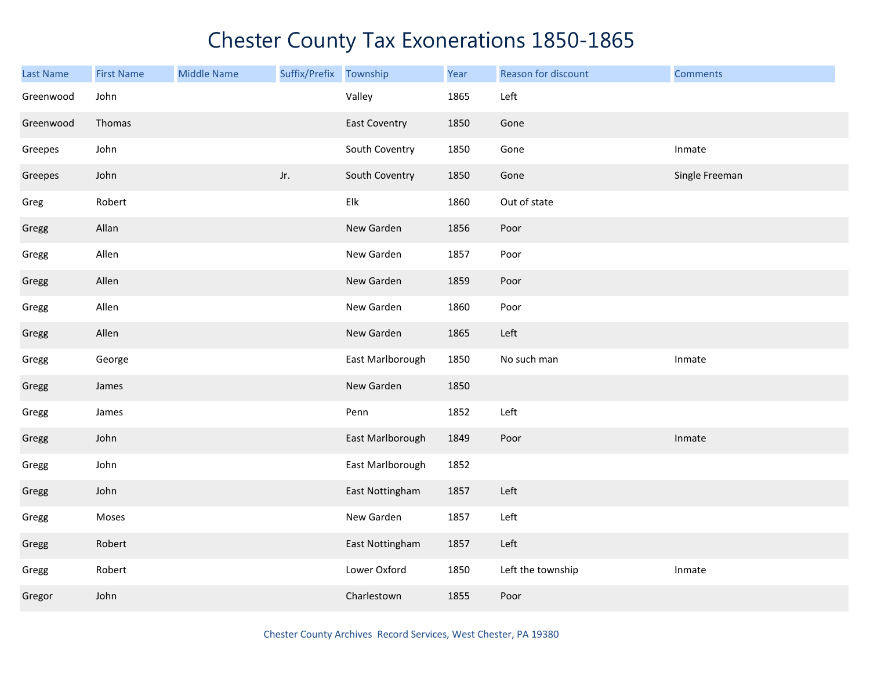| <b>Last Name</b> | <b>First Name</b> | <b>Middle Name</b> | Suffix/Prefix | Township                  | Year | Reason for discount | <b>Comments</b> |
|------------------|-------------------|--------------------|---------------|---------------------------|------|---------------------|-----------------|
| Greenwood        | John              |                    |               | Valley                    | 1865 | Left                |                 |
| Greenwood        | Thomas            |                    |               | <b>East Coventry</b>      | 1850 | Gone                |                 |
| Greepes          | John              |                    |               | South Coventry            | 1850 | Gone                | Inmate          |
| Greepes          | John              |                    | Jr.           | South Coventry            | 1850 | Gone                | Single Freeman  |
| Greg             | Robert            |                    |               | ${\sf E} {\sf I} {\sf k}$ | 1860 | Out of state        |                 |
| Gregg            | Allan             |                    |               | New Garden                | 1856 | Poor                |                 |
| Gregg            | Allen             |                    |               | New Garden                | 1857 | Poor                |                 |
| Gregg            | Allen             |                    |               | New Garden                | 1859 | Poor                |                 |
| Gregg            | Allen             |                    |               | New Garden                | 1860 | Poor                |                 |
| Gregg            | Allen             |                    |               | New Garden                | 1865 | Left                |                 |
| Gregg            | George            |                    |               | East Marlborough          | 1850 | No such man         | Inmate          |
| Gregg            | James             |                    |               | New Garden                | 1850 |                     |                 |
| Gregg            | James             |                    |               | Penn                      | 1852 | Left                |                 |
| Gregg            | John              |                    |               | East Marlborough          | 1849 | Poor                | Inmate          |
| Gregg            | John              |                    |               | East Marlborough          | 1852 |                     |                 |
| Gregg            | John              |                    |               | East Nottingham           | 1857 | Left                |                 |
| Gregg            | Moses             |                    |               | New Garden                | 1857 | Left                |                 |
| Gregg            | Robert            |                    |               | East Nottingham           | 1857 | Left                |                 |
| Gregg            | Robert            |                    |               | Lower Oxford              | 1850 | Left the township   | Inmate          |
| Gregor           | John              |                    |               | Charlestown               | 1855 | Poor                |                 |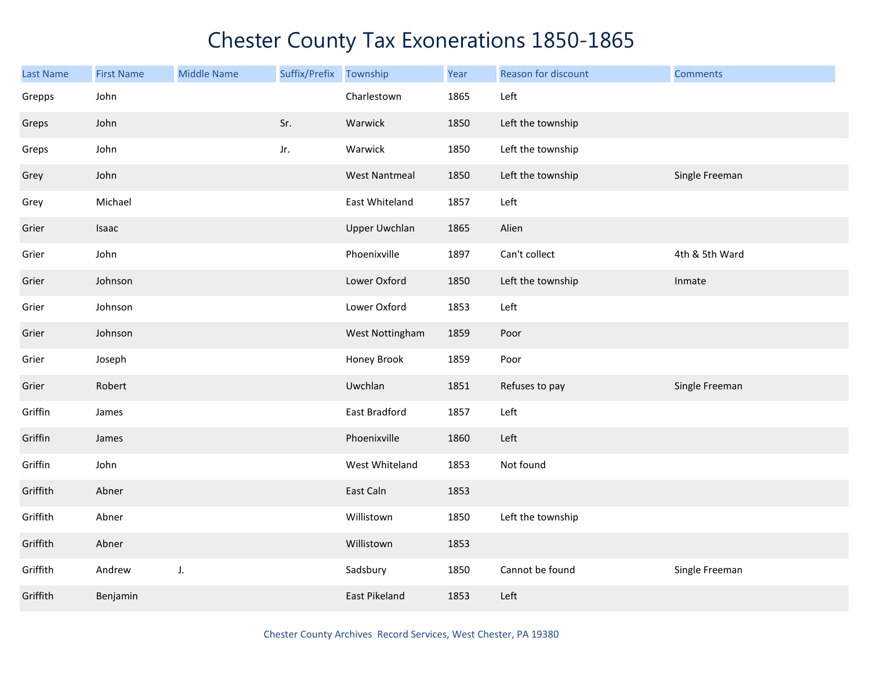| <b>Last Name</b> | <b>First Name</b> | <b>Middle Name</b> | Suffix/Prefix | Township             | Year | Reason for discount | <b>Comments</b> |
|------------------|-------------------|--------------------|---------------|----------------------|------|---------------------|-----------------|
| Grepps           | John              |                    |               | Charlestown          | 1865 | Left                |                 |
| Greps            | John              |                    | Sr.           | Warwick              | 1850 | Left the township   |                 |
| Greps            | John              |                    | Jr.           | Warwick              | 1850 | Left the township   |                 |
| Grey             | John              |                    |               | <b>West Nantmeal</b> | 1850 | Left the township   | Single Freeman  |
| Grey             | Michael           |                    |               | East Whiteland       | 1857 | Left                |                 |
| Grier            | Isaac             |                    |               | <b>Upper Uwchlan</b> | 1865 | Alien               |                 |
| Grier            | John              |                    |               | Phoenixville         | 1897 | Can't collect       | 4th & 5th Ward  |
| Grier            | Johnson           |                    |               | Lower Oxford         | 1850 | Left the township   | Inmate          |
| Grier            | Johnson           |                    |               | Lower Oxford         | 1853 | Left                |                 |
| Grier            | Johnson           |                    |               | West Nottingham      | 1859 | Poor                |                 |
| Grier            | Joseph            |                    |               | Honey Brook          | 1859 | Poor                |                 |
| Grier            | Robert            |                    |               | Uwchlan              | 1851 | Refuses to pay      | Single Freeman  |
| Griffin          | James             |                    |               | East Bradford        | 1857 | Left                |                 |
| Griffin          | James             |                    |               | Phoenixville         | 1860 | Left                |                 |
| Griffin          | John              |                    |               | West Whiteland       | 1853 | Not found           |                 |
| Griffith         | Abner             |                    |               | East Caln            | 1853 |                     |                 |
| Griffith         | Abner             |                    |               | Willistown           | 1850 | Left the township   |                 |
| Griffith         | Abner             |                    |               | Willistown           | 1853 |                     |                 |
| Griffith         | Andrew            | J.                 |               | Sadsbury             | 1850 | Cannot be found     | Single Freeman  |
| Griffith         | Benjamin          |                    |               | East Pikeland        | 1853 | Left                |                 |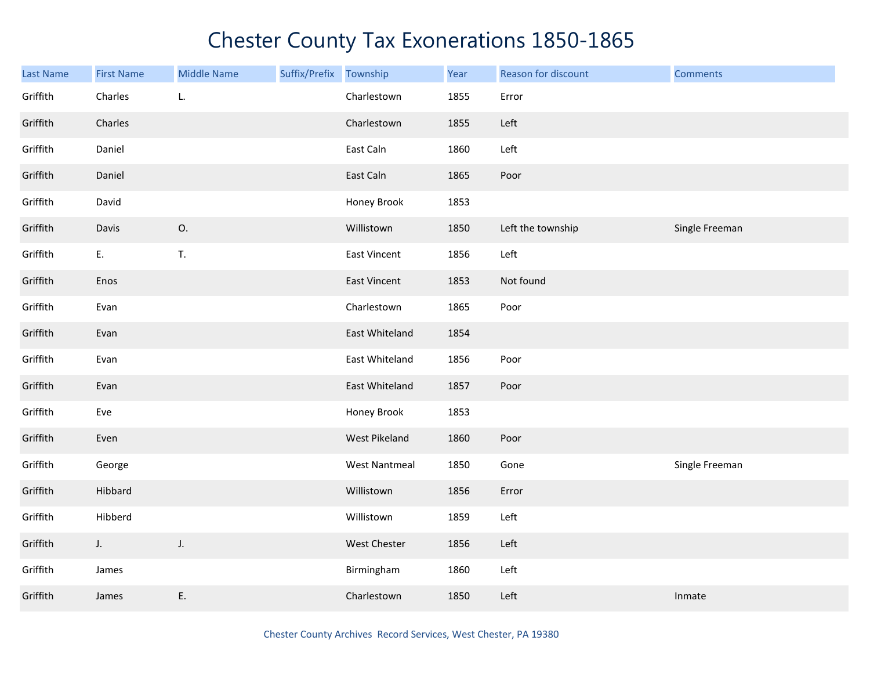| Last Name | <b>First Name</b> | <b>Middle Name</b> | Suffix/Prefix Township |                      | Year | Reason for discount | <b>Comments</b> |
|-----------|-------------------|--------------------|------------------------|----------------------|------|---------------------|-----------------|
| Griffith  | Charles           | L.                 |                        | Charlestown          | 1855 | Error               |                 |
| Griffith  | Charles           |                    |                        | Charlestown          | 1855 | Left                |                 |
| Griffith  | Daniel            |                    |                        | East Caln            | 1860 | Left                |                 |
| Griffith  | Daniel            |                    |                        | East Caln            | 1865 | Poor                |                 |
| Griffith  | David             |                    |                        | Honey Brook          | 1853 |                     |                 |
| Griffith  | Davis             | 0.                 |                        | Willistown           | 1850 | Left the township   | Single Freeman  |
| Griffith  | E.                | T.                 |                        | <b>East Vincent</b>  | 1856 | Left                |                 |
| Griffith  | Enos              |                    |                        | <b>East Vincent</b>  | 1853 | Not found           |                 |
| Griffith  | Evan              |                    |                        | Charlestown          | 1865 | Poor                |                 |
| Griffith  | Evan              |                    |                        | East Whiteland       | 1854 |                     |                 |
| Griffith  | Evan              |                    |                        | East Whiteland       | 1856 | Poor                |                 |
| Griffith  | Evan              |                    |                        | East Whiteland       | 1857 | Poor                |                 |
| Griffith  | Eve               |                    |                        | Honey Brook          | 1853 |                     |                 |
| Griffith  | Even              |                    |                        | West Pikeland        | 1860 | Poor                |                 |
| Griffith  | George            |                    |                        | <b>West Nantmeal</b> | 1850 | Gone                | Single Freeman  |
| Griffith  | Hibbard           |                    |                        | Willistown           | 1856 | Error               |                 |
| Griffith  | Hibberd           |                    |                        | Willistown           | 1859 | Left                |                 |
| Griffith  | $J_{\star}$       | J.                 |                        | West Chester         | 1856 | Left                |                 |
| Griffith  | James             |                    |                        | Birmingham           | 1860 | Left                |                 |
| Griffith  | James             | Ε.                 |                        | Charlestown          | 1850 | Left                | Inmate          |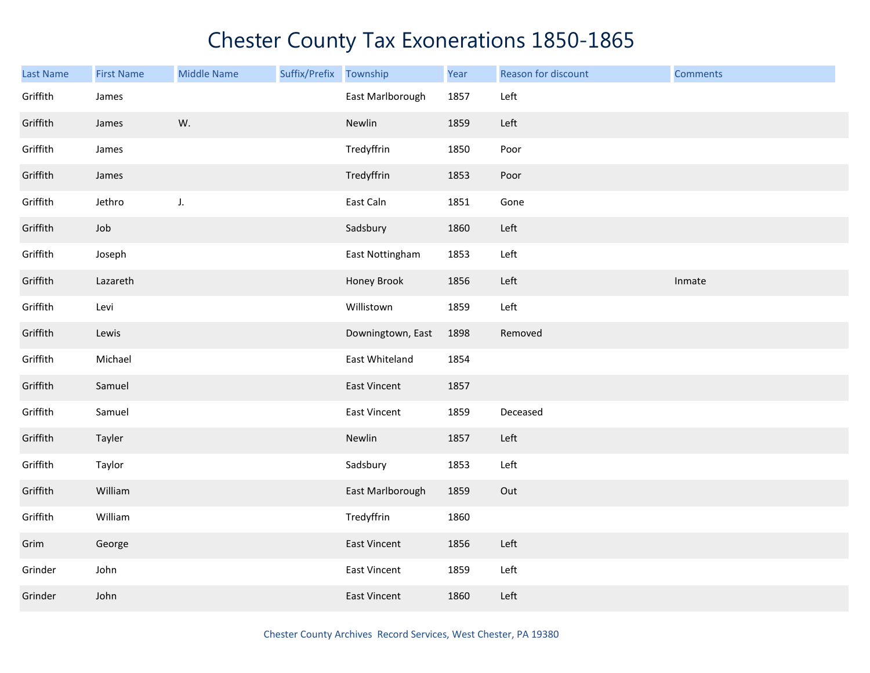| <b>Last Name</b> | <b>First Name</b> | <b>Middle Name</b> | Suffix/Prefix Township |                     | Year | Reason for discount | <b>Comments</b> |
|------------------|-------------------|--------------------|------------------------|---------------------|------|---------------------|-----------------|
| Griffith         | James             |                    |                        | East Marlborough    | 1857 | Left                |                 |
| Griffith         | James             | W.                 |                        | Newlin              | 1859 | Left                |                 |
| Griffith         | James             |                    |                        | Tredyffrin          | 1850 | Poor                |                 |
| Griffith         | James             |                    |                        | Tredyffrin          | 1853 | Poor                |                 |
| Griffith         | Jethro            | J.                 |                        | East Caln           | 1851 | Gone                |                 |
| Griffith         | Job               |                    |                        | Sadsbury            | 1860 | Left                |                 |
| Griffith         | Joseph            |                    |                        | East Nottingham     | 1853 | Left                |                 |
| Griffith         | Lazareth          |                    |                        | Honey Brook         | 1856 | Left                | Inmate          |
| Griffith         | Levi              |                    |                        | Willistown          | 1859 | Left                |                 |
| Griffith         | Lewis             |                    |                        | Downingtown, East   | 1898 | Removed             |                 |
| Griffith         | Michael           |                    |                        | East Whiteland      | 1854 |                     |                 |
| Griffith         | Samuel            |                    |                        | East Vincent        | 1857 |                     |                 |
| Griffith         | Samuel            |                    |                        | <b>East Vincent</b> | 1859 | Deceased            |                 |
| Griffith         | Tayler            |                    |                        | Newlin              | 1857 | Left                |                 |
| Griffith         | Taylor            |                    |                        | Sadsbury            | 1853 | Left                |                 |
| Griffith         | William           |                    |                        | East Marlborough    | 1859 | Out                 |                 |
| Griffith         | William           |                    |                        | Tredyffrin          | 1860 |                     |                 |
| Grim             | George            |                    |                        | <b>East Vincent</b> | 1856 | Left                |                 |
| Grinder          | John              |                    |                        | <b>East Vincent</b> | 1859 | Left                |                 |
| Grinder          | John              |                    |                        | <b>East Vincent</b> | 1860 | Left                |                 |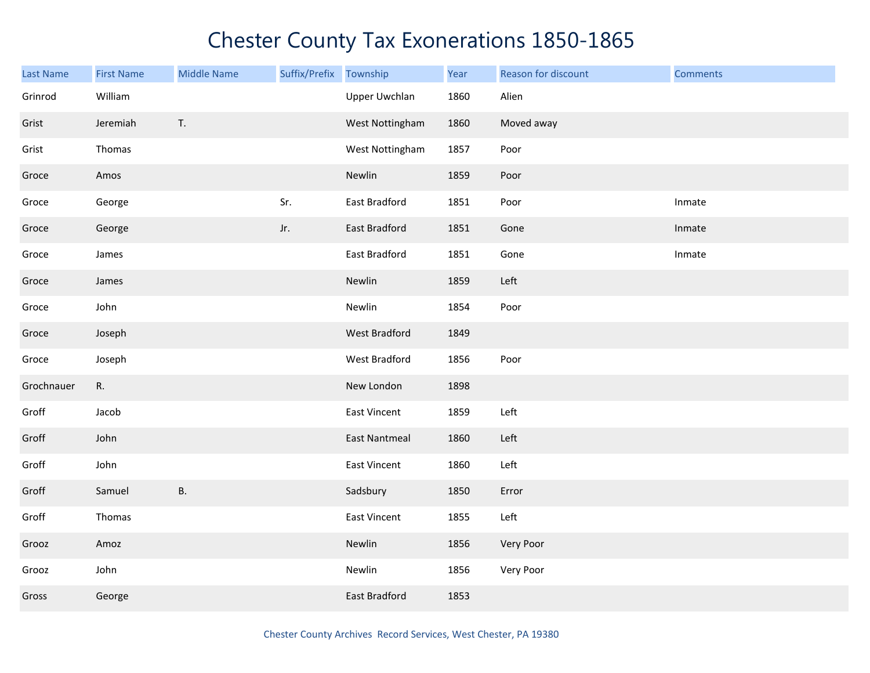| <b>Last Name</b> | <b>First Name</b> | <b>Middle Name</b> | Suffix/Prefix Township |                      | Year | Reason for discount | <b>Comments</b> |
|------------------|-------------------|--------------------|------------------------|----------------------|------|---------------------|-----------------|
| Grinrod          | William           |                    |                        | <b>Upper Uwchlan</b> | 1860 | Alien               |                 |
| Grist            | Jeremiah          | T.                 |                        | West Nottingham      | 1860 | Moved away          |                 |
| Grist            | Thomas            |                    |                        | West Nottingham      | 1857 | Poor                |                 |
| Groce            | Amos              |                    |                        | Newlin               | 1859 | Poor                |                 |
| Groce            | George            |                    | Sr.                    | East Bradford        | 1851 | Poor                | Inmate          |
| Groce            | George            |                    | Jr.                    | East Bradford        | 1851 | Gone                | Inmate          |
| Groce            | James             |                    |                        | East Bradford        | 1851 | Gone                | Inmate          |
| Groce            | James             |                    |                        | Newlin               | 1859 | Left                |                 |
| Groce            | John              |                    |                        | Newlin               | 1854 | Poor                |                 |
| Groce            | Joseph            |                    |                        | West Bradford        | 1849 |                     |                 |
| Groce            | Joseph            |                    |                        | West Bradford        | 1856 | Poor                |                 |
| Grochnauer       | R.                |                    |                        | New London           | 1898 |                     |                 |
| Groff            | Jacob             |                    |                        | <b>East Vincent</b>  | 1859 | Left                |                 |
| Groff            | John              |                    |                        | <b>East Nantmeal</b> | 1860 | Left                |                 |
| Groff            | John              |                    |                        | East Vincent         | 1860 | Left                |                 |
| Groff            | Samuel            | <b>B.</b>          |                        | Sadsbury             | 1850 | Error               |                 |
| Groff            | Thomas            |                    |                        | <b>East Vincent</b>  | 1855 | Left                |                 |
| Grooz            | Amoz              |                    |                        | Newlin               | 1856 | Very Poor           |                 |
| Grooz            | John              |                    |                        | Newlin               | 1856 | Very Poor           |                 |
| Gross            | George            |                    |                        | East Bradford        | 1853 |                     |                 |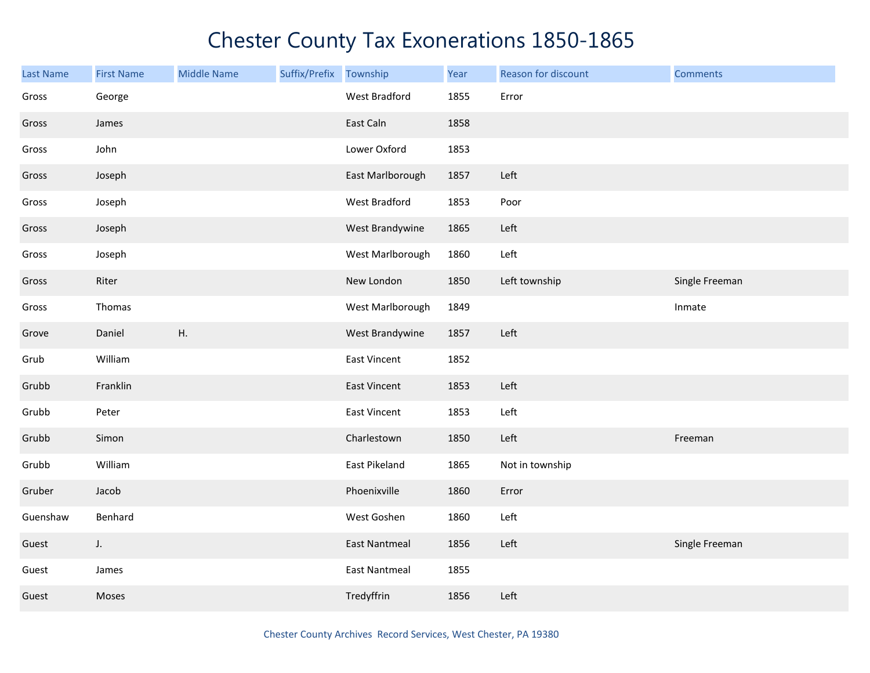| <b>Last Name</b> | <b>First Name</b> | <b>Middle Name</b> | Suffix/Prefix | Township             | Year | Reason for discount | <b>Comments</b> |
|------------------|-------------------|--------------------|---------------|----------------------|------|---------------------|-----------------|
| Gross            | George            |                    |               | West Bradford        | 1855 | Error               |                 |
| Gross            | James             |                    |               | East Caln            | 1858 |                     |                 |
| Gross            | John              |                    |               | Lower Oxford         | 1853 |                     |                 |
| Gross            | Joseph            |                    |               | East Marlborough     | 1857 | Left                |                 |
| Gross            | Joseph            |                    |               | West Bradford        | 1853 | Poor                |                 |
| Gross            | Joseph            |                    |               | West Brandywine      | 1865 | Left                |                 |
| Gross            | Joseph            |                    |               | West Marlborough     | 1860 | Left                |                 |
| Gross            | Riter             |                    |               | New London           | 1850 | Left township       | Single Freeman  |
| Gross            | Thomas            |                    |               | West Marlborough     | 1849 |                     | Inmate          |
| Grove            | Daniel            | Η.                 |               | West Brandywine      | 1857 | Left                |                 |
| Grub             | William           |                    |               | East Vincent         | 1852 |                     |                 |
| Grubb            | Franklin          |                    |               | East Vincent         | 1853 | Left                |                 |
| Grubb            | Peter             |                    |               | <b>East Vincent</b>  | 1853 | Left                |                 |
| Grubb            | Simon             |                    |               | Charlestown          | 1850 | Left                | Freeman         |
| Grubb            | William           |                    |               | East Pikeland        | 1865 | Not in township     |                 |
| Gruber           | Jacob             |                    |               | Phoenixville         | 1860 | Error               |                 |
| Guenshaw         | Benhard           |                    |               | West Goshen          | 1860 | Left                |                 |
| Guest            | J.                |                    |               | <b>East Nantmeal</b> | 1856 | Left                | Single Freeman  |
| Guest            | James             |                    |               | <b>East Nantmeal</b> | 1855 |                     |                 |
| Guest            | Moses             |                    |               | Tredyffrin           | 1856 | Left                |                 |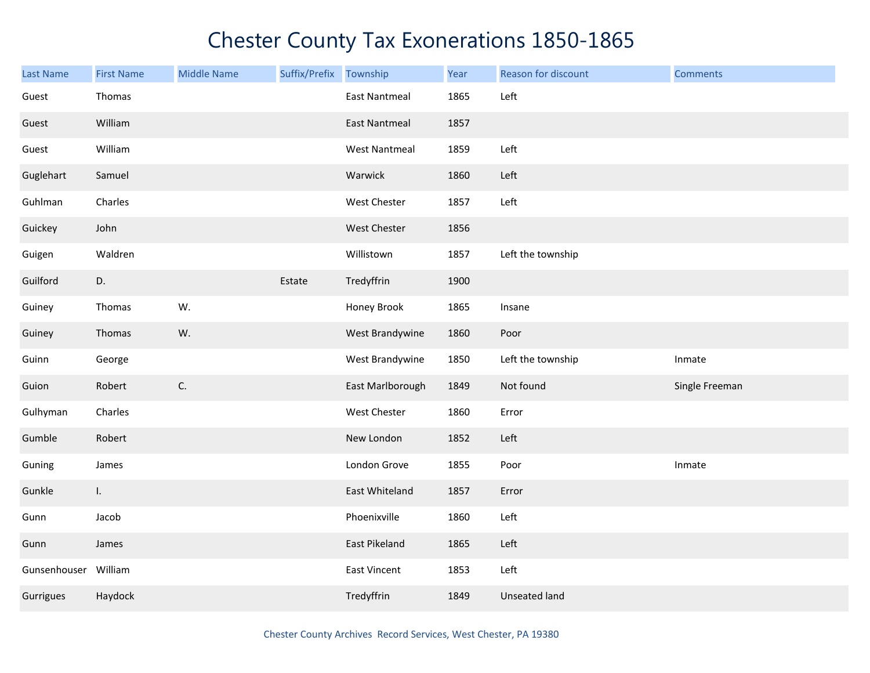| <b>Last Name</b>     | <b>First Name</b> | <b>Middle Name</b> | Suffix/Prefix | Township             | Year | Reason for discount  | <b>Comments</b> |
|----------------------|-------------------|--------------------|---------------|----------------------|------|----------------------|-----------------|
| Guest                | Thomas            |                    |               | <b>East Nantmeal</b> | 1865 | Left                 |                 |
| Guest                | William           |                    |               | <b>East Nantmeal</b> | 1857 |                      |                 |
| Guest                | William           |                    |               | <b>West Nantmeal</b> | 1859 | Left                 |                 |
| Guglehart            | Samuel            |                    |               | Warwick              | 1860 | Left                 |                 |
| Guhlman              | Charles           |                    |               | West Chester         | 1857 | Left                 |                 |
| Guickey              | John              |                    |               | West Chester         | 1856 |                      |                 |
| Guigen               | Waldren           |                    |               | Willistown           | 1857 | Left the township    |                 |
| Guilford             | D.                |                    | Estate        | Tredyffrin           | 1900 |                      |                 |
| Guiney               | Thomas            | W.                 |               | Honey Brook          | 1865 | Insane               |                 |
| Guiney               | Thomas            | W.                 |               | West Brandywine      | 1860 | Poor                 |                 |
| Guinn                | George            |                    |               | West Brandywine      | 1850 | Left the township    | Inmate          |
| Guion                | Robert            | C.                 |               | East Marlborough     | 1849 | Not found            | Single Freeman  |
| Gulhyman             | Charles           |                    |               | West Chester         | 1860 | Error                |                 |
| Gumble               | Robert            |                    |               | New London           | 1852 | Left                 |                 |
| Guning               | James             |                    |               | London Grove         | 1855 | Poor                 | Inmate          |
| Gunkle               | L.                |                    |               | East Whiteland       | 1857 | Error                |                 |
| Gunn                 | Jacob             |                    |               | Phoenixville         | 1860 | Left                 |                 |
| Gunn                 | James             |                    |               | East Pikeland        | 1865 | Left                 |                 |
| Gunsenhouser William |                   |                    |               | East Vincent         | 1853 | Left                 |                 |
| Gurrigues            | Haydock           |                    |               | Tredyffrin           | 1849 | <b>Unseated land</b> |                 |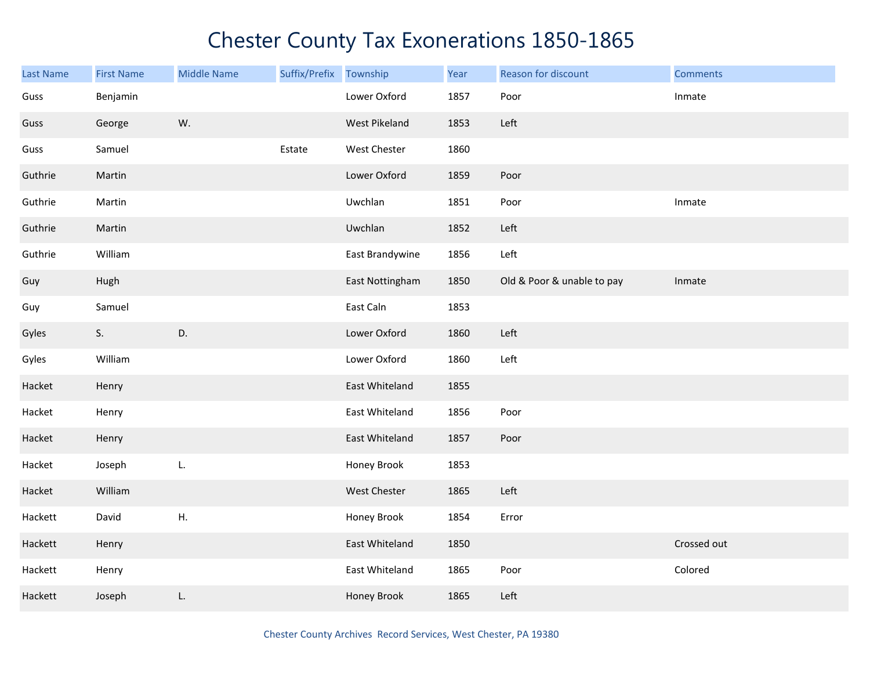| Last Name | <b>First Name</b> | <b>Middle Name</b> | Suffix/Prefix | Township        | Year | Reason for discount        | <b>Comments</b> |
|-----------|-------------------|--------------------|---------------|-----------------|------|----------------------------|-----------------|
| Guss      | Benjamin          |                    |               | Lower Oxford    | 1857 | Poor                       | Inmate          |
| Guss      | George            | W.                 |               | West Pikeland   | 1853 | Left                       |                 |
| Guss      | Samuel            |                    | Estate        | West Chester    | 1860 |                            |                 |
| Guthrie   | Martin            |                    |               | Lower Oxford    | 1859 | Poor                       |                 |
| Guthrie   | Martin            |                    |               | Uwchlan         | 1851 | Poor                       | Inmate          |
| Guthrie   | Martin            |                    |               | Uwchlan         | 1852 | Left                       |                 |
| Guthrie   | William           |                    |               | East Brandywine | 1856 | Left                       |                 |
| Guy       | Hugh              |                    |               | East Nottingham | 1850 | Old & Poor & unable to pay | Inmate          |
| Guy       | Samuel            |                    |               | East Caln       | 1853 |                            |                 |
| Gyles     | S.                | D.                 |               | Lower Oxford    | 1860 | Left                       |                 |
| Gyles     | William           |                    |               | Lower Oxford    | 1860 | Left                       |                 |
| Hacket    | Henry             |                    |               | East Whiteland  | 1855 |                            |                 |
| Hacket    | Henry             |                    |               | East Whiteland  | 1856 | Poor                       |                 |
| Hacket    | Henry             |                    |               | East Whiteland  | 1857 | Poor                       |                 |
| Hacket    | Joseph            | L.                 |               | Honey Brook     | 1853 |                            |                 |
| Hacket    | William           |                    |               | West Chester    | 1865 | Left                       |                 |
| Hackett   | David             | Η.                 |               | Honey Brook     | 1854 | Error                      |                 |
| Hackett   | Henry             |                    |               | East Whiteland  | 1850 |                            | Crossed out     |
| Hackett   | Henry             |                    |               | East Whiteland  | 1865 | Poor                       | Colored         |
| Hackett   | Joseph            | L.                 |               | Honey Brook     | 1865 | Left                       |                 |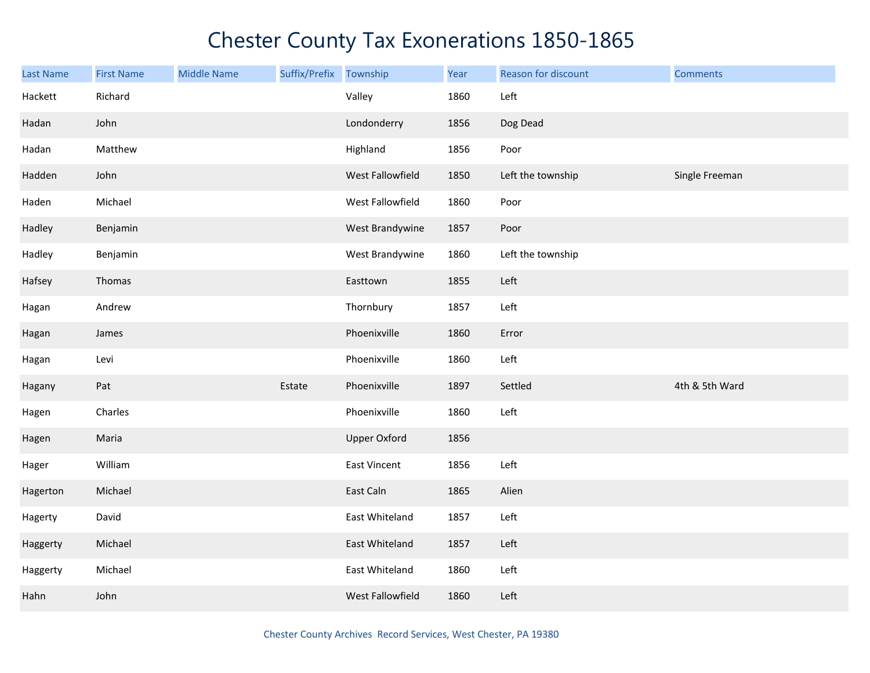| Last Name | <b>First Name</b> | <b>Middle Name</b> | Suffix/Prefix | Township            | Year | Reason for discount | <b>Comments</b> |
|-----------|-------------------|--------------------|---------------|---------------------|------|---------------------|-----------------|
| Hackett   | Richard           |                    |               | Valley              | 1860 | Left                |                 |
| Hadan     | John              |                    |               | Londonderry         | 1856 | Dog Dead            |                 |
| Hadan     | Matthew           |                    |               | Highland            | 1856 | Poor                |                 |
| Hadden    | John              |                    |               | West Fallowfield    | 1850 | Left the township   | Single Freeman  |
| Haden     | Michael           |                    |               | West Fallowfield    | 1860 | Poor                |                 |
| Hadley    | Benjamin          |                    |               | West Brandywine     | 1857 | Poor                |                 |
| Hadley    | Benjamin          |                    |               | West Brandywine     | 1860 | Left the township   |                 |
| Hafsey    | Thomas            |                    |               | Easttown            | 1855 | Left                |                 |
| Hagan     | Andrew            |                    |               | Thornbury           | 1857 | Left                |                 |
| Hagan     | James             |                    |               | Phoenixville        | 1860 | Error               |                 |
| Hagan     | Levi              |                    |               | Phoenixville        | 1860 | Left                |                 |
| Hagany    | Pat               |                    | Estate        | Phoenixville        | 1897 | Settled             | 4th & 5th Ward  |
| Hagen     | Charles           |                    |               | Phoenixville        | 1860 | Left                |                 |
| Hagen     | Maria             |                    |               | <b>Upper Oxford</b> | 1856 |                     |                 |
| Hager     | William           |                    |               | East Vincent        | 1856 | Left                |                 |
| Hagerton  | Michael           |                    |               | East Caln           | 1865 | Alien               |                 |
| Hagerty   | David             |                    |               | East Whiteland      | 1857 | Left                |                 |
| Haggerty  | Michael           |                    |               | East Whiteland      | 1857 | Left                |                 |
| Haggerty  | Michael           |                    |               | East Whiteland      | 1860 | Left                |                 |
| Hahn      | John              |                    |               | West Fallowfield    | 1860 | Left                |                 |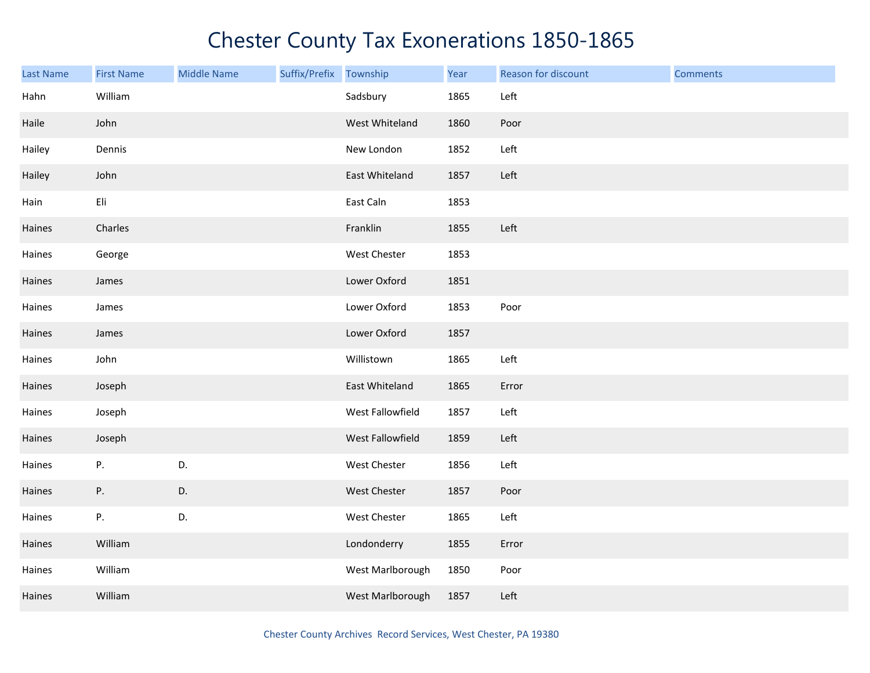| <b>Last Name</b> | <b>First Name</b> | <b>Middle Name</b> | Suffix/Prefix Township |                  | Year | Reason for discount | <b>Comments</b> |
|------------------|-------------------|--------------------|------------------------|------------------|------|---------------------|-----------------|
| Hahn             | William           |                    |                        | Sadsbury         | 1865 | Left                |                 |
| Haile            | John              |                    |                        | West Whiteland   | 1860 | Poor                |                 |
| Hailey           | Dennis            |                    |                        | New London       | 1852 | Left                |                 |
| Hailey           | John              |                    |                        | East Whiteland   | 1857 | Left                |                 |
| Hain             | Eli               |                    |                        | East Caln        | 1853 |                     |                 |
| Haines           | Charles           |                    |                        | Franklin         | 1855 | Left                |                 |
| Haines           | George            |                    |                        | West Chester     | 1853 |                     |                 |
| Haines           | James             |                    |                        | Lower Oxford     | 1851 |                     |                 |
| Haines           | James             |                    |                        | Lower Oxford     | 1853 | Poor                |                 |
| Haines           | James             |                    |                        | Lower Oxford     | 1857 |                     |                 |
| Haines           | John              |                    |                        | Willistown       | 1865 | Left                |                 |
| Haines           | Joseph            |                    |                        | East Whiteland   | 1865 | Error               |                 |
| Haines           | Joseph            |                    |                        | West Fallowfield | 1857 | Left                |                 |
| Haines           | Joseph            |                    |                        | West Fallowfield | 1859 | Left                |                 |
| Haines           | Ρ.                | D.                 |                        | West Chester     | 1856 | Left                |                 |
| Haines           | Ρ.                | D.                 |                        | West Chester     | 1857 | Poor                |                 |
| Haines           | Ρ.                | D.                 |                        | West Chester     | 1865 | Left                |                 |
| Haines           | William           |                    |                        | Londonderry      | 1855 | Error               |                 |
| Haines           | William           |                    |                        | West Marlborough | 1850 | Poor                |                 |
| Haines           | William           |                    |                        | West Marlborough | 1857 | Left                |                 |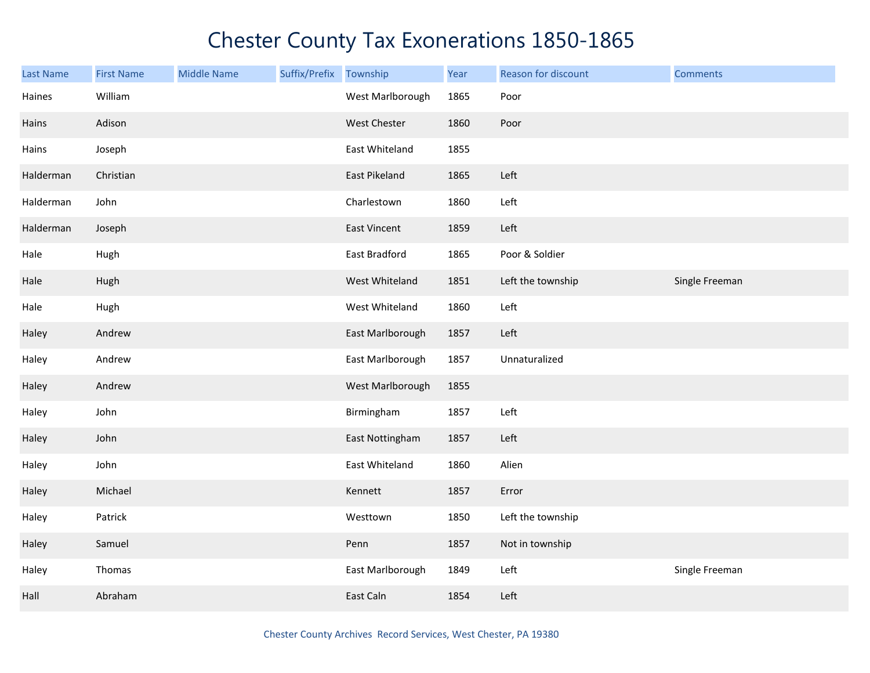| Last Name | <b>First Name</b> | <b>Middle Name</b> | Suffix/Prefix | Township            | Year | Reason for discount | <b>Comments</b> |
|-----------|-------------------|--------------------|---------------|---------------------|------|---------------------|-----------------|
| Haines    | William           |                    |               | West Marlborough    | 1865 | Poor                |                 |
| Hains     | Adison            |                    |               | West Chester        | 1860 | Poor                |                 |
| Hains     | Joseph            |                    |               | East Whiteland      | 1855 |                     |                 |
| Halderman | Christian         |                    |               | East Pikeland       | 1865 | Left                |                 |
| Halderman | John              |                    |               | Charlestown         | 1860 | Left                |                 |
| Halderman | Joseph            |                    |               | <b>East Vincent</b> | 1859 | Left                |                 |
| Hale      | Hugh              |                    |               | East Bradford       | 1865 | Poor & Soldier      |                 |
| Hale      | Hugh              |                    |               | West Whiteland      | 1851 | Left the township   | Single Freeman  |
| Hale      | Hugh              |                    |               | West Whiteland      | 1860 | Left                |                 |
| Haley     | Andrew            |                    |               | East Marlborough    | 1857 | Left                |                 |
| Haley     | Andrew            |                    |               | East Marlborough    | 1857 | Unnaturalized       |                 |
| Haley     | Andrew            |                    |               | West Marlborough    | 1855 |                     |                 |
| Haley     | John              |                    |               | Birmingham          | 1857 | Left                |                 |
| Haley     | John              |                    |               | East Nottingham     | 1857 | Left                |                 |
| Haley     | John              |                    |               | East Whiteland      | 1860 | Alien               |                 |
| Haley     | Michael           |                    |               | Kennett             | 1857 | Error               |                 |
| Haley     | Patrick           |                    |               | Westtown            | 1850 | Left the township   |                 |
| Haley     | Samuel            |                    |               | Penn                | 1857 | Not in township     |                 |
| Haley     | Thomas            |                    |               | East Marlborough    | 1849 | Left                | Single Freeman  |
| Hall      | Abraham           |                    |               | East Caln           | 1854 | Left                |                 |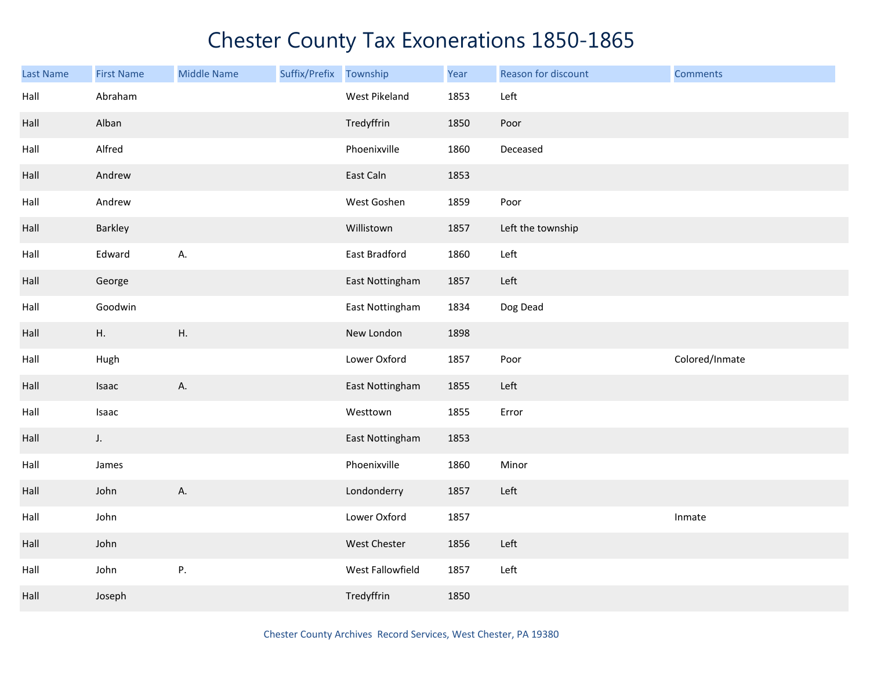| <b>Last Name</b> | <b>First Name</b> | <b>Middle Name</b> | Suffix/Prefix Township |                  | Year | Reason for discount | <b>Comments</b> |
|------------------|-------------------|--------------------|------------------------|------------------|------|---------------------|-----------------|
| Hall             | Abraham           |                    |                        | West Pikeland    | 1853 | Left                |                 |
| Hall             | Alban             |                    |                        | Tredyffrin       | 1850 | Poor                |                 |
| Hall             | Alfred            |                    |                        | Phoenixville     | 1860 | Deceased            |                 |
| Hall             | Andrew            |                    |                        | East Caln        | 1853 |                     |                 |
| Hall             | Andrew            |                    |                        | West Goshen      | 1859 | Poor                |                 |
| Hall             | Barkley           |                    |                        | Willistown       | 1857 | Left the township   |                 |
| Hall             | Edward            | А.                 |                        | East Bradford    | 1860 | Left                |                 |
| Hall             | George            |                    |                        | East Nottingham  | 1857 | Left                |                 |
| Hall             | Goodwin           |                    |                        | East Nottingham  | 1834 | Dog Dead            |                 |
| Hall             | Η.                | ${\sf H}.$         |                        | New London       | 1898 |                     |                 |
| Hall             | Hugh              |                    |                        | Lower Oxford     | 1857 | Poor                | Colored/Inmate  |
| Hall             | Isaac             | A.                 |                        | East Nottingham  | 1855 | Left                |                 |
| Hall             | Isaac             |                    |                        | Westtown         | 1855 | Error               |                 |
| Hall             | J.                |                    |                        | East Nottingham  | 1853 |                     |                 |
| Hall             | James             |                    |                        | Phoenixville     | 1860 | Minor               |                 |
| Hall             | John              | Α.                 |                        | Londonderry      | 1857 | Left                |                 |
| Hall             | John              |                    |                        | Lower Oxford     | 1857 |                     | Inmate          |
| Hall             | John              |                    |                        | West Chester     | 1856 | Left                |                 |
| Hall             | John              | P.                 |                        | West Fallowfield | 1857 | Left                |                 |
| Hall             | Joseph            |                    |                        | Tredyffrin       | 1850 |                     |                 |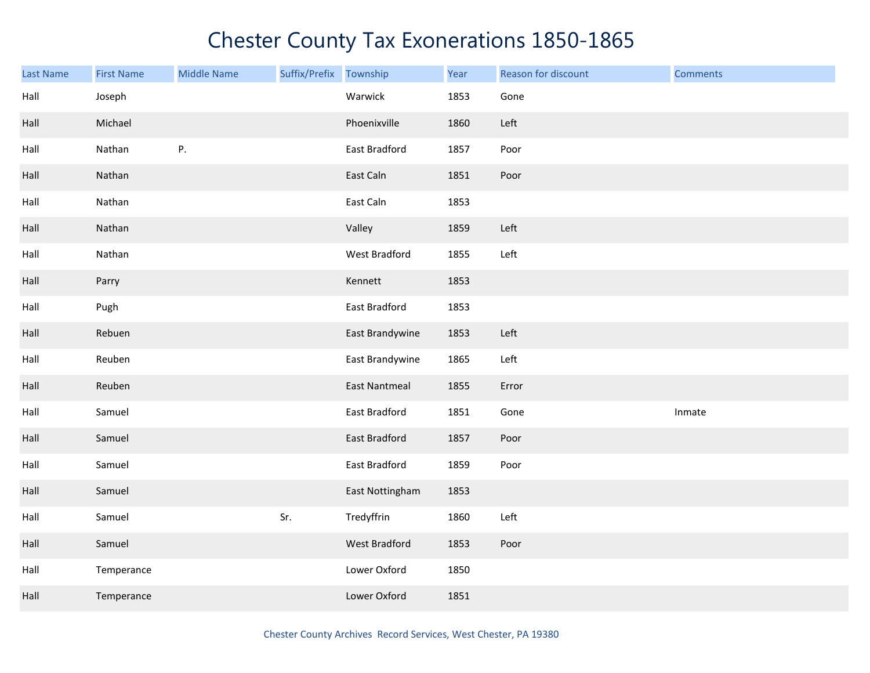| <b>Last Name</b> | <b>First Name</b> | <b>Middle Name</b> | Suffix/Prefix Township |                      | Year | Reason for discount | <b>Comments</b> |
|------------------|-------------------|--------------------|------------------------|----------------------|------|---------------------|-----------------|
| Hall             | Joseph            |                    |                        | Warwick              | 1853 | Gone                |                 |
| Hall             | Michael           |                    |                        | Phoenixville         | 1860 | Left                |                 |
| Hall             | Nathan            | P.                 |                        | East Bradford        | 1857 | Poor                |                 |
| Hall             | Nathan            |                    |                        | East Caln            | 1851 | Poor                |                 |
| Hall             | Nathan            |                    |                        | East Caln            | 1853 |                     |                 |
| Hall             | Nathan            |                    |                        | Valley               | 1859 | Left                |                 |
| Hall             | Nathan            |                    |                        | West Bradford        | 1855 | Left                |                 |
| Hall             | Parry             |                    |                        | Kennett              | 1853 |                     |                 |
| Hall             | Pugh              |                    |                        | East Bradford        | 1853 |                     |                 |
| Hall             | Rebuen            |                    |                        | East Brandywine      | 1853 | Left                |                 |
| Hall             | Reuben            |                    |                        | East Brandywine      | 1865 | Left                |                 |
| Hall             | Reuben            |                    |                        | <b>East Nantmeal</b> | 1855 | Error               |                 |
| Hall             | Samuel            |                    |                        | East Bradford        | 1851 | Gone                | Inmate          |
| Hall             | Samuel            |                    |                        | East Bradford        | 1857 | Poor                |                 |
| Hall             | Samuel            |                    |                        | East Bradford        | 1859 | Poor                |                 |
| Hall             | Samuel            |                    |                        | East Nottingham      | 1853 |                     |                 |
| Hall             | Samuel            |                    | Sr.                    | Tredyffrin           | 1860 | Left                |                 |
| Hall             | Samuel            |                    |                        | West Bradford        | 1853 | Poor                |                 |
| Hall             | Temperance        |                    |                        | Lower Oxford         | 1850 |                     |                 |
| Hall             | Temperance        |                    |                        | Lower Oxford         | 1851 |                     |                 |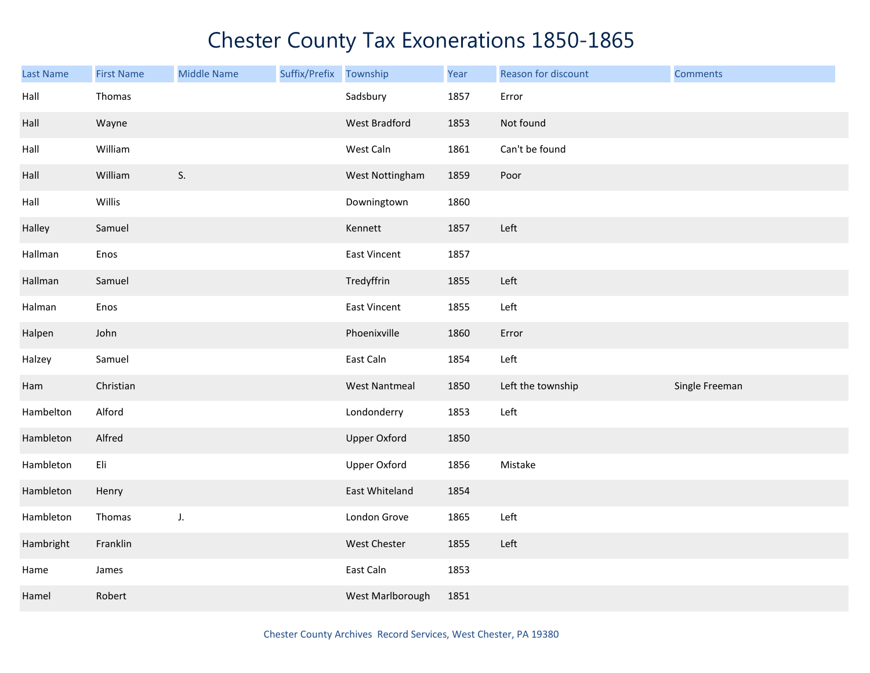| Last Name | <b>First Name</b> | <b>Middle Name</b> | Suffix/Prefix | Township             | Year | Reason for discount | <b>Comments</b> |
|-----------|-------------------|--------------------|---------------|----------------------|------|---------------------|-----------------|
| Hall      | Thomas            |                    |               | Sadsbury             | 1857 | Error               |                 |
| Hall      | Wayne             |                    |               | West Bradford        | 1853 | Not found           |                 |
| Hall      | William           |                    |               | West Caln            | 1861 | Can't be found      |                 |
| Hall      | William           | S.                 |               | West Nottingham      | 1859 | Poor                |                 |
| Hall      | Willis            |                    |               | Downingtown          | 1860 |                     |                 |
| Halley    | Samuel            |                    |               | Kennett              | 1857 | Left                |                 |
| Hallman   | Enos              |                    |               | East Vincent         | 1857 |                     |                 |
| Hallman   | Samuel            |                    |               | Tredyffrin           | 1855 | Left                |                 |
| Halman    | Enos              |                    |               | East Vincent         | 1855 | Left                |                 |
| Halpen    | John              |                    |               | Phoenixville         | 1860 | Error               |                 |
| Halzey    | Samuel            |                    |               | East Caln            | 1854 | Left                |                 |
| Ham       | Christian         |                    |               | <b>West Nantmeal</b> | 1850 | Left the township   | Single Freeman  |
| Hambelton | Alford            |                    |               | Londonderry          | 1853 | Left                |                 |
| Hambleton | Alfred            |                    |               | <b>Upper Oxford</b>  | 1850 |                     |                 |
| Hambleton | Eli               |                    |               | <b>Upper Oxford</b>  | 1856 | Mistake             |                 |
| Hambleton | Henry             |                    |               | East Whiteland       | 1854 |                     |                 |
| Hambleton | Thomas            | J.                 |               | London Grove         | 1865 | Left                |                 |
| Hambright | Franklin          |                    |               | West Chester         | 1855 | Left                |                 |
| Hame      | James             |                    |               | East Caln            | 1853 |                     |                 |
| Hamel     | Robert            |                    |               | West Marlborough     | 1851 |                     |                 |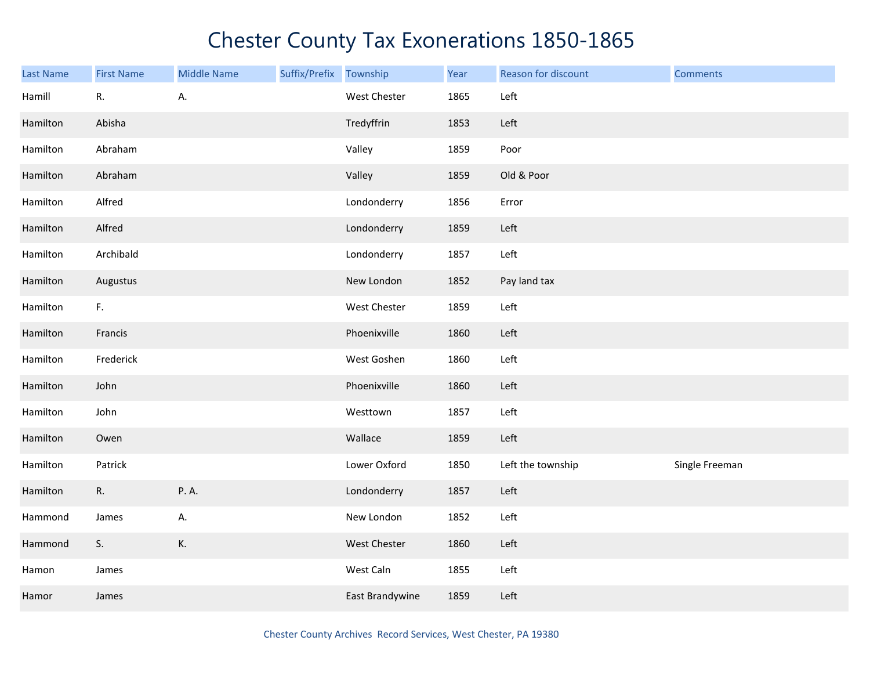| <b>Last Name</b> | <b>First Name</b> | <b>Middle Name</b> | Suffix/Prefix Township |                 | Year | Reason for discount | <b>Comments</b> |
|------------------|-------------------|--------------------|------------------------|-----------------|------|---------------------|-----------------|
| Hamill           | R.                | А.                 |                        | West Chester    | 1865 | Left                |                 |
| Hamilton         | Abisha            |                    |                        | Tredyffrin      | 1853 | Left                |                 |
| Hamilton         | Abraham           |                    |                        | Valley          | 1859 | Poor                |                 |
| Hamilton         | Abraham           |                    |                        | Valley          | 1859 | Old & Poor          |                 |
| Hamilton         | Alfred            |                    |                        | Londonderry     | 1856 | Error               |                 |
| Hamilton         | Alfred            |                    |                        | Londonderry     | 1859 | Left                |                 |
| Hamilton         | Archibald         |                    |                        | Londonderry     | 1857 | Left                |                 |
| Hamilton         | Augustus          |                    |                        | New London      | 1852 | Pay land tax        |                 |
| Hamilton         | F.                |                    |                        | West Chester    | 1859 | Left                |                 |
| Hamilton         | Francis           |                    |                        | Phoenixville    | 1860 | Left                |                 |
| Hamilton         | Frederick         |                    |                        | West Goshen     | 1860 | Left                |                 |
| Hamilton         | John              |                    |                        | Phoenixville    | 1860 | Left                |                 |
| Hamilton         | John              |                    |                        | Westtown        | 1857 | Left                |                 |
| Hamilton         | Owen              |                    |                        | Wallace         | 1859 | Left                |                 |
| Hamilton         | Patrick           |                    |                        | Lower Oxford    | 1850 | Left the township   | Single Freeman  |
| Hamilton         | R.                | P.A.               |                        | Londonderry     | 1857 | Left                |                 |
| Hammond          | James             | А.                 |                        | New London      | 1852 | Left                |                 |
| Hammond          | S.                | К.                 |                        | West Chester    | 1860 | Left                |                 |
| Hamon            | James             |                    |                        | West Caln       | 1855 | Left                |                 |
| Hamor            | James             |                    |                        | East Brandywine | 1859 | Left                |                 |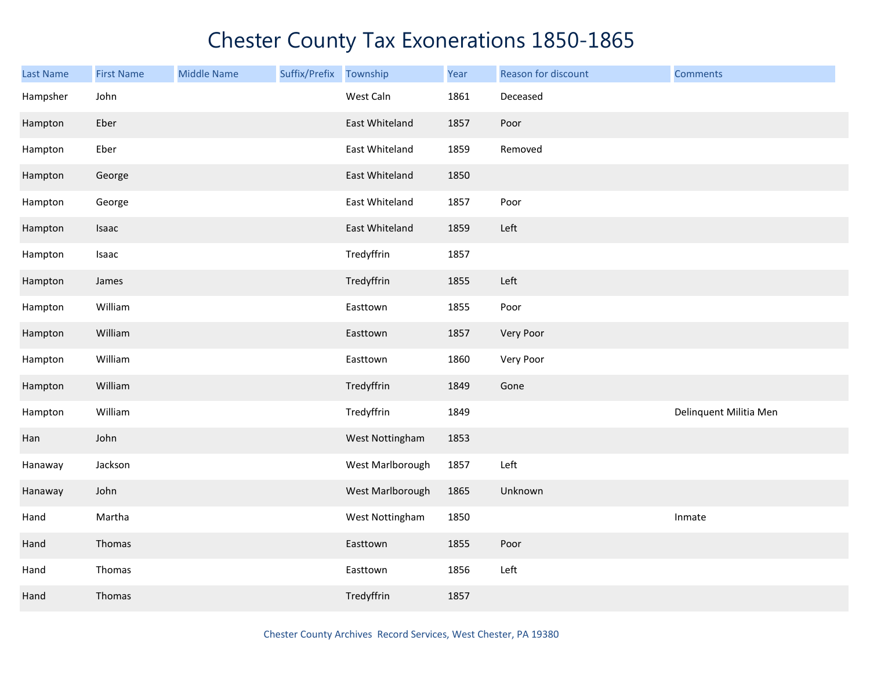| <b>Last Name</b> | <b>First Name</b> | <b>Middle Name</b> | Suffix/Prefix Township |                  | Year | Reason for discount | <b>Comments</b>        |
|------------------|-------------------|--------------------|------------------------|------------------|------|---------------------|------------------------|
| Hampsher         | John              |                    |                        | West Caln        | 1861 | Deceased            |                        |
| Hampton          | Eber              |                    |                        | East Whiteland   | 1857 | Poor                |                        |
| Hampton          | Eber              |                    |                        | East Whiteland   | 1859 | Removed             |                        |
| Hampton          | George            |                    |                        | East Whiteland   | 1850 |                     |                        |
| Hampton          | George            |                    |                        | East Whiteland   | 1857 | Poor                |                        |
| Hampton          | Isaac             |                    |                        | East Whiteland   | 1859 | Left                |                        |
| Hampton          | Isaac             |                    |                        | Tredyffrin       | 1857 |                     |                        |
| Hampton          | James             |                    |                        | Tredyffrin       | 1855 | Left                |                        |
| Hampton          | William           |                    |                        | Easttown         | 1855 | Poor                |                        |
| Hampton          | William           |                    |                        | Easttown         | 1857 | Very Poor           |                        |
| Hampton          | William           |                    |                        | Easttown         | 1860 | Very Poor           |                        |
| Hampton          | William           |                    |                        | Tredyffrin       | 1849 | Gone                |                        |
| Hampton          | William           |                    |                        | Tredyffrin       | 1849 |                     | Delinquent Militia Men |
| Han              | John              |                    |                        | West Nottingham  | 1853 |                     |                        |
| Hanaway          | Jackson           |                    |                        | West Marlborough | 1857 | Left                |                        |
| Hanaway          | John              |                    |                        | West Marlborough | 1865 | Unknown             |                        |
| Hand             | Martha            |                    |                        | West Nottingham  | 1850 |                     | Inmate                 |
| Hand             | Thomas            |                    |                        | Easttown         | 1855 | Poor                |                        |
| Hand             | Thomas            |                    |                        | Easttown         | 1856 | Left                |                        |
| Hand             | Thomas            |                    |                        | Tredyffrin       | 1857 |                     |                        |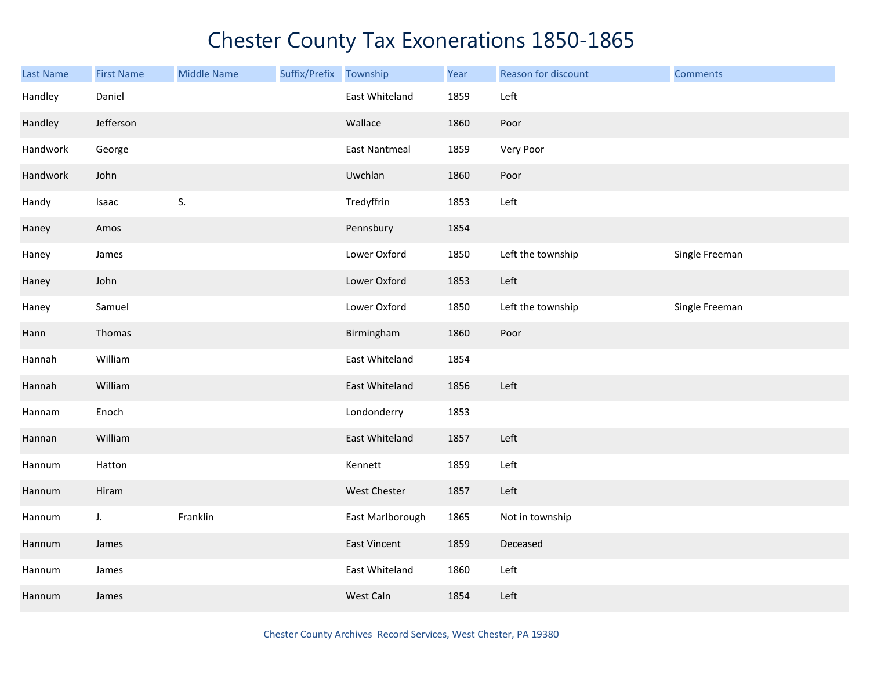| Last Name | <b>First Name</b> | <b>Middle Name</b> | Suffix/Prefix Township |                      | Year | Reason for discount | <b>Comments</b> |
|-----------|-------------------|--------------------|------------------------|----------------------|------|---------------------|-----------------|
| Handley   | Daniel            |                    |                        | East Whiteland       | 1859 | Left                |                 |
| Handley   | Jefferson         |                    |                        | Wallace              | 1860 | Poor                |                 |
| Handwork  | George            |                    |                        | <b>East Nantmeal</b> | 1859 | Very Poor           |                 |
| Handwork  | John              |                    |                        | Uwchlan              | 1860 | Poor                |                 |
| Handy     | Isaac             | S.                 |                        | Tredyffrin           | 1853 | Left                |                 |
| Haney     | Amos              |                    |                        | Pennsbury            | 1854 |                     |                 |
| Haney     | James             |                    |                        | Lower Oxford         | 1850 | Left the township   | Single Freeman  |
| Haney     | John              |                    |                        | Lower Oxford         | 1853 | Left                |                 |
| Haney     | Samuel            |                    |                        | Lower Oxford         | 1850 | Left the township   | Single Freeman  |
| Hann      | Thomas            |                    |                        | Birmingham           | 1860 | Poor                |                 |
| Hannah    | William           |                    |                        | East Whiteland       | 1854 |                     |                 |
| Hannah    | William           |                    |                        | East Whiteland       | 1856 | Left                |                 |
| Hannam    | Enoch             |                    |                        | Londonderry          | 1853 |                     |                 |
| Hannan    | William           |                    |                        | East Whiteland       | 1857 | Left                |                 |
| Hannum    | Hatton            |                    |                        | Kennett              | 1859 | Left                |                 |
| Hannum    | Hiram             |                    |                        | West Chester         | 1857 | Left                |                 |
| Hannum    | $J_{\star}$       | Franklin           |                        | East Marlborough     | 1865 | Not in township     |                 |
| Hannum    | James             |                    |                        | <b>East Vincent</b>  | 1859 | Deceased            |                 |
| Hannum    | James             |                    |                        | East Whiteland       | 1860 | Left                |                 |
| Hannum    | James             |                    |                        | West Caln            | 1854 | Left                |                 |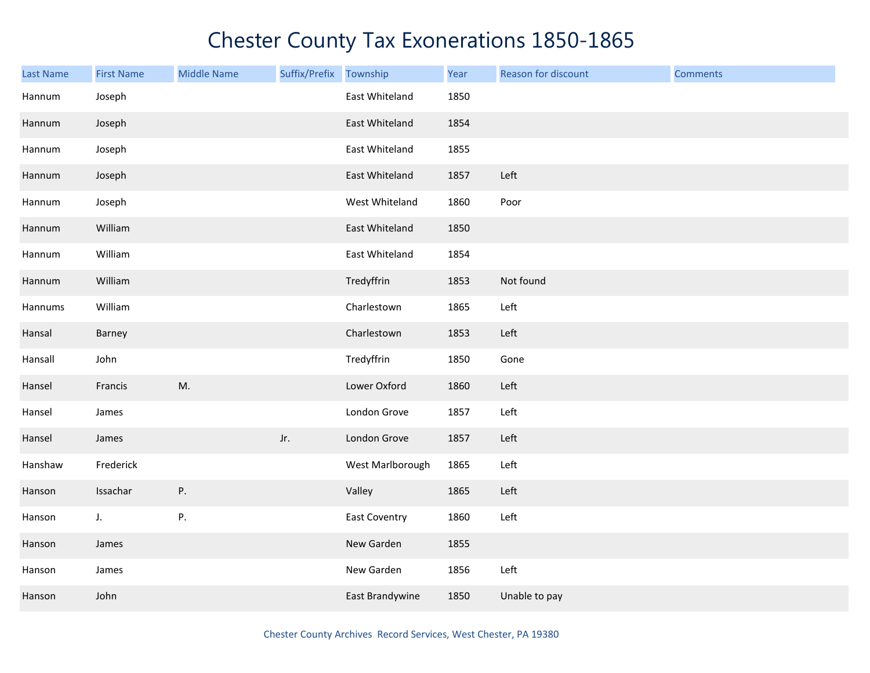| <b>Last Name</b> | <b>First Name</b> | <b>Middle Name</b> | Suffix/Prefix | Township             | Year | Reason for discount | <b>Comments</b> |
|------------------|-------------------|--------------------|---------------|----------------------|------|---------------------|-----------------|
| Hannum           | Joseph            |                    |               | East Whiteland       | 1850 |                     |                 |
| Hannum           | Joseph            |                    |               | East Whiteland       | 1854 |                     |                 |
| Hannum           | Joseph            |                    |               | East Whiteland       | 1855 |                     |                 |
| Hannum           | Joseph            |                    |               | East Whiteland       | 1857 | Left                |                 |
| Hannum           | Joseph            |                    |               | West Whiteland       | 1860 | Poor                |                 |
| Hannum           | William           |                    |               | East Whiteland       | 1850 |                     |                 |
| Hannum           | William           |                    |               | East Whiteland       | 1854 |                     |                 |
| Hannum           | William           |                    |               | Tredyffrin           | 1853 | Not found           |                 |
| Hannums          | William           |                    |               | Charlestown          | 1865 | Left                |                 |
| Hansal           | Barney            |                    |               | Charlestown          | 1853 | Left                |                 |
| Hansall          | John              |                    |               | Tredyffrin           | 1850 | Gone                |                 |
| Hansel           | Francis           | M.                 |               | Lower Oxford         | 1860 | Left                |                 |
| Hansel           | James             |                    |               | London Grove         | 1857 | Left                |                 |
| Hansel           | James             |                    | Jr.           | London Grove         | 1857 | Left                |                 |
| Hanshaw          | Frederick         |                    |               | West Marlborough     | 1865 | Left                |                 |
| Hanson           | Issachar          | Ρ.                 |               | Valley               | 1865 | Left                |                 |
| Hanson           | J.                | P.                 |               | <b>East Coventry</b> | 1860 | Left                |                 |
| Hanson           | James             |                    |               | New Garden           | 1855 |                     |                 |
| Hanson           | James             |                    |               | New Garden           | 1856 | Left                |                 |
| Hanson           | John              |                    |               | East Brandywine      | 1850 | Unable to pay       |                 |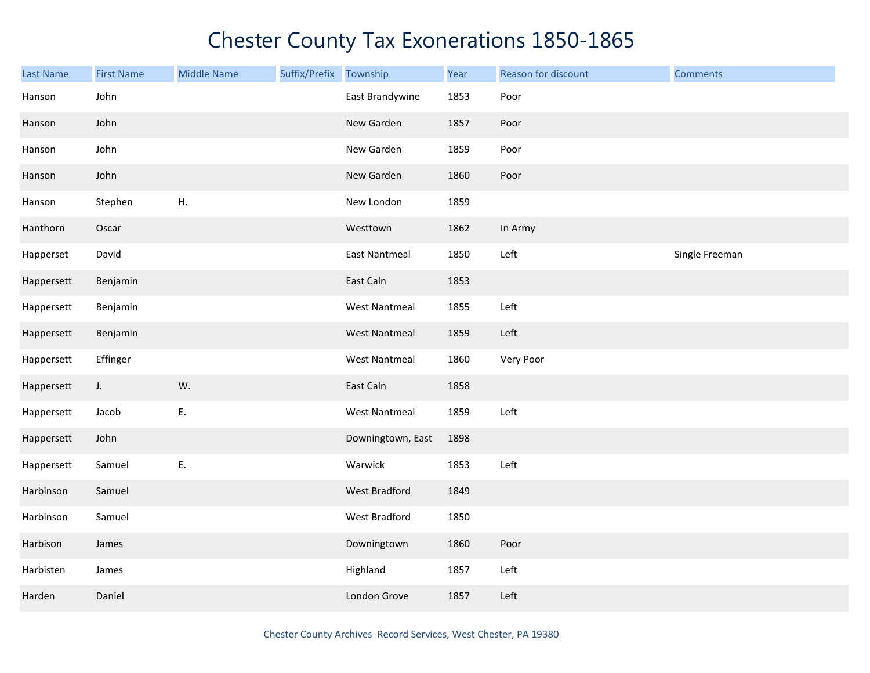| <b>Last Name</b> | <b>First Name</b> | <b>Middle Name</b> | Suffix/Prefix Township |                      | Year | Reason for discount | <b>Comments</b> |
|------------------|-------------------|--------------------|------------------------|----------------------|------|---------------------|-----------------|
| Hanson           | John              |                    |                        | East Brandywine      | 1853 | Poor                |                 |
| Hanson           | John              |                    |                        | New Garden           | 1857 | Poor                |                 |
| Hanson           | John              |                    |                        | New Garden           | 1859 | Poor                |                 |
| Hanson           | John              |                    |                        | New Garden           | 1860 | Poor                |                 |
| Hanson           | Stephen           | Η.                 |                        | New London           | 1859 |                     |                 |
| Hanthorn         | Oscar             |                    |                        | Westtown             | 1862 | In Army             |                 |
| Happerset        | David             |                    |                        | <b>East Nantmeal</b> | 1850 | Left                | Single Freeman  |
| Happersett       | Benjamin          |                    |                        | East Caln            | 1853 |                     |                 |
| Happersett       | Benjamin          |                    |                        | <b>West Nantmeal</b> | 1855 | Left                |                 |
| Happersett       | Benjamin          |                    |                        | <b>West Nantmeal</b> | 1859 | Left                |                 |
| Happersett       | Effinger          |                    |                        | <b>West Nantmeal</b> | 1860 | Very Poor           |                 |
| Happersett       | J.                | W.                 |                        | East Caln            | 1858 |                     |                 |
| Happersett       | Jacob             | Ε.                 |                        | <b>West Nantmeal</b> | 1859 | Left                |                 |
| Happersett       | John              |                    |                        | Downingtown, East    | 1898 |                     |                 |
| Happersett       | Samuel            | Ε.                 |                        | Warwick              | 1853 | Left                |                 |
| Harbinson        | Samuel            |                    |                        | West Bradford        | 1849 |                     |                 |
| Harbinson        | Samuel            |                    |                        | West Bradford        | 1850 |                     |                 |
| Harbison         | James             |                    |                        | Downingtown          | 1860 | Poor                |                 |
| Harbisten        | James             |                    |                        | Highland             | 1857 | Left                |                 |
| Harden           | Daniel            |                    |                        | London Grove         | 1857 | Left                |                 |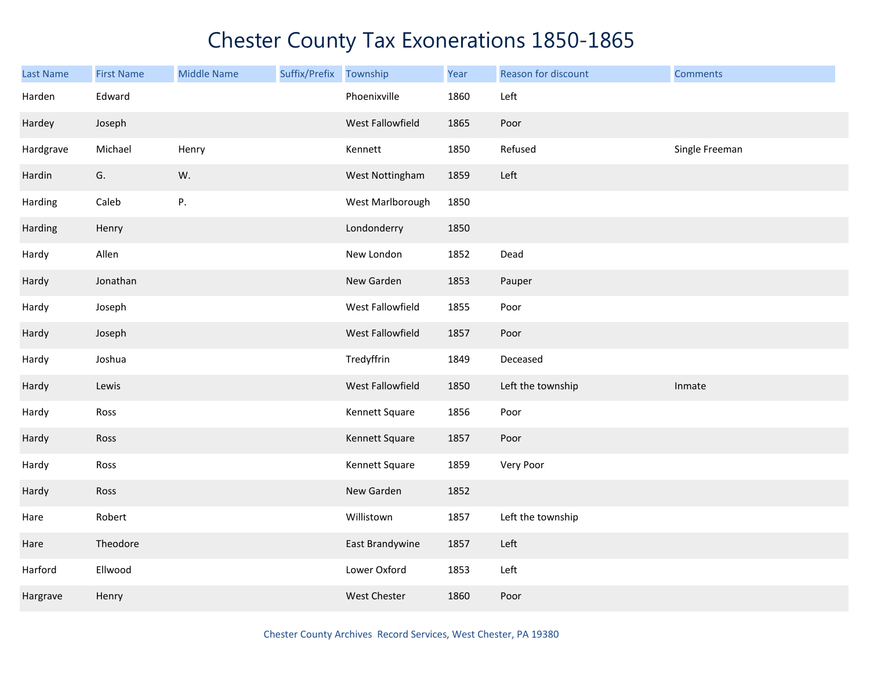| <b>Last Name</b> | <b>First Name</b> | <b>Middle Name</b> | Suffix/Prefix | Township         | Year | Reason for discount | <b>Comments</b> |
|------------------|-------------------|--------------------|---------------|------------------|------|---------------------|-----------------|
| Harden           | Edward            |                    |               | Phoenixville     | 1860 | Left                |                 |
| Hardey           | Joseph            |                    |               | West Fallowfield | 1865 | Poor                |                 |
| Hardgrave        | Michael           | Henry              |               | Kennett          | 1850 | Refused             | Single Freeman  |
| Hardin           | G.                | W.                 |               | West Nottingham  | 1859 | Left                |                 |
| Harding          | Caleb             | P.                 |               | West Marlborough | 1850 |                     |                 |
| Harding          | Henry             |                    |               | Londonderry      | 1850 |                     |                 |
| Hardy            | Allen             |                    |               | New London       | 1852 | Dead                |                 |
| Hardy            | Jonathan          |                    |               | New Garden       | 1853 | Pauper              |                 |
| Hardy            | Joseph            |                    |               | West Fallowfield | 1855 | Poor                |                 |
| Hardy            | Joseph            |                    |               | West Fallowfield | 1857 | Poor                |                 |
| Hardy            | Joshua            |                    |               | Tredyffrin       | 1849 | Deceased            |                 |
| Hardy            | Lewis             |                    |               | West Fallowfield | 1850 | Left the township   | Inmate          |
| Hardy            | Ross              |                    |               | Kennett Square   | 1856 | Poor                |                 |
| Hardy            | Ross              |                    |               | Kennett Square   | 1857 | Poor                |                 |
| Hardy            | Ross              |                    |               | Kennett Square   | 1859 | Very Poor           |                 |
| Hardy            | Ross              |                    |               | New Garden       | 1852 |                     |                 |
| Hare             | Robert            |                    |               | Willistown       | 1857 | Left the township   |                 |
| Hare             | Theodore          |                    |               | East Brandywine  | 1857 | Left                |                 |
| Harford          | Ellwood           |                    |               | Lower Oxford     | 1853 | Left                |                 |
| Hargrave         | Henry             |                    |               | West Chester     | 1860 | Poor                |                 |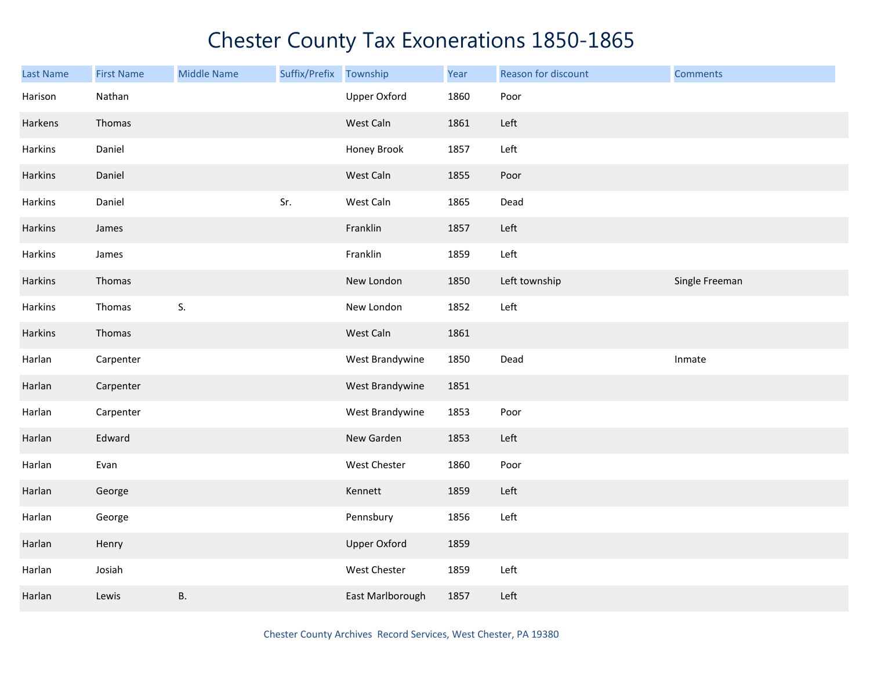| <b>Last Name</b> | <b>First Name</b> | <b>Middle Name</b> | Suffix/Prefix | Township            | Year | Reason for discount | <b>Comments</b> |
|------------------|-------------------|--------------------|---------------|---------------------|------|---------------------|-----------------|
| Harison          | Nathan            |                    |               | <b>Upper Oxford</b> | 1860 | Poor                |                 |
| Harkens          | Thomas            |                    |               | West Caln           | 1861 | Left                |                 |
| Harkins          | Daniel            |                    |               | Honey Brook         | 1857 | Left                |                 |
| Harkins          | Daniel            |                    |               | West Caln           | 1855 | Poor                |                 |
| Harkins          | Daniel            |                    | Sr.           | West Caln           | 1865 | Dead                |                 |
| Harkins          | James             |                    |               | Franklin            | 1857 | Left                |                 |
| Harkins          | James             |                    |               | Franklin            | 1859 | Left                |                 |
| Harkins          | Thomas            |                    |               | New London          | 1850 | Left township       | Single Freeman  |
| Harkins          | Thomas            | S.                 |               | New London          | 1852 | Left                |                 |
| Harkins          | Thomas            |                    |               | West Caln           | 1861 |                     |                 |
| Harlan           | Carpenter         |                    |               | West Brandywine     | 1850 | Dead                | Inmate          |
| Harlan           | Carpenter         |                    |               | West Brandywine     | 1851 |                     |                 |
| Harlan           | Carpenter         |                    |               | West Brandywine     | 1853 | Poor                |                 |
| Harlan           | Edward            |                    |               | New Garden          | 1853 | Left                |                 |
| Harlan           | Evan              |                    |               | West Chester        | 1860 | Poor                |                 |
| Harlan           | George            |                    |               | Kennett             | 1859 | Left                |                 |
| Harlan           | George            |                    |               | Pennsbury           | 1856 | Left                |                 |
| Harlan           | Henry             |                    |               | <b>Upper Oxford</b> | 1859 |                     |                 |
| Harlan           | Josiah            |                    |               | West Chester        | 1859 | Left                |                 |
| Harlan           | Lewis             | Β.                 |               | East Marlborough    | 1857 | Left                |                 |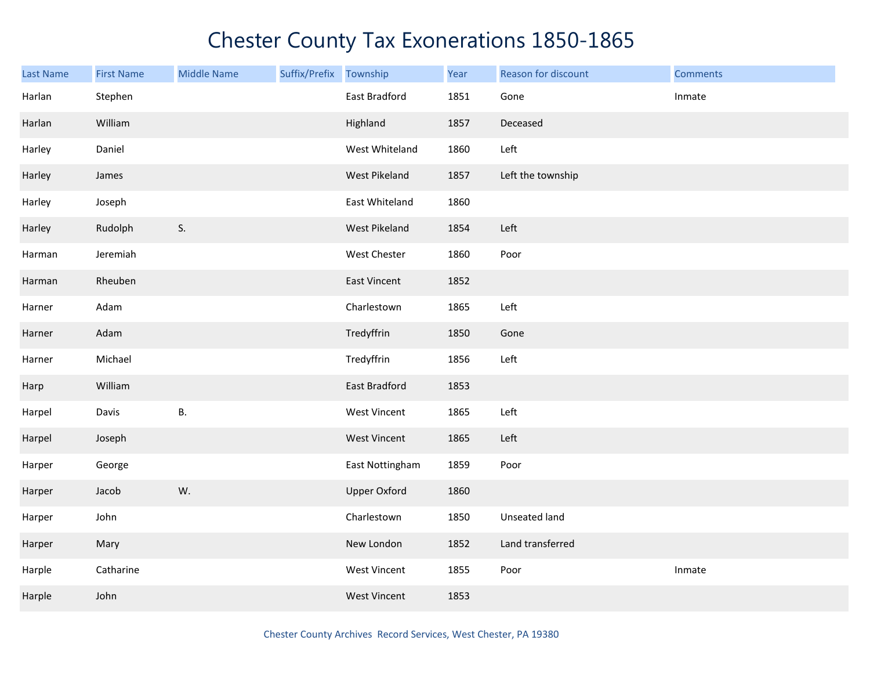| Last Name | <b>First Name</b> | <b>Middle Name</b> | Suffix/Prefix | Township             | Year | Reason for discount | <b>Comments</b> |
|-----------|-------------------|--------------------|---------------|----------------------|------|---------------------|-----------------|
| Harlan    | Stephen           |                    |               | East Bradford        | 1851 | Gone                | Inmate          |
| Harlan    | William           |                    |               | Highland             | 1857 | Deceased            |                 |
| Harley    | Daniel            |                    |               | West Whiteland       | 1860 | Left                |                 |
| Harley    | James             |                    |               | West Pikeland        | 1857 | Left the township   |                 |
| Harley    | Joseph            |                    |               | East Whiteland       | 1860 |                     |                 |
| Harley    | Rudolph           | S.                 |               | West Pikeland        | 1854 | Left                |                 |
| Harman    | Jeremiah          |                    |               | West Chester         | 1860 | Poor                |                 |
| Harman    | Rheuben           |                    |               | East Vincent         | 1852 |                     |                 |
| Harner    | Adam              |                    |               | Charlestown          | 1865 | Left                |                 |
| Harner    | Adam              |                    |               | Tredyffrin           | 1850 | Gone                |                 |
| Harner    | Michael           |                    |               | Tredyffrin           | 1856 | Left                |                 |
| Harp      | William           |                    |               | <b>East Bradford</b> | 1853 |                     |                 |
| Harpel    | Davis             | <b>B.</b>          |               | West Vincent         | 1865 | Left                |                 |
| Harpel    | Joseph            |                    |               | West Vincent         | 1865 | Left                |                 |
| Harper    | George            |                    |               | East Nottingham      | 1859 | Poor                |                 |
| Harper    | Jacob             | W.                 |               | <b>Upper Oxford</b>  | 1860 |                     |                 |
| Harper    | John              |                    |               | Charlestown          | 1850 | Unseated land       |                 |
| Harper    | Mary              |                    |               | New London           | 1852 | Land transferred    |                 |
| Harple    | Catharine         |                    |               | West Vincent         | 1855 | Poor                | Inmate          |
| Harple    | John              |                    |               | <b>West Vincent</b>  | 1853 |                     |                 |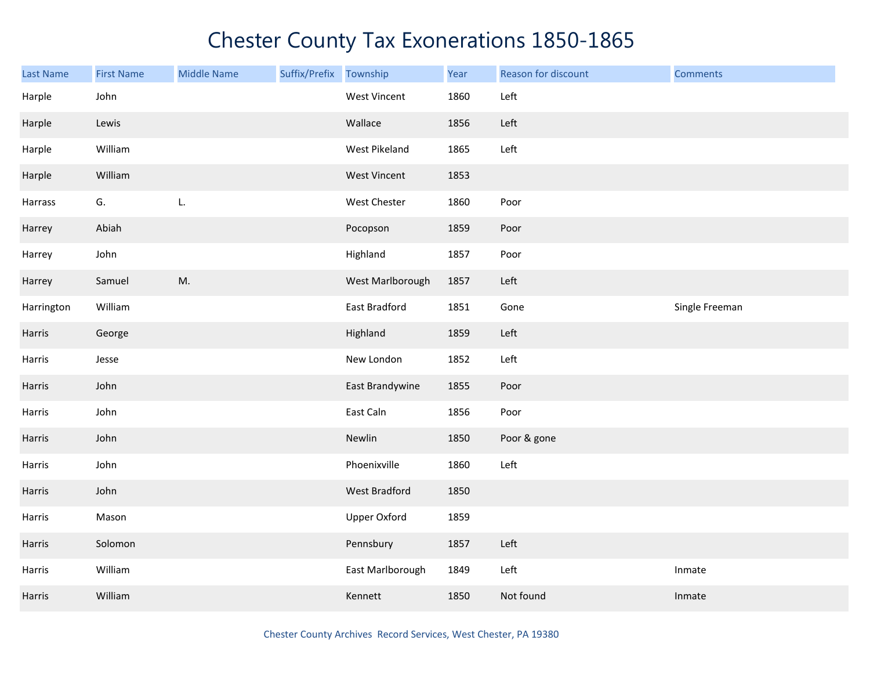| <b>Last Name</b> | <b>First Name</b> | <b>Middle Name</b> | Suffix/Prefix | Township            | Year | Reason for discount | <b>Comments</b> |
|------------------|-------------------|--------------------|---------------|---------------------|------|---------------------|-----------------|
| Harple           | John              |                    |               | West Vincent        | 1860 | Left                |                 |
| Harple           | Lewis             |                    |               | Wallace             | 1856 | Left                |                 |
| Harple           | William           |                    |               | West Pikeland       | 1865 | Left                |                 |
| Harple           | William           |                    |               | <b>West Vincent</b> | 1853 |                     |                 |
| Harrass          | G.                | L.                 |               | West Chester        | 1860 | Poor                |                 |
| Harrey           | Abiah             |                    |               | Pocopson            | 1859 | Poor                |                 |
| Harrey           | John              |                    |               | Highland            | 1857 | Poor                |                 |
| Harrey           | Samuel            | M.                 |               | West Marlborough    | 1857 | Left                |                 |
| Harrington       | William           |                    |               | East Bradford       | 1851 | Gone                | Single Freeman  |
| Harris           | George            |                    |               | Highland            | 1859 | Left                |                 |
| Harris           | Jesse             |                    |               | New London          | 1852 | Left                |                 |
| Harris           | John              |                    |               | East Brandywine     | 1855 | Poor                |                 |
| Harris           | John              |                    |               | East Caln           | 1856 | Poor                |                 |
| Harris           | John              |                    |               | Newlin              | 1850 | Poor & gone         |                 |
| Harris           | John              |                    |               | Phoenixville        | 1860 | Left                |                 |
| Harris           | John              |                    |               | West Bradford       | 1850 |                     |                 |
| Harris           | Mason             |                    |               | <b>Upper Oxford</b> | 1859 |                     |                 |
| Harris           | Solomon           |                    |               | Pennsbury           | 1857 | Left                |                 |
| Harris           | William           |                    |               | East Marlborough    | 1849 | Left                | Inmate          |
| Harris           | William           |                    |               | Kennett             | 1850 | Not found           | Inmate          |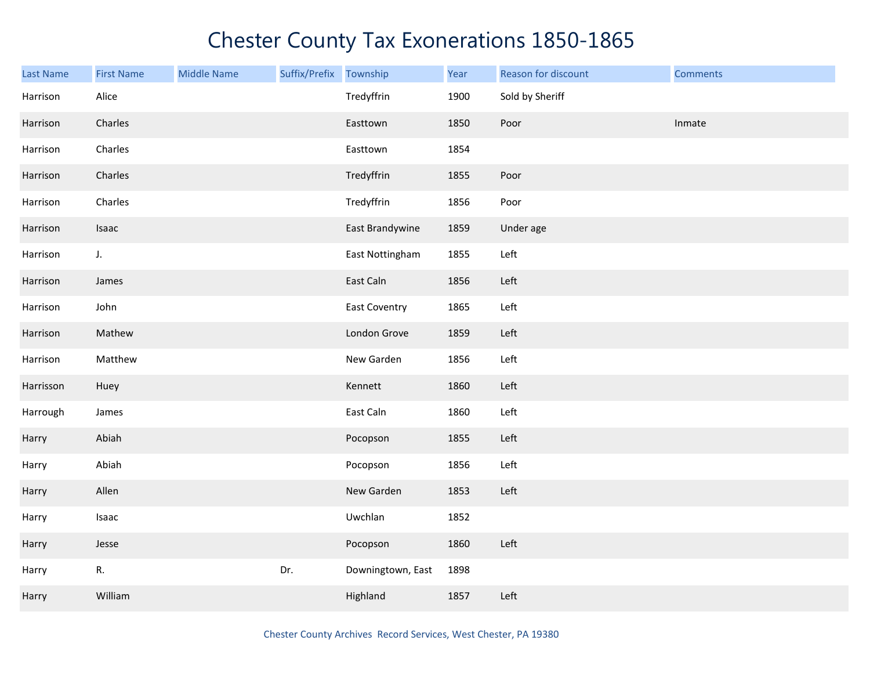| Last Name | <b>First Name</b> | <b>Middle Name</b> | Suffix/Prefix | Township             | Year | Reason for discount | <b>Comments</b> |
|-----------|-------------------|--------------------|---------------|----------------------|------|---------------------|-----------------|
| Harrison  | Alice             |                    |               | Tredyffrin           | 1900 | Sold by Sheriff     |                 |
| Harrison  | Charles           |                    |               | Easttown             | 1850 | Poor                | Inmate          |
| Harrison  | Charles           |                    |               | Easttown             | 1854 |                     |                 |
| Harrison  | Charles           |                    |               | Tredyffrin           | 1855 | Poor                |                 |
| Harrison  | Charles           |                    |               | Tredyffrin           | 1856 | Poor                |                 |
| Harrison  | Isaac             |                    |               | East Brandywine      | 1859 | Under age           |                 |
| Harrison  | J.                |                    |               | East Nottingham      | 1855 | Left                |                 |
| Harrison  | James             |                    |               | East Caln            | 1856 | Left                |                 |
| Harrison  | John              |                    |               | <b>East Coventry</b> | 1865 | Left                |                 |
| Harrison  | Mathew            |                    |               | London Grove         | 1859 | Left                |                 |
| Harrison  | Matthew           |                    |               | New Garden           | 1856 | Left                |                 |
| Harrisson | Huey              |                    |               | Kennett              | 1860 | Left                |                 |
| Harrough  | James             |                    |               | East Caln            | 1860 | Left                |                 |
| Harry     | Abiah             |                    |               | Pocopson             | 1855 | Left                |                 |
| Harry     | Abiah             |                    |               | Pocopson             | 1856 | Left                |                 |
| Harry     | Allen             |                    |               | New Garden           | 1853 | Left                |                 |
| Harry     | Isaac             |                    |               | Uwchlan              | 1852 |                     |                 |
| Harry     | Jesse             |                    |               | Pocopson             | 1860 | Left                |                 |
| Harry     | R.                |                    | Dr.           | Downingtown, East    | 1898 |                     |                 |
| Harry     | William           |                    |               | Highland             | 1857 | Left                |                 |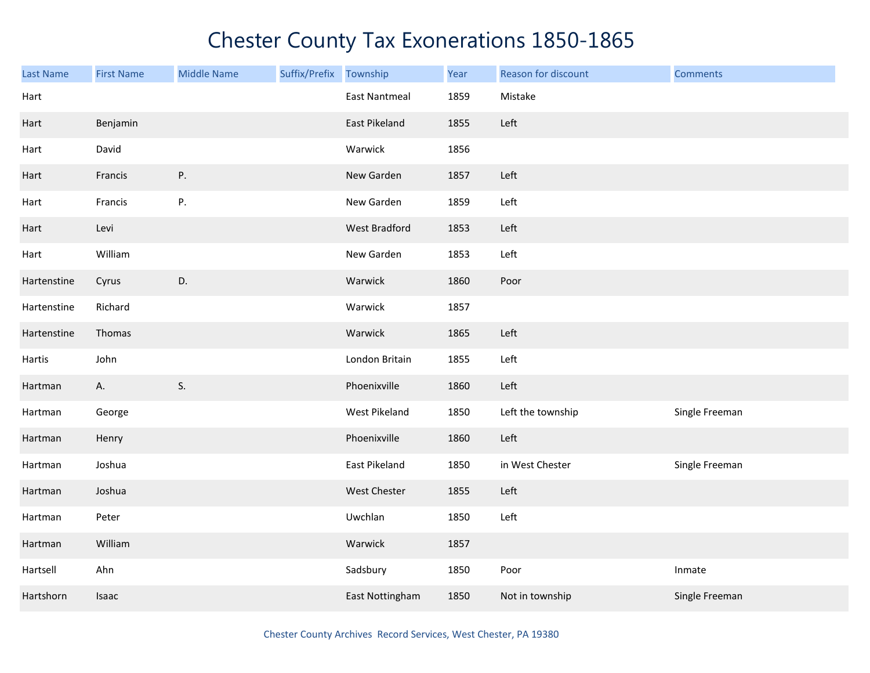| <b>Last Name</b> | <b>First Name</b> | <b>Middle Name</b> | Suffix/Prefix Township |                      | Year | Reason for discount | <b>Comments</b> |
|------------------|-------------------|--------------------|------------------------|----------------------|------|---------------------|-----------------|
| Hart             |                   |                    |                        | <b>East Nantmeal</b> | 1859 | Mistake             |                 |
| Hart             | Benjamin          |                    |                        | East Pikeland        | 1855 | Left                |                 |
| Hart             | David             |                    |                        | Warwick              | 1856 |                     |                 |
| Hart             | Francis           | P.                 |                        | New Garden           | 1857 | Left                |                 |
| Hart             | Francis           | P.                 |                        | New Garden           | 1859 | Left                |                 |
| Hart             | Levi              |                    |                        | West Bradford        | 1853 | Left                |                 |
| Hart             | William           |                    |                        | New Garden           | 1853 | Left                |                 |
| Hartenstine      | Cyrus             | D.                 |                        | Warwick              | 1860 | Poor                |                 |
| Hartenstine      | Richard           |                    |                        | Warwick              | 1857 |                     |                 |
| Hartenstine      | Thomas            |                    |                        | Warwick              | 1865 | Left                |                 |
| Hartis           | John              |                    |                        | London Britain       | 1855 | Left                |                 |
| Hartman          | A.                | S.                 |                        | Phoenixville         | 1860 | Left                |                 |
| Hartman          | George            |                    |                        | West Pikeland        | 1850 | Left the township   | Single Freeman  |
| Hartman          | Henry             |                    |                        | Phoenixville         | 1860 | Left                |                 |
| Hartman          | Joshua            |                    |                        | East Pikeland        | 1850 | in West Chester     | Single Freeman  |
| Hartman          | Joshua            |                    |                        | West Chester         | 1855 | Left                |                 |
| Hartman          | Peter             |                    |                        | Uwchlan              | 1850 | Left                |                 |
| Hartman          | William           |                    |                        | Warwick              | 1857 |                     |                 |
| Hartsell         | Ahn               |                    |                        | Sadsbury             | 1850 | Poor                | Inmate          |
| Hartshorn        | Isaac             |                    |                        | East Nottingham      | 1850 | Not in township     | Single Freeman  |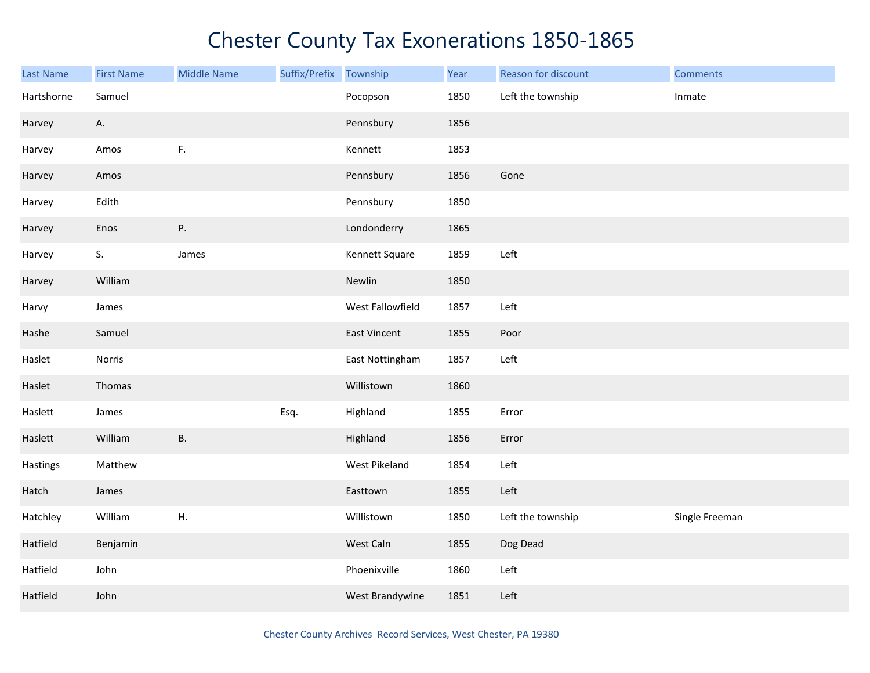| Last Name  | <b>First Name</b> | <b>Middle Name</b> | Suffix/Prefix Township |                     | Year | Reason for discount | <b>Comments</b> |
|------------|-------------------|--------------------|------------------------|---------------------|------|---------------------|-----------------|
| Hartshorne | Samuel            |                    |                        | Pocopson            | 1850 | Left the township   | Inmate          |
| Harvey     | А.                |                    |                        | Pennsbury           | 1856 |                     |                 |
| Harvey     | Amos              | F.                 |                        | Kennett             | 1853 |                     |                 |
| Harvey     | Amos              |                    |                        | Pennsbury           | 1856 | Gone                |                 |
| Harvey     | Edith             |                    |                        | Pennsbury           | 1850 |                     |                 |
| Harvey     | Enos              | Ρ.                 |                        | Londonderry         | 1865 |                     |                 |
| Harvey     | S.                | James              |                        | Kennett Square      | 1859 | Left                |                 |
| Harvey     | William           |                    |                        | Newlin              | 1850 |                     |                 |
| Harvy      | James             |                    |                        | West Fallowfield    | 1857 | Left                |                 |
| Hashe      | Samuel            |                    |                        | <b>East Vincent</b> | 1855 | Poor                |                 |
| Haslet     | Norris            |                    |                        | East Nottingham     | 1857 | Left                |                 |
| Haslet     | Thomas            |                    |                        | Willistown          | 1860 |                     |                 |
| Haslett    | James             |                    | Esq.                   | Highland            | 1855 | Error               |                 |
| Haslett    | William           | <b>B.</b>          |                        | Highland            | 1856 | Error               |                 |
| Hastings   | Matthew           |                    |                        | West Pikeland       | 1854 | Left                |                 |
| Hatch      | James             |                    |                        | Easttown            | 1855 | Left                |                 |
| Hatchley   | William           | ${\sf H}.$         |                        | Willistown          | 1850 | Left the township   | Single Freeman  |
| Hatfield   | Benjamin          |                    |                        | West Caln           | 1855 | Dog Dead            |                 |
| Hatfield   | John              |                    |                        | Phoenixville        | 1860 | Left                |                 |
| Hatfield   | John              |                    |                        | West Brandywine     | 1851 | Left                |                 |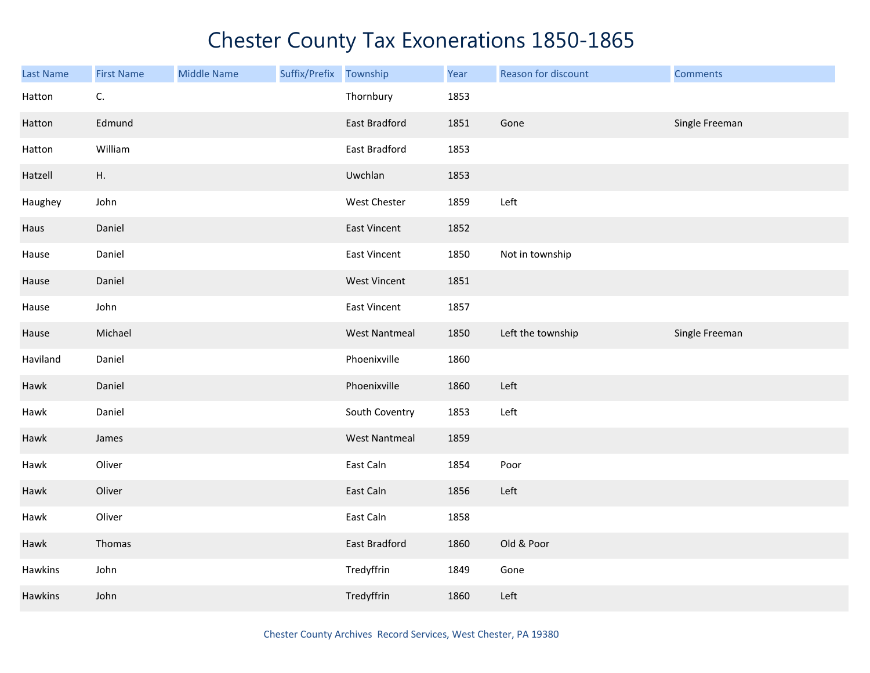| Last Name | <b>First Name</b> | <b>Middle Name</b> | Suffix/Prefix Township |                      | Year | Reason for discount | <b>Comments</b> |
|-----------|-------------------|--------------------|------------------------|----------------------|------|---------------------|-----------------|
| Hatton    | C.                |                    |                        | Thornbury            | 1853 |                     |                 |
| Hatton    | Edmund            |                    |                        | East Bradford        | 1851 | Gone                | Single Freeman  |
| Hatton    | William           |                    |                        | East Bradford        | 1853 |                     |                 |
| Hatzell   | Η.                |                    |                        | Uwchlan              | 1853 |                     |                 |
| Haughey   | John              |                    |                        | West Chester         | 1859 | Left                |                 |
| Haus      | Daniel            |                    |                        | East Vincent         | 1852 |                     |                 |
| Hause     | Daniel            |                    |                        | East Vincent         | 1850 | Not in township     |                 |
| Hause     | Daniel            |                    |                        | <b>West Vincent</b>  | 1851 |                     |                 |
| Hause     | John              |                    |                        | East Vincent         | 1857 |                     |                 |
| Hause     | Michael           |                    |                        | <b>West Nantmeal</b> | 1850 | Left the township   | Single Freeman  |
| Haviland  | Daniel            |                    |                        | Phoenixville         | 1860 |                     |                 |
| Hawk      | Daniel            |                    |                        | Phoenixville         | 1860 | Left                |                 |
| Hawk      | Daniel            |                    |                        | South Coventry       | 1853 | Left                |                 |
| Hawk      | James             |                    |                        | <b>West Nantmeal</b> | 1859 |                     |                 |
| Hawk      | Oliver            |                    |                        | East Caln            | 1854 | Poor                |                 |
| Hawk      | Oliver            |                    |                        | East Caln            | 1856 | Left                |                 |
| Hawk      | Oliver            |                    |                        | East Caln            | 1858 |                     |                 |
| Hawk      | Thomas            |                    |                        | East Bradford        | 1860 | Old & Poor          |                 |
| Hawkins   | John              |                    |                        | Tredyffrin           | 1849 | Gone                |                 |
| Hawkins   | John              |                    |                        | Tredyffrin           | 1860 | Left                |                 |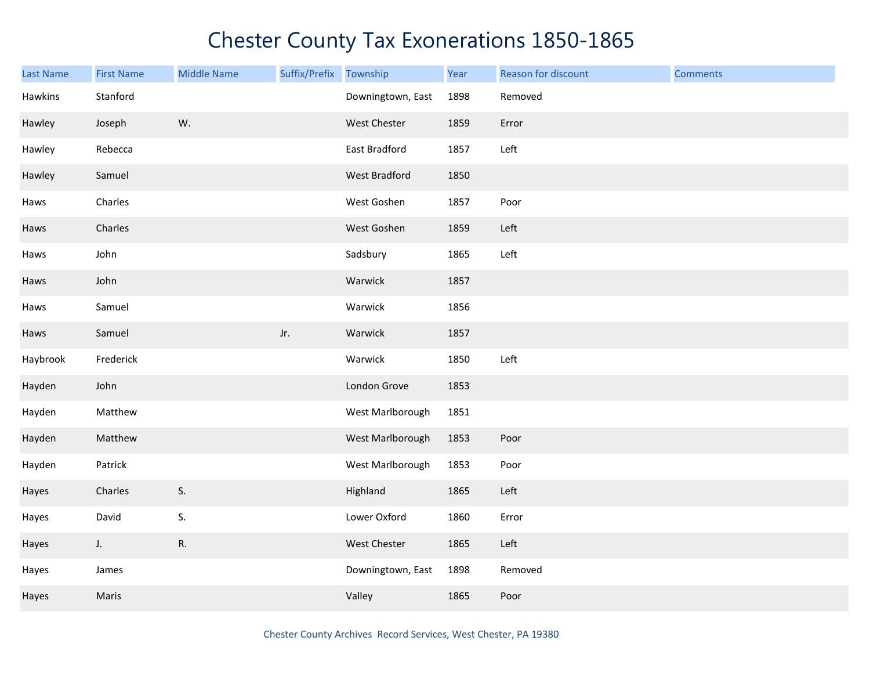| <b>Last Name</b> | <b>First Name</b> | <b>Middle Name</b> | Suffix/Prefix | Township          | Year | Reason for discount | <b>Comments</b> |
|------------------|-------------------|--------------------|---------------|-------------------|------|---------------------|-----------------|
| Hawkins          | Stanford          |                    |               | Downingtown, East | 1898 | Removed             |                 |
| Hawley           | Joseph            | W.                 |               | West Chester      | 1859 | Error               |                 |
| Hawley           | Rebecca           |                    |               | East Bradford     | 1857 | Left                |                 |
| Hawley           | Samuel            |                    |               | West Bradford     | 1850 |                     |                 |
| Haws             | Charles           |                    |               | West Goshen       | 1857 | Poor                |                 |
| Haws             | Charles           |                    |               | West Goshen       | 1859 | Left                |                 |
| Haws             | John              |                    |               | Sadsbury          | 1865 | Left                |                 |
| Haws             | John              |                    |               | Warwick           | 1857 |                     |                 |
| Haws             | Samuel            |                    |               | Warwick           | 1856 |                     |                 |
| Haws             | Samuel            |                    | Jr.           | Warwick           | 1857 |                     |                 |
| Haybrook         | Frederick         |                    |               | Warwick           | 1850 | Left                |                 |
| Hayden           | John              |                    |               | London Grove      | 1853 |                     |                 |
| Hayden           | Matthew           |                    |               | West Marlborough  | 1851 |                     |                 |
| Hayden           | Matthew           |                    |               | West Marlborough  | 1853 | Poor                |                 |
| Hayden           | Patrick           |                    |               | West Marlborough  | 1853 | Poor                |                 |
| Hayes            | Charles           | S.                 |               | Highland          | 1865 | Left                |                 |
| Hayes            | David             | S.                 |               | Lower Oxford      | 1860 | Error               |                 |
| Hayes            | J.                | ${\sf R}.$         |               | West Chester      | 1865 | Left                |                 |
| Hayes            | James             |                    |               | Downingtown, East | 1898 | Removed             |                 |
| Hayes            | Maris             |                    |               | Valley            | 1865 | Poor                |                 |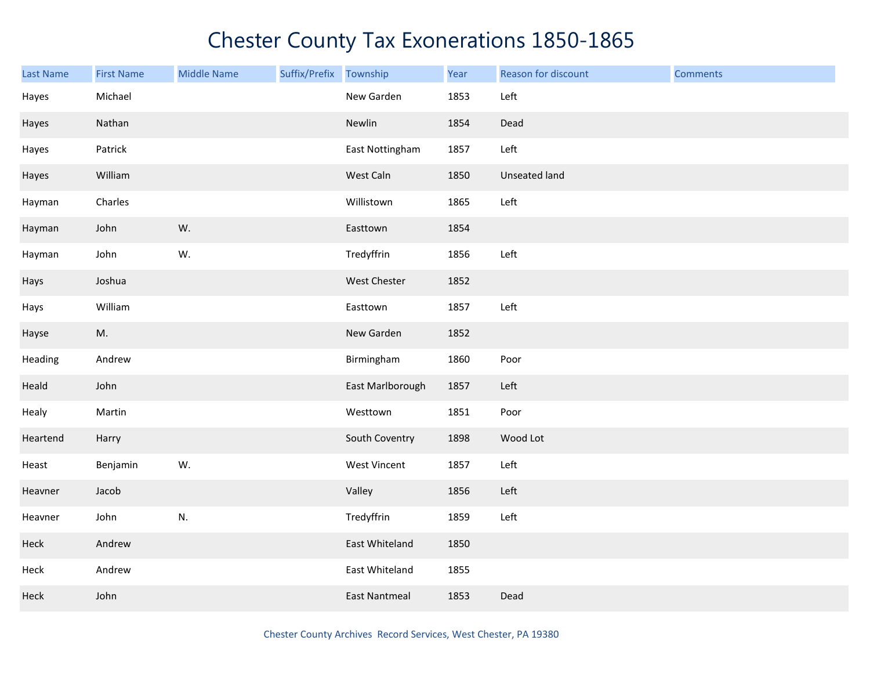| <b>Last Name</b> | <b>First Name</b> | <b>Middle Name</b> | Suffix/Prefix Township |                      | Year | Reason for discount | <b>Comments</b> |
|------------------|-------------------|--------------------|------------------------|----------------------|------|---------------------|-----------------|
| Hayes            | Michael           |                    |                        | New Garden           | 1853 | Left                |                 |
| Hayes            | Nathan            |                    |                        | Newlin               | 1854 | Dead                |                 |
| Hayes            | Patrick           |                    |                        | East Nottingham      | 1857 | Left                |                 |
| Hayes            | William           |                    |                        | West Caln            | 1850 | Unseated land       |                 |
| Hayman           | Charles           |                    |                        | Willistown           | 1865 | Left                |                 |
| Hayman           | John              | W.                 |                        | Easttown             | 1854 |                     |                 |
| Hayman           | John              | W.                 |                        | Tredyffrin           | 1856 | Left                |                 |
| Hays             | Joshua            |                    |                        | West Chester         | 1852 |                     |                 |
| Hays             | William           |                    |                        | Easttown             | 1857 | Left                |                 |
| Hayse            | M.                |                    |                        | New Garden           | 1852 |                     |                 |
| Heading          | Andrew            |                    |                        | Birmingham           | 1860 | Poor                |                 |
| Heald            | John              |                    |                        | East Marlborough     | 1857 | Left                |                 |
| Healy            | Martin            |                    |                        | Westtown             | 1851 | Poor                |                 |
| Heartend         | Harry             |                    |                        | South Coventry       | 1898 | Wood Lot            |                 |
| Heast            | Benjamin          | W.                 |                        | <b>West Vincent</b>  | 1857 | Left                |                 |
| Heavner          | Jacob             |                    |                        | Valley               | 1856 | Left                |                 |
| Heavner          | John              | N.                 |                        | Tredyffrin           | 1859 | Left                |                 |
| Heck             | Andrew            |                    |                        | East Whiteland       | 1850 |                     |                 |
| Heck             | Andrew            |                    |                        | East Whiteland       | 1855 |                     |                 |
| Heck             | John              |                    |                        | <b>East Nantmeal</b> | 1853 | Dead                |                 |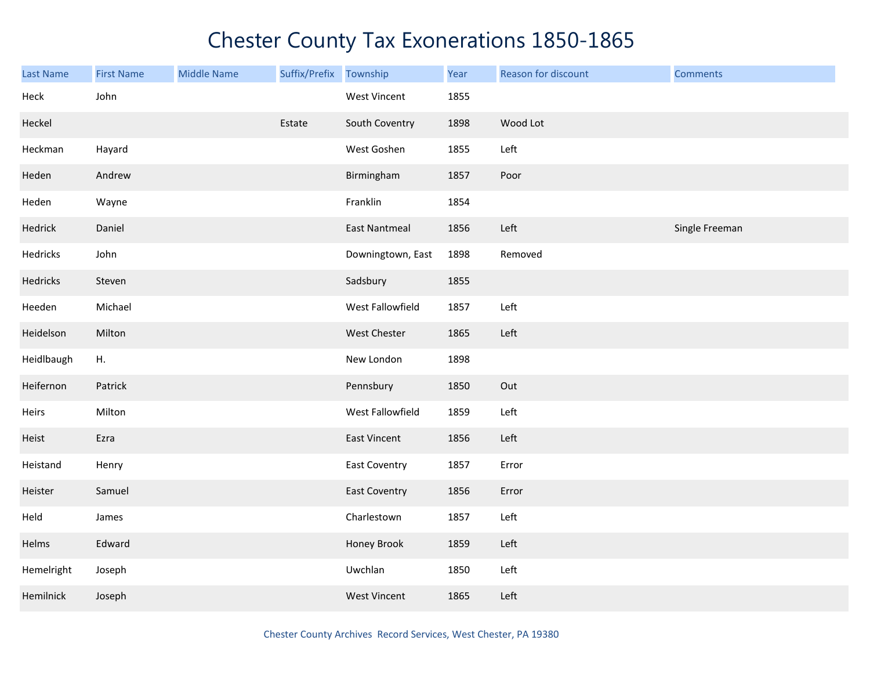| Last Name  | <b>First Name</b> | <b>Middle Name</b> | Suffix/Prefix | Township             | Year | Reason for discount | <b>Comments</b> |
|------------|-------------------|--------------------|---------------|----------------------|------|---------------------|-----------------|
| Heck       | John              |                    |               | <b>West Vincent</b>  | 1855 |                     |                 |
| Heckel     |                   |                    | Estate        | South Coventry       | 1898 | Wood Lot            |                 |
| Heckman    | Hayard            |                    |               | West Goshen          | 1855 | Left                |                 |
| Heden      | Andrew            |                    |               | Birmingham           | 1857 | Poor                |                 |
| Heden      | Wayne             |                    |               | Franklin             | 1854 |                     |                 |
| Hedrick    | Daniel            |                    |               | <b>East Nantmeal</b> | 1856 | Left                | Single Freeman  |
| Hedricks   | John              |                    |               | Downingtown, East    | 1898 | Removed             |                 |
| Hedricks   | Steven            |                    |               | Sadsbury             | 1855 |                     |                 |
| Heeden     | Michael           |                    |               | West Fallowfield     | 1857 | Left                |                 |
| Heidelson  | Milton            |                    |               | West Chester         | 1865 | Left                |                 |
| Heidlbaugh | Η.                |                    |               | New London           | 1898 |                     |                 |
| Heifernon  | Patrick           |                    |               | Pennsbury            | 1850 | Out                 |                 |
| Heirs      | Milton            |                    |               | West Fallowfield     | 1859 | Left                |                 |
| Heist      | Ezra              |                    |               | <b>East Vincent</b>  | 1856 | Left                |                 |
| Heistand   | Henry             |                    |               | <b>East Coventry</b> | 1857 | Error               |                 |
| Heister    | Samuel            |                    |               | <b>East Coventry</b> | 1856 | Error               |                 |
| Held       | James             |                    |               | Charlestown          | 1857 | Left                |                 |
| Helms      | Edward            |                    |               | Honey Brook          | 1859 | Left                |                 |
| Hemelright | Joseph            |                    |               | Uwchlan              | 1850 | Left                |                 |
| Hemilnick  | Joseph            |                    |               | <b>West Vincent</b>  | 1865 | Left                |                 |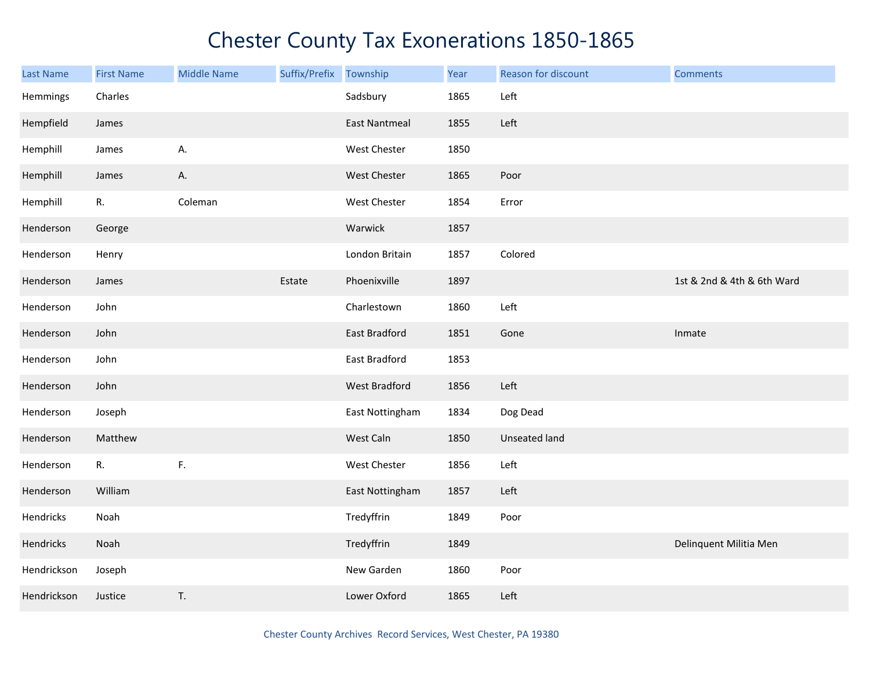| <b>Last Name</b> | <b>First Name</b> | <b>Middle Name</b> | Suffix/Prefix | Township             | Year | Reason for discount | <b>Comments</b>            |
|------------------|-------------------|--------------------|---------------|----------------------|------|---------------------|----------------------------|
| Hemmings         | Charles           |                    |               | Sadsbury             | 1865 | Left                |                            |
| Hempfield        | James             |                    |               | <b>East Nantmeal</b> | 1855 | Left                |                            |
| Hemphill         | James             | А.                 |               | <b>West Chester</b>  | 1850 |                     |                            |
| Hemphill         | James             | Α.                 |               | <b>West Chester</b>  | 1865 | Poor                |                            |
| Hemphill         | R.                | Coleman            |               | West Chester         | 1854 | Error               |                            |
| Henderson        | George            |                    |               | Warwick              | 1857 |                     |                            |
| Henderson        | Henry             |                    |               | London Britain       | 1857 | Colored             |                            |
| Henderson        | James             |                    | Estate        | Phoenixville         | 1897 |                     | 1st & 2nd & 4th & 6th Ward |
| Henderson        | John              |                    |               | Charlestown          | 1860 | Left                |                            |
| Henderson        | John              |                    |               | East Bradford        | 1851 | Gone                | Inmate                     |
| Henderson        | John              |                    |               | East Bradford        | 1853 |                     |                            |
| Henderson        | John              |                    |               | West Bradford        | 1856 | Left                |                            |
| Henderson        | Joseph            |                    |               | East Nottingham      | 1834 | Dog Dead            |                            |
| Henderson        | Matthew           |                    |               | West Caln            | 1850 | Unseated land       |                            |
| Henderson        | R.                | $\mathsf{F}.$      |               | West Chester         | 1856 | Left                |                            |
| Henderson        | William           |                    |               | East Nottingham      | 1857 | Left                |                            |
| Hendricks        | Noah              |                    |               | Tredyffrin           | 1849 | Poor                |                            |
| Hendricks        | Noah              |                    |               | Tredyffrin           | 1849 |                     | Delinquent Militia Men     |
| Hendrickson      | Joseph            |                    |               | New Garden           | 1860 | Poor                |                            |
| Hendrickson      | Justice           | T.                 |               | Lower Oxford         | 1865 | Left                |                            |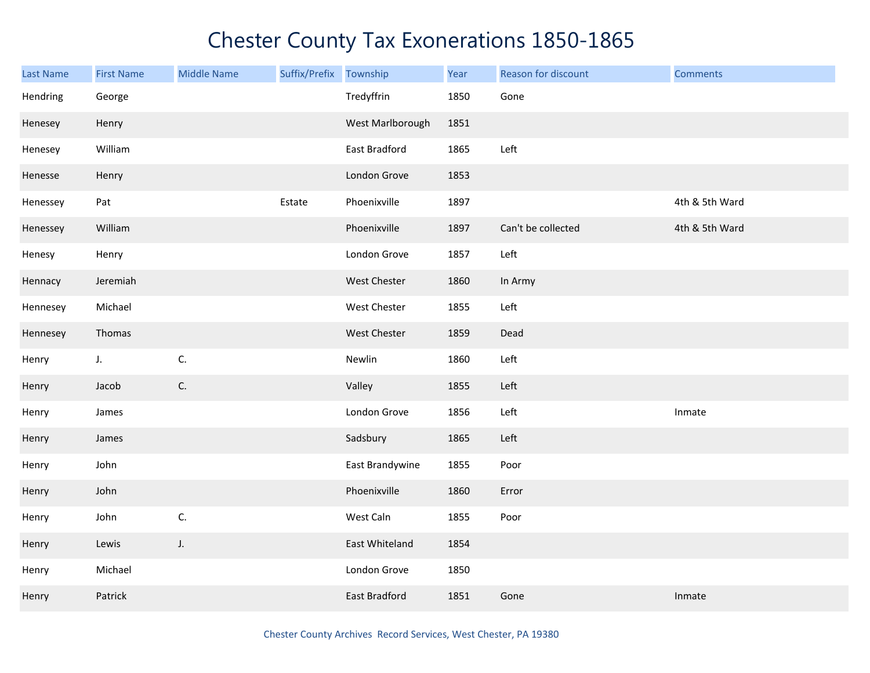| <b>Last Name</b> | <b>First Name</b> | <b>Middle Name</b> | Suffix/Prefix Township |                      | Year | Reason for discount | <b>Comments</b> |
|------------------|-------------------|--------------------|------------------------|----------------------|------|---------------------|-----------------|
| Hendring         | George            |                    |                        | Tredyffrin           | 1850 | Gone                |                 |
| Henesey          | Henry             |                    |                        | West Marlborough     | 1851 |                     |                 |
| Henesey          | William           |                    |                        | East Bradford        | 1865 | Left                |                 |
| Henesse          | Henry             |                    |                        | London Grove         | 1853 |                     |                 |
| Henessey         | Pat               |                    | Estate                 | Phoenixville         | 1897 |                     | 4th & 5th Ward  |
| Henessey         | William           |                    |                        | Phoenixville         | 1897 | Can't be collected  | 4th & 5th Ward  |
| Henesy           | Henry             |                    |                        | London Grove         | 1857 | Left                |                 |
| Hennacy          | Jeremiah          |                    |                        | West Chester         | 1860 | In Army             |                 |
| Hennesey         | Michael           |                    |                        | West Chester         | 1855 | Left                |                 |
| Hennesey         | Thomas            |                    |                        | West Chester         | 1859 | Dead                |                 |
| Henry            | J.                | C.                 |                        | Newlin               | 1860 | Left                |                 |
| Henry            | Jacob             | C.                 |                        | Valley               | 1855 | Left                |                 |
| Henry            | James             |                    |                        | London Grove         | 1856 | Left                | Inmate          |
| Henry            | James             |                    |                        | Sadsbury             | 1865 | Left                |                 |
| Henry            | John              |                    |                        | East Brandywine      | 1855 | Poor                |                 |
| Henry            | John              |                    |                        | Phoenixville         | 1860 | Error               |                 |
| Henry            | John              | C.                 |                        | West Caln            | 1855 | Poor                |                 |
| Henry            | Lewis             | J.                 |                        | East Whiteland       | 1854 |                     |                 |
| Henry            | Michael           |                    |                        | London Grove         | 1850 |                     |                 |
| Henry            | Patrick           |                    |                        | <b>East Bradford</b> | 1851 | Gone                | Inmate          |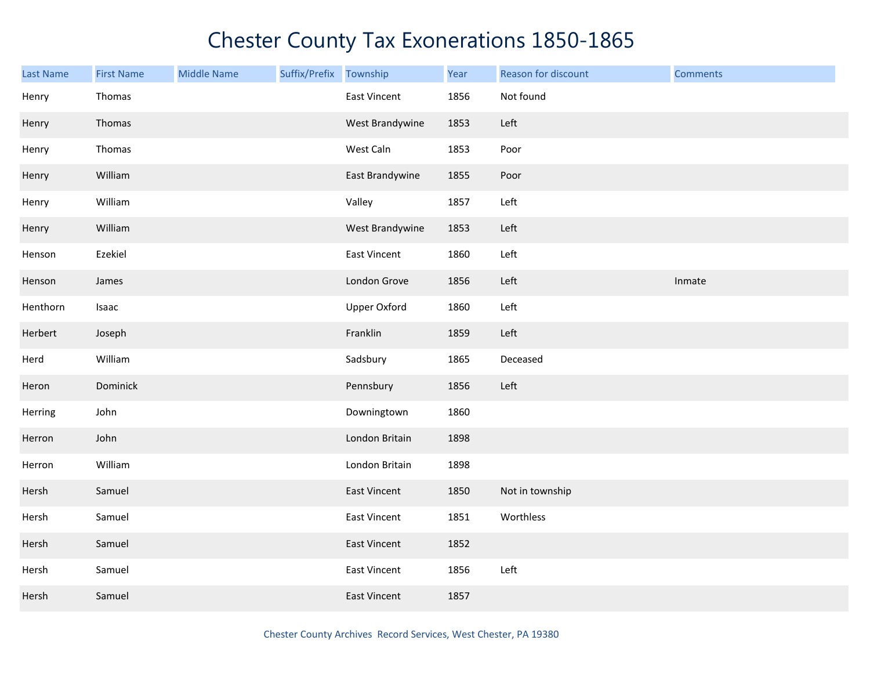| <b>Last Name</b> | <b>First Name</b> | <b>Middle Name</b> | Suffix/Prefix | Township            | Year | Reason for discount | <b>Comments</b> |
|------------------|-------------------|--------------------|---------------|---------------------|------|---------------------|-----------------|
| Henry            | Thomas            |                    |               | <b>East Vincent</b> | 1856 | Not found           |                 |
| Henry            | Thomas            |                    |               | West Brandywine     | 1853 | Left                |                 |
| Henry            | Thomas            |                    |               | West Caln           | 1853 | Poor                |                 |
| Henry            | William           |                    |               | East Brandywine     | 1855 | Poor                |                 |
| Henry            | William           |                    |               | Valley              | 1857 | Left                |                 |
| Henry            | William           |                    |               | West Brandywine     | 1853 | Left                |                 |
| Henson           | Ezekiel           |                    |               | <b>East Vincent</b> | 1860 | Left                |                 |
| Henson           | James             |                    |               | London Grove        | 1856 | Left                | Inmate          |
| Henthorn         | Isaac             |                    |               | <b>Upper Oxford</b> | 1860 | Left                |                 |
| Herbert          | Joseph            |                    |               | Franklin            | 1859 | Left                |                 |
| Herd             | William           |                    |               | Sadsbury            | 1865 | Deceased            |                 |
| Heron            | Dominick          |                    |               | Pennsbury           | 1856 | Left                |                 |
| Herring          | John              |                    |               | Downingtown         | 1860 |                     |                 |
| Herron           | John              |                    |               | London Britain      | 1898 |                     |                 |
| Herron           | William           |                    |               | London Britain      | 1898 |                     |                 |
| Hersh            | Samuel            |                    |               | East Vincent        | 1850 | Not in township     |                 |
| Hersh            | Samuel            |                    |               | <b>East Vincent</b> | 1851 | Worthless           |                 |
| Hersh            | Samuel            |                    |               | <b>East Vincent</b> | 1852 |                     |                 |
| Hersh            | Samuel            |                    |               | <b>East Vincent</b> | 1856 | Left                |                 |
| Hersh            | Samuel            |                    |               | <b>East Vincent</b> | 1857 |                     |                 |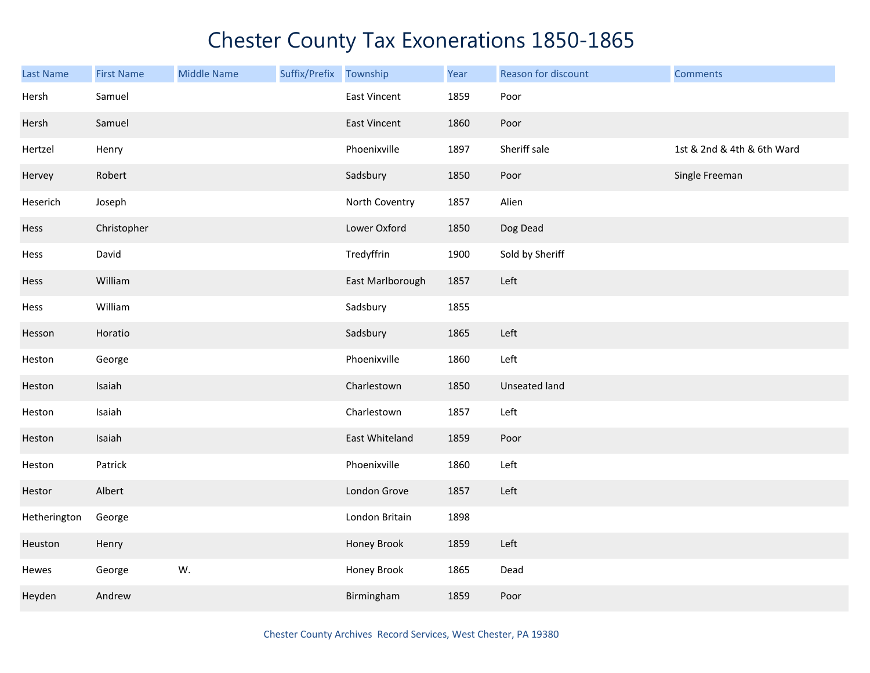| <b>Last Name</b> | <b>First Name</b> | <b>Middle Name</b> | Suffix/Prefix Township |                     | Year | Reason for discount  | <b>Comments</b>            |
|------------------|-------------------|--------------------|------------------------|---------------------|------|----------------------|----------------------------|
| Hersh            | Samuel            |                    |                        | <b>East Vincent</b> | 1859 | Poor                 |                            |
| Hersh            | Samuel            |                    |                        | East Vincent        | 1860 | Poor                 |                            |
| Hertzel          | Henry             |                    |                        | Phoenixville        | 1897 | Sheriff sale         | 1st & 2nd & 4th & 6th Ward |
| Hervey           | Robert            |                    |                        | Sadsbury            | 1850 | Poor                 | Single Freeman             |
| Heserich         | Joseph            |                    |                        | North Coventry      | 1857 | Alien                |                            |
| Hess             | Christopher       |                    |                        | Lower Oxford        | 1850 | Dog Dead             |                            |
| Hess             | David             |                    |                        | Tredyffrin          | 1900 | Sold by Sheriff      |                            |
| Hess             | William           |                    |                        | East Marlborough    | 1857 | Left                 |                            |
| Hess             | William           |                    |                        | Sadsbury            | 1855 |                      |                            |
| Hesson           | Horatio           |                    |                        | Sadsbury            | 1865 | Left                 |                            |
| Heston           | George            |                    |                        | Phoenixville        | 1860 | Left                 |                            |
| Heston           | Isaiah            |                    |                        | Charlestown         | 1850 | <b>Unseated land</b> |                            |
| Heston           | Isaiah            |                    |                        | Charlestown         | 1857 | Left                 |                            |
| Heston           | Isaiah            |                    |                        | East Whiteland      | 1859 | Poor                 |                            |
| Heston           | Patrick           |                    |                        | Phoenixville        | 1860 | Left                 |                            |
| Hestor           | Albert            |                    |                        | London Grove        | 1857 | Left                 |                            |
| Hetherington     | George            |                    |                        | London Britain      | 1898 |                      |                            |
| Heuston          | Henry             |                    |                        | Honey Brook         | 1859 | Left                 |                            |
| Hewes            | George            | W.                 |                        | Honey Brook         | 1865 | Dead                 |                            |
| Heyden           | Andrew            |                    |                        | Birmingham          | 1859 | Poor                 |                            |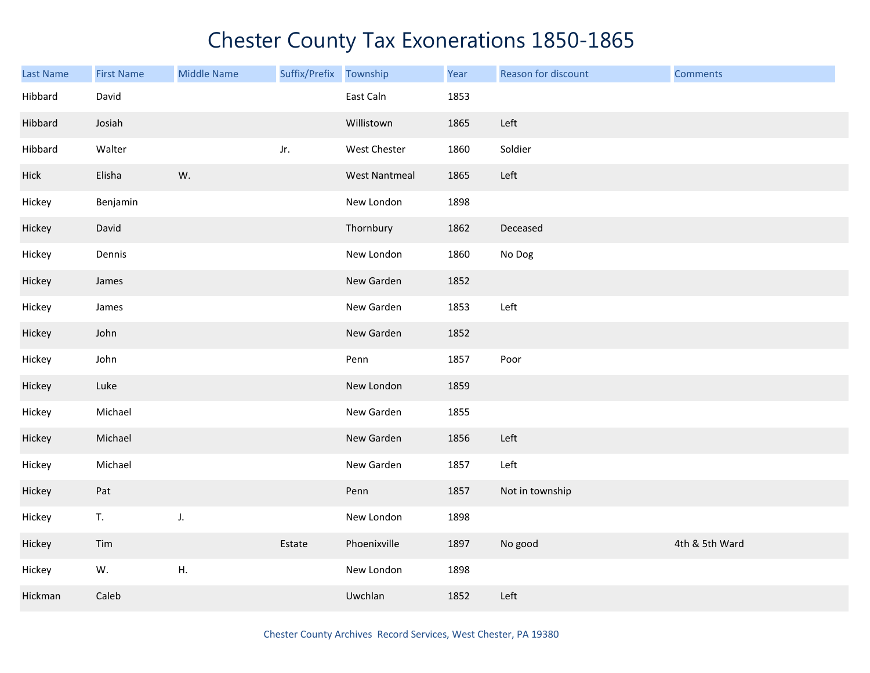| Last Name | <b>First Name</b> | <b>Middle Name</b> | Suffix/Prefix | Township             | Year | Reason for discount | <b>Comments</b> |
|-----------|-------------------|--------------------|---------------|----------------------|------|---------------------|-----------------|
| Hibbard   | David             |                    |               | East Caln            | 1853 |                     |                 |
| Hibbard   | Josiah            |                    |               | Willistown           | 1865 | Left                |                 |
| Hibbard   | Walter            |                    | Jr.           | West Chester         | 1860 | Soldier             |                 |
| Hick      | Elisha            | W.                 |               | <b>West Nantmeal</b> | 1865 | Left                |                 |
| Hickey    | Benjamin          |                    |               | New London           | 1898 |                     |                 |
| Hickey    | David             |                    |               | Thornbury            | 1862 | Deceased            |                 |
| Hickey    | Dennis            |                    |               | New London           | 1860 | No Dog              |                 |
| Hickey    | James             |                    |               | New Garden           | 1852 |                     |                 |
| Hickey    | James             |                    |               | New Garden           | 1853 | Left                |                 |
| Hickey    | John              |                    |               | New Garden           | 1852 |                     |                 |
| Hickey    | John              |                    |               | Penn                 | 1857 | Poor                |                 |
| Hickey    | Luke              |                    |               | New London           | 1859 |                     |                 |
| Hickey    | Michael           |                    |               | New Garden           | 1855 |                     |                 |
| Hickey    | Michael           |                    |               | New Garden           | 1856 | Left                |                 |
| Hickey    | Michael           |                    |               | New Garden           | 1857 | Left                |                 |
| Hickey    | Pat               |                    |               | Penn                 | 1857 | Not in township     |                 |
| Hickey    | T.                | J.                 |               | New London           | 1898 |                     |                 |
| Hickey    | Tim               |                    | Estate        | Phoenixville         | 1897 | No good             | 4th & 5th Ward  |
| Hickey    | W.                | Η.                 |               | New London           | 1898 |                     |                 |
| Hickman   | Caleb             |                    |               | Uwchlan              | 1852 | Left                |                 |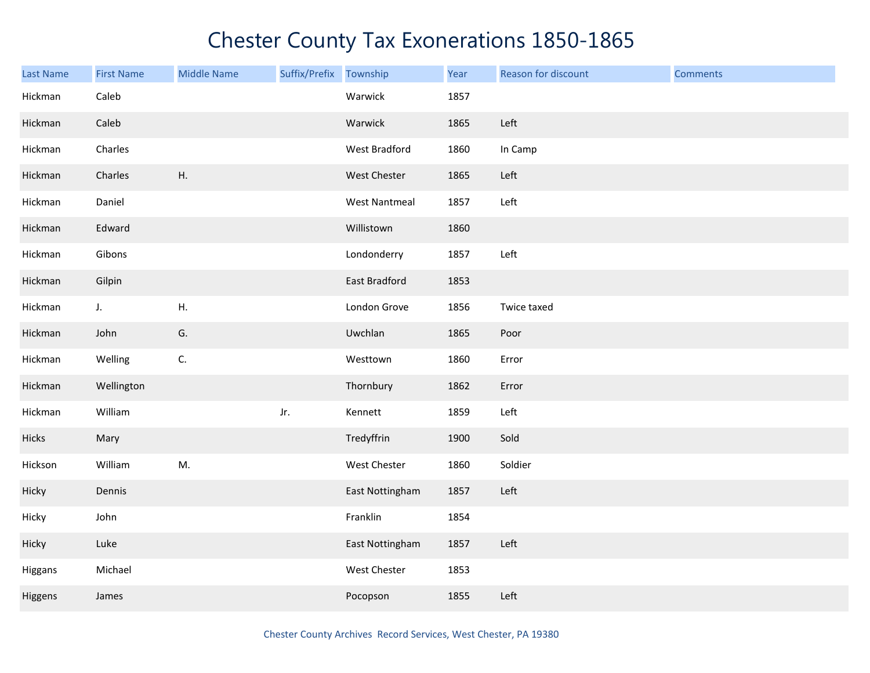| Last Name | <b>First Name</b> | <b>Middle Name</b> | Suffix/Prefix | Township             | Year | Reason for discount | <b>Comments</b> |
|-----------|-------------------|--------------------|---------------|----------------------|------|---------------------|-----------------|
| Hickman   | Caleb             |                    |               | Warwick              | 1857 |                     |                 |
| Hickman   | Caleb             |                    |               | Warwick              | 1865 | Left                |                 |
| Hickman   | Charles           |                    |               | West Bradford        | 1860 | In Camp             |                 |
| Hickman   | Charles           | Η.                 |               | West Chester         | 1865 | Left                |                 |
| Hickman   | Daniel            |                    |               | <b>West Nantmeal</b> | 1857 | Left                |                 |
| Hickman   | Edward            |                    |               | Willistown           | 1860 |                     |                 |
| Hickman   | Gibons            |                    |               | Londonderry          | 1857 | Left                |                 |
| Hickman   | Gilpin            |                    |               | <b>East Bradford</b> | 1853 |                     |                 |
| Hickman   | $J_{\star}$       | Η.                 |               | London Grove         | 1856 | Twice taxed         |                 |
| Hickman   | John              | G.                 |               | Uwchlan              | 1865 | Poor                |                 |
| Hickman   | Welling           | C.                 |               | Westtown             | 1860 | Error               |                 |
| Hickman   | Wellington        |                    |               | Thornbury            | 1862 | Error               |                 |
| Hickman   | William           |                    | Jr.           | Kennett              | 1859 | Left                |                 |
| Hicks     | Mary              |                    |               | Tredyffrin           | 1900 | Sold                |                 |
| Hickson   | William           | M.                 |               | West Chester         | 1860 | Soldier             |                 |
| Hicky     | Dennis            |                    |               | East Nottingham      | 1857 | Left                |                 |
| Hicky     | John              |                    |               | Franklin             | 1854 |                     |                 |
| Hicky     | Luke              |                    |               | East Nottingham      | 1857 | Left                |                 |
| Higgans   | Michael           |                    |               | West Chester         | 1853 |                     |                 |
| Higgens   | James             |                    |               | Pocopson             | 1855 | Left                |                 |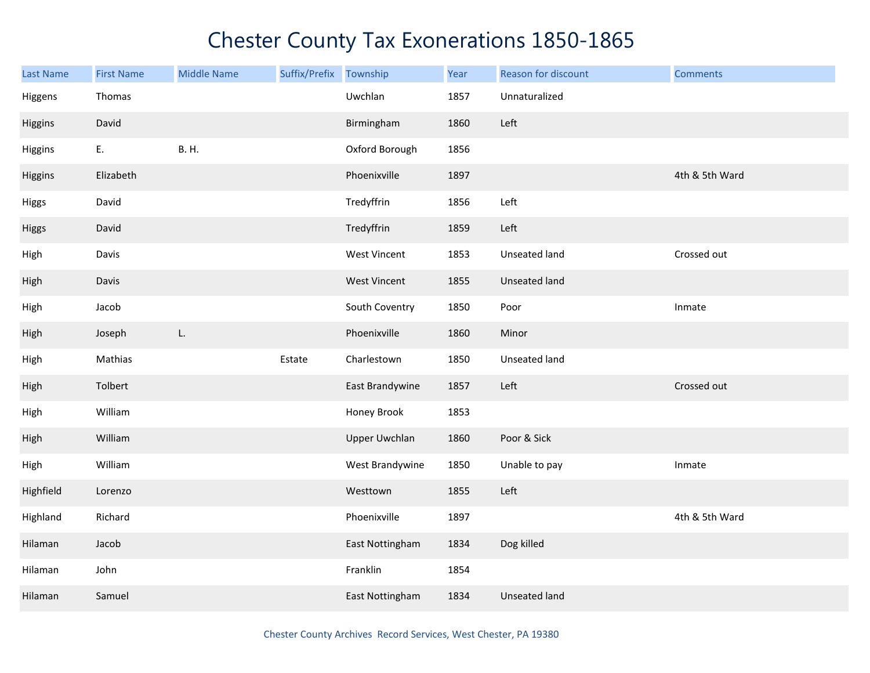| <b>Last Name</b> | <b>First Name</b> | <b>Middle Name</b> | Suffix/Prefix | Township             | Year | Reason for discount  | <b>Comments</b> |
|------------------|-------------------|--------------------|---------------|----------------------|------|----------------------|-----------------|
| Higgens          | Thomas            |                    |               | Uwchlan              | 1857 | Unnaturalized        |                 |
| Higgins          | David             |                    |               | Birmingham           | 1860 | Left                 |                 |
| Higgins          | Ε.                | <b>B.H.</b>        |               | Oxford Borough       | 1856 |                      |                 |
| Higgins          | Elizabeth         |                    |               | Phoenixville         | 1897 |                      | 4th & 5th Ward  |
| Higgs            | David             |                    |               | Tredyffrin           | 1856 | Left                 |                 |
| Higgs            | David             |                    |               | Tredyffrin           | 1859 | Left                 |                 |
| High             | Davis             |                    |               | West Vincent         | 1853 | Unseated land        | Crossed out     |
| High             | Davis             |                    |               | <b>West Vincent</b>  | 1855 | Unseated land        |                 |
| High             | Jacob             |                    |               | South Coventry       | 1850 | Poor                 | Inmate          |
| High             | Joseph            | L.                 |               | Phoenixville         | 1860 | Minor                |                 |
| High             | Mathias           |                    | Estate        | Charlestown          | 1850 | Unseated land        |                 |
| High             | Tolbert           |                    |               | East Brandywine      | 1857 | Left                 | Crossed out     |
| High             | William           |                    |               | Honey Brook          | 1853 |                      |                 |
| High             | William           |                    |               | <b>Upper Uwchlan</b> | 1860 | Poor & Sick          |                 |
| High             | William           |                    |               | West Brandywine      | 1850 | Unable to pay        | Inmate          |
| Highfield        | Lorenzo           |                    |               | Westtown             | 1855 | Left                 |                 |
| Highland         | Richard           |                    |               | Phoenixville         | 1897 |                      | 4th & 5th Ward  |
| Hilaman          | Jacob             |                    |               | East Nottingham      | 1834 | Dog killed           |                 |
| Hilaman          | John              |                    |               | Franklin             | 1854 |                      |                 |
| Hilaman          | Samuel            |                    |               | East Nottingham      | 1834 | <b>Unseated land</b> |                 |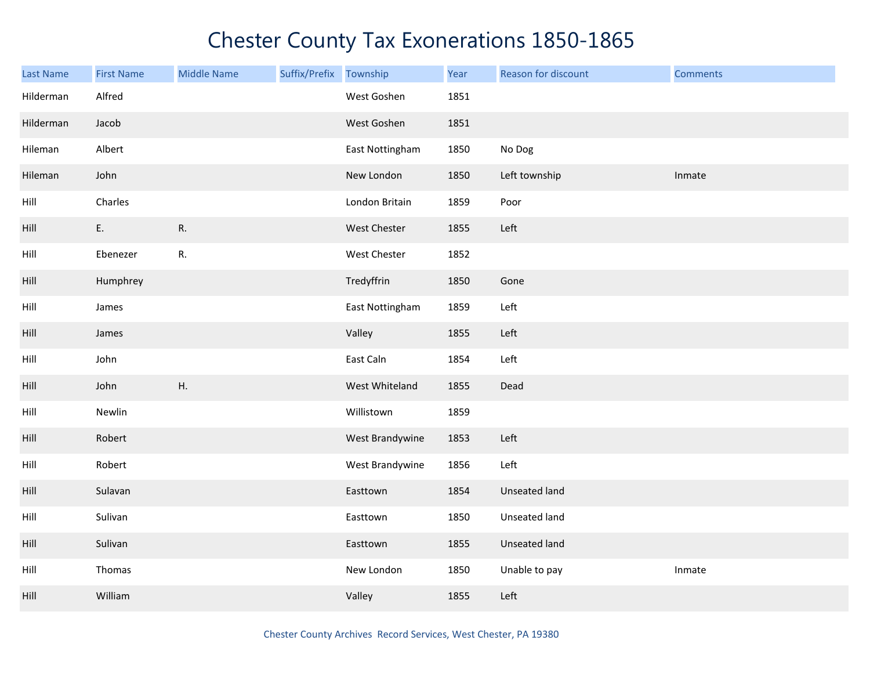| Last Name | <b>First Name</b> | <b>Middle Name</b> | Suffix/Prefix Township |                 | Year | Reason for discount | <b>Comments</b> |
|-----------|-------------------|--------------------|------------------------|-----------------|------|---------------------|-----------------|
| Hilderman | Alfred            |                    |                        | West Goshen     | 1851 |                     |                 |
| Hilderman | Jacob             |                    |                        | West Goshen     | 1851 |                     |                 |
| Hileman   | Albert            |                    |                        | East Nottingham | 1850 | No Dog              |                 |
| Hileman   | John              |                    |                        | New London      | 1850 | Left township       | Inmate          |
| Hill      | Charles           |                    |                        | London Britain  | 1859 | Poor                |                 |
| Hill      | E.                | R.                 |                        | West Chester    | 1855 | Left                |                 |
| Hill      | Ebenezer          | R.                 |                        | West Chester    | 1852 |                     |                 |
| Hill      | Humphrey          |                    |                        | Tredyffrin      | 1850 | Gone                |                 |
| Hill      | James             |                    |                        | East Nottingham | 1859 | Left                |                 |
| Hill      | James             |                    |                        | Valley          | 1855 | Left                |                 |
| Hill      | John              |                    |                        | East Caln       | 1854 | Left                |                 |
| Hill      | John              | Η.                 |                        | West Whiteland  | 1855 | Dead                |                 |
| Hill      | Newlin            |                    |                        | Willistown      | 1859 |                     |                 |
| Hill      | Robert            |                    |                        | West Brandywine | 1853 | Left                |                 |
| Hill      | Robert            |                    |                        | West Brandywine | 1856 | Left                |                 |
| Hill      | Sulavan           |                    |                        | Easttown        | 1854 | Unseated land       |                 |
| Hill      | Sulivan           |                    |                        | Easttown        | 1850 | Unseated land       |                 |
| Hill      | Sulivan           |                    |                        | Easttown        | 1855 | Unseated land       |                 |
| Hill      | Thomas            |                    |                        | New London      | 1850 | Unable to pay       | Inmate          |
| Hill      | William           |                    |                        | Valley          | 1855 | Left                |                 |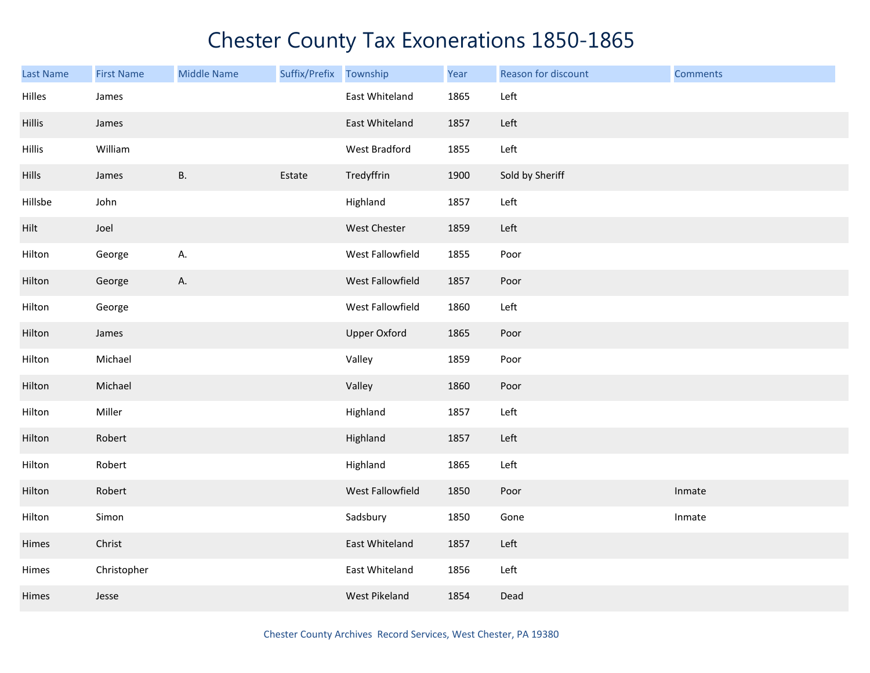| <b>Last Name</b> | <b>First Name</b> | <b>Middle Name</b> | Suffix/Prefix | Township            | Year | Reason for discount | <b>Comments</b> |
|------------------|-------------------|--------------------|---------------|---------------------|------|---------------------|-----------------|
| Hilles           | James             |                    |               | East Whiteland      | 1865 | Left                |                 |
| Hillis           | James             |                    |               | East Whiteland      | 1857 | Left                |                 |
| Hillis           | William           |                    |               | West Bradford       | 1855 | Left                |                 |
| <b>Hills</b>     | James             | <b>B.</b>          | Estate        | Tredyffrin          | 1900 | Sold by Sheriff     |                 |
| Hillsbe          | John              |                    |               | Highland            | 1857 | Left                |                 |
| Hilt             | Joel              |                    |               | <b>West Chester</b> | 1859 | Left                |                 |
| Hilton           | George            | А.                 |               | West Fallowfield    | 1855 | Poor                |                 |
| Hilton           | George            | A.                 |               | West Fallowfield    | 1857 | Poor                |                 |
| Hilton           | George            |                    |               | West Fallowfield    | 1860 | Left                |                 |
| Hilton           | James             |                    |               | <b>Upper Oxford</b> | 1865 | Poor                |                 |
| Hilton           | Michael           |                    |               | Valley              | 1859 | Poor                |                 |
| Hilton           | Michael           |                    |               | Valley              | 1860 | Poor                |                 |
| Hilton           | Miller            |                    |               | Highland            | 1857 | Left                |                 |
| Hilton           | Robert            |                    |               | Highland            | 1857 | Left                |                 |
| Hilton           | Robert            |                    |               | Highland            | 1865 | Left                |                 |
| Hilton           | Robert            |                    |               | West Fallowfield    | 1850 | Poor                | Inmate          |
| Hilton           | Simon             |                    |               | Sadsbury            | 1850 | Gone                | Inmate          |
| Himes            | Christ            |                    |               | East Whiteland      | 1857 | Left                |                 |
| Himes            | Christopher       |                    |               | East Whiteland      | 1856 | Left                |                 |
| Himes            | Jesse             |                    |               | West Pikeland       | 1854 | Dead                |                 |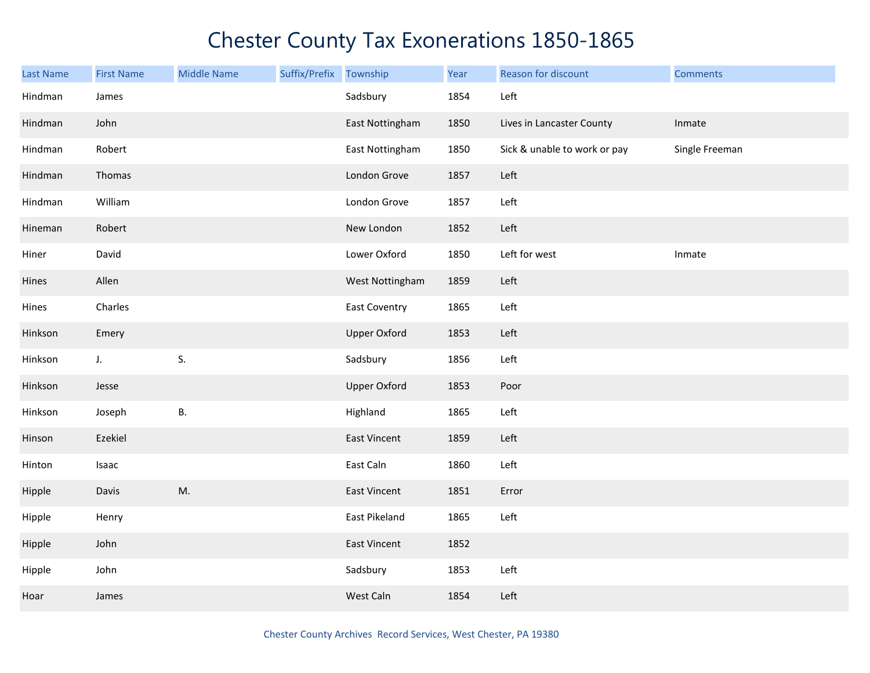| <b>Last Name</b> | <b>First Name</b> | <b>Middle Name</b> | Suffix/Prefix Township |                      | Year | Reason for discount          | <b>Comments</b> |
|------------------|-------------------|--------------------|------------------------|----------------------|------|------------------------------|-----------------|
| Hindman          | James             |                    |                        | Sadsbury             | 1854 | Left                         |                 |
| Hindman          | John              |                    |                        | East Nottingham      | 1850 | Lives in Lancaster County    | Inmate          |
| Hindman          | Robert            |                    |                        | East Nottingham      | 1850 | Sick & unable to work or pay | Single Freeman  |
| Hindman          | Thomas            |                    |                        | London Grove         | 1857 | Left                         |                 |
| Hindman          | William           |                    |                        | London Grove         | 1857 | Left                         |                 |
| Hineman          | Robert            |                    |                        | New London           | 1852 | Left                         |                 |
| Hiner            | David             |                    |                        | Lower Oxford         | 1850 | Left for west                | Inmate          |
| Hines            | Allen             |                    |                        | West Nottingham      | 1859 | Left                         |                 |
| Hines            | Charles           |                    |                        | <b>East Coventry</b> | 1865 | Left                         |                 |
| Hinkson          | Emery             |                    |                        | <b>Upper Oxford</b>  | 1853 | Left                         |                 |
| Hinkson          | $J_{\star}$       | S.                 |                        | Sadsbury             | 1856 | Left                         |                 |
| Hinkson          | Jesse             |                    |                        | <b>Upper Oxford</b>  | 1853 | Poor                         |                 |
| Hinkson          | Joseph            | <b>B.</b>          |                        | Highland             | 1865 | Left                         |                 |
| Hinson           | Ezekiel           |                    |                        | East Vincent         | 1859 | Left                         |                 |
| Hinton           | Isaac             |                    |                        | East Caln            | 1860 | Left                         |                 |
| Hipple           | Davis             | M.                 |                        | East Vincent         | 1851 | Error                        |                 |
| Hipple           | Henry             |                    |                        | East Pikeland        | 1865 | Left                         |                 |
| Hipple           | John              |                    |                        | East Vincent         | 1852 |                              |                 |
| Hipple           | John              |                    |                        | Sadsbury             | 1853 | Left                         |                 |
| Hoar             | James             |                    |                        | West Caln            | 1854 | Left                         |                 |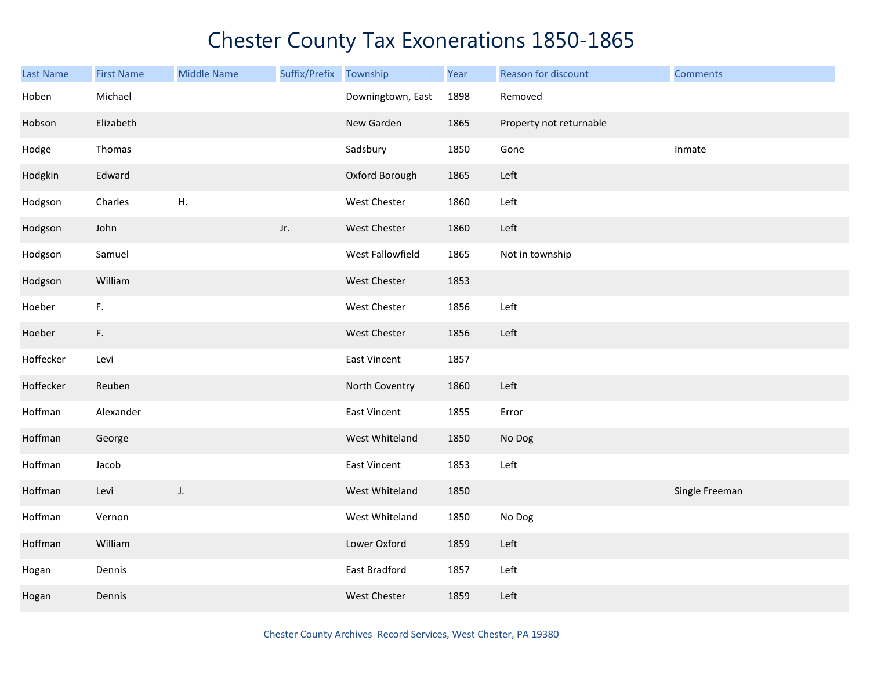| Last Name | <b>First Name</b> | <b>Middle Name</b> | Suffix/Prefix | Township            | Year | Reason for discount     | <b>Comments</b> |
|-----------|-------------------|--------------------|---------------|---------------------|------|-------------------------|-----------------|
| Hoben     | Michael           |                    |               | Downingtown, East   | 1898 | Removed                 |                 |
| Hobson    | Elizabeth         |                    |               | New Garden          | 1865 | Property not returnable |                 |
| Hodge     | Thomas            |                    |               | Sadsbury            | 1850 | Gone                    | Inmate          |
| Hodgkin   | Edward            |                    |               | Oxford Borough      | 1865 | Left                    |                 |
| Hodgson   | Charles           | H <sub>r</sub>     |               | West Chester        | 1860 | Left                    |                 |
| Hodgson   | John              |                    | Jr.           | West Chester        | 1860 | Left                    |                 |
| Hodgson   | Samuel            |                    |               | West Fallowfield    | 1865 | Not in township         |                 |
| Hodgson   | William           |                    |               | West Chester        | 1853 |                         |                 |
| Hoeber    | F.                |                    |               | West Chester        | 1856 | Left                    |                 |
| Hoeber    | F.                |                    |               | West Chester        | 1856 | Left                    |                 |
| Hoffecker | Levi              |                    |               | East Vincent        | 1857 |                         |                 |
| Hoffecker | Reuben            |                    |               | North Coventry      | 1860 | Left                    |                 |
| Hoffman   | Alexander         |                    |               | <b>East Vincent</b> | 1855 | Error                   |                 |
| Hoffman   | George            |                    |               | West Whiteland      | 1850 | No Dog                  |                 |
| Hoffman   | Jacob             |                    |               | East Vincent        | 1853 | Left                    |                 |
| Hoffman   | Levi              | J.                 |               | West Whiteland      | 1850 |                         | Single Freeman  |
| Hoffman   | Vernon            |                    |               | West Whiteland      | 1850 | No Dog                  |                 |
| Hoffman   | William           |                    |               | Lower Oxford        | 1859 | Left                    |                 |
| Hogan     | Dennis            |                    |               | East Bradford       | 1857 | Left                    |                 |
| Hogan     | Dennis            |                    |               | <b>West Chester</b> | 1859 | Left                    |                 |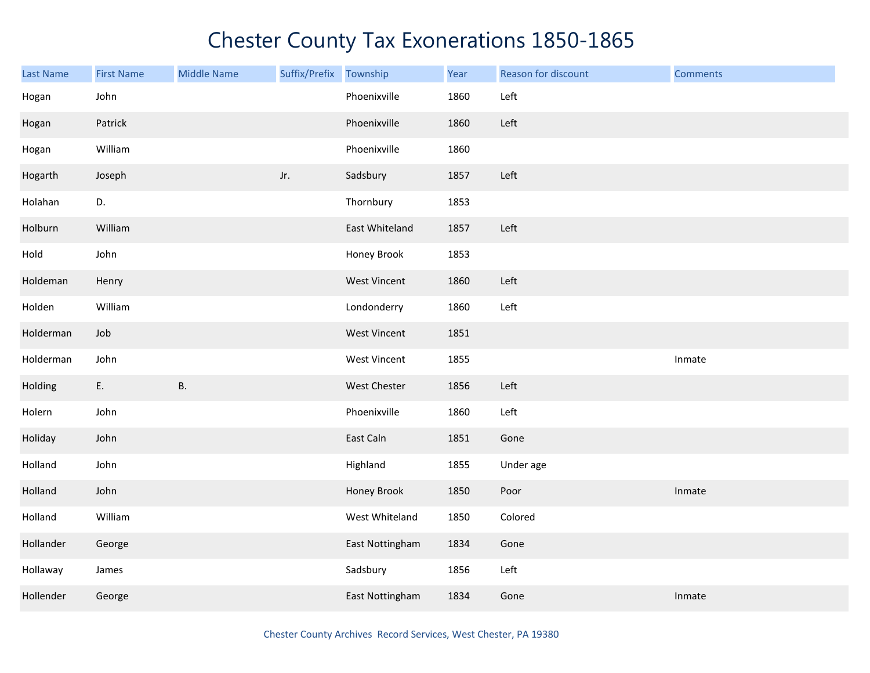| <b>Last Name</b> | <b>First Name</b> | <b>Middle Name</b> | Suffix/Prefix | Township        | Year | Reason for discount | <b>Comments</b> |
|------------------|-------------------|--------------------|---------------|-----------------|------|---------------------|-----------------|
| Hogan            | John              |                    |               | Phoenixville    | 1860 | Left                |                 |
| Hogan            | Patrick           |                    |               | Phoenixville    | 1860 | Left                |                 |
| Hogan            | William           |                    |               | Phoenixville    | 1860 |                     |                 |
| Hogarth          | Joseph            |                    | Jr.           | Sadsbury        | 1857 | Left                |                 |
| Holahan          | D.                |                    |               | Thornbury       | 1853 |                     |                 |
| Holburn          | William           |                    |               | East Whiteland  | 1857 | Left                |                 |
| Hold             | John              |                    |               | Honey Brook     | 1853 |                     |                 |
| Holdeman         | Henry             |                    |               | West Vincent    | 1860 | Left                |                 |
| Holden           | William           |                    |               | Londonderry     | 1860 | Left                |                 |
| Holderman        | Job               |                    |               | West Vincent    | 1851 |                     |                 |
| Holderman        | John              |                    |               | West Vincent    | 1855 |                     | Inmate          |
| Holding          | E.                | <b>B.</b>          |               | West Chester    | 1856 | Left                |                 |
| Holern           | John              |                    |               | Phoenixville    | 1860 | Left                |                 |
| Holiday          | John              |                    |               | East Caln       | 1851 | Gone                |                 |
| Holland          | John              |                    |               | Highland        | 1855 | Under age           |                 |
| Holland          | John              |                    |               | Honey Brook     | 1850 | Poor                | Inmate          |
| Holland          | William           |                    |               | West Whiteland  | 1850 | Colored             |                 |
| Hollander        | George            |                    |               | East Nottingham | 1834 | Gone                |                 |
| Hollaway         | James             |                    |               | Sadsbury        | 1856 | Left                |                 |
| Hollender        | George            |                    |               | East Nottingham | 1834 | Gone                | Inmate          |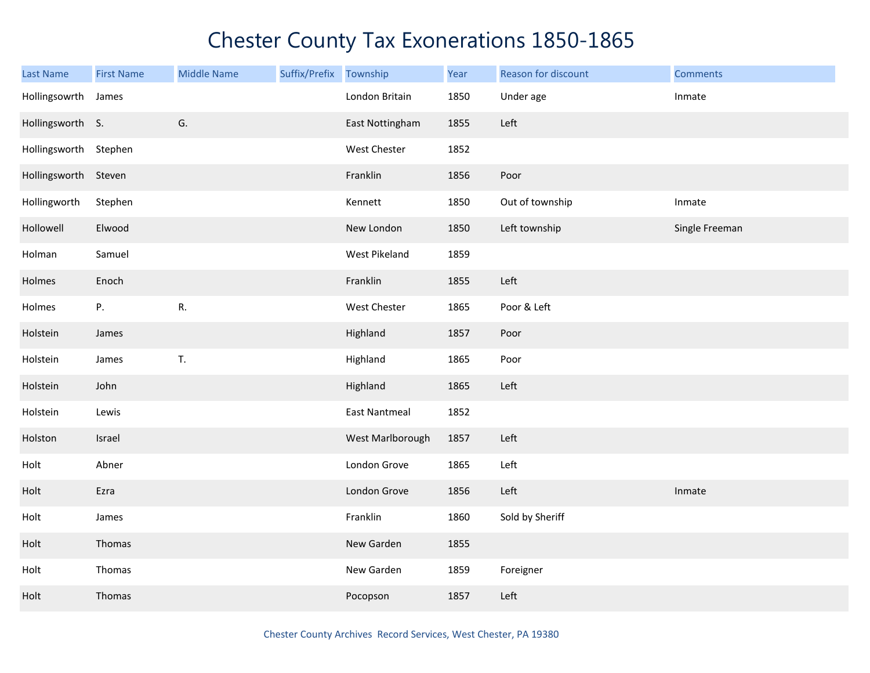| <b>Last Name</b>      | <b>First Name</b> | <b>Middle Name</b> | Suffix/Prefix | Township             | Year | Reason for discount | <b>Comments</b> |
|-----------------------|-------------------|--------------------|---------------|----------------------|------|---------------------|-----------------|
| Hollingsowrth         | James             |                    |               | London Britain       | 1850 | Under age           | Inmate          |
| Hollingsworth S.      |                   | G.                 |               | East Nottingham      | 1855 | Left                |                 |
| Hollingsworth Stephen |                   |                    |               | West Chester         | 1852 |                     |                 |
| Hollingsworth Steven  |                   |                    |               | Franklin             | 1856 | Poor                |                 |
| Hollingworth          | Stephen           |                    |               | Kennett              | 1850 | Out of township     | Inmate          |
| Hollowell             | Elwood            |                    |               | New London           | 1850 | Left township       | Single Freeman  |
| Holman                | Samuel            |                    |               | West Pikeland        | 1859 |                     |                 |
| Holmes                | Enoch             |                    |               | Franklin             | 1855 | Left                |                 |
| Holmes                | Ρ.                | R.                 |               | West Chester         | 1865 | Poor & Left         |                 |
| Holstein              | James             |                    |               | Highland             | 1857 | Poor                |                 |
| Holstein              | James             | T.                 |               | Highland             | 1865 | Poor                |                 |
| Holstein              | John              |                    |               | Highland             | 1865 | Left                |                 |
| Holstein              | Lewis             |                    |               | <b>East Nantmeal</b> | 1852 |                     |                 |
| Holston               | Israel            |                    |               | West Marlborough     | 1857 | Left                |                 |
| Holt                  | Abner             |                    |               | London Grove         | 1865 | Left                |                 |
| Holt                  | Ezra              |                    |               | London Grove         | 1856 | Left                | Inmate          |
| Holt                  | James             |                    |               | Franklin             | 1860 | Sold by Sheriff     |                 |
| Holt                  | Thomas            |                    |               | New Garden           | 1855 |                     |                 |
| Holt                  | Thomas            |                    |               | New Garden           | 1859 | Foreigner           |                 |
| Holt                  | Thomas            |                    |               | Pocopson             | 1857 | Left                |                 |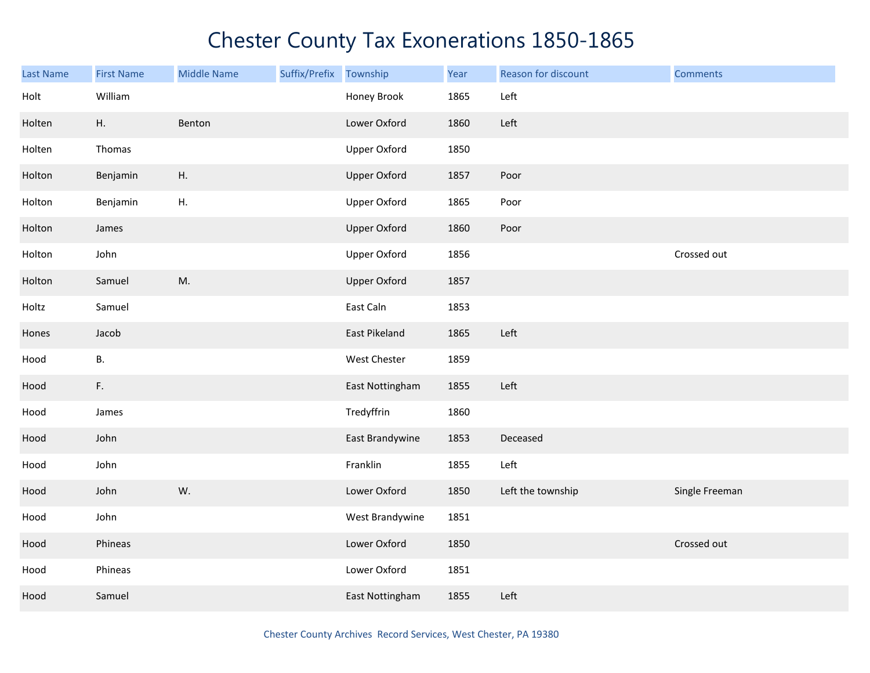| Last Name | <b>First Name</b> | <b>Middle Name</b> | Suffix/Prefix | Township            | Year | Reason for discount | <b>Comments</b> |
|-----------|-------------------|--------------------|---------------|---------------------|------|---------------------|-----------------|
| Holt      | William           |                    |               | Honey Brook         | 1865 | Left                |                 |
| Holten    | Η.                | Benton             |               | Lower Oxford        | 1860 | Left                |                 |
| Holten    | Thomas            |                    |               | <b>Upper Oxford</b> | 1850 |                     |                 |
| Holton    | Benjamin          | Η.                 |               | <b>Upper Oxford</b> | 1857 | Poor                |                 |
| Holton    | Benjamin          | ${\sf H}.$         |               | <b>Upper Oxford</b> | 1865 | Poor                |                 |
| Holton    | James             |                    |               | <b>Upper Oxford</b> | 1860 | Poor                |                 |
| Holton    | John              |                    |               | <b>Upper Oxford</b> | 1856 |                     | Crossed out     |
| Holton    | Samuel            | M.                 |               | <b>Upper Oxford</b> | 1857 |                     |                 |
| Holtz     | Samuel            |                    |               | East Caln           | 1853 |                     |                 |
| Hones     | Jacob             |                    |               | East Pikeland       | 1865 | Left                |                 |
| Hood      | В.                |                    |               | West Chester        | 1859 |                     |                 |
| Hood      | F.                |                    |               | East Nottingham     | 1855 | Left                |                 |
| Hood      | James             |                    |               | Tredyffrin          | 1860 |                     |                 |
| Hood      | John              |                    |               | East Brandywine     | 1853 | Deceased            |                 |
| Hood      | John              |                    |               | Franklin            | 1855 | Left                |                 |
| Hood      | John              | W.                 |               | Lower Oxford        | 1850 | Left the township   | Single Freeman  |
| Hood      | John              |                    |               | West Brandywine     | 1851 |                     |                 |
| Hood      | Phineas           |                    |               | Lower Oxford        | 1850 |                     | Crossed out     |
| Hood      | Phineas           |                    |               | Lower Oxford        | 1851 |                     |                 |
| Hood      | Samuel            |                    |               | East Nottingham     | 1855 | Left                |                 |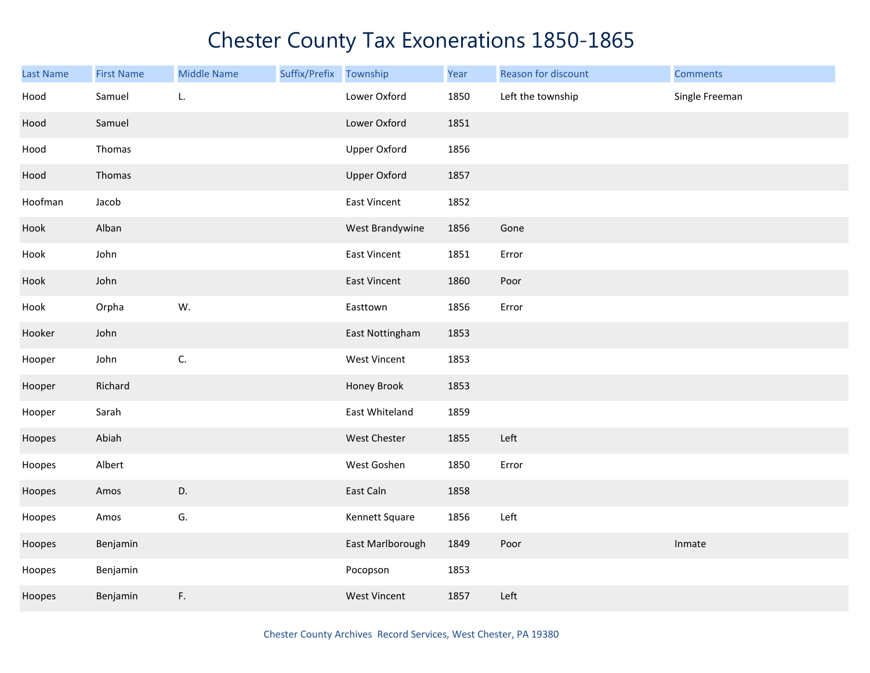| Last Name | <b>First Name</b> | <b>Middle Name</b> | Suffix/Prefix | Township            | Year | Reason for discount | <b>Comments</b> |
|-----------|-------------------|--------------------|---------------|---------------------|------|---------------------|-----------------|
| Hood      | Samuel            | L.                 |               | Lower Oxford        | 1850 | Left the township   | Single Freeman  |
| Hood      | Samuel            |                    |               | Lower Oxford        | 1851 |                     |                 |
| Hood      | Thomas            |                    |               | <b>Upper Oxford</b> | 1856 |                     |                 |
| Hood      | Thomas            |                    |               | <b>Upper Oxford</b> | 1857 |                     |                 |
| Hoofman   | Jacob             |                    |               | <b>East Vincent</b> | 1852 |                     |                 |
| Hook      | Alban             |                    |               | West Brandywine     | 1856 | Gone                |                 |
| Hook      | John              |                    |               | <b>East Vincent</b> | 1851 | Error               |                 |
| Hook      | John              |                    |               | <b>East Vincent</b> | 1860 | Poor                |                 |
| Hook      | Orpha             | W.                 |               | Easttown            | 1856 | Error               |                 |
| Hooker    | John              |                    |               | East Nottingham     | 1853 |                     |                 |
| Hooper    | John              | C.                 |               | <b>West Vincent</b> | 1853 |                     |                 |
| Hooper    | Richard           |                    |               | Honey Brook         | 1853 |                     |                 |
| Hooper    | Sarah             |                    |               | East Whiteland      | 1859 |                     |                 |
| Hoopes    | Abiah             |                    |               | West Chester        | 1855 | Left                |                 |
| Hoopes    | Albert            |                    |               | West Goshen         | 1850 | Error               |                 |
| Hoopes    | Amos              | D.                 |               | East Caln           | 1858 |                     |                 |
| Hoopes    | Amos              | G.                 |               | Kennett Square      | 1856 | Left                |                 |
| Hoopes    | Benjamin          |                    |               | East Marlborough    | 1849 | Poor                | Inmate          |
| Hoopes    | Benjamin          |                    |               | Pocopson            | 1853 |                     |                 |
| Hoopes    | Benjamin          | F.                 |               | <b>West Vincent</b> | 1857 | Left                |                 |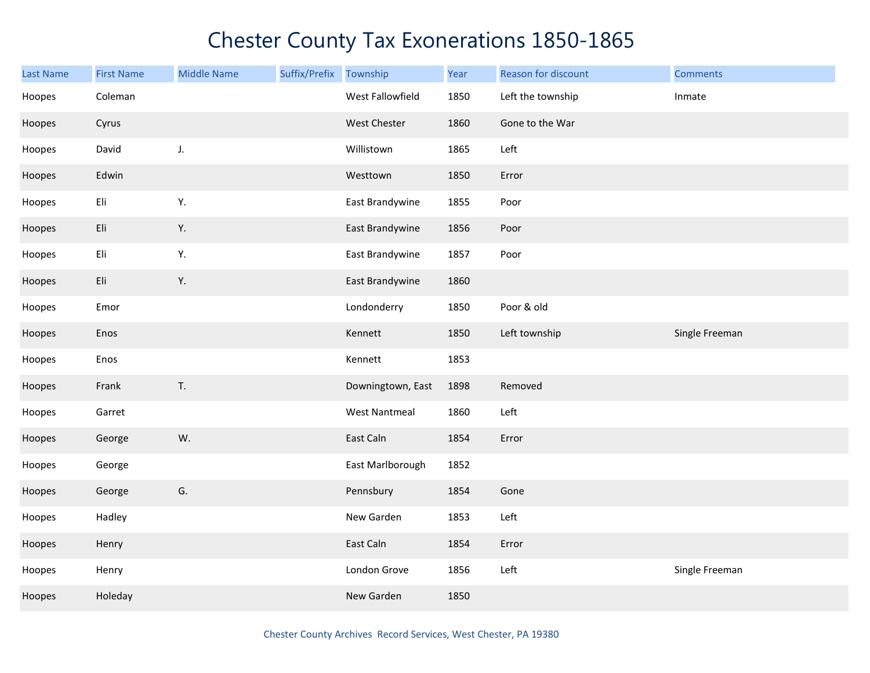| <b>Last Name</b> | <b>First Name</b> | <b>Middle Name</b> | Suffix/Prefix Township |                      | Year | Reason for discount | <b>Comments</b> |
|------------------|-------------------|--------------------|------------------------|----------------------|------|---------------------|-----------------|
| Hoopes           | Coleman           |                    |                        | West Fallowfield     | 1850 | Left the township   | Inmate          |
| Hoopes           | Cyrus             |                    |                        | West Chester         | 1860 | Gone to the War     |                 |
| Hoopes           | David             | J.                 |                        | Willistown           | 1865 | Left                |                 |
| Hoopes           | Edwin             |                    |                        | Westtown             | 1850 | Error               |                 |
| Hoopes           | Eli               | Υ.                 |                        | East Brandywine      | 1855 | Poor                |                 |
| Hoopes           | Eli               | Υ.                 |                        | East Brandywine      | 1856 | Poor                |                 |
| Hoopes           | Eli               | Υ.                 |                        | East Brandywine      | 1857 | Poor                |                 |
| Hoopes           | Eli               | Υ.                 |                        | East Brandywine      | 1860 |                     |                 |
| Hoopes           | Emor              |                    |                        | Londonderry          | 1850 | Poor & old          |                 |
| Hoopes           | Enos              |                    |                        | Kennett              | 1850 | Left township       | Single Freeman  |
| Hoopes           | Enos              |                    |                        | Kennett              | 1853 |                     |                 |
| Hoopes           | Frank             | T.                 |                        | Downingtown, East    | 1898 | Removed             |                 |
| Hoopes           | Garret            |                    |                        | <b>West Nantmeal</b> | 1860 | Left                |                 |
| Hoopes           | George            | W.                 |                        | East Caln            | 1854 | Error               |                 |
| Hoopes           | George            |                    |                        | East Marlborough     | 1852 |                     |                 |
| Hoopes           | George            | G.                 |                        | Pennsbury            | 1854 | Gone                |                 |
| Hoopes           | Hadley            |                    |                        | New Garden           | 1853 | Left                |                 |
| Hoopes           | Henry             |                    |                        | East Caln            | 1854 | Error               |                 |
| Hoopes           | Henry             |                    |                        | London Grove         | 1856 | Left                | Single Freeman  |
| Hoopes           | Holeday           |                    |                        | New Garden           | 1850 |                     |                 |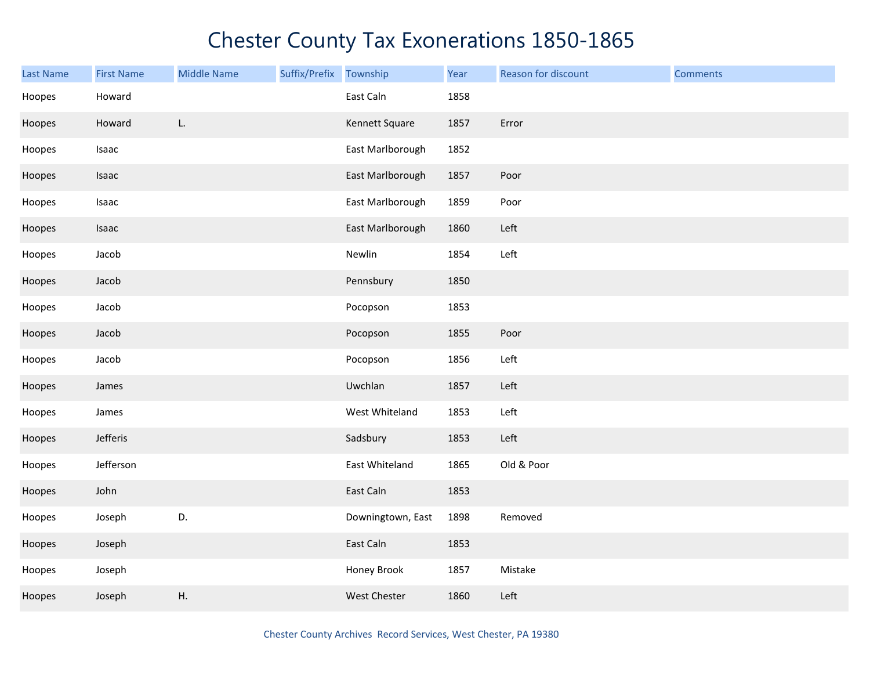| Last Name | <b>First Name</b> | <b>Middle Name</b> | Suffix/Prefix | Township          | Year | Reason for discount | <b>Comments</b> |
|-----------|-------------------|--------------------|---------------|-------------------|------|---------------------|-----------------|
| Hoopes    | Howard            |                    |               | East Caln         | 1858 |                     |                 |
| Hoopes    | Howard            | L.                 |               | Kennett Square    | 1857 | Error               |                 |
| Hoopes    | Isaac             |                    |               | East Marlborough  | 1852 |                     |                 |
| Hoopes    | Isaac             |                    |               | East Marlborough  | 1857 | Poor                |                 |
| Hoopes    | Isaac             |                    |               | East Marlborough  | 1859 | Poor                |                 |
| Hoopes    | Isaac             |                    |               | East Marlborough  | 1860 | Left                |                 |
| Hoopes    | Jacob             |                    |               | Newlin            | 1854 | Left                |                 |
| Hoopes    | Jacob             |                    |               | Pennsbury         | 1850 |                     |                 |
| Hoopes    | Jacob             |                    |               | Pocopson          | 1853 |                     |                 |
| Hoopes    | Jacob             |                    |               | Pocopson          | 1855 | Poor                |                 |
| Hoopes    | Jacob             |                    |               | Pocopson          | 1856 | Left                |                 |
| Hoopes    | James             |                    |               | Uwchlan           | 1857 | Left                |                 |
| Hoopes    | James             |                    |               | West Whiteland    | 1853 | Left                |                 |
| Hoopes    | Jefferis          |                    |               | Sadsbury          | 1853 | Left                |                 |
| Hoopes    | Jefferson         |                    |               | East Whiteland    | 1865 | Old & Poor          |                 |
| Hoopes    | John              |                    |               | East Caln         | 1853 |                     |                 |
| Hoopes    | Joseph            | D.                 |               | Downingtown, East | 1898 | Removed             |                 |
| Hoopes    | Joseph            |                    |               | East Caln         | 1853 |                     |                 |
| Hoopes    | Joseph            |                    |               | Honey Brook       | 1857 | Mistake             |                 |
| Hoopes    | Joseph            | Η.                 |               | West Chester      | 1860 | Left                |                 |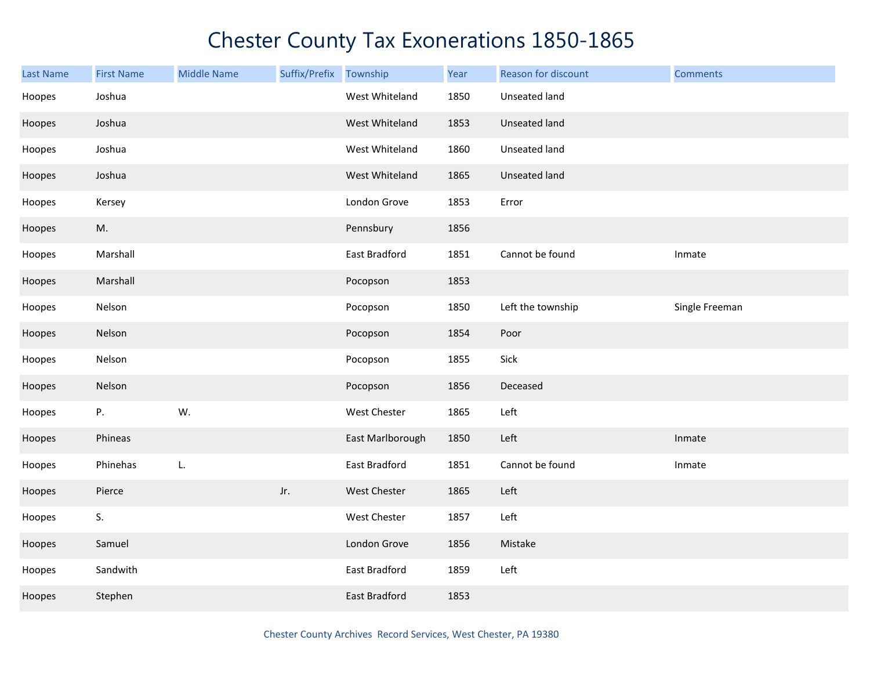| <b>Last Name</b> | <b>First Name</b> | <b>Middle Name</b> | Suffix/Prefix | Township         | Year | Reason for discount | <b>Comments</b> |
|------------------|-------------------|--------------------|---------------|------------------|------|---------------------|-----------------|
| Hoopes           | Joshua            |                    |               | West Whiteland   | 1850 | Unseated land       |                 |
| Hoopes           | Joshua            |                    |               | West Whiteland   | 1853 | Unseated land       |                 |
| Hoopes           | Joshua            |                    |               | West Whiteland   | 1860 | Unseated land       |                 |
| Hoopes           | Joshua            |                    |               | West Whiteland   | 1865 | Unseated land       |                 |
| Hoopes           | Kersey            |                    |               | London Grove     | 1853 | Error               |                 |
| Hoopes           | M.                |                    |               | Pennsbury        | 1856 |                     |                 |
| Hoopes           | Marshall          |                    |               | East Bradford    | 1851 | Cannot be found     | Inmate          |
| Hoopes           | Marshall          |                    |               | Pocopson         | 1853 |                     |                 |
| Hoopes           | Nelson            |                    |               | Pocopson         | 1850 | Left the township   | Single Freeman  |
| Hoopes           | Nelson            |                    |               | Pocopson         | 1854 | Poor                |                 |
| Hoopes           | Nelson            |                    |               | Pocopson         | 1855 | Sick                |                 |
| Hoopes           | Nelson            |                    |               | Pocopson         | 1856 | Deceased            |                 |
| Hoopes           | Ρ.                | W.                 |               | West Chester     | 1865 | Left                |                 |
| Hoopes           | Phineas           |                    |               | East Marlborough | 1850 | Left                | Inmate          |
| Hoopes           | Phinehas          | L.                 |               | East Bradford    | 1851 | Cannot be found     | Inmate          |
| Hoopes           | Pierce            |                    | Jr.           | West Chester     | 1865 | Left                |                 |
| Hoopes           | S.                |                    |               | West Chester     | 1857 | Left                |                 |
| Hoopes           | Samuel            |                    |               | London Grove     | 1856 | Mistake             |                 |
| Hoopes           | Sandwith          |                    |               | East Bradford    | 1859 | Left                |                 |
| Hoopes           | Stephen           |                    |               | East Bradford    | 1853 |                     |                 |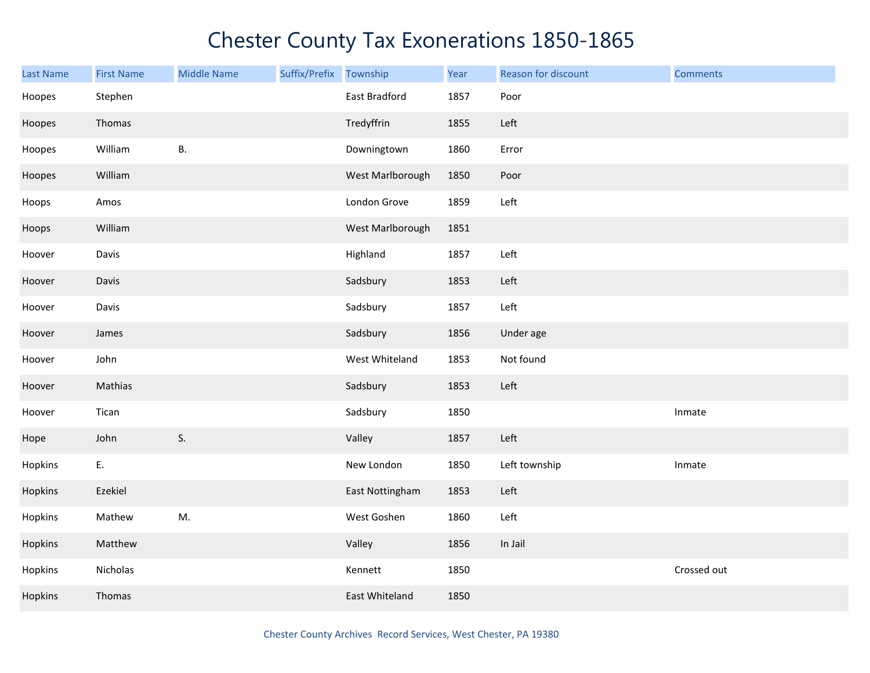| <b>Last Name</b> | <b>First Name</b> | <b>Middle Name</b> | Suffix/Prefix | Township         | Year | Reason for discount | <b>Comments</b> |
|------------------|-------------------|--------------------|---------------|------------------|------|---------------------|-----------------|
| Hoopes           | Stephen           |                    |               | East Bradford    | 1857 | Poor                |                 |
| Hoopes           | Thomas            |                    |               | Tredyffrin       | 1855 | Left                |                 |
| Hoopes           | William           | В.                 |               | Downingtown      | 1860 | Error               |                 |
| Hoopes           | William           |                    |               | West Marlborough | 1850 | Poor                |                 |
| Hoops            | Amos              |                    |               | London Grove     | 1859 | Left                |                 |
| Hoops            | William           |                    |               | West Marlborough | 1851 |                     |                 |
| Hoover           | Davis             |                    |               | Highland         | 1857 | Left                |                 |
| Hoover           | Davis             |                    |               | Sadsbury         | 1853 | Left                |                 |
| Hoover           | Davis             |                    |               | Sadsbury         | 1857 | Left                |                 |
| Hoover           | James             |                    |               | Sadsbury         | 1856 | Under age           |                 |
| Hoover           | John              |                    |               | West Whiteland   | 1853 | Not found           |                 |
| Hoover           | Mathias           |                    |               | Sadsbury         | 1853 | Left                |                 |
| Hoover           | Tican             |                    |               | Sadsbury         | 1850 |                     | Inmate          |
| Hope             | John              | S.                 |               | Valley           | 1857 | Left                |                 |
| Hopkins          | E.                |                    |               | New London       | 1850 | Left township       | Inmate          |
| Hopkins          | Ezekiel           |                    |               | East Nottingham  | 1853 | Left                |                 |
| Hopkins          | Mathew            | M.                 |               | West Goshen      | 1860 | Left                |                 |
| Hopkins          | Matthew           |                    |               | Valley           | 1856 | In Jail             |                 |
| Hopkins          | Nicholas          |                    |               | Kennett          | 1850 |                     | Crossed out     |
| Hopkins          | Thomas            |                    |               | East Whiteland   | 1850 |                     |                 |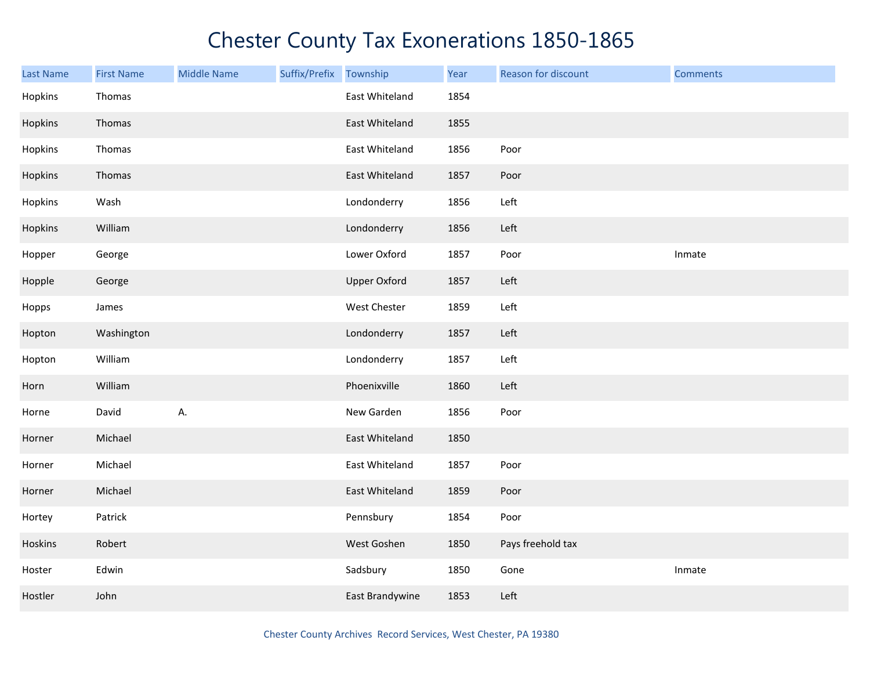| <b>Last Name</b> | <b>First Name</b> | <b>Middle Name</b> | Suffix/Prefix | Township            | Year | Reason for discount | <b>Comments</b> |
|------------------|-------------------|--------------------|---------------|---------------------|------|---------------------|-----------------|
| Hopkins          | Thomas            |                    |               | East Whiteland      | 1854 |                     |                 |
| Hopkins          | Thomas            |                    |               | East Whiteland      | 1855 |                     |                 |
| Hopkins          | Thomas            |                    |               | East Whiteland      | 1856 | Poor                |                 |
| Hopkins          | Thomas            |                    |               | East Whiteland      | 1857 | Poor                |                 |
| Hopkins          | Wash              |                    |               | Londonderry         | 1856 | Left                |                 |
| Hopkins          | William           |                    |               | Londonderry         | 1856 | Left                |                 |
| Hopper           | George            |                    |               | Lower Oxford        | 1857 | Poor                | Inmate          |
| Hopple           | George            |                    |               | <b>Upper Oxford</b> | 1857 | Left                |                 |
| Hopps            | James             |                    |               | West Chester        | 1859 | Left                |                 |
| Hopton           | Washington        |                    |               | Londonderry         | 1857 | Left                |                 |
| Hopton           | William           |                    |               | Londonderry         | 1857 | Left                |                 |
| Horn             | William           |                    |               | Phoenixville        | 1860 | Left                |                 |
| Horne            | David             | А.                 |               | New Garden          | 1856 | Poor                |                 |
| Horner           | Michael           |                    |               | East Whiteland      | 1850 |                     |                 |
| Horner           | Michael           |                    |               | East Whiteland      | 1857 | Poor                |                 |
| Horner           | Michael           |                    |               | East Whiteland      | 1859 | Poor                |                 |
| Hortey           | Patrick           |                    |               | Pennsbury           | 1854 | Poor                |                 |
| Hoskins          | Robert            |                    |               | West Goshen         | 1850 | Pays freehold tax   |                 |
| Hoster           | Edwin             |                    |               | Sadsbury            | 1850 | Gone                | Inmate          |
| Hostler          | John              |                    |               | East Brandywine     | 1853 | Left                |                 |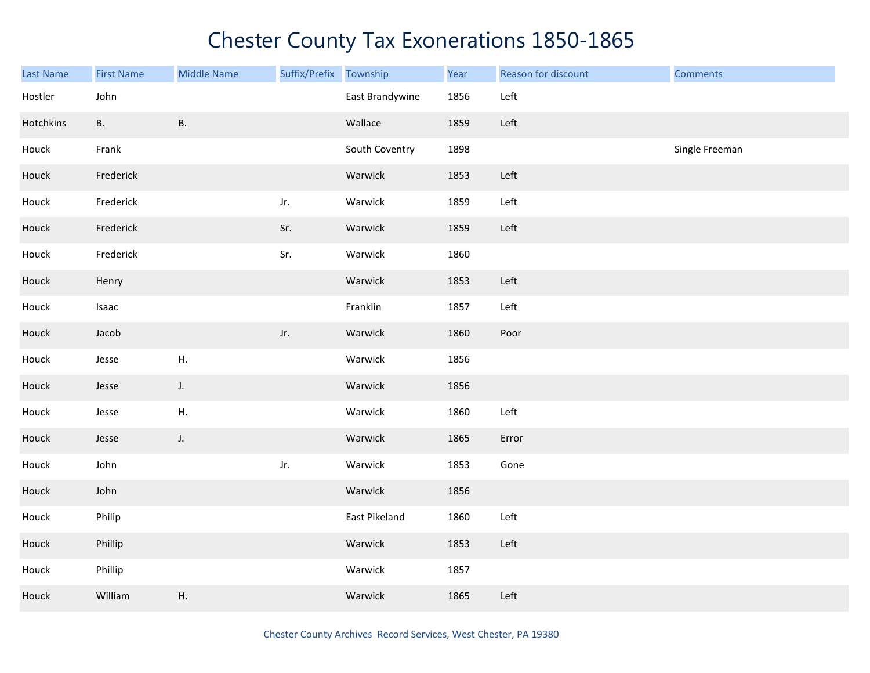| Last Name | <b>First Name</b> | <b>Middle Name</b> | Suffix/Prefix | Township        | Year | Reason for discount | <b>Comments</b> |
|-----------|-------------------|--------------------|---------------|-----------------|------|---------------------|-----------------|
| Hostler   | John              |                    |               | East Brandywine | 1856 | Left                |                 |
| Hotchkins | В.                | Β.                 |               | Wallace         | 1859 | Left                |                 |
| Houck     | Frank             |                    |               | South Coventry  | 1898 |                     | Single Freeman  |
| Houck     | Frederick         |                    |               | Warwick         | 1853 | Left                |                 |
| Houck     | Frederick         |                    | Jr.           | Warwick         | 1859 | Left                |                 |
| Houck     | Frederick         |                    | Sr.           | Warwick         | 1859 | Left                |                 |
| Houck     | Frederick         |                    | Sr.           | Warwick         | 1860 |                     |                 |
| Houck     | Henry             |                    |               | Warwick         | 1853 | Left                |                 |
| Houck     | Isaac             |                    |               | Franklin        | 1857 | Left                |                 |
| Houck     | Jacob             |                    | Jr.           | Warwick         | 1860 | Poor                |                 |
| Houck     | Jesse             | Η.                 |               | Warwick         | 1856 |                     |                 |
| Houck     | Jesse             | J.                 |               | Warwick         | 1856 |                     |                 |
| Houck     | Jesse             | Η.                 |               | Warwick         | 1860 | Left                |                 |
| Houck     | Jesse             | $J_{\star}$        |               | Warwick         | 1865 | Error               |                 |
| Houck     | John              |                    | Jr.           | Warwick         | 1853 | Gone                |                 |
| Houck     | John              |                    |               | Warwick         | 1856 |                     |                 |
| Houck     | Philip            |                    |               | East Pikeland   | 1860 | Left                |                 |
| Houck     | Phillip           |                    |               | Warwick         | 1853 | Left                |                 |
| Houck     | Phillip           |                    |               | Warwick         | 1857 |                     |                 |
| Houck     | William           | Η.                 |               | Warwick         | 1865 | Left                |                 |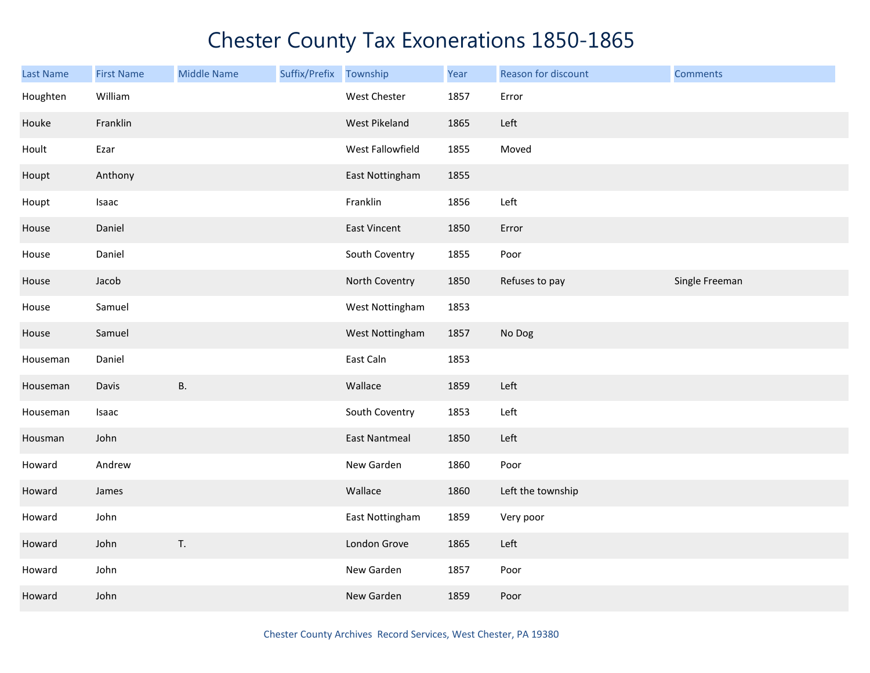| Last Name | <b>First Name</b> | <b>Middle Name</b> | Suffix/Prefix Township |                      | Year | Reason for discount | <b>Comments</b> |
|-----------|-------------------|--------------------|------------------------|----------------------|------|---------------------|-----------------|
| Houghten  | William           |                    |                        | West Chester         | 1857 | Error               |                 |
| Houke     | Franklin          |                    |                        | West Pikeland        | 1865 | Left                |                 |
| Hoult     | Ezar              |                    |                        | West Fallowfield     | 1855 | Moved               |                 |
| Houpt     | Anthony           |                    |                        | East Nottingham      | 1855 |                     |                 |
| Houpt     | Isaac             |                    |                        | Franklin             | 1856 | Left                |                 |
| House     | Daniel            |                    |                        | East Vincent         | 1850 | Error               |                 |
| House     | Daniel            |                    |                        | South Coventry       | 1855 | Poor                |                 |
| House     | Jacob             |                    |                        | North Coventry       | 1850 | Refuses to pay      | Single Freeman  |
| House     | Samuel            |                    |                        | West Nottingham      | 1853 |                     |                 |
| House     | Samuel            |                    |                        | West Nottingham      | 1857 | No Dog              |                 |
| Houseman  | Daniel            |                    |                        | East Caln            | 1853 |                     |                 |
| Houseman  | Davis             | <b>B.</b>          |                        | Wallace              | 1859 | Left                |                 |
| Houseman  | Isaac             |                    |                        | South Coventry       | 1853 | Left                |                 |
| Housman   | John              |                    |                        | <b>East Nantmeal</b> | 1850 | Left                |                 |
| Howard    | Andrew            |                    |                        | New Garden           | 1860 | Poor                |                 |
| Howard    | James             |                    |                        | Wallace              | 1860 | Left the township   |                 |
| Howard    | John              |                    |                        | East Nottingham      | 1859 | Very poor           |                 |
| Howard    | John              | T.                 |                        | London Grove         | 1865 | Left                |                 |
| Howard    | John              |                    |                        | New Garden           | 1857 | Poor                |                 |
| Howard    | John              |                    |                        | New Garden           | 1859 | Poor                |                 |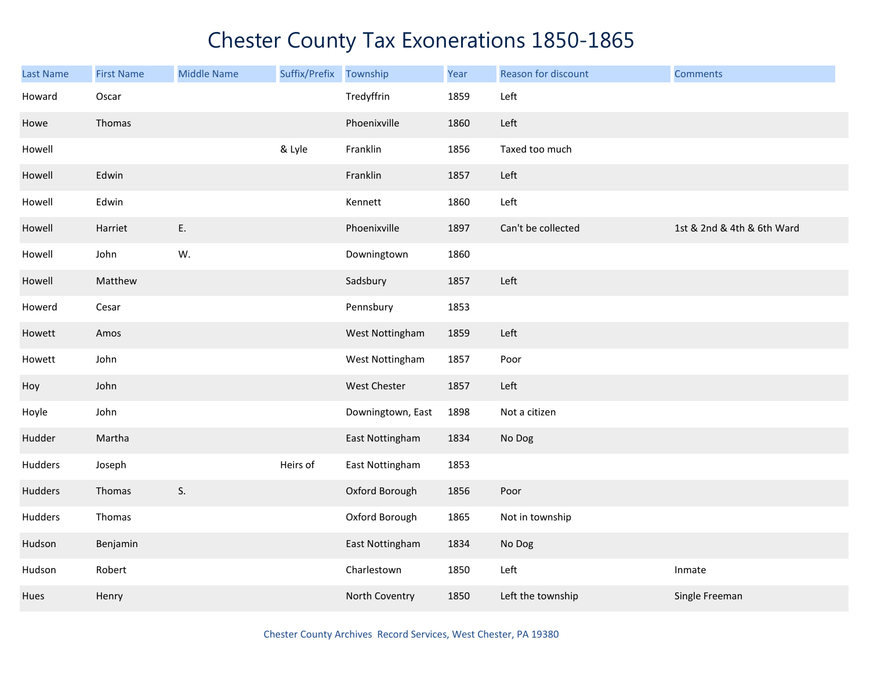| <b>Last Name</b> | <b>First Name</b> | <b>Middle Name</b> | Suffix/Prefix | Township          | Year | Reason for discount | <b>Comments</b>            |
|------------------|-------------------|--------------------|---------------|-------------------|------|---------------------|----------------------------|
| Howard           | Oscar             |                    |               | Tredyffrin        | 1859 | Left                |                            |
| Howe             | Thomas            |                    |               | Phoenixville      | 1860 | Left                |                            |
| Howell           |                   |                    | & Lyle        | Franklin          | 1856 | Taxed too much      |                            |
| Howell           | Edwin             |                    |               | Franklin          | 1857 | Left                |                            |
| Howell           | Edwin             |                    |               | Kennett           | 1860 | Left                |                            |
| Howell           | Harriet           | Ε.                 |               | Phoenixville      | 1897 | Can't be collected  | 1st & 2nd & 4th & 6th Ward |
| Howell           | John              | W.                 |               | Downingtown       | 1860 |                     |                            |
| Howell           | Matthew           |                    |               | Sadsbury          | 1857 | Left                |                            |
| Howerd           | Cesar             |                    |               | Pennsbury         | 1853 |                     |                            |
| Howett           | Amos              |                    |               | West Nottingham   | 1859 | Left                |                            |
| Howett           | John              |                    |               | West Nottingham   | 1857 | Poor                |                            |
| Hoy              | John              |                    |               | West Chester      | 1857 | Left                |                            |
| Hoyle            | John              |                    |               | Downingtown, East | 1898 | Not a citizen       |                            |
| Hudder           | Martha            |                    |               | East Nottingham   | 1834 | No Dog              |                            |
| Hudders          | Joseph            |                    | Heirs of      | East Nottingham   | 1853 |                     |                            |
| Hudders          | Thomas            | S.                 |               | Oxford Borough    | 1856 | Poor                |                            |
| Hudders          | Thomas            |                    |               | Oxford Borough    | 1865 | Not in township     |                            |
| Hudson           | Benjamin          |                    |               | East Nottingham   | 1834 | No Dog              |                            |
| Hudson           | Robert            |                    |               | Charlestown       | 1850 | Left                | Inmate                     |
| Hues             | Henry             |                    |               | North Coventry    | 1850 | Left the township   | Single Freeman             |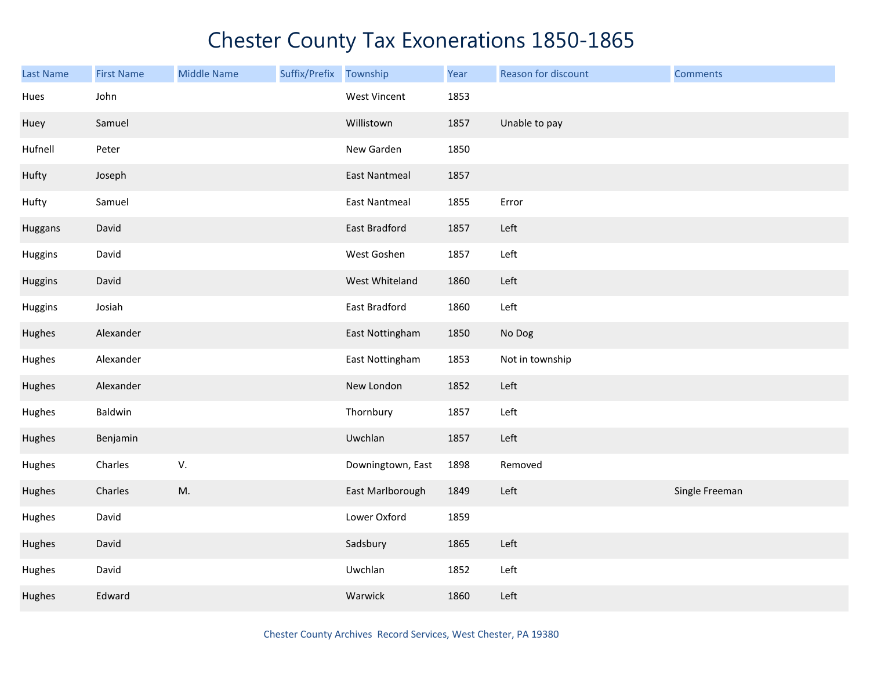| <b>Last Name</b> | <b>First Name</b> | <b>Middle Name</b> | Suffix/Prefix | Township             | Year | Reason for discount | <b>Comments</b> |
|------------------|-------------------|--------------------|---------------|----------------------|------|---------------------|-----------------|
| Hues             | John              |                    |               | West Vincent         | 1853 |                     |                 |
| Huey             | Samuel            |                    |               | Willistown           | 1857 | Unable to pay       |                 |
| Hufnell          | Peter             |                    |               | New Garden           | 1850 |                     |                 |
| Hufty            | Joseph            |                    |               | <b>East Nantmeal</b> | 1857 |                     |                 |
| Hufty            | Samuel            |                    |               | <b>East Nantmeal</b> | 1855 | Error               |                 |
| Huggans          | David             |                    |               | East Bradford        | 1857 | Left                |                 |
| Huggins          | David             |                    |               | West Goshen          | 1857 | Left                |                 |
| Huggins          | David             |                    |               | West Whiteland       | 1860 | Left                |                 |
| Huggins          | Josiah            |                    |               | East Bradford        | 1860 | Left                |                 |
| Hughes           | Alexander         |                    |               | East Nottingham      | 1850 | No Dog              |                 |
| Hughes           | Alexander         |                    |               | East Nottingham      | 1853 | Not in township     |                 |
| Hughes           | Alexander         |                    |               | New London           | 1852 | Left                |                 |
| Hughes           | Baldwin           |                    |               | Thornbury            | 1857 | Left                |                 |
| Hughes           | Benjamin          |                    |               | Uwchlan              | 1857 | Left                |                 |
| Hughes           | Charles           | V.                 |               | Downingtown, East    | 1898 | Removed             |                 |
| Hughes           | Charles           | M.                 |               | East Marlborough     | 1849 | Left                | Single Freeman  |
| Hughes           | David             |                    |               | Lower Oxford         | 1859 |                     |                 |
| Hughes           | David             |                    |               | Sadsbury             | 1865 | Left                |                 |
| Hughes           | David             |                    |               | Uwchlan              | 1852 | Left                |                 |
| Hughes           | Edward            |                    |               | Warwick              | 1860 | Left                |                 |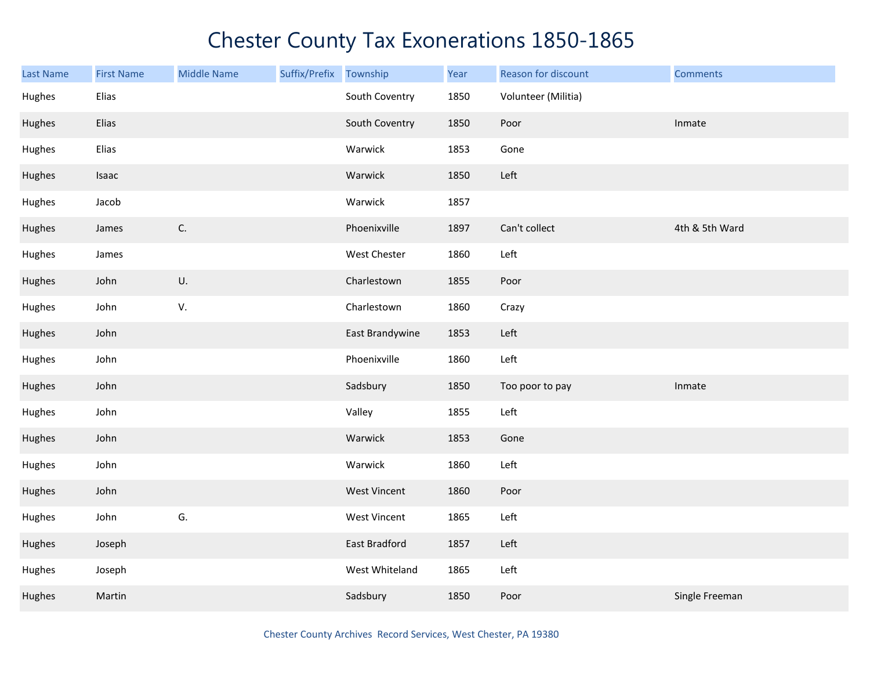| <b>Last Name</b> | <b>First Name</b> | <b>Middle Name</b> | Suffix/Prefix | Township            | Year | Reason for discount | <b>Comments</b> |
|------------------|-------------------|--------------------|---------------|---------------------|------|---------------------|-----------------|
| Hughes           | Elias             |                    |               | South Coventry      | 1850 | Volunteer (Militia) |                 |
| Hughes           | Elias             |                    |               | South Coventry      | 1850 | Poor                | Inmate          |
| Hughes           | Elias             |                    |               | Warwick             | 1853 | Gone                |                 |
| Hughes           | Isaac             |                    |               | Warwick             | 1850 | Left                |                 |
| Hughes           | Jacob             |                    |               | Warwick             | 1857 |                     |                 |
| Hughes           | James             | $\mathsf{C}.$      |               | Phoenixville        | 1897 | Can't collect       | 4th & 5th Ward  |
| Hughes           | James             |                    |               | West Chester        | 1860 | Left                |                 |
| Hughes           | John              | U.                 |               | Charlestown         | 1855 | Poor                |                 |
| Hughes           | John              | V.                 |               | Charlestown         | 1860 | Crazy               |                 |
| Hughes           | John              |                    |               | East Brandywine     | 1853 | Left                |                 |
| Hughes           | John              |                    |               | Phoenixville        | 1860 | Left                |                 |
| Hughes           | John              |                    |               | Sadsbury            | 1850 | Too poor to pay     | Inmate          |
| Hughes           | John              |                    |               | Valley              | 1855 | Left                |                 |
| Hughes           | John              |                    |               | Warwick             | 1853 | Gone                |                 |
| Hughes           | John              |                    |               | Warwick             | 1860 | Left                |                 |
| Hughes           | John              |                    |               | <b>West Vincent</b> | 1860 | Poor                |                 |
| Hughes           | John              | G.                 |               | <b>West Vincent</b> | 1865 | Left                |                 |
| Hughes           | Joseph            |                    |               | East Bradford       | 1857 | Left                |                 |
| Hughes           | Joseph            |                    |               | West Whiteland      | 1865 | Left                |                 |
| Hughes           | Martin            |                    |               | Sadsbury            | 1850 | Poor                | Single Freeman  |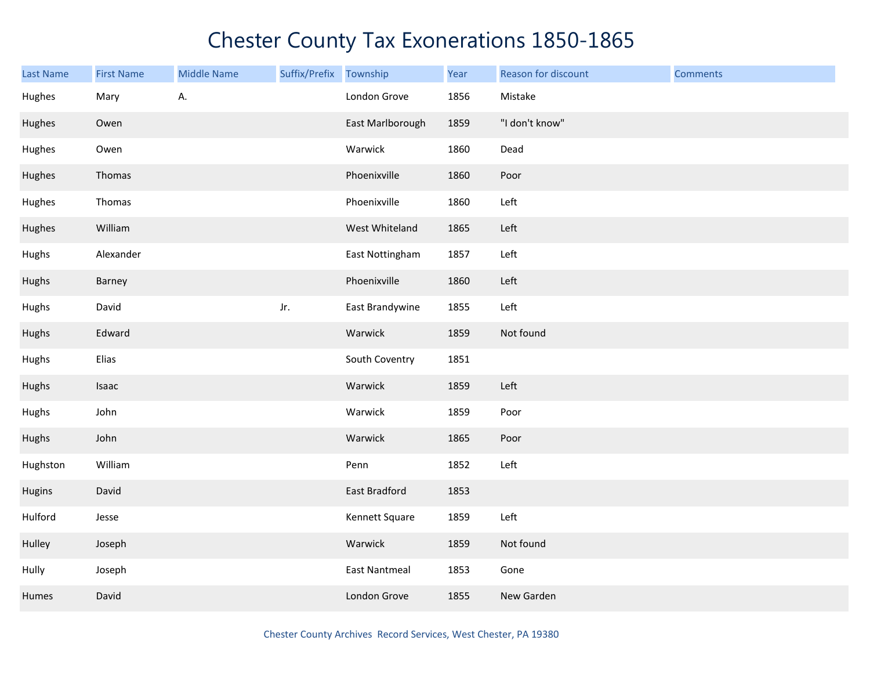| Last Name | <b>First Name</b> | <b>Middle Name</b> | Suffix/Prefix Township |                      | Year | Reason for discount | <b>Comments</b> |
|-----------|-------------------|--------------------|------------------------|----------------------|------|---------------------|-----------------|
| Hughes    | Mary              | А.                 |                        | London Grove         | 1856 | Mistake             |                 |
| Hughes    | Owen              |                    |                        | East Marlborough     | 1859 | "I don't know"      |                 |
| Hughes    | Owen              |                    |                        | Warwick              | 1860 | Dead                |                 |
| Hughes    | Thomas            |                    |                        | Phoenixville         | 1860 | Poor                |                 |
| Hughes    | Thomas            |                    |                        | Phoenixville         | 1860 | Left                |                 |
| Hughes    | William           |                    |                        | West Whiteland       | 1865 | Left                |                 |
| Hughs     | Alexander         |                    |                        | East Nottingham      | 1857 | Left                |                 |
| Hughs     | Barney            |                    |                        | Phoenixville         | 1860 | Left                |                 |
| Hughs     | David             |                    | Jr.                    | East Brandywine      | 1855 | Left                |                 |
| Hughs     | Edward            |                    |                        | Warwick              | 1859 | Not found           |                 |
| Hughs     | Elias             |                    |                        | South Coventry       | 1851 |                     |                 |
| Hughs     | Isaac             |                    |                        | Warwick              | 1859 | Left                |                 |
| Hughs     | John              |                    |                        | Warwick              | 1859 | Poor                |                 |
| Hughs     | John              |                    |                        | Warwick              | 1865 | Poor                |                 |
| Hughston  | William           |                    |                        | Penn                 | 1852 | Left                |                 |
| Hugins    | David             |                    |                        | East Bradford        | 1853 |                     |                 |
| Hulford   | Jesse             |                    |                        | Kennett Square       | 1859 | Left                |                 |
| Hulley    | Joseph            |                    |                        | Warwick              | 1859 | Not found           |                 |
| Hully     | Joseph            |                    |                        | <b>East Nantmeal</b> | 1853 | Gone                |                 |
| Humes     | David             |                    |                        | London Grove         | 1855 | New Garden          |                 |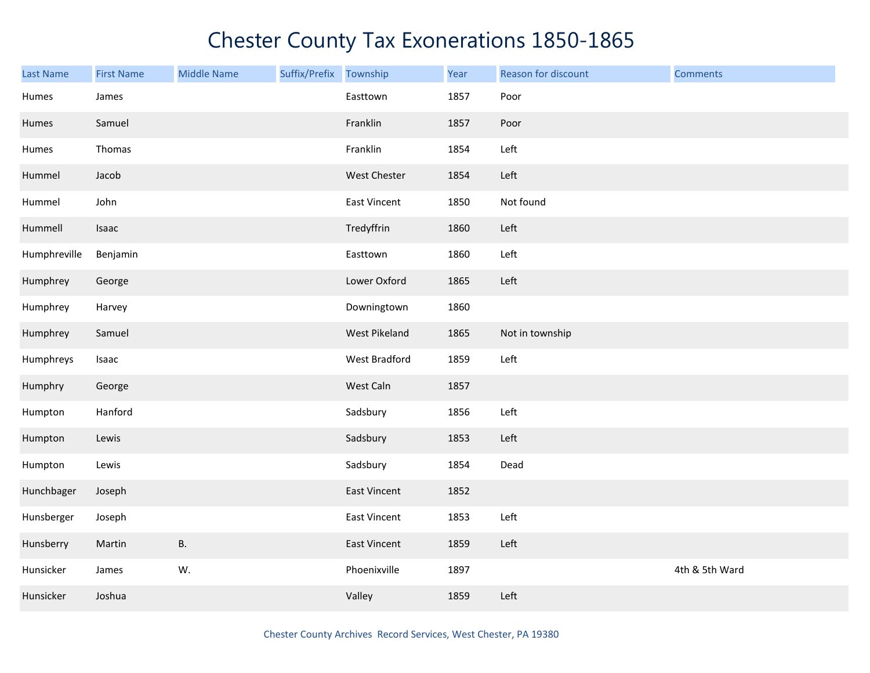| Last Name    | <b>First Name</b> | <b>Middle Name</b> | Suffix/Prefix Township |                     | Year | Reason for discount | <b>Comments</b> |
|--------------|-------------------|--------------------|------------------------|---------------------|------|---------------------|-----------------|
| Humes        | James             |                    |                        | Easttown            | 1857 | Poor                |                 |
| Humes        | Samuel            |                    |                        | Franklin            | 1857 | Poor                |                 |
| Humes        | Thomas            |                    |                        | Franklin            | 1854 | Left                |                 |
| Hummel       | Jacob             |                    |                        | West Chester        | 1854 | Left                |                 |
| Hummel       | John              |                    |                        | <b>East Vincent</b> | 1850 | Not found           |                 |
| Hummell      | Isaac             |                    |                        | Tredyffrin          | 1860 | Left                |                 |
| Humphreville | Benjamin          |                    |                        | Easttown            | 1860 | Left                |                 |
| Humphrey     | George            |                    |                        | Lower Oxford        | 1865 | Left                |                 |
| Humphrey     | Harvey            |                    |                        | Downingtown         | 1860 |                     |                 |
| Humphrey     | Samuel            |                    |                        | West Pikeland       | 1865 | Not in township     |                 |
| Humphreys    | Isaac             |                    |                        | West Bradford       | 1859 | Left                |                 |
| Humphry      | George            |                    |                        | West Caln           | 1857 |                     |                 |
| Humpton      | Hanford           |                    |                        | Sadsbury            | 1856 | Left                |                 |
| Humpton      | Lewis             |                    |                        | Sadsbury            | 1853 | Left                |                 |
| Humpton      | Lewis             |                    |                        | Sadsbury            | 1854 | Dead                |                 |
| Hunchbager   | Joseph            |                    |                        | East Vincent        | 1852 |                     |                 |
| Hunsberger   | Joseph            |                    |                        | East Vincent        | 1853 | Left                |                 |
| Hunsberry    | Martin            | В.                 |                        | East Vincent        | 1859 | Left                |                 |
| Hunsicker    | James             | W.                 |                        | Phoenixville        | 1897 |                     | 4th & 5th Ward  |
| Hunsicker    | Joshua            |                    |                        | Valley              | 1859 | Left                |                 |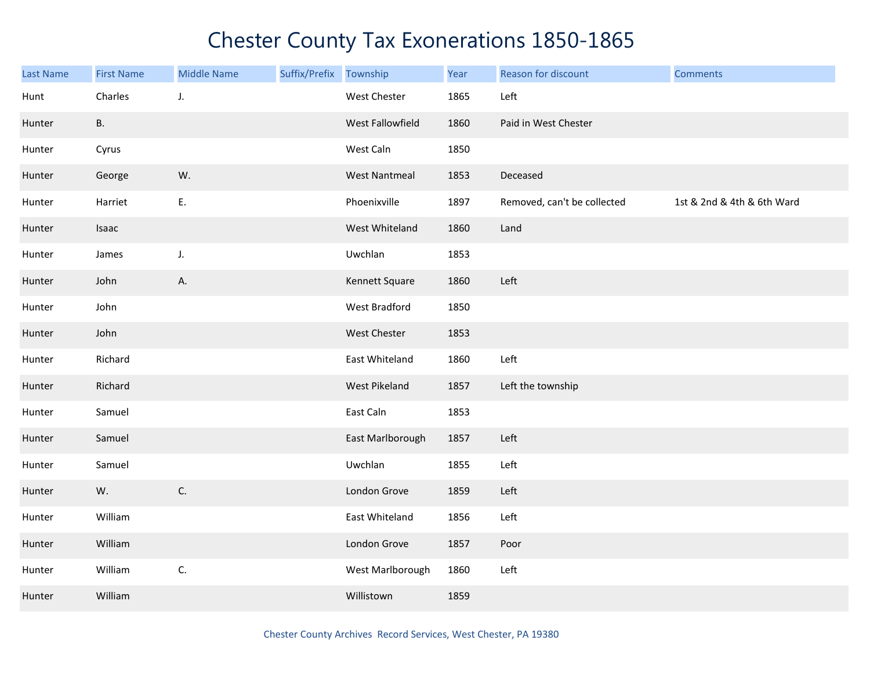| <b>Last Name</b> | <b>First Name</b> | <b>Middle Name</b> | Suffix/Prefix Township |                      | Year | Reason for discount         | <b>Comments</b>            |
|------------------|-------------------|--------------------|------------------------|----------------------|------|-----------------------------|----------------------------|
| Hunt             | Charles           | J.                 |                        | West Chester         | 1865 | Left                        |                            |
| Hunter           | <b>B.</b>         |                    |                        | West Fallowfield     | 1860 | Paid in West Chester        |                            |
| Hunter           | Cyrus             |                    |                        | West Caln            | 1850 |                             |                            |
| Hunter           | George            | W.                 |                        | <b>West Nantmeal</b> | 1853 | Deceased                    |                            |
| Hunter           | Harriet           | Ε.                 |                        | Phoenixville         | 1897 | Removed, can't be collected | 1st & 2nd & 4th & 6th Ward |
| Hunter           | Isaac             |                    |                        | West Whiteland       | 1860 | Land                        |                            |
| Hunter           | James             | J.                 |                        | Uwchlan              | 1853 |                             |                            |
| Hunter           | John              | А.                 |                        | Kennett Square       | 1860 | Left                        |                            |
| Hunter           | John              |                    |                        | West Bradford        | 1850 |                             |                            |
| Hunter           | John              |                    |                        | West Chester         | 1853 |                             |                            |
| Hunter           | Richard           |                    |                        | East Whiteland       | 1860 | Left                        |                            |
| Hunter           | Richard           |                    |                        | West Pikeland        | 1857 | Left the township           |                            |
| Hunter           | Samuel            |                    |                        | East Caln            | 1853 |                             |                            |
| Hunter           | Samuel            |                    |                        | East Marlborough     | 1857 | Left                        |                            |
| Hunter           | Samuel            |                    |                        | Uwchlan              | 1855 | Left                        |                            |
| Hunter           | W.                | C.                 |                        | London Grove         | 1859 | Left                        |                            |
| Hunter           | William           |                    |                        | East Whiteland       | 1856 | Left                        |                            |
| Hunter           | William           |                    |                        | London Grove         | 1857 | Poor                        |                            |
| Hunter           | William           | C.                 |                        | West Marlborough     | 1860 | Left                        |                            |
| Hunter           | William           |                    |                        | Willistown           | 1859 |                             |                            |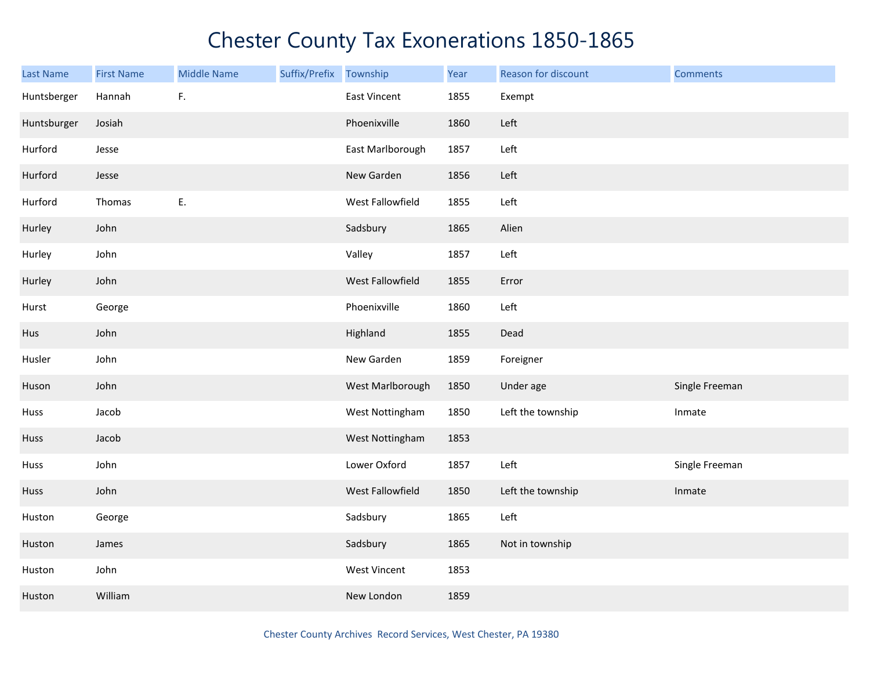| <b>Last Name</b> | <b>First Name</b> | <b>Middle Name</b> | Suffix/Prefix Township |                     | Year | Reason for discount | <b>Comments</b> |
|------------------|-------------------|--------------------|------------------------|---------------------|------|---------------------|-----------------|
| Huntsberger      | Hannah            | F.                 |                        | <b>East Vincent</b> | 1855 | Exempt              |                 |
| Huntsburger      | Josiah            |                    |                        | Phoenixville        | 1860 | Left                |                 |
| Hurford          | Jesse             |                    |                        | East Marlborough    | 1857 | Left                |                 |
| Hurford          | Jesse             |                    |                        | New Garden          | 1856 | Left                |                 |
| Hurford          | Thomas            | E.                 |                        | West Fallowfield    | 1855 | Left                |                 |
| Hurley           | John              |                    |                        | Sadsbury            | 1865 | Alien               |                 |
| Hurley           | John              |                    |                        | Valley              | 1857 | Left                |                 |
| Hurley           | John              |                    |                        | West Fallowfield    | 1855 | Error               |                 |
| Hurst            | George            |                    |                        | Phoenixville        | 1860 | Left                |                 |
| Hus              | John              |                    |                        | Highland            | 1855 | Dead                |                 |
| Husler           | John              |                    |                        | New Garden          | 1859 | Foreigner           |                 |
| Huson            | John              |                    |                        | West Marlborough    | 1850 | Under age           | Single Freeman  |
| Huss             | Jacob             |                    |                        | West Nottingham     | 1850 | Left the township   | Inmate          |
| Huss             | Jacob             |                    |                        | West Nottingham     | 1853 |                     |                 |
| Huss             | John              |                    |                        | Lower Oxford        | 1857 | Left                | Single Freeman  |
| Huss             | John              |                    |                        | West Fallowfield    | 1850 | Left the township   | Inmate          |
| Huston           | George            |                    |                        | Sadsbury            | 1865 | Left                |                 |
| Huston           | James             |                    |                        | Sadsbury            | 1865 | Not in township     |                 |
| Huston           | John              |                    |                        | West Vincent        | 1853 |                     |                 |
| Huston           | William           |                    |                        | New London          | 1859 |                     |                 |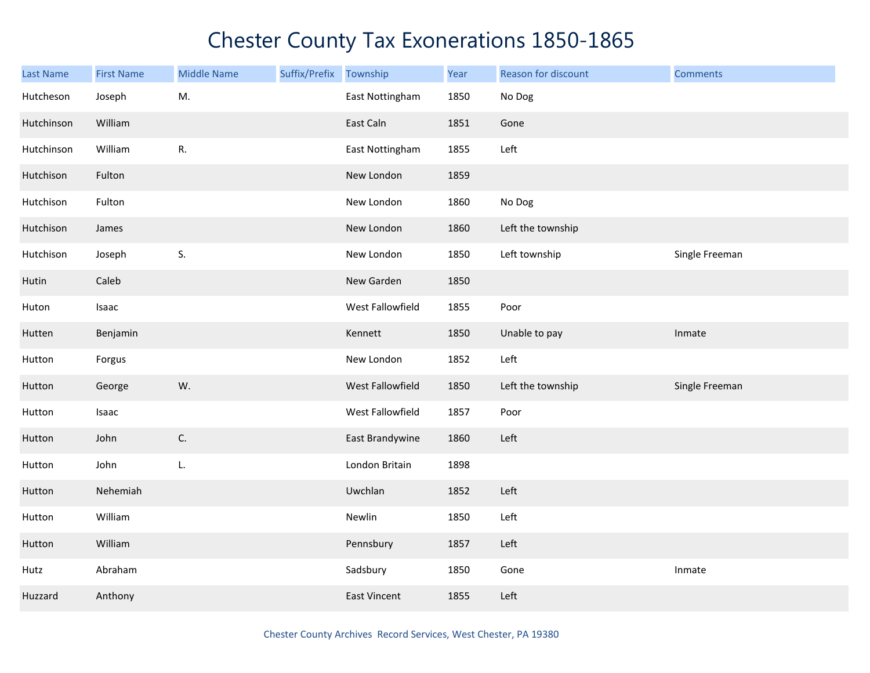| <b>Last Name</b> | <b>First Name</b> | <b>Middle Name</b> | Suffix/Prefix Township |                  | Year | Reason for discount | <b>Comments</b> |
|------------------|-------------------|--------------------|------------------------|------------------|------|---------------------|-----------------|
| Hutcheson        | Joseph            | M.                 |                        | East Nottingham  | 1850 | No Dog              |                 |
| Hutchinson       | William           |                    |                        | East Caln        | 1851 | Gone                |                 |
| Hutchinson       | William           | ${\sf R}.$         |                        | East Nottingham  | 1855 | Left                |                 |
| Hutchison        | Fulton            |                    |                        | New London       | 1859 |                     |                 |
| Hutchison        | Fulton            |                    |                        | New London       | 1860 | No Dog              |                 |
| Hutchison        | James             |                    |                        | New London       | 1860 | Left the township   |                 |
| Hutchison        | Joseph            | S.                 |                        | New London       | 1850 | Left township       | Single Freeman  |
| Hutin            | Caleb             |                    |                        | New Garden       | 1850 |                     |                 |
| Huton            | Isaac             |                    |                        | West Fallowfield | 1855 | Poor                |                 |
| Hutten           | Benjamin          |                    |                        | Kennett          | 1850 | Unable to pay       | Inmate          |
| Hutton           | Forgus            |                    |                        | New London       | 1852 | Left                |                 |
| Hutton           | George            | W.                 |                        | West Fallowfield | 1850 | Left the township   | Single Freeman  |
| Hutton           | Isaac             |                    |                        | West Fallowfield | 1857 | Poor                |                 |
| Hutton           | John              | C.                 |                        | East Brandywine  | 1860 | Left                |                 |
| Hutton           | John              | L.                 |                        | London Britain   | 1898 |                     |                 |
| Hutton           | Nehemiah          |                    |                        | Uwchlan          | 1852 | Left                |                 |
| Hutton           | William           |                    |                        | Newlin           | 1850 | Left                |                 |
| Hutton           | William           |                    |                        | Pennsbury        | 1857 | Left                |                 |
| Hutz             | Abraham           |                    |                        | Sadsbury         | 1850 | Gone                | Inmate          |
| Huzzard          | Anthony           |                    |                        | East Vincent     | 1855 | Left                |                 |